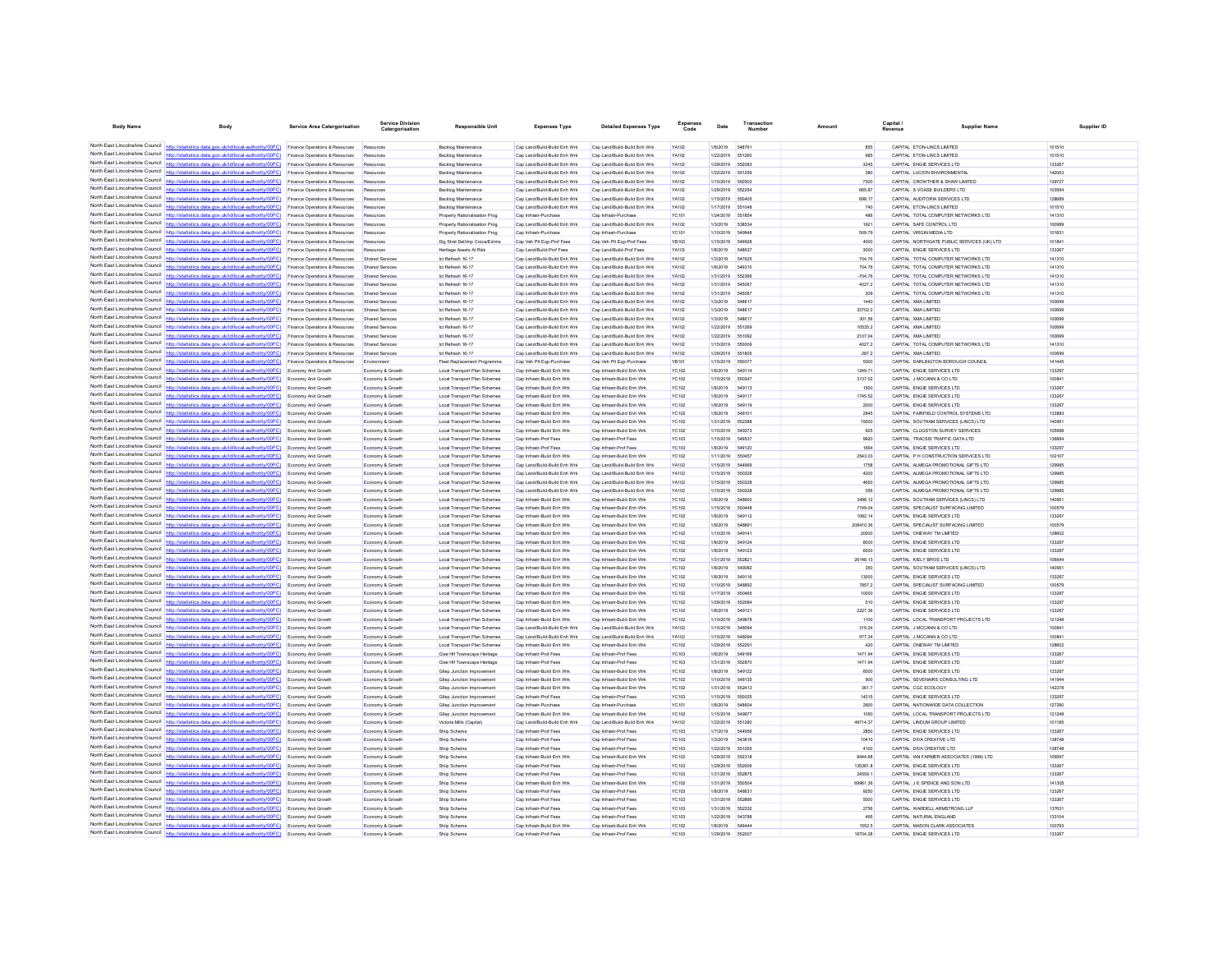| <b>Body Name</b>                                                   | Body                                                                                                                                                                                                                   | <b>Service Area Catergorisation</b>                                         | ervice Divisio<br>Catergorisation    | <b>Responsible Unit</b>                                         | <b>Expenses Type</b>                                         | <b>Detailed Expenses Type</b>                                | Expenses<br>Code      | Date                                 | Number                  | Amount             | Capital<br>Revenue | <b>Supplier Name</b>                                                    | Supplier ID      |
|--------------------------------------------------------------------|------------------------------------------------------------------------------------------------------------------------------------------------------------------------------------------------------------------------|-----------------------------------------------------------------------------|--------------------------------------|-----------------------------------------------------------------|--------------------------------------------------------------|--------------------------------------------------------------|-----------------------|--------------------------------------|-------------------------|--------------------|--------------------|-------------------------------------------------------------------------|------------------|
|                                                                    |                                                                                                                                                                                                                        |                                                                             |                                      |                                                                 |                                                              |                                                              |                       |                                      |                         |                    |                    |                                                                         |                  |
|                                                                    | North East Lincolnshire Council http://statistics.data.gov.uk/id/local-authority/00FC) Finance Operations & Resources Resources                                                                                        |                                                                             |                                      | <b>Backlog Maintenance</b>                                      | Cap Land/Build-Build Enh Wrk                                 | Cap Land/Build-Build Enh Wrk                                 | YA102                 | 1/8/2019 548761                      |                         | 855                |                    | CAPITAL ETON-LINCS LIMITED                                              | 101510           |
|                                                                    | North East Lincolnshire Council http://statistics.data.gov.uk/id/local-authority/00FC) Finance Operations & Resources                                                                                                  |                                                                             | Resources                            | <b>Backlog Maintenance</b>                                      | Cap Land/Build-Build Enh Wrk                                 | Cap Land/Build-Build Enh Wrk                                 | <b>YA102</b>          | 1/22/2019 551260                     |                         | 985                |                    | CAPITAL ETON-LINCS LIMITED                                              | 101510           |
|                                                                    | North East Lincolnshire Council http://statistics.data.gov.uk/id/local-authority/00FC)<br>North East Lincolnshire Council http://statistics.data.gov.uk/id/local-authority/00FC).                                      | Finance Operations & Resources<br>Finance Operations & Resources            | Resources<br>Resources               | Backlog Maintenance<br><b>Backlog Maintenance</b>               | Cap Land/Build-Build Enh Wrk<br>Cap Land/Build-Build Enh Wrk | Cap Land/Build-Build Enh Wrk<br>Cap Land/Build-Build Enh Wrk | YA102<br>YA102        | 1/29/2019 552083<br>1/22/2019        | 651259                  | 3245<br>380        |                    | CAPITAL ENGIE SERVICES LTD<br>CAPITAL LUCION ENVIRONMENTAL              | 133267<br>142063 |
|                                                                    | North East Lincolnshire Council http://statistics.data.gov.uk/id/local-authority/00FC)                                                                                                                                 | Finance Operations & Resources                                              | Resources                            | Backlog Maintenance                                             | Cap Land/Build-Build Enh Wrk                                 | Cap Land/Build-Build Enh Wrk                                 | YA102                 | 1/15/2019                            | 550503                  | 7300               |                    | CAPITAL CROWTHER & SHAW LIMITED                                         | 139727           |
|                                                                    | North East Lincolnshire Council http://statistics.data.gov.uk/id/local-authority/00FC)                                                                                                                                 | Finance Operations & Resources                                              | Resources                            | Backlog Maintenance                                             | Cap Land/Build-Build Enh Wrk                                 | Cap Land/Build-Build Enh Wrk                                 | YA102                 | 1/29/2019                            | 652254                  | 665.87             |                    | CAPITAL S VOASE BUILDERS LTD                                            | 103594           |
|                                                                    | North East Lincolnshire Council http://statistics.data.gov.uk/id/local-authority/00FC)                                                                                                                                 | Finance Operations & Resources                                              | Resources                            | <b>Backlog Maintenance</b>                                      | Cap Land/Build-Build Enh Wrk                                 | Cap Land/Build-Build Enh Wrk                                 | YA102                 | 1/15/2019                            | 550406                  | 698.17             |                    | CAPITAL AUDITORIA SERVICES LTD                                          | 128689           |
|                                                                    | North East Lincolnshire Council http://statistics.data.gov.uk/id/local-authority/00FC)                                                                                                                                 | Finance Operations & Resources                                              | Resources                            | <b>Backlog Maintenance</b>                                      | Cap Land/Build-Build Enh Wrk                                 | Cap Land/Build-Build Enh Wrk                                 | YA102                 | 1/17/2019                            | 551048                  | 740                |                    | CAPITAL ETON-LINCS LIMITED                                              | 101510           |
|                                                                    | North East Lincolnshire Council http://statistics.data.gov.uk/id/local-authority/00FC)                                                                                                                                 | Finance Operations & Resources                                              |                                      | Property Rationalisation Prog                                   | Cap Infrastr-Purcha                                          | Cap Infrastr-Purchas                                         | YC101                 | 1/24/2019                            | 551854                  | 486                |                    | CAPITAL TOTAL COMPUTER NETWORKS LTD                                     | 141310           |
|                                                                    | North East Lincolnshire Council http://statistics.data.gov.uk/id/local-authority/00FC)                                                                                                                                 | Finance Operations & Resources                                              | Resources                            | Property Rationalisation Prog                                   | Cap Land/Build-Build Enh Wrk                                 | Cap Land/Build-Build Enh Wrk                                 | YA102                 | 1/3/2019                             | 538534                  | 1921               |                    | CAPITAL SAFE CONTROL LTD                                                | 100989           |
|                                                                    | North East Lincolnshire Council http://statistics.data.gov.uk/id/local-authority/00FC).<br>North East Lincolnshire Council http://statistics.data.gov.uk/id/local-authority/00FC)                                      | Finance Operations & Resources<br><b>Finance Operations &amp; Resources</b> | Resources<br>Resources               | Property Rationalisation Prog<br>Dig Strat Del/Imp Civica/Edrms | Cap Infrastr-Purchase<br>Cap Veh Plt Egp-Prof Fees           | Cap Infrastr-Purchase<br>Cap Veh Pit Ego-Prof Fees           | YC101<br><b>YR103</b> | 1/10/2019 549948<br>1/15/2019 549928 |                         | 509.79<br>4000     |                    | CAPITAL VIRGIN MEDIA LTD<br>CAPITAL NORTHGATE PUBLIC SERVICES (UK) LTD. | 101831<br>101841 |
| North East Lincolnshire Council                                    | http://statistics.data.gov.uk/id/local-authority/00FC)                                                                                                                                                                 | Finance Operations & Resources                                              | Resources                            | Heritage Assets At Risk                                         | Cap Land/Build-Prof Fees                                     | Cap Land/Build-Prof Fees                                     | YA103                 | 1/8/2019                             | 548637                  | 3000               |                    | CAPITAL ENGIE SERVICES LTD                                              | 133267           |
|                                                                    | North East Lincolnshire Council http://statistics.data.gov.uk/id/local-authority/00FC)                                                                                                                                 | Finance Operations & Resources                                              | Shared Service                       | Ict Refresh 16-17                                               | Cap Land/Build-Build Enh Wrk                                 | Cap Land/Build-Build Enh Wrk                                 | YA102                 | 1/3/2019                             | 547625                  | 704.76             |                    | CAPITAL TOTAL COMPUTER NETWORKS LTD                                     | 141310           |
|                                                                    | North East Lincolnshire Council http://statistics.data.gov.uk/id/local-authority/00FC)                                                                                                                                 | Finance Operations & Resources                                              | Shared Services                      | Ict Refresh 16-17                                               | Cap Land/Build-Build Enh Wrk                                 | Cap Land/Build-Build Enh Wrk                                 | YA102                 | 1/8/2019                             | 549310                  | 704.76             |                    | CAPITAL TOTAL COMPUTER NETWORKS LTD                                     | 141310           |
|                                                                    | North East Lincolnshire Council http://statistics.data.gov.uk/id/local-authority/00FC)                                                                                                                                 | Finance Operations & Resources                                              | Shared Service                       | Ict Refresh 16-17                                               | Cap Land/Build-Build Enh Wrk                                 | Cap Land/Build-Build Enh Wrk                                 | YA102                 | 1/31/2019                            | 65236                   | $-704.76$          |                    | CAPITAL TOTAL COMPUTER NETWORKS LTD                                     | 141310           |
| North East Lincolnshire Council<br>North Fast Lincolnshire Council | http://statistics.data.gov.uk/id/local-authority/00FC)                                                                                                                                                                 | Finance Operations & Resources                                              | Shared Services                      | Ict Refresh 16-17                                               | Cap Land/Build-Build Enh Wrk                                 | Can Land/Build-Build Enh Wrk                                 | <b>YA102</b>          | 1/31/2019                            | 545067                  | 4027.2             |                    | CAPITAL TOTAL COMPUTER NETWORKS LTD                                     | 141310           |
|                                                                    | s.data.gov.uk/id/local-autho<br>ritv/00FC)                                                                                                                                                                             | Finance Operations & Resources                                              | Shared Services                      | Ict Refresh 16-17                                               | Cap Land/Build-Build Enh Wrk                                 | Cap Land/Build-Build Enh Wrk                                 | YA102                 | 1/31/2019                            | 545067                  | 309                |                    | CAPITAL TOTAL COMPUTER NETWORKS LTD                                     | 141310           |
|                                                                    | North East Lincolnshire Council http://statistics.data.gov.uk/id/local-authority/00FC)<br>North East Lincolnshire Council http://statistics.data.gov.uk/id/local-authority/00FC)                                       | Finance Operations & Resources<br>Finance Operations & Resources            | Shared Service<br>Shared Services    | Ict Refresh 16-17<br>Ict Refresh 16-17                          | Cap Land/Build-Build Enh Wrk<br>Cap Land/Build-Build Enh Wrk | Cap Land/Build-Build Enh Wrk<br>Cap Land/Build-Build Enh Wrk | YA102<br>YA102        | 1/3/2019<br>1/3/2019                 | 548617<br>548617        | 1440<br>33702.2    |                    | CAPITAL XMA LIMITED<br>CAPITAL XMA LIMITED                              | 100699<br>100699 |
|                                                                    | North East Lincolnshire Council http://statistics.data.gov.uk/id/local-authority/00FC)                                                                                                                                 | Finance Operations & Resources                                              | Shared Services                      | Ict Refresh 16-17                                               | Cap Land/Build-Build Enh Wrk                                 | Cap Land/Build-Build Enh Wrk                                 | YA102                 | 1/3/2019                             | 54861                   | 301.56             |                    | CAPITAL XMA LIMITED                                                     | 100699           |
|                                                                    | North East Lincolnshire Council http://statistics.data.gov.uk/id/local-authority/00FC)                                                                                                                                 | Finance Operations & Resources                                              | Shared Services                      | Ict Refresh 16-17                                               | Cap Land/Build-Build Enh Wrk                                 | Cap Land/Build-Build Enh Wrk                                 | YA102                 | 1/22/2019 551269                     |                         | 10535.2            |                    | CAPITAL XMA LIMITED                                                     | 100699           |
| North Fast Lincolnshire Council                                    | http://statistics.data.gov.uk/id/local-authority/00FC)                                                                                                                                                                 | Finance Operations & Resources                                              | Shared Service                       | Ict Refresh 16-17                                               | Cap Land/Build-Build Enh Wrk                                 | Cap Land/Build-Build Enh Wrk                                 | YA102                 | 1/22/2019                            | 551092                  | 2107.04            |                    | CAPITAL XMA LIMITED                                                     | 100699           |
|                                                                    | North East Lincolnshire Council   http://statistics.data.gov.uk/id/local-authority/00FC)                                                                                                                               | Finance Operations & Resources                                              | Shared Service                       | Ict Refresh 16-17                                               | Cap Land/Build-Build Enh Wrk                                 | Cap Land/Build-Build Enh Wrk                                 | YA102                 | 1/15/2019                            | 550009                  | 4027.2             |                    | CAPITAL TOTAL COMPUTER NETWORKS LTD                                     | 141310           |
| North East Lincolnshire Council                                    | http://statistics.data.gov.uk/id/local-authority/00FC)                                                                                                                                                                 | Finance Operations & Resources                                              | Shared Services                      | Ict Refresh 16-17                                               | Cap Land/Build-Build Enh Wrk                                 | Cap Land/Build-Build Enh Wrk                                 | YA102                 | 1/29/2019 551805                     |                         | 287.2              |                    | CAPITAL XMA LIMITED                                                     | 100699           |
|                                                                    | North East Lincolnshire Council http://statistics.data.gov.uk/id/local-authority/00FC)                                                                                                                                 | Finance Operations & Resources                                              | Environmen                           | Fleet Replacement Programme                                     | Cap Veh Plt Eqp-Purchase                                     | Cap Veh Pit Egp-Purchase                                     | YB101                 | 1/15/2019                            | 650077                  | 5000               |                    | CAPITAL DARLINGTON BOROUGH COUNCIL                                      | 141445           |
| North East Lincolnshire Council                                    | North East Lincolnshire Council http://statistics.data.gov.uk/id/local-authority/00FC)                                                                                                                                 | Economy And Growth                                                          | Economy & Growth                     | Local Transport Plan Schemes                                    | Cap Infrastr-Build Enh Wrk<br>Cap Infrastr-Build Enh Wrk     | Cap Infrastr-Build Enh Wrk<br>Cap Infrastr-Build Enh Wrk     | YC102                 | 1/8/2019                             | 549114<br>55034         | 1249.71<br>3137.02 |                    | CAPITAL ENGIE SERVICES LTD<br>CAPITAL J MCCANN & CO LTD                 | 133267<br>100841 |
| North East Lincolnshire Council                                    | http://statistics.data.gov.uk/id/local-authority/00FC)<br>http://statistics.data.gov.uk/id/local-authority/00EC)                                                                                                       | Economy And Growth<br>Economy And Growth                                    | Economy & Growth<br>Economy & Growth | Local Transport Plan Schemes<br>Local Transport Plan Schemer    | Cap Infrastr-Build Enh Wrk                                   | Cap Infrastr-Build Enh Wrk                                   | YC102<br>YC102        | 1/15/2019<br>1/8/2019                | 649113                  | 1500               |                    | CAPITAL ENGIE SERVICES LTD                                              | 133267           |
|                                                                    | North East Lincolnshire Council http://statistics.data.gov.uk/id/local-authority/00FC) Economy And Growth                                                                                                              |                                                                             | Economy & Growth                     | Local Transport Plan Schemes                                    | Cap Infrastr-Build Enh Wrk                                   | Cap Infrastr-Build Enh Wrk                                   | YC102                 | 1/8/2019                             | 549117                  | 1745.52            |                    | CAPITAL ENGIE SERVICES LTD                                              | 133267           |
|                                                                    | North East Lincolnshire Council http://statistics.data.gov.uk/id/local-authority/00FC) Economy And Growth                                                                                                              |                                                                             | Economy & Growth                     | Local Transport Plan Schemes                                    | Cap Infrastr-Build Enh Wrk                                   | Cap Infrastr-Build Enh Wrl                                   | YC102                 | 1/8/2019                             | 549119                  | 2000               |                    | CAPITAL ENGIE SERVICES LTD                                              | 133267           |
| North East Lincolnshire Council                                    | http://statistics.data.gov.uk/id/local-authority/00EC)                                                                                                                                                                 | Fronomy And Growth                                                          | Economy & Growth                     | Local Transport Plan Schemes                                    | Can Infrastr-Build Enh Wrk                                   | Can Infrastr-Ruild Enh Wrk                                   | YC102                 | 4/8/2019                             | 648101                  | 2945               |                    | CAPITAL FAIRFIELD CONTROL SYSTEMS LTD                                   | 133883           |
|                                                                    | North East Lincolnshire Council http://statistics.data.gov.uk/id/local-authority/00FC)                                                                                                                                 | Economy And Growth                                                          | Economy & Growth                     | Local Transport Plan Schemes                                    | Cap Infrastr-Build Enh Wrk                                   | Cap Infrastr-Build Enh Wrl                                   | YC102                 | 1/31/2019                            | 55238                   | 15000              |                    | CAPITAL SOUTHAM SERVICES (LINCS) LTD                                    | 140951           |
|                                                                    | North East Lincolnshire Council http://statistics.data.gov.uk/id/local-authority/00FC) Economy And Growth                                                                                                              |                                                                             | Economy & Growth                     | Local Transport Plan Schemes                                    | Can Infrastr-Build Enh Wrk                                   | Cap Infrastr-Build Enh Wrk                                   | YC102                 | 1/15/2019                            | 549373                  | 925                |                    | CAPITAL CLUGSTON SURVEY SERVICES.                                       | 105668           |
|                                                                    | North East Lincolnshire Council http://statistics.data.gov.uk/id/local-authority/00FC) Economy And Growth<br>North East Lincolnshire Council http://statistics.data.gov.uk/id/local-authority/00FC) Economy And Growth |                                                                             | Economy & Growth                     | Local Transport Plan Schemes                                    | Cap Infrastr-Prof Fees                                       | Cap Infrastr-Prof Fees                                       | <b>YC103</b>          | 1/15/2019                            | 549537                  | 9920<br>1664       |                    | CAPITAL TRACSIS TRAFFIC DATA LTD                                        | 136884           |
| North East Lincolnshire Council                                    | http://statistics.data.gov.uk/id/local-authority/00FC) Economy And Growth                                                                                                                                              |                                                                             | Economy & Growth<br>Economy & Growth | Local Transport Plan Schemes<br>Local Transport Plan Schemes    | Cap Infrastr-Prof Fees<br>Cap Infrastr-Build Enh Wrk         | Cap Infrastr-Prof Fees<br>Cap Infrastr-Build Enh Wrk         | YC103<br>YC102        | 1/8/2019<br>1/11/2019                | 549120<br>550457        | 2543.03            |                    | CAPITAL ENGIE SERVICES LTD<br>CAPITAL P H CONSTRUCTION SERVICES LTD     | 133267<br>102107 |
|                                                                    | North East Lincolnshire Council   http://statistics.data.gov.uk/id/local-authority/00FC)                                                                                                                               | Economy And Growth                                                          | Economy & Growth                     | Local Transport Plan Schemes                                    | Cap Land/Build-Build Enh Wrk                                 | Cap Land/Build-Build Enh Wrk                                 | YA102                 | 1/15/2019                            |                         | 1758               |                    | CAPITAL ALMEGA PROMOTIONAL GIFTS LTD                                    | 129985           |
|                                                                    | North East Lincolnshire Council http://statistics.data.gov.uk/id/local-authority/00FC)                                                                                                                                 | Economy And Growth                                                          | Economy & Growth                     | Local Transport Plan Schemes                                    | Cap Land/Build-Build Enh Wrk                                 | Can Land/Ruild-Ruild Enh Wrk                                 | YA102                 | 1/15/2019                            | 550328                  | 4200               |                    | CAPITAL ALMEGA PROMOTIONAL GIFTS LTD                                    | 129985           |
|                                                                    | North East Lincolnshire Council http://statistics.data.gov.uk/id/local-authority/00FC) Economy And Growth                                                                                                              |                                                                             | Economy & Growth                     | Local Transport Plan Schemes                                    | Cap Land/Build-Build Enh Wrk                                 | Cap Land/Build-Build Enh Wrk                                 | YA102                 | 1/15/2019 550328                     |                         | 4650               |                    | CAPITAL ALMEGA PROMOTIONAL GIFTS LTD                                    | 129985           |
|                                                                    | North East Lincolnshire Council http://statistics.data.gov.uk/id/local-authority/00FC)                                                                                                                                 | Economy And Growth                                                          | Economy & Growth                     | Local Transport Plan Schemes                                    | Cap Land/Build-Build Enh Wrk                                 | Cap Land/Build-Build Enh Wrk                                 | YA102                 | 1/15/2019 550328                     |                         | 356                |                    | CAPITAL ALMEGA PROMOTIONAL GIFTS LTD                                    | 129985           |
| North East Lincolnshire Council<br>North East Lincolnshire Council | http://statistics.data.gov.uk/id/local-authority/00FC) Economy And Growth                                                                                                                                              |                                                                             | Economy & Growth                     | Local Transport Plan Schemes                                    | Cap Infrastr-Build Enh Wrk                                   | Cap Infrastr-Build Enh Wrk                                   | YC102                 | 1/8/2019                             | 548900                  | 3498.12            |                    | CAPITAL SOUTHAM SERVICES (LINCS) LTD                                    | 140951           |
|                                                                    | tatistics.data.gov.uk/id/local-authority/00FC)<br>North East Lincolnshire Council http://statistics.data.gov.uk/id/local-authority/00FC) Economy And Growth                                                            | Economy And Growth                                                          | Economy & Growth<br>Economy & Growth | Local Transport Plan Schemes<br>Local Transport Plan Schemes    | Cap Infrastr-Build Enh Wrk<br>Cap Infrastr-Build Enh Wrk     | Cap Infrastr-Build Enh Wrk<br>Cap Infrastr-Build Enh Wrk     | YC102<br>YC102        | 1/15/2019<br>1/8/2019                | 550448<br>549112        | 7749.04<br>1082.14 |                    | CAPITAL SPECIALIST SURFACING LIMITED<br>CAPITAL ENGIE SERVICES LTD      | 100579<br>133267 |
|                                                                    | North East Lincolnshire Council http://statistics.data.gov.uk/id/local-authority/00FC) Economy And Growth                                                                                                              |                                                                             | Economy & Growth                     | Local Transport Plan Schemes                                    | Cap Infrastr-Build Enh Wrk                                   | Cap Infrastr-Build Enh Wrk                                   | YC102                 | 1/8/2019                             | 548891                  | 208410.36          |                    | CAPITAL SPECIALIST SURFACING LIMITED                                    | 100579           |
|                                                                    | North East Lincolnshire Council http://statistics.data.gov.uk/id/local-authority/00FC) Economy And Growth                                                                                                              |                                                                             | Economy & Growth                     | Local Transport Plan Schemes                                    | Cap Infrastr-Build Enh Wrk                                   | Cap Infrastr-Build Enh Wrk                                   | YC102                 | 1/10/2019                            | 549141                  | 20000              |                    | CAPITAL ONEWAY TM LIMITED                                               | 128602           |
| North East Lincolnshire Council                                    | http://statistics.data.gov.uk/id/local-authority/00FC) Economy And Growth                                                                                                                                              |                                                                             | Economy & Growth                     | Local Transport Plan Schemes                                    | Cap Infrastr-Build Enh Wrk                                   | Cap Infrastr-Build Enh Wrk                                   | YC102                 | 1/8/2019                             | 549124                  | 8000               |                    | CAPITAL ENGIE SERVICES LTD                                              | 133267           |
|                                                                    | North East Lincolnshire Council http://statistics.data.gov.uk/id/local-authority/00FC)                                                                                                                                 | Economy And Growth                                                          | Economy & Growth                     | Local Transport Plan Schemes                                    | Cap Infrastr-Build Enh Wrk                                   | Cap Infrastr-Build Enh Wrl                                   | YC102                 | 1/8/2019                             | 549123                  | 6000               |                    | CAPITAL ENGIE SERVICES LTD                                              | 133267           |
|                                                                    | North East Lincolnshire Council http://statistics.data.gov.uk/id/local-authority/00FC) Economy And Growth                                                                                                              |                                                                             | Francew & Growth                     | Local Transport Plan Schemes                                    | Can Infrastr-Build Enh Wrk                                   | Can Infrastr-Build Enh Wrk                                   | YC102                 | 1/31/2019                            | 552821                  | 26148.13           |                    | CAPITAL KIELY BROS LTD                                                  | 106644           |
|                                                                    | North East Lincolnshire Council http://statistics.data.gov.uk/id/local-authority/00FC) Economy And Growth                                                                                                              |                                                                             | Economy & Growth                     | Local Transport Plan Schemes                                    | Cap Infrastr-Build Enh Wrk                                   | Cap Infrastr-Build Enh Wrk                                   | YC102                 | 1/8/2019                             | 549082                  | 350                |                    | CAPITAL SOUTHAM SERVICES (LINCS) LTD                                    | 140951           |
| North East Lincolnshire Council                                    | North East Lincolnshire Council http://statistics.data.gov.uk/id/local-authority/00FC) Economy And Growth<br>http://statistics.data.gov.uk/id/local-authority/00FC)                                                    | Economy And Growth                                                          | Economy & Growth<br>Economy & Growth | Local Transport Plan Schemes<br>Local Transport Plan Schemes    | Cap Infrastr-Build Enh Wrk<br>Cap Infrastr-Build Enh Wrk     | Cap Infrastr-Build Enh Wrk<br>Cap Infrastr-Build Enh Wrk     | YC102<br>YC102        | 1/8/2019<br>1/10/2019                | 549116<br><b>548890</b> | 13000<br>7857.2    |                    | CAPITAL ENGIE SERVICES LTD<br>CAPITAL SPECIALIST SURFACING LIMITED      | 133267<br>100579 |
|                                                                    | North East Lincolnshire Council http://statistics.data.gov.uk/id/local-authority/00FC) Economy And Growth                                                                                                              |                                                                             | Economy & Growth                     | Local Transport Plan Schemes                                    | Cap Infrastr-Build Enh Wrk                                   | Cap Infrastr-Build Enh Wrk                                   | YC102                 | 1/17/2019                            |                         | 10000              |                    | CAPITAL ENGIE SERVICES LTD                                              | 133267           |
|                                                                    | North East Lincolnshire Council http://statistics.data.gov.uk/id/local-authority/00FC) Economy And Growth                                                                                                              |                                                                             | Economy & Growth                     | Local Transport Plan Schemes                                    | Cap Infrastr-Build Enh Wrk                                   | Cap Infrastr-Build Enh Wrk                                   | YC102                 | 1/29/2019 552084                     |                         | 510                |                    | CAPITAL ENGIE SERVICES LTD                                              | 133267           |
|                                                                    | North East Lincolnshire Council http://statistics.data.gov.uk/id/local-authority/00FC) Economy And Growth                                                                                                              |                                                                             | Economy & Growth                     | Local Transport Plan Schemes                                    | Cap Infrastr-Build Enh Wrk                                   | Cap Infrastr-Build Enh Wrk                                   | YC102                 | 1/8/2019                             | 549121                  | 2227.36            |                    | CAPITAL ENGIE SERVICES LTD                                              | 133267           |
|                                                                    | North East Lincolnshire Council http://statistics.data.gov.uk/id/local-authority/00FC) Economy And Growth                                                                                                              |                                                                             | Economy & Growth                     | Local Transport Plan Schemes                                    | Cap Infrastr-Build Enh Wrk                                   | Cap Infrastr-Build Enh Wrk                                   | YC102                 | 1/10/2019                            | 549978                  | 1100               |                    | CAPITAL LOCAL TRANSPORT PROJECTS LTD                                    | 121248           |
| North East Lincolnshire Council                                    | lics.data.gov.uk/id/local-authority/00FC) Economy And Growth                                                                                                                                                           |                                                                             | Economy & Growth                     | Local Transport Plan Schemes                                    | Cap Land/Build-Build Enh Wrk                                 | Cap Land/Build-Build Enh Wrk                                 | YA102                 | 1/15/2019                            | 548094                  | 319.24             |                    | CAPITAL J MCCANN & CO LTD                                               | 100841           |
|                                                                    | North East Lincolnshire Council http://statistics.data.gov.uk/id/local-authority/00FC)                                                                                                                                 | Economy And Growth                                                          | Economy & Growth                     | Local Transport Plan Schemer                                    | Cap Land/Build-Build Enh Wrk                                 | Cap Land/Build-Build Enh Wrk                                 | YA102                 | 1/15/2019                            | <b>S490Q</b>            | 977.34             |                    | CAPITAL J MCCANN & CO LTD                                               | 100841           |
| North East Lincolnshire Council                                    | North East Lincolnshire Council http://statistics.data.gov.uk/id/local-authority/00FC) Economy And Growth<br>http://statistics.data.gov.uk/id/local-authority/00FC) Economy And Growth                                 |                                                                             | Economy & Growth<br>Economy & Growth | Local Transport Plan Schemes<br>Clee HIf Townscape Heritage     | Cap Infrastr-Build Enh Wrk<br>Cap Infrastr-Prof Fees         | Cap Infrastr-Build Enh Wrk<br>Cap Infrastr-Prof Fees         | YC102<br><b>YC103</b> | 1/29/2019 552291<br>1/8/2019         | 549169                  | 420<br>1471.94     |                    | CAPITAL ONEWAY TM LIMITED<br>CAPITAL ENGIE SERVICES LTD                 | 128602<br>133267 |
| North East Lincolnshire Council                                    | http://statistics.data.gov.uk/id/local-authority/00FC) Economy And Growth                                                                                                                                              |                                                                             | Economy & Growth                     | Clee Hif Townscape Heritage                                     | Cap Infrastr-Prof Fees                                       | Cap Infrastr-Prof Fees                                       | YC103                 | 1/31/2019                            | 652870                  | 1471 94            |                    | CAPITAL ENGIE SERVICES LTD                                              | 133267           |
| North East Lincolnshire Council                                    | http://statistics.data.gov.uk/id/local-authority/00FC)                                                                                                                                                                 | <b>Economy And Growth</b>                                                   | Economy & Growth                     | Gilep Junction Improvement                                      | Cap Infrastr-Build Enh Wrk                                   | Cap Infrastr-Build Enh Wrk                                   | YC102                 | 1/8/2019                             | 549122                  | 6000               |                    | CAPITAL ENGIE SERVICES LTD                                              | 133267           |
|                                                                    | North East Lincolnshire Council http://statistics.data.gov.uk/id/local-authority/00FC)                                                                                                                                 | Economy And Growth                                                          | Economy & Growth                     | Gliep Junction Improvemen                                       | Cap Infrastr-Build Enh Wrk                                   | Cap Infrastr-Build Enh Wrl                                   | YC102                 | 1/10/2019                            | 548135                  | 900                |                    | CAPITAL SEVENARS CONSULTING LTD                                         | 141944           |
|                                                                    | North East Lincolnshire Council http://statistics.data.gov.uk/id/local-authority/00FC) Economy And Growth                                                                                                              |                                                                             | Economy & Growth                     | Gilep Junction Improvement                                      | Cap Infrastr-Build Enh Wrk                                   | Cap Infrastr-Build Enh Wrk                                   | YC102                 | 1/31/2019 652413                     |                         | 361.7              |                    | CAPITAL CGC ECOLOGY                                                     | 142378           |
|                                                                    | North East Lincolnshire Council http://statistics.data.gov.uk/id/local-authority/00FC) Economy And Growth                                                                                                              |                                                                             | Economy & Growth                     | Gilep Junction Improvement                                      | Cap Infrastr-Prof Fees                                       | Cap Infrastr-Prof Fees                                       | YC103                 | 1/15/2019                            | 550025                  | 14315              |                    | CAPITAL ENGIE SERVICES LTD                                              | 133267           |
| North Fast Lincolnshire Council                                    | North East Lincolnshire Council http://statistics.data.gov.uk/id/local-authority/00FC) Economy And Growth                                                                                                              |                                                                             | Economy & Growth                     | Gilep Junction Improvement                                      | Cap Infrastr-Purchase                                        | Can Infrastr-Purchase                                        | YC101                 | 4/8/2019                             | <b>548804</b>           | 2600               |                    | CAPITAL NATIONWIDE DATA COLLECTION                                      | 127290           |
|                                                                    | http://statistics.data.gov.uk/id/local-authority/00FC) Economy And Growth<br>North East Lincolnshire Council http://statistics.data.gov.uk/id/local-authority/00FC)                                                    |                                                                             | Economy & Growth                     | Gilep Junction Improvement                                      | Cap Infrastr-Build Enh Wrk                                   | Cap Infrastr-Build Enh Wrk                                   | YC102                 | 1/15/2019                            | 549977<br>551280        | 1050               |                    | CAPITAL LOCAL TRANSPORT PROJECTS LTD                                    | 121248           |
|                                                                    | North East Lincolnshire Council http://statistics.data.gov.uk/id/local-authority/00FC) Economy And Growth                                                                                                              | Economy And Growth                                                          | Economy & Growth<br>Economy & Growth | Victoria Mills (Capital)<br>Shiip Scheme                        | Cap Land/Build-Build Enh Wrk<br>Cap Infrastr-Prof Fees       | Cap Land/Build-Build Enh Wrk<br>Cap Infrastr-Prof Fees       | YA102<br><b>YC103</b> | 1/22/2019<br>1/7/2019                | 544958                  | 49714.37<br>2850   |                    | CAPITAL LINDUM GROUP LIMITED<br>CAPITAL ENGIE SERVICES LTD              | 101185<br>133267 |
|                                                                    | North East Lincolnshire Council http://statistics.data.gov.uk/id/local-authority/00FC) Economy And Growth                                                                                                              |                                                                             | Economy & Growth                     | Shiip Scheme                                                    | Cap Infrastr-Prof Fees                                       | Cap Infrastr-Prof Fees                                       | YC103                 | 1/3/2019                             | 543816                  | 10410              |                    | CAPITAL DIVA CREATIVE LTD                                               | 138748           |
|                                                                    | North East Lincolnshire Council http://statistics.data.gov.uk/id/local-authority/00FC) Economy And Growth                                                                                                              |                                                                             | Economy & Growth                     | Shiip Scheme                                                    | Cap Infrastr-Prof Fees                                       | Cap Infrastr-Prof Fees                                       | YC103                 | 1/22/2019 551265                     |                         | 4100               |                    | CAPITAL DIVA CREATIVE LTD                                               | 138748           |
|                                                                    | North East Lincolnshire Council http://statistics.data.gov.uk/id/local-authority/00FC)                                                                                                                                 | Economy And Growth                                                          | Economy & Growth                     | Shiip Scheme                                                    | Cap Infrastr-Build Enh Wrk                                   | Cap Infrastr-Build Enh Wrk                                   | YC102                 | 1/29/2019                            | 652318                  | 8444.68            |                    | CAPITAL IAN FARMER ASSOCIATES (1998) LTD                                | 109597           |
|                                                                    | North East Lincolnshire Council http://statistics.data.gov.uk/id/local-authority/00FC)                                                                                                                                 | Economy And Growth                                                          | Economy & Growth                     | Shiip Schem                                                     | Cap Infrastr-Prof Fees                                       | Cap Infrastr-Prof Fees                                       | YC103                 | 1/29/2019                            | 552006                  | 135361.8           |                    | CAPITAL ENGIE SERVICES LTD                                              | 133267           |
|                                                                    | North East Lincolnshire Council http://statistics.data.gov.uk/id/local-authority/00FC) Economy And Growth                                                                                                              |                                                                             | Economy & Growth                     | Shiip Scheme                                                    | Cap Infrastr-Prof Fees                                       | Cap Infrastr-Prof Fees                                       | <b>YC103</b>          | 1/31/2019 552875                     |                         | 24559.1            |                    | CAPITAL ENGIE SERVICES LTD                                              | 133267           |
|                                                                    | North East Lincolnshire Council http://statistics.data.gov.uk/id/local-authority/00FC) Economy And Growth<br>North East Lincolnshire Council http://statistics.data.gov.uk/id/local-authority/00FC) Economy And Growth |                                                                             | Economy & Growth<br>Economy & Growth | Shiip Scheme<br>Shiip Scheme                                    | Cap Infrastr-Build Enh Wrk<br>Cap Infrastr-Prof Fees         | Cap Infrastr-Build Enh Wrk<br>Cap Infrastr-Prof Fees         | YC102<br>YC103        | 1/31/2019<br>1/8/2019                | 650504<br>548631        | 69961.36<br>9250   |                    | CAPITAL J E SPENCE AND SON LTD<br>CAPITAL ENGIE SERVICES LTD            | 141305<br>133267 |
|                                                                    | North East Lincolnshire Council http://statistics.data.gov.uk/id/local-authority/00FC) Economy And Growth                                                                                                              |                                                                             | Economy & Growth                     | Shiip Scheme                                                    | Cap Infrastr-Prof Fees                                       | Cap Infrastr-Prof Fees                                       | YC103                 | 1/31/2019                            | 552866                  | 5000               |                    | CAPITAL ENGIE SERVICES LTD                                              | 133267           |
|                                                                    | North East Lincolnshire Council http://statistics.data.gov.uk/id/local-authority/00FC)                                                                                                                                 | Economy And Growt                                                           | Economy & Growt                      | Shiip Schem                                                     | Cap Infrastr-Prof Fees                                       | Cap Infrastr-Prof Fees                                       | YC103                 | 1/31/2019                            | 652332                  | 2756               |                    | CAPITAL WARDELL ARMSTRONG LLP                                           | 137631           |
|                                                                    | North East Lincolnshire Council http://statistics.data.gov.uk/id/local-authority/00FC) Economy And Growth                                                                                                              |                                                                             | Economy & Growth                     | Shiip Scheme                                                    | Cap Infrastr-Prof Fees                                       | Cap Infrastr-Prof Fees                                       | <b>YC103</b>          | 1/22/2019 543788                     |                         | 495                |                    | CAPITAL NATURAL ENGLAND                                                 | 133104           |
|                                                                    | North East Lincolnshire Council http://statistics.data.gov.uk/id/local-authority/00FC) Economy And Growth                                                                                                              |                                                                             | Economy & Growth                     | Shiip Scheme                                                    | Cap Infrastr-Build Enh Wrk                                   | Cap Infrastr-Build Enh Wrl                                   | YC102                 | 1/8/2019                             | 549444                  | 1552.5             |                    | CAPITAL MASON CLARK ASSOCIATES                                          | 100793           |
| North East Lincolnshire Council                                    | http://statistics.data.gov.uk/id/local-authority/00FC)                                                                                                                                                                 | Fronomy And Growth                                                          | Economy & Growth                     | Shiin Scheme                                                    | Can Infrastr-Prof Fees                                       | Can Infrastr-Prof Fees                                       | YC103                 | 910992019                            | 652007                  | 16704.28           |                    | CAPITAL ENGIE SERVICES LTD                                              | 133267           |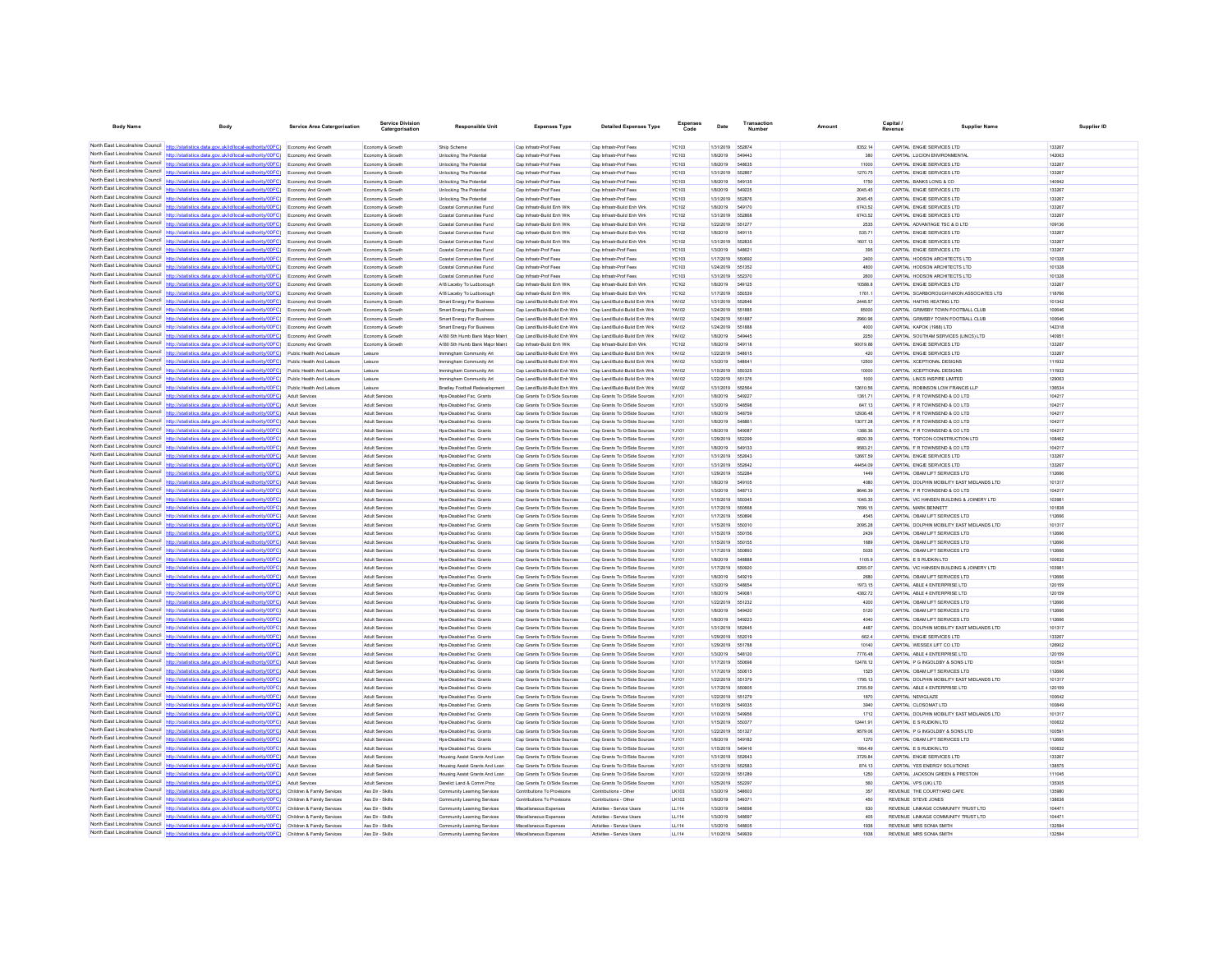| <b>Body Name</b>                                                   | Body                                                                                                                                                                                                        | Service Area Catergorisation                           | <b>Service Divisio</b>                  | <b>Responsible Unit</b>                                          | <b>Expenses Type</b>                                         | <b>Detailed Expenses Type</b>                                | Expenses<br>Code             | Date                   | Transaction      | Amount               | Capital | <b>Supplier Nam</b>                                                        | Supplier ID      |
|--------------------------------------------------------------------|-------------------------------------------------------------------------------------------------------------------------------------------------------------------------------------------------------------|--------------------------------------------------------|-----------------------------------------|------------------------------------------------------------------|--------------------------------------------------------------|--------------------------------------------------------------|------------------------------|------------------------|------------------|----------------------|---------|----------------------------------------------------------------------------|------------------|
|                                                                    |                                                                                                                                                                                                             |                                                        |                                         |                                                                  |                                                              |                                                              |                              |                        |                  |                      |         |                                                                            |                  |
|                                                                    | North East Lincolnshire Council http://statistics.data.gov.uk/id/local-authority/00FC) Economy And Growth                                                                                                   |                                                        | Economy & Growth                        | Shiip Scheme                                                     | Cap Infrastr-Prof Fees                                       | Cap Infrastr-Prof Fees                                       | <b>YC103</b>                 | 1/31/2019              | 552874           | 8352.14              |         | CAPITAL ENGIE SERVICES LTD                                                 | 133267           |
|                                                                    | North East Lincolnshire Council http://statistics.data.gov.uk/id/local-authority/00FC) Economy And Growth                                                                                                   |                                                        | Economy & Growth                        | Unlocking The Potential                                          | Cap Infrastr-Prof Fees                                       | Cap Infrastr-Prof Fees                                       | YC103                        | 1/8/2019               | 549443           | 380                  |         | CAPITAL LUCION ENVIRONMENTA                                                | 142063           |
| North East Lincolnshire Council                                    | North East Lincolnshire Council http://statistics.data.gov.uk/id/local-authority/00FC) Economy And Growth                                                                                                   |                                                        | Economy & Growth                        | Unlocking The Potential                                          | Cap Infrastr-Prof Fees                                       | Cap Infrastr-Prof Fees                                       | <b>YC103</b>                 | 1/8/2019               | 548635           | 11000                |         | CAPITAL ENGIE SERVICES LTD                                                 | 133267           |
|                                                                    | (OOFC)<br>North East Lincolnshire Council http://statistics.data.gov.uk/id/local-authority/00FC)                                                                                                            | <b>Economy And Growth</b><br><b>Economy And Growth</b> | Economy & Growth<br>Economy & Growth    | <b>Unlocking The Potential</b><br><b>Unlocking The Potential</b> | Cap Infrastr-Prof Fees<br>Cap Infrastr-Prof Fees             | Cap Infrastr-Prof Fees<br>Cap Infrastr-Prof Fees             | <b>YC103</b><br><b>YC103</b> | 1/31/2019<br>1/8/2019  | 552867<br>549135 | 1270.75<br>1750      |         | CAPITAL ENGIE SERVICES LTD<br>CAPITAL BANKS LONG & CO.                     | 133267<br>140942 |
|                                                                    | North East Lincolnshire Council http://statistics.data.gov.uk/id/local-authority/00FC) Economy And Growth                                                                                                   |                                                        | Economy & Growth                        | <b>Unlocking The Potential</b>                                   | Cap Infrastr-Prof Fees                                       | Cap Infrastr-Prof Fees                                       | YC103                        | 1/8/2019               | 549225           | 2045.45              |         | CAPITAL ENGIE SERVICES LTD                                                 | 133267           |
|                                                                    | North East Lincolnshire Council http://statistics.data.gov.uk/id/local-authority/00FC) Economy And Growth                                                                                                   |                                                        | Economy & Growth                        | Unlocking The Potential                                          | Cap Infrastr-Prof Fees                                       | Cap Infrastr-Prof Fees                                       | <b>YC103</b>                 | 1/31/2019              | 55287            | 2045.45              |         | CAPITAL ENGIE SERVICES LTD                                                 | 133267           |
| North East Lincolnshire Council                                    | http://statistics.data.gov.uk/id/local-authority/00FC)                                                                                                                                                      | Economy And Growth                                     | Economy & Growth                        | Coastal Communities Fund                                         | Cap Infrastr-Build Enh Wrk                                   | Cap Infrastr-Build Enh Wrk                                   | YC102                        | 1/8/2019               | 549170           | 6743.52              |         | CAPITAL ENGIE SERVICES LTD                                                 | 133267           |
| North East Lincolnshire Council                                    |                                                                                                                                                                                                             | Economy And Growth                                     | Economy & Growth                        | Coastal Communities Fund                                         | Cap Infrastr-Build Enh Wrk                                   | Cap Infrastr-Build Enh Wrl                                   | YC102                        | 1/31/2019              |                  | 6743.52              |         | CAPITAL ENGIE SERVICES LTD                                                 | 133267           |
|                                                                    | North East Lincolnshire Council http://statistics.data.gov.uk/id/local-authority/00FC)                                                                                                                      | Economy And Growth                                     | Economy & Growth                        | Coastal Communities Fund                                         | Cap Infrastr-Build Enh Wrk                                   | Cap Infrastr-Build Enh Wrk                                   | YC102                        | 1/22/2019              | 551277           | 2535                 |         | CAPITAL ADVANTAGE TSC & D LTD                                              | 109136           |
|                                                                    | North East Lincolnshire Council http://statistics.data.gov.uk/id/local-authority/00FC) Economy And Growth                                                                                                   |                                                        | Economy & Growth                        | Coastal Communities Fund                                         | Cap Infrastr-Build Enh Wrk                                   | Cap Infrastr-Build Enh Wrk                                   | YC102                        | 1/8/2019               | 549115           | 535.71               |         | CAPITAL ENGIE SERVICES LTD                                                 | 133267           |
|                                                                    | North East Lincolnshire Council http://statistics.data.gov.uk/id/local-authority/00FC) Economy And Growth                                                                                                   |                                                        | Economy & Growth                        | Coastal Communities Fund                                         | Cap Infrastr-Build Enh Wri                                   | Cap Infrastr-Build Enh Wrk                                   | YC102                        | 1/31/2019 552835       |                  | 1607.13              |         | CAPITAL ENGIE SERVICES LTD                                                 | 133267           |
| North East Lincolnshire Council<br>North East Lincolnshire Council | http://statistics.data.gov.uk/id/local-authority/00FC)                                                                                                                                                      | Economy And Growth                                     | Economy & Growth                        | Coastal Communities Fund                                         | Cap Infrastr-Prof Fees                                       | Cap Infrastr-Prof Fees                                       | <b>YC103</b>                 | 1/3/2019               | 548821           | 395                  |         | CAPITAL ENGIE SERVICES LTD                                                 | 133267           |
|                                                                    | http://statistics.data.gov.uk/id/local-authority/00FC)<br>North East Lincolnshire Council http://statistics.data.gov.uk/id/local-authority/00FC) Economy And Growth                                         | <b>Economy And Growth</b>                              | Economy & Growth                        | Coastal Communities Fund                                         | Cap Infrastr-Prof Fees                                       | Cap Infrastr-Prof Fees                                       | YC103                        | 1/17/2019              |                  | 2400                 |         | CAPITAL HODSON ARCHITECTS LTD                                              | 101328           |
|                                                                    | North East Lincolnshire Council http://statistics.data.gov.uk/id/local-authority/00FC) Economy And Growth                                                                                                   |                                                        | Economy & Growth<br>Economy & Growth    | Coastal Communities Fund<br>Coastal Communities Fund             | Cap Infrastr-Prof Fees<br>Cap Infrastr-Prof Fees             | Cap Infrastr-Prof Fees<br>Cap Infrastr-Prof Fees             | <b>YC103</b><br><b>YC103</b> | 1/24/2019<br>1/31/2019 | 551352<br>552370 | 4800<br>2600         |         | CAPITAL HODSON ARCHITECTS LTD<br>CAPITAL HODSON ARCHITECTS LTD             | 101328<br>101328 |
|                                                                    | North East Lincolnshire Council http://statistics.data.gov.uk/id/local-authority/00FC)                                                                                                                      | Economy And Growth                                     | Economy & Growth                        | A18 Laceby To Ludborough                                         | Cap Infrastr-Build Enh Wrk                                   | Cap Infrastr-Build Enh Wrk                                   | YC102                        | 1/8/2019               | 549125           | 10588.8              |         | CAPITAL ENGIE SERVICES LTD                                                 | 133267           |
| North East Lincolnshire Council                                    | ics.data.gov.uk/id/local-authority/00FC)                                                                                                                                                                    | Economy And Growth                                     | Economy & Growth                        | A18 Laceby To Ludborough                                         | Cap Infrastr-Build Enh Wrk                                   | Cap Infrastr-Build Enh Wrk                                   | YC102                        | 1/17/2019              | 550539           | 1761.1               |         | CAPITAL SCARBOROUGH NIXON ASSOCIATES LTD                                   | 118766           |
|                                                                    | North East Lincolnshire Council http://statistics.data.gov.uk/id/local-authority/00FC)                                                                                                                      | Economy And Growth                                     | Economy & Growt                         | Smart Energy For Business                                        | Cap Land/Build-Build Enh Wrk                                 | Cap Land/Build-Build Enh Wrk                                 | YA102                        | 1/31/2019              | 552646           | 2448.57              |         | CAPITAL HAITHS HEATING LTD                                                 | 101342           |
|                                                                    | North East Lincolnshire Council http://statistics.data.gov.uk/id/local-authority/00FC) Economy And Growth                                                                                                   |                                                        | Economy & Growth                        | Smart Energy For Business                                        | Cap Land/Build-Build Enh Wrk                                 | Cap Land/Build-Build Enh Wrk                                 | YA102                        | 1/24/2019              | 551885           | 85000                |         | CAPITAL GRIMSBY TOWN FOOTBALL CLUE                                         | 100646           |
|                                                                    | North East Lincolnshire Council http://statistics.data.gov.uk/id/local-authority/00FC) Economy And Growth                                                                                                   |                                                        | Economy & Growth                        | Smart Energy For Business                                        | Cap Land/Build-Build Enh Wrk                                 | Cap Land/Build-Build Enh Wrk                                 | YA102                        | 1/24/2019 551887       |                  | 2960.96              |         | CAPITAL GRIMSBY TOWN FOOTBALL CLUB                                         | 100646           |
|                                                                    | North East Lincolnshire Council http://statistics.data.gov.uk/id/local-authority/00FC)                                                                                                                      | Economy And Growth                                     | Economy & Growth                        | Smart Energy For Business                                        | Cap Land/Build-Build Enh Wrk                                 | Cap Land/Build-Build Enh Wrk                                 | YA102                        | 1/24/2019 551888       |                  | 4000                 |         | CAPITAL KAPOK (1988) LTD                                                   | 142318           |
| North East Lincolnshire Council                                    | http://statistics.data.gov.uk/id/local-authority/00FC)                                                                                                                                                      | <b>Economy And Growth</b>                              | Economy & Growth                        | A180 Sth Humb Bank Major Maint                                   | Cap Land/Build-Build Enh Wrk                                 | Cap Land/Build-Build Enh Wrk                                 | YA102                        | 1/8/2019               | 549445           | 2250                 |         | CAPITAL SOUTHAM SERVICES (LINCS) LTD                                       | 140951           |
| North East Lincolnshire Council                                    | North East Lincolnshire Council http://statistics.data.gov.uk/id/local-authority/00FC)                                                                                                                      | Economy And Growth                                     | Economy & Growt                         | A180 Sth Humb Bank Major Main                                    | Cap Infrastr-Build Enh Wrk                                   | Cap Infrastr-Build Enh Wrl                                   | YC102                        | 1/8/2019               | 549118           | 90019.86             |         | CAPITAL ENGIE SERVICES LTD                                                 | 133267           |
|                                                                    | http://statistics.data.gov.uk/id/local-authority/00FC) Public Health And Leisure<br>North East Lincolnshire Council http://statistics.data.gov.uk/id/local-authority/00FC) Public Health And Leisure        |                                                        | Leisure<br>Leisure                      | Immingham Community Art<br>Immingham Community Art               | Cap Land/Build-Build Enh Wrk<br>Cap Land/Build-Build Enh Wrk | Cap Land/Build-Build Enh Wrk<br>Cap Land/Build-Build Enh Wrk | YA102<br>YA102               | 1/22/2019<br>1/3/2019  | 548615<br>54864  | 420<br>12500         |         | CAPITAL ENGIE SERVICES LTD<br>CAPITAL XCEPTIONAL DESIGNS                   | 133267<br>111932 |
| North East Lincolnshire Council                                    | http://statistics.data.gov.uk/id/local-authority/00FC)                                                                                                                                                      | Public Health And Leisure                              | Leisure                                 | Immingham Community Art                                          | Cap Land/Build-Build Enh Wrk                                 | Cap Land/Build-Build Enh Wrk                                 | YA102                        | 1/15/2019              | 550325           | 10000                |         | CAPITAL XCEPTIONAL DESIGNS                                                 | 111932           |
| North East Lincolnshire Council                                    | http://statistics.data.gov.uk/id/local-authority/00FC)                                                                                                                                                      | Public Health And Leisure                              | Leisure                                 | Immingham Community Art                                          | Cap Land/Build-Build Enh Wrk                                 | Cap Land/Build-Build Enh Wrk                                 | YA102                        | 1/22/2019              | 551376           | 1000                 |         | CAPITAL LINCS INSPIRE LIMITED                                              | 129063           |
|                                                                    | North East Lincolnshire Council http://statistics.data.gov.uk/id/local-authority/00FC)                                                                                                                      | Public Health And Leisure                              |                                         | <b>Bradley Football Redevelopment</b>                            | Cap Land/Build-Build Enh Wrk                                 | Cap Land/Build-Build Enh Wrk                                 | YA102                        | 1/31/2019              | 652564           | 12610.56             |         | CAPITAL ROBINSON LOW FRANCIS LLF                                           | 136534           |
|                                                                    | North East Lincolnshire Council http://statistics.data.gov.uk/id/local-authority/00FC) Adult Services                                                                                                       |                                                        | Adult Services                          | Hps-Disabled Fac. Grants                                         | Cap Grants To O/Side Sources                                 | Cap Grants To O/Side Sources                                 | YJ101                        | 1/8/2019               | 549227           | 1361.71              |         | CAPITAL F R TOWNSEND & CO LTD                                              | 104217           |
|                                                                    | North East Lincolnshire Council http://statistics.data.gov.uk/id/local-authority/00FC) Adult Services                                                                                                       |                                                        | Adult Services                          | Hps-Disabled Fac. Grants                                         | Cap Grants To O/Side Sources                                 | Cap Grants To O/Side Sources                                 | YJ101                        | 1/3/2019               | 54859            | 847.13               |         | CAPITAL F R TOWNSEND & CO LTD                                              | 104217           |
| North East Lincolnshire Council                                    | http://statistics.data.gov.uk/id/local-authority/00FC)                                                                                                                                                      | Adult Services                                         | Adult Services                          | Hps-Disabled Fac. Grants                                         | Cap Grants To O/Side Sources                                 | Cap Grants To O/Side Sources                                 | YJ101                        | 1/8/2019               | 548759           | 12936.48             |         | CAPITAL F R TOWNSEND & CO LTD                                              | 104217           |
|                                                                    | North East Lincolnshire Council http://statistics.data.gov.uk/id/local-authority/00FC)                                                                                                                      | Adult Services                                         | <b>Adult Services</b>                   | Hps-Disabled Fac. Grants                                         | Cap Grants To O/Side Sources                                 | Cap Grants To O/Side Sources                                 | YJ101                        | 1/8/2019               |                  | 13077.28             |         | CAPITAL F R TOWNSEND & CO LTD                                              | 104217           |
|                                                                    | North East Lincolnshire Council http://statistics.data.gov.uk/id/local-authority/00FC)                                                                                                                      | Adult Services                                         | Adult Services                          | Hps-Disabled Fac. Grants                                         | Cap Grants To O/Side Sources                                 | Cap Grants To O/Side Sources                                 | YJ101                        | 1/8/2019               | 549087           | 1388.36              |         | CAPITAL F R TOWNSEND & CO LTD                                              | 104217           |
|                                                                    | North East Lincolnshire Council http://statistics.data.gov.uk/id/local-authority/00FC) Adult Services                                                                                                       |                                                        | <b>Adult Services</b>                   | Hps-Disabled Fac. Grants                                         | Cap Grants To O/Side Sources                                 | Cap Grants To O/Side Sources                                 | YJ101                        | 1/29/2019              | 552299           | 6820.39              |         | CAPITAL TOPCON CONSTRUCTION LTD                                            | 108462           |
| North East Lincolnshire Council                                    | North East Lincolnshire Council http://statistics.data.gov.uk/id/local-authority/00FC) Adult Services                                                                                                       |                                                        | <b>Adult Services</b>                   | Hps-Disabled Fac. Grants                                         | Cap Grants To O/Side Sources                                 | Cap Grants To O/Side Sources                                 | YJ101                        | 1/8/2019               | 549133<br>652643 | 9583.21              |         | CAPITAL F R TOWNSEND & CO LTD                                              | 104217           |
| North East Lincolnshire Council                                    | tistics.data.gov.uk/id/local-authority/00FC)                                                                                                                                                                | <b>Adult Services</b><br><b>Adult Services</b>         | Adult Services<br><b>Adult Services</b> | Hps-Disabled Fac. Grants<br>Hps-Disabled Fac. Grants             | Cap Grants To O/Side Sources<br>Cap Grants To O/Side Sources | Cap Grants To O/Side Sources<br>Cap Grants To O/Side Sources | YJ101<br>YJ101               | 1/31/2019<br>1/31/2019 |                  | 12667.59<br>44454.09 |         | CAPITAL ENGIE SERVICES LTD<br>CAPITAL ENGIE SERVICES LTD                   | 133267<br>133267 |
|                                                                    | North East Lincolnshire Council http://statistics.data.gov.uk/id/local-authority/00FC)                                                                                                                      | Adult Services                                         | Adult Services                          | Hps-Disabled Fac. Grants                                         | Cap Grants To O/Side Sources                                 | Cap Grants To O/Side Sources                                 | YJ101                        | 1/29/2019              | <b>552284</b>    | 1449                 |         | CAPITAL OBAM LIFT SERVICES LTD                                             | 112666           |
|                                                                    | North East Lincolnshire Council http://statistics.data.gov.uk/id/local-authority/00FC) Adult Services                                                                                                       |                                                        | Adult Services                          | Hps-Disabled Fac. Grants                                         | Cap Grants To O/Side Sources                                 | Cap Grants To O/Side Sources                                 | YJ101                        | 1/8/2019               | 549105           | 4080                 |         | CAPITAL DOLPHIN MOBILITY EAST MIDLANDS LTD                                 | 101317           |
|                                                                    | North East Lincolnshire Council http://statistics.data.gov.uk/id/local-authority/00FC) Adult Services                                                                                                       |                                                        | Adult Services                          | Hps-Disabled Fac. Grants                                         | Cap Grants To O/Side Sources                                 | Cap Grants To O/Side Sources                                 | YJ101                        | 1/3/2019               | 548713           | 8646.39              |         | CAPITAL F R TOWNSEND & CO LTD                                              | 104217           |
| North East Lincolnshire Council                                    | http://statistics.data.gov.uk/id/local-authority/00FC)                                                                                                                                                      | Adult Services                                         | <b>Adult Services</b>                   | Hos-Disabled Fac. Grants                                         | Cap Grants To O/Side Sources                                 | Cap Grants To O/Side Sources                                 | YJ101                        | 1/15/2019              | 550345           | 1045.35              |         | CAPITAL VIC HANSEN BUILDING & JOINERY LTD                                  | 103981           |
| North East Lincolnshire Council                                    | http://statistics.data.gov.uk/id/local-authority/00FC)                                                                                                                                                      | <b>Adult Services</b>                                  | <b>Adult Services</b>                   | Hps-Disabled Fac. Grants                                         | Cap Grants To O/Side Sources                                 | Cap Grants To O/Side Sources                                 | YJ101                        | 1/17/2019              |                  | 7699.15              |         | CAPITAL MARK BENNETT                                                       | 101838           |
|                                                                    | North East Lincolnshire Council http://statistics.data.gov.uk/id/local-authority/00FC)                                                                                                                      | Adult Services                                         | Adult Services                          | Hos-Disabled Fac. Grants                                         | Cap Grants To O/Side Sources                                 | Cap Grants To O/Side Sources                                 | YJ101                        | 1/17/2019              | 550896           | 4545                 |         | CAPITAL OBAM LIFT SERVICES LTD                                             | 112666           |
|                                                                    | North East Lincolnshire Council http://statistics.data.gov.uk/id/local-authority/00FC) Adult Services                                                                                                       |                                                        | Adult Services                          | Hps-Disabled Fac. Grants                                         | Cap Grants To O/Side Sources                                 | Cap Grants To O/Side Sources                                 | YJ101                        | 1/15/2019              | 550310           | 2095.28              |         | CAPITAL DOLPHIN MOBILITY EAST MIDLANDS LTD                                 | 101317           |
| North East Lincolnshire Council                                    | North East Lincolnshire Council http://statistics.data.gov.uk/id/local-authority/00FC)<br>http://statistics.data.gov.uk/id/local-authority/00FC)                                                            | Adult Services                                         | Adult Services<br>Adult Services        | Hps-Disabled Fac. Grants                                         | Cap Grants To O/Side Sources<br>Cap Grants To O/Side Sources | Cap Grants To O/Side Sources<br>Cap Grants To O/Side Sources | YJ101                        | 1/15/2019<br>1/15/2019 | 650156           | 2439<br>1689         |         | CAPITAL OBAM LIFT SERVICES LTD<br>CAPITAL OBAM LIFT SERVICES LTD           | 112666<br>112666 |
|                                                                    | North East Lincolnshire Council http://statistics.data.gov.uk/id/local-authority/00FC)                                                                                                                      | <b>Adult Services</b><br><b>Adult Services</b>         | Adult Services                          | Hps-Disabled Fac. Grants<br>Hps-Disabled Fac. Grants             | Cap Grants To O/Side Sources                                 | Cap Grants To O/Side Sources                                 | YJ101<br>YJ101               | 1/17/2019              | 550155<br>550893 | 5035                 |         | CAPITAL OBAM LIFT SERVICES LTD                                             | 112666           |
|                                                                    | North East Lincolnshire Council http://statistics.data.gov.uk/id/local-authority/00FC)                                                                                                                      | Adult Services                                         | <b>Adult Services</b>                   | Hos-Disabled Fac. Grants                                         | Cap Grants To O/Side Sources                                 | Cap Grants To O/Side Sources                                 | YJ101                        | 1/8/2019               | <b>548888</b>    | 1105.9               |         | CAPITAL E S RUDKIN LTD                                                     | 100632           |
|                                                                    | North East Lincolnshire Council http://statistics.data.gov.uk/id/local-authority/00FC) Adult Services                                                                                                       |                                                        | Adult Services                          | Hps-Disabled Fac. Grants                                         | Cap Grants To O/Side Sources                                 | Cap Grants To O/Side Sources                                 | YJ101                        | 1/17/2019              | 550920           | 8265.07              |         | CAPITAL VIC HANSEN BUILDING & JOINERY LTD                                  | 103981           |
|                                                                    | North East Lincolnshire Council http://statistics.data.gov.uk/id/local-authority/00FC)                                                                                                                      | Adult Services                                         | <b>Adult Services</b>                   | Hps-Disabled Fac. Grants                                         | Cap Grants To O/Side Sources                                 | Cap Grants To O/Side Sources                                 | YJ101                        | 1/8/2019               | 549219           | 2680                 |         | CAPITAL OBAM LIFT SERVICES LTD                                             | 112666           |
| North East Lincolnshire Council                                    | tistics.data.gov.uk/id/local-authority/00FC)                                                                                                                                                                | <b>Adult Services</b>                                  | Adult Services                          | Hps-Disabled Fac. Grants                                         | Cap Grants To O/Side Sources                                 | Cap Grants To O/Side Sources                                 | YJ101                        | 1/3/2019               | 548654           | 1973.15              |         | CAPITAL ABLE 4 ENTERPRISE LTD                                              | 120159           |
|                                                                    | North East Lincolnshire Council http://statistics.data.gov.uk/id/local-authority/00FC)                                                                                                                      | <b>Adult Services</b>                                  | Adult Services                          | Hps-Disabled Fac. Grants                                         | Cap Grants To O/Side Sources                                 | Cap Grants To O/Side Sources                                 | YJ101                        | 1/8/2019               |                  | 4382.72              |         | CAPITAL ABLE 4 ENTERPRISE LTD                                              | 120159           |
| North East Lincolnshire Council                                    | http://statistics.data.gov.uk/id/local-authority/00FC) Adult Services                                                                                                                                       |                                                        | <b>Adult Services</b>                   | Hos-Disabled Fac. Grants                                         | Cap Grants To O/Side Sources                                 | Cap Grants To O/Side Sources                                 | YJ101                        | 1/22/2019              | 551232           | 4200                 |         | CAPITAL OBAM LIFT SERVICES LTD                                             | 112666           |
| North East Lincolnshire Council                                    | North East Lincolnshire Council http://statistics.data.gov.uk/id/local-authority/00FC) Adult Services                                                                                                       |                                                        | <b>Adult Services</b>                   | Hps-Disabled Fac. Grants                                         | Cap Grants To O/Side Sources                                 | Cap Grants To O/Side Sources                                 | YJ101                        | 1/8/2019               | 549420           | 5120                 |         | CAPITAL OBAM LIFT SERVICES LTD                                             | 112666           |
| North East Lincolnshire Council                                    | http://statistics.data.gov.uk/id/local-authority/00FC)                                                                                                                                                      | Adult Services                                         | <b>Adult Services</b>                   | Hps-Disabled Fac. Grants                                         | Cap Grants To O/Side Sources<br>Cap Grants To O/Side Sources | Cap Grants To O/Side Sources<br>Cap Grants To O/Side Sources | YJ101                        | 1/8/2019               | 549223           | 4040<br>4487         |         | CAPITAL OBAM LIFT SERVICES LTD                                             | 112666<br>101317 |
|                                                                    | North East Lincolnshire Council http://statistics.data.gov.uk/id/local-authority/00FC)                                                                                                                      | <b>Adult Services</b><br>Adult Services                | Adult Services<br>Adult Services        | Hps-Disabled Fac. Grants<br>Hps-Disabled Fac. Grants             | Cap Grants To O/Side Sources                                 | Cap Grants To O/Side Sources                                 | YJ101<br>YJ101               | 1/31/2019<br>1/29/2019 | 552645<br>552019 | 662.4                |         | CAPITAL DOLPHIN MOBILITY EAST MIDLANDS LTD<br>CAPITAL ENGIE SERVICES LTD   | 133267           |
|                                                                    | North East Lincolnshire Council http://statistics.data.gov.uk/id/local-authority/00FC) Adult Services                                                                                                       |                                                        | Adult Services                          | Hps-Disabled Fac. Grants                                         | Cap Grants To O/Side Sources                                 | Cap Grants To O/Side Sources                                 | YJ101                        | 1/29/2019              | 551788           | 10140                |         | CAPITAL WESSEX LIFT CO LTD                                                 | 126902           |
|                                                                    | North East Lincolnshire Council http://statistics.data.gov.uk/id/local-authority/00FC) Adult Services                                                                                                       |                                                        | <b>Adult Services</b>                   | Hps-Disabled Fac. Grants                                         | Cap Grants To O/Side Sources                                 | Cap Grants To O/Side Sources                                 | YJ101                        | 1/3/2019               | 548120           | 7776.48              |         | CAPITAL ABLE 4 ENTERPRISE LTD                                              | 120159           |
| North East Lincolnshire Council                                    | http://statistics.data.gov.uk/id/local-authority/00FC)                                                                                                                                                      | Adult Services                                         | Adult Services                          | Hps-Disabled Fac. Grants                                         | Cap Grants To O/Side Sources                                 | Cap Grants To O/Side Sources                                 | YJ101                        | 1/17/2019              | 550696           | 12478.12             |         | CAPITAL P G INGOLDBY & SONS LTD                                            | 100591           |
|                                                                    | North East Lincolnshire Council http://statistics.data.gov.uk/id/local-authority/00FC)                                                                                                                      | Adult Services                                         | <b>Adult Services</b>                   | Hps-Disabled Fac. Grants                                         | Cap Grants To O/Side Sources                                 | Cap Grants To O/Side Sources                                 | YJ101                        | 1/17/2019              |                  | 1525                 |         | CAPITAL OBAM LIFT SERVICES LTD                                             | 112666           |
|                                                                    | North East Lincolnshire Council http://statistics.data.gov.uk/id/local-authority/00FC) Adult Services                                                                                                       |                                                        | <b>Adult Services</b>                   | Hps-Disabled Fac. Grants                                         | Cap Grants To O/Side Sources                                 | Cap Grants To O/Side Sources                                 | YJ101                        | 1/22/2019              | 651379           | 1795.13              |         | CAPITAL DOLPHIN MOBILITY EAST MIDLANDS LTD                                 | 101317           |
| North East Lincolnshire Council                                    | http://statistics.data.gov.uk/id/local-authority/00FC) Adult Services                                                                                                                                       |                                                        | Adult Services                          | Hps-Disabled Fac. Grants                                         | Cap Grants To O/Side Sources                                 | Cap Grants To O/Side Sources                                 | YJ101                        | 1/17/2019 550906       |                  | 3705.59              |         | CAPITAL ABLE 4 ENTERPRISE LTD                                              | 120159           |
|                                                                    | North East Lincolnshire Council http://statistics.data.gov.uk/id/local-authority/00FC)                                                                                                                      | Adult Services                                         | Adult Services                          | Hps-Disabled Fac. Grants                                         | Cap Grants To O/Side Sources                                 | Cap Grants To O/Side Sources                                 | YJ101                        | 1/22/2019 651279       |                  | 1870                 |         | CAPITAL NEWGLAZE                                                           | 100642           |
| North East Lincolnshire Council<br>North East Lincolnshire Council | http://statistics.data.gov.uk/id/local-authority/00FC)                                                                                                                                                      | <b>Adult Services</b>                                  | Adult Services                          | Hps-Disabled Fac. Grants                                         | Cap Grants To O/Side Sources                                 | Cap Grants To O/Side Sources                                 | YJ101                        | 1/10/2019              | 549335           | 3940                 |         | CAPITAL CLOSOMAT LTD                                                       | 100849           |
|                                                                    | http://statistics.data.gov.uk/id/local-authority/00FC)<br>North East Lincolnshire Council http://statistics.data.gov.uk/id/local-authority/00FC)                                                            | Adult Services<br>Adult Services                       | Adult Services<br>Adult Services        | Hps-Disabled Fac. Grants<br>Hos-Disabled Fac. Grants             | Cap Grants To O/Side Sources<br>Cap Grants To O/Side Sources | Cap Grants To O/Side Sources<br>Cap Grants To O/Side Sources | YJ101                        | 1/10/2019<br>1/15/2019 | 550377           | 1712<br>12441.91     |         | CAPITAL DOLPHIN MOBILITY EAST MIDLANDS LTD<br>CAPITAL E S RUDKIN LTD       | 101317<br>100832 |
|                                                                    | North East Lincolnshire Council http://statistics.data.gov.uk/id/local-authority/00FC) Adult Services                                                                                                       |                                                        | Adult Services                          | Hps-Disabled Fac. Grants                                         | Cap Grants To O/Side Sources                                 | Cap Grants To O/Side Sources                                 | YJ101<br>YJ101               | 1/22/2019              | 551327           | 9579.06              |         | CAPITAL P G INGOLDBY & SONS LTD                                            | 100591           |
|                                                                    | North East Lincolnshire Council http://statistics.data.gov.uk/id/local-authority/00FC)                                                                                                                      | Adult Services                                         | Adult Services                          | Hps-Disabled Fac. Grants                                         | Cap Grants To O/Side Sources                                 | Cap Grants To O/Side Sources                                 | YJ101                        | 1/8/2019               | 549182           | 1270                 |         | CAPITAL OBAM LIFT SERVICES LTD                                             | 112666           |
| North East Lincolnshire Council                                    | http://statistics.data.gov.uk/id/local-authority/00FC)                                                                                                                                                      | <b>Adult Services</b>                                  | <b>Adult Services</b>                   | Hps-Disabled Fac. Grants                                         | Cap Grants To O/Side Sources                                 | Cap Grants To O/Side Sources                                 | YJ101                        | 1/15/2019              | 549416           | 1954.49              |         | CAPITAL E S RUDKIN LTD                                                     | 100632           |
|                                                                    | North East Lincolnshire Council http://statistics.data.gov.uk/id/local-authority/00FC)                                                                                                                      | <b>Adult Services</b>                                  | Adult Services                          | Housing Assist Grants And Loan                                   | Cap Grants To O/Side Sources                                 | Cap Grants To O/Side Source                                  | YJ101                        | 1/31/2019              | 552643           | 3729.84              |         | CAPITAL ENGIE SERVICES LTD                                                 | 133267           |
|                                                                    | North East Lincolnshire Council http://statistics.data.gov.uk/id/local-authority/00FC)                                                                                                                      | Adult Services                                         | Adult Services                          | Housing Assist Grants And Loan                                   | Cap Grants To O/Side Sources                                 | Cap Grants To O/Side Sources                                 | YJ101                        | 1/31/2019              | 652583           | 874.13               |         | CAPITAL YES ENERGY SOLUTIONS                                               | 138575           |
|                                                                    | North East Lincolnshire Council http://statistics.data.gov.uk/id/local-authority/00FC) Adult Services                                                                                                       |                                                        | Adult Services                          | Housing Assist Grants And Loan                                   | Cap Grants To O/Side Sources                                 | Cap Grants To O/Side Sources                                 | YJ101                        | 1/22/2019              | 551289           | 1250                 |         | CAPITAL JACKSON GREEN & PRESTON                                            | 111045           |
|                                                                    | North East Lincolnshire Council http://statistics.data.gov.uk/id/local-authority/00FC)                                                                                                                      | Adult Services                                         | <b>Adult Services</b>                   | Derelict Land & Comm Prop                                        | Cap Grants To O/Side Sources                                 | Cap Grants To O/Side Sources                                 | YJ101                        | 1/25/2019              | 662297           | 560                  |         | CAPITAL VPS (UK) LTD                                                       | 135305           |
| North East Lincolnshire Council                                    | http://statistics.data.gov.uk/id/local-authority/00FC)                                                                                                                                                      | Children & Family Services                             | Ass Dir - Skills                        | Community Learning Services                                      | Contributions To Provisions                                  | Contributions - Other                                        | LK103                        | 1/3/2019               | 548603           | 357                  |         | REVENUE THE COURTYARD CAFE                                                 | 135980           |
|                                                                    | North East Lincolnshire Council http://statistics.data.gov.uk/id/local-authority/00FC)                                                                                                                      | Children & Family Services                             | Ass Dir - Skills                        | Community Learning Services                                      | Contributions To Provisions                                  | Contributions - Othe                                         | LK103                        | 1/8/2019               | 549371           | 450                  |         | REVENUE STEVE JONES                                                        | 138638           |
|                                                                    | North East Lincolnshire Council http://statistics.data.gov.uk/id/local-authority/00FC)<br>North East Lincolnshire Council http://statistics.data.gov.uk/id/local-authority/00FC) Children & Family Services | Children & Family Services                             | Ass Dir - Skills<br>Ass Dir - Skills    | Community Learning Services<br>Community Learning Services       | Miscellaneous Expenses<br>Miscellaneous Expenses             | Activities - Service Users<br>Activities - Service Users     | LL114<br>LL114               | 1/3/2019<br>1/3/2019   | 548698<br>54869  | 630<br>405           |         | REVENUE LINKAGE COMMUNITY TRUST LTD<br>REVENUE LINKAGE COMMUNITY TRUST LTD | 104471<br>104471 |
|                                                                    | North East Lincolnshire Council http://statistics.data.gov.uk/id/local-authority/00FC) Children & Family Services                                                                                           |                                                        | Ass Dir - Skills                        | Community Learning Services                                      | Miscellaneous Expenses                                       | Activities - Service Users                                   | LL114                        | 1/3/2019               | <b>548605</b>    | 1938                 |         | REVENUE MRS SONIA SMITH                                                    | 132584           |
|                                                                    | North East Lincolnshire Council http://statistics.data.gov.uk/id/local-authority/00FC) Children & Family Services                                                                                           |                                                        | Ass Dir - Skills                        | Community Learning Services                                      | Miscellaneous Expenser                                       | Activities - Service Users                                   | LL114                        | 1/10/2019              |                  | 1938                 |         | REVENUE MRS SONIA SMITH                                                    | 132584           |
|                                                                    |                                                                                                                                                                                                             |                                                        |                                         |                                                                  |                                                              |                                                              |                              |                        |                  |                      |         |                                                                            |                  |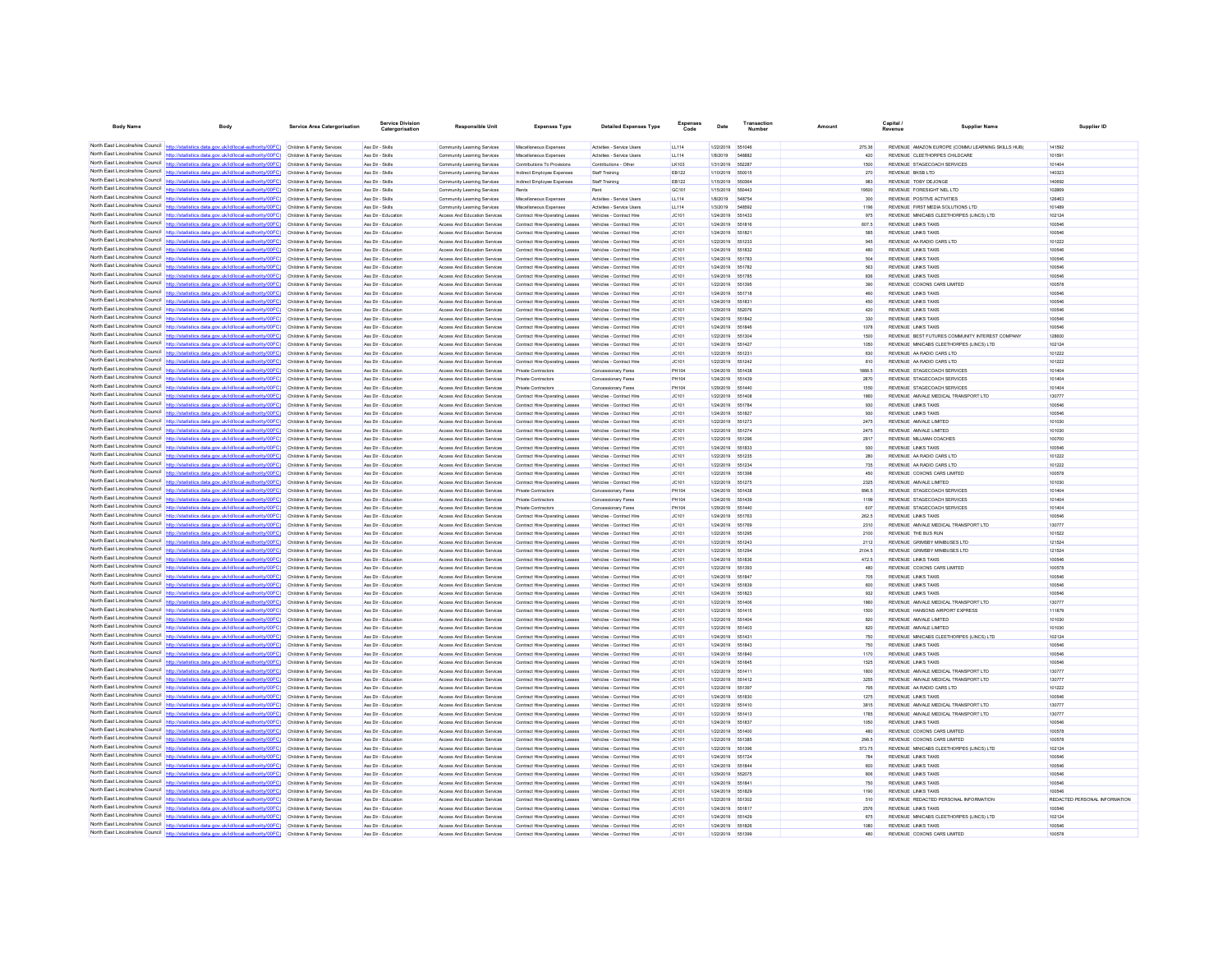| <b>Body Name</b>                                                   |                                                                                                                                                                                                             | <b>Service Area Catergorisation</b>                      | <b>Service Division</b><br>Catergor        | <b>Responsible Unit</b>                                        | <b>Expenses Type</b>                                             | <b>Detailed Expenses Type</b>                        | Expenses<br>Code | Date                          | Transaction      | Amoun           | Capital /<br>Supplier Name                                             | Supplier ID                   |
|--------------------------------------------------------------------|-------------------------------------------------------------------------------------------------------------------------------------------------------------------------------------------------------------|----------------------------------------------------------|--------------------------------------------|----------------------------------------------------------------|------------------------------------------------------------------|------------------------------------------------------|------------------|-------------------------------|------------------|-----------------|------------------------------------------------------------------------|-------------------------------|
|                                                                    |                                                                                                                                                                                                             |                                                          |                                            |                                                                |                                                                  |                                                      |                  |                               |                  |                 |                                                                        |                               |
|                                                                    | North East Lincolnshire Council http://statistics.data.gov.uk/id/local-authority/00FC) Children & Family Services                                                                                           |                                                          | Ass Dir - Skills                           | Community Learning Services                                    | Miscellaneous Expenses                                           | Activities - Service Users                           | LL114            | 1/22/2019 551046              |                  | 275.36          | REVENUE AMAZON EUROPE (COMMU LEARNING SKILLS HUB)                      | 141592                        |
|                                                                    | North East Lincolnshire Council http://statistics.data.gov.uk/id/local-authority/00FC) Children & Family Services<br>North East Lincolnshire Council http://statistics.data.gov.uk/id/local-authority/00FC) | Children & Family Services                               | Ass Dir - Skills<br>Ass Dir - Skills       | Community Learning Services<br>Community Learning Services     | Miscellaneous Expenses<br>Contributions To Provision             | Activities - Service Usen<br>Contributions - Other   | LL114<br>LK103   | 1/8/2019<br>1/31/2019 552287  | 548882           | 420<br>1500     | REVENUE CLEETHORPES CHILDCARE<br>REVENUE STAGECOACH SERVICES           | 10159<br>101404               |
| North East Lincolnshire Council                                    |                                                                                                                                                                                                             | Children & Family Services                               | Ass Dir - Skills                           | Community Learning Services                                    | Indirect Employee Expenses                                       | Staff Training                                       | EB122            | 1/10/2019                     | 550015           | 270             | REVENUE BKSB LTD                                                       | 140323                        |
|                                                                    | North East Lincolnshire Council http://statistics.data.oov.uk/id/local-authority/00FC)                                                                                                                      | Children & Family Services                               | Ass Dir - Skills                           | Community Learning Services                                    | Indirect Employee Expense                                        | Staff Training                                       | EB122            | 1/15/2019                     | 550384           | 983             | REVENUE TOBY DEJONGE                                                   | 140692                        |
|                                                                    | North East Lincolnshire Council http://statistics.data.gov.uk/id/local-authority/00FC) Children & Family Services                                                                                           |                                                          | Ass Dir - Skills                           | Community Learning Services                                    | Rent                                                             |                                                      | GC101            | 1/15/2019                     | 650443           | 19500           | REVENUE FORESIGHT NEL LTD                                              | 102869                        |
|                                                                    | North East Lincolnshire Council http://statistics.data.gov.uk/id/local-authority/00FC) Children & Family Services                                                                                           |                                                          | Ass Dir - Skills                           | Community Learning Services                                    | Miscellaneous Expenses                                           | Activities - Service Users                           | LL114            | 1/8/2019                      | 548754           | 300             | REVENUE POSITIVE ACTIVITIES                                            | 126463                        |
| North East Lincolnshire Council<br>North East Lincolnshire Council | http://statistics.data.gov.uk/id/local-authority/00FC)                                                                                                                                                      | Children & Family Services                               | Ass Dir - Skills                           | Community Learning Services                                    | Miscellaneous Expenses                                           | Activities - Service Users                           | LL114            | 1/3/2019                      | <b>548592</b>    | 1196            | REVENUE FIRST MEDIA SOLUTIONS LTD                                      | 101489                        |
|                                                                    | North East Lincolnshire Council http://statistics.data.gov.uk/id/local-authority/00FC)                                                                                                                      | Children & Family Services<br>Children & Family Services | Ass Dir - Educatio<br>Ass Dir - Educatio   | Access And Education Services<br>Access And Education Services | Contract Hire-Operating Leases<br>Contract Hire-Operating Leases | Vehicles - Contract Hire<br>Vehicles - Contract Hire | JC101<br>JC101   | 1/24/2019<br>1/24/2019        | 551433<br>551816 | 975<br>607.5    | REVENUE MINICABS CLEETHORPES (LINCS) LTD<br><b>REVENUE LINKS TAXIS</b> | 102124<br>100546              |
|                                                                    | North East Lincolnshire Council http://statistics.data.gov.uk/id/local-authority/00FC)                                                                                                                      | Children & Family Services                               | Ass Dir - Education                        | Access And Education Services                                  | Contract Hire-Operating Leases                                   | Vehicles - Contract Hire                             | JC101            | 1/24/2019                     | 551821           | 585             | <b>REVENUE LINKS TAXIS</b>                                             | 100546                        |
|                                                                    | North East Lincolnshire Council http://statistics.data.gov.uk/id/local-authority/00FC)                                                                                                                      | Children & Family Services                               | Ass Dir - Educatio                         | Access And Education Services                                  | Contract Hire-Operating Leases                                   | Vehicles - Contract Hire                             | JC101            | 1/22/2019 551233              |                  | 945             | REVENUE AA RADIO CARS LTD                                              | 101222                        |
| North East Lincolnshire Council                                    | http://statistics.data.gov.uk/id/local-authority/00FC)                                                                                                                                                      | Children & Family Services                               | Ass Dir - Education                        | Access And Education Services                                  | Contract Hire-Operating Leases                                   | Vehicles - Contract Hire                             | JC101            | 1/24/2019                     | 551832           | 480             | <b>REVENUE LINKS TAXIS</b>                                             | 100546                        |
| North East Lincolnshire Council                                    |                                                                                                                                                                                                             | Children & Family Services                               | Ass Dir - Education                        | Access And Education Services                                  | Contract Hire-Operating Leases                                   | Vehicles - Contract Hire                             | JC101            | 1/24/2019                     | 651783           | 504             | REVENUE LINKS TAXIS                                                    | 100546                        |
|                                                                    | North East Lincolnshire Council http://statistics.data.gov.uk/id/local-authority/00FC) Children & Family Services                                                                                           |                                                          | Ass Dir - Education                        | Access And Education Services                                  | Contract Hire-Operating Leases                                   | Vehicles - Contract Hire                             | JC101            | 1/24/2019 551782              |                  | 563             | <b>REVENUE LINKS TAXIS</b>                                             | 100546                        |
|                                                                    | North East Lincolnshire Council http://statistics.data.gov.uk/id/local-authority/00FC) Children & Family Services<br>North East Lincolnshire Council http://statistics.data.gov.uk/id/local-authority/00FC) |                                                          | Ass Dir - Educatio                         | Access And Education Services                                  | Contract Hire-Operating Leases                                   | Vehicles - Contract Hire                             | JC101            | 1/24/2019                     | 551785           | 836             | <b>REVENUE LINKS TAXIS</b>                                             | 100546                        |
| North East Lincolnshire Council                                    | lics.data.gov.uk/id/local-authority/00FC)                                                                                                                                                                   | Children & Family Services<br>Children & Family Services | Ass Dir - Educatio<br>Ass Dir - Education  | Access And Education Services<br>Access And Education Services | Contract Hire-Operating Leases<br>Contract Hire-Operating Leases | Vehicles - Contract Hire<br>Vehicles - Contract Hire | JC101<br>JC101   | 1/22/2019<br>1/24/2019        | 551395<br>551718 | 390<br>460      | REVENUE COXONS CARS LIMITED<br><b>REVENUE LINKS TAXIS</b>              | 100578<br>100546              |
| North East Lincolnshire Council                                    | http://statistics.data.gov.uk/id/local-authority/00FC)                                                                                                                                                      | Children & Family Services                               | Ass Dir - Educatio                         | Access And Education Services                                  | Contract Hire-Operating Leaser                                   |                                                      | JC101            | 1/24/2019                     |                  | 450             | <b>REVENUE LINKS TAXIS</b>                                             | 100546                        |
|                                                                    | North East Lincolnshire Council http://statistics.data.gov.uk/id/local-authority/00FC)                                                                                                                      | Children & Family Services                               | Ass Dir - Education                        | Access And Education Services                                  | Contract Hire-Operating Leases                                   | Vehicles - Contract Hire                             | JC101            | 1/29/2019                     | 552076           | 420             | <b>REVENUE LINKS TAXIS</b>                                             | 100546                        |
|                                                                    | North East Lincolnshire Council http://statistics.data.gov.uk/id/local-authority/00FC)                                                                                                                      | Children & Family Services                               | Ass Dir - Education                        | Access And Education Services                                  | Contract Hire-Operating Leases                                   | Vehicles - Contract Hire                             | JC101            | 1/24/2019 551842              |                  | 330             | <b>REVENUE LINKS TAXIS</b>                                             | 100546                        |
|                                                                    | North East Lincolnshire Council http://statistics.data.gov.uk/id/local-authority/00FC)                                                                                                                      | Children & Family Services                               | Ass Dir - Education                        | Access And Education Services                                  | Contract Hire-Operating Leases                                   | Vehicles - Contract Hire                             | JC101            | 1/24/2019 551846              |                  | 1078            | <b>REVENUE LINKS TAXIS</b>                                             | 100546                        |
| North East Lincolnshire Council<br>North East Lincolnshire Council | http://statistics.data.gov.uk/id/local-authority/00FC)                                                                                                                                                      | Children & Family Services                               | Ass Dir - Education                        | Access And Education Services                                  | Contract Hire-Operating Leases                                   | Vehicles - Contract Hire                             | JC101            | 1/22/2019                     | 551304           | 1500            | REVENUE BEST FUTURES COMMUNITY INTEREST COMPANY                        | 128600                        |
| North East Lincolnshire Council                                    | http://statistics.data.gov.uk/id/local-authority/00FC)                                                                                                                                                      | Children & Family Services                               | Ass Dir - Educatio                         | Access And Education Services                                  | Contract Hire-Operating Leases                                   | Vehicles - Contract Hire                             | JC101            | 1/24/2019                     | 551427           | 1050            | REVENUE MINICABS CLEETHORPES (LINCS) LTD                               | 102124                        |
|                                                                    | http://statistics.data.gov.uk/id/local-authority/00FC) Children & Family Services<br>North East Lincolnshire Council http://statistics.data.gov.uk/id/local-authority/00FC) Children & Family Services      |                                                          | Ass Dir - Education<br>Ass Dir - Educatio  | Access And Education Services<br>Access And Education Services | Contract Hire-Operating Leases<br>Contract Hire-Operating Leases | Vehicles - Contract Hire<br>Vehicles - Contract Hire | JC101<br>JC101   | 1/22/2019<br>1/22/2019        | 551231<br>551242 | 630<br>810      | REVENUE AA RADIO CARS LTD<br>REVENUE AA RADIO CARS LTD                 | 101222<br>101222              |
|                                                                    | North East Lincolnshire Council http://statistics.data.gov.uk/id/local-authority/00FC)                                                                                                                      | Children & Family Services                               | Ass Dir - Education                        | Access And Education Services                                  | Private Contractors                                              | Concessionary Fares                                  | PH104            | 1/24/2019                     | 661438           | 1888.5          | REVENUE STAGECOACH SERVICES                                            | 101404                        |
| North East Lincolnshire Council                                    | http://statistics.data.gov.uk/id/local-authority/00FC)                                                                                                                                                      | Children & Family Services                               | Ass Dir - Education                        | Access And Education Services                                  | Private Contractors                                              | Concessionary Fares                                  | PH104            | 1/24/2019                     | 551439           | 2870            | REVENUE STAGECOACH SERVICES                                            | 101404                        |
| North East Lincolnshire Council                                    | statistics.data.gov.uk/id/local-authority/00FC)                                                                                                                                                             | Children & Family Services                               | Ass Dir - Educatio                         | Access And Education Services                                  | Private Contractors                                              | Concessionary Fares                                  | <b>PH104</b>     | 1/29/2019                     | 551440           | 1550            | REVENUE STAGECOACH SERVICES                                            | 101404                        |
|                                                                    | North East Lincolnshire Council http://statistics.data.gov.uk/id/local-authority/00FC)                                                                                                                      | Children & Family Services                               | Ass Dir - Education                        | Access And Education Services                                  | Contract Hire-Operating Leases                                   | Vehicles - Contract Hire                             | JC101            | 1/22/2019 551408              |                  | 1860            | REVENUE AMVALE MEDICAL TRANSPORT LTD                                   | 130777                        |
| North East Lincolnshire Council                                    | North East Lincolnshire Council http://statistics.data.gov.uk/id/local-authority/00FC)                                                                                                                      | Children & Family Services                               | Ass Dir - Education                        | Access And Education Services                                  | Contract Hire-Operating Leases                                   | Vehicles - Contract Hire                             | JC101            | 1/24/2019 551784              |                  | 930             | REVENUE LINKS TAXIS                                                    | 100546                        |
| North East Lincolnshire Council                                    | http://statistics.data.gov.uk/id/local-authority/00EC)<br>listics.data.gov.uk/id/local-authority/00FC)                                                                                                      | Children & Family Services<br>Children & Family Services | Ass Dir - Education<br>Ass Dir - Educatio  | Access And Education Services<br>Access And Education Services | Contract Hire-Operating Leases                                   | Vehicles - Contract Hire                             | JC101<br>JC101   | 1/24/2019<br>1/22/2019        | 661827<br>651273 | 000<br>2475     | <b>REVENUE LINKS TAXIS</b><br>REVENUE AMVALE LIMITED                   | 100546<br>101030              |
|                                                                    | North East Lincolnshire Council http://statistics.data.gov.uk/id/local-authority/00FC)                                                                                                                      | Children & Family Services                               | Ass Dir - Educatio                         | Access And Education Services                                  | Contract Hire-Operating Leases<br>Contract Hire-Operating Lease  | Vehicles - Contract Hire<br>Vehicles - Contract Hire | JC101            | 1/22/2019                     | 651274           | 2475            | REVENUE AMVALE LIMITED                                                 | 101030                        |
|                                                                    | North East Lincolnshire Council http://statistics.data.gov.uk/id/local-authority/00FC)                                                                                                                      | Children & Family Services                               | Ass Dir - Educatio                         | Access And Education Services                                  | Contract Hire-Operating Leases                                   | Vehicles - Contract Hire                             | JC101            | 1/22/2019                     | 551296           | 2817            | REVENUE MILLMAN COACHES                                                | 100700                        |
|                                                                    | North East Lincolnshire Council http://statistics.data.gov.uk/id/local-authority/00FC) Children & Family Services                                                                                           |                                                          | Ass Dir - Education                        | Access And Education Services                                  | Contract Hire-Operating Leases                                   | Vehicles - Contract Hire                             | JC101            | 1/24/2019 551833              |                  | 930             | REVENUE LINKS TAXIS                                                    | 100546                        |
| North East Lincolnshire Council                                    | http://statistics.data.gov.uk/id/local-authority/00FC)                                                                                                                                                      | Children & Family Services                               | Ass Dir - Education                        | Access And Education Services                                  | Contract Hire-Operating Leases                                   | Vehicles - Contract Hire                             | JC101            | 1/22/2019                     | 551235           | 280             | REVENUE AA RADIO CARS LTD                                              | 101222                        |
| North East Lincolnshire Council                                    | listics.data.gov.uk/id/local-author                                                                                                                                                                         | Children & Family Services                               | Ass Dir - Education                        | Access And Education Services                                  | Contract Hire-Operating Leases                                   | Vehicles - Contract Hire                             | JC101            | 1/22/2019                     | 551234           | 735             | REVENUE AA RADIO CARS LTD                                              | 101222                        |
| North East Lincolnshire Council                                    | http://statistics.data.gov.uk/id/local-authority/00FC)                                                                                                                                                      | Children & Family Services                               | Ass Dir - Educatio                         | Access And Education Services                                  | Contract Hire-Operating Lease                                    | Vehicles - Contract Hire                             | JC101            | 1/22/2019                     | 551398           | 450             | REVENUE COXONS CARS LIMITED                                            | 100578                        |
|                                                                    | North East Lincolnshire Council http://statistics.data.gov.uk/id/local-authority/00FC)                                                                                                                      | Children & Family Services                               | Ass Dir - Education                        | Access And Education Services                                  | Contract Hire-Operating Leases                                   | Vehicles - Contract Hire                             | JC101<br>PH104   | 1/22/2019 551275              |                  | 2325<br>896.5   | REVENUE AMVALE LIMITED                                                 | 101030<br>101404              |
| North East Lincolnshire Council                                    | North East Lincolnshire Council http://statistics.data.gov.uk/id/local-authority/00FC)<br>http://statistics.data.gov.uk/id/local-authority/00FC)                                                            | Children & Family Services<br>Children & Family Services | Ass Dir - Education<br>Ass Dir - Education | Access And Education Services<br>Access And Education Services | <b>Private Contractors</b><br>Private Contractors                | Concessionary Fares<br>Concessionary Fares           | PH104            | 1/24/2019 551438<br>1/24/2019 | 551439           | 1199            | REVENUE STAGECOACH SERVICES<br>REVENUE STAGECOACH SERVICES             | 101404                        |
| North East Lincolnshire Council                                    |                                                                                                                                                                                                             | Children & Family Services                               | Ass Dir - Education                        | Access And Education Services                                  | <b>Private Contractors</b>                                       | Concessionary Fares                                  | PH104            | 1/29/2019                     | 551440           | 607             | REVENUE STAGECOACH SERVICES                                            | 101404                        |
|                                                                    | North East Lincolnshire Council http://statistics.data.gov.uk/id/local-authority/00FC)                                                                                                                      | Children & Family Services                               | Ass Dir - Educatio                         | Access And Education Services                                  | Contract Hire-Operating Leases                                   | Vehicles - Contract Hire                             | JC101            | 1/24/2019                     | 651763           | 262.5           | <b>REVENUE LINKS TAXIS</b>                                             | 100546                        |
| North East Lincolnshire Council                                    | http://statistics.data.gov.uk/id/local-authority/00FC)                                                                                                                                                      | Children & Family Services                               | Ass Dir - Educatio                         | Access And Education Services                                  | Contract Hire-Operating Leases                                   | Vehicles - Contract Hire                             | JC101            | 1/24/2019                     | 551769           | 2310            | REVENUE AMVALE MEDICAL TRANSPORT LTD                                   | 130777                        |
|                                                                    | North East Lincolnshire Council http://statistics.data.gov.uk/id/local-authority/00FC)                                                                                                                      | Children & Family Services                               | Ass Dir - Educatio                         | Access And Education Services                                  | Contract Hire-Operating Leases                                   | Vehicles - Contract Hire                             | JC101            | 1/22/2019                     | 551295           | 2100            | REVENUE THE BUS RUN                                                    | 101522                        |
| North East Lincolnshire Council<br>North East Lincolnshire Council | http://statistics.data.gov.uk/id/local-authority/00FC)                                                                                                                                                      | Children & Family Services                               | Ass Dir - Educatio                         | Access And Education Services                                  | Contract Hire-Operating Leases                                   | Vehicles - Contract Hire                             | JC101            | 1/22/2019                     | 551243           | 2112            | REVENUE GRIMSBY MINIBUSES LTD                                          | 121524                        |
|                                                                    | North East Lincolnshire Council http://statistics.data.gov.uk/id/local-authority/00FC)                                                                                                                      | Children & Family Services<br>Children & Family Services | Ass Dir - Educatio<br>Ass Dir - Educatio   | Access And Education Services<br>Access And Education Services | Contract Hire-Operating Leases<br>Contract Hire-Operating Leases | Vehicles - Contract Hire<br>Vehicles - Contract Hire | JC101<br>JC101   | 1/22/2019<br>1/24/2019        | 551836           | 2104.5<br>472.5 | REVENUE GRIMSBY MINIBUSES LTD<br><b>REVENUE LINKS TAXIS</b>            | 121524<br>100546              |
|                                                                    | North East Lincolnshire Council http://statistics.data.gov.uk/id/local-authority/00FC).                                                                                                                     | Children & Family Services                               | Ass Dir - Education                        | Access And Education Services                                  | Contract Hire-Operating Leases                                   | Vehicles - Contract Hire                             | JC101            | 1/22/2019 551393              |                  | 480             | REVENUE COXONS CARS LIMITED                                            | 100578                        |
|                                                                    | North East Lincolnshire Council http://statistics.data.gov.uk/id/local-authority/00FC)                                                                                                                      | Children & Family Services                               | Ass Dir - Education                        | Access And Education Services                                  | Contract Hire-Operating Leases                                   | Vehicles - Contract Hire                             | JC101            | 1/24/2019 551847              |                  | 705             | <b>REVENUE LINKS TAXIS</b>                                             | 100546                        |
| North East Lincolnshire Council                                    | http://statistics.data.gov.uk/id/local-authority/00FC)                                                                                                                                                      | Children & Family Services                               | Ass Dir - Education                        | Access And Education Services                                  | Contract Hire-Operating Leases                                   | Vehicles - Contract Hire                             | JC101            | 1/24/2019                     | 551839           | 600             | REVENUE LINKS TAXIS                                                    | 100546                        |
| North East Lincolnshire Council                                    | http://statistics.data.gov.uk/id/local-authority/00FC)                                                                                                                                                      | Children & Family Services                               | Ass Dir - Educatio                         | Access And Education Services                                  | Contract Hire-Operating Leases                                   | Vehicles - Contract Hire                             | JC101            | 1/24/2019                     |                  | 932             |                                                                        | 100546                        |
| North East Lincolnshire Council                                    | http://statistics.data.oov.uk/id/local-authority/00EC).                                                                                                                                                     | Children & Family Services                               | Ass Dir - Education                        | Access And Education Services                                  | Contract Hire-Operating Leases                                   | Vehicles - Contract Hire                             | <b>JC101</b>     | 1/22/2019                     | 551406           | 1860            | REVENUE AMVALE MEDICAL TRANSPORT LTD                                   | 130777                        |
| North East Lincolnshire Council                                    | North East Lincolnshire Council http://statistics.data.gov.uk/id/local-authority/00FC) Children & Family Services                                                                                           |                                                          | Ass Dir - Educatio                         | Access And Education Services                                  | Contract Hire-Operating Leases                                   | Vehicles - Contract Hire                             | JC101            | 1/22/2019                     | 551415           | 1500            | REVENUE HANSONS AIRPORT EXPRESS                                        | 111879                        |
| North East Lincolnshire Council                                    | http://statistics.data.gov.uk/id/local-authority/00FC)                                                                                                                                                      | Children & Family Services<br>Children & Family Services | Ass Dir - Education<br>Ass Dir - Education | Access And Education Services<br>Access And Education Services | Contract Hire-Operating Leases<br>Contract Hire-Operating Leases | Vehicles - Contract Hire<br>Vehicles - Contract Hire | JC101<br>JC101   | 1/22/2019<br>1/22/2019        | 661404<br>551403 | 820<br>820      | REVENUE AMVALE LIMITED<br>REVENUE AMVALE LIMITED                       | 101030<br>101030              |
| North East Lincolnshire Council                                    | http://statistics.data.gov.uk/id/local-authority/00FC)                                                                                                                                                      | Children & Family Service                                | Ass Dir - Educatio                         | Access And Education Service                                   | Contract Hire-Operating Leaser                                   | Vehicles - Contract Hire                             | JC101            | 1/24/2019                     | 661431           | 750             | REVENUE MINICABS CLEETHORPES (LINCS) LTD                               | 102124                        |
|                                                                    | North East Lincolnshire Council http://statistics.data.gov.uk/id/local-authority/00FC)                                                                                                                      | Children & Family Services                               | Ass Dir - Education                        | Access And Education Services                                  | Contract Hire-Operating Leases                                   | Vehicles - Contract Hire                             | JC101            | 1/24/2019                     | 551843           | 750             | <b>REVENUE LINKS TAXIS</b>                                             | 100546                        |
|                                                                    | North East Lincolnshire Council http://statistics.data.gov.uk/id/local-authority/00FC)                                                                                                                      | Children & Family Services                               | Ass Dir - Education                        | Access And Education Services                                  | Contract Hire-Operating Leases                                   | Vehicles - Contract Hire                             | JC101            | 1/24/2019 551840              |                  | 1170            | REVENUE LINKS TAXIS                                                    | 100546                        |
| North East Lincolnshire Council                                    | tistics.data.gov.uk/id/local-authority/00FC)                                                                                                                                                                | Children & Family Services                               | Ass Dir - Education                        | Access And Education Services                                  | <b>Contract Hire-Operating Leases</b>                            | Vehicles - Contract Hire                             | JC101            | 1/24/2019 551845              |                  | 1525            | REVENUE LINKS TAXIS                                                    | 100546                        |
| North East Lincolnshire Council                                    | (ics.data.gov.uk/id/local-authority/00FC)                                                                                                                                                                   | Children & Family Services                               | Ass Dir - Education                        | Access And Education Services                                  | Contract Hire-Operating Leases                                   | Vehicles - Contract Hire                             | JC101            | 1/22/2019                     | 551411           | 1800            | REVENUE AMVALE MEDICAL TRANSPORT LTD                                   | 130777                        |
| North East Lincolnshire Council                                    | North East Lincolnshire Council http://statistics.data.gov.uk/id/local-authority/00FC)                                                                                                                      | Children & Family Services                               | Ass Dir - Educatio                         | Access And Education Services                                  | Contract Hire-Operating Leaser                                   | Vehicles - Contract Hire                             | JC101            | 1/22/2019                     | 551412           | 3255            | REVENUE AMVALE MEDICAL TRANSPORT LTD                                   | 130777                        |
|                                                                    | http://statistics.data.gov.uk/id/local-authority/00FC) Children & Family Services<br>North East Lincolnshire Council http://statistics.data.gov.uk/id/local-authority/00FC) Children & Family Services      |                                                          | Ass Dir - Education<br>Ass Dir - Educatio  | Access And Education Services<br>Access And Education Services | Contract Hire-Operating Leases<br>Contract Hire-Operating Leases | Vehicles - Contract Hire<br>Vehicles - Contract Hire | JC101<br>JC101   | 1/22/2019<br>1/24/2019        | 651397<br>551830 | 795<br>1275     | REVENUE AA RADIO CARS LTD<br><b>REVENUE LINKS TAXIS</b>                | 101222<br>100546              |
| North East Lincolnshire Council                                    | http://statistics.data.gov.uk/id/local-authority/00FC)                                                                                                                                                      | Children & Family Services                               | Ass Dir - Education                        | Access And Education Services                                  | Contract Hire-Operating Leases                                   | Vehicles - Contract Hire                             | JC101            | 1/22/2019                     | 651410           | 3815            | REVENUE AMVALE MEDICAL TRANSPORT LTD                                   | 130777                        |
| North East Lincolnshire Council                                    | http://statistics.data.gov.uk/id/local-authority/00FC)                                                                                                                                                      | Children & Family Services                               | Ass Dir - Education                        | Access And Education Services                                  | Contract Hire-Operating Leases                                   | Vehicles - Contract Hire                             | JC101            | 1/22/2019                     | 551413           | 1785            | REVENUE AMVALE MEDICAL TRANSPORT LTD                                   | 130777                        |
| North East Lincolnshire Council                                    | http://statistics.data.gov.uk/id/local-authority/00FC)                                                                                                                                                      | Children & Family Services                               | Ass Dir - Educatio                         | Access And Education Services                                  | Contract Hire-Operating Leases                                   | Vehicles - Contract Hire                             | JC101            | 1/24/2019                     | 551837           | 1050            | <b>REVENUE LINKS TAXIS</b>                                             | 100546                        |
|                                                                    | North East Lincolnshire Council http://statistics.data.gov.uk/id/local-authority/00FC)                                                                                                                      | Children & Family Services                               | Ass Dir - Educatio                         | Access And Education Services                                  | Contract Hire-Operating Leases                                   | Vehicles - Contract Hire                             | JC101            | 1/22/2019                     | 551400           | 480             | REVENUE COXONS CARS LIMITED                                            | 100578                        |
|                                                                    | North East Lincolnshire Council http://statistics.data.gov.uk/id/local-authority/00FC) Children & Family Services                                                                                           |                                                          | Ass Dir - Educatio                         | Access And Education Services                                  | Contract Hire-Operating Leases                                   | Vehicles - Contract Hire                             | JC101            | 1/22/2019                     | 551385           | 298.5           | REVENUE COXONS CARS LIMITED                                            | 100578                        |
| North East Lincolnshire Council                                    | North East Lincolnshire Council http://statistics.data.gov.uk/id/local-authority/00FC)                                                                                                                      | Children & Family Services                               | Ass Dir - Education                        | Access And Education Services                                  | Contract Hire-Operating Leases                                   | Vehicles - Contract Hire                             | JC101            | 1/22/2019 551396              |                  | 573.75          | REVENUE MINICABS CLEETHORPES (LINCS) LTD                               | 102124                        |
|                                                                    | http://statistics.data.gov.uk/id/local-authority/00FC)<br>North East Lincolnshire Council http://statistics.data.gov.uk/id/local-authority/00FC) Children & Family Services                                 | Children & Family Services                               | Ass Dir - Educatio<br>Ass Dir - Education  | Access And Education Services<br>Access And Education Services | Contract Hire-Operating Leases<br>Contract Hire-Operating Leases | Vehicles - Contract Hire<br>Vehicles - Contract Hire | JC101<br>JC101   | 1/24/2019<br>1/24/2019        | 551724<br>661844 | 784<br>600      | REVENUE LINKS TAXIS<br><b>REVENUE LINKS TAXIS</b>                      | 100546<br>100546              |
|                                                                    | North East Lincolnshire Council http://statistics.data.gov.uk/id/local-authority/00FC) Children & Family Services                                                                                           |                                                          | Ass Dir - Education                        | Access And Education Services                                  | Contract Hire-Operating Leases                                   | Vehicles - Contract Hire                             | JC101            | 1/29/2019                     | 552075           | 806             | <b>REVENUE LINKS TAXIS</b>                                             | 100546                        |
|                                                                    | North East Lincolnshire Council http://statistics.data.gov.uk/id/local-authority/00FC) Children & Family Services                                                                                           |                                                          | Ass Dir - Education                        | Access And Education Services                                  | Contract Hire-Operating Leases                                   | Vehicles - Contract Hire                             | JC101            | 1/24/2019                     | 55184            | 750             | REVENUE LINKS TAXIS                                                    | 100546                        |
| North East Lincolnshire Council                                    | http://statistics.data.gov.uk/id/local-authority/00FC)                                                                                                                                                      | Children & Family Services                               | Ass Dir - Education                        | Access And Education Services                                  | Contract Hire-Operating Leases                                   | Vehicles - Contract Hire                             | JC101            | 1/24/2019                     | 551829           | 1190            | <b>REVENUE LINKS TAXIS</b>                                             | 100546                        |
| North East Lincolnshire Council                                    |                                                                                                                                                                                                             | Children & Family Services                               | Ass Dir - Educatio                         | Access And Education Services                                  | Contract Hire-Operating Leases                                   | Vehicles - Contract Hire                             | JC101            | 1/22/2019                     |                  | 510             | REVENUE REDACTED PERSONAL INFORMATION                                  | REDACTED PERSONAL INFORMATION |
|                                                                    | North East Lincolnshire Council http://statistics.data.gov.uk/id/local-authority/00FC)                                                                                                                      | Children & Family Services                               | Ass Dir - Educatio                         | <b>Access And Education Services</b>                           | Contract Hire-Operating Leases                                   | Vehicles - Contract Hire                             | JC101            | 1/24/2019                     | 661817           | 2576            | <b>REVENUE LINKS TAXIS</b>                                             | 100546                        |
|                                                                    | North East Lincolnshire Council http://statistics.data.gov.uk/id/local-authority/00FC) Children & Family Services                                                                                           |                                                          | Ass Dir - Education                        | Access And Education Services                                  | Contract Hire-Operating Leases                                   | Vehicles - Contract Hire                             | JC101            | 1/24/2019 551429              |                  | 675             | REVENUE MINICABS CLEETHORPES (LINCS) LTD                               | 102124                        |
| North East Lincolnshire Council                                    | North East Lincolnshire Council http://statistics.data.gov.uk/id/local-authority/00FC) Children & Family Services                                                                                           | Children & Family Services                               | Ass Dir - Education<br>Ass Dir - Education | Access And Education Services<br>Access And Education Services | Contract Hire-Operating Leases<br>Contract Hire-Operating Leases | Vehicles - Contract Hire<br>Vehicles - Contract Hire | JC101<br>JC101   | 1/24/2019 551826<br>1/22/2019 | 551399           | 1080<br>480     | <b>REVENUE LINKS TAXIS</b><br>REVENUE COXONS CARS LIMITED              | 100546<br>100578              |
|                                                                    | http://statistics.data.gov.uk/id/local-authority/00FC)                                                                                                                                                      |                                                          |                                            |                                                                |                                                                  |                                                      |                  |                               |                  |                 |                                                                        |                               |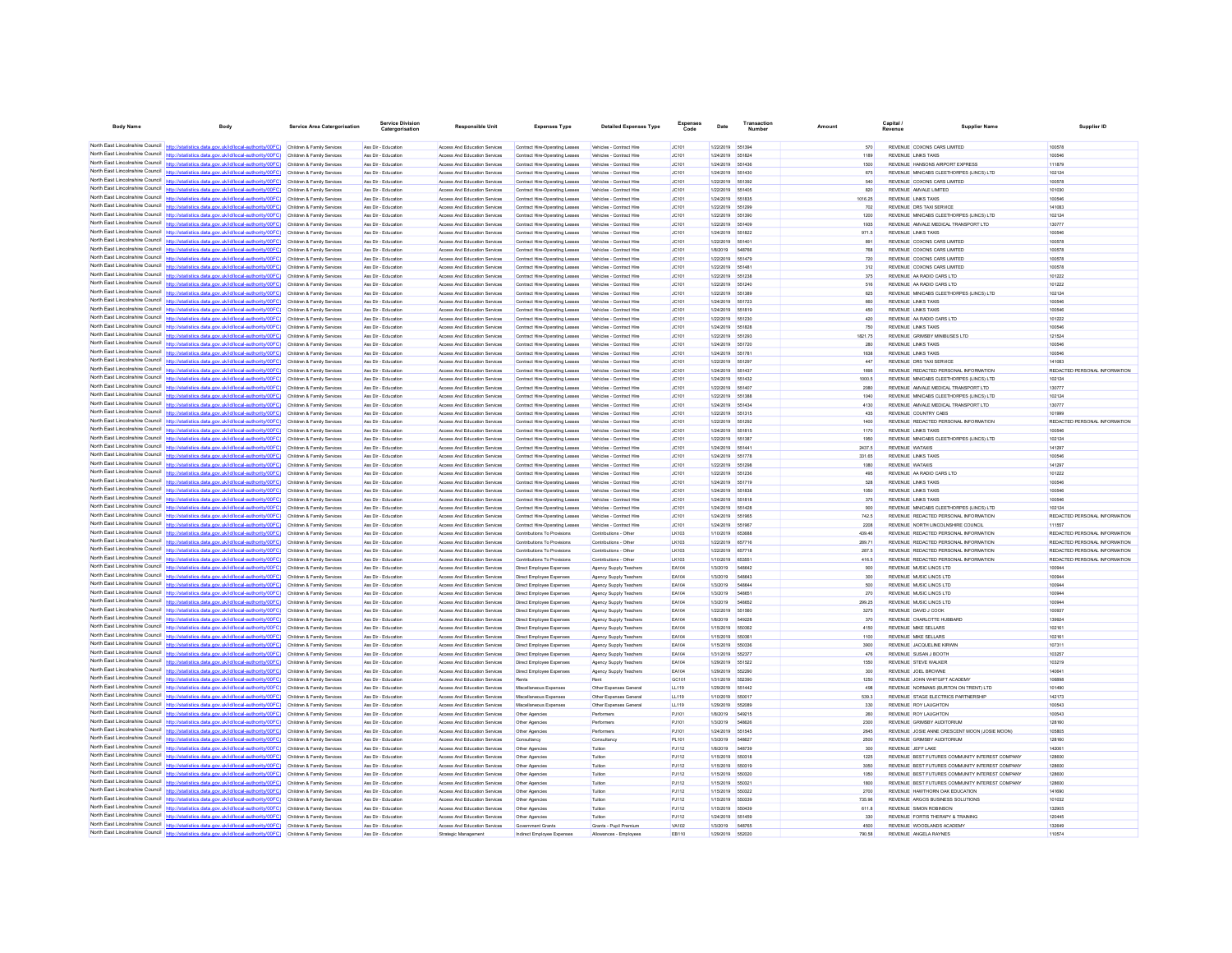| <b>Body Name</b>                                                   | Body                                                                                                                                                                                                                                   | <b>Service Area Catergorisation</b>                      | Service Divisio<br>Catergorisation         | <b>Responsible Unit</b>                                        | <b>Expenses Type</b>                                                    | <b>Detailed Expenses Type</b>                           | <b>Expenses</b><br>Code | Date                          | Number           | Amount          | Capital<br><b>Supplier Name</b><br>Revenue                                     | Supplier ID                                                    |
|--------------------------------------------------------------------|----------------------------------------------------------------------------------------------------------------------------------------------------------------------------------------------------------------------------------------|----------------------------------------------------------|--------------------------------------------|----------------------------------------------------------------|-------------------------------------------------------------------------|---------------------------------------------------------|-------------------------|-------------------------------|------------------|-----------------|--------------------------------------------------------------------------------|----------------------------------------------------------------|
|                                                                    |                                                                                                                                                                                                                                        |                                                          |                                            |                                                                |                                                                         |                                                         |                         |                               |                  |                 |                                                                                |                                                                |
|                                                                    | North East Lincolnshire Council http://statistics.data.gov.uk/id/local-authority/00FC) Children & Family Services                                                                                                                      |                                                          | Ass Dir - Education                        | Access And Education Services                                  | Contract Hire-Operating Leases                                          | Vehicles - Contract Hire                                | JC101                   | 1/22/2019 651394              |                  | 570             | REVENUE COXONS CARS LIMITED                                                    | 100578                                                         |
| North East Lincolnshire Council                                    | North East Lincolnshire Council http://statistics.data.gov.uk/id/local-authority/00FC) Children & Family Services                                                                                                                      |                                                          | Ass Dir - Education                        | Access And Education Services                                  | Contract Hire-Operating Leases                                          | Vehicles - Contract Hire                                | JC101                   | 1/24/2019 551824              |                  | 1189            | <b>REVENUE LINKS TAXIS</b>                                                     | 100546                                                         |
| North East Lincolnshire Council                                    | http://statistics.data.gov.uk/id/local-authority/00FC)                                                                                                                                                                                 | Children & Family Services                               | Ass Dir - Education<br>Ass Dir - Education | Access And Education Services                                  | Contract Hire-Operating Leases                                          | Vehicles - Contract Hire                                | JC101<br>JC101          | 1/24/2019<br>1/24/2019        | 651436           | 1500<br>675     | REVENUE HANSONS AIRPORT EXPRESS<br>REVENUE MINICABS CLEETHORPES (LINCS) LTD    | 111879<br>102124                                               |
|                                                                    | North East Lincolnshire Council http://statistics.data.gov.uk/id/local-authority/00FC) Children & Family Services                                                                                                                      | Children & Family Services                               | Ass Dir - Education                        | Access And Education Services<br>Access And Education Services | Contract Hire-Operating Leases<br>Contract Hire-Operating Leases        | Vehicles - Contract Hire<br>Vehicles - Contract Hire    | JC101                   | 1/22/2019                     | 551430<br>651392 | 540             | REVENUE COXONS CARS LIMITED                                                    | 100578                                                         |
|                                                                    | North East Lincolnshire Council http://statistics.data.gov.uk/id/local-authority/00FC) Children & Family Services                                                                                                                      |                                                          | Ass Dir - Education                        | Access And Education Services                                  | Contract Hire-Operating Leases                                          | Vehicles - Contract Hire                                | JC101                   | 1/22/2019                     | 551405           | 820             | REVENUE AMVALE LIMITED                                                         | 101030                                                         |
|                                                                    | North East Lincolnshire Council http://statistics.data.gov.uk/id/local-authority/00FC) Children & Family Services                                                                                                                      |                                                          | Ass Dir - Education                        | Access And Education Services                                  | Contract Hire-Operating Leases                                          | Vehicles - Contract Hire                                | JC101                   | 1/24/2019                     | 551835           | 1016.25         | <b>REVENUE LINKS TAXIS</b>                                                     | 100546                                                         |
| North East Lincolnshire Council                                    | http://statistics.data.gov.uk/id/local-authority/00FC)                                                                                                                                                                                 | Children & Family Services                               | Ass Dir - Education                        | Access And Education Services                                  | Contract Hire-Operating Leases                                          | Vehicles - Contract Hire                                | JC101                   | 1/22/2019                     | 551299           | 702             | REVENUE DRS TAXI SERVICE                                                       | 141083                                                         |
|                                                                    | North East Lincolnshire Council http://statistics.data.gov.uk/id/local-authority/00FC)                                                                                                                                                 | Children & Family Services                               | Ass Dir - Educatio                         | Access And Education Services                                  | Contract Hire-Operating Leases                                          | Vehicles - Contract Hire                                | JC101                   | 1/22/2019                     |                  | 1200            | REVENUE MINICABS CLEETHORPES (LINCS) LTD                                       | 102124                                                         |
|                                                                    | North East Lincolnshire Council http://statistics.data.gov.uk/id/local-authority/00FC) Children & Family Services<br>North East Lincolnshire Council http://statistics.data.gov.uk/id/local-authority/00FC) Children & Family Services |                                                          | Ass Dir - Education<br>Ass Dir - Education | Access And Education Services                                  | Contract Hire-Operating Leases                                          | Vehicles - Contract Hire                                | JC101<br>JC101          | 1/22/2019<br>1/24/2019 551822 | 551409           | 1935<br>971.5   | REVENUE AMVALE MEDICAL TRANSPORT LTD<br><b>REVENUE LINKS TAXIS</b>             | 130777<br>100546                                               |
|                                                                    | North East Lincolnshire Council http://statistics.data.gov.uk/id/local-authority/00FC)                                                                                                                                                 | Children & Family Services                               | Ass Dir - Education                        | Access And Education Services<br>Access And Education Services | Contract Hire-Operating Leases<br>Contract Hire-Operating Leases        | Vehicles - Contract Hire<br>Vehicles - Contract Hire    | JC101                   | 1/22/2019 55140               |                  | 891             | REVENUE COXONS CARS LIMITED                                                    | 100578                                                         |
| North East Lincolnshire Council                                    | http://statistics.data.gov.uk/id/local-authority/00FC)                                                                                                                                                                                 | Children & Family Services                               | Ass Dir - Education                        | Access And Education Services                                  | Contract Hire-Operating Leases                                          | Vehicles - Contract Hire                                | JC101                   | 1/8/2019                      | 54876            | 768             | REVENUE COXONS CARS LIMITED                                                    | 100578                                                         |
| North East Lincolnshire Council                                    | http://statistics.data.gov.uk/id/local-authority/00FC)                                                                                                                                                                                 | Children & Family Services                               | Ass Dir - Educatio                         | Access And Education Services                                  | Contract Hire-Operating Leases                                          | Vehicles - Contract Hire                                | JC101                   | 1/22/2019                     |                  | 720             | REVENUE COXONS CARS LIMITED                                                    | 100578                                                         |
|                                                                    | North East Lincolnshire Council http://statistics.data.gov.uk/id/local-authority/00FC) Children & Family Services                                                                                                                      |                                                          | Ass Dir - Education                        | Access And Education Services                                  | Contract Hire-Operating Leases                                          | Vehicles - Contract Hire                                | JC101                   | 1/22/2019                     | 65148            | 312             | REVENUE COXONS CARS LIMITED                                                    | 100578                                                         |
|                                                                    | North East Lincolnshire Council http://statistics.data.gov.uk/id/local-authority/00FC) Children & Family Services                                                                                                                      |                                                          | Ass Dir - Educatio                         | Access And Education Services                                  | Contract Hire-Operating Leases                                          | Vehicles - Contract Hire                                | JC101                   | 1/22/2019                     | 55123            | 375             | REVENUE AA RADIO CARS LTD                                                      | 101222                                                         |
| North East Lincolnshire Council                                    | North East Lincolnshire Council http://statistics.data.gov.uk/id/local-authority/00FC)                                                                                                                                                 | Children & Family Services                               | Ass Dir - Education                        | Access And Education Services                                  | Contract Hire-Operating Leases                                          | Vehicles - Contract Hire                                | JC101                   | 1/22/2019                     | 551240<br>551389 | 516<br>625      | REVENUE AA RADIO CARS LTD<br>REVENUE MINICABS CLEETHORPES (LINCS) LTD          | 101222<br>102124                                               |
|                                                                    | North East Lincolnshire Council http://statistics.data.gov.uk/id/local-authority/00FC)                                                                                                                                                 | Children & Family Services<br>Children & Family Services | Ass Dir - Education<br>Ass Dir - Educatio  | Access And Education Services<br>Access And Education Services | Contract Hire-Operating Leases<br><b>Contract Hire-Operating Leaser</b> | Vehicles - Contract Hire<br>Vehicles - Contract Hire    | JC101<br>JC101          | 1/22/2019<br>1/24/2019        | 551723           | 660             | <b>REVENUE LINKS TAXIS</b>                                                     | 100546                                                         |
|                                                                    | North East Lincolnshire Council http://statistics.data.gov.uk/id/local-authority/00FC) Children & Family Services                                                                                                                      |                                                          | Ass Dir - Education                        | Access And Education Services                                  | Contract Hire-Operating Leases                                          | Vehicles - Contract Hire                                | JC101                   | 1/24/2019                     | 551819           | 450             | <b>REVENUE LINKS TAXIS</b>                                                     | 100546                                                         |
|                                                                    | North East Lincolnshire Council http://statistics.data.gov.uk/id/local-authority/00FC) Children & Family Services                                                                                                                      |                                                          | Ass Dir - Education                        | Access And Education Services                                  | Contract Hire-Operating Leases                                          | Vehicles - Contract Hire                                | JC101                   | 1/22/2019 551230              |                  | 420             | REVENUE AA RADIO CARS LTD                                                      | 101222                                                         |
|                                                                    | North East Lincolnshire Council http://statistics.data.gov.uk/id/local-authority/00FC)                                                                                                                                                 | Children & Family Services                               | Ass Dir - Education                        | Access And Education Services                                  | Contract Hire-Operating Leases                                          | Vehicles - Contract Hire                                | JC101                   | 1/24/2019 551828              |                  | 750             | <b>REVENUE LINKS TAXIS</b>                                                     | 100546                                                         |
| North East Lincolnshire Council                                    | http://statistics.data.gov.uk/id/local-authority/00FC)                                                                                                                                                                                 | Children & Family Services                               | Ass Dir - Education                        | Access And Education Services                                  | Contract Hire-Operating Leases                                          | Vehicles - Contract Hire                                | JC101                   | 1/22/2019                     | 551293           | 1821.75         | REVENUE GRIMSBY MINIBUSES LTD                                                  | 121524                                                         |
| North East Lincolnshire Council                                    | North East Lincolnshire Council http://statistics.data.gov.uk/id/local-authority/00FC)                                                                                                                                                 | Children & Family Services                               | Ass Dir - Educatio                         | Access And Education Services                                  | Contract Hire-Operating Leaser                                          | Vehicles - Contract Hire                                | JC101                   | 1/24/2019                     | 551720           | 280             | REVENUE LINKS TAXIS                                                            | 100546                                                         |
|                                                                    | http://statistics.data.gov.uk/id/local-authority/00FC) Children & Family Services<br>North East Lincolnshire Council http://statistics.data.gov.uk/id/local-authority/00FC) Children & Family Services                                 |                                                          | Ass Dir - Education<br>Ass Dir - Educatio  | Access And Education Services<br>Access And Education Services | Contract Hire-Operating Leases<br>Contract Hire-Operating Leases        | Vehicles - Contract Hire<br>Vehicles - Contract Hire    | JC101<br>JC101          | 1/24/2019<br>1/22/2019        | 55178<br>55129   | 1638<br>447     | <b>REVENUE LINKS TAXIS</b><br>REVENUE DRS TAXI SERVICE                         | 100546<br>141083                                               |
| North East Lincolnshire Council                                    | http://statistics.data.gov.uk/id/local-authority/00FC)                                                                                                                                                                                 | Children & Family Services                               | Ass Dir - Education                        | Access And Education Services                                  | Contract Hire-Operating Leases                                          | Vehicles - Contract Hire                                | JC101                   | 1/24/2019                     | 651437           | 1695            | REVENUE REDACTED PERSONAL INFORMATION                                          | REDACTED PERSONAL INFORMATION                                  |
| North East Lincolnshire Council                                    | http://statistics.data.gov.uk/id/local-authority/00FC)                                                                                                                                                                                 | Children & Family Services                               | Ass Dir - Education                        | Access And Education Services                                  | Contract Hire-Operating Leases                                          | Vehicles - Contract Hire                                | JC101                   | 1/24/2019                     | 551432           | 1000.5          | REVENUE MINICABS CLEETHORPES (LINCS) LTD                                       | 102124                                                         |
| North East Lincolnshire Council                                    | http://statistics.data.gov.uk/id/local-authority/00FC)                                                                                                                                                                                 | Children & Family Services                               | Ass Dir - Educatio                         | Access And Education Services                                  | Contract Hire-Operating Leases                                          | Vehicles - Contract Hire                                | JC101                   | 1/22/2019                     | 551407           | 2080            | REVENUE AMVALE MEDICAL TRANSPORT LTD                                           | 130777                                                         |
|                                                                    | North East Lincolnshire Council http://statistics.data.gov.uk/id/local-authority/00FC) Children & Family Services                                                                                                                      |                                                          | Ass Dir - Education                        | Access And Education Services                                  | Contract Hire-Operating Leases                                          | Vehicles - Contract Hire                                | JC101                   | 1/22/2019                     | 551388           | 1040            | REVENUE MINICABS CLEETHORPES (LINCS) LTD                                       | 102124                                                         |
|                                                                    | North East Lincolnshire Council http://statistics.data.gov.uk/id/local-authority/00FC) Children & Family Services                                                                                                                      |                                                          | Ass Dir - Education                        | Access And Education Services                                  | Contract Hire-Operating Leases                                          | Vehicles - Contract Hire                                | JC101                   | 1/24/2019 55143               |                  | 4130            | REVENUE AMVALE MEDICAL TRANSPORT LTD                                           | 130777                                                         |
| North East Lincolnshire Council<br>North East Lincolnshire Council | http://statistics.data.gov.uk/id/local-authority/00FC)                                                                                                                                                                                 | Children & Family Services                               | Ass Dir - Education                        | Access And Education Services                                  | Contract Hire-Operating Leases                                          | Vehicles - Contract Hire                                | JC101                   | 1/22/2019                     | 551315           | 435             | REVENUE COUNTRY CABS                                                           | 101999                                                         |
|                                                                    | North East Lincolnshire Council http://statistics.data.gov.uk/id/local-authority/00FC)                                                                                                                                                 | Children & Family Services<br>Children & Family Services | Ass Dir - Educatio<br>Ass Dir - Education  | Access And Education Services<br>Access And Education Services | Contract Hire-Operating Leases<br>Contract Hire-Operating Leaser        | Vehicles - Contract Hire<br>Vehicles - Contract Hire    | JC101<br>JC101          | 1/22/2019<br>1/24/2019        | 55129<br>551815  | 1400<br>1170    | REVENUE REDACTED PERSONAL INFORMATION<br><b>REVENUE LINKS TAXIS</b>            | REDACTED PERSONAL INFORMATION<br>100546                        |
|                                                                    | North East Lincolnshire Council http://statistics.data.gov.uk/id/local-authority/00FC) Children & Family Services                                                                                                                      |                                                          | Ass Dir - Education                        | Access And Education Services                                  | Contract Hire-Operating Leases                                          | Vehicles - Contract Hire                                | JC101                   | 1/22/2019                     | 551387           | 1950            | REVENUE MINICABS CLEETHORPES (LINCS) LTD                                       | 102124                                                         |
|                                                                    | North East Lincolnshire Council http://statistics.data.gov.uk/id/local-authority/00FC) Children & Family Services                                                                                                                      |                                                          | Ass Dir - Education                        | Access And Education Services                                  | Contract Hire-Operating Leases                                          | Vehicles - Contract Hire                                | JC101                   | 1/24/2019                     | 55144            | 2437.5          | REVENUE WATAXIS                                                                | 141297                                                         |
| North East Lincolnshire Council                                    | http://statistics.data.gov.uk/id/local-authority/00FC)                                                                                                                                                                                 | Children & Family Services                               | Ass Dir - Education                        | Access And Education Services                                  | Contract Hire-Operating Leases                                          | Vehicles - Contract Hire                                | JC101                   | 1/24/2019                     | 551778           | 331.65          | <b>REVENUE LINKS TAXIS</b>                                                     | 100546                                                         |
| North East Lincolnshire Council                                    | http://statistics.data.gov.uk/id/local-authority/00FC)                                                                                                                                                                                 | Children & Family Services                               | Ass Dir - Education                        | Access And Education Services                                  | Contract Hire-Operating Leases                                          | Vehicles - Contract Hire                                | JC101                   | 1/22/2019                     | 55129            | 1080            | REVENUE WATAXIS                                                                | 141297                                                         |
|                                                                    | North East Lincolnshire Council http://statistics.data.gov.uk/id/local-authority/00FC)                                                                                                                                                 | Children & Family Services                               | Ass Dir - Educatio                         | Access And Education Services                                  | Contract Hire-Operating Leaser                                          | Vehicles - Contract Hire                                | JC101                   | 1/22/2019                     | 551236           | 495             | REVENUE AA RADIO CARS LTD                                                      | 101222                                                         |
|                                                                    | North East Lincolnshire Council http://statistics.data.gov.uk/id/local-authority/00FC) Children & Family Services                                                                                                                      |                                                          | Ass Dir - Education                        | Access And Education Services                                  | Contract Hire-Operating Leases                                          | Vehicles - Contract Hire                                | JC101                   | 1/24/2019                     | 55171<br>55183   | 528<br>1050     | <b>REVENUE LINKS TAXIS</b>                                                     | 100546<br>100546                                               |
|                                                                    | North East Lincolnshire Council http://statistics.data.gov.uk/id/local-authority/00FC) Children & Family Services<br>North East Lincolnshire Council http://statistics.data.gov.uk/id/local-authority/00FC)                            | Children & Family Services                               | Ass Dir - Educatio<br>Ass Dir - Education  | Access And Education Services<br>Access And Education Services | Contract Hire-Operating Leases<br>Contract Hire-Operating Leases        | Vehicles - Contract Hire<br>Vehicles - Contract Hire    | JC101<br>JC101          | 1/24/2019<br>1/24/2019        | 551818           | 375             | REVENUE LINKS TAXIS<br><b>REVENUE LINKS TAXIS</b>                              | 100546                                                         |
| North East Lincolnshire Council                                    |                                                                                                                                                                                                                                        | Children & Family Services                               | Ass Dir - Education                        | Access And Education Services                                  | Contract Hire-Operating Leases                                          | Vehicles - Contract Hire                                | JC101                   | 1/24/2019                     | 551428           | 900             | REVENUE MINICABS CLEETHORPES (LINCS) LTD                                       | 102124                                                         |
|                                                                    | North East Lincolnshire Council http://statistics.data.gov.uk/id/local-authority/00FC) Children & Family Services                                                                                                                      |                                                          | Ass Dir - Education                        | Access And Education Services                                  | Contract Hire-Operating Leases                                          | Vehicles - Contract Hire                                | JC101                   | 1/24/2019                     | 551965           | 742.5           | REVENUE REDACTED PERSONAL INFORMATION                                          | REDACTED PERSONAL INFORMATION                                  |
|                                                                    | North East Lincolnshire Council http://statistics.data.gov.uk/id/local-authority/00FC) Children & Family Services                                                                                                                      |                                                          | Ass Dir - Education                        | Access And Education Services                                  | Contract Hire-Operating Leases                                          | Vehicles - Contract Hire                                | JC101                   | 1/24/2019                     | 55196            | 2208            | REVENUE NORTH LINCOLNSHIRE COUNCIL                                             | 111557                                                         |
|                                                                    | North East Lincolnshire Council http://statistics.data.gov.uk/id/local-authority/00FC) Children & Family Services                                                                                                                      |                                                          | Ass Dir - Education                        | Access And Education Services                                  | Contributions To Provisions                                             | Contributions - Other                                   | LK103                   | 1/10/2019                     | 65368            | 439.46          | REVENUE REDACTED PERSONAL INFORMATION                                          | REDACTED PERSONAL INFORMATION                                  |
| North East Lincolnshire Council<br>North East Lincolnshire Council | http://statistics.data.gov.uk/id/local-authority/00FC)                                                                                                                                                                                 | Children & Family Services<br>Children & Family Services | Ass Dir - Education<br>Ass Dir - Educatio  | Access And Education Services                                  | Contributions To Provisions<br>Contributions To Provisions              | Contributions - Other                                   | LK103<br>LK103          | 1/22/2019<br>1/22/2019        | 657716           | 289.71<br>287.5 | REVENUE REDACTED PERSONAL INFORMATION                                          | REDACTED PERSONAL INFORMATION<br>REDACTED PERSONAL INFORMATION |
|                                                                    | North East Lincolnshire Council http://statistics.data.gov.uk/id/local-authority/00FC)                                                                                                                                                 | Children & Family Services                               | Ass Dir - Education                        | Access And Education Services<br>Access And Education Services | Contributions To Provisions                                             | Contributions - Other<br>Contributions - Other          | LK103                   | 1/10/2019                     | 65355            | 416.5           | REVENUE REDACTED PERSONAL INFORMATION<br>REVENUE REDACTED PERSONAL INFORMATION | REDACTED PERSONAL INFORMATION                                  |
|                                                                    | North East Lincolnshire Council http://statistics.data.gov.uk/id/local-authority/00FC) Children & Family Services                                                                                                                      |                                                          | Ass Dir - Education                        | Access And Education Services                                  | Direct Employee Expenses                                                | Agency Supply Teachers                                  | EA104                   | 1/3/2019                      | 548642           | 900             | REVENUE MUSIC LINCS LTD                                                        | 100944                                                         |
|                                                                    | North East Lincolnshire Council http://statistics.data.gov.uk/id/local-authority/00FC)                                                                                                                                                 | Children & Family Services                               | Ass Dir - Education                        | Access And Education Services                                  | Direct Employee Expenses                                                | Agency Supply Teachers                                  | EA104                   | 1/3/2019                      | 648643           | 300             | REVENUE MUSIC LINCS LTD                                                        | 100944                                                         |
| North East Lincolnshire Council                                    | http://statistics.data.gov.uk/id/local-authority/00FC)                                                                                                                                                                                 | Children & Family Services                               | Ass Dir - Education                        | Access And Education Services                                  | Direct Employee Expenses                                                | Agency Supply Teachers                                  | EA104                   | 1/3/2019                      | <b>SARRAA</b>    | 500             | REVENUE MUSIC LINCS LTD                                                        | 100944                                                         |
| North East Lincolnshire Council                                    | http://statistics.data.gov.uk/id/local-authority/00FC)                                                                                                                                                                                 | Children & Family Services                               | Ass Dir - Educatio                         | Access And Education Services                                  | Direct Employee Expenses                                                | Agency Supply Teachers                                  | EA104                   | 1/3/2019                      |                  | 270             | REVENUE MUSIC LINCS LTD                                                        | 100944                                                         |
| North East Lincolnshire Council                                    | http://statistics.data.gov.uk/id/local-authority/00FC) Children & Family Services                                                                                                                                                      |                                                          | Ass Dir - Educatio<br>Ass Dir - Education  | Access And Education Services                                  | Direct Employee Expense                                                 | Agency Supply Teachers                                  | EA104                   | 1/3/2019                      | <b>548852</b>    | 299.25          | REVENUE MUSIC LINCS LTD                                                        | 100944                                                         |
|                                                                    | North East Lincolnshire Council http://statistics.data.gov.uk/id/local-authority/00FC) Children & Family Services<br>North East Lincolnshire Council http://statistics.data.gov.uk/id/local-authority/00FC) Children & Family Services |                                                          | Ass Dir - Educatio                         | Access And Education Services<br>Access And Education Services | Direct Employee Expenses<br>Direct Employee Expenses                    | Agency Supply Teachers<br><b>Agency Supply Teachers</b> | EA104<br>EA104          | 1/22/2019<br>1/8/2019         | 651560<br>54922  | 3275<br>370     | REVENUE DAVID J COOK<br>REVENUE CHARLOTTE HUBBARD                              | 100937<br>139924                                               |
| North East Lincolnshire Council                                    | lics.data.gov.uk/id/local-authority/00FC)                                                                                                                                                                                              | Children & Family Services                               | Ass Dir - Education                        | Access And Education Services                                  | Direct Employee Expenses                                                | Agency Supply Teachers                                  | EA104                   | 1/15/2019                     | 550362           | 4150            | <b>REVENUE MIKE SELLARS</b>                                                    | 102161                                                         |
| North East Lincolnshire Council                                    | http://statistics.data.gov.uk/id/local-authority/00FC)                                                                                                                                                                                 | Children & Family Services                               | Ass Dir - Educatio                         | Access And Education Services                                  | Direct Employee Expenses                                                | Agency Supply Teachers                                  | EA104                   | 1/15/2019                     | 55036            | 1100            | <b>REVENUE MIKE SELLARS</b>                                                    | 102161                                                         |
|                                                                    | North East Lincolnshire Council http://statistics.data.gov.uk/id/local-authority/00FC)                                                                                                                                                 | Children & Family Services                               | Ass Dir - Education                        | Access And Education Services                                  | Direct Employee Expenses                                                | Agency Supply Teachers                                  | EA104                   | 1/15/2019                     | 650336           | 3900            | REVENUE JACQUELINE KIRWIN                                                      | 107311                                                         |
|                                                                    | North East Lincolnshire Council http://statistics.data.gov.uk/id/local-authority/00FC)                                                                                                                                                 | Children & Family Services                               | Ass Dir - Education                        | Access And Education Services                                  | Direct Employee Expenses                                                | Agency Supply Teachers                                  | EA104                   | 1/31/2019                     | 65237            | 476             | REVENUE SUSAN J BOOTH                                                          | 103257                                                         |
|                                                                    | North East Lincolnshire Council http://statistics.data.gov.uk/id/local-authority/00FC)                                                                                                                                                 | Children & Family Services                               | Ass Dir - Education                        | Access And Education Services                                  | Direct Employee Expenses                                                | Agency Supply Teachers                                  | EA104                   | 1/29/2019                     | 551522           | 1550            | REVENUE STEVE WALKER                                                           | 103219                                                         |
| North East Lincolnshire Council<br>North East Lincolnshire Council | http://statistics.data.gov.uk/id/local-authority/00FC)                                                                                                                                                                                 | Children & Family Services                               | Ass Dir - Education                        | Access And Education Services                                  | Direct Employee Expenses                                                | Agency Supply Teachers                                  | EA104                   | 1/29/2019                     | 55229            | 300             | REVENUE JOEL BROWNE                                                            | 140641                                                         |
|                                                                    | http://statistics.data.gov.uk/id/local-authority/00FC)<br>North East Lincolnshire Council http://statistics.data.gov.uk/id/local-authority/00FC) Children & Family Services                                                            | Children & Family Services                               | Ass Dir - Educatio<br>Ass Dir - Education  | Access And Education Services<br>Access And Education Services | Miscellaneous Expenses                                                  | Other Expenses General                                  | GC101<br>LL119          | 1/31/2019<br>1/29/2019        | 651442           | 1250<br>498     | REVENUE JOHN WHITGIFT ACADEM'<br>REVENUE NORMANS (BURTON ON TRENT) LTD         | 106898<br>101490                                               |
|                                                                    | North East Lincolnshire Council http://statistics.data.gov.uk/id/local-authority/00FC) Children & Family Services                                                                                                                      |                                                          | Ass Dir - Educatio                         | Access And Education Services                                  | Miscellaneous Expenser                                                  | Other Expenses General                                  | LL119                   | 1/10/2019                     |                  | 539.3           | REVENUE STAGE ELECTRICS PARTNERSHIP                                            | 142173                                                         |
|                                                                    | North East Lincolnshire Council http://statistics.data.gov.uk/id/local-authority/00FC) Children & Family Services                                                                                                                      |                                                          | Ass Dir - Education                        | Access And Education Services                                  | Miscellaneous Expenser                                                  | Other Expenses General                                  | LL119                   | 1/29/2019                     | 552089           | 330             | REVENUE ROY LAUGHTON                                                           | 100543                                                         |
| North East Lincolnshire Council                                    | http://statistics.data.gov.uk/id/local-authority/00FC)                                                                                                                                                                                 | Children & Family Services                               | Ass Dir - Education                        | Access And Education Services                                  | Other Agencies                                                          | Performers                                              | PJ101                   | 1/8/2019                      | 549215           | 260             | REVENUE ROY LAUGHTON                                                           | 100543                                                         |
| North East Lincolnshire Council                                    |                                                                                                                                                                                                                                        | Children & Family Services                               | Ass Dir - Education                        | Access And Education Services                                  | Other Agencies                                                          | Performers                                              | PJ101                   | 1/3/2019                      |                  | 2300            | REVENUE GRIMSBY AUDITORIUM                                                     | 128160                                                         |
|                                                                    | North East Lincolnshire Council http://statistics.data.gov.uk/id/local-authority/00FC)                                                                                                                                                 | Children & Family Services                               | Ass Dir - Education                        | Access And Education Services                                  | Other Agencies                                                          | Performers                                              | PJ101                   | 1/24/2019                     | 651545           | 2645            | REVENUE JOSIE ANNE CRESCENT MOON (JOSIE MOON)                                  | 105805                                                         |
|                                                                    | North East Lincolnshire Council http://statistics.data.gov.uk/id/local-authority/00FC) Children & Family Services<br>North East Lincolnshire Council http://statistics.data.gov.uk/id/local-authority/00FC)                            |                                                          | Ass Dir - Education                        | Access And Education Services                                  | Consultancy                                                             | Consultancy                                             | PL101                   | 1/3/2019                      |                  | 2500            | REVENUE GRIMSBY AUDITORIUM                                                     | 128160                                                         |
| North East Lincolnshire Council                                    | http://statistics.data.gov.uk/id/local-authority/00FC)                                                                                                                                                                                 | Children & Family Services<br>Children & Family Services | Ass Dir - Education<br>Ass Dir - Educatio  | Access And Education Services<br>Access And Education Services | Other Agencies<br>Other Agencies                                        | Tuition<br>Tuition                                      | PJ112<br>PJ112          | 1/8/2019<br>1/15/2019         | 548739<br>55031  | 300<br>1225     | REVENUE JEFF LAKE<br>REVENUE BEST FUTURES COMMUNITY INTEREST COMPANY           | 142061<br>128600                                               |
|                                                                    | North East Lincolnshire Council http://statistics.data.gov.uk/id/local-authority/00FC)                                                                                                                                                 | Children & Family Services                               | Ass Dir - Educatio                         | Access And Education Services                                  | Other Agencies                                                          | Tuition                                                 | PJ112                   | 1/15/2019                     | 550319           | 3050            | REVENUE BEST FUTURES COMMUNITY INTEREST COMPANY                                | 128600                                                         |
|                                                                    | North East Lincolnshire Council http://statistics.data.gov.uk/id/local-authority/00FC) Children & Family Services                                                                                                                      |                                                          | Ass Dir - Education                        | Access And Education Services                                  | Other Agencies                                                          | Tuition                                                 | PJ112                   | 1/15/2019                     | 550320           | 1050            | REVENUE BEST FUTURES COMMUNITY INTEREST COMPANY                                | 128600                                                         |
|                                                                    | North East Lincolnshire Council http://statistics.data.gov.uk/id/local-authority/00FC) Children & Family Services                                                                                                                      |                                                          | Ass Dir - Education                        | Access And Education Services                                  | Other Agencies                                                          | Tuition                                                 | PJ112                   | 1/15/2019                     | 55032            | 1800            | REVENUE BEST FUTURES COMMUNITY INTEREST COMPANY                                | 128600                                                         |
|                                                                    | North East Lincolnshire Council http://statistics.data.gov.uk/id/local-authority/00FC)                                                                                                                                                 | Children & Family Services                               | Ass Dir - Education                        | Access And Education Services                                  | Other Agencies                                                          | Tuition                                                 | PJ112                   | 1/15/2019                     | 550322           | 2700            | REVENUE HAWTHORN OAK EDUCATION                                                 | 141690                                                         |
| North East Lincolnshire Council<br>North East Lincolnshire Council | http://statistics.data.gov.uk/id/local-authority/00FC)                                                                                                                                                                                 | Children & Family Services                               | Ass Dir - Education                        | Access And Education Services                                  | Other Agencies                                                          | Tuition                                                 | PJ112                   | 1/15/2019                     | 550339           | 735.96          | REVENUE ARGOS BUSINESS SOLUTIONS                                               | 101032                                                         |
|                                                                    | http://statistics.data.gov.uk/id/local-authority/00FC)<br>North East Lincolnshire Council http://statistics.data.gov.uk/id/local-authority/00FC) Children & Family Services                                                            |                                                          | Ass Dir - Educatio<br>Ass Dir - Education  | Access And Education Services<br>Access And Education Services | Other Agencies                                                          | Tuition<br>Tuition                                      | PJ112<br>PJ112          | 1/15/2019<br>1/24/2019 551459 |                  | 611.8<br>330    | <b>REVENUE SIMON ROBINSON</b><br>REVENUE FORTIS THERAPY & TRAINING             | 132905<br>120445                                               |
|                                                                    | North East Lincolnshire Council http://statistics.data.gov.uk/id/local-authority/00FC) Children & Family Services                                                                                                                      |                                                          | Ass Dir - Education                        | Access And Education Services                                  | Government Grants                                                       | Grants - Pupil Premium                                  | VA102                   | 1/3/2019                      | 54876            | 4500            | REVENUE WOODLANDS ACADEMY                                                      | 132649                                                         |
| North East Lincolnshire Council                                    | http://statistics.data.gov.uk/id/local-authority/00FC)                                                                                                                                                                                 | Children & Family Services                               | Ass Dir - Education                        | Strategic Management                                           | Indirect Employee Expenses                                              | Allowances - Employee                                   | <b>FR110</b>            | 01092019                      | 552021           | 790.58          | <b>REVENUE ANGELA RAYNES</b>                                                   | 110574                                                         |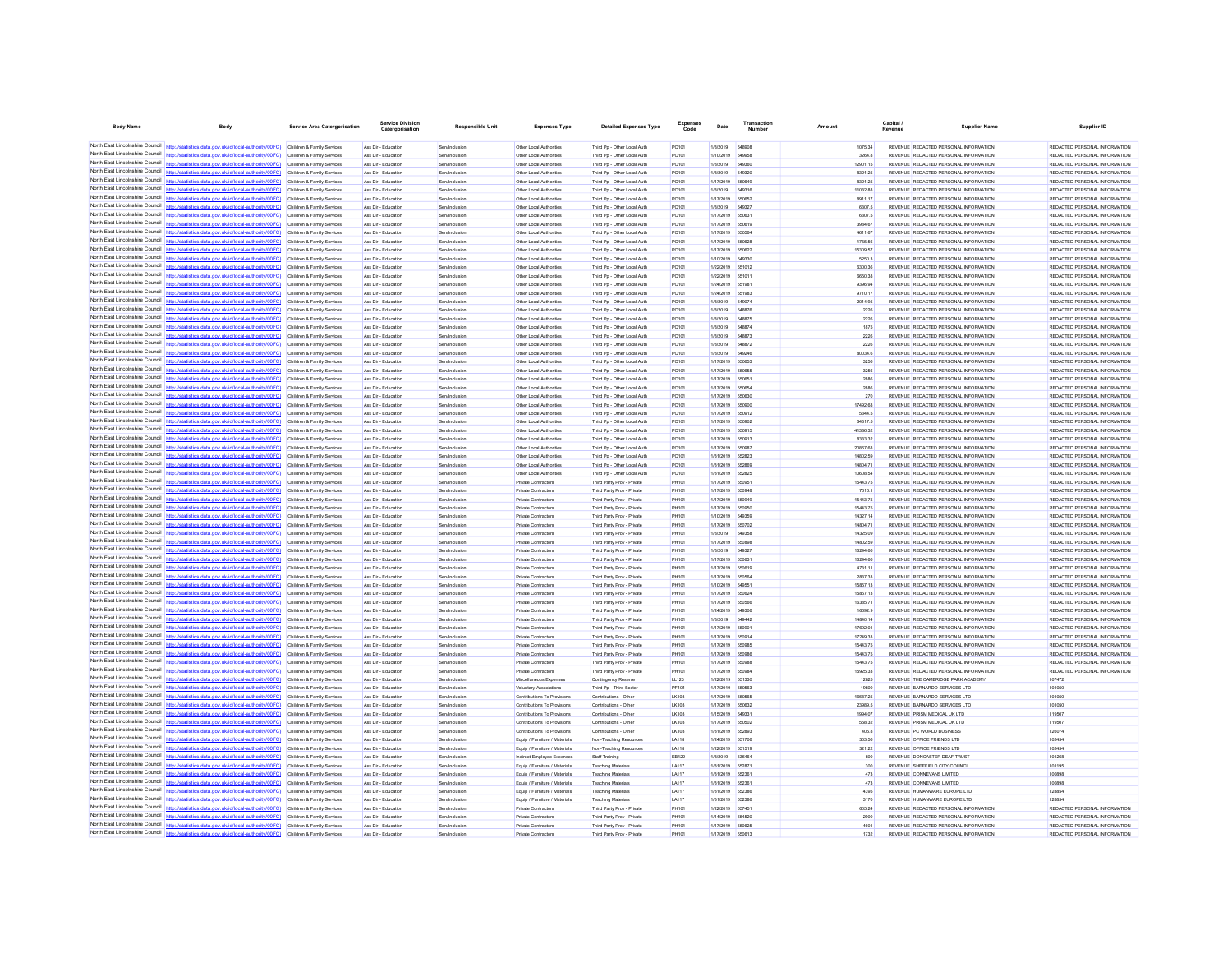| <b>Body Name</b>                | Body                                                                                                                                                                                                                                   | <b>Service Area Catergorisation</b>                      | Service Division<br>Catergorisation        | <b>Responsible Unit</b>        | <b>Expenses Type</b>                                       | <b>Detailed Expenses Type</b>                              | <b>Expenses</b><br>Code | Date                          | Number           | Amount               | Capital                                                                        | Supplier Name | Supplier ID                                                    |
|---------------------------------|----------------------------------------------------------------------------------------------------------------------------------------------------------------------------------------------------------------------------------------|----------------------------------------------------------|--------------------------------------------|--------------------------------|------------------------------------------------------------|------------------------------------------------------------|-------------------------|-------------------------------|------------------|----------------------|--------------------------------------------------------------------------------|---------------|----------------------------------------------------------------|
|                                 |                                                                                                                                                                                                                                        |                                                          |                                            |                                |                                                            |                                                            |                         |                               |                  |                      |                                                                                |               |                                                                |
|                                 | North East Lincolnshire Council http://statistics.data.gov.uk/id/local-authority/00FC) Children & Family Services                                                                                                                      |                                                          | Ass Dir - Education                        | Sen/Inclusion                  | Other Local Authorities                                    | Third Pp - Other Local Auth                                | PC101                   | 1/8/2019                      | 548908           | 1075.34              | REVENUE REDACTED PERSONAL INFORMATION                                          |               | REDACTED PERSONAL INFORMATION                                  |
|                                 | North East Lincolnshire Council http://statistics.data.gov.uk/id/local-authority/00FC) Children & Family Services                                                                                                                      |                                                          | Ass Dir - Education                        | Sen/Inclusion                  | Other Local Authorities                                    | Third Pp - Other Local Auth                                | PC101                   | 1/10/2019 549958              |                  | 3264.8               | REVENUE REDACTED PERSONAL INFORMATION                                          |               | REDACTED PERSONAL INFORMATION                                  |
|                                 | North East Lincolnshire Council http://statistics.data.gov.uk/id/local-authority/00FC)                                                                                                                                                 | Children & Family Services                               | Ass Dir - Education                        | Sen/Inclusion                  | Other Local Authorities                                    | Third Po - Other Local Auth                                | PC101                   | 1/8/2019                      | 549360           | 12901.15             | REVENUE REDACTED PERSONAL INFORMATION                                          |               | REDACTED PERSONAL INFORMATION                                  |
|                                 | North East Lincolnshire Council http://statistics.data.gov.uk/id/local-authority/00FC) Children & Family Services<br>North East Lincolnshire Council http://statistics.data.gov.uk/id/local-authority/00FC) Children & Family Services |                                                          | Ass Dir - Education<br>Ass Dir - Education | Sen/Inclusion<br>Sen/Inclusion | Other Local Authorities<br>Other Local Authorities         | Third Pp - Other Local Auth<br>Third Pp - Other Local Auth | PC101<br>PC101          | 1/8/2019<br>1/17/2019         | 549320<br>550649 | 8321.25<br>8321.25   | REVENUE REDACTED PERSONAL INFORMATION<br>REVENUE REDACTED PERSONAL INFORMATION |               | REDACTED PERSONAL INFORMATION<br>REDACTED PERSONAL INFORMATION |
|                                 | North East Lincolnshire Council http://statistics.data.gov.uk/id/local-authority/00FC) Children & Family Services                                                                                                                      |                                                          | Ass Dir - Education                        | Sen/Inclusion                  | Other Local Authorities                                    | Third Pp - Other Local Auth                                | PC101                   | 1/8/2019                      | 549316           | 11032.88             | REVENUE REDACTED PERSONAL INFORMATION                                          |               | REDACTED PERSONAL INFORMATION                                  |
|                                 | North East Lincolnshire Council http://statistics.data.gov.uk/id/local-authority/00FC) Children & Family Services                                                                                                                      |                                                          | Ass Dir - Education                        | Sen/Inclusion                  | Other Local Authorities                                    | Third Pp - Other Local Auth                                | PC101                   | 1/17/2019                     | 550652           | 8911.17              | REVENUE REDACTED PERSONAL INFORMATION                                          |               | REDACTED PERSONAL INFORMATION                                  |
|                                 | North East Lincolnshire Council http://statistics.data.gov.uk/id/local-authority/00FC) Children & Family Services                                                                                                                      |                                                          | Ass Dir - Education                        | Sen/Inclusion                  | Other Local Authorities                                    | Third Pp - Other Local Auth                                | PC101                   | 1/8/2019                      | 549327           | 6307.5               | REVENUE REDACTED PERSONAL INFORMATION                                          |               | REDACTED PERSONAL INFORMATION                                  |
|                                 | North East Lincolnshire Council http://statistics.data.gov.uk/id/local-authority/00FC)                                                                                                                                                 | Children & Family Services                               | Ass Dir - Educatio                         | Sen/Inclusio                   | Other Local Authorities                                    | Third Pp - Other Local Auth                                | PC101                   | 1/17/2019                     | 55063            | 6307.5               | REVENUE REDACTED PERSONAL INFORMATION                                          |               |                                                                |
|                                 | North East Lincolnshire Council http://statistics.data.gov.uk/id/local-authority/00FC) Children & Family Services                                                                                                                      |                                                          | Ass Dir - Education                        | Sen/Inclusion                  | Other Local Authorities                                    | Third Pp - Other Local Auth                                | PC101                   | 1/17/2019                     | 550619           | 3984.67              | REVENUE REDACTED PERSONAL INFORMATION                                          |               | REDACTED PERSONAL INFORMATION                                  |
|                                 | North East Lincolnshire Council http://statistics.data.gov.uk/id/local-authority/00FC) Children & Family Services                                                                                                                      |                                                          | Ass Dir - Education                        | Sen/Inclusion                  | Other Local Authorities                                    | Third Pp - Other Local Auth                                | PC101                   | 1/17/2019 550564              |                  | 4611.67              | REVENUE REDACTED PERSONAL INFORMATION                                          |               | REDACTED PERSONAL INFORMATION                                  |
|                                 | North East Lincolnshire Council http://statistics.data.gov.uk/id/local-authority/00FC) Children & Family Services                                                                                                                      |                                                          | Ass Dir - Education                        | Sen/Inclusion                  | Other Local Authorities                                    | Third Pp - Other Local Auth                                | PC101                   | 1/17/2019 550628              |                  | 1755.56              | REVENUE REDACTED PERSONAL INFORMATION                                          |               | REDACTED PERSONAL INFORMATION                                  |
|                                 | North East Lincolnshire Council http://statistics.data.gov.uk/id/local-authority/00FC)                                                                                                                                                 | Children & Family Services                               | Ass Dir - Education                        | Sen/Inclusion                  | Other Local Authorities                                    | Third Pp - Other Local Auth                                | PC101                   | 1/17/2019                     | 550622           | 15309.57             | REVENUE REDACTED PERSONAL INFORMATION                                          |               | REDACTED PERSONAL INFORMATION                                  |
|                                 | North East Lincolnshire Council http://statistics.data.gov.uk/id/local-authority/00FC) Children & Family Services                                                                                                                      |                                                          | Ass Dir - Education                        | Sen/Inclusio                   | Other Local Authorities                                    | Third Pp - Other Local Auth                                | PC101                   | 1/10/2019                     |                  | 5250.3               | REVENUE REDACTED PERSONAL INFORMATION                                          |               | REDACTED PERSONAL INFORMATION                                  |
|                                 | North East Lincolnshire Council http://statistics.data.gov.uk/id/local-authority/00FC) Children & Family Services                                                                                                                      |                                                          | Ass Dir - Education<br>Ass Dir - Education | Sen/Inclusion                  | Other Local Authorities                                    | Third Pp - Other Local Auth                                | PC101<br>PC101          | 1/22/2019<br>1/22/2019        | 551012           | 6300.36<br>6650.38   | REVENUE REDACTED PERSONAL INFORMATION<br>REVENUE REDACTED PERSONAL INFORMATION |               | REDACTED PERSONAL INFORMATION<br>REDACTED PERSONAL INFORMATION |
|                                 | North East Lincolnshire Council http://statistics.data.gov.uk/id/local-authority/00FC) Children & Family Services<br>North East Lincolnshire Council http://statistics.data.gov.uk/id/local-authority/00FC) Children & Family Services |                                                          | Ass Dir - Education                        | Sen/Inclusion<br>Sen/Inclusion | Other Local Authorities                                    | Third Pp - Other Local Auth                                | PC101                   | 1/24/2019                     | 55101<br>551981  | 9396.94              | REVENUE REDACTED PERSONAL INFORMATION                                          |               | REDACTED PERSONAL INFORMATION                                  |
| North East Lincolnshire Council | cs data gov uk/id/local-authority/00EC)                                                                                                                                                                                                | Children & Family Services                               | Ass Dir - Education                        | Sen/Inclusion                  | Other Local Authorities<br>Other Local Authorities         | Third Pp - Other Local Auth<br>Third Po - Other Local Auth | PC101                   | 1/24/2019                     | 551983           | 9710.17              | REVENUE REDACTED PERSONAL INFORMATION                                          |               | REDACTED PERSONAL INFORMATION                                  |
|                                 | North East Lincolnshire Council http://statistics.data.gov.uk/id/local-authority/00FC)                                                                                                                                                 | Children & Family Services                               | Ass Dir - Educatio                         | Sen/Inclusio                   | Other Local Authoritie                                     | Third Pp - Other Local Auth                                | PC101                   | 1/8/2019                      | 549074           | 2014.95              | REVENUE REDACTED PERSONAL INFORMATION                                          |               | REDACTED PERSONAL INFORMATION                                  |
|                                 | North East Lincolnshire Council http://statistics.data.gov.uk/id/local-authority/00FC) Children & Family Services                                                                                                                      |                                                          | Ass Dir - Education                        | Sen/Inclusion                  | Other Local Authorities                                    | Third Po - Other Local Auth                                | PC101                   | 1/8/2019                      | 548876           | 2226                 | REVENUE REDACTED PERSONAL INFORMATION                                          |               | REDACTED PERSONAL INFORMATION                                  |
|                                 | North East Lincolnshire Council http://statistics.data.gov.uk/id/local-authority/00FC) Children & Family Services                                                                                                                      |                                                          | Ass Dir - Education                        | Sen/Inclusion                  | Other Local Authorities                                    | Third Pp - Other Local Auth                                | PC101                   | 1/8/2019                      | 548875           | 2226                 | REVENUE REDACTED PERSONAL INFORMATION                                          |               | REDACTED PERSONAL INFORMATION                                  |
|                                 | North East Lincolnshire Council http://statistics.data.gov.uk/id/local-authority/00FC)                                                                                                                                                 | Children & Family Services                               | Ass Dir - Education                        | Sen/Inclusion                  | Other Local Authorities                                    | Third Pp - Other Local Auth                                | PC101                   | 1/8/2019                      | 548874           | 1875                 | REVENUE REDACTED PERSONAL INFORMATION                                          |               | REDACTED PERSONAL INFORMATION                                  |
|                                 | North East Lincolnshire Council http://statistics.data.gov.uk/id/local-authority/00FC)                                                                                                                                                 | Children & Family Services                               | Ass Dir - Education                        | Sen/Inclusion                  | Other Local Authorities                                    | Third Pp - Other Local Auth                                | PC101                   | 1/8/2019                      | 548873           | 2226                 | REVENUE REDACTED PERSONAL INFORMATION                                          |               | REDACTED PERSONAL INFORMATION                                  |
|                                 | North East Lincolnshire Council http://statistics.data.gov.uk/id/local-authority/00FC)                                                                                                                                                 | Children & Family Services                               | Ass Dir - Educatio                         | Sen/Inclusio                   | Other Local Authorities                                    | Third Pp - Other Local Auth                                | PC101                   | 1/8/2019                      | 548872           | 2226                 | REVENUE REDACTED PERSONAL INFORMATION                                          |               | REDACTED PERSONAL INFORMATION                                  |
|                                 | North East Lincolnshire Council http://statistics.data.gov.uk/id/local-authority/00FC) Children & Family Services                                                                                                                      |                                                          | Ass Dir - Education                        | Sen/Inclusion                  | Other Local Authorities                                    | Third Pp - Other Local Auth                                | PC101                   | 1/8/2019                      | 549246           | 80034.6              | REVENUE REDACTED PERSONAL INFORMATION                                          |               | REDACTED PERSONAL INFORMATION                                  |
|                                 | North East Lincolnshire Council http://statistics.data.gov.uk/id/local-authority/00FC) Children & Family Services                                                                                                                      |                                                          | Ass Dir - Education                        | Sen/Inclusion                  | Other Local Authorities                                    | Third Pp - Other Local Auth                                | PC101                   | 1/17/2019                     | 550653           | 3256                 | REVENUE REDACTED PERSONAL INFORMATION                                          |               | REDACTED PERSONAL INFORMATION                                  |
| North East Lincolnshire Council | North East Lincolnshire Council http://statistics.data.gov.uk/id/local-authority/00FC) Children & Family Services                                                                                                                      |                                                          | Ass Dir - Education                        | Sen/Inclusion                  | Other Local Authorities                                    | Third Pp - Other Local Auth                                | PC101                   | 1/17/2019                     | 550855           | 3256                 | REVENUE REDACTED PERSONAL INFORMATION                                          |               | REDACTED PERSONAL INFORMATION                                  |
|                                 | http://statistics.data.gov.uk/id/local-authority/00FC)<br>North East Lincolnshire Council http://statistics.data.gov.uk/id/local-authority/00FC).                                                                                      | Children & Family Services                               | Ass Dir - Education                        | Sen/Inclusion                  | Other Local Authorities                                    | Third Pp - Other Local Auth                                | PC101                   | 1/17/2019                     | 550651           | 2886                 | REVENUE REDACTED PERSONAL INFORMATION                                          |               | REDACTED PERSONAL INFORMATION                                  |
|                                 | North East Lincolnshire Council http://statistics.data.gov.uk/id/local-authority/00FC) Children & Family Services                                                                                                                      | Children & Family Services                               | Ass Dir - Educatio<br>Ass Dir - Education  | Sen/Inclusio<br>Sen/Inclusion  | Other Local Authorities<br>Other Local Authorities         | Third Pp - Other Local Auth<br>Third Po - Other Local Auth | PC101<br>PC101          | 1/17/2019<br>1/17/2019        | 550654<br>550630 | 2886<br>270          | REVENUE REDACTED PERSONAL INFORMATION<br>REVENUE REDACTED PERSONAL INFORMATION |               | REDACTED PERSONAL INFORMATION<br>REDACTED PERSONAL INFORMATION |
|                                 | North East Lincolnshire Council http://statistics.data.gov.uk/id/local-authority/00FC) Children & Family Services                                                                                                                      |                                                          | Ass Dir - Education                        | Sen/Inclusion                  | Other Local Authorities                                    | Third Pp - Other Local Auth                                | PC101                   | 1/17/2019                     | 550900           | 17492.68             | REVENUE REDACTED PERSONAL INFORMATION                                          |               | REDACTED PERSONAL INFORMATION                                  |
|                                 | North East Lincolnshire Council http://statistics.data.gov.uk/id/local-authority/00FC)                                                                                                                                                 | Children & Family Services                               | Ass Dir - Education                        | Sen/Inclusion                  | Other Local Authorities                                    | Third Pp - Other Local Auth                                | PC101                   | 1/17/2019                     | 550912           | 5344.5               | REVENUE REDACTED PERSONAL INFORMATION                                          |               | REDACTED PERSONAL INFORMATION                                  |
|                                 | North East Lincolnshire Council http://statistics.data.gov.uk/id/local-authority/00FC)                                                                                                                                                 | Children & Family Services                               | Ass Dir - Education                        | Sen/Inclusion                  | Other Local Authorities                                    | Third Pp - Other Local Auth                                | PC101                   | 1/17/2019                     | 550902           | 64317.5              | REVENUE REDACTED PERSONAL INFORMATION                                          |               | REDACTED PERSONAL INFORMATION                                  |
|                                 | North East Lincolnshire Council http://statistics.data.gov.uk/id/local-authority/00FC) Children & Family Services                                                                                                                      |                                                          | Ass Dir - Educatio                         | Sen/Inclusion                  | Other Local Authoritie                                     | Third Pp - Other Local Auth                                | PC101                   | 1/17/2019                     | 550915           | 41386.32             | REVENUE REDACTED PERSONAL INFORMATION                                          |               | REDACTED PERSONAL INFORMATION                                  |
|                                 | North East Lincolnshire Council http://statistics.data.gov.uk/id/local-authority/00FC) Children & Family Services                                                                                                                      |                                                          | Ass Dir - Education                        | Sen/Inclusion                  | Other Local Authorities                                    | Third Pp - Other Local Auth                                | PC101                   | 1/17/2019                     | 550913           | 8333.32              | REVENUE REDACTED PERSONAL INFORMATION                                          |               | REDACTED PERSONAL INFORMATION                                  |
|                                 | North East Lincolnshire Council http://statistics.data.gov.uk/id/local-authority/00FC) Children & Family Services                                                                                                                      |                                                          | Ass Dir - Education                        | Sen/Inclusion                  | Other Local Authorities                                    | Third Pp - Other Local Auth                                | PC101                   | 1/17/2019 55098               |                  | 20867.68             | REVENUE REDACTED PERSONAL INFORMATION                                          |               | REDACTED PERSONAL INFORMATION                                  |
|                                 | North East Lincolnshire Council http://statistics.data.gov.uk/id/local-authority/00FC) Children & Family Services                                                                                                                      |                                                          | Ass Dir - Education                        | Sen/Inclusion                  | Other Local Authorities                                    | Third Pp - Other Local Auth                                | PC101                   | 1/31/2019                     | 552823           | 14802.59             | REVENUE REDACTED PERSONAL INFORMATION                                          |               | REDACTED PERSONAL INFORMATION                                  |
| North East Lincolnshire Council | http://statistics.data.gov.uk/id/local-authority/00FC)                                                                                                                                                                                 | Children & Family Services                               | Ass Dir - Education                        | Sen/Inclusion                  | Other Local Authorities                                    | Third Pp - Other Local Auth                                | PC101                   | 1/31/2019                     | 552869           | 14804.71             | REVENUE REDACTED PERSONAL INFORMATION                                          |               | REDACTED PERSONAL INFORMATION                                  |
|                                 | North East Lincolnshire Council http://statistics.data.gov.uk/id/local-authority/00FC)                                                                                                                                                 | Children & Family Services                               | Ass Dir - Educatio                         | Sen/Inclusio                   | Other Local Authoritie                                     | Third Pp - Other Local Auth                                | PC101                   | 1/31/2019                     | 552825           | 10608.54             | REVENUE REDACTED PERSONAL INFORMATION                                          |               | REDACTED PERSONAL INFORMATION                                  |
|                                 | North East Lincolnshire Council http://statistics.data.gov.uk/id/local-authority/00FC) Children & Family Services                                                                                                                      |                                                          | Ass Dir - Education                        | Sen/Inclusion                  | <b>Private Contractors</b>                                 | Third Party Prov - Private                                 | PH101                   | 1/17/2019                     | 650951           | 15443.75             | REVENUE REDACTED PERSONAL INFORMATION                                          |               | REDACTED PERSONAL INFORMATION                                  |
|                                 | North East Lincolnshire Council http://statistics.data.gov.uk/id/local-authority/00FC) Children & Family Services<br>North East Lincolnshire Council http://statistics.data.gov.uk/id/local-authority/00FC)                            |                                                          | Ass Dir - Education<br>Ass Dir - Education | Sen/Inclusion<br>Sen/Inclusion | Private Contractors<br><b>Private Contractors</b>          | Third Party Prov - Private                                 | PH101<br>PH101          | 1/17/2019                     | 55094            | 7616.1<br>15443.75   | REVENUE REDACTED PERSONAL INFORMATION<br>REVENUE REDACTED PERSONAL INFORMATION |               | REDACTED PERSONAL INFORMATION<br>REDACTED PERSONAL INFORMATION |
| North East Lincolnshire Council | v/00FC)                                                                                                                                                                                                                                | Children & Family Services<br>Children & Family Services | Ass Dir - Education                        | Sen/Inclusion                  | <b>Private Contractors</b>                                 | Third Party Prov - Private<br>Third Party Prov - Private   | PH101                   | 1/17/2019 550949<br>1/17/2019 | 550950           | 15443.75             | REVENUE REDACTED PERSONAL INFORMATION                                          |               | REDACTED PERSONAL INFORMATION                                  |
|                                 | North East Lincolnshire Council http://statistics.data.gov.uk/id/local-authority/00FC) Children & Family Services                                                                                                                      |                                                          | Ass Dir - Educatio                         | Sen/Inclusion                  | Private Contractors                                        | Third Party Prov - Private                                 | PH101                   | 1/10/2019                     | 549359           | 14327.14             | REVENUE REDACTED PERSONAL INFORMATION                                          |               | REDACTED PERSONAL INFORMATION                                  |
|                                 | North East Lincolnshire Council http://statistics.data.gov.uk/id/local-authority/00FC) Children & Family Services                                                                                                                      |                                                          | Ass Dir - Education                        | Sen/Inclusion                  | <b>Private Contractors</b>                                 | Third Party Prov - Private                                 | PH101                   | 1/17/2019                     | 550702           | 14804.71             | REVENUE REDACTED PERSONAL INFORMATION                                          |               | REDACTED PERSONAL INFORMATION                                  |
|                                 | North East Lincolnshire Council http://statistics.data.gov.uk/id/local-authority/00FC) Children & Family Services                                                                                                                      |                                                          | Ass Dir - Education                        | Sen/Inclusion                  | Private Contractors                                        | Third Party Prov - Private                                 | PH101                   | 1/8/2019                      | 549358           | 14325.09             | REVENUE REDACTED PERSONAL INFORMATION                                          |               | REDACTED PERSONAL INFORMATION                                  |
|                                 | North East Lincolnshire Council http://statistics.data.gov.uk/id/local-authority/00FC) Children & Family Services                                                                                                                      |                                                          | Ass Dir - Education                        | Sen/Inclusion                  | <b>Private Contractors</b>                                 | Third Party Prov - Private                                 | PH101                   | 1/17/2019                     | 650896           | 14802.59             | REVENUE REDACTED PERSONAL INFORMATION                                          |               | REDACTED PERSONAL INFORMATION                                  |
|                                 | North East Lincolnshire Council http://statistics.data.gov.uk/id/local-authority/00FC)                                                                                                                                                 | Children & Family Services                               | Ass Dir - Education                        | Sen/Inclusion                  | <b>Private Contractors</b>                                 | Third Party Prov - Private                                 | PH101                   | 1/8/2019                      | 54932            | 16294.66             | REVENUE REDACTED PERSONAL INFORMATION                                          |               | REDACTED PERSONAL INFORMATION                                  |
|                                 | North East Lincolnshire Council http://statistics.data.gov.uk/id/local-authority/00FC)                                                                                                                                                 | Children & Family Services                               | Ass Dir - Educatio                         | Sen/Inclusion                  | Private Contractors                                        | Third Party Prov - Private                                 | PH101                   | 1/17/2019                     | 550631           | 16294.66             | REVENUE REDACTED PERSONAL INFORMATION                                          |               | REDACTED PERSONAL INFORMATION                                  |
|                                 | North East Lincolnshire Council http://statistics.data.gov.uk/id/local-authority/00FC) Children & Family Services                                                                                                                      |                                                          | Ass Dir - Education                        | Sen/Inclusion                  | <b>Private Contractors</b>                                 | Third Party Prov - Private                                 | PH101                   | 1/17/2019                     | 550619           | 4731.11              | REVENUE REDACTED PERSONAL INFORMATION                                          |               | REDACTED PERSONAL INFORMATION                                  |
|                                 | North East Lincolnshire Council http://statistics.data.gov.uk/id/local-authority/00FC) Children & Family Services                                                                                                                      |                                                          | Ass Dir - Educatio                         | Sen/Inclusio                   | Private Contractors                                        | Third Party Prov - Private                                 | PH101                   | 1/17/2019                     | 550564           | 2837.33              | REVENUE REDACTED PERSONAL INFORMATION                                          |               | REDACTED PERSONAL INFORMATION                                  |
|                                 | North East Lincolnshire Council http://statistics.data.gov.uk/id/local-authority/00FC)<br>North East Lincolnshire Council http://statistics.data.gov.uk/id/local-authority/00FC)                                                       | Children & Family Services                               | Ass Dir - Education                        | Sen/Inclusion                  | <b>Private Contractors</b>                                 | Third Party Prov - Private                                 | PH101                   | 1/10/2019                     | 549551           | 15857.13             | REVENUE REDACTED PERSONAL INFORMATION                                          |               | REDACTED PERSONAL INFORMATION                                  |
|                                 | North East Lincolnshire Council http://statistics.data.gov.uk/id/local-authority/00FC) Children & Family Services                                                                                                                      | Children & Family Services                               | Ass Dir - Education<br>Ass Dir - Educatio  | Sen/Inclusion<br>Sen/Inclusio  | Private Contractors<br>Private Contractor                  | Third Party Prov - Private<br>Third Party Prov - Private   | PH101<br>PH101          | 1/17/2019<br>1/17/2019        | 550624<br>650566 | 15857.13<br>16385.71 | REVENUE REDACTED PERSONAL INFORMATION<br>REVENUE REDACTED PERSONAL INFORMATION |               | REDACTED PERSONAL INFORMATION<br>REDACTED PERSONAL INFORMATION |
|                                 | North East Lincolnshire Council http://statistics.data.gov.uk/id/local-authority/00FC) Children & Family Services                                                                                                                      |                                                          | Ass Dir - Education                        | Sen/Inclusion                  | <b>Private Contractors</b>                                 | Third Party Prov - Private                                 | PH101                   | 1/24/2019                     | 549306           | 16692.9              | REVENUE REDACTED PERSONAL INFORMATION                                          |               | REDACTED PERSONAL INFORMATION                                  |
|                                 | North East Lincolnshire Council http://statistics.data.gov.uk/id/local-authority/00FC) Children & Family Services                                                                                                                      |                                                          | Ass Dir - Education                        | Sen/Inclusion                  | Private Contractors                                        | Third Party Prov - Private                                 | PH101                   | 1/8/2019                      | 54944            | 14840.14             | REVENUE REDACTED PERSONAL INFORMATION                                          |               | REDACTED PERSONAL INFORMATION                                  |
| North East Lincolnshire Council | http://statistics.data.gov.uk/id/local-authority/00FC) Children & Family Services                                                                                                                                                      |                                                          | Ass Dir - Education                        | Sen/Inclusion                  | <b>Private Contractors</b>                                 | Third Party Prov - Private                                 | PH101                   | 1/17/2019                     | 55090            | 17692.01             | REVENUE REDACTED PERSONAL INFORMATION                                          |               | REDACTED PERSONAL INFORMATION                                  |
|                                 | North East Lincolnshire Council http://statistics.data.gov.uk/id/local-authority/00FC)                                                                                                                                                 | Children & Family Services                               | Ass Dir - Educatio                         | Sen/Inclusio                   | Private Contractors                                        | Third Party Prov - Private                                 | PH101                   | 1/17/2019                     |                  | 17249.33             | REVENUE REDACTED PERSONAL INFORMATION                                          |               | REDACTED PERSONAL INFORMATION                                  |
|                                 | North East Lincolnshire Council http://statistics.data.gov.uk/id/local-authority/00FC) Children & Family Services                                                                                                                      |                                                          | Ass Dir - Educatio                         | Sen/Inclusion                  | Private Contractors                                        | Third Party Prov - Private                                 | PH101                   | 1/17/2019                     | 550985           | 15443.75             | REVENUE REDACTED PERSONAL INFORMATION                                          |               | REDACTED PERSONAL INFORMATION                                  |
|                                 | North East Lincolnshire Council http://statistics.data.gov.uk/id/local-authority/00FC) Children & Family Services                                                                                                                      |                                                          | Ass Dir - Education                        | Sen/Inclusion                  | <b>Private Contractors</b>                                 | Third Party Prov - Private                                 | PH101                   | 1/17/2019                     | 550986           | 15443.75             | REVENUE REDACTED PERSONAL INFORMATION                                          |               | REDACTED PERSONAL INFORMATION                                  |
|                                 | North East Lincolnshire Council http://statistics.data.gov.uk/id/local-authority/00FC) Children & Family Services                                                                                                                      |                                                          | Ass Dir - Education                        | Sen/Inclusion                  | Private Contractors                                        | Third Party Prov - Private                                 | PH101                   | 1/17/2019 550988              |                  | 15443.75             | REVENUE REDACTED PERSONAL INFORMATION                                          |               | REDACTED PERSONAL INFORMATION                                  |
|                                 | North East Lincolnshire Council http://statistics.data.gov.uk/id/local-authority/00FC)                                                                                                                                                 | Children & Family Services                               | Ass Dir - Education                        | Sen/Inclusion                  | <b>Private Contractors</b>                                 | Third Party Prov - Private                                 | PH101                   | 1/17/2019 550984              |                  | 15925.33             | REVENUE REDACTED PERSONAL INFORMATION                                          |               | REDACTED PERSONAL INFORMATION                                  |
| North East Lincolnshire Council | North East Lincolnshire Council http://statistics.data.gov.uk/id/local-authority/00FC) Children & Family Services                                                                                                                      |                                                          | Ass Dir - Education                        | Sen/Inclusion                  | Miscellaneous Expenses                                     | Contingency Reserve                                        | LL123                   | 1/22/2019                     | 651330           | 12825                | REVENUE THE CAMBRIDGE PARK ACADEMY                                             |               | 107472                                                         |
|                                 | http://statistics.data.gov.uk/id/local-authority/00FC) Children & Family Services                                                                                                                                                      |                                                          | Ass Dir - Educatio                         | Sen/Inclusion                  | <b>Voluntary Associations</b>                              | Third Pp - Third Secto                                     | PF101                   | 1/17/2019                     | 550563           | 19500                | REVENUE BARNARDO SERVICES LTD<br>REVENUE BARNARDO SERVICES LTD                 |               | 101050                                                         |
|                                 | North East Lincolnshire Council http://statistics.data.gov.uk/id/local-authority/00FC) Children & Family Services                                                                                                                      |                                                          | Ass Dir - Education<br>Ass Dir - Educatio  | Sen/Inclusion<br>Sen/Inclusio  | Contributions To Provisions<br>Contributions To Provisions | Contributions - Other<br>Contributions - Othe              | LK103<br>LK103          | 1/17/2019<br>1/17/2019        | 550565<br>550632 | 16687.25<br>23989.5  | REVENUE BARNARDO SERVICES LTD                                                  |               | 101050<br>101050                                               |
| North East Lincolnshire Council | North East Lincolnshire Council http://statistics.data.gov.uk/id/local-authority/00FC) Children & Family Services<br>http://statistics.data.gov.uk/id/local-authority/00FC)                                                            | Children & Family Services                               | Ass Dir - Education                        | Sen/Inclusion                  | Contributions To Provisions                                | Contributions - Other                                      | LK103                   | 1/15/2019                     | 549331           | 1994.07              | REVENUE PRISM MEDICAL UK LTD                                                   |               | 119507                                                         |
| North East Lincolnshire Council |                                                                                                                                                                                                                                        | Children & Family Services                               | Ass Dir - Education                        | Sen/Inclusion                  | Contributions To Provisions                                | Contributions - Other                                      | LK103                   | 1/17/2019                     | 550502           | 558.32               | REVENUE PRISM MEDICAL UK LTD                                                   |               | 119507                                                         |
|                                 | North East Lincolnshire Council http://statistics.data.gov.uk/id/local-authority/00FC) Children & Family Services                                                                                                                      |                                                          | Ass Dir - Education                        | Sen/Inclusion                  | Contributions To Provisions                                | Contributions - Other                                      | LK103                   | 1/31/2019                     | <b>552893</b>    | 405.8                | <b>REVENUE PC WORLD BUSINESS</b>                                               |               | 126074                                                         |
|                                 | North East Lincolnshire Council http://statistics.data.gov.uk/id/local-authority/00FC) Children & Family Services                                                                                                                      |                                                          | Ass Dir - Education                        | Sen/Inclusion                  | Equip / Furniture / Materials                              | Non-Teaching Resources                                     | LA118                   | 1/24/2019 551706              |                  | 303.56               | REVENUE OFFICE FRIENDS LTD                                                     |               | 102454                                                         |
|                                 | North East Lincolnshire Council http://statistics.data.gov.uk/id/local-authority/00FC) Children & Family Services                                                                                                                      |                                                          | Ass Dir - Education                        | Sen/Inclusion                  | Equip / Furniture / Materials                              | Non-Teaching Resources                                     | LA118                   | 1/22/2019                     | 551519           | 321.22               | REVENUE OFFICE FRIENDS LTD                                                     |               | 102454                                                         |
|                                 | North East Lincolnshire Council http://statistics.data.gov.uk/id/local-authority/00FC)                                                                                                                                                 | Children & Family Services                               | Ass Dir - Education                        | Sen/Inclusion                  | Indirect Employee Expenses                                 | Staff Training                                             | EB122                   | 1/8/2019 536464               |                  | 500                  | REVENUE DONCASTER DEAF TRUST                                                   |               | 101268                                                         |
|                                 | North East Lincolnshire Council http://statistics.data.gov.uk/id/local-authority/00FC) Children & Family Services                                                                                                                      |                                                          | Ass Dir - Education                        | Sen/Inclusion                  | Equip / Furniture / Materials                              | <b>Teaching Materials</b>                                  | LA117                   | 1/31/2019                     | 55287            | 300                  | REVENUE SHEFFIELD CITY COUNCIL                                                 |               | 101195                                                         |
|                                 | North East Lincolnshire Council http://statistics.data.gov.uk/id/local-authority/00FC) Children & Family Services                                                                                                                      |                                                          | Ass Dir - Education                        | Sen/Inclusion                  | Equip / Furniture / Materials                              | <b>Teaching Materials</b>                                  | LA117                   | 1/31/2019                     | 652361           | 473                  | REVENUE CONNEVANS LIMITED                                                      |               | 100898                                                         |
|                                 | North East Lincolnshire Council http://statistics.data.gov.uk/id/local-authority/00FC) Children & Family Services                                                                                                                      |                                                          | Ass Dir - Education                        | Sen/Inclusion                  | Equip / Furniture / Materials                              | <b>Teaching Materials</b>                                  | LA117                   | 1/31/2019                     | 552361           | 473                  | REVENUE CONNEVANS LIMITED                                                      |               | 100898                                                         |
|                                 | North East Lincolnshire Council http://statistics.data.gov.uk/id/local-authority/00FC) Children & Family Services                                                                                                                      |                                                          | Ass Dir - Education                        | Sen/Inclusion                  | Equip / Furniture / Materials                              | <b>Teaching Materials</b>                                  | LA117                   | 1/31/2019                     | 552386           | 4395                 | REVENUE HUMANWARE EUROPE LTD                                                   |               | 128854                                                         |
|                                 | North East Lincolnshire Council http://statistics.data.gov.uk/id/local-authority/00FC)                                                                                                                                                 | Children & Family Services                               | Ass Dir - Education                        | Sen/Inclusion                  | Equip / Furniture / Materials                              | <b>Teaching Materials</b>                                  | LA117<br>PH101          | 1/31/2019                     | 552386           | 3170                 | REVENUE HUMANWARE EUROPE LTD                                                   |               | 128854<br>REDACTED PERSONAL INFORMATION                        |
|                                 | North East Lincolnshire Council http://statistics.data.gov.uk/id/local-authority/00FC)<br>North East Lincolnshire Council http://statistics.data.gov.uk/id/local-authority/00FC) Children & Family Services                            | Children & Family Services                               | Ass Dir - Educatio<br>Ass Dir - Educatio   | Sen/Inclusion<br>Sen/Inclusion | <b>Private Contractors</b><br><b>Private Contractors</b>   | Third Party Prov - Private<br>Third Party Prov - Private   | PH101                   | 1/22/2019<br>1/14/2019        | 657451<br>654520 | 605.24<br>2900       | REVENUE REDACTED PERSONAL INFORMATION<br>REVENUE REDACTED PERSONAL INFORMATION |               | REDACTED PERSONAL INFORMATION                                  |
|                                 | North East Lincolnshire Council http://statistics.data.gov.uk/id/local-authority/00FC) Children & Family Services                                                                                                                      |                                                          | Ass Dir - Education                        | Sen/Inclusion                  | <b>Private Contractors</b>                                 | Third Party Prov - Private                                 | PH101                   | 1/17/2019 550625              |                  | 4601                 | REVENUE REDACTED PERSONAL INFORMATION                                          |               | REDACTED PERSONAL INFORMATION                                  |
|                                 | North East Lincolnshire Council http://statistics.data.gov.uk/id/local-authority/00FC) Children & Family Services                                                                                                                      |                                                          | Ass Dir - Educatio                         | Sen/Inclusion                  | <b>Private Contractors</b>                                 | Third Party Prov - Private                                 | PH101                   | 1/17/2019                     | 550613           | 1732                 | REVENUE REDACTED PERSONAL INFORMATION                                          |               | REDACTED PERSONAL INFORMATION                                  |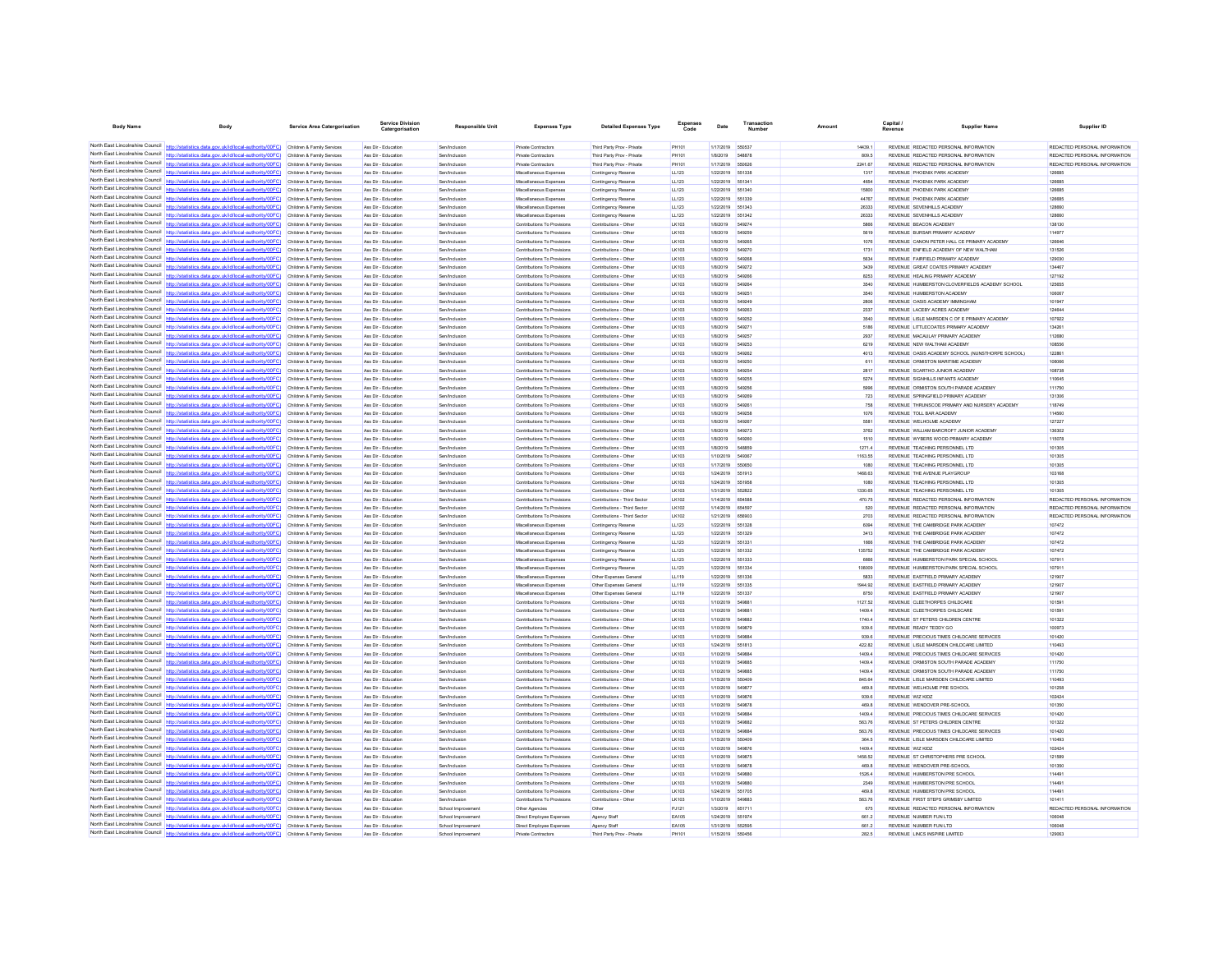| <b>Body Name</b>                                                   | Body                                                                                                                                                                                                                                   | <b>Service Area Catergorisation</b>                      | <b>Service Divisio</b><br>Catergorisation  | <b>Responsible Unit</b>                  | <b>Expenses Type</b>                                        | <b>Detailed Expenses Type</b>                  | <b>Expenses</b><br>Code | Date                                 | Number                 | Amount           | Capital<br>Supplier Name<br>Revenue                                                  | Supplier ID                   |
|--------------------------------------------------------------------|----------------------------------------------------------------------------------------------------------------------------------------------------------------------------------------------------------------------------------------|----------------------------------------------------------|--------------------------------------------|------------------------------------------|-------------------------------------------------------------|------------------------------------------------|-------------------------|--------------------------------------|------------------------|------------------|--------------------------------------------------------------------------------------|-------------------------------|
|                                                                    |                                                                                                                                                                                                                                        |                                                          |                                            |                                          |                                                             |                                                |                         |                                      |                        |                  |                                                                                      |                               |
|                                                                    | North East Lincolnshire Council http://statistics.data.gov.uk/id/local-authority/00FC) Children & Family Services                                                                                                                      |                                                          | Ass Dir - Education                        | Sen/Inclusion                            | Private Contractors                                         | Third Party Prov - Private                     | PH101                   | 1/17/2019                            | 550537                 | 14439.1          | REVENUE REDACTED PERSONAL INFORMATION                                                | REDACTED PERSONAL INFORMATION |
|                                                                    | North East Lincolnshire Council http://statistics.data.gov.uk/id/local-authority/00FC) Children & Family Services                                                                                                                      |                                                          | Ass Dir - Education                        | Sen/Inclusion                            | Private Contractors                                         | Third Party Prov - Private                     | PH101                   | 1/8/2019                             | 548878                 | 809.5            | REVENUE REDACTED PERSONAL INFORMATION                                                | REDACTED PERSONAL INFORMATION |
|                                                                    | North East Lincolnshire Council http://statistics.data.gov.uk/id/local-authority/00FC)                                                                                                                                                 | Children & Family Services                               | Ass Dir - Education                        | Sen/Inclusion                            | <b>Private Contractors</b>                                  | Third Party Prov - Private                     | PH101                   | 1/17/2019                            | 550626                 | 2241.67          | REVENUE REDACTED PERSONAL INFORMATION                                                | REDACTED PERSONAL INFORMATION |
|                                                                    | North East Lincolnshire Council http://statistics.data.gov.uk/id/local-authority/00FC)                                                                                                                                                 | Children & Family Services                               | Ass Dir - Education                        | Sen/Inclusion                            | Miscellaneous Expenser                                      | Contingency Reserve                            | LL123                   | 1/22/2019                            | 551338                 | 1317             | REVENUE PHOENIX PARK ACADEMY                                                         | 126685                        |
|                                                                    | North East Lincolnshire Council http://statistics.data.gov.uk/id/local-authority/00FC) Children & Family Services<br>North East Lincolnshire Council http://statistics.data.gov.uk/id/local-authority/00FC) Children & Family Services |                                                          | Ass Dir - Education<br>Ass Dir - Education | Sen/Inclusion<br>Sen/Inclusion           | Miscellaneous Expenses<br>Miscellaneous Expenses            | Contingency Reserve<br>Contingency Reserve     | LL123<br>LL123          | 1/22/2019<br>1/22/2019 551340        | 651341                 | 4654<br>15800    | REVENUE PHOENIX PARK ACADEMY<br>REVENUE PHOENIX PARK ACADEMY                         | 126685<br>126685              |
|                                                                    | North East Lincolnshire Council http://statistics.data.gov.uk/id/local-authority/00FC) Children & Family Services                                                                                                                      |                                                          | Ass Dir - Education                        | Sen/Inclusion                            | Miscellaneous Expense                                       | <b>Contingency Reserve</b>                     | LL123                   | 1/22/2019                            | 551339                 | 44767            | REVENUE PHOENIX PARK ACADEMY                                                         | 126685                        |
| North East Lincolnshire Council                                    | http://statistics.data.gov.uk/id/local-authority/00FC)                                                                                                                                                                                 | Children & Family Services                               | Ass Dir - Education                        | Sen/Inclusion                            | Miscellaneous Expenses                                      | Contingency Reserve                            | LL123                   | 1/22/2019                            | 551343                 | 26333            | REVENUE SEVENHILLS ACADEMY                                                           | 128660                        |
|                                                                    | North East Lincolnshire Council http://statistics.data.gov.uk/id/local-authority/00FC)                                                                                                                                                 | Children & Family Services                               | Ass Dir - Educatio                         | Sen/Inclusio                             | Miscellaneous Expenser                                      | Contingency Reserv                             | LL123                   | 1/22/2019                            | 651342                 | 26333            | REVENUE SEVENHILLS ACADEMY                                                           | 128660                        |
|                                                                    | North East Lincolnshire Council http://statistics.data.gov.uk/id/local-authority/00FC) Children & Family Services                                                                                                                      |                                                          | Ass Dir - Education                        | Sen/Inclusion                            | Contributions To Provision                                  | Contributions - Other                          | LK103                   | 1/8/2019                             | 549274                 | 5866             | REVENUE BEACON ACADEMY                                                               | 138130                        |
|                                                                    | North East Lincolnshire Council http://statistics.data.gov.uk/id/local-authority/00FC) Children & Family Services                                                                                                                      |                                                          | Ass Dir - Education                        | Sen/Inclusion                            | Contributions To Provisions                                 | Contributions - Other                          | LK103                   | 1/8/2019                             | 649259                 | 5619             | REVENUE BURSAR PRIMARY ACADEMY                                                       | 114977                        |
|                                                                    | North East Lincolnshire Council http://statistics.data.gov.uk/id/local-authority/00FC)                                                                                                                                                 | Children & Family Services                               | Ass Dir - Education                        | Sen/Inclusion                            | Contributions To Provision                                  | Contributions - Other                          | LK103                   | 1/8/2019                             | 549265                 | 1076             | REVENUE CANON PETER HALL CE PRIMARY ACADEMY                                          | 126646                        |
| North East Lincolnshire Council                                    | http://statistics.data.gov.uk/id/local-authority/00FC)                                                                                                                                                                                 | Children & Family Services                               | Ass Dir - Education                        | Sen/Inclusion                            | Contributions To Provisions                                 | Contributions - Other                          | LK103                   | 1/8/2019                             | 549270                 | 1731             | REVENUE ENFIELD ACADEMY OF NEW WALTHAM                                               | 131526                        |
| North East Lincolnshire Council                                    | http://statistics.data.gov.uk/id/local-authority/00FC)                                                                                                                                                                                 | Children & Family Services                               | Ass Dir - Educatio                         | Sen/Inclusion                            | Contributions To Provisions                                 | Contributions - Othe                           | LK103                   | 1/8/2019                             |                        | 5634             | REVENUE FAIRFIELD PRIMARY ACADEM                                                     | 129030                        |
|                                                                    | North East Lincolnshire Council http://statistics.data.gov.uk/id/local-authority/00FC) Children & Family Services                                                                                                                      |                                                          | Ass Dir - Education                        | Sen/Inclusion                            | Contributions To Provisions                                 | Contributions - Other                          | LK103                   | 1/8/2019                             | 549272                 | 3439             | REVENUE GREAT COATES PRIMARY ACADEMY                                                 | 134467                        |
|                                                                    | North East Lincolnshire Council http://statistics.data.gov.uk/id/local-authority/00FC) Children & Family Services<br>North East Lincolnshire Council http://statistics.data.gov.uk/id/local-authority/00FC)                            | Children & Family Services                               | Ass Dir - Educatio<br>Ass Dir - Education  | Sen/Inclusion<br>Sen/Inclusion           | Contributions To Provisions<br>Contributions To Provisions  | Contributions - Other<br>Contributions - Other | LK103<br>LK103          | 1/8/2019<br>1/8/2019                 | 54926<br><b>549264</b> | 8253<br>3540     | REVENUE HEALING PRIMARY ACADEMY<br>REVENUE HUMBERSTON CLOVERFIELDS ACADEMY SCHOOL    | 127192<br>125655              |
| North East Lincolnshire Council                                    |                                                                                                                                                                                                                                        | Children & Family Services                               | Ass Dir - Education                        | Sen/Inclusion                            | Contributions To Provisions                                 | Contributions - Other                          | LK103                   | 1/8/2019                             | 549251                 | 3540             | REVENUE HUMBERSTON ACADEMY                                                           | 106067                        |
|                                                                    | North East Lincolnshire Council http://statistics.data.gov.uk/id/local-authority/00FC)                                                                                                                                                 | Children & Family Services                               | Ass Dir - Educatio                         | Sen/Inclusio                             | Contributions To Provision                                  | Contributions - Othe                           | LK103                   | 1/8/2019                             | 549249                 | 2806             | REVENUE OASIS ACADEMY IMMINGHAM                                                      | 101947                        |
|                                                                    | North East Lincolnshire Council http://statistics.data.gov.uk/id/local-authority/00FC) Children & Family Services                                                                                                                      |                                                          | Ass Dir - Education                        | Sen/Inclusion                            | Contributions To Provisions                                 | Contributions - Other                          | LK103                   | 1/8/2019                             | 549263                 | 2337             | REVENUE LACEBY ACRES ACADEMY                                                         | 124644                        |
|                                                                    | North East Lincolnshire Council http://statistics.data.gov.uk/id/local-authority/00FC) Children & Family Services                                                                                                                      |                                                          | Ass Dir - Education                        | Sen/Inclusion                            | Contributions To Provisions                                 | Contributions - Other                          | LK103                   | 1/8/2019                             | 549252                 | 3540             | REVENUE LISLE MARSDEN C OF E PRIMARY ACADEMY                                         | 107922                        |
|                                                                    | North East Lincolnshire Council http://statistics.data.gov.uk/id/local-authority/00FC)                                                                                                                                                 | Children & Family Services                               | Ass Dir - Education                        | Sen/Inclusion                            | Contributions To Provision                                  | Contributions - Other                          | LK103                   | 1/8/2019                             | 549271                 | 5186             | REVENUE LITTLECOATES PRIMARY ACADEMY                                                 | 134261                        |
| North East Lincolnshire Council                                    | http://statistics.data.gov.uk/id/local-authority/00FC)                                                                                                                                                                                 | Children & Family Services                               | Ass Dir - Education                        | Sen/Inclusion                            | Contributions To Provisions                                 | Contributions - Other                          | LK103                   | 1/8/2019                             | 549257                 | 2937             | REVENUE MACAULAY PRIMARY ACADEMY                                                     | 112680                        |
|                                                                    | North East Lincolnshire Council http://statistics.data.gov.uk/id/local-authority/00FC)                                                                                                                                                 | Children & Family Services                               | Ass Dir - Educatio                         | Sen/Inclusio                             | Contributions To Provisions                                 | Contributions - Other                          | LK103                   | 1/8/2019                             | 549253                 | 6219             | REVENUE NEW WALTHAM ACADEMY                                                          | 108556                        |
| North East Lincolnshire Council                                    | http://statistics.data.gov.uk/id/local-authority/00FC) Children & Family Services                                                                                                                                                      |                                                          | Ass Dir - Education                        | Sen/Inclusion                            | Contributions To Provisions                                 | Contributions - Other                          | LK103                   | 1/8/2019                             | 549262                 | 4013             | REVENUE OASIS ACADEMY SCHOOL (NUNSTHORPE SCHOOL)                                     | 122861                        |
|                                                                    | North East Lincolnshire Council http://statistics.data.gov.uk/id/local-authority/00FC) Children & Family Services                                                                                                                      |                                                          | Ass Dir - Educatio                         | Sen/Inclusion                            | Contributions To Provisions                                 | Contributions - Other                          | LK103                   | 1/8/2019                             | 54925                  | 611              | REVENUE ORMISTON MARITIME ACADEMY                                                    | 106066                        |
| North East Lincolnshire Council                                    | North East Lincolnshire Council   http://statistics.data.gov.uk/id/local-authority/00FC)                                                                                                                                               | Children & Family Services<br>Children & Family Services | Ass Dir - Education<br>Ass Dir - Education | Sen/Inclusion                            | Contributions To Provisions                                 | Contributions - Other                          | LK103<br>LK103          | 1/8/2019<br>1/8/2019                 | 549254<br>549255       | 2817<br>5274     | REVENUE SCARTHO JUNIOR ACADEMY                                                       | 108738<br>110645              |
| North East Lincolnshire Council                                    | http://statistics.data.gov.uk/id/local-authority/00FC)<br>http://statistics.data.gov.uk/id/local-authority/00FC)                                                                                                                       | Children & Family Services                               | Ass Dir - Educatio                         | Sen/Inclusion<br>Sen/Inclusio            | Contributions To Provisions<br>Contributions To Provisions  | Contributions - Othe<br>Contributions - Othe   | LK103                   | 1/8/2019                             | 549256                 | 5996             | REVENUE SIGNHILLS INFANTS ACADEMY<br>REVENUE ORMISTON SOUTH PARADE ACADEMY           | 111750                        |
|                                                                    | North East Lincolnshire Council http://statistics.data.gov.uk/id/local-authority/00FC) Children & Family Services                                                                                                                      |                                                          | Ass Dir - Education                        | Sen/Inclusion                            | Contributions To Provisions                                 | Contributions - Other                          | LK103                   | 1/8/2019                             | 549269                 | 723              | REVENUE SPRINGFIELD PRIMARY ACADEMY                                                  | 131306                        |
|                                                                    | North East Lincolnshire Council http://statistics.data.gov.uk/id/local-authority/00FC) Children & Family Services                                                                                                                      |                                                          | Ass Dir - Education                        | Sen/Inclusion                            | Contributions To Provisions                                 | Contributions - Other                          | LK103                   | 1/8/2019                             | 54926                  | 758              | REVENUE THRUNSCOE PRIMARY AND NURSERY ACADEMY                                        | 118749                        |
|                                                                    | North East Lincolnshire Council http://statistics.data.gov.uk/id/local-authority/00FC)                                                                                                                                                 | Children & Family Services                               | Ass Dir - Education                        | Sen/Inclusion                            | Contributions To Provision                                  | Contributions - Other                          | LK103                   | 1/8/2019                             | 549258                 | 1076             | REVENUE TOLL BAR ACADEMY                                                             | 114560                        |
|                                                                    | North East Lincolnshire Council http://statistics.data.gov.uk/id/local-authority/00FC)                                                                                                                                                 | Children & Family Services                               | Ass Dir - Educatio                         | Sen/Inclusion                            | Contributions To Provisions                                 | Contributions - Other                          | LK103                   | 1/8/2019                             |                        | 5581             | REVENUE WELHOLME ACADEMY                                                             | 127227                        |
|                                                                    | North East Lincolnshire Council http://statistics.data.gov.uk/id/local-authority/00FC) Children & Family Services                                                                                                                      |                                                          | Ass Dir - Educatio                         | Sen/Inclusion                            | Contributions To Provisions                                 | Contributions - Other                          | LK103                   | 1/8/2019                             | 549273                 | 3762             | REVENUE WILLIAM BARCROFT JUNIOR ACADEMY                                              | 136302                        |
|                                                                    | North East Lincolnshire Council http://statistics.data.gov.uk/id/local-authority/00FC) Children & Family Services                                                                                                                      |                                                          | Ass Dir - Education                        | Sen/Inclusion                            | Contributions To Provisions                                 | Contributions - Other                          | LK103                   | 1/8/2019                             | <b>549260</b>          | 1510             | REVENUE WYBERS WOOD PRIMARY ACADEMY                                                  | 115078                        |
|                                                                    | North East Lincolnshire Council http://statistics.data.gov.uk/id/local-authority/00FC) Children & Family Services                                                                                                                      |                                                          | Ass Dir - Education                        | Sen/Inclusion                            | Contributions To Provisions                                 | Contributions - Other                          | LK103                   | 1/8/2019                             |                        | 1271.4           | REVENUE TEACHING PERSONNEL LTD                                                       | 101305                        |
| North East Lincolnshire Council<br>North East Lincolnshire Council | http://statistics.data.gov.uk/id/local-authority/00FC)                                                                                                                                                                                 | Children & Family Services                               | Ass Dir - Education                        | Sen/Inclusion                            | Contributions To Provisions                                 | Contributions - Other                          | LK103                   | 1/10/2019                            | 549367                 | 1163.55          | REVENUE TEACHING PERSONNEL LTD                                                       | 101305                        |
|                                                                    | http://statistics.data.gov.uk/id/local-authority/00FC)<br>North East Lincolnshire Council http://statistics.data.gov.uk/id/local-authority/00FC)                                                                                       | Children & Family Services                               | Ass Dir - Education                        | Sen/Inclusion                            | Contributions To Provisions                                 | Contributions - Other                          | LK103                   | 1/17/2019                            | 550650                 | 1080             | REVENUE TEACHING PERSONNEL LTD                                                       | 101305                        |
|                                                                    | North East Lincolnshire Council http://statistics.data.gov.uk/id/local-authority/00FC) Children & Family Services                                                                                                                      | Children & Family Services                               | Ass Dir - Educatio<br>Ass Dir - Education  | Sen/Inclusio<br>Sen/Inclusion            | Contributions To Provisions<br>Contributions To Provisions  | Contributions - Othe<br>Contributions - Other  | LK103<br>LK103          | 1/24/2019<br>1/24/2019               | 551913<br>651958       | 1468.63<br>1080  | REVENUE THE AVENUE PLAYGROUP<br>REVENUE TEACHING PERSONNEL LTD                       | 103168<br>101305              |
|                                                                    | North East Lincolnshire Council http://statistics.data.gov.uk/id/local-authority/00FC) Children & Family Services                                                                                                                      |                                                          | Ass Dir - Education                        | Sen/Inclusion                            | Contributions To Provision                                  | Contributions - Other                          | LK103                   | 1/31/2019                            | 55282                  | 1330.65          | REVENUE TEACHING PERSONNEL LTD                                                       | 101305                        |
|                                                                    | North East Lincolnshire Council http://statistics.data.gov.uk/id/local-authority/00FC)                                                                                                                                                 | Children & Family Services                               | Ass Dir - Education                        | Sen/Inclusion                            | Contributions To Provision                                  | Contributions - Third Sector                   | LK102                   | 1/14/2019 654588                     |                        | 470.75           | REVENUE REDACTED PERSONAL INFORMATION                                                | REDACTED PERSONAL INFORMATION |
| North East Lincolnshire Council                                    |                                                                                                                                                                                                                                        | Children & Family Services                               | Ass Dir - Education                        | Sen/Inclusion                            | Contributions To Provisions                                 | Contributions - Third Sector                   | LK102                   | 1/14/2019                            | 65459                  | 620              | REVENUE REDACTED PERSONAL INFORMATION                                                | REDACTED PERSONAL INFORMATION |
|                                                                    | North East Lincolnshire Council http://statistics.data.gov.uk/id/local-authority/00FC) Children & Family Services                                                                                                                      |                                                          | Ass Dir - Education                        | Sen/Inclusion                            | Contributions To Provision                                  | Contributions - Third Sector                   | LK102                   | 1/21/2019                            | 656903                 | 2703             | REVENUE REDACTED PERSONAL INFORMATION                                                | REDACTED PERSONAL INFORMATION |
|                                                                    | North East Lincolnshire Council http://statistics.data.gov.uk/id/local-authority/00FC) Children & Family Services                                                                                                                      |                                                          | Ass Dir - Education                        | Sen/Inclusion                            | Miscellaneous Expenses                                      | Contingency Reserve                            | LL123                   | 1/22/2019 551328                     |                        | 6094             | REVENUE THE CAMBRIDGE PARK ACADEMY                                                   | 107472                        |
|                                                                    | North East Lincolnshire Council http://statistics.data.gov.uk/id/local-authority/00FC) Children & Family Services                                                                                                                      |                                                          | Ass Dir - Education                        | Sen/Inclusion                            | Miscellaneous Expenses                                      | Contingency Reserve                            | LL123                   | 1/22/2019 55132                      |                        | 3413             | REVENUE THE CAMBRIDGE PARK ACADEMY                                                   | 107472                        |
| North East Lincolnshire Council                                    | North East Lincolnshire Council http://statistics.data.gov.uk/id/local-authority/00FC)                                                                                                                                                 | Children & Family Services                               | Ass Dir - Education                        | Sen/Inclusion                            | Miscellaneous Expenses                                      | Contingency Reserve                            | LL123                   | 1/22/2019                            | 651331                 | 1666             | REVENUE THE CAMBRIDGE PARK ACADEMY                                                   | 107472                        |
|                                                                    | North East Lincolnshire Council http://statistics.data.gov.uk/id/local-authority/00FC)                                                                                                                                                 | Children & Family Services<br>Children & Family Services | Ass Dir - Educatio<br>Ass Dir - Education  | Sen/Inclusion<br>Sen/Inclusion           | Miscellaneous Expenser                                      | Contingency Reserve                            | LL123<br>LL123          | 1/22/2019<br>1/22/2019               | 551332<br>551333       | 135752<br>6666   | REVENUE THE CAMBRIDGE PARK ACADEMY<br>REVENUE HUMBERSTON PARK SPECIAL SCHOO          | 107472<br>107911              |
|                                                                    | North East Lincolnshire Council http://statistics.data.gov.uk/id/local-authority/00FC) Children & Family Services                                                                                                                      |                                                          | Ass Dir - Education                        | Sen/Inclusion                            | Miscellaneous Expenser<br>Miscellaneous Expenses            | Contingency Reserve<br>Contingency Reserve     | LL123                   | 1/22/2019 551334                     |                        | 108009           | REVENUE HUMBERSTON PARK SPECIAL SCHOOL                                               | 107911                        |
|                                                                    | North East Lincolnshire Council http://statistics.data.gov.uk/id/local-authority/00FC) Children & Family Services                                                                                                                      |                                                          | Ass Dir - Education                        | Sen/Inclusion                            | Miscellaneous Expense                                       | Other Expenses Genera                          | <b>LL119</b>            | 1/22/2019 551336                     |                        | 5833             | REVENUE EASTFIELD PRIMARY ACADEMY                                                    | 121907                        |
|                                                                    | North East Lincolnshire Council http://statistics.data.gov.uk/id/local-authority/00FC)                                                                                                                                                 | Children & Family Services                               | Ass Dir - Education                        | Sen/Inclusion                            | Miscellaneous Expenses                                      | Other Expenses General                         | LL119                   | 1/22/2019                            | 651335                 | 1944.92          | REVENUE EASTFIELD PRIMARY ACADEMY                                                    | 121907                        |
| North East Lincolnshire Council                                    | http://statistics.data.gov.uk/id/local-authority/00FC)                                                                                                                                                                                 | Children & Family Services                               | Ass Dir - Education                        | Sen/Inclusion                            | Miscellaneous Expenses                                      | Other Expenses General                         | LL119                   | 1/22/2019                            | 55133                  | 8750             | REVENUE EASTFIELD PRIMARY ACADEMY                                                    | 121907                        |
|                                                                    | North East Lincolnshire Council http://statistics.data.gov.uk/id/local-authority/00FC) Children & Family Services                                                                                                                      |                                                          | Ass Dir - Educatio                         | Sen/Inclusion                            | Contributions To Provision                                  | Contributions - Other                          | LK103                   | 1/10/2019                            | 54988                  | 1127.52          | REVENUE CLEETHORPES CHILDCARE                                                        | 101591                        |
|                                                                    | North East Lincolnshire Council http://statistics.data.gov.uk/id/local-authority/00FC) Children & Family Services                                                                                                                      |                                                          | Ass Dir - Education                        | Sen/Inclusion                            | Contributions To Provisions                                 | Contributions - Other                          | LK103                   | 1/10/2019 54988                      |                        | 1409.4           | REVENUE CLEETHORPES CHILDCARE                                                        | 101591                        |
|                                                                    | North East Lincolnshire Council http://statistics.data.gov.uk/id/local-authority/00FC) Children & Family Services                                                                                                                      |                                                          | Ass Dir - Educatio                         | Sen/Inclusion                            | Contributions To Provisions                                 | Contributions - Other                          | LK103                   | 1/10/2019                            | 54988                  | 1740.4           | REVENUE ST PETERS CHILDREN CENTRE                                                    | 101322                        |
| North East Lincolnshire Council<br>North East Lincolnshire Council | lics.data.gov.uk/id/local-authority/00FC)                                                                                                                                                                                              | Children & Family Services                               | Ass Dir - Education                        | Sen/Inclusion                            | Contributions To Provisions                                 | Contributions - Other                          | LK103                   | 1/10/2019                            | 549879                 | 939.6            | REVENUE READY TEDDY GO                                                               | 100973                        |
|                                                                    | http://statistics.data.gov.uk/id/local-authority/00FC)<br>North East Lincolnshire Council http://statistics.data.gov.uk/id/local-authority/00FC)                                                                                       | Children & Family Services<br>Children & Family Services | Ass Dir - Educatio                         | Sen/Inclusio<br>Sen/Inclusion            | Contributions To Provisions                                 | Contributions - Othe<br>Contributions - Other  | LK103                   | 1/10/2019<br>1/24/2019 551813        |                        | 939.6            | REVENUE PRECIOUS TIMES CHILDCARE SERVICES<br>REVENUE LISLE MARSDEN CHILDCARE LIMITED | 101420<br>110493              |
|                                                                    | North East Lincolnshire Council http://statistics.data.gov.uk/id/local-authority/00FC) Children & Family Services                                                                                                                      |                                                          | Ass Dir - Education<br>Ass Dir - Education | Sen/Inclusion                            | Contributions To Provisions<br>Contributions To Provisions  | Contributions - Other                          | LK103<br>LK103          | 1/10/2019 54988                      |                        | 422.82<br>1409.4 | REVENUE PRECIOUS TIMES CHILDCARE SERVICES                                            | 101420                        |
|                                                                    | North East Lincolnshire Council http://statistics.data.gov.uk/id/local-authority/00FC)                                                                                                                                                 | Children & Family Services                               | Ass Dir - Education                        | Sen/Inclusion                            | Contributions To Provision                                  | Contributions - Other                          | LK103                   | 1/10/2019                            | 54988                  | 1409.4           | REVENUE ORMISTON SOUTH PARADE ACADEMY                                                | 111750                        |
| North East Lincolnshire Council                                    | http://statistics.data.gov.uk/id/local-authority/00FC)                                                                                                                                                                                 | Children & Family Services                               | Ass Dir - Education                        | Sen/Inclusion                            | Contributions To Provisions                                 | Contributions - Other                          | LK103                   | 1/10/2019                            | 54988                  | 1409.4           | REVENUE ORMISTON SOUTH PARADE ACADEMY                                                | 111750                        |
| North East Lincolnshire Council                                    | http://statistics.data.gov.uk/id/local-authority/00FC)                                                                                                                                                                                 | Children & Family Services                               | Ass Dir - Educatio                         | Sen/Inclusio                             | Contributions To Provisions                                 | Contributions - Other                          | LK103                   | 1/15/2019                            |                        | 845.64           | REVENUE LISLE MARSDEN CHILDCARE LIMITED                                              | 110493                        |
|                                                                    | North East Lincolnshire Council http://statistics.data.gov.uk/id/local-authority/00FC) Children & Family Services                                                                                                                      |                                                          | Ass Dir - Educatio                         | Sen/Inclusion                            | Contributions To Provisions                                 | Contributions - Other                          | LK103                   | 1/10/2019                            | 54987                  | 469.8            | REVENUE WELHOLME PRE SCHOOL                                                          | 101258                        |
|                                                                    | North East Lincolnshire Council http://statistics.data.gov.uk/id/local-authority/00FC) Children & Family Services                                                                                                                      |                                                          | Ass Dir - Educatio                         | Sen/Inclusion                            | Contributions To Provisions                                 | Contributions - Other                          | LK103                   | 1/10/2019 54987                      |                        | 939.6            | REVENUE WIZ KIDZ                                                                     | 102424                        |
|                                                                    | North East Lincolnshire Council http://statistics.data.gov.uk/id/local-authority/00FC) Children & Family Services                                                                                                                      |                                                          | Ass Dir - Education                        | Sen/Inclusion                            | Contributions To Provision                                  | Contributions - Other                          | LK103                   | 1/10/2019                            | 549878                 | 469.8            | REVENUE WENDOVER PRE-SCHOOL                                                          | 101350                        |
| North East Lincolnshire Council                                    | http://statistics.data.gov.uk/id/local-authority/00FC)                                                                                                                                                                                 | Children & Family Services                               | Ass Dir - Education                        | Sen/Inclusion                            | Contributions To Provisions                                 | Contributions - Other                          | LK103                   | 1/10/2019                            | 54988                  | 1409.4           | REVENUE PRECIOUS TIMES CHILDCARE SERVICES                                            | 101420                        |
| North East Lincolnshire Council                                    |                                                                                                                                                                                                                                        | Children & Family Services                               | Ass Dir - Education                        | Sen/Inclusion                            | Contributions To Provisions                                 | Contributions - Other                          | LK103                   | 1/10/2019                            |                        | 563.76           | REVENUE ST PETERS CHILDREN CENTRE                                                    | 101322                        |
|                                                                    | North East Lincolnshire Council http://statistics.data.gov.uk/id/local-authority/00FC) Children & Family Services<br>North East Lincolnshire Council http://statistics.data.gov.uk/id/local-authority/00FC) Children & Family Services |                                                          | Ass Dir - Education<br>Ass Dir - Education | Sen/Inclusion<br>Sen/Inclusion           | Contributions To Provisions<br>Contributions To Provisions  | Contributions - Other<br>Contributions - Other | LK103<br>LK103          | 1/10/2019 54988<br>1/15/2019 55040   |                        | 563.76<br>364.5  | REVENUE PRECIOUS TIMES CHILDCARE SERVICES                                            | 101420<br>110493              |
|                                                                    | North East Lincolnshire Council http://statistics.data.gov.uk/id/local-authority/00FC)                                                                                                                                                 | Children & Family Services                               | Ass Dir - Education                        | Sen/Inclusion                            | Contributions To Provision                                  | Contributions - Other                          | LK103                   | 1/10/2019 549876                     |                        | 1409.4           | REVENUE LISLE MARSDEN CHILDCARE LIMITED<br>REVENUE WIZ KIDZ                          | 102424                        |
| North East Lincolnshire Council                                    | http://statistics.data.gov.uk/id/local-authority/00FC)                                                                                                                                                                                 | Children & Family Services                               | Ass Dir - Educatio                         | Sen/Inclusion                            | Contributions To Provisions                                 | Contributions - Other                          | LK103                   | 1/10/2019                            | 54987                  | 1458.52          | REVENUE ST CHRISTOPHERS PRE SCHOOL                                                   | 121589                        |
|                                                                    | North East Lincolnshire Council http://statistics.data.gov.uk/id/local-authority/00FC)                                                                                                                                                 | Children & Family Services                               | Ass Dir - Educatio                         | Sen/Inclusio                             | Contributions To Provisions                                 | Contributions - Other                          | LK103                   | 1/10/2019                            | 549878                 | 469.8            | REVENUE WENDOVER PRE-SCHOOL                                                          | 101350                        |
|                                                                    | North East Lincolnshire Council http://statistics.data.gov.uk/id/local-authority/00FC) Children & Family Services                                                                                                                      |                                                          | Ass Dir - Education                        | Sen/Inclusion                            | Contributions To Provisions                                 | Contributions - Other                          | LK103                   | 1/10/2019                            | 549880                 | 1526.4           | REVENUE HUMBERSTON PRE SCHOOL                                                        | 114491                        |
|                                                                    | North East Lincolnshire Council http://statistics.data.gov.uk/id/local-authority/00FC) Children & Family Services                                                                                                                      |                                                          | Ass Dir - Education                        | Sen/Inclusion                            | Contributions To Provisions                                 | Contributions - Other                          | LK103                   | 1/10/2019                            | 549880                 | 2349             | REVENUE HUMBERSTON PRE SCHOOL                                                        | 114491                        |
|                                                                    | North East Lincolnshire Council http://statistics.data.gov.uk/id/local-authority/00FC) Children & Family Services                                                                                                                      |                                                          | Ass Dir - Education                        | Sen/Inclusion                            | Contributions To Provision                                  | Contributions - Other                          | LK103                   | 1/24/2019                            | 551705                 | 469.8            | REVENUE HUMBERSTON PRE SCHOOL                                                        | 114491                        |
| North East Lincolnshire Council                                    | http://statistics.data.gov.uk/id/local-authority/00FC)                                                                                                                                                                                 | Children & Family Services                               | Ass Dir - Education                        | Sen/Inclusion                            | Contributions To Provisions                                 | Contributions - Other                          | LK103                   | 1/10/2019                            | 549883                 | 563.76           | REVENUE FIRST STEPS GRIMSBY LIMITED                                                  | 101411                        |
|                                                                    | North East Lincolnshire Council http://statistics.data.gov.uk/id/local-authority/00FC)                                                                                                                                                 | Children & Family Services                               | Ass Dir - Educatio                         | School Improvem                          | Other Agencies                                              |                                                | PJ121                   | 1/3/2019                             |                        | 675              | REVENUE REDACTED PERSONAL INFORMATION                                                | REDACTED PERSONAL INFORMATION |
|                                                                    | North East Lincolnshire Council http://statistics.data.gov.uk/id/local-authority/00FC) Children & Family Services<br>North East Lincolnshire Council http://statistics.data.gov.uk/id/local-authority/00FC) Children & Family Services |                                                          | Ass Dir - Education<br>Ass Dir - Education | School Improvement<br>School Improvement | <b>Direct Employee Expenses</b><br>Direct Employee Expenses | Agency Staff<br>Agency Staff                   | EA105<br><b>EA105</b>   | 1/24/2019 551974<br>1/31/2019 552595 |                        | 661.2<br>661.2   | REVENUE NUMBER FUN LTD<br>REVENUE NUMBER FUN LTD                                     | 106048                        |
| North East Lincolnshire Council                                    | http://statistics.data.gov.uk/id/local-authority/00FC)                                                                                                                                                                                 | Children & Family Services                               | Ass Dir - Education                        | School Improvement                       | Private Contractors                                         | Third Party Proy - Private                     | PH101                   | 415/2019                             | 550456                 | 282 S            | REVENUE LINCS INSPIRE LIMITED                                                        | 129063                        |
|                                                                    |                                                                                                                                                                                                                                        |                                                          |                                            |                                          |                                                             |                                                |                         |                                      |                        |                  |                                                                                      |                               |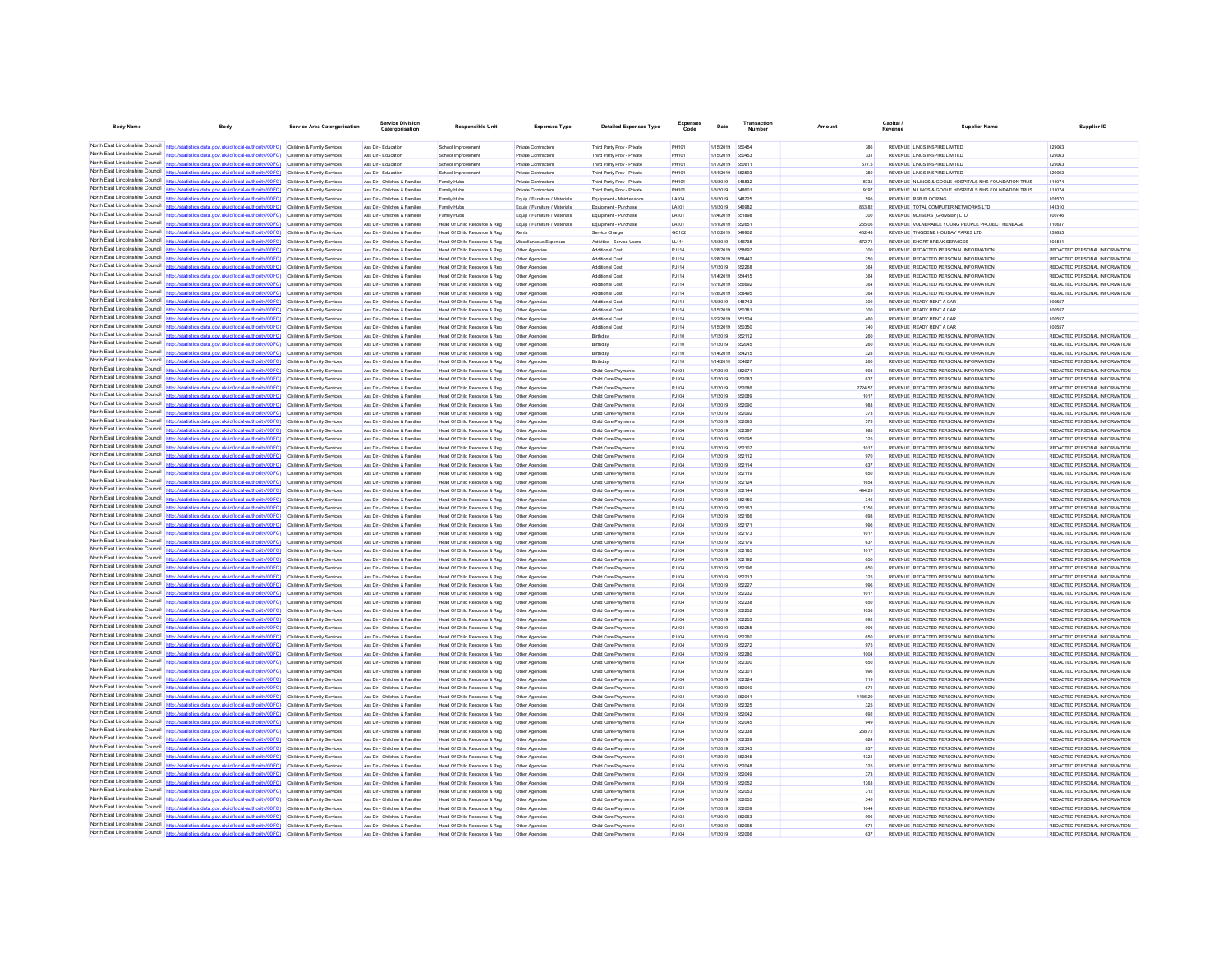| <b>Body Name</b>                                                   | Body                                                                                                                                                                                                                                   | Service Area Catergorisation                             | Service Division                                               | <b>Responsible Unit</b>                                      | <b>Expenses Type</b>                       | <b>Detailed Expenses Type</b>                            | Expenses              | Date                          | Transaction             | Amount            | Capital<br>Supplier Name                                                         | Supplier ID                                                    |
|--------------------------------------------------------------------|----------------------------------------------------------------------------------------------------------------------------------------------------------------------------------------------------------------------------------------|----------------------------------------------------------|----------------------------------------------------------------|--------------------------------------------------------------|--------------------------------------------|----------------------------------------------------------|-----------------------|-------------------------------|-------------------------|-------------------|----------------------------------------------------------------------------------|----------------------------------------------------------------|
|                                                                    |                                                                                                                                                                                                                                        |                                                          |                                                                |                                                              |                                            |                                                          |                       |                               |                         |                   |                                                                                  |                                                                |
|                                                                    | North East Lincolnshire Council http://statistics.data.gov.uk/id/local-authority/00FC) Children & Family Services                                                                                                                      |                                                          | Ass Dir - Education                                            | School Improvement                                           | <b>Private Contractors</b>                 | Third Party Prov - Private                               | PH101                 | 1/15/2019 550454              | 650453                  | 386<br>331        | REVENUE LINCS INSPIRE LIMITED                                                    | 129063<br>129063                                               |
| North East Lincolnshire Council                                    | North East Lincolnshire Council http://statistics.data.gov.uk/id/local-authority/00FC) Children & Family Services<br>http://statistics.data.gov.uk/id/local-authority/00EC) Children & Family Services                                 |                                                          | Ass Dir - Educatio<br>Ass Dir - Education                      | School Improvement<br>School Improvement                     | Private Contractors<br>Private Contractors | Third Party Prov - Private<br>Third Party Prov - Private | PH101<br><b>PH101</b> | 1/15/2019<br>1/17/2019 550611 |                         | 577.5             | REVENUE LINCS INSPIRE LIMITED<br>REVENUE LINCS INSPIRE LIMITED                   | 129063                                                         |
| North East Lincolnshire Council                                    | stics.data.gov.uk/id/local-authority/00FC)                                                                                                                                                                                             | Children & Family Services                               | Ass Dir - Education                                            | School Improvement                                           | <b>Private Contractors</b>                 | Third Party Prov - Private                               | PH101                 | 1/31/2019                     | 652593                  | 350               | REVENUE LINCS INSPIRE LIMITED                                                    | 129063                                                         |
|                                                                    | North East Lincolnshire Council http://statistics.data.gov.uk/id/local-authority/00FC) Children & Family Services                                                                                                                      |                                                          | Ass Dir - Children & Families                                  | Family Hubs                                                  | Private Contractors                        | Third Party Prov - Private                               | PH101                 | 1/8/2019                      | 548832                  | 8735              | REVENUE N LINCS & GOOLE HOSPITALS NHS FOUNDATION TRUS                            | 111074                                                         |
|                                                                    | North East Lincolnshire Council http://statistics.data.gov.uk/id/local-authority/00FC) Children & Family Services                                                                                                                      |                                                          | Ass Dir - Children & Families                                  | Family Hubs                                                  | <b>Private Contractors</b>                 | Third Party Prov - Private                               | PH101                 | 1/3/2019                      | 548601                  | 9197              | REVENUE N LINCS & GOOLE HOSPITALS NHS FOUNDATION TRUS                            | 111074                                                         |
|                                                                    | North East Lincolnshire Council http://statistics.data.gov.uk/id/local-authority/00FC) Children & Family Services                                                                                                                      |                                                          | Ass Dir - Children & Families                                  | Family Hubs                                                  | Equip / Furniture / Materials              | Equipment - Maintenance                                  | LA104                 | 1/3/2019                      | 548725                  | 595               | REVENUE RSB FLOORING                                                             | 103570                                                         |
| North East Lincolnshire Council                                    | http://statistics.data.gov.uk/id/local-authority/00FC) Children & Family Services                                                                                                                                                      |                                                          | Ass Dir - Children & Families                                  | Family Hubs                                                  | Equip / Furniture / Materials              | Equipment - Purchase                                     | LA101                 | 1/3/2019                      | <b>546982</b>           | 863.82            | REVENUE TOTAL COMPUTER NETWORKS LTD                                              | 141310                                                         |
|                                                                    | North East Lincolnshire Council http://statistics.data.gov.uk/id/local-authority/00FC)<br>North East Lincolnshire Council http://statistics.data.gov.uk/id/local-authority/00FC)                                                       | Children & Family Services<br>Children & Family Services | Ass Dir - Children & Families<br>Ass Dir - Children & Families | Family Hubs<br>Head Of Child Resource & Reg                  | Equip / Furniture / Materials              | Equipment - Purchase<br>Equipment - Purchase             | LA101<br>LA101        | 1/24/2019<br>1/31/2019        | 551896<br>552651        | 300<br>255.06     | REVENUE MOISERS (GRIMSBY) LTD<br>REVENUE VULNERABLE YOUNG PEOPLE PROJECT HENEAGE | 100746<br>110637                                               |
| North Fast Lincolnshire Council                                    | http://statistics.data.gov.uk/id/local-authority/00FC) Children & Family Services                                                                                                                                                      |                                                          | Ass Dir - Children & Families                                  | Head Of Child Resource & Reg                                 | Equip / Furniture / Materials<br>Rents     | Service Charge                                           | GC102                 | 1/10/2019                     | 549902                  | 452.48            | REVENUE TINGDENE HOLIDAY PARKS LTD                                               | 139855                                                         |
|                                                                    | North East Lincolnshire Council http://statistics.data.gov.uk/id/local-authority/00FC)                                                                                                                                                 | Children & Family Services                               | Ass Dir - Children & Families                                  | Head Of Child Resource & Reg                                 | Miscellaneous Expenses                     | Activities - Service Usen                                | LL114                 | 1/3/2019                      | <b>548735</b>           | 572.71            | REVENUE SHORT BREAK SERVICES                                                     | 101511                                                         |
| North East Lincolnshire Council                                    | http://statistics.data.gov.uk/id/local-authority/00FC)                                                                                                                                                                                 | Children & Family Services                               | Ass Dir - Children & Families                                  | Head Of Child Resource & Reg                                 | Other Agencies                             | Additional Cost                                          | PJ114                 | 1/28/2019 658697              |                         | 300               | REVENUE REDACTED PERSONAL INFORMATION                                            | REDACTED PERSONAL INFORMATION                                  |
| North East Lincolnshire Council                                    | tatistics data nov uk/id/incal-authority/00EC)                                                                                                                                                                                         | Children & Family Services                               | Ass Dir - Children & Families                                  | Head Of Child Resource & Reg                                 | Other Agencies                             | Additional Cost                                          | PJ114                 | 1/28/2019                     | 658442                  | 250               | REVENUE REDACTED PERSONAL INFORMATION                                            | REDACTED PERSONAL INFORMATION                                  |
|                                                                    | North East Lincolnshire Council http://statistics.data.gov.uk/id/local-authority/00FC) Children & Family Services                                                                                                                      |                                                          | Ass Dir - Children & Families                                  | Head Of Child Resource & Reg                                 | Other Agencies                             | Additional Cost                                          | PJ114                 | 1/7/2019                      | 652268                  | 364               | REVENUE REDACTED PERSONAL INFORMATION                                            | REDACTED PERSONAL INFORMATION                                  |
|                                                                    | North East Lincolnshire Council http://statistics.data.gov.uk/id/local-authority/00FC) Children & Family Services                                                                                                                      |                                                          | Ass Dir - Children & Families                                  | Head Of Child Resource & Reg                                 | Other Agencies                             | Additional Cost                                          | PJ114                 | 1/14/2019                     | 654415                  | 364               | REVENUE REDACTED PERSONAL INFORMATION                                            | REDACTED PERSONAL INFORMATION                                  |
| North East Lincolnshire Council                                    | North East Lincolnshire Council http://statistics.data.gov.uk/id/local-authority/00FC) Children & Family Services<br>http://statistics.data.gov.uk/id/local-authority/00FC) Children & Family Services                                 |                                                          | Ass Dir - Children & Families<br>Ass Dir - Children & Families | Head Of Child Resource & Reg<br>Head Of Child Resource & Reg | Other Agencies<br>Other Agencies           | Additional Cos<br>Additional Cost                        | PJ114<br>PJ114        | 1/21/2019<br>1/28/2019        | <b>REBRAC</b><br>658495 | 364<br>364        | REVENUE REDACTED PERSONAL INFORMATION<br>REVENUE REDACTED PERSONAL INFORMATION   | REDACTED PERSONAL INFORMATION<br>REDACTED PERSONAL INFORMATION |
|                                                                    | North East Lincolnshire Council http://statistics.data.gov.uk/id/local-authority/00FC)                                                                                                                                                 | Children & Family Services                               | Ass Dir - Children & Families                                  | Head Of Child Resource & Reg                                 | Other Agencies                             | Additional Cos                                           | PJ114                 | 1/8/2019                      | 548743                  | 300               | REVENUE READY RENT A CAR                                                         | 100557                                                         |
|                                                                    | North East Lincolnshire Council http://statistics.data.gov.uk/id/local-authority/00FC) Children & Family Services                                                                                                                      |                                                          | Ass Dir - Children & Families                                  | Head Of Child Resource & Reg                                 | Other Agencies                             | Additional Cost                                          | P.1114                | 1/15/2019                     | 550381                  | 300               | REVENUE READY RENT A CAR                                                         | 100557                                                         |
|                                                                    | North East Lincolnshire Council http://statistics.data.gov.uk/id/local-authority/00FC)                                                                                                                                                 | Children & Family Services                               | Ass Dir - Children & Families                                  | Head Of Child Resource & Reg                                 | Other Agencies                             | Additional Cost                                          | PJ114                 | 1/22/2019 551524              |                         | 460               | REVENUE READY RENT A CAR                                                         | 100557                                                         |
|                                                                    | North East Lincolnshire Council http://statistics.data.gov.uk/id/local-authority/00FC) Children & Family Services                                                                                                                      |                                                          | Ass Dir - Children & Families                                  | Head Of Child Resource & Reg                                 | Other Agencies                             | Additional Cost                                          | PJ114                 | 1/15/2019                     | 550350                  | 740               | REVENUE READY RENT A CAR                                                         | 100557                                                         |
| North East Lincolnshire Council                                    | http://statistics.data.gov.uk/id/local-authority/00FC)                                                                                                                                                                                 | Children & Family Services                               | Ass Dir - Children & Families                                  | Head Of Child Resource & Reg                                 | Other Agencies                             | Birthday                                                 | PJ110                 | 1/7/2019                      | 652112                  | 260               | REVENUE REDACTED PERSONAL INFORMATION                                            | REDACTED PERSONAL INFORMATION                                  |
| North East Lincolnshire Council                                    | North East Lincolnshire Council http://statistics.data.gov.uk/id/local-authority/00FC)                                                                                                                                                 | Children & Family Services                               | Ass Dir - Children & Families                                  | Head Of Child Resource & Reg                                 | Other Agencies                             | Birthday                                                 | PJ110                 | 1/7/2019                      | 652045                  | 260               | REVENUE REDACTED PERSONAL INFORMATION                                            | REDACTED PERSONAL INFORMATION                                  |
|                                                                    | http://statistics.data.gov.uk/id/local-authority/00FC) Children & Family Services<br>North East Lincolnshire Council http://statistics.data.gov.uk/id/local-authority/00FC) Children & Family Services                                 |                                                          | Ass Dir - Children & Families<br>Ass Dir - Children & Families | Head Of Child Resource & Reg<br>Head Of Child Resource & Reg | Other Agencies<br>Other Agencies           | Birthday<br>Birthday                                     | PJ110<br>PJ110        | 1/14/2019<br>1/14/2019        | 654215<br>65462         | 328<br>260        | REVENUE REDACTED PERSONAL INFORMATION<br>REVENUE REDACTED PERSONAL INFORMATION   | REDACTED PERSONAL INFORMATION<br>REDACTED PERSONAL INFORMATION |
|                                                                    | North East Lincolnshire Council http://statistics.data.gov.uk/id/local-authority/00FC) Children & Family Services                                                                                                                      |                                                          | Ass Dir - Children & Families                                  | Head Of Child Resource & Reg                                 | Other Agencies                             | Child Care Payments                                      | PJ104                 | 1/7/2019                      | 652071                  | 698               | REVENUE REDACTED PERSONAL INFORMATION                                            | REDACTED PERSONAL INFORMATION                                  |
| North East Lincolnshire Council                                    | http://statistics.data.gov.uk/id/local-authority/00FC)                                                                                                                                                                                 | Children & Family Services                               | Ass Dir - Children & Families                                  | Head Of Child Resource & Reg                                 | Other Agencies                             | Child Care Payments                                      | PJ104                 | 1/7/2019                      | 652083                  | 637               | REVENUE REDACTED PERSONAL INFORMATION                                            | REDACTED PERSONAL INFORMATION                                  |
| North East Lincolnshire Council                                    | httn://statistics.data.gov.uk/id/local-authority/00FC)                                                                                                                                                                                 | Children & Family Services                               | Ass Dir - Children & Families                                  | Head Of Child Resource & Reg                                 | Other Agencies                             | Child Care Payments                                      | PJ104                 | 1/7/2019                      | 652086                  | 2724.57           | REVENUE REDACTED PERSONAL INFORMATION                                            | REDACTED PERSONAL INFORMATION                                  |
|                                                                    | North East Lincolnshire Council http://statistics.data.gov.uk/id/local-authority/00FC) Children & Family Services                                                                                                                      |                                                          | Ass Dir - Children & Families                                  | Head Of Child Resource & Reg                                 | Other Agencies                             | Child Care Payments                                      | PJ104                 | 1/7/2019                      | 652089                  | 1017              | REVENUE REDACTED PERSONAL INFORMATION                                            | REDACTED PERSONAL INFORMATION                                  |
| North East Lincolnshire Council                                    | http://statistics.data.gov.uk/id/local-authority/00FC) Children & Family Services                                                                                                                                                      |                                                          | Ass Dir - Children & Families                                  | Head Of Child Resource & Reg                                 | Other Agencies                             | Child Care Payments                                      | PJ104                 | 1/7/2019                      | 652090                  | 983               | REVENUE REDACTED PERSONAL INFORMATION                                            | REDACTED PERSONAL INFORMATION                                  |
| North East Lincolnshire Council<br>North East Lincolnshire Council | httn://statistics.data.gov.uk/id/local-authority/00FC) Children & Family Services                                                                                                                                                      |                                                          | Ass Dir - Children & Families                                  | Head Of Child Resource & Reg                                 | Other Agencies                             | Child Care Payments                                      | PJ104                 | 1/7/2019                      | 652092                  | 373               | REVENUE REDACTED PERSONAL INFORMATION                                            | REDACTED PERSONAL INFORMATION                                  |
|                                                                    | http://statistics.data.gov.uk/id/local-authority/00FC)<br>North East Lincolnshire Council http://statistics.data.gov.uk/id/local-authority/00FC)                                                                                       | Children & Family Services<br>Children & Family Services | Ass Dir - Children & Families<br>Ass Dir - Children & Families | Head Of Child Resource & Reg<br>Head Of Child Resource & Reg | Other Agencies<br>Other Agencies           | Child Care Payments<br>Child Care Payments               | PJ104<br>PJ104        | 1/7/2019<br>1/7/2019          | 652093<br>652397        | 373<br>983        | REVENUE REDACTED PERSONAL INFORMATION<br>REVENUE REDACTED PERSONAL INFORMATION   | REDACTED PERSONAL INFORMATION<br>REDACTED PERSONAL INFORMATION |
| North East Lincolnshire Council                                    | http://statistics.data.gov.uk/id/local-authority/00EC) Children & Family Services                                                                                                                                                      |                                                          | Ass Dir - Children & Families                                  | Head Of Child Resource & Reg                                 | Other Agencies                             | Child Care Payments                                      | P.1104                | 1/7/2019                      | 652095                  | 325               | REVENUE REDACTED PERSONAL INFORMATION                                            | REDACTED PERSONAL INFORMATION                                  |
| North East Lincolnshire Council                                    | statistics.data.gov.uk/id/local-authority/00FC) Children & Family Services                                                                                                                                                             |                                                          | Ass Dir - Children & Families                                  | Head Of Child Resource & Reg                                 | Other Agencies                             | Child Care Payments                                      | PJ104                 | 1/7/2019                      | 652107                  | 1017              | REVENUE REDACTED PERSONAL INFORMATION                                            | REDACTED PERSONAL INFORMATION                                  |
|                                                                    | North East Lincolnshire Council http://statistics.data.gov.uk/id/local-authority/00FC) Children & Family Services                                                                                                                      |                                                          | Ass Dir - Children & Families                                  | Head Of Child Resource & Reg                                 | Other Agencies                             | Child Care Payments                                      | P.1104                | 1/7/2019                      | 652112                  | 970               | REVENUE REDACTED PERSONAL INFORMATION                                            | REDACTED PERSONAL INFORMATION                                  |
| North Fast Lincolnshire Council                                    | http://statistics.data.gov.uk/id/local-authority/00FC) Children & Family Services                                                                                                                                                      |                                                          | Ass Dir - Children & Families                                  | Head Of Child Resource & Reg                                 | Other Agencies                             | Child Care Payments                                      | PJ104                 | 1/7/2019                      | 652114                  | 637               | REVENUE REDACTED PERSONAL INFORMATION                                            | REDACTED PERSONAL INFORMATION                                  |
| North East Lincolnshire Council                                    | http://statistics.data.gov.uk/id/local-authority/00FC)                                                                                                                                                                                 | Children & Family Services                               | Ass Dir - Children & Families                                  | Head Of Child Resource & Reg                                 | Other Agencies                             | Child Care Payments                                      | PJ104                 | 1/7/2019                      | 652119                  | 650               | REVENUE REDACTED PERSONAL INFORMATION                                            | REDACTED PERSONAL INFORMATION                                  |
|                                                                    | North East Lincolnshire Council http://statistics.data.gov.uk/id/local-authority/00FC) Children & Family Services                                                                                                                      |                                                          | Ass Dir - Children & Families                                  | Head Of Child Resource & Reg                                 | Other Agencies                             | Child Care Payments                                      | PJ104                 | 1/7/2019                      | 652124                  | 1654              | REVENUE REDACTED PERSONAL INFORMATION                                            | REDACTED PERSONAL INFORMATION                                  |
| North East Lincolnshire Council                                    | North East Lincolnshire Council http://statistics.data.gov.uk/id/local-authority/00FC) Children & Family Services<br>http://statistics.data.gov.uk/id/local-authority/00FC) Children & Family Services                                 |                                                          | Ass Dir - Children & Families<br>Ass Dir - Children & Families | Head Of Child Resource & Reg<br>Head Of Child Resource & Reg | Other Agencies<br>Other Agencies           | Child Care Payments<br>Child Care Payments               | PJ104<br>PJ104        | 1/7/2019<br>1/7/2019          | 65214<br>652150         | 494.29<br>346     | REVENUE REDACTED PERSONAL INFORMATION<br>REVENUE REDACTED PERSONAL INFORMATION   | REDACTED PERSONAL INFORMATION<br>REDACTED PERSONAL INFORMATION |
| North Fast Lincolnshire Council                                    | (C3300\vtinodtus-lead\bi\Mu von eteb asi                                                                                                                                                                                               | Children & Family Services                               | Ass Dir - Children & Families                                  | Head Of Child Resource & Reg                                 | Other Agencies                             | Child Care Payments                                      | PJ104                 | 1/7/2019                      | 652163                  | 1356              | REVENUE REDACTED PERSONAL INFORMATION                                            | REDACTED PERSONAL INFORMATION                                  |
|                                                                    | North East Lincolnshire Council http://statistics.data.gov.uk/id/local-authority/00FC)                                                                                                                                                 | Children & Family Services                               | Ass Dir - Children & Families                                  | Head Of Child Resource & Reg                                 | Other Agencies                             | Child Care Payments                                      | PJ104                 | 1/7/2019                      | 652166                  | 698               | REVENUE REDACTED PERSONAL INFORMATION                                            | REDACTED PERSONAL INFORMATION                                  |
|                                                                    | North East Lincolnshire Council http://statistics.data.gov.uk/id/local-authority/00FC) Children & Family Services                                                                                                                      |                                                          | Ass Dir - Children & Families                                  | Head Of Child Resource & Reg                                 | Other Agencies                             | Child Care Payments                                      | PJ104                 | 1/7/2019                      | 652171                  | 996               | REVENUE REDACTED PERSONAL INFORMATION                                            | REDACTED PERSONAL INFORMATION                                  |
|                                                                    | North East Lincolnshire Council http://statistics.data.gov.uk/id/local-authority/00FC) Children & Family Services                                                                                                                      |                                                          | Ass Dir - Children & Families                                  | Head Of Child Resource & Reg                                 | Other Agencies                             | Child Care Payments                                      | PJ104                 | 1/7/2019                      | 652173                  | 1017              | REVENUE REDACTED PERSONAL INFORMATION                                            | REDACTED PERSONAL INFORMATION                                  |
| North East Lincolnshire Council                                    | North East Lincolnshire Council http://statistics.data.gov.uk/id/local-authority/00FC) Children & Family Services                                                                                                                      |                                                          | Ass Dir - Children & Families                                  | Head Of Child Resource & Reg                                 | Other Agencies                             | Child Care Payments                                      | PJ104                 | 1/7/2019                      | 652179                  | 637               | REVENUE REDACTED PERSONAL INFORMATION                                            | REDACTED PERSONAL INFORMATION                                  |
|                                                                    | http://statistics.data.gov.uk/id/local-authority/00FC)<br>North East Lincolnshire Council http://statistics.data.gov.uk/id/local-authority/00FC)                                                                                       | Children & Family Services                               | Ass Dir - Children & Families<br>Ass Dir - Children & Families | Head Of Child Resource & Reg                                 | Other Agencies                             | Child Care Payments                                      | PJ104                 | 1/7/2019<br>1/7/2019          | 652185<br>652192        | 1017<br>650       | REVENUE REDACTED PERSONAL INFORMATION<br>REVENUE REDACTED PERSONAL INFORMATION   | REDACTED PERSONAL INFORMATION<br>REDACTED PERSONAL INFORMATION |
| North East Lincolnshire Council                                    | http://statistics.data.gov.uk/id/local-authority/00FC) Children & Family Services                                                                                                                                                      | Children & Family Services                               | Ass Dir - Children & Families                                  | Head Of Child Resource & Reg<br>Head Of Child Resource & Reg | Other Agencies                             | Child Care Payment<br>Child Care Payments                | PJ104<br>PJ104        | 1/7/2019                      | 652196                  | 650               | REVENUE REDACTED PERSONAL INFORMATION                                            | REDACTED PERSONAL INFORMATION                                  |
|                                                                    | North East Lincolnshire Council http://statistics.data.gov.uk/id/local-authority/00FC)                                                                                                                                                 | Children & Family Services                               | Ass Dir - Children & Families                                  | Head Of Child Resource & Reg                                 | Other Agencies                             | Child Care Payments                                      | PJ104                 | 1/7/2019                      | 652213                  | 325               | REVENUE REDACTED PERSONAL INFORMATION                                            | REDACTED PERSONAL INFORMATION                                  |
|                                                                    | North East Lincolnshire Council http://statistics.data.gov.uk/id/local-authority/00FC) Children & Family Services                                                                                                                      |                                                          | Ass Dir - Children & Families                                  | Head Of Child Resource & Reg                                 | Other Agencies                             | Child Care Payments                                      | P.1104                | 1/7/2019                      | 652227                  | 996               | REVENUE REDACTED PERSONAL INFORMATION                                            | REDACTED PERSONAL INFORMATION                                  |
| North East Lincolnshire Council                                    | http://statistics.data.gov.uk/id/local-authority/00FC)                                                                                                                                                                                 | Children & Family Services                               | Ass Dir - Children & Families                                  | Head Of Child Resource & Reg                                 | Other Agencies                             | Child Care Payments                                      | PJ104                 | 1/7/2019                      | 652232                  | 1017              | REVENUE REDACTED PERSONAL INFORMATION                                            | REDACTED PERSONAL INFORMATION                                  |
|                                                                    | North East Lincolnshire Council http://statistics.data.gov.uk/id/local-authority/00FC)                                                                                                                                                 | Children & Family Services                               | Ass Dir - Children & Families                                  | Head Of Child Resource & Reg                                 | Other Agencies                             | Child Care Payments                                      | PJ104                 | 1/7/2019                      | 652238                  | 650               | REVENUE REDACTED PERSONAL INFORMATION                                            | REDACTED PERSONAL INFORMATION                                  |
|                                                                    | North East Lincolnshire Council http://statistics.data.gov.uk/id/local-authority/00FC) Children & Family Services                                                                                                                      |                                                          | Ass Dir - Children & Families                                  | Head Of Child Resource & Reg                                 | Other Agencies                             | Child Care Payments                                      | PJ104                 | 1/7/2019                      | 652252                  | 1038              | REVENUE REDACTED PERSONAL INFORMATION                                            | REDACTED PERSONAL INFORMATION                                  |
| North East Lincolnshire Council                                    | North East Lincolnshire Council http://statistics.data.gov.uk/id/local-authority/00FC) Children & Family Services<br>/statistics.data.gov.uk/id/local-authority/00FC) Children & Family Services                                       |                                                          | Ass Dir - Children & Families<br>Ass Dir - Children & Families | Head Of Child Resource & Reg                                 | Other Agencies                             | Child Care Payments<br>Child Care Payments               | PJ104<br>PJ104        | 1/7/2019<br>1/7/2019          | 652253<br>652255        | 692<br><b>GOR</b> | REVENUE REDACTED PERSONAL INFORMATION<br>REVENUE REDACTED PERSONAL INFORMATION   | REDACTED PERSONAL INFORMATION<br>REDACTED PERSONAL INFORMATION |
|                                                                    | North East Lincolnshire Council http://statistics.data.gov.uk/id/local-authority/00FC)                                                                                                                                                 | Children & Family Services                               | Ass Dir - Children & Families                                  | Head Of Child Resource & Reg<br>Head Of Child Resource & Reg | Other Agencies<br>Other Agencies           | Child Care Payments                                      | PJ104                 | 1/7/2019                      |                         | 650               | REVENUE REDACTED PERSONAL INFORMATION                                            | REDACTED PERSONAL INFORMATION                                  |
|                                                                    | North East Lincolnshire Council http://statistics.data.gov.uk/id/local-authority/00FC) Children & Family Services                                                                                                                      |                                                          | Ass Dir - Children & Families                                  | Head Of Child Resource & Reg                                 | Other Agencies                             | Child Care Payments                                      | PJ104                 | 1/7/2019                      | 652272                  | 975               | REVENUE REDACTED PERSONAL INFORMATION                                            | REDACTED PERSONAL INFORMATION                                  |
|                                                                    | North East Lincolnshire Council http://statistics.data.gov.uk/id/local-authority/00FC) Children & Family Services                                                                                                                      |                                                          | Ass Dir - Children & Families                                  | Head Of Child Resource & Reg                                 | Other Agencies                             | Child Care Payments                                      | PJ104                 | 1/7/2019                      | 652280                  | 1004              | REVENUE REDACTED PERSONAL INFORMATION                                            | REDACTED PERSONAL INFORMATION                                  |
|                                                                    | North East Lincolnshire Council http://statistics.data.gov.uk/id/local-authority/00FC) Children & Family Services                                                                                                                      |                                                          | Ass Dir - Children & Families                                  | Head Of Child Resource & Reg                                 | Other Agencies                             | Child Care Payments                                      | PJ104                 | 1/7/2019                      | 652300                  | 650               | REVENUE REDACTED PERSONAL INFORMATION                                            | REDACTED PERSONAL INFORMATION                                  |
| North East Lincolnshire Council                                    | http://statistics.data.gov.uk/id/local-authority/00FC)                                                                                                                                                                                 | Children & Family Services                               | Ass Dir - Children & Families                                  | Head Of Child Resource & Reg                                 | Other Agencies                             | Child Care Payments                                      | PJ104                 | 1/7/2019                      | 652301                  | 996               | REVENUE REDACTED PERSONAL INFORMATION                                            | REDACTED PERSONAL INFORMATION                                  |
| North East Lincolnshire Council<br>North East Lincolnshire Council | ttp://statistics.data.gov.uk/id/local-authority/00FC)                                                                                                                                                                                  | Children & Family Services                               | Ass Dir - Children & Families                                  | Head Of Child Resource & Reg                                 | Other Agencies                             | Child Care Payments                                      | PJ104                 | 1/7/2019                      | 652324                  | 719               | REVENUE REDACTED PERSONAL INFORMATION                                            | REDACTED PERSONAL INFORMATION                                  |
|                                                                    | httn://statistics.data.gov.uk/id/local-authority/00FC) Children & Family Services                                                                                                                                                      |                                                          | Ass Dir - Children & Families<br>Ass Dir - Children & Families | Head Of Child Resource & Reg                                 | Other Agencies                             | Child Care Payments                                      | PJ104                 | 1/7/2019                      | 652040                  | 671<br>1186.29    | REVENUE REDACTED PERSONAL INFORMATION<br>REVENUE REDACTED PERSONAL INFORMATION   | REDACTED PERSONAL INFORMATION<br>REDACTED PERSONAL INFORMATION |
|                                                                    | North East Lincolnshire Council http://statistics.data.gov.uk/id/local-authority/00FC) Children & Family Services<br>North East Lincolnshire Council http://statistics.data.gov.uk/id/local-authority/00FC) Children & Family Services |                                                          | Ass Dir - Children & Families                                  | Head Of Child Resource & Reg<br>Head Of Child Resource & Reg | Other Agencies<br>Other Agencies           | Child Care Payments<br>Child Care Payments               | PJ104<br>PJ104        | 1/7/2019<br>1/7/2019          | 652041<br>652325        | 325               | REVENUE REDACTED PERSONAL INFORMATION                                            | REDACTED PERSONAL INFORMATION                                  |
| North East Lincolnshire Council                                    | http://statistics.data.gov.uk/id/local-authority/00FC) Children & Family Services                                                                                                                                                      |                                                          | Ass Dir - Children & Families                                  | Head Of Child Resource & Reg                                 | Other Agencies                             | Child Care Payments                                      | PJ104                 | 1/7/2019                      | 652042                  | 692               | REVENUE REDACTED PERSONAL INFORMATION                                            | REDACTED PERSONAL INFORMATION                                  |
| North East Lincolnshire Council                                    |                                                                                                                                                                                                                                        | Children & Family Services                               | Ass Dir - Children & Families                                  | Head Of Child Resource & Reg                                 | Other Agencies                             | Child Care Payments                                      | PJ104                 | 1/7/2019                      | 652045                  | 949               | REVENUE REDACTED PERSONAL INFORMATION                                            | REDACTED PERSONAL INFORMATION                                  |
|                                                                    | North East Lincolnshire Council http://statistics.data.gov.uk/id/local-authority/00FC) Children & Family Services                                                                                                                      |                                                          | Ass Dir - Children & Families                                  | Head Of Child Resource & Reg                                 | Other Agencies                             | Child Care Payments                                      | PJ104                 | 1/7/2019                      | 652338                  | 258.72            | REVENUE REDACTED PERSONAL INFORMATION                                            | REDACTED PERSONAL INFORMATION                                  |
|                                                                    | North East Lincolnshire Council http://statistics.data.gov.uk/id/local-authority/00FC) Children & Family Services                                                                                                                      |                                                          | Ass Dir - Children & Families                                  | Head Of Child Resource & Reg                                 | Other Agencies                             | Child Care Payments                                      | PJ104                 | 1/7/2019                      | 652339                  | 624               | REVENUE REDACTED PERSONAL INFORMATION                                            | REDACTED PERSONAL INFORMATION                                  |
|                                                                    | North East Lincolnshire Council http://statistics.data.gov.uk/id/local-authority/00FC) Children & Family Services                                                                                                                      |                                                          | Ass Dir - Children & Families                                  | Head Of Child Resource & Reg                                 | Other Agencies                             | Child Care Payments                                      | PJ104                 | 1/7/2019                      | 652343                  | 637               | REVENUE REDACTED PERSONAL INFORMATION                                            | REDACTED PERSONAL INFORMATION                                  |
| North East Lincolnshire Council                                    | http://statistics.data.gov.uk/id/local-authority/00FC)<br>North East Lincolnshire Council http://statistics.data.gov.uk/id/local-authority/00FC)                                                                                       | Children & Family Services                               | Ass Dir - Children & Families<br>Ass Dir - Children & Families | Head Of Child Resource & Reg<br>Head Of Child Resource & Reg | Other Agencies                             | Child Care Payments<br>Child Care Payments               | PJ104<br>PJ104        | 1/7/2019<br>1/7/2019          | 652345<br>652048        | 1321<br>325       | REVENUE REDACTED PERSONAL INFORMATION<br>REVENUE REDACTED PERSONAL INFORMATION   | REDACTED PERSONAL INFORMATION<br>REDACTED PERSONAL INFORMATION |
|                                                                    | North East Lincolnshire Council http://statistics.data.gov.uk/id/local-authority/00FC) Children & Family Services                                                                                                                      | Children & Family Services                               | Ass Dir - Children & Families                                  | Head Of Child Resource & Reg                                 | Other Agencies<br>Other Agencies           | Child Care Payments                                      | PJ104                 | 1/7/2019                      | 652049                  | 373               | REVENUE REDACTED PERSONAL INFORMATION                                            | REDACTED PERSONAL INFORMATION                                  |
|                                                                    | North East Lincolnshire Council http://statistics.data.gov.uk/id/local-authority/00FC) Children & Family Services                                                                                                                      |                                                          | Ass Dir - Children & Families                                  | Head Of Child Resource & Reg                                 | Other Agencies                             | Child Care Payments                                      | PJ104                 | 1/7/2019                      | 652052                  | 1363              | REVENUE REDACTED PERSONAL INFORMATION                                            | REDACTED PERSONAL INFORMATION                                  |
|                                                                    | North East Lincolnshire Council http://statistics.data.gov.uk/id/local-authority/00FC) Children & Family Services                                                                                                                      |                                                          | Ass Dir - Children & Families                                  | Head Of Child Resource & Reg                                 | Other Agencies                             | Child Care Payments                                      | PJ104                 | 1/7/2019                      | 652053                  | 312               | REVENUE REDACTED PERSONAL INFORMATION                                            | REDACTED PERSONAL INFORMATION                                  |
| North East Lincolnshire Council                                    | http://statistics.data.gov.uk/id/local-authority/00FC) Children & Family Services                                                                                                                                                      |                                                          | Ass Dir - Children & Families                                  | Head Of Child Resource & Reg                                 | Other Agencies                             | Child Care Payments                                      | PJ104                 | 1/7/2019                      | 652055                  | 346               | REVENUE REDACTED PERSONAL INFORMATION                                            | REDACTED PERSONAL INFORMATION                                  |
|                                                                    | North East Lincolnshire Council http://statistics.data.gov.uk/id/local-authority/00FC)                                                                                                                                                 | Children & Family Services                               | Ass Dir - Children & Families                                  | Head Of Child Resource & Reg                                 | Other Agencies                             | Child Care Payments                                      | PJ104                 | 1/7/2019                      | 652059                  | 1044              | REVENUE REDACTED PERSONAL INFORMATION                                            | REDACTED PERSONAL INFORMATION                                  |
|                                                                    | North East Lincolnshire Council http://statistics.data.gov.uk/id/local-authority/00FC) Children & Family Services                                                                                                                      |                                                          | Ass Dir - Children & Families                                  | Head Of Child Resource & Reg                                 | Other Agencies                             | Child Care Payments                                      | PJ104                 | 1/7/2019                      | 652063                  | 996               | REVENUE REDACTED PERSONAL INFORMATION                                            | REDACTED PERSONAL INFORMATION                                  |
|                                                                    | North East Lincolnshire Council http://statistics.data.gov.uk/id/local-authority/00FC) Children & Family Services<br>North East Lincolnshire Council http://statistics.data.gov.uk/id/local-authority/00FC) Children & Family Services |                                                          | Ass Dir - Children & Families                                  | Head Of Child Resource & Reg                                 | Other Agencies                             | Child Care Payments                                      | PJ104                 | 1/7/2019                      | 652065                  | 671               | REVENUE REDACTED PERSONAL INFORMATION                                            | REDACTED PERSONAL INFORMATION                                  |
|                                                                    |                                                                                                                                                                                                                                        |                                                          | Ass Dir - Children & Families                                  | Head Of Child Resource & Reg                                 | Other Age                                  | Child Care Payment                                       | PJ104                 | 1/7/2019                      | 65206                   | 637               | REVENUE REDACTED PERSONAL INFORMATION                                            | REDACTED PERSONAL INFORMATION                                  |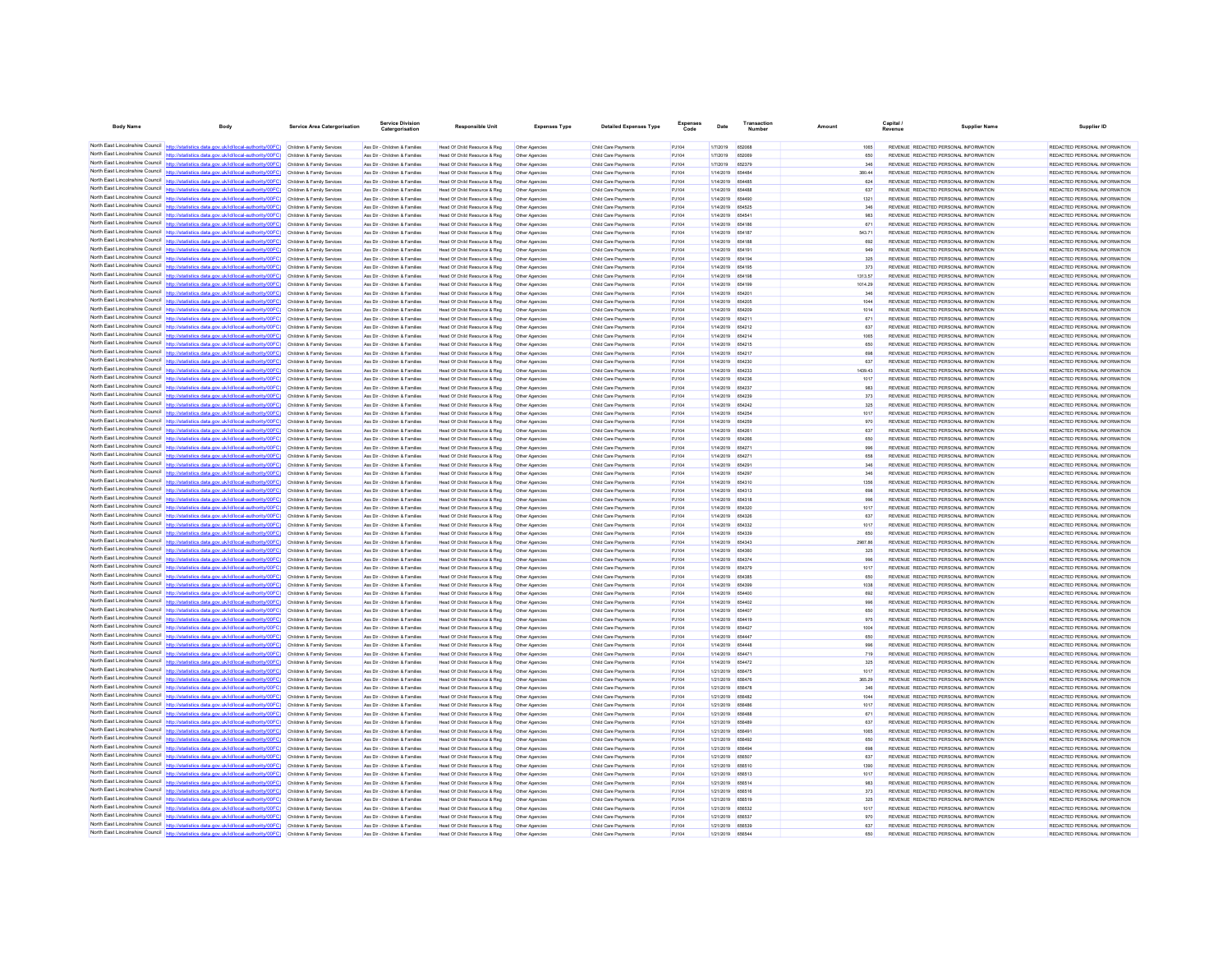| <b>Body Name</b>                                                   | Body                                                                                                                                                                                                                                   | <b>Service Area Catergorisation</b>                      | Service Divisio<br>Catergorisation                             | <b>Responsible Unit</b>                                      | <b>Expenses Type</b>             | <b>Detailed Expenses Type</b>              | Code           | Date                                 | Number        | Amount         | Capital<br>Revenue | <b>Supplier Name</b>                                                           | Supplier ID                                                    |
|--------------------------------------------------------------------|----------------------------------------------------------------------------------------------------------------------------------------------------------------------------------------------------------------------------------------|----------------------------------------------------------|----------------------------------------------------------------|--------------------------------------------------------------|----------------------------------|--------------------------------------------|----------------|--------------------------------------|---------------|----------------|--------------------|--------------------------------------------------------------------------------|----------------------------------------------------------------|
|                                                                    | North East Lincolnshire Council http://statistics.data.gov.uk/id/local-authority/00FC) Children & Family Services                                                                                                                      |                                                          | Ass Dir - Children & Families                                  | Head Of Child Resource & Reg                                 | Other Agencies                   | Child Care Payments                        | PJ104          | 1/7/2019                             | 652068        |                |                    | REVENUE REDACTED PERSONAL INFORMATION                                          | REDACTED PERSONAL INFORMATION                                  |
|                                                                    | North East Lincolnshire Council http://statistics.data.gov.uk/id/local-authority/00FC) Children & Family Services                                                                                                                      |                                                          | Ass Dir - Children & Families                                  | Head Of Child Resource & Reg                                 | Other Agencies                   | Child Care Payments                        | PJ104          | 1/7/2019                             | 652069        | 650            |                    | REVENUE REDACTED PERSONAL INFORMATION                                          | REDACTED PERSONAL INFORMATION                                  |
|                                                                    | North East Lincolnshire Council http://statistics.data.gov.uk/id/local-authority/00FC)                                                                                                                                                 | Children & Family Services                               | Ass Dir - Children & Families                                  | Head Of Child Resource & Reg                                 | Other Agencies                   | Child Care Payments                        | PJ104          | 1/7/2019                             | 652379        | 346            |                    | REVENUE REDACTED PERSONAL INFORMATION                                          | REDACTED PERSONAL INFORMATION                                  |
|                                                                    | North East Lincolnshire Council http://statistics.data.gov.uk/id/local-authority/00FC)                                                                                                                                                 | Children & Family Services                               | Ass Dir - Children & Families                                  | Head Of Child Resource & Reg                                 | Other Agencies                   | Child Care Payments                        | PJ104          | 1/14/2019                            | 654484        | 380.44         |                    | REVENUE REDACTED PERSONAL INFORMATION                                          | REDACTED PERSONAL INFORMATION                                  |
|                                                                    | North East Lincolnshire Council http://statistics.data.gov.uk/id/local-authority/00FC) Children & Family Services                                                                                                                      |                                                          | Ass Dir - Children & Families                                  | Head Of Child Resource & Reg                                 | Other Agencies                   | Child Care Payments                        | PJ104          | 1/14/2019 654485                     |               | 624            |                    | REVENUE REDACTED PERSONAL INFORMATION                                          | REDACTED PERSONAL INFORMATION                                  |
|                                                                    | North East Lincolnshire Council http://statistics.data.gov.uk/id/local-authority/00FC) Children & Family Services                                                                                                                      |                                                          | Ass Dir - Children & Families                                  | Head Of Child Resource & Reg                                 | Other Agencies                   | Child Care Payments                        | PJ104          | 1/14/2019 654486                     |               | 637            |                    | REVENUE REDACTED PERSONAL INFORMATION                                          | REDACTED PERSONAL INFORMATION                                  |
|                                                                    | North East Lincolnshire Council http://statistics.data.gov.uk/id/local-authority/00FC) Children & Family Services                                                                                                                      |                                                          | Ass Dir - Children & Families                                  | Head Of Child Resource & Reg                                 | Other Agencies                   | Child Care Payments                        | PJ104          | 1/14/2019 654490                     |               | 1321           |                    | REVENUE REDACTED PERSONAL INFORMATION                                          | REDACTED PERSONAL INFORMATION                                  |
|                                                                    | North East Lincolnshire Council http://statistics.data.gov.uk/id/local-authority/00FC)                                                                                                                                                 | Children & Family Services                               | Ass Dir - Children & Families                                  | Head Of Child Resource & Reg                                 | Other Agencies                   | Child Care Payments                        | PJ104          | 1/14/2019                            | 654525        | 346            |                    | REVENUE REDACTED PERSONAL INFORMATION                                          | REDACTED PERSONAL INFORMATION                                  |
|                                                                    | North East Lincolnshire Council http://statistics.data.gov.uk/id/local-authority/00FC)                                                                                                                                                 | Children & Family Services                               | Ass Dir - Children & Families                                  | Head Of Child Resource & Reg                                 |                                  | Child Care Payment                         | PJ104          | 1/14/2019                            | <b>RS4541</b> | 983            |                    | REVENUE REDACTED PERSONAL INFORMATION                                          | REDACTED PERSONAL INFORMATION                                  |
|                                                                    | North East Lincolnshire Council http://statistics.data.gov.uk/id/local-authority/00FC) Children & Family Services                                                                                                                      |                                                          | Ass Dir - Children & Families                                  | Head Of Child Resource & Reg                                 | Other Agencies                   | Child Care Payments                        | PJ104          | 1/14/2019 654186                     |               | 671            |                    | REVENUE REDACTED PERSONAL INFORMATION                                          | REDACTED PERSONAL INFORMATION                                  |
|                                                                    | North East Lincolnshire Council http://statistics.data.gov.uk/id/local-authority/00FC) Children & Family Services                                                                                                                      |                                                          | Ass Dir - Children & Families                                  | Head Of Child Resource & Reg                                 | Other Agencies                   | Child Care Payments                        | PJ104          | 1/14/2019 654187                     |               | 543.71         |                    | REVENUE REDACTED PERSONAL INFORMATION                                          | REDACTED PERSONAL INFORMATION                                  |
| North East Lincolnshire Council                                    | North East Lincolnshire Council http://statistics.data.gov.uk/id/local-authority/00FC) Children & Family Services                                                                                                                      |                                                          | Ass Dir - Children & Families                                  | Head Of Child Resource & Reg                                 | Other Agencies                   | Child Care Payments                        | PJ104          | 1/14/2019 654188                     |               | 692<br>949     |                    | REVENUE REDACTED PERSONAL INFORMATION                                          | REDACTED PERSONAL INFORMATION                                  |
|                                                                    | http://statistics.data.gov.uk/id/local-authority/00FC)<br>North East Lincolnshire Council http://statistics.data.gov.uk/id/local-authority/00FC)                                                                                       | Children & Family Services<br>Children & Family Services | Ass Dir - Children & Families<br>Ass Dir - Children & Families | Head Of Child Resource & Reg<br>Head Of Child Resource & Reg | Other Agencies                   | Child Care Payments<br>Child Care Payment  | PJ104<br>PJ104 | 1/14/2019 654191<br>1/14/2019        | 654194        | 325            |                    | REVENUE REDACTED PERSONAL INFORMATION<br>REVENUE REDACTED PERSONAL INFORMATION | REDACTED PERSONAL INFORMATION<br>REDACTED PERSONAL INFORMATION |
|                                                                    | North East Lincolnshire Council http://statistics.data.gov.uk/id/local-authority/00FC) Children & Family Services                                                                                                                      |                                                          | Ass Dir - Children & Families                                  | Head Of Child Resource & Reg                                 | Other Agencies<br>Other Agencies | Child Care Payments                        | PJ104          | 1/14/2019 654195                     |               | 373            |                    | REVENUE REDACTED PERSONAL INFORMATION                                          | REDACTED PERSONAL INFORMATION                                  |
|                                                                    | North East Lincolnshire Council http://statistics.data.gov.uk/id/local-authority/00FC) Children & Family Services                                                                                                                      |                                                          | Ass Dir - Children & Families                                  | Head Of Child Resource & Reg                                 | Other Agencies                   | Child Care Payments                        | PJ104          | 1/14/2019 654196                     |               | 1313.57        |                    | REVENUE REDACTED PERSONAL INFORMATION                                          | REDACTED PERSONAL INFORMATION                                  |
|                                                                    | North East Lincolnshire Council http://statistics.data.gov.uk/id/local-authority/00FC) Children & Family Services                                                                                                                      |                                                          | Ass Dir - Children & Families                                  | Head Of Child Resource & Reg                                 | Other Agencies                   | Child Care Payments                        | PJ104          | 1/14/2019 654199                     |               | 1014.29        |                    | REVENUE REDACTED PERSONAL INFORMATION                                          | REDACTED PERSONAL INFORMATION                                  |
| North East Lincolnshire Council                                    | ics.data.gov.uk/id/local-authority/00FC) Children & Family Services                                                                                                                                                                    |                                                          | Ass Dir - Children & Families                                  | Head Of Child Resource & Reg                                 | Other Agencies                   | Child Care Payments                        | PJ104          | 1/14/2019 654201                     |               | 346            |                    | REVENUE REDACTED PERSONAL INFORMATION                                          | REDACTED PERSONAL INFORMATION                                  |
|                                                                    | North East Lincolnshire Council http://statistics.data.gov.uk/id/local-authority/00FC)                                                                                                                                                 | Children & Family Services                               | Ass Dir - Children & Families                                  | Head Of Child Resource & Reg                                 | Other Agencies                   | Child Care Payment                         | PJ104          | 1/14/2019                            | 654205        | 1044           |                    | REVENUE REDACTED PERSONAL INFORMATION                                          | REDACTED PERSONAL INFORMATION                                  |
| North East Lincolnshire Council                                    | http://statistics.data.gov.uk/id/local-authority/00FC) Children & Family Services                                                                                                                                                      |                                                          | Ass Dir - Children & Families                                  | Head Of Child Resource & Reg                                 | Other Agencies                   | Child Care Payments                        | PJ104          | 1/14/2019 654209                     |               | 1014           |                    | REVENUE REDACTED PERSONAL INFORMATION                                          | REDACTED PERSONAL INFORMATION                                  |
|                                                                    | North East Lincolnshire Council http://statistics.data.gov.uk/id/local-authority/00FC) Children & Family Services                                                                                                                      |                                                          | Ass Dir - Children & Families                                  | Head Of Child Resource & Reg                                 | Other Agencies                   | Child Care Payments                        | PJ104          | 1/14/2019 654211                     |               | 671            |                    | REVENUE REDACTED PERSONAL INFORMATION                                          | REDACTED PERSONAL INFORMATION                                  |
|                                                                    | North East Lincolnshire Council http://statistics.data.gov.uk/id/local-authority/00FC) Children & Family Services                                                                                                                      |                                                          | Ass Dir - Children & Families                                  | Head Of Child Resource & Reg                                 | Other Agencies                   | Child Care Payments                        | PJ104          | 1/14/2019 654212                     |               | 637            |                    | REVENUE REDACTED PERSONAL INFORMATION                                          | REDACTED PERSONAL INFORMATION                                  |
| North East Lincolnshire Council http://statis                      | tics.data.gov.uk/id/local-authority/00FC)                                                                                                                                                                                              | Children & Family Services                               | Ass Dir - Children & Families                                  | Head Of Child Resource & Reg                                 | Other Agencies                   | Child Care Payments                        | PJ104          | 1/14/2019 654214                     |               | 1065           |                    | REVENUE REDACTED PERSONAL INFORMATION                                          | REDACTED PERSONAL INFORMATION                                  |
|                                                                    | North East Lincolnshire Council   http://statistics.data.gov.uk/id/local-authority/00FC)                                                                                                                                               | Children & Family Services                               | Ass Dir - Children & Families                                  | Head Of Child Resource & Reg                                 | Other Agencie                    | Child Care Payment                         | PJ104          | 1/14/2019                            | 654215        | 650            |                    | REVENUE REDACTED PERSONAL INFORMATION                                          | REDACTED PERSONAL INFORMATION                                  |
| North East Lincolnshire Council                                    | http://statistics.data.gov.uk/id/local-authority/00FC) Children & Family Services                                                                                                                                                      |                                                          | Ass Dir - Children & Families                                  | Head Of Child Resource & Reg                                 | Other Agencies                   | Child Care Payments                        | PJ104          | 1/14/2019 654217                     |               | 698            |                    | REVENUE REDACTED PERSONAL INFORMATION                                          | REDACTED PERSONAL INFORMATION                                  |
|                                                                    | North East Lincolnshire Council http://statistics.data.gov.uk/id/local-authority/00FC) Children & Family Services                                                                                                                      |                                                          | Ass Dir - Children & Families                                  | Head Of Child Resource & Reg                                 | Other Agencies                   | Child Care Payment                         | PJ104          | 1/14/2019 654230                     |               | 637            |                    | REVENUE REDACTED PERSONAL INFORMATION                                          | REDACTED PERSONAL INFORMATION                                  |
| North East Lincolnshire Council                                    | North East Lincolnshire Council http://statistics.data.gov.uk/id/local-authority/00FC) Children & Family Services                                                                                                                      |                                                          | Ass Dir - Children & Families                                  | Head Of Child Resource & Reg                                 | Other Agencies                   | Child Care Payments                        | P.1104         | 1/14/2019 654233                     |               | 1439.43        |                    | REVENUE REDACTED PERSONAL INFORMATION                                          | REDACTED PERSONAL INFORMATION                                  |
|                                                                    | http://statistics.data.gov.uk/id/local-authority/00FC)<br>North East Lincolnshire Council http://statistics.data.gov.uk/id/local-authority/00FC)                                                                                       | Children & Family Services                               | Ass Dir - Children & Families                                  | Head Of Child Resource & Reg                                 | Other Agencies                   | Child Care Payments                        | PJ104          | 1/14/2019                            | 654236        | 1017           |                    | REVENUE REDACTED PERSONAL INFORMATION                                          | REDACTED PERSONAL INFORMATION                                  |
|                                                                    | North East Lincolnshire Council http://statistics.data.gov.uk/id/local-authority/00FC)                                                                                                                                                 | Children & Family Services<br>Children & Family Services | Ass Dir - Children & Families<br>Ass Dir - Children & Families | Head Of Child Resource & Reg<br>Head Of Child Resource & Reg | Other Agencies<br>Other Agencies | Child Care Payment<br>Child Care Payments  | PJ104<br>PJ104 | 1/14/2019<br>1/14/2019 654239        | 654237        | 983<br>373     |                    | REVENUE REDACTED PERSONAL INFORMATION<br>REVENUE REDACTED PERSONAL INFORMATION | REDACTED PERSONAL INFORMATION<br>REDACTED PERSONAL INFORMATION |
|                                                                    | North East Lincolnshire Council http://statistics.data.gov.uk/id/local-authority/00FC)                                                                                                                                                 | Children & Family Services                               | Ass Dir - Children & Families                                  | Head Of Child Resource & Reg                                 | Other Agencies                   | Child Care Payments                        | PJ104          | 1/14/2019 654242                     |               | 325            |                    | REVENUE REDACTED PERSONAL INFORMATION                                          | REDACTED PERSONAL INFORMATION                                  |
| North East Lincolnshire Council                                    | http://statistics.data.oov.uk/id/local-authority/00EC)                                                                                                                                                                                 | Children & Family Services                               | Ass Dir - Children & Families                                  | Head Of Child Resource & Reg                                 | Other Agencies                   | Child Care Payments                        | PJ104          | 1/14/2019 654254                     |               | 1017           |                    | REVENUE REDACTED PERSONAL INFORMATION                                          | REDACTED PERSONAL INFORMATION                                  |
|                                                                    | North East Lincolnshire Council http://statistics.data.gov.uk/id/local-authority/00FC)                                                                                                                                                 | Children & Family Services                               | Ass Dir - Children & Families                                  | Head Of Child Resource & Reg                                 | Other Agencies                   | Child Care Payments                        | PJ104          | 1/14/2019 654259                     |               | 970            |                    | REVENUE REDACTED PERSONAL INFORMATION                                          | REDACTED PERSONAL INFORMATION                                  |
|                                                                    | North East Lincolnshire Council http://statistics.data.gov.uk/id/local-authority/00FC) Children & Family Services                                                                                                                      |                                                          | Ass Dir - Children & Families                                  | Head Of Child Resource & Reg                                 | Other Agencies                   | Child Care Payments                        | PJ104          | 1/14/2019 654261                     |               | 637            |                    | REVENUE REDACTED PERSONAL INFORMATION                                          | REDACTED PERSONAL INFORMATION                                  |
|                                                                    | North East Lincolnshire Council http://statistics.data.gov.uk/id/local-authority/00FC) Children & Family Services                                                                                                                      |                                                          | Ass Dir - Children & Families                                  | Head Of Child Resource & Reg                                 | Other Agencies                   | Child Care Payments                        | PJ104          | 1/14/2019 654266                     |               | 650            |                    | REVENUE REDACTED PERSONAL INFORMATION                                          | REDACTED PERSONAL INFORMATION                                  |
|                                                                    | North East Lincolnshire Council http://statistics.data.gov.uk/id/local-authority/00FC) Children & Family Services                                                                                                                      |                                                          | Ass Dir - Children & Families                                  | Head Of Child Resource & Reg                                 | Other Agencies                   | Child Care Payments                        | PJ104          | 1/14/2019 65427                      |               | 996            |                    | REVENUE REDACTED PERSONAL INFORMATION                                          | REDACTED PERSONAL INFORMATION                                  |
|                                                                    | North East Lincolnshire Council http://statistics.data.gov.uk/id/local-authority/00FC) Children & Family Services                                                                                                                      |                                                          | Ass Dir - Children & Families                                  | Head Of Child Resource & Reg                                 | Other Agencies                   | Child Care Payments                        | PJ104          | 1/14/2019 654271                     |               | 658            |                    | REVENUE REDACTED PERSONAL INFORMATION                                          | REDACTED PERSONAL INFORMATION                                  |
|                                                                    | North East Lincolnshire Council http://statistics.data.gov.uk/id/local-authority/00FC)                                                                                                                                                 | Children & Family Services                               | Ass Dir - Children & Families                                  | Head Of Child Resource & Reg                                 | Other Agencies                   | Child Care Payments                        | PJ104          | 1/14/2019                            | 654291        | 346            |                    | REVENUE REDACTED PERSONAL INFORMATION                                          | REDACTED PERSONAL INFORMATION                                  |
|                                                                    | North East Lincolnshire Council http://statistics.data.gov.uk/id/local-authority/00FC)                                                                                                                                                 | Children & Family Services                               | Ass Dir - Children & Families                                  | Head Of Child Resource & Reg                                 |                                  | Child Care Payment                         | PJ104          | 1/14/2019                            | 654297        | 346            |                    | REVENUE REDACTED PERSONAL INFORMATION                                          | REDACTED PERSONAL INFORMATION                                  |
|                                                                    | North East Lincolnshire Council http://statistics.data.gov.uk/id/local-authority/00FC) Children & Family Services                                                                                                                      |                                                          | Ass Dir - Children & Families                                  | Head Of Child Resource & Reg                                 | Other Agencies                   | Child Care Payments                        | PJ104          | 1/14/2019 654310                     |               | 1356           |                    | REVENUE REDACTED PERSONAL INFORMATION                                          | REDACTED PERSONAL INFORMATION                                  |
|                                                                    | North East Lincolnshire Council http://statistics.data.gov.uk/id/local-authority/00FC)                                                                                                                                                 | Children & Family Services                               | Ass Dir - Children & Families                                  | Head Of Child Resource & Reg                                 | Other Agencies                   | Child Care Payment                         | PJ104          | 1/14/2019 654313                     |               | 698            |                    | REVENUE REDACTED PERSONAL INFORMATION                                          | REDACTED PERSONAL INFORMATION                                  |
| North East Lincolnshire Council<br>North East Lincolnshire Council | http://statistics.data.gov.uk/id/local-authority/00EC) Children & Family Services                                                                                                                                                      |                                                          | Ass Dir - Children & Families                                  | Head Of Child Resource & Reg                                 | Other Agencies                   | Child Care Payments                        | PJ104          | 1/14/2019 654318                     |               | 996            |                    | REVENUE REDACTED PERSONAL INFORMATION                                          | REDACTED PERSONAL INFORMATION                                  |
|                                                                    | tics.data.gov.uk/id/local-authority/00FC)<br>North East Lincolnshire Council http://statistics.data.gov.uk/id/local-authority/00FC) Children & Family Services                                                                         | Children & Family Services                               | Ass Dir - Children & Families                                  | Head Of Child Resource & Reg                                 | Other Agencies                   | Child Care Payments                        | PJ104          | 1/14/2019 654320                     |               | 1017           |                    | REVENUE REDACTED PERSONAL INFORMATION                                          | REDACTED PERSONAL INFORMATION                                  |
|                                                                    |                                                                                                                                                                                                                                        |                                                          | Ass Dir - Children & Families<br>Ass Dir - Children & Families | Head Of Child Resource & Reg<br>Head Of Child Resource & Reg | Other Agencies                   | Child Care Payments                        | PJ104<br>PJ104 | 1/14/2019 654326<br>1/14/2019 654332 |               | 637<br>1017    |                    | REVENUE REDACTED PERSONAL INFORMATION<br>REVENUE REDACTED PERSONAL INFORMATION | REDACTED PERSONAL INFORMATION<br>REDACTED PERSONAL INFORMATION |
|                                                                    | North East Lincolnshire Council http://statistics.data.gov.uk/id/local-authority/00FC) Children & Family Services<br>North East Lincolnshire Council http://statistics.data.gov.uk/id/local-authority/00FC) Children & Family Services |                                                          | Ass Dir - Children & Families                                  | Head Of Child Resource & Reg                                 | Other Agencies<br>Other Agencies | Child Care Payments<br>Child Care Payments | PJ104          | 1/14/2019 654339                     |               | 650            |                    | REVENUE REDACTED PERSONAL INFORMATION                                          | REDACTED PERSONAL INFORMATION                                  |
|                                                                    | North East Lincolnshire Council http://statistics.data.gov.uk/id/local-authority/00FC)                                                                                                                                                 | Children & Family Services                               | Ass Dir - Children & Families                                  | Head Of Child Resource & Reg                                 | Other Agencies                   | Child Care Payments                        | PJ104          | 1/14/2019 654343                     |               | 2987.86        |                    | REVENUE REDACTED PERSONAL INFORMATION                                          | REDACTED PERSONAL INFORMATION                                  |
|                                                                    | North East Lincolnshire Council http://statistics.data.gov.uk/id/local-authority/00FC)                                                                                                                                                 | Children & Family Services                               | Ass Dir - Children & Families                                  | Head Of Child Resource & Reg                                 | Other Agencies                   | Child Care Payments                        | PJ104          | 1/14/2019                            |               | 325            |                    | REVENUE REDACTED PERSONAL INFORMATION                                          | REDACTED PERSONAL INFORMATION                                  |
|                                                                    | North East Lincolnshire Council http://statistics.data.gov.uk/id/local-authority/00FC) Children & Family Services                                                                                                                      |                                                          | Ass Dir - Children & Families                                  | Head Of Child Resource & Reg                                 | Other Agencies                   | Child Care Payment                         | PJ104          | 1/14/2019                            | 654374        | 996            |                    | REVENUE REDACTED PERSONAL INFORMATION                                          | REDACTED PERSONAL INFORMATION                                  |
|                                                                    | North East Lincolnshire Council http://statistics.data.gov.uk/id/local-authority/00FC) Children & Family Services                                                                                                                      |                                                          | Ass Dir - Children & Families                                  | Head Of Child Resource & Reg                                 | Other Agencies                   | Child Care Payments                        | PJ104          | 1/14/2019 654379                     |               | 1017           |                    | REVENUE REDACTED PERSONAL INFORMATION                                          | REDACTED PERSONAL INFORMATION                                  |
|                                                                    | North East Lincolnshire Council http://statistics.data.gov.uk/id/local-authority/00FC)                                                                                                                                                 | Children & Family Services                               | Ass Dir - Children & Families                                  | Head Of Child Resource & Reg                                 | Other Agencies                   | Child Care Payments                        | PJ104          | 1/14/2019 654385                     |               | 650            |                    | REVENUE REDACTED PERSONAL INFORMATION                                          | REDACTED PERSONAL INFORMATION                                  |
|                                                                    | North East Lincolnshire Council http://statistics.data.gov.uk/id/local-authority/00FC)                                                                                                                                                 | Children & Family Services                               | Ass Dir - Children & Families                                  | Head Of Child Resource & Reg                                 | Other Agencies                   | Child Care Payments                        | PJ104          | 1/14/2019 654399                     |               | 1038           |                    | REVENUE REDACTED PERSONAL INFORMATION                                          | REDACTED PERSONAL INFORMATION                                  |
|                                                                    | North East Lincolnshire Council http://statistics.data.gov.uk/id/local-authority/00FC)                                                                                                                                                 | Children & Family Services                               | Ass Dir - Children & Families                                  | Head Of Child Resource & Reg                                 | Other Agencies                   | Child Care Payments                        | PJ104          | 1/14/2019 654400                     |               | 692            |                    | REVENUE REDACTED PERSONAL INFORMATION                                          | REDACTED PERSONAL INFORMATION                                  |
|                                                                    | North East Lincolnshire Council http://statistics.data.gov.uk/id/local-authority/00FC) Children & Family Services                                                                                                                      |                                                          | Ass Dir - Children & Families                                  | Head Of Child Resource & Reg                                 | Other Agencies                   | Child Care Payment                         | PJ104          | 1/14/2019 654402                     |               | 996            |                    | REVENUE REDACTED PERSONAL INFORMATION                                          | REDACTED PERSONAL INFORMATION                                  |
|                                                                    | North East Lincolnshire Council http://statistics.data.gov.uk/id/local-authority/00FC) Children & Family Services                                                                                                                      |                                                          | Ass Dir - Children & Families                                  | Head Of Child Resource & Reg                                 | Other Agencies                   | Child Care Payments                        | PJ104          | 1/14/2019 654407                     |               | 650            |                    | REVENUE REDACTED PERSONAL INFORMATION                                          | REDACTED PERSONAL INFORMATION                                  |
|                                                                    | North East Lincolnshire Council http://statistics.data.gov.uk/id/local-authority/00FC) Children & Family Services                                                                                                                      |                                                          | Ass Dir - Children & Families                                  | Head Of Child Resource & Reg                                 | Other Agencies                   | Child Care Payment                         | PJ104          | 1/14/2019 654419                     |               | 976            |                    | REVENUE REDACTED PERSONAL INFORMATION                                          | REDACTED PERSONAL INFORMATION                                  |
| North East Lincolnshire Council                                    | http://statistics.data.gov.uk/id/local-authority/00EC) Children & Family Services                                                                                                                                                      |                                                          | Ass Dir - Children & Families                                  | Head Of Child Resource & Reg                                 | Other Agencies                   | Child Care Payments                        | P.1104         | 1/14/2019 654427                     |               | 1004           |                    | REVENUE REDACTED PERSONAL INFORMATION                                          | REDACTED PERSONAL INFORMATION                                  |
|                                                                    | North East Lincolnshire Council http://statistics.data.gov.uk/id/local-authority/00FC)                                                                                                                                                 | Children & Family Services                               | Ass Dir - Children & Families                                  | Head Of Child Resource & Reg                                 | Other Agencies                   | Child Care Payment                         | PJ104          | 1/14/2019                            | 654447        | 650            |                    | REVENUE REDACTED PERSONAL INFORMATION                                          | REDACTED PERSONAL INFORMATION                                  |
|                                                                    | North East Lincolnshire Council nttp://statistics.data.gov.uk/id/local-authority/00FC)                                                                                                                                                 | Children & Family Services                               | Ass Dir - Children & Families                                  | Head Of Child Resource & Reg                                 | Other Agencies                   | Child Care Payments                        | PJ104          | 1/14/2019 R5444R                     |               | 996            |                    | REVENUE REDACTED PERSONAL INFORMATION                                          | REDACTED PERSONAL INFORMATION                                  |
|                                                                    | North East Lincolnshire Council http://statistics.data.gov.uk/id/local-authority/00FC) Children & Family Services                                                                                                                      |                                                          | Ass Dir - Children & Families                                  | Head Of Child Resource & Reg                                 | Other Agencies                   | Child Care Payments                        | PJ104          | 1/14/2019 654471                     |               | 719            |                    | REVENUE REDACTED PERSONAL INFORMATION                                          | REDACTED PERSONAL INFORMATION                                  |
| North East Lincolnshire Council                                    | North East Lincolnshire Council http://statistics.data.gov.uk/id/local-authority/00FC).                                                                                                                                                | Children & Family Services                               | Ass Dir - Children & Families                                  | Head Of Child Resource & Reg                                 | Other Agencies                   | Child Care Payments                        | PJ104          | 1/14/2019 654472                     |               | 325            |                    | REVENUE REDACTED PERSONAL INFORMATION                                          | REDACTED PERSONAL INFORMATION                                  |
|                                                                    | http://statistics.data.gov.uk/id/local-authority/00FC)<br>North East Lincolnshire Council http://statistics.data.gov.uk/id/local-authority/00FC)                                                                                       | Children & Family Services<br>Children & Family Services | Ass Dir - Children & Families<br>Ass Dir - Children & Families | Head Of Child Resource & Reg<br>Head Of Child Resource & Reg | Other Agencies                   | Child Care Payments<br>Child Care Payments | PJ104          | 1/21/2019 656475<br>1/21/2019        | 656476        | 1017<br>365.29 |                    | REVENUE REDACTED PERSONAL INFORMATION<br>REVENUE REDACTED PERSONAL INFORMATION | REDACTED PERSONAL INFORMATION<br>REDACTED PERSONAL INFORMATION |
| North East Lincolnshire Council                                    | httn://statistics.data.gov.uk/id/local-authority/00FC) Children & Family Services                                                                                                                                                      |                                                          | Ass Dir - Children & Families                                  | Head Of Child Resource & Reg                                 | Other Agencies<br>Other Agencies | Child Care Payment                         | PJ104<br>PJ104 | 1/21/2019 656478                     |               | 346            |                    | REVENUE REDACTED PERSONAL INFORMATION                                          | REDACTED PERSONAL INFORMATION                                  |
|                                                                    | North East Lincolnshire Council http://statistics.data.gov.uk/id/local-authority/00FC) Children & Family Services                                                                                                                      |                                                          | Ass Dir - Children & Families                                  | Head Of Child Resource & Reg                                 | Other Agencies                   | Child Care Payments                        | PJ104          | 1/21/2019 656482                     |               | 1044           |                    | REVENUE REDACTED PERSONAL INFORMATION                                          | REDACTED PERSONAL INFORMATION                                  |
|                                                                    | North East Lincolnshire Council http://statistics.data.gov.uk/id/local-authority/00FC) Children & Family Services                                                                                                                      |                                                          | Ass Dir - Children & Families                                  | Head Of Child Resource & Reg                                 | Other Agencies                   | Child Care Payment                         | PJ104          | 1/21/2019 656486                     |               | 1017           |                    | REVENUE REDACTED PERSONAL INFORMATION                                          | REDACTED PERSONAL INFORMATION                                  |
| North East Lincolnshire Council                                    | http://statistics.data.gov.uk/id/local-authority/00FC) Children & Family Services                                                                                                                                                      |                                                          | Ass Dir - Children & Families                                  | Head Of Child Resource & Reg                                 | Other Agencies                   | Child Care Payments                        | PJ104          | 1/21/2019 656488                     |               | 671            |                    | REVENUE REDACTED PERSONAL INFORMATION                                          | REDACTED PERSONAL INFORMATION                                  |
| North East Lincolnshire Council                                    |                                                                                                                                                                                                                                        | Children & Family Services                               | Ass Dir - Children & Families                                  | Head Of Child Resource & Reg                                 | Other Agencies                   | Child Care Payments                        | PJ104          | 1/21/2019                            | 656489        | 637            |                    | REVENUE REDACTED PERSONAL INFORMATION                                          | REDACTED PERSONAL INFORMATION                                  |
|                                                                    | North East Lincolnshire Council http://statistics.data.gov.uk/id/local-authority/00FC)                                                                                                                                                 | Children & Family Services                               | Ass Dir - Children & Families                                  | Head Of Child Resource & Reg                                 | Other Agencies                   | Child Care Payments                        | PJ104          | 1/21/2019 R56491                     |               | 1065           |                    | REVENUE REDACTED PERSONAL INFORMATION                                          | REDACTED PERSONAL INFORMATION                                  |
|                                                                    | North East Lincolnshire Council http://statistics.data.gov.uk/id/local-authority/00FC)                                                                                                                                                 | Children & Family Services                               | Ass Dir - Children & Families                                  | Head Of Child Resource & Reg                                 | Other Agencies                   | Child Care Payments                        | PJ104          | 1/21/2019 656492                     |               | 650            |                    | REVENUE REDACTED PERSONAL INFORMATION                                          | REDACTED PERSONAL INFORMATION                                  |
|                                                                    | North East Lincolnshire Council http://statistics.data.gov.uk/id/local-authority/00FC)                                                                                                                                                 | Children & Family Services                               | Ass Dir - Children & Families                                  | Head Of Child Resource & Reg                                 | Other Agencies                   | Child Care Payment                         | PJ104          | 1/21/2019 656494                     |               | 698            |                    | REVENUE REDACTED PERSONAL INFORMATION                                          | REDACTED PERSONAL INFORMATION                                  |
|                                                                    | North East Lincolnshire Council http://statistics.data.gov.uk/id/local-authority/00FC)                                                                                                                                                 | Children & Family Services                               | Ass Dir - Children & Families                                  | Head Of Child Resource & Reg                                 | Other Agencies                   | Child Care Payments                        | PJ104          | 1/21/2019 656507                     |               | 637            |                    | REVENUE REDACTED PERSONAL INFORMATION                                          | REDACTED PERSONAL INFORMATION                                  |
|                                                                    | North East Lincolnshire Council http://statistics.data.gov.uk/id/local-authority/00FC)                                                                                                                                                 | Children & Family Services                               | Ass Dir - Children & Families                                  | Head Of Child Resource & Reg                                 | Other Agencies                   | Child Care Payment                         | PJ104          | 1/21/2019                            | 656510        | 1390           |                    | REVENUE REDACTED PERSONAL INFORMATION                                          | REDACTED PERSONAL INFORMATION                                  |
|                                                                    | North East Lincolnshire Council http://statistics.data.gov.uk/id/local-authority/00FC) Children & Family Services                                                                                                                      |                                                          | Ass Dir - Children & Families                                  | Head Of Child Resource & Reg                                 | Other Agencies                   | Child Care Payments                        | PJ104          | 1/21/2019 656513                     |               | 1017           |                    | REVENUE REDACTED PERSONAL INFORMATION                                          | REDACTED PERSONAL INFORMATION                                  |
|                                                                    | North East Lincolnshire Council http://statistics.data.gov.uk/id/local-authority/00FC) Children & Family Services                                                                                                                      |                                                          | Ass Dir - Children & Families                                  | Head Of Child Resource & Reg                                 | Other Agencies                   | Child Care Payments                        | PJ104          | 1/21/2019 656514                     |               | 983            |                    | REVENUE REDACTED PERSONAL INFORMATION                                          | REDACTED PERSONAL INFORMATION                                  |
|                                                                    | North East Lincolnshire Council http://statistics.data.gov.uk/id/local-authority/00FC) Children & Family Services                                                                                                                      |                                                          | Ass Dir - Children & Families                                  | Head Of Child Resource & Reg                                 | Other Agencies                   | Child Care Payments                        | PJ104          | 1/21/2019 656516                     |               | 373            |                    | REVENUE REDACTED PERSONAL INFORMATION                                          | REDACTED PERSONAL INFORMATION                                  |
|                                                                    | North East Lincolnshire Council http://statistics.data.gov.uk/id/local-authority/00FC) Children & Family Services                                                                                                                      |                                                          | Ass Dir - Children & Families                                  | Head Of Child Resource & Reg                                 | Other Agencies                   | Child Care Payments                        | PJ104          | 1/21/2019 656519                     |               | 325            |                    | REVENUE REDACTED PERSONAL INFORMATION                                          | REDACTED PERSONAL INFORMATION                                  |
|                                                                    | North East Lincolnshire Council http://statistics.data.gov.uk/id/local-authority/00FC)                                                                                                                                                 | Children & Family Services                               | Ass Dir - Children & Families                                  | Head Of Child Resource & Reg                                 | Other Agencies                   | Child Care Payments                        | PJ104          | 1/21/2019                            |               | 1017           |                    | REVENUE REDACTED PERSONAL INFORMATION                                          | REDACTED PERSONAL INFORMATION                                  |
|                                                                    | North East Lincolnshire Council http://statistics.data.gov.uk/id/local-authority/00FC) Children & Family Services                                                                                                                      |                                                          | Ass Dir - Children & Families                                  | Head Of Child Resource & Reg.                                | Other Agencies                   | Child Care Payments                        | PJ104          | 1/21/2019 656537                     |               | 970            |                    | REVENUE REDACTED PERSONAL INFORMATION<br>REVENUE REDACTED PERSONAL INFORMATION | REDACTED PERSONAL INFORMATION<br>REDACTED PERSONAL INFORMATION |
|                                                                    | North East Lincolnshire Council http://statistics.data.gov.uk/id/local-authority/00FC) Children & Family Services<br>North East Lincolnshire Council http://statistics.data.gov.uk/id/local-authority/00FC) Children & Family Services |                                                          | Ass Dir - Children & Families<br>Ass Dir - Children & Families | Head Of Child Resource & Reg<br>Head Of Child Resource & Reg | Other Agencies<br>Other Agencie  | Child Care Payments<br>Child Care Payment  | PJ104<br>PJ104 | 1/21/2019 656539<br>1/21/2019 656544 |               | 650            |                    | REVENUE REDACTED PERSONAL INFORMATION                                          | REDACTED PERSONAL INFORMATION                                  |
|                                                                    |                                                                                                                                                                                                                                        |                                                          |                                                                |                                                              |                                  |                                            |                |                                      |               |                |                    |                                                                                |                                                                |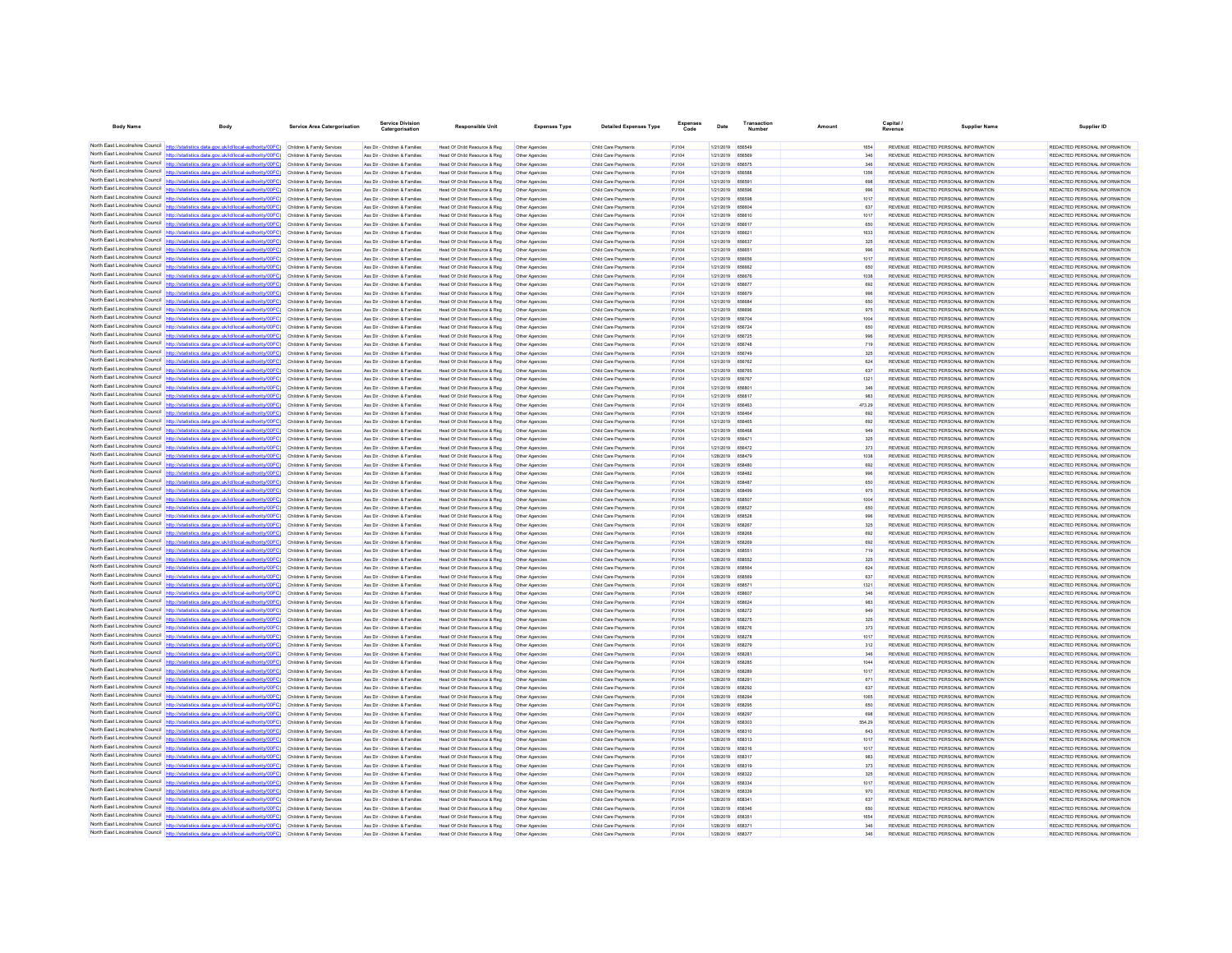| <b>Body Name</b>                | Body                                                                                                                                                                                                                                   | <b>Service Area Catergorisation</b>                      | Service Divisio<br>Catergorisation                             | <b>Responsible Unit</b>                                      | <b>Expenses Type</b>             | <b>Detailed Expenses Type</b>              | Code            | Date                                 | Number                  | Amount      | Capital<br>Revenue                                                             | <b>Supplier Name</b> | Supplier ID                                                    |
|---------------------------------|----------------------------------------------------------------------------------------------------------------------------------------------------------------------------------------------------------------------------------------|----------------------------------------------------------|----------------------------------------------------------------|--------------------------------------------------------------|----------------------------------|--------------------------------------------|-----------------|--------------------------------------|-------------------------|-------------|--------------------------------------------------------------------------------|----------------------|----------------------------------------------------------------|
|                                 | North East Lincolnshire Council http://statistics.data.gov.uk/id/local-authority/00FC) Children & Family Services                                                                                                                      |                                                          | Ass Dir - Children & Families                                  | Head Of Child Resource & Reg                                 | Other Agencies                   | Child Care Payments                        | PJ104           | 1/21/2019 656549                     |                         |             | REVENUE REDACTED PERSONAL INFORMATION                                          |                      | REDACTED PERSONAL INFORMATION                                  |
|                                 | North East Lincolnshire Council http://statistics.data.gov.uk/id/local-authority/00FC) Children & Family Services                                                                                                                      |                                                          | Ass Dir - Children & Families                                  | Head Of Child Resource & Reg                                 | Other Agencies                   | Child Care Payments                        | PJ104           | 1/21/2019 656569                     |                         | 346         | REVENUE REDACTED PERSONAL INFORMATION                                          |                      | REDACTED PERSONAL INFORMATION                                  |
|                                 | North East Lincolnshire Council http://statistics.data.gov.uk/id/local-authority/00FC)                                                                                                                                                 | Children & Family Services                               | Ass Dir - Children & Families                                  | Head Of Child Resource & Reg                                 | Other Agencies                   | Child Care Payments                        | PJ104           | 1/21/2019 656575                     |                         | 346         | REVENUE REDACTED PERSONAL INFORMATION                                          |                      | REDACTED PERSONAL INFORMATION                                  |
|                                 | North East Lincolnshire Council http://statistics.data.gov.uk/id/local-authority/00FC)                                                                                                                                                 | Children & Family Services                               | Ass Dir - Children & Families                                  | Head Of Child Resource & Reg                                 | Other Agencies                   | Child Care Payments                        | PJ104           | 1/21/2019                            | 656586                  | 1356        | REVENUE REDACTED PERSONAL INFORMATION                                          |                      | REDACTED PERSONAL INFORMATION                                  |
|                                 | North East Lincolnshire Council http://statistics.data.gov.uk/id/local-authority/00FC) Children & Family Services                                                                                                                      |                                                          | Ass Dir - Children & Families                                  | Head Of Child Resource & Reg                                 | Other Agencies                   | Child Care Payments                        | PJ104           | 1/21/2019 656591                     |                         | 698         | REVENUE REDACTED PERSONAL INFORMATION                                          |                      | REDACTED PERSONAL INFORMATION                                  |
|                                 | North East Lincolnshire Council http://statistics.data.gov.uk/id/local-authority/00FC) Children & Family Services                                                                                                                      |                                                          | Ass Dir - Children & Families                                  | Head Of Child Resource & Reg                                 | Other Agencies                   | Child Care Payments                        | PJ104           | 1/21/2019 656596                     |                         | 996         | REVENUE REDACTED PERSONAL INFORMATION                                          |                      | REDACTED PERSONAL INFORMATION                                  |
|                                 | North East Lincolnshire Council http://statistics.data.gov.uk/id/local-authority/00FC) Children & Family Services                                                                                                                      |                                                          | Ass Dir - Children & Families                                  | Head Of Child Resource & Reg                                 | Other Agencies                   | Child Care Payments                        | PJ104           | 1/21/2019 656596                     |                         | 1017        | REVENUE REDACTED PERSONAL INFORMATION                                          |                      | REDACTED PERSONAL INFORMATION                                  |
|                                 | North East Lincolnshire Council http://statistics.data.gov.uk/id/local-authority/00FC)                                                                                                                                                 | Children & Family Services                               | Ass Dir - Children & Families                                  | Head Of Child Resource & Reg                                 | Other Agencies                   | Child Care Payments                        | PJ104           | 1/21/2019                            | 65660                   | 637         | REVENUE REDACTED PERSONAL INFORMATION                                          |                      | REDACTED PERSONAL INFORMATION                                  |
|                                 | North East Lincolnshire Council http://statistics.data.gov.uk/id/local-authority/00FC)                                                                                                                                                 | Children & Family Services                               | Ass Dir - Children & Families                                  | Head Of Child Resource & Reg                                 |                                  | Child Care Payment                         | PJ104           | 1/21/2019                            | 656610                  | 1017        | REVENUE REDACTED PERSONAL INFORMATION                                          |                      | REDACTED PERSONAL INFORMATION                                  |
|                                 | North East Lincolnshire Council http://statistics.data.gov.uk/id/local-authority/00FC) Children & Family Services<br>North East Lincolnshire Council http://statistics.data.gov.uk/id/local-authority/00FC) Children & Family Services |                                                          | Ass Dir - Children & Families<br>Ass Dir - Children & Families | Head Of Child Resource & Reg<br>Head Of Child Resource & Reg | Other Agencies<br>Other Agencies | Child Care Payments<br>Child Care Payments | PJ104<br>PJ104  | 1/21/2019 656617<br>1/21/2019 656621 |                         | 650<br>1633 | REVENUE REDACTED PERSONAL INFORMATION<br>REVENUE REDACTED PERSONAL INFORMATION |                      | REDACTED PERSONAL INFORMATION<br>REDACTED PERSONAL INFORMATION |
|                                 | North East Lincolnshire Council http://statistics.data.gov.uk/id/local-authority/00FC) Children & Family Services                                                                                                                      |                                                          | Ass Dir - Children & Families                                  | Head Of Child Resource & Reg                                 | Other Agencies                   | Child Care Payments                        | PJ104           | 1/21/2019 656637                     |                         | 325         | REVENUE REDACTED PERSONAL INFORMATION                                          |                      | REDACTED PERSONAL INFORMATION                                  |
|                                 | North East Lincolnshire Council http://statistics.data.gov.uk/id/local-authority/00FC)                                                                                                                                                 | Children & Family Services                               | Ass Dir - Children & Families                                  | Head Of Child Resource & Reg                                 | Other Agencies                   | Child Care Payments                        | PJ104           | 1/21/2019 656651                     |                         | 996         | REVENUE REDACTED PERSONAL INFORMATION                                          |                      | REDACTED PERSONAL INFORMATION                                  |
|                                 | North East Lincolnshire Council http://statistics.data.gov.uk/id/local-authority/00FC)                                                                                                                                                 | Children & Family Services                               | Ass Dir - Children & Families                                  | Head Of Child Resource & Reg                                 | Other Agencies                   | Child Care Payment                         | PJ104           | 1/21/2019                            | 656656                  | 1017        | REVENUE REDACTED PERSONAL INFORMATION                                          |                      | REDACTED PERSONAL INFORMATION                                  |
|                                 | North East Lincolnshire Council http://statistics.data.gov.uk/id/local-authority/00FC) Children & Family Services                                                                                                                      |                                                          | Ass Dir - Children & Families                                  | Head Of Child Resource & Reg                                 | Other Agencies                   | Child Care Payments                        | PJ104           | 1/21/2019 656662                     |                         | 650         | REVENUE REDACTED PERSONAL INFORMATION                                          |                      | REDACTED PERSONAL INFORMATION                                  |
|                                 | North East Lincolnshire Council http://statistics.data.gov.uk/id/local-authority/00FC) Children & Family Services                                                                                                                      |                                                          | Ass Dir - Children & Families                                  | Head Of Child Resource & Reg                                 | Other Agencies                   | Child Care Payments                        | PJ104           | 1/21/2019 656676                     |                         | 1038        | REVENUE REDACTED PERSONAL INFORMATION                                          |                      | REDACTED PERSONAL INFORMATION                                  |
| North East Lincolnshire Council | North East Lincolnshire Council http://statistics.data.gov.uk/id/local-authority/00FC) Children & Family Services                                                                                                                      |                                                          | Ass Dir - Children & Families                                  | Head Of Child Resource & Reg                                 | Other Agencies                   | Child Care Payments                        | PJ104           | 1/21/2019 656677                     |                         | 692         | REVENUE REDACTED PERSONAL INFORMATION                                          |                      | REDACTED PERSONAL INFORMATION                                  |
|                                 | ics.data.gov.uk/id/local-authority/00FC) Children & Family Services                                                                                                                                                                    |                                                          | Ass Dir - Children & Families                                  | Head Of Child Resource & Reg                                 | Other Agencies                   | Child Care Payments                        | PJ104           | 1/21/2019 656679<br>1/21/2019        | REBRAS                  | 996         | REVENUE REDACTED PERSONAL INFORMATION                                          |                      | REDACTED PERSONAL INFORMATION                                  |
| North East Lincolnshire Council | North East Lincolnshire Council http://statistics.data.gov.uk/id/local-authority/00FC)<br>http://statistics.data.gov.uk/id/local-authority/00FC) Children & Family Services                                                            | Children & Family Services                               | Ass Dir - Children & Families<br>Ass Dir - Children & Families | Head Of Child Resource & Reg<br>Head Of Child Resource & Reg | Other Agencies<br>Other Agencies | Child Care Payment<br>Child Care Payments  | PJ104<br>PJ104  | 1/21/2019 656696                     |                         | 650<br>975  | REVENUE REDACTED PERSONAL INFORMATION<br>REVENUE REDACTED PERSONAL INFORMATION |                      | REDACTED PERSONAL INFORMATION<br>REDACTED PERSONAL INFORMATION |
|                                 | North East Lincolnshire Council http://statistics.data.gov.uk/id/local-authority/00FC)                                                                                                                                                 | Children & Family Services                               | Ass Dir - Children & Families                                  | Head Of Child Resource & Reg                                 | Other Agencies                   | Child Care Payments                        | PJ104           | 1/21/2019 656704                     |                         | 1004        | REVENUE REDACTED PERSONAL INFORMATION                                          |                      | REDACTED PERSONAL INFORMATION                                  |
|                                 | North East Lincolnshire Council http://statistics.data.gov.uk/id/local-authority/00FC) Children & Family Services                                                                                                                      |                                                          | Ass Dir - Children & Families                                  | Head Of Child Resource & Reg                                 | Other Agencies                   | Child Care Payments                        | PJ104           | 1/21/2019 656724                     |                         | 650         | REVENUE REDACTED PERSONAL INFORMATION                                          |                      | REDACTED PERSONAL INFORMATION                                  |
|                                 | North East Lincolnshire Council http://statistics.data.gov.uk/id/local-authority/00FC)                                                                                                                                                 | Children & Family Services                               | Ass Dir - Children & Families                                  | Head Of Child Resource & Reg                                 | Other Agencies                   | Child Care Payments                        | PJ104           | 1/21/2019 656725                     |                         | 996         | REVENUE REDACTED PERSONAL INFORMATION                                          |                      | REDACTED PERSONAL INFORMATION                                  |
|                                 | North East Lincolnshire Council   http://statistics.data.gov.uk/id/local-authority/00FC)                                                                                                                                               | Children & Family Services                               | Ass Dir - Children & Families                                  | Head Of Child Resource & Reg                                 | Other Agencie                    | Child Care Payment                         | PJ104           | 1/21/2019                            | 656748                  | 719         | REVENUE REDACTED PERSONAL INFORMATION                                          |                      | REDACTED PERSONAL INFORMATION                                  |
| North East Lincolnshire Council | http://statistics.data.gov.uk/id/local-authority/00FC) Children & Family Services                                                                                                                                                      |                                                          | Ass Dir - Children & Families                                  | Head Of Child Resource & Reg                                 | Other Agencies                   | Child Care Payments                        | PJ104           | 1/21/2019 656749                     |                         | 325         | REVENUE REDACTED PERSONAL INFORMATION                                          |                      | REDACTED PERSONAL INFORMATION                                  |
|                                 | North East Lincolnshire Council http://statistics.data.gov.uk/id/local-authority/00FC) Children & Family Services                                                                                                                      |                                                          | Ass Dir - Children & Families                                  | Head Of Child Resource & Reg                                 | Other Agencies                   | Child Care Payment                         | PJ104           | 1/21/2019 656762                     |                         | 624         | REVENUE REDACTED PERSONAL INFORMATION                                          |                      | REDACTED PERSONAL INFORMATION                                  |
| North East Lincolnshire Council | North East Lincolnshire Council http://statistics.data.gov.uk/id/local-authority/00FC) Children & Family Services                                                                                                                      |                                                          | Ass Dir - Children & Families                                  | Head Of Child Resource & Reg                                 | Other Agencies                   | Child Care Payments                        | P.1104          | 1/21/2019 656765                     |                         | 637         | REVENUE REDACTED PERSONAL INFORMATION                                          |                      | REDACTED PERSONAL INFORMATION                                  |
|                                 | http://statistics.data.gov.uk/id/local-authority/00FC)<br>North East Lincolnshire Council http://statistics.data.gov.uk/id/local-authority/00FC)                                                                                       | Children & Family Services                               | Ass Dir - Children & Families                                  | Head Of Child Resource & Reg                                 | Other Agencies                   | Child Care Payments                        | PJ104           | 1/21/2019                            | 656767                  | 1321        | REVENUE REDACTED PERSONAL INFORMATION                                          |                      | REDACTED PERSONAL INFORMATION                                  |
|                                 | North East Lincolnshire Council http://statistics.data.gov.uk/id/local-authority/00FC)                                                                                                                                                 | Children & Family Services<br>Children & Family Services | Ass Dir - Children & Families<br>Ass Dir - Children & Families | Head Of Child Resource & Reg<br>Head Of Child Resource & Reg | Other Agencies<br>Other Agencies | Child Care Payment<br>Child Care Payments  | PJ104<br>PJ104  | 1/21/2019<br>1/21/2019 656817        | 656801                  | 346<br>983  | REVENUE REDACTED PERSONAL INFORMATION<br>REVENUE REDACTED PERSONAL INFORMATION |                      | REDACTED PERSONAL INFORMATION<br>REDACTED PERSONAL INFORMATION |
|                                 | North East Lincolnshire Council   http://statistics.data.gov.uk/id/local-authority/00FC)                                                                                                                                               | Children & Family Services                               | Ass Dir - Children & Families                                  | Head Of Child Resource & Reg                                 | Other Agencies                   | Child Care Payments                        | PJ104           | 1/21/2019 656463                     |                         | 473.29      | REVENUE REDACTED PERSONAL INFORMATION                                          |                      | REDACTED PERSONAL INFORMATION                                  |
| North East Lincolnshire Council | http://statistics.data.oov.uk/id/local-authority/00EC)                                                                                                                                                                                 | Children & Family Services                               | Ass Dir - Children & Families                                  | Head Of Child Resource & Reg                                 | Other Agencies                   | Child Care Payments                        | PJ104           | 1/21/2019 656464                     |                         | 692         | REVENUE REDACTED PERSONAL INFORMATION                                          |                      | REDACTED PERSONAL INFORMATION                                  |
|                                 | North East Lincolnshire Council http://statistics.data.gov.uk/id/local-authority/00FC)                                                                                                                                                 | Children & Family Services                               | Ass Dir - Children & Families                                  | Head Of Child Resource & Reg                                 | Other Agencies                   | Child Care Payments                        | PJ104           | 1/21/2019 656465                     |                         | 692         | REVENUE REDACTED PERSONAL INFORMATION                                          |                      | REDACTED PERSONAL INFORMATION                                  |
|                                 | North East Lincolnshire Council http://statistics.data.gov.uk/id/local-authority/00FC) Children & Family Services                                                                                                                      |                                                          | Ass Dir - Children & Families                                  | Head Of Child Resource & Reg                                 | Other Agencies                   | Child Care Payments                        | PJ104           | 1/21/2019 656468                     |                         | 949         | REVENUE REDACTED PERSONAL INFORMATION                                          |                      | REDACTED PERSONAL INFORMATION                                  |
|                                 | North East Lincolnshire Council http://statistics.data.gov.uk/id/local-authority/00FC) Children & Family Services                                                                                                                      |                                                          | Ass Dir - Children & Families                                  | Head Of Child Resource & Reg                                 | Other Agencies                   | Child Care Payments                        | PJ104           | 1/21/2019 656471                     |                         | 325         | REVENUE REDACTED PERSONAL INFORMATION                                          |                      | REDACTED PERSONAL INFORMATION                                  |
|                                 | North East Lincolnshire Council http://statistics.data.gov.uk/id/local-authority/00FC) Children & Family Services                                                                                                                      |                                                          | Ass Dir - Children & Families                                  | Head Of Child Resource & Reg                                 | Other Agencies                   | Child Care Payments                        | PJ104           | 1/21/2019 656472                     |                         | 373         | REVENUE REDACTED PERSONAL INFORMATION                                          |                      | REDACTED PERSONAL INFORMATION                                  |
|                                 | North East Lincolnshire Council http://statistics.data.gov.uk/id/local-authority/00FC) Children & Family Services                                                                                                                      |                                                          | Ass Dir - Children & Families                                  | Head Of Child Resource & Reg                                 | Other Agencies                   | Child Care Payments                        | PJ104           | 1/28/2019 658479                     |                         | 1038        | REVENUE REDACTED PERSONAL INFORMATION                                          |                      | REDACTED PERSONAL INFORMATION                                  |
|                                 | North East Lincolnshire Council   http://statistics.data.gov.uk/id/local-authority/00FC)<br>North East Lincolnshire Council http://statistics.data.gov.uk/id/local-authority/00FC)                                                     | Children & Family Services                               | Ass Dir - Children & Families                                  | Head Of Child Resource & Reg                                 | Other Agencies                   | Child Care Payments                        | PJ104           | 1/28/2019                            | 658480<br><b>REBARD</b> | 692         | REVENUE REDACTED PERSONAL INFORMATION<br>REVENUE REDACTED PERSONAL INFORMATION |                      | REDACTED PERSONAL INFORMATION                                  |
|                                 | North East Lincolnshire Council http://statistics.data.gov.uk/id/local-authority/00FC) Children & Family Services                                                                                                                      | Children & Family Services                               | Ass Dir - Children & Families<br>Ass Dir - Children & Families | Head Of Child Resource & Reg<br>Head Of Child Resource & Reg | Other Agencies                   | Child Care Payment<br>Child Care Payments  | PJ104<br>PJ104  | 1/28/2019<br>1/28/2019 658487        |                         | 996<br>650  | REVENUE REDACTED PERSONAL INFORMATION                                          |                      | REDACTED PERSONAL INFORMATION<br>REDACTED PERSONAL INFORMATION |
|                                 | North East Lincolnshire Council http://statistics.data.gov.uk/id/local-authority/00FC)                                                                                                                                                 | Children & Family Services                               | Ass Dir - Children & Families                                  | Head Of Child Resource & Reg                                 | Other Agencies                   | Child Care Payment                         | PJ104           | 1/28/2019 658499                     |                         | 976         | REVENUE REDACTED PERSONAL INFORMATION                                          |                      | REDACTED PERSONAL INFORMATION                                  |
| North East Lincolnshire Council | http://statistics.data.gov.uk/id/local-authority/00EC) Children & Family Services                                                                                                                                                      |                                                          | Ass Dir - Children & Families                                  | Head Of Child Resource & Reg                                 | Other Agencies                   | Child Care Payments                        | P.1104          | 1/28/2019 658507                     |                         | 1004        | REVENUE REDACTED PERSONAL INFORMATION                                          |                      | REDACTED PERSONAL INFORMATION                                  |
| North East Lincolnshire Council | stics.data.gov.uk/id/local-authority/00FC)                                                                                                                                                                                             | Children & Family Services                               | Ass Dir - Children & Families                                  | Head Of Child Resource & Reg                                 | Other Agencies                   | Child Care Payments                        | PJ104           | 1/28/2019 658527                     |                         | 650         | REVENUE REDACTED PERSONAL INFORMATION                                          |                      | REDACTED PERSONAL INFORMATION                                  |
|                                 | North East Lincolnshire Council http://statistics.data.gov.uk/id/local-authority/00FC) Children & Family Services                                                                                                                      |                                                          | Ass Dir - Children & Families                                  | Head Of Child Resource & Reg                                 | Other Agencies                   | Child Care Payments                        | PJ104           | 1/28/2019 658528                     |                         | 996         | REVENUE REDACTED PERSONAL INFORMATION                                          |                      | REDACTED PERSONAL INFORMATION                                  |
|                                 | North East Lincolnshire Council http://statistics.data.gov.uk/id/local-authority/00FC) Children & Family Services                                                                                                                      |                                                          | Ass Dir - Children & Families                                  | Head Of Child Resource & Reg                                 | Other Agencies                   | Child Care Payments                        | PJ104           | 1/28/2019 658267                     |                         | 325         | REVENUE REDACTED PERSONAL INFORMATION                                          |                      | REDACTED PERSONAL INFORMATION                                  |
|                                 | North East Lincolnshire Council http://statistics.data.gov.uk/id/local-authority/00FC) Children & Family Services                                                                                                                      |                                                          | Ass Dir - Children & Families                                  | Head Of Child Resource & Reg                                 | Other Agencies                   | Child Care Payments                        | PJ104           | 1/28/2019 658268                     |                         | 692         | REVENUE REDACTED PERSONAL INFORMATION                                          |                      | REDACTED PERSONAL INFORMATION                                  |
|                                 | North East Lincolnshire Council http://statistics.data.gov.uk/id/local-authority/00FC)<br>North East Lincolnshire Council http://statistics.data.gov.uk/id/local-authority/00FC)                                                       | Children & Family Services<br>Children & Family Services | Ass Dir - Children & Families<br>Ass Dir - Children & Families | Head Of Child Resource & Reg<br>Head Of Child Resource & Reg | Other Agencies<br>Other Agencies | Child Care Payments<br>Child Care Payments | PJ104<br>PJ104  | 1/28/2019 658269<br>1/28/2019        |                         | 692<br>719  | REVENUE REDACTED PERSONAL INFORMATION<br>REVENUE REDACTED PERSONAL INFORMATION |                      | REDACTED PERSONAL INFORMATION<br>REDACTED PERSONAL INFORMATION |
|                                 | North East Lincolnshire Council http://statistics.data.gov.uk/id/local-authority/00FC)                                                                                                                                                 | Children & Family Services                               | Ass Dir - Children & Families                                  | Head Of Child Resource & Reg                                 | Other Agencies                   | Child Care Payment                         | PJ104           | 1/28/2019                            | 658552                  | 325         | REVENUE REDACTED PERSONAL INFORMATION                                          |                      | REDACTED PERSONAL INFORMATION                                  |
|                                 | North East Lincolnshire Council http://statistics.data.gov.uk/id/local-authority/00FC) Children & Family Services                                                                                                                      |                                                          | Ass Dir - Children & Families                                  | Head Of Child Resource & Reg                                 | Other Agencies                   | Child Care Payments                        | PJ104           | 1/28/2019 658564                     |                         | 624         | REVENUE REDACTED PERSONAL INFORMATION                                          |                      | REDACTED PERSONAL INFORMATION                                  |
|                                 | North East Lincolnshire Council http://statistics.data.gov.uk/id/local-authority/00FC)                                                                                                                                                 | Children & Family Services                               | Ass Dir - Children & Families                                  | Head Of Child Resource & Reg                                 | Other Agencies                   | Child Care Payments                        | PJ104           | 1/28/2019 658569                     |                         | 637         | REVENUE REDACTED PERSONAL INFORMATION                                          |                      | REDACTED PERSONAL INFORMATION                                  |
|                                 | North East Lincolnshire Council http://statistics.data.gov.uk/id/local-authority/00FC)                                                                                                                                                 | Children & Family Services                               | Ass Dir - Children & Families                                  | Head Of Child Resource & Reg                                 | Other Agencies                   | Child Care Payments                        | PJ104           | 1/28/2019 658571                     |                         | 1321        | REVENUE REDACTED PERSONAL INFORMATION                                          |                      | REDACTED PERSONAL INFORMATION                                  |
|                                 | North East Lincolnshire Council http://statistics.data.gov.uk/id/local-authority/00FC)                                                                                                                                                 | Children & Family Services                               | Ass Dir - Children & Families                                  | Head Of Child Resource & Reg                                 | Other Agencies                   | Child Care Payments                        | PJ104           | 1/28/2019 658607                     |                         | 346         | REVENUE REDACTED PERSONAL INFORMATION                                          |                      | REDACTED PERSONAL INFORMATION                                  |
|                                 | North East Lincolnshire Council http://statistics.data.gov.uk/id/local-authority/00FC) Children & Family Services                                                                                                                      |                                                          | Ass Dir - Children & Families                                  | Head Of Child Resource & Reg                                 | Other Agencies                   | Child Care Payment                         | PJ104           | 1/28/2019 658624                     |                         | 983         | REVENUE REDACTED PERSONAL INFORMATION                                          |                      | REDACTED PERSONAL INFORMATION                                  |
|                                 | North East Lincolnshire Council http://statistics.data.gov.uk/id/local-authority/00FC) Children & Family Services                                                                                                                      |                                                          | Ass Dir - Children & Families                                  | Head Of Child Resource & Reg                                 | Other Agencies                   | Child Care Payments                        | PJ104           | 1/28/2019 658272                     |                         | 949         | REVENUE REDACTED PERSONAL INFORMATION                                          |                      | REDACTED PERSONAL INFORMATION                                  |
| North East Lincolnshire Council | North East Lincolnshire Council http://statistics.data.gov.uk/id/local-authority/00FC) Children & Family Services<br>http://statistics.data.gov.uk/id/local-authority/00EC) Children & Family Services                                 |                                                          | Ass Dir - Children & Families<br>Ass Dir - Children & Families | Head Of Child Resource & Reg<br>Head Of Child Resource & Reg | Other Agencies<br>Other Agencies | Child Care Payment<br>Child Care Payments  | PJ104<br>P.1104 | 1/28/2019 658275<br>1/28/2019 658276 |                         | 325<br>373  | REVENUE REDACTED PERSONAL INFORMATION<br>REVENUE REDACTED PERSONAL INFORMATION |                      | REDACTED PERSONAL INFORMATION<br>REDACTED PERSONAL INFORMATION |
|                                 | North East Lincolnshire Council http://statistics.data.gov.uk/id/local-authority/00FC)                                                                                                                                                 | Children & Family Services                               | Ass Dir - Children & Families                                  | Head Of Child Resource & Reg                                 | Other Agencies                   | Child Care Payment                         | PJ104           | 1/28/2019                            | 658278                  | 1017        | REVENUE REDACTED PERSONAL INFORMATION                                          |                      | REDACTED PERSONAL INFORMATION                                  |
|                                 | North East Lincolnshire Council nttp://statistics.data.gov.uk/id/local-authority/00FC)                                                                                                                                                 | Children & Family Services                               | Ass Dir - Children & Families                                  | Head Of Child Resource & Reg                                 | Other Agencies                   | Child Care Payments                        | PJ104           | 1/28/2019 658279                     |                         | 312         | REVENUE REDACTED PERSONAL INFORMATION                                          |                      | REDACTED PERSONAL INFORMATION                                  |
|                                 | North East Lincolnshire Council http://statistics.data.gov.uk/id/local-authority/00FC) Children & Family Services                                                                                                                      |                                                          | Ass Dir - Children & Families                                  | Head Of Child Resource & Reg                                 | Other Agencies                   | Child Care Payments                        | PJ104           | 1/28/2019 658281                     |                         | 346         | REVENUE REDACTED PERSONAL INFORMATION                                          |                      | REDACTED PERSONAL INFORMATION                                  |
|                                 | North East Lincolnshire Council http://statistics.data.gov.uk/id/local-authority/00FC).                                                                                                                                                | Children & Family Services                               | Ass Dir - Children & Families                                  | Head Of Child Resource & Reg                                 | Other Agencies                   | Child Care Payments                        | PJ104           | 1/28/2019 658285                     |                         | 1044        | REVENUE REDACTED PERSONAL INFORMATION                                          |                      | REDACTED PERSONAL INFORMATION                                  |
| North East Lincolnshire Council | http://statistics.data.gov.uk/id/local-authority/00FC)                                                                                                                                                                                 | Children & Family Services                               | Ass Dir - Children & Families                                  | Head Of Child Resource & Reg                                 | Other Agencies                   | Child Care Payments                        | PJ104           | 1/28/2019 658289                     |                         | 1017        | REVENUE REDACTED PERSONAL INFORMATION                                          |                      | REDACTED PERSONAL INFORMATION                                  |
|                                 | North East Lincolnshire Council http://statistics.data.gov.uk/id/local-authority/00FC)                                                                                                                                                 | Children & Family Services                               | Ass Dir - Children & Families                                  | Head Of Child Resource & Reg                                 | Other Agencies                   | Child Care Payments                        | PJ104           | 1/28/2019                            |                         | 671         | REVENUE REDACTED PERSONAL INFORMATION                                          |                      | REDACTED PERSONAL INFORMATION                                  |
| North East Lincolnshire Council | httn://statistics.data.gov.uk/id/local-authority/00FC) Children & Family Services                                                                                                                                                      |                                                          | Ass Dir - Children & Families                                  | Head Of Child Resource & Reg                                 | Other Agencies                   | Child Care Payment                         | PJ104           | 1/28/2019 658292                     |                         | 637         | REVENUE REDACTED PERSONAL INFORMATION                                          |                      | REDACTED PERSONAL INFORMATION                                  |
|                                 | North East Lincolnshire Council http://statistics.data.gov.uk/id/local-authority/00FC) Children & Family Services                                                                                                                      |                                                          | Ass Dir - Children & Families                                  | Head Of Child Resource & Reg                                 | Other Agencies                   | Child Care Payments                        | PJ104           | 1/28/2019 658294                     |                         | 1065        | REVENUE REDACTED PERSONAL INFORMATION                                          |                      | REDACTED PERSONAL INFORMATION                                  |
| North East Lincolnshire Council | North East Lincolnshire Council http://statistics.data.gov.uk/id/local-authority/00FC) Children & Family Services<br>http://statistics.data.gov.uk/id/local-authority/00FC) Children & Family Services                                 |                                                          | Ass Dir - Children & Families<br>Ass Dir - Children & Families | Head Of Child Resource & Reg<br>Head Of Child Resource & Reg | Other Agencies<br>Other Agencies | Child Care Payment<br>Child Care Payments  | PJ104<br>PJ104  | 1/28/2019 658295<br>1/28/2019 658297 |                         | 650<br>698  | REVENUE REDACTED PERSONAL INFORMATION<br>REVENUE REDACTED PERSONAL INFORMATION |                      | REDACTED PERSONAL INFORMATION<br>REDACTED PERSONAL INFORMATION |
| North East Lincolnshire Council |                                                                                                                                                                                                                                        | Children & Family Services                               | Ass Dir - Children & Families                                  | Head Of Child Resource & Reg                                 | Other Agencies                   | Child Care Payments                        | PJ104           | 1/28/2019                            | 658303                  | 554.29      | REVENUE REDACTED PERSONAL INFORMATION                                          |                      | REDACTED PERSONAL INFORMATION                                  |
|                                 | North East Lincolnshire Council http://statistics.data.gov.uk/id/local-authority/00FC)                                                                                                                                                 | Children & Family Services                               | Ass Dir - Children & Families                                  | Head Of Child Resource & Reg                                 | Other Agencies                   | Child Care Payments                        | PJ104           | 1/28/2019 658310                     |                         | 643         | REVENUE REDACTED PERSONAL INFORMATION                                          |                      | REDACTED PERSONAL INFORMATION                                  |
|                                 | North East Lincolnshire Council http://statistics.data.gov.uk/id/local-authority/00FC)                                                                                                                                                 | Children & Family Services                               | Ass Dir - Children & Families                                  | Head Of Child Resource & Reg                                 | Other Agencies                   | Child Care Payments                        | PJ104           | 1/28/2019 658313                     |                         | 1017        | REVENUE REDACTED PERSONAL INFORMATION                                          |                      | REDACTED PERSONAL INFORMATION                                  |
|                                 | North East Lincolnshire Council http://statistics.data.gov.uk/id/local-authority/00FC)                                                                                                                                                 | Children & Family Services                               | Ass Dir - Children & Families                                  | Head Of Child Resource & Reg                                 | Other Agencies                   | Child Care Payment                         | PJ104           | 1/28/2019 658316                     |                         | 1017        | REVENUE REDACTED PERSONAL INFORMATION                                          |                      | REDACTED PERSONAL INFORMATION                                  |
|                                 | North East Lincolnshire Council http://statistics.data.gov.uk/id/local-authority/00FC)                                                                                                                                                 | Children & Family Services                               | Ass Dir - Children & Families                                  | Head Of Child Resource & Reg                                 | Other Agencies                   | Child Care Payments                        | PJ104           | 1/28/2019 658317                     |                         | 983         | REVENUE REDACTED PERSONAL INFORMATION                                          |                      | REDACTED PERSONAL INFORMATION                                  |
|                                 | North East Lincolnshire Council http://statistics.data.gov.uk/id/local-authority/00FC)                                                                                                                                                 | Children & Family Services                               | Ass Dir - Children & Families                                  | Head Of Child Resource & Reg                                 | Other Agencies                   | Child Care Payment                         | PJ104           | 1/28/2019                            | 658319                  | 373         | REVENUE REDACTED PERSONAL INFORMATION                                          |                      | REDACTED PERSONAL INFORMATION                                  |
|                                 | North East Lincolnshire Council http://statistics.data.gov.uk/id/local-authority/00FC) Children & Family Services                                                                                                                      |                                                          | Ass Dir - Children & Families                                  | Head Of Child Resource & Reg                                 | Other Agencies                   | Child Care Payments                        | PJ104           | 1/28/2019 658322                     |                         | 325         | REVENUE REDACTED PERSONAL INFORMATION                                          |                      | REDACTED PERSONAL INFORMATION                                  |
|                                 | North East Lincolnshire Council http://statistics.data.gov.uk/id/local-authority/00FC) Children & Family Services                                                                                                                      |                                                          | Ass Dir - Children & Families                                  | Head Of Child Resource & Reg                                 | Other Agencies                   | Child Care Payments                        | PJ104<br>PJ104  | 1/28/2019 658334                     |                         | 1017        | REVENUE REDACTED PERSONAL INFORMATION<br>REVENUE REDACTED PERSONAL INFORMATION |                      | REDACTED PERSONAL INFORMATION<br>REDACTED PERSONAL INFORMATION |
|                                 | North East Lincolnshire Council http://statistics.data.gov.uk/id/local-authority/00FC) Children & Family Services<br>North East Lincolnshire Council http://statistics.data.gov.uk/id/local-authority/00FC) Children & Family Services |                                                          | Ass Dir - Children & Families<br>Ass Dir - Children & Families | Head Of Child Resource & Reg<br>Head Of Child Resource & Reg | Other Agencies<br>Other Agencies | Child Care Payments<br>Child Care Payments | PJ104           | 1/28/2019 658339<br>1/28/2019 658341 |                         | 970<br>637  | REVENUE REDACTED PERSONAL INFORMATION                                          |                      | REDACTED PERSONAL INFORMATION                                  |
|                                 | North East Lincolnshire Council http://statistics.data.gov.uk/id/local-authority/00FC)                                                                                                                                                 | Children & Family Services                               | Ass Dir - Children & Families                                  | Head Of Child Resource & Reg                                 | Other Agencies                   | Child Care Payments                        | PJ104           | 1/28/2019                            |                         | 650         | REVENUE REDACTED PERSONAL INFORMATION                                          |                      | REDACTED PERSONAL INFORMATION                                  |
|                                 | North East Lincolnshire Council http://statistics.data.gov.uk/id/local-authority/00FC) Children & Family Services                                                                                                                      |                                                          | Ass Dir - Children & Families                                  | Head Of Child Resource & Reg.                                | Other Agencies                   | Child Care Payments                        | PJ104           | 1/28/2019 658351                     |                         | 1654        | REVENUE REDACTED PERSONAL INFORMATION                                          |                      | REDACTED PERSONAL INFORMATION                                  |
|                                 | North East Lincolnshire Council http://statistics.data.gov.uk/id/local-authority/00FC) Children & Family Services                                                                                                                      |                                                          | Ass Dir - Children & Families                                  | Head Of Child Resource & Reg                                 | Other Agencies                   | Child Care Payments                        | PJ104           | 1/28/2019 658371                     |                         |             | REVENUE REDACTED PERSONAL INFORMATION                                          |                      | REDACTED PERSONAL INFORMATION                                  |
|                                 | North East Lincolnshire Council http://statistics.data.gov.uk/id/local-authority/00FC) Children & Family Services                                                                                                                      |                                                          | Ass Dir - Children & Families                                  | Head Of Child Resource & Reg                                 | Other Agencie                    | Child Care Payment                         | PJ104           | 1/28/2019                            | 658377                  | 346         | REVENUE REDACTED PERSONAL INFORMATION                                          |                      | REDACTED PERSONAL INFORMATION                                  |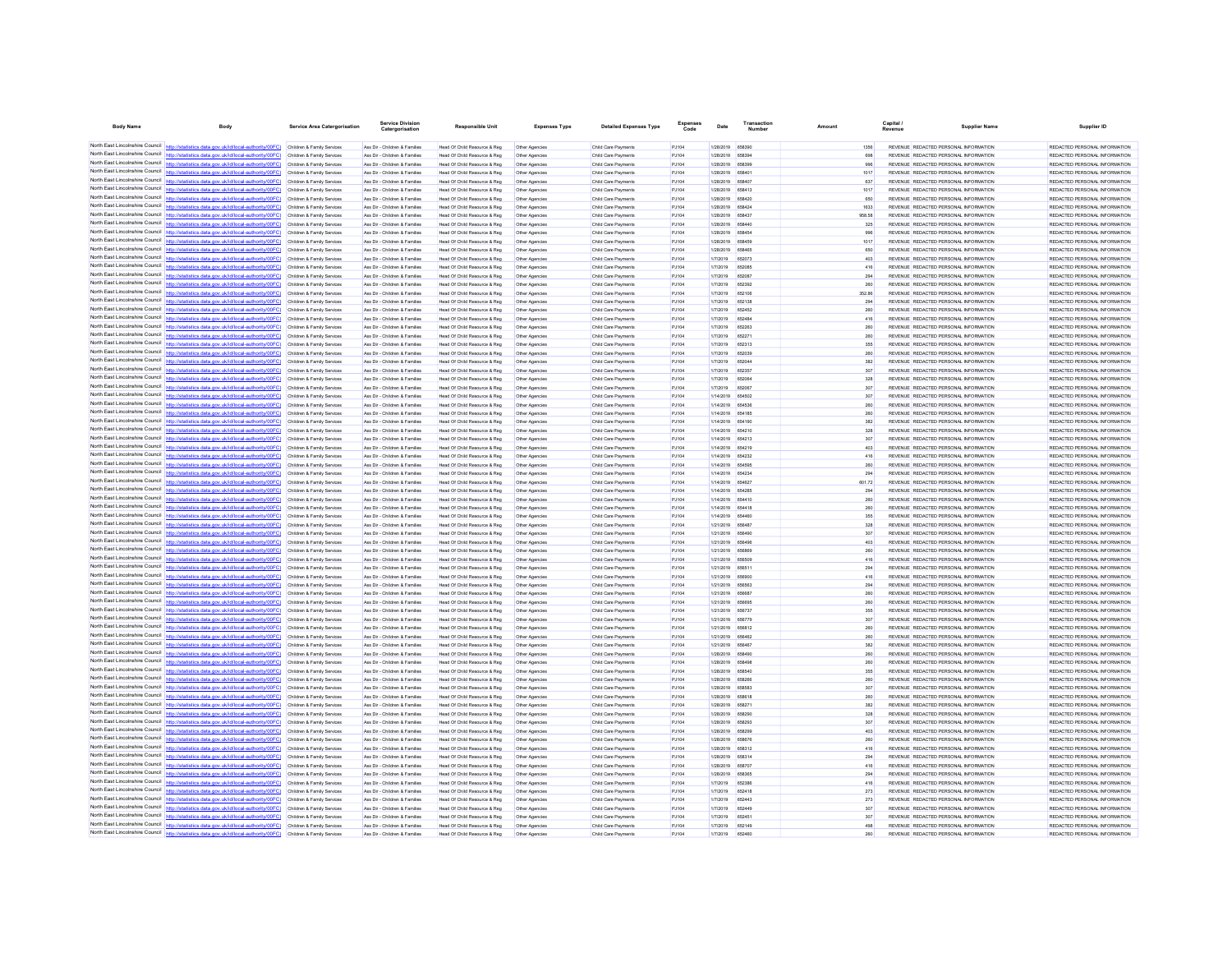| <b>Body Name</b>                              | Body                                                                                                                                                                                                                                   | <b>Service Area Catergorisation</b>                      | Service Divisio<br>Catergorisation                             | <b>Responsible Unit</b>                                      | <b>Expenses Type</b>             | <b>Detailed Expenses Type</b>              | Code           | Date                                 | Number        | Amount      | Capital<br>Revenue | <b>Supplier Name</b>                                                           | Supplier ID                                                    |
|-----------------------------------------------|----------------------------------------------------------------------------------------------------------------------------------------------------------------------------------------------------------------------------------------|----------------------------------------------------------|----------------------------------------------------------------|--------------------------------------------------------------|----------------------------------|--------------------------------------------|----------------|--------------------------------------|---------------|-------------|--------------------|--------------------------------------------------------------------------------|----------------------------------------------------------------|
|                                               | North East Lincolnshire Council http://statistics.data.gov.uk/id/local-authority/00FC) Children & Family Services                                                                                                                      |                                                          | Ass Dir - Children & Families                                  | Head Of Child Resource & Reg                                 | Other Agencies                   | Child Care Payments                        | PJ104          | 1/28/2019 658390                     |               |             |                    | REVENUE REDACTED PERSONAL INFORMATION                                          | REDACTED PERSONAL INFORMATION                                  |
|                                               | North East Lincolnshire Council http://statistics.data.gov.uk/id/local-authority/00FC) Children & Family Services                                                                                                                      |                                                          | Ass Dir - Children & Families                                  | Head Of Child Resource & Reg                                 | Other Agencies                   | Child Care Payments                        | PJ104          | 1/28/2019 658394                     |               | 698         |                    | REVENUE REDACTED PERSONAL INFORMATION                                          | REDACTED PERSONAL INFORMATION                                  |
|                                               | North East Lincolnshire Council http://statistics.data.gov.uk/id/local-authority/00FC)                                                                                                                                                 | Children & Family Services                               | Ass Dir - Children & Families                                  | Head Of Child Resource & Reg                                 | Other Agencies                   | Child Care Payments                        | PJ104          | 1/28/2019 658399                     |               | 996         |                    | REVENUE REDACTED PERSONAL INFORMATION                                          | REDACTED PERSONAL INFORMATION                                  |
|                                               | North East Lincolnshire Council http://statistics.data.gov.uk/id/local-authority/00FC)                                                                                                                                                 | Children & Family Services                               | Ass Dir - Children & Families                                  | Head Of Child Resource & Reg                                 | Other Agencies                   | Child Care Payments                        | PJ104          | 1/28/2019                            | 658401        | 1017        |                    | REVENUE REDACTED PERSONAL INFORMATION                                          | REDACTED PERSONAL INFORMATION                                  |
|                                               | North East Lincolnshire Council http://statistics.data.gov.uk/id/local-authority/00FC) Children & Family Services                                                                                                                      |                                                          | Ass Dir - Children & Families                                  | Head Of Child Resource & Reg                                 | Other Agencies                   | Child Care Payments                        | PJ104          | 1/28/2019 658407                     |               | 637         |                    | REVENUE REDACTED PERSONAL INFORMATION                                          | REDACTED PERSONAL INFORMATION                                  |
|                                               | North East Lincolnshire Council http://statistics.data.gov.uk/id/local-authority/00FC) Children & Family Services                                                                                                                      |                                                          | Ass Dir - Children & Families                                  | Head Of Child Resource & Reg                                 | Other Agencies                   | Child Care Payments                        | PJ104          | 1/28/2019 658413                     |               | 1017        |                    | REVENUE REDACTED PERSONAL INFORMATION                                          | REDACTED PERSONAL INFORMATION                                  |
|                                               | North East Lincolnshire Council http://statistics.data.gov.uk/id/local-authority/00FC) Children & Family Services                                                                                                                      |                                                          | Ass Dir - Children & Families                                  | Head Of Child Resource & Reg                                 | Other Agencies                   | Child Care Payments                        | PJ104          | 1/28/2019 658420                     |               | 650         |                    | REVENUE REDACTED PERSONAL INFORMATION                                          | REDACTED PERSONAL INFORMATION                                  |
|                                               | North East Lincolnshire Council http://statistics.data.gov.uk/id/local-authority/00FC)                                                                                                                                                 | Children & Family Services                               | Ass Dir - Children & Families                                  | Head Of Child Resource & Reg                                 | Other Agencies                   | Child Care Payments                        | PJ104          | 1/28/2019                            | 658424        | 1633        |                    | REVENUE REDACTED PERSONAL INFORMATION                                          | REDACTED PERSONAL INFORMATION                                  |
|                                               | North East Lincolnshire Council http://statistics.data.gov.uk/id/local-authority/00FC)                                                                                                                                                 | Children & Family Services                               | Ass Dir - Children & Families                                  | Head Of Child Resource & Reg                                 |                                  | Child Care Payment                         | PJ104          | 1/28/2019                            | <b>R58437</b> | 958.58      |                    | REVENUE REDACTED PERSONAL INFORMATION                                          | REDACTED PERSONAL INFORMATION                                  |
|                                               | North East Lincolnshire Council http://statistics.data.gov.uk/id/local-authority/00FC) Children & Family Services                                                                                                                      |                                                          | Ass Dir - Children & Families                                  | Head Of Child Resource & Reg                                 | Other Agencies                   | Child Care Payments                        | PJ104          | 1/28/2019 658440                     |               | 325         |                    | REVENUE REDACTED PERSONAL INFORMATION                                          | REDACTED PERSONAL INFORMATION                                  |
|                                               | North East Lincolnshire Council http://statistics.data.gov.uk/id/local-authority/00FC) Children & Family Services                                                                                                                      |                                                          | Ass Dir - Children & Families                                  | Head Of Child Resource & Reg                                 | Other Agencies                   | Child Care Payments                        | PJ104          | 1/28/2019 658454                     |               | 996         |                    | REVENUE REDACTED PERSONAL INFORMATION                                          | REDACTED PERSONAL INFORMATION                                  |
| North East Lincolnshire Council               | North East Lincolnshire Council http://statistics.data.gov.uk/id/local-authority/00FC) Children & Family Services<br>http://statistics.data.gov.uk/id/local-authority/00FC)                                                            |                                                          | Ass Dir - Children & Families                                  | Head Of Child Resource & Reg                                 | Other Agencies                   | Child Care Payments                        | PJ104          | 1/28/2019 658459                     |               | 1017<br>650 |                    | REVENUE REDACTED PERSONAL INFORMATION                                          | REDACTED PERSONAL INFORMATION                                  |
|                                               | North East Lincolnshire Council http://statistics.data.gov.uk/id/local-authority/00FC)                                                                                                                                                 | Children & Family Services<br>Children & Family Services | Ass Dir - Children & Families<br>Ass Dir - Children & Families | Head Of Child Resource & Reg<br>Head Of Child Resource & Reg | Other Agencies                   | Child Care Payments<br>Child Care Payment  | PJ104<br>PJ104 | 1/28/2019 658465<br>1/7/2019         | 652073        | 403         |                    | REVENUE REDACTED PERSONAL INFORMATION<br>REVENUE REDACTED PERSONAL INFORMATION | REDACTED PERSONAL INFORMATION<br>REDACTED PERSONAL INFORMATION |
|                                               | North East Lincolnshire Council http://statistics.data.gov.uk/id/local-authority/00FC) Children & Family Services                                                                                                                      |                                                          | Ass Dir - Children & Families                                  | Head Of Child Resource & Reg                                 | Other Agencies<br>Other Agencies | Child Care Payments                        | PJ104          | 1/7/2019                             | 652085        | 416         |                    | REVENUE REDACTED PERSONAL INFORMATION                                          | REDACTED PERSONAL INFORMATION                                  |
|                                               | North East Lincolnshire Council http://statistics.data.gov.uk/id/local-authority/00FC) Children & Family Services                                                                                                                      |                                                          | Ass Dir - Children & Families                                  | Head Of Child Resource & Reg                                 | Other Agencies                   | Child Care Payments                        | PJ104          | 1/7/2019                             | 652087        | 294         |                    | REVENUE REDACTED PERSONAL INFORMATION                                          | REDACTED PERSONAL INFORMATION                                  |
|                                               | North East Lincolnshire Council http://statistics.data.gov.uk/id/local-authority/00FC) Children & Family Services                                                                                                                      |                                                          | Ass Dir - Children & Families                                  | Head Of Child Resource & Reg                                 | Other Agencies                   | Child Care Payments                        | PJ104          | 1/7/2019                             | 652392        | 260         |                    | REVENUE REDACTED PERSONAL INFORMATION                                          | REDACTED PERSONAL INFORMATION                                  |
| North East Lincolnshire Council               | ics.data.gov.uk/id/local-authority/00FC) Children & Family Services                                                                                                                                                                    |                                                          | Ass Dir - Children & Families                                  | Head Of Child Resource & Reg                                 | Other Agencies                   | Child Care Payments                        | PJ104          | 1/7/2019                             | 652106        | 352.86      |                    | REVENUE REDACTED PERSONAL INFORMATION                                          | REDACTED PERSONAL INFORMATION                                  |
|                                               | North East Lincolnshire Council http://statistics.data.gov.uk/id/local-authority/00FC)                                                                                                                                                 | Children & Family Services                               | Ass Dir - Children & Families                                  | Head Of Child Resource & Reg                                 | Other Agencies                   | Child Care Payment                         | PJ104          | 1/7/2019                             | 652138        | 294         |                    | REVENUE REDACTED PERSONAL INFORMATION                                          | REDACTED PERSONAL INFORMATION                                  |
| North East Lincolnshire Council               | http://statistics.data.gov.uk/id/local-authority/00FC) Children & Family Services                                                                                                                                                      |                                                          | Ass Dir - Children & Families                                  | Head Of Child Resource & Reg                                 | Other Agencies                   | Child Care Payments                        | PJ104          | 1/7/2019                             | 652452        | 260         |                    | REVENUE REDACTED PERSONAL INFORMATION                                          | REDACTED PERSONAL INFORMATION                                  |
|                                               | North East Lincolnshire Council http://statistics.data.gov.uk/id/local-authority/00FC) Children & Family Services                                                                                                                      |                                                          | Ass Dir - Children & Families                                  | Head Of Child Resource & Reg                                 | Other Agencies                   | Child Care Payments                        | PJ104          | 1/7/2019                             | 652484        | 416         |                    | REVENUE REDACTED PERSONAL INFORMATION                                          | REDACTED PERSONAL INFORMATION                                  |
|                                               | North East Lincolnshire Council http://statistics.data.gov.uk/id/local-authority/00FC) Children & Family Services                                                                                                                      |                                                          | Ass Dir - Children & Families                                  | Head Of Child Resource & Reg                                 | Other Agencies                   | Child Care Payments                        | PJ104          | 1/7/2019                             | 652263        | 260         |                    | REVENUE REDACTED PERSONAL INFORMATION                                          | REDACTED PERSONAL INFORMATION                                  |
| North East Lincolnshire Council http://statis | tics.data.gov.uk/id/local-authority/00FC)                                                                                                                                                                                              | Children & Family Services                               | Ass Dir - Children & Families                                  | Head Of Child Resource & Reg                                 | Other Agencies                   | Child Care Payments                        | PJ104          | 1/7/2019                             | 652271        | 260         |                    | REVENUE REDACTED PERSONAL INFORMATION                                          | REDACTED PERSONAL INFORMATION                                  |
|                                               | North East Lincolnshire Council   http://statistics.data.gov.uk/id/local-authority/00FC)                                                                                                                                               | Children & Family Services                               | Ass Dir - Children & Families                                  | Head Of Child Resource & Reg                                 | Other Agencie                    | Child Care Payment                         | PJ104          | 1/7/2019                             | 652313        | 355         |                    | REVENUE REDACTED PERSONAL INFORMATION                                          | REDACTED PERSONAL INFORMATION                                  |
| North East Lincolnshire Council               | http://statistics.data.gov.uk/id/local-authority/00FC) Children & Family Services                                                                                                                                                      |                                                          | Ass Dir - Children & Families                                  | Head Of Child Resource & Reg                                 | Other Agencies                   | Child Care Payments                        | PJ104          | 1/7/2019                             | 652039        | 260         |                    | REVENUE REDACTED PERSONAL INFORMATION                                          | REDACTED PERSONAL INFORMATION                                  |
|                                               | North East Lincolnshire Council http://statistics.data.gov.uk/id/local-authority/00FC) Children & Family Services                                                                                                                      |                                                          | Ass Dir - Children & Families                                  | Head Of Child Resource & Reg                                 | Other Agencies                   | Child Care Payment                         | PJ104          | 1/7/2019                             | 652044        | 382         |                    | REVENUE REDACTED PERSONAL INFORMATION                                          | REDACTED PERSONAL INFORMATION                                  |
| North East Lincolnshire Council               | North East Lincolnshire Council http://statistics.data.gov.uk/id/local-authority/00FC) Children & Family Services                                                                                                                      |                                                          | Ass Dir - Children & Families                                  | Head Of Child Resource & Reg                                 | Other Agencies                   | Child Care Payments                        | P.1104         | 1/7/2019                             | 652357        | 307         |                    | REVENUE REDACTED PERSONAL INFORMATION                                          | REDACTED PERSONAL INFORMATION                                  |
|                                               | http://statistics.data.gov.uk/id/local-authority/00FC)<br>North East Lincolnshire Council http://statistics.data.gov.uk/id/local-authority/00FC)                                                                                       | Children & Family Services                               | Ass Dir - Children & Families                                  | Head Of Child Resource & Reg                                 | Other Agencies                   | Child Care Payments                        | PJ104          | 1/7/2019                             | 652064        | 328         |                    | REVENUE REDACTED PERSONAL INFORMATION                                          | REDACTED PERSONAL INFORMATION                                  |
|                                               | North East Lincolnshire Council http://statistics.data.gov.uk/id/local-authority/00FC)                                                                                                                                                 | Children & Family Services<br>Children & Family Services | Ass Dir - Children & Families<br>Ass Dir - Children & Families | Head Of Child Resource & Reg<br>Head Of Child Resource & Reg | Other Agencies<br>Other Agencies | Child Care Payment<br>Child Care Payments  | PJ104<br>PJ104 | 1/7/2019<br>1/14/2019 654502         | 652067        | 307<br>307  |                    | REVENUE REDACTED PERSONAL INFORMATION<br>REVENUE REDACTED PERSONAL INFORMATION | REDACTED PERSONAL INFORMATION<br>REDACTED PERSONAL INFORMATION |
|                                               | North East Lincolnshire Council http://statistics.data.gov.uk/id/local-authority/00FC)                                                                                                                                                 | Children & Family Services                               | Ass Dir - Children & Families                                  | Head Of Child Resource & Reg                                 | Other Agencies                   | Child Care Payments                        | PJ104          | 1/14/2019 654536                     |               |             |                    | REVENUE REDACTED PERSONAL INFORMATION                                          | REDACTED PERSONAL INFORMATION                                  |
| North East Lincolnshire Council               | http://statistics.data.oov.uk/id/local-authority/00EC)                                                                                                                                                                                 | Children & Family Services                               | Ass Dir - Children & Families                                  | Head Of Child Resource & Reg                                 | Other Agencies                   | Child Care Payments                        | PJ104          | 1/14/2019 654185                     |               | 260         |                    | REVENUE REDACTED PERSONAL INFORMATION                                          | REDACTED PERSONAL INFORMATION                                  |
|                                               | North East Lincolnshire Council http://statistics.data.gov.uk/id/local-authority/00FC)                                                                                                                                                 | Children & Family Services                               | Ass Dir - Children & Families                                  | Head Of Child Resource & Reg                                 | Other Agencies                   | Child Care Payments                        | PJ104          | 1/14/2019 654190                     |               | 382         |                    | REVENUE REDACTED PERSONAL INFORMATION                                          | REDACTED PERSONAL INFORMATION                                  |
|                                               | North East Lincolnshire Council http://statistics.data.gov.uk/id/local-authority/00FC) Children & Family Services                                                                                                                      |                                                          | Ass Dir - Children & Families                                  | Head Of Child Resource & Reg                                 | Other Agencies                   | Child Care Payments                        | PJ104          | 1/14/2019 654210                     |               | 328         |                    | REVENUE REDACTED PERSONAL INFORMATION                                          | REDACTED PERSONAL INFORMATION                                  |
|                                               | North East Lincolnshire Council http://statistics.data.gov.uk/id/local-authority/00FC) Children & Family Services                                                                                                                      |                                                          | Ass Dir - Children & Families                                  | Head Of Child Resource & Reg                                 | Other Agencies                   | Child Care Payments                        | PJ104          | 1/14/2019 654213                     |               | 307         |                    | REVENUE REDACTED PERSONAL INFORMATION                                          | REDACTED PERSONAL INFORMATION                                  |
|                                               | North East Lincolnshire Council http://statistics.data.gov.uk/id/local-authority/00FC) Children & Family Services                                                                                                                      |                                                          | Ass Dir - Children & Families                                  | Head Of Child Resource & Reg                                 | Other Agencies                   | Child Care Payments                        | PJ104          | 1/14/2019 654219                     |               | 403         |                    | REVENUE REDACTED PERSONAL INFORMATION                                          | REDACTED PERSONAL INFORMATION                                  |
|                                               | North East Lincolnshire Council http://statistics.data.gov.uk/id/local-authority/00FC) Children & Family Services                                                                                                                      |                                                          | Ass Dir - Children & Families                                  | Head Of Child Resource & Reg                                 | Other Agencies                   | Child Care Payments                        | PJ104          | 1/14/2019 654232                     |               | 416         |                    | REVENUE REDACTED PERSONAL INFORMATION                                          | REDACTED PERSONAL INFORMATION                                  |
|                                               | North East Lincolnshire Council http://statistics.data.gov.uk/id/local-authority/00FC)                                                                                                                                                 | Children & Family Services                               | Ass Dir - Children & Families                                  | Head Of Child Resource & Reg                                 | Other Agencies                   | Child Care Payments                        | PJ104          | 1/14/2019                            | 654595        | 260         |                    | REVENUE REDACTED PERSONAL INFORMATION                                          | REDACTED PERSONAL INFORMATION                                  |
|                                               | North East Lincolnshire Council http://statistics.data.gov.uk/id/local-authority/00FC)                                                                                                                                                 | Children & Family Services                               | Ass Dir - Children & Families                                  | Head Of Child Resource & Reg                                 |                                  | Child Care Payment                         | PJ104          | 1/14/2019                            | 654234        | 294         |                    | REVENUE REDACTED PERSONAL INFORMATION                                          | REDACTED PERSONAL INFORMATION                                  |
|                                               | North East Lincolnshire Council http://statistics.data.gov.uk/id/local-authority/00FC) Children & Family Services                                                                                                                      |                                                          | Ass Dir - Children & Families                                  | Head Of Child Resource & Reg                                 | Other Agencies                   | Child Care Payments                        | PJ104          | 1/14/2019 654627                     |               | 601.72      |                    | REVENUE REDACTED PERSONAL INFORMATION                                          | REDACTED PERSONAL INFORMATION                                  |
|                                               | North East Lincolnshire Council http://statistics.data.gov.uk/id/local-authority/00FC)                                                                                                                                                 | Children & Family Services                               | Ass Dir - Children & Families                                  | Head Of Child Resource & Reg                                 | Other Agencies                   | Child Care Payment                         | PJ104          | 1/14/2019 654285                     |               | 294         |                    | REVENUE REDACTED PERSONAL INFORMATION                                          | REDACTED PERSONAL INFORMATION                                  |
| North East Lincolnshire Council               | http://statistics.data.gov.uk/id/local-authority/00EC) Children & Family Services                                                                                                                                                      |                                                          | Ass Dir - Children & Families                                  | Head Of Child Resource & Reg                                 | Other Agencies                   | Child Care Payments                        | PJ104          | 1/14/2019 654410                     |               | 260         |                    | REVENUE REDACTED PERSONAL INFORMATION                                          | REDACTED PERSONAL INFORMATION                                  |
| North East Lincolnshire Council               | tics.data.gov.uk/id/local-authority/00FC)                                                                                                                                                                                              | Children & Family Services                               | Ass Dir - Children & Families                                  | Head Of Child Resource & Reg                                 | Other Agencies                   | Child Care Payments                        | PJ104          | 1/14/2019 654418                     |               | 260         |                    | REVENUE REDACTED PERSONAL INFORMATION                                          | REDACTED PERSONAL INFORMATION                                  |
|                                               | North East Lincolnshire Council http://statistics.data.gov.uk/id/local-authority/00FC) Children & Family Services                                                                                                                      |                                                          | Ass Dir - Children & Families                                  | Head Of Child Resource & Reg                                 | Other Agencies                   | Child Care Payments                        | PJ104          | 1/14/2019 654460                     |               | 355         |                    | REVENUE REDACTED PERSONAL INFORMATION                                          | REDACTED PERSONAL INFORMATION                                  |
|                                               | North East Lincolnshire Council http://statistics.data.gov.uk/id/local-authority/00FC) Children & Family Services                                                                                                                      |                                                          | Ass Dir - Children & Families                                  | Head Of Child Resource & Reg                                 | Other Agencies                   | Child Care Payments                        | PJ104          | 1/21/2019 656487                     |               | 328         |                    | REVENUE REDACTED PERSONAL INFORMATION                                          | REDACTED PERSONAL INFORMATION                                  |
|                                               | North East Lincolnshire Council http://statistics.data.gov.uk/id/local-authority/00FC) Children & Family Services<br>North East Lincolnshire Council http://statistics.data.gov.uk/id/local-authority/00FC)                            | Children & Family Services                               | Ass Dir - Children & Families<br>Ass Dir - Children & Families | Head Of Child Resource & Reg<br>Head Of Child Resource & Reg | Other Agencies<br>Other Agencies | Child Care Payments<br>Child Care Payments | PJ104<br>PJ104 | 1/21/2019 656490<br>1/21/2019 656496 |               | 307<br>403  |                    | REVENUE REDACTED PERSONAL INFORMATION<br>REVENUE REDACTED PERSONAL INFORMATION | REDACTED PERSONAL INFORMATION<br>REDACTED PERSONAL INFORMATION |
|                                               | North East Lincolnshire Council http://statistics.data.gov.uk/id/local-authority/00FC)                                                                                                                                                 | Children & Family Services                               | Ass Dir - Children & Families                                  | Head Of Child Resource & Reg                                 | Other Agencies                   | Child Care Payments                        | PJ104          | 1/21/2019                            |               | 260         |                    | REVENUE REDACTED PERSONAL INFORMATION                                          | REDACTED PERSONAL INFORMATION                                  |
|                                               | North East Lincolnshire Council http://statistics.data.gov.uk/id/local-authority/00FC)                                                                                                                                                 | Children & Family Services                               | Ass Dir - Children & Families                                  | Head Of Child Resource & Reg                                 | Other Agencies                   | Child Care Payment                         | PJ104          | 1/21/2019                            | 656509        | 416         |                    | REVENUE REDACTED PERSONAL INFORMATION                                          | REDACTED PERSONAL INFORMATION                                  |
|                                               | North East Lincolnshire Council http://statistics.data.gov.uk/id/local-authority/00FC) Children & Family Services                                                                                                                      |                                                          | Ass Dir - Children & Families                                  | Head Of Child Resource & Reg                                 | Other Agencies                   | Child Care Payments                        | PJ104          | 1/21/2019 656511                     |               | 294         |                    | REVENUE REDACTED PERSONAL INFORMATION                                          | REDACTED PERSONAL INFORMATION                                  |
|                                               | North East Lincolnshire Council http://statistics.data.gov.uk/id/local-authority/00FC)                                                                                                                                                 | Children & Family Services                               | Ass Dir - Children & Families                                  | Head Of Child Resource & Reg                                 | Other Agencies                   | Child Care Payments                        | PJ104          | 1/21/2019 656900                     |               | 416         |                    | REVENUE REDACTED PERSONAL INFORMATION                                          | REDACTED PERSONAL INFORMATION                                  |
|                                               | North East Lincolnshire Council http://statistics.data.gov.uk/id/local-authority/00FC)                                                                                                                                                 | Children & Family Services                               | Ass Dir - Children & Families                                  | Head Of Child Resource & Reg                                 | Other Agencies                   | Child Care Payments                        | PJ104          | 1/21/2019 656563                     |               | 294         |                    | REVENUE REDACTED PERSONAL INFORMATION                                          | REDACTED PERSONAL INFORMATION                                  |
|                                               | North East Lincolnshire Council http://statistics.data.gov.uk/id/local-authority/00FC)                                                                                                                                                 | Children & Family Services                               | Ass Dir - Children & Families                                  | Head Of Child Resource & Reg                                 | Other Agencies                   | Child Care Payments                        | PJ104          | 1/21/2019 656687                     |               | 260         |                    | REVENUE REDACTED PERSONAL INFORMATION                                          | REDACTED PERSONAL INFORMATION                                  |
|                                               | North East Lincolnshire Council http://statistics.data.gov.uk/id/local-authority/00FC) Children & Family Services                                                                                                                      |                                                          | Ass Dir - Children & Families                                  | Head Of Child Resource & Reg                                 | Other Agencies                   | Child Care Payment                         | PJ104          | 1/21/2019 656696                     |               | 260         |                    | REVENUE REDACTED PERSONAL INFORMATION                                          | REDACTED PERSONAL INFORMATION                                  |
|                                               | North East Lincolnshire Council http://statistics.data.gov.uk/id/local-authority/00FC) Children & Family Services                                                                                                                      |                                                          | Ass Dir - Children & Families                                  | Head Of Child Resource & Reg                                 | Other Agencies                   | Child Care Payments                        | PJ104          | 1/21/2019 656737                     |               | 355         |                    | REVENUE REDACTED PERSONAL INFORMATION                                          | REDACTED PERSONAL INFORMATION                                  |
|                                               | North East Lincolnshire Council http://statistics.data.gov.uk/id/local-authority/00FC) Children & Family Services                                                                                                                      |                                                          | Ass Dir - Children & Families                                  | Head Of Child Resource & Reg                                 | Other Agencies                   | Child Care Payment                         | PJ104          | 1/21/2019 656779                     |               | 307         |                    | REVENUE REDACTED PERSONAL INFORMATION                                          | REDACTED PERSONAL INFORMATION                                  |
| North East Lincolnshire Council               | http://statistics.data.gov.uk/id/local-authority/00EC) Children & Family Services                                                                                                                                                      |                                                          | Ass Dir - Children & Families                                  | Head Of Child Resource & Reg                                 | Other Agencies                   | Child Care Payments                        | P.1104         | 1/21/2019 656812                     |               | 260         |                    | REVENUE REDACTED PERSONAL INFORMATION                                          | REDACTED PERSONAL INFORMATION                                  |
|                                               | North East Lincolnshire Council http://statistics.data.gov.uk/id/local-authority/00FC)                                                                                                                                                 | Children & Family Services                               | Ass Dir - Children & Families                                  | Head Of Child Resource & Reg                                 | Other Agencies                   | Child Care Payment                         | PJ104          | 1/21/2019                            | 656462        | 260         |                    | REVENUE REDACTED PERSONAL INFORMATION                                          | REDACTED PERSONAL INFORMATION                                  |
|                                               | North East Lincolnshire Council nttp://statistics.data.gov.uk/id/local-authority/00FC)                                                                                                                                                 | Children & Family Services                               | Ass Dir - Children & Families                                  | Head Of Child Resource & Reg                                 | Other Agencies                   | Child Care Payments                        | PJ104          | 1/21/2019 656467                     |               | 382         |                    | REVENUE REDACTED PERSONAL INFORMATION                                          | REDACTED PERSONAL INFORMATION                                  |
|                                               | North East Lincolnshire Council http://statistics.data.gov.uk/id/local-authority/00FC) Children & Family Services                                                                                                                      |                                                          | Ass Dir - Children & Families                                  | Head Of Child Resource & Reg                                 | Other Agencies                   | Child Care Payments                        | PJ104          | 1/28/2019 658490                     |               | 260         |                    | REVENUE REDACTED PERSONAL INFORMATION                                          | REDACTED PERSONAL INFORMATION                                  |
| North East Lincolnshire Council               | North East Lincolnshire Council http://statistics.data.gov.uk/id/local-authority/00FC).                                                                                                                                                | Children & Family Services                               | Ass Dir - Children & Families                                  | Head Of Child Resource & Reg                                 | Other Agencies                   | Child Care Payments                        | PJ104          | 1/28/2019 658496                     |               | 260         |                    | REVENUE REDACTED PERSONAL INFORMATION                                          | REDACTED PERSONAL INFORMATION                                  |
|                                               | http://statistics.data.gov.uk/id/local-authority/00FC)                                                                                                                                                                                 | Children & Family Services                               | Ass Dir - Children & Families                                  | Head Of Child Resource & Reg                                 | Other Agencies                   | Child Care Payments                        | PJ104          | 1/28/2019 658540                     |               | 355         |                    | REVENUE REDACTED PERSONAL INFORMATION                                          | REDACTED PERSONAL INFORMATION                                  |
| North East Lincolnshire Council               | North East Lincolnshire Council http://statistics.data.gov.uk/id/local-authority/00FC)<br>httn://statistics.data.gov.uk/id/local-authority/00FC) Children & Family Services                                                            | Children & Family Services                               | Ass Dir - Children & Families                                  | Head Of Child Resource & Reg                                 | Other Agencies                   | Child Care Payments                        | PJ104          | 1/28/2019                            |               | 260         |                    | REVENUE REDACTED PERSONAL INFORMATION                                          | REDACTED PERSONAL INFORMATION<br>REDACTED PERSONAL INFORMATION |
|                                               | North East Lincolnshire Council http://statistics.data.gov.uk/id/local-authority/00FC) Children & Family Services                                                                                                                      |                                                          | Ass Dir - Children & Families<br>Ass Dir - Children & Families | Head Of Child Resource & Reg<br>Head Of Child Resource & Reg | Other Agencies                   | Child Care Payment<br>Child Care Payments  | PJ104<br>PJ104 | 1/28/2019 658583<br>1/28/2019 658618 |               | 307<br>260  |                    | REVENUE REDACTED PERSONAL INFORMATION<br>REVENUE REDACTED PERSONAL INFORMATION | REDACTED PERSONAL INFORMATION                                  |
|                                               | North East Lincolnshire Council http://statistics.data.gov.uk/id/local-authority/00FC) Children & Family Services                                                                                                                      |                                                          | Ass Dir - Children & Families                                  | Head Of Child Resource & Reg                                 | Other Agencies<br>Other Agencies | Child Care Payment                         | PJ104          | 1/28/2019 658271                     |               | 382         |                    | REVENUE REDACTED PERSONAL INFORMATION                                          | REDACTED PERSONAL INFORMATION                                  |
| North East Lincolnshire Council               | http://statistics.data.gov.uk/id/local-authority/00FC) Children & Family Services                                                                                                                                                      |                                                          | Ass Dir - Children & Families                                  | Head Of Child Resource & Reg                                 | Other Agencies                   | Child Care Payments                        | PJ104          | 1/28/2019 658290                     |               | 328         |                    | REVENUE REDACTED PERSONAL INFORMATION                                          | REDACTED PERSONAL INFORMATION                                  |
| North East Lincolnshire Council               |                                                                                                                                                                                                                                        | Children & Family Services                               | Ass Dir - Children & Families                                  | Head Of Child Resource & Reg                                 | Other Agencies                   | Child Care Payments                        | PJ104          | 1/28/2019                            | 658293        | 307         |                    | REVENUE REDACTED PERSONAL INFORMATION                                          | REDACTED PERSONAL INFORMATION                                  |
|                                               | North East Lincolnshire Council http://statistics.data.gov.uk/id/local-authority/00FC)                                                                                                                                                 | Children & Family Services                               | Ass Dir - Children & Families                                  | Head Of Child Resource & Reg                                 | Other Agencies                   | Child Care Payments                        | PJ104          | 1/28/2019 658299                     |               | 403         |                    | REVENUE REDACTED PERSONAL INFORMATION                                          | REDACTED PERSONAL INFORMATION                                  |
|                                               | North East Lincolnshire Council http://statistics.data.gov.uk/id/local-authority/00FC)                                                                                                                                                 | Children & Family Services                               | Ass Dir - Children & Families                                  | Head Of Child Resource & Reg                                 | Other Agencies                   | Child Care Payments                        | PJ104          | 1/28/2019 658676                     |               | 260         |                    | REVENUE REDACTED PERSONAL INFORMATION                                          | REDACTED PERSONAL INFORMATION                                  |
|                                               | North East Lincolnshire Council http://statistics.data.gov.uk/id/local-authority/00FC)                                                                                                                                                 | Children & Family Services                               | Ass Dir - Children & Families                                  | Head Of Child Resource & Reg                                 | Other Agencies                   | Child Care Payment                         | PJ104          | 1/28/2019 658312                     |               | 416         |                    | REVENUE REDACTED PERSONAL INFORMATION                                          | REDACTED PERSONAL INFORMATION                                  |
|                                               | North East Lincolnshire Council http://statistics.data.gov.uk/id/local-authority/00FC)                                                                                                                                                 | Children & Family Services                               | Ass Dir - Children & Families                                  | Head Of Child Resource & Reg                                 | Other Agencies                   | Child Care Payments                        | PJ104          | 1/28/2019 658314                     |               | 294         |                    | REVENUE REDACTED PERSONAL INFORMATION                                          | REDACTED PERSONAL INFORMATION                                  |
|                                               | North East Lincolnshire Council http://statistics.data.gov.uk/id/local-authority/00FC)                                                                                                                                                 | Children & Family Services                               | Ass Dir - Children & Families                                  | Head Of Child Resource & Reg                                 | Other Agencies                   | Child Care Payment                         | PJ104          | 1/28/2019                            | 658707        | 416         |                    | REVENUE REDACTED PERSONAL INFORMATION                                          | REDACTED PERSONAL INFORMATION                                  |
|                                               | North East Lincolnshire Council http://statistics.data.gov.uk/id/local-authority/00FC) Children & Family Services                                                                                                                      |                                                          | Ass Dir - Children & Families                                  | Head Of Child Resource & Reg                                 | Other Agencies                   | Child Care Payments                        | PJ104          | 1/28/2019 658365                     |               | 294         |                    | REVENUE REDACTED PERSONAL INFORMATION                                          | REDACTED PERSONAL INFORMATION                                  |
|                                               | North East Lincolnshire Council http://statistics.data.gov.uk/id/local-authority/00FC) Children & Family Services                                                                                                                      |                                                          | Ass Dir - Children & Families                                  | Head Of Child Resource & Reg                                 | Other Agencies                   | Child Care Payments                        | PJ104          | 1/7/2019                             | 652386        | 416         |                    | REVENUE REDACTED PERSONAL INFORMATION                                          | REDACTED PERSONAL INFORMATION                                  |
|                                               | North East Lincolnshire Council http://statistics.data.gov.uk/id/local-authority/00FC) Children & Family Services                                                                                                                      |                                                          | Ass Dir - Children & Families                                  | Head Of Child Resource & Reg                                 | Other Agencies                   | Child Care Payments                        | PJ104          | 1/7/2019                             | R52418        | 273         |                    | REVENUE REDACTED PERSONAL INFORMATION                                          | REDACTED PERSONAL INFORMATION                                  |
|                                               | North East Lincolnshire Council http://statistics.data.gov.uk/id/local-authority/00FC) Children & Family Services                                                                                                                      |                                                          | Ass Dir - Children & Families                                  | Head Of Child Resource & Reg                                 | Other Agencies                   | Child Care Payments                        | PJ104          | 1/7/2019                             | 652443        | 273         |                    | REVENUE REDACTED PERSONAL INFORMATION                                          | REDACTED PERSONAL INFORMATION                                  |
|                                               | North East Lincolnshire Council http://statistics.data.gov.uk/id/local-authority/00FC)                                                                                                                                                 | Children & Family Services                               | Ass Dir - Children & Families                                  | Head Of Child Resource & Reg                                 | Other Agencies                   | Child Care Payments                        | PJ104          | 1/7/2019                             |               | 307         |                    | REVENUE REDACTED PERSONAL INFORMATION                                          | REDACTED PERSONAL INFORMATION                                  |
|                                               | North East Lincolnshire Council http://statistics.data.gov.uk/id/local-authority/00FC) Children & Family Services                                                                                                                      |                                                          | Ass Dir - Children & Families                                  | Head Of Child Resource & Reg.                                | Other Agencies                   | Child Care Payments                        | PJ104          | 1/7/2019                             | 652451        | 307         |                    | REVENUE REDACTED PERSONAL INFORMATION                                          | REDACTED PERSONAL INFORMATION                                  |
|                                               | North East Lincolnshire Council http://statistics.data.gov.uk/id/local-authority/00FC) Children & Family Services<br>North East Lincolnshire Council http://statistics.data.gov.uk/id/local-authority/00FC) Children & Family Services |                                                          | Ass Dir - Children & Families                                  | Head Of Child Resource & Reg                                 | Other Agencies                   | Child Care Payments                        | PJ104          | 1/7/2019                             | 652149        |             |                    | REVENUE REDACTED PERSONAL INFORMATION                                          | REDACTED PERSONAL INFORMATION                                  |
|                                               |                                                                                                                                                                                                                                        |                                                          | Ass Dir - Children & Families                                  | Head Of Child Resource & Reg                                 | Other Agencie                    | Child Care Payment                         | PJ104          | 1/7/2019                             | 652460        | 260         |                    | REVENUE REDACTED PERSONAL INFORMATION                                          | REDACTED PERSONAL INFORMATION                                  |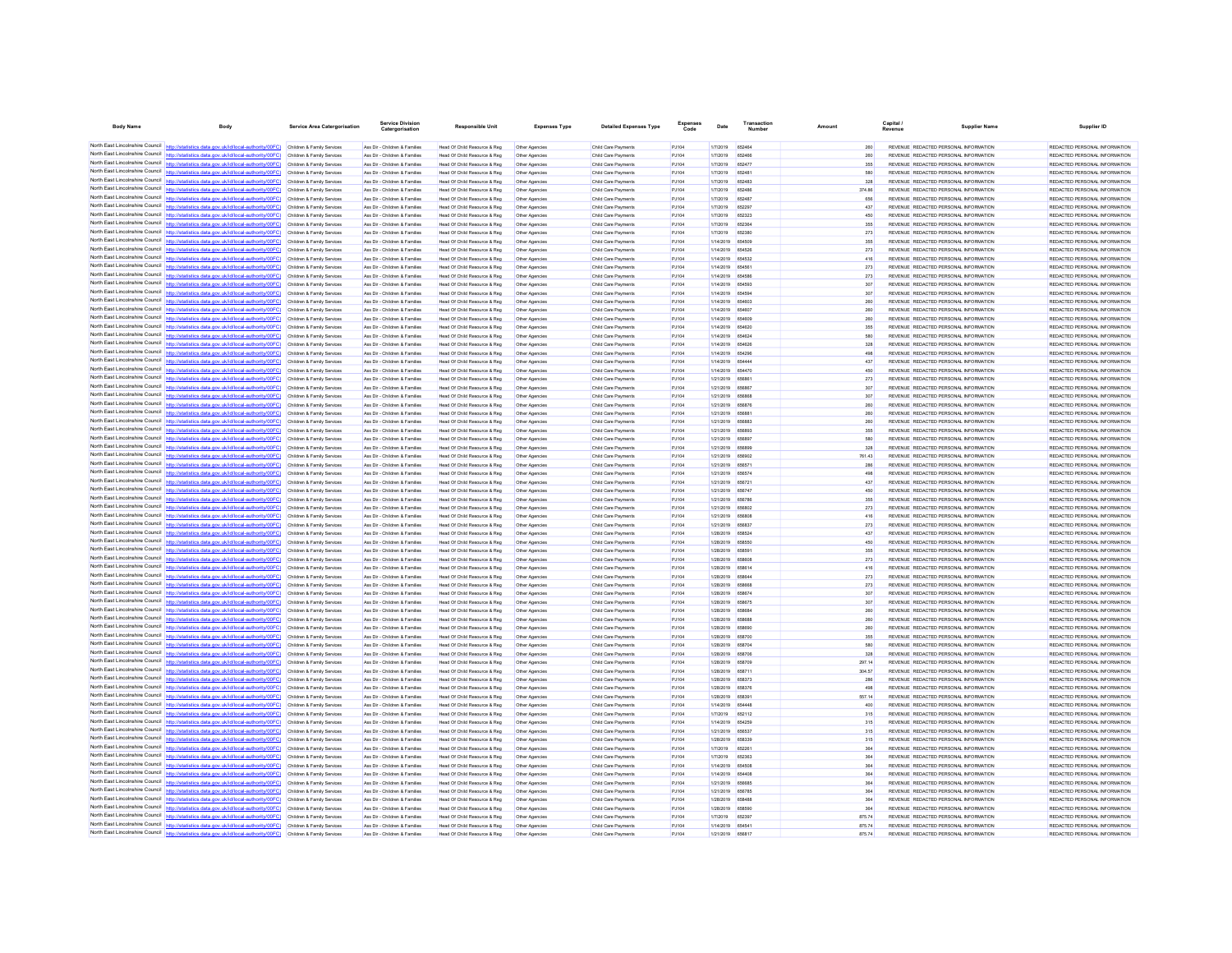| <b>Body Name</b>                                                   | Body                                                                                                                                                                                                                                   | <b>Service Area Catergorisation</b>                      | Service Divisio<br>Catergorisation                             | <b>Responsible Unit</b>                                      | <b>Expenses Type</b>             | <b>Detailed Expenses Type</b>              | Code           | Date                                 | Number        | Amount     | Capital<br>Revenue                                                             | <b>Supplier Name</b> | Supplier ID                                                    |
|--------------------------------------------------------------------|----------------------------------------------------------------------------------------------------------------------------------------------------------------------------------------------------------------------------------------|----------------------------------------------------------|----------------------------------------------------------------|--------------------------------------------------------------|----------------------------------|--------------------------------------------|----------------|--------------------------------------|---------------|------------|--------------------------------------------------------------------------------|----------------------|----------------------------------------------------------------|
|                                                                    | North East Lincolnshire Council http://statistics.data.gov.uk/id/local-authority/00FC) Children & Family Services                                                                                                                      |                                                          | Ass Dir - Children & Families                                  | Head Of Child Resource & Reg                                 | Other Agencies                   | Child Care Payments                        | PJ104          | 1/7/2019                             | 652464        |            | REVENUE REDACTED PERSONAL INFORMATION                                          |                      | REDACTED PERSONAL INFORMATION                                  |
|                                                                    | North East Lincolnshire Council http://statistics.data.gov.uk/id/local-authority/00FC) Children & Family Services                                                                                                                      |                                                          | Ass Dir - Children & Families                                  | Head Of Child Resource & Reg                                 | Other Agencies                   | Child Care Payments                        | PJ104          | 1/7/2019                             | <b>R524R8</b> | 260        | REVENUE REDACTED PERSONAL INFORMATION                                          |                      | REDACTED PERSONAL INFORMATION                                  |
|                                                                    | North East Lincolnshire Council http://statistics.data.gov.uk/id/local-authority/00FC)                                                                                                                                                 | Children & Family Services                               | Ass Dir - Children & Families                                  | Head Of Child Resource & Reg                                 | Other Agencies                   | Child Care Payments                        | PJ104          | 1/7/2019                             | 652477        | 355        | REVENUE REDACTED PERSONAL INFORMATION                                          |                      | REDACTED PERSONAL INFORMATION                                  |
|                                                                    | North East Lincolnshire Council http://statistics.data.gov.uk/id/local-authority/00FC)                                                                                                                                                 | Children & Family Services                               | Ass Dir - Children & Families                                  | Head Of Child Resource & Reg                                 | Other Agencies                   | Child Care Payments                        | PJ104          | 1/7/2019                             | 652481        | 580        | REVENUE REDACTED PERSONAL INFORMATION                                          |                      | REDACTED PERSONAL INFORMATION                                  |
|                                                                    | North East Lincolnshire Council http://statistics.data.gov.uk/id/local-authority/00FC) Children & Family Services                                                                                                                      |                                                          | Ass Dir - Children & Families                                  | Head Of Child Resource & Reg                                 | Other Agencies                   | Child Care Payments                        | PJ104          | 1/7/2019                             | 652483        | 328        | REVENUE REDACTED PERSONAL INFORMATION                                          |                      | REDACTED PERSONAL INFORMATION                                  |
|                                                                    | North East Lincolnshire Council http://statistics.data.gov.uk/id/local-authority/00FC) Children & Family Services                                                                                                                      |                                                          | Ass Dir - Children & Families                                  | Head Of Child Resource & Reg                                 | Other Agencies                   | Child Care Payments                        | PJ104          | 1/7/2019                             | 652486        | 374.86     | REVENUE REDACTED PERSONAL INFORMATION                                          |                      | REDACTED PERSONAL INFORMATION                                  |
|                                                                    | North East Lincolnshire Council http://statistics.data.gov.uk/id/local-authority/00FC) Children & Family Services                                                                                                                      |                                                          | Ass Dir - Children & Families                                  | Head Of Child Resource & Reg                                 | Other Agencies                   | Child Care Payments                        | PJ104          | 1/7/2019                             | 652487        | 656        | REVENUE REDACTED PERSONAL INFORMATION                                          |                      | REDACTED PERSONAL INFORMATION                                  |
|                                                                    | North East Lincolnshire Council http://statistics.data.gov.uk/id/local-authority/00FC)                                                                                                                                                 | Children & Family Services                               | Ass Dir - Children & Families                                  | Head Of Child Resource & Reg                                 | Other Agencies                   | Child Care Payments                        | PJ104          | 1/7/2019                             | 652297        | 437        | REVENUE REDACTED PERSONAL INFORMATION                                          |                      | REDACTED PERSONAL INFORMATION                                  |
|                                                                    | North East Lincolnshire Council http://statistics.data.gov.uk/id/local-authority/00FC)                                                                                                                                                 | Children & Family Services                               | Ass Dir - Children & Families                                  | Head Of Child Resource & Reg                                 |                                  | Child Care Payment                         | PJ104          | 1/7/2019                             | 652323        | 450        | REVENUE REDACTED PERSONAL INFORMATION                                          |                      | REDACTED PERSONAL INFORMATION                                  |
|                                                                    | North East Lincolnshire Council http://statistics.data.gov.uk/id/local-authority/00FC) Children & Family Services                                                                                                                      |                                                          | Ass Dir - Children & Families                                  | Head Of Child Resource & Reg                                 | Other Agencies                   | Child Care Payments                        | PJ104          | 1/7/2019                             | 652364        | 355        | REVENUE REDACTED PERSONAL INFORMATION                                          |                      | REDACTED PERSONAL INFORMATION                                  |
|                                                                    | North East Lincolnshire Council http://statistics.data.gov.uk/id/local-authority/00FC) Children & Family Services                                                                                                                      |                                                          | Ass Dir - Children & Families                                  | Head Of Child Resource & Reg                                 | Other Agencies                   | Child Care Payments                        | PJ104          | 1/7/2019                             | 652380        | 273        | REVENUE REDACTED PERSONAL INFORMATION                                          |                      | REDACTED PERSONAL INFORMATION                                  |
| North East Lincolnshire Council                                    | North East Lincolnshire Council http://statistics.data.gov.uk/id/local-authority/00FC) Children & Family Services                                                                                                                      |                                                          | Ass Dir - Children & Families                                  | Head Of Child Resource & Reg                                 | Other Agencies                   | Child Care Payments                        | PJ104          | 1/14/2019 654509                     |               | 355        | REVENUE REDACTED PERSONAL INFORMATION                                          |                      | REDACTED PERSONAL INFORMATION                                  |
|                                                                    | http://statistics.data.gov.uk/id/local-authority/00FC)<br>North East Lincolnshire Council http://statistics.data.gov.uk/id/local-authority/00FC)                                                                                       | Children & Family Services                               | Ass Dir - Children & Families                                  | Head Of Child Resource & Reg                                 | Other Agencies                   | Child Care Payments                        | PJ104          | 1/14/2019 654526                     |               | 273        | REVENUE REDACTED PERSONAL INFORMATION                                          |                      | REDACTED PERSONAL INFORMATION                                  |
|                                                                    |                                                                                                                                                                                                                                        | Children & Family Services                               | Ass Dir - Children & Families                                  | Head Of Child Resource & Reg                                 | Other Agencies                   | Child Care Payment                         | PJ104          | 1/14/2019<br>1/14/2019 654561        | 654532        | 416<br>273 | REVENUE REDACTED PERSONAL INFORMATION                                          |                      | REDACTED PERSONAL INFORMATION                                  |
|                                                                    | North East Lincolnshire Council http://statistics.data.gov.uk/id/local-authority/00FC) Children & Family Services<br>North East Lincolnshire Council http://statistics.data.gov.uk/id/local-authority/00FC) Children & Family Services |                                                          | Ass Dir - Children & Families<br>Ass Dir - Children & Families | Head Of Child Resource & Reg<br>Head Of Child Resource & Reg | Other Agencies<br>Other Agencies | Child Care Payments<br>Child Care Payments | PJ104<br>PJ104 | 1/14/2019 65458                      |               | 273        | REVENUE REDACTED PERSONAL INFORMATION<br>REVENUE REDACTED PERSONAL INFORMATION |                      | REDACTED PERSONAL INFORMATION<br>REDACTED PERSONAL INFORMATION |
|                                                                    | North East Lincolnshire Council http://statistics.data.gov.uk/id/local-authority/00FC) Children & Family Services                                                                                                                      |                                                          | Ass Dir - Children & Families                                  | Head Of Child Resource & Reg                                 | Other Agencies                   | Child Care Payments                        | PJ104          | 1/14/2019 654593                     |               | 307        | REVENUE REDACTED PERSONAL INFORMATION                                          |                      | REDACTED PERSONAL INFORMATION                                  |
| North East Lincolnshire Council                                    | ics.data.gov.uk/id/local-authority/00FC) Children & Family Services                                                                                                                                                                    |                                                          | Ass Dir - Children & Families                                  | Head Of Child Resource & Reg                                 | Other Agencies                   | Child Care Payments                        | PJ104          | 1/14/2019 654594                     |               | 307        | REVENUE REDACTED PERSONAL INFORMATION                                          |                      | REDACTED PERSONAL INFORMATION                                  |
|                                                                    | North East Lincolnshire Council http://statistics.data.gov.uk/id/local-authority/00FC)                                                                                                                                                 | Children & Family Services                               | Ass Dir - Children & Families                                  | Head Of Child Resource & Reg                                 | Other Agencies                   | Child Care Payment                         | PJ104          | 1/14/2019                            | <b>B54803</b> | 260        | REVENUE REDACTED PERSONAL INFORMATION                                          |                      | REDACTED PERSONAL INFORMATION                                  |
| North East Lincolnshire Council                                    | http://statistics.data.gov.uk/id/local-authority/00FC) Children & Family Services                                                                                                                                                      |                                                          | Ass Dir - Children & Families                                  | Head Of Child Resource & Reg                                 | Other Agencies                   | Child Care Payments                        | PJ104          | 1/14/2019 654607                     |               | 260        | REVENUE REDACTED PERSONAL INFORMATION                                          |                      | REDACTED PERSONAL INFORMATION                                  |
|                                                                    | North East Lincolnshire Council http://statistics.data.gov.uk/id/local-authority/00FC) Children & Family Services                                                                                                                      |                                                          | Ass Dir - Children & Families                                  | Head Of Child Resource & Reg                                 | Other Agencies                   | Child Care Payments                        | PJ104          | 1/14/2019 654609                     |               | 260        | REVENUE REDACTED PERSONAL INFORMATION                                          |                      | REDACTED PERSONAL INFORMATION                                  |
|                                                                    | North East Lincolnshire Council http://statistics.data.gov.uk/id/local-authority/00FC) Children & Family Services                                                                                                                      |                                                          | Ass Dir - Children & Families                                  | Head Of Child Resource & Reg                                 | Other Agencies                   | Child Care Payments                        | PJ104          | 1/14/2019 654620                     |               | 355        | REVENUE REDACTED PERSONAL INFORMATION                                          |                      | REDACTED PERSONAL INFORMATION                                  |
| North East Lincolnshire Council http://statis                      | tics.data.gov.uk/id/local-authority/00FC)                                                                                                                                                                                              | Children & Family Services                               | Ass Dir - Children & Families                                  | Head Of Child Resource & Reg                                 | Other Agencies                   | Child Care Payments                        | PJ104          | 1/14/2019 654624                     |               | 580        | REVENUE REDACTED PERSONAL INFORMATION                                          |                      | REDACTED PERSONAL INFORMATION                                  |
|                                                                    | North East Lincolnshire Council   http://statistics.data.gov.uk/id/local-authority/00FC)                                                                                                                                               | Children & Family Services                               | Ass Dir - Children & Families                                  | Head Of Child Resource & Reg                                 | Other Agencie                    | Child Care Payment                         | PJ104          | 1/14/2019                            | 654626        | 328        | REVENUE REDACTED PERSONAL INFORMATION                                          |                      | REDACTED PERSONAL INFORMATION                                  |
| North East Lincolnshire Council                                    | http://statistics.data.gov.uk/id/local-authority/00FC) Children & Family Services                                                                                                                                                      |                                                          | Ass Dir - Children & Families                                  | Head Of Child Resource & Reg                                 | Other Agencies                   | Child Care Payments                        | PJ104          | 1/14/2019 654296                     |               | 498        | REVENUE REDACTED PERSONAL INFORMATION                                          |                      | REDACTED PERSONAL INFORMATION                                  |
|                                                                    | North East Lincolnshire Council http://statistics.data.gov.uk/id/local-authority/00FC) Children & Family Services                                                                                                                      |                                                          | Ass Dir - Children & Families                                  | Head Of Child Resource & Reg                                 | Other Agencies                   | Child Care Payment                         | PJ104          | 1/14/2019 654444                     |               | 437        | REVENUE REDACTED PERSONAL INFORMATION                                          |                      | REDACTED PERSONAL INFORMATION                                  |
|                                                                    | North East Lincolnshire Council http://statistics.data.gov.uk/id/local-authority/00FC) Children & Family Services                                                                                                                      |                                                          | Ass Dir - Children & Families                                  | Head Of Child Resource & Reg                                 | Other Agencies                   | Child Care Payments                        | P.1104         | 1/14/2019 654470                     |               | 450        | REVENUE REDACTED PERSONAL INFORMATION                                          |                      | REDACTED PERSONAL INFORMATION                                  |
| North East Lincolnshire Council                                    | http://statistics.data.gov.uk/id/local-authority/00FC)                                                                                                                                                                                 | Children & Family Services                               | Ass Dir - Children & Families                                  | Head Of Child Resource & Reg                                 | Other Agencies                   | Child Care Payments                        | PJ104          | 1/21/2019                            | 656861        | 273        | REVENUE REDACTED PERSONAL INFORMATION                                          |                      | REDACTED PERSONAL INFORMATION                                  |
|                                                                    | North East Lincolnshire Council http://statistics.data.gov.uk/id/local-authority/00FC)                                                                                                                                                 | Children & Family Services                               | Ass Dir - Children & Families                                  | Head Of Child Resource & Reg                                 | Other Agencies                   | Child Care Payment                         | PJ104          | 1/21/2019                            | <b>REBRET</b> | 307        | REVENUE REDACTED PERSONAL INFORMATION                                          |                      | REDACTED PERSONAL INFORMATION                                  |
|                                                                    | North East Lincolnshire Council http://statistics.data.gov.uk/id/local-authority/00FC)                                                                                                                                                 | Children & Family Services                               | Ass Dir - Children & Families                                  | Head Of Child Resource & Reg                                 | Other Agencies                   | Child Care Payments                        | PJ104          | 1/21/2019 656868                     |               | 307        | REVENUE REDACTED PERSONAL INFORMATION                                          |                      | REDACTED PERSONAL INFORMATION                                  |
| North East Lincolnshire Council                                    | North East Lincolnshire Council http://statistics.data.gov.uk/id/local-authority/00FC)                                                                                                                                                 | Children & Family Services                               | Ass Dir - Children & Families                                  | Head Of Child Resource & Reg                                 | Other Agencies                   | Child Care Payments                        | PJ104          | 1/21/2019 656876                     |               | 260        | REVENUE REDACTED PERSONAL INFORMATION                                          |                      | REDACTED PERSONAL INFORMATION                                  |
|                                                                    | http://statistics.data.oov.uk/id/local-authority/00EC)<br>North East Lincolnshire Council http://statistics.data.gov.uk/id/local-authority/00FC)                                                                                       | Children & Family Services                               | Ass Dir - Children & Families<br>Ass Dir - Children & Families | Head Of Child Resource & Reg<br>Head Of Child Resource & Reg | Other Agencies                   | Child Care Payments                        | PJ104<br>PJ104 | 1/21/2019 656881<br>1/21/2019 656883 |               | 260<br>260 | REVENUE REDACTED PERSONAL INFORMATION<br>REVENUE REDACTED PERSONAL INFORMATION |                      | REDACTED PERSONAL INFORMATION<br>REDACTED PERSONAL INFORMATION |
|                                                                    | North East Lincolnshire Council http://statistics.data.gov.uk/id/local-authority/00FC) Children & Family Services                                                                                                                      | Children & Family Services                               | Ass Dir - Children & Families                                  |                                                              | Other Agencies                   | Child Care Payments                        | PJ104          | 1/21/2019 656893                     |               |            |                                                                                |                      |                                                                |
|                                                                    | North East Lincolnshire Council http://statistics.data.gov.uk/id/local-authority/00FC) Children & Family Services                                                                                                                      |                                                          | Ass Dir - Children & Families                                  | Head Of Child Resource & Reg<br>Head Of Child Resource & Reg | Other Agencies<br>Other Agencies | Child Care Payments<br>Child Care Payments | PJ104          | 1/21/2019 656897                     |               | 355<br>580 | REVENUE REDACTED PERSONAL INFORMATION<br>REVENUE REDACTED PERSONAL INFORMATION |                      | REDACTED PERSONAL INFORMATION<br>REDACTED PERSONAL INFORMATION |
|                                                                    | North East Lincolnshire Council http://statistics.data.gov.uk/id/local-authority/00FC) Children & Family Services                                                                                                                      |                                                          | Ass Dir - Children & Families                                  | Head Of Child Resource & Reg                                 | Other Agencies                   | Child Care Payments                        | PJ104          | 1/21/2019 656896                     |               | 328        | REVENUE REDACTED PERSONAL INFORMATION                                          |                      | REDACTED PERSONAL INFORMATION                                  |
|                                                                    | North East Lincolnshire Council http://statistics.data.gov.uk/id/local-authority/00FC) Children & Family Services                                                                                                                      |                                                          | Ass Dir - Children & Families                                  | Head Of Child Resource & Reg                                 | Other Agencies                   | Child Care Payments                        | PJ104          | 1/21/2019 656902                     |               | 761.43     | REVENUE REDACTED PERSONAL INFORMATION                                          |                      | REDACTED PERSONAL INFORMATION                                  |
|                                                                    | North East Lincolnshire Council http://statistics.data.gov.uk/id/local-authority/00FC)                                                                                                                                                 | Children & Family Services                               | Ass Dir - Children & Families                                  | Head Of Child Resource & Reg                                 | Other Agencies                   | Child Care Payments                        | PJ104          | 1/21/2019                            | 65657         | 286        | REVENUE REDACTED PERSONAL INFORMATION                                          |                      | REDACTED PERSONAL INFORMATION                                  |
|                                                                    | North East Lincolnshire Council http://statistics.data.gov.uk/id/local-authority/00FC)                                                                                                                                                 | Children & Family Services                               | Ass Dir - Children & Families                                  | Head Of Child Resource & Reg                                 |                                  | Child Care Payment                         | PJ104          | 1/21/2019                            | 656574        | 498        | REVENUE REDACTED PERSONAL INFORMATION                                          |                      | REDACTED PERSONAL INFORMATION                                  |
|                                                                    | North East Lincolnshire Council http://statistics.data.gov.uk/id/local-authority/00FC) Children & Family Services                                                                                                                      |                                                          | Ass Dir - Children & Families                                  | Head Of Child Resource & Reg                                 | Other Agencies                   | Child Care Payments                        | PJ104          | 1/21/2019 656721                     |               | 437        | REVENUE REDACTED PERSONAL INFORMATION                                          |                      | REDACTED PERSONAL INFORMATION                                  |
|                                                                    | North East Lincolnshire Council http://statistics.data.gov.uk/id/local-authority/00FC)                                                                                                                                                 | Children & Family Services                               | Ass Dir - Children & Families                                  | Head Of Child Resource & Reg                                 | Other Agencies                   | Child Care Payment                         | PJ104          | 1/21/2019 656747                     |               | 450        | REVENUE REDACTED PERSONAL INFORMATION                                          |                      | REDACTED PERSONAL INFORMATION                                  |
| North East Lincolnshire Council                                    | http://statistics.data.gov.uk/id/local-authority/00EC) Children & Family Services                                                                                                                                                      |                                                          | Ass Dir - Children & Families                                  | Head Of Child Resource & Reg                                 | Other Agencies                   | Child Care Payments                        | PJ104          | 1/21/2019 656786                     |               | 355        | REVENUE REDACTED PERSONAL INFORMATION                                          |                      | REDACTED PERSONAL INFORMATION                                  |
| North East Lincolnshire Council                                    | tics.data.gov.uk/id/local-authority/00FC)                                                                                                                                                                                              | Children & Family Services                               | Ass Dir - Children & Families                                  | Head Of Child Resource & Reg                                 | Other Agencies                   | Child Care Payments                        | PJ104          | 1/21/2019 656802                     |               | 273        | REVENUE REDACTED PERSONAL INFORMATION                                          |                      | REDACTED PERSONAL INFORMATION                                  |
|                                                                    | North East Lincolnshire Council http://statistics.data.gov.uk/id/local-authority/00FC) Children & Family Services                                                                                                                      |                                                          | Ass Dir - Children & Families                                  | Head Of Child Resource & Reg                                 | Other Agencies                   | Child Care Payments                        | PJ104          | 1/21/2019 656808                     |               | 416        | REVENUE REDACTED PERSONAL INFORMATION                                          |                      | REDACTED PERSONAL INFORMATION                                  |
|                                                                    | North East Lincolnshire Council http://statistics.data.gov.uk/id/local-authority/00FC) Children & Family Services                                                                                                                      |                                                          | Ass Dir - Children & Families                                  | Head Of Child Resource & Reg                                 | Other Agencies                   | Child Care Payments                        | PJ104          | 1/21/2019 656837                     |               | 273        | REVENUE REDACTED PERSONAL INFORMATION                                          |                      | REDACTED PERSONAL INFORMATION                                  |
|                                                                    | North East Lincolnshire Council http://statistics.data.gov.uk/id/local-authority/00FC) Children & Family Services                                                                                                                      |                                                          | Ass Dir - Children & Families                                  | Head Of Child Resource & Reg                                 | Other Agencies                   | Child Care Payments                        | PJ104          | 1/28/2019 658524                     |               | 437        | REVENUE REDACTED PERSONAL INFORMATION                                          |                      | REDACTED PERSONAL INFORMATION                                  |
|                                                                    | North East Lincolnshire Council http://statistics.data.gov.uk/id/local-authority/00FC)                                                                                                                                                 | Children & Family Services                               | Ass Dir - Children & Families                                  | Head Of Child Resource & Reg                                 | Other Agencies                   | Child Care Payments                        | PJ104          | 1/28/2019 658550                     |               | 450        | REVENUE REDACTED PERSONAL INFORMATION                                          |                      | REDACTED PERSONAL INFORMATION                                  |
|                                                                    | North East Lincolnshire Council http://statistics.data.gov.uk/id/local-authority/00FC)                                                                                                                                                 | Children & Family Services                               | Ass Dir - Children & Families                                  | Head Of Child Resource & Reg                                 | Other Agencies                   | Child Care Payments                        | PJ104          | 1/28/2019                            |               | 355        | REVENUE REDACTED PERSONAL INFORMATION                                          |                      | REDACTED PERSONAL INFORMATION                                  |
|                                                                    | North East Lincolnshire Council http://statistics.data.gov.uk/id/local-authority/00FC)                                                                                                                                                 | Children & Family Services                               | Ass Dir - Children & Families                                  | Head Of Child Resource & Reg                                 | Other Agencies                   | Child Care Payment                         | PJ104          | 1/28/2019                            | 658608        | 273        | REVENUE REDACTED PERSONAL INFORMATION                                          |                      | REDACTED PERSONAL INFORMATION                                  |
|                                                                    | North East Lincolnshire Council http://statistics.data.gov.uk/id/local-authority/00FC) Children & Family Services                                                                                                                      |                                                          | Ass Dir - Children & Families                                  | Head Of Child Resource & Reg                                 | Other Agencies                   | Child Care Payments                        | PJ104          | 1/28/2019 658614                     |               | 416        | REVENUE REDACTED PERSONAL INFORMATION                                          |                      | REDACTED PERSONAL INFORMATION                                  |
|                                                                    | North East Lincolnshire Council http://statistics.data.gov.uk/id/local-authority/00FC)<br>North East Lincolnshire Council http://statistics.data.gov.uk/id/local-authority/00FC)                                                       | Children & Family Services<br>Children & Family Services | Ass Dir - Children & Families<br>Ass Dir - Children & Families | Head Of Child Resource & Reg                                 | Other Agencies<br>Other Agencies | Child Care Payments<br>Child Care Payments | PJ104<br>PJ104 | 1/28/2019 658644<br>1/28/2019 658668 |               | 273<br>273 | REVENUE REDACTED PERSONAL INFORMATION<br>REVENUE REDACTED PERSONAL INFORMATION |                      | REDACTED PERSONAL INFORMATION<br>REDACTED PERSONAL INFORMATION |
|                                                                    | North East Lincolnshire Council http://statistics.data.gov.uk/id/local-authority/00FC)                                                                                                                                                 | Children & Family Services                               | Ass Dir - Children & Families                                  | Head Of Child Resource & Reg<br>Head Of Child Resource & Reg |                                  | Child Care Payments                        | PJ104          | 1/28/2019 658674                     |               | 307        | REVENUE REDACTED PERSONAL INFORMATION                                          |                      | REDACTED PERSONAL INFORMATION                                  |
|                                                                    | North East Lincolnshire Council http://statistics.data.gov.uk/id/local-authority/00FC) Children & Family Services                                                                                                                      |                                                          | Ass Dir - Children & Families                                  | Head Of Child Resource & Reg                                 | Other Agencies<br>Other Agencies | Child Care Payment                         | PJ104          | 1/28/2019 658675                     |               | 307        | REVENUE REDACTED PERSONAL INFORMATION                                          |                      | REDACTED PERSONAL INFORMATION                                  |
|                                                                    | North East Lincolnshire Council http://statistics.data.gov.uk/id/local-authority/00FC) Children & Family Services                                                                                                                      |                                                          | Ass Dir - Children & Families                                  | Head Of Child Resource & Reg                                 | Other Agencies                   | Child Care Payments                        | PJ104          | 1/28/2019 658684                     |               | 260        | REVENUE REDACTED PERSONAL INFORMATION                                          |                      | REDACTED PERSONAL INFORMATION                                  |
|                                                                    | North East Lincolnshire Council http://statistics.data.gov.uk/id/local-authority/00FC) Children & Family Services                                                                                                                      |                                                          | Ass Dir - Children & Families                                  | Head Of Child Resource & Reg                                 | Other Agencies                   | Child Care Payment                         | PJ104          | 1/28/2019 658688                     |               | 260        | REVENUE REDACTED PERSONAL INFORMATION                                          |                      | REDACTED PERSONAL INFORMATION                                  |
| North East Lincolnshire Council                                    | http://statistics.data.gov.uk/id/local-authority/00EC) Children & Family Services                                                                                                                                                      |                                                          | Ass Dir - Children & Families                                  | Head Of Child Resource & Reg                                 | Other Agencies                   | Child Care Payments                        | P.1104         | 1/28/2019 658690                     |               | 260        | REVENUE REDACTED PERSONAL INFORMATION                                          |                      | REDACTED PERSONAL INFORMATION                                  |
|                                                                    | North East Lincolnshire Council http://statistics.data.gov.uk/id/local-authority/00FC)                                                                                                                                                 | Children & Family Services                               | Ass Dir - Children & Families                                  | Head Of Child Resource & Reg                                 | Other Agencies                   | Child Care Payment                         | PJ104          | 1/28/2019                            | 658700        | 355        | REVENUE REDACTED PERSONAL INFORMATION                                          |                      | REDACTED PERSONAL INFORMATION                                  |
|                                                                    | North East Lincolnshire Council nttp://statistics.data.gov.uk/id/local-authority/00FC)                                                                                                                                                 | Children & Family Services                               | Ass Dir - Children & Families                                  | Head Of Child Resource & Reg                                 | Other Agencies                   | Child Care Payments                        | PJ104          | 1/28/2019 658704                     |               | 580        | REVENUE REDACTED PERSONAL INFORMATION                                          |                      | REDACTED PERSONAL INFORMATION                                  |
|                                                                    | North East Lincolnshire Council http://statistics.data.gov.uk/id/local-authority/00FC) Children & Family Services                                                                                                                      |                                                          | Ass Dir - Children & Families                                  | Head Of Child Resource & Reg                                 | Other Agencies                   | Child Care Payments                        | PJ104          | 1/28/2019 658706                     |               | 328        | REVENUE REDACTED PERSONAL INFORMATION                                          |                      | REDACTED PERSONAL INFORMATION                                  |
|                                                                    | North East Lincolnshire Council http://statistics.data.gov.uk/id/local-authority/00FC).                                                                                                                                                | Children & Family Services                               | Ass Dir - Children & Families                                  | Head Of Child Resource & Reg                                 | Other Agencies                   | Child Care Payments                        | PJ104          | 1/28/2019 658709                     |               | 297.14     | REVENUE REDACTED PERSONAL INFORMATION                                          |                      | REDACTED PERSONAL INFORMATION                                  |
| North East Lincolnshire Council                                    | http://statistics.data.gov.uk/id/local-authority/00FC)                                                                                                                                                                                 | Children & Family Services                               | Ass Dir - Children & Families                                  | Head Of Child Resource & Reg                                 | Other Agencies                   | Child Care Payments                        | PJ104          | 1/28/2019 658711                     |               | 304.57     | REVENUE REDACTED PERSONAL INFORMATION                                          |                      | REDACTED PERSONAL INFORMATION                                  |
|                                                                    | North East Lincolnshire Council http://statistics.data.gov.uk/id/local-authority/00FC)                                                                                                                                                 | Children & Family Services                               | Ass Dir - Children & Families                                  | Head Of Child Resource & Reg                                 | Other Agencies                   | Child Care Payments                        | PJ104          | 1/28/2019                            |               | 286        | REVENUE REDACTED PERSONAL INFORMATION                                          |                      | REDACTED PERSONAL INFORMATION                                  |
| North East Lincolnshire Council                                    | httn://statistics.data.gov.uk/id/local-authority/00FC) Children & Family Services                                                                                                                                                      |                                                          | Ass Dir - Children & Families                                  | Head Of Child Resource & Reg                                 | Other Agencies                   | Child Care Payment                         | PJ104          | 1/28/2019 658376                     |               | 498        | REVENUE REDACTED PERSONAL INFORMATION                                          |                      | REDACTED PERSONAL INFORMATION                                  |
|                                                                    | North East Lincolnshire Council http://statistics.data.gov.uk/id/local-authority/00FC) Children & Family Services                                                                                                                      |                                                          | Ass Dir - Children & Families                                  | Head Of Child Resource & Reg                                 | Other Agencies                   | Child Care Payments                        | PJ104          | 1/28/2019 658391                     |               | 557.14     | REVENUE REDACTED PERSONAL INFORMATION                                          |                      | REDACTED PERSONAL INFORMATION                                  |
|                                                                    | North East Lincolnshire Council http://statistics.data.gov.uk/id/local-authority/00FC) Children & Family Services                                                                                                                      |                                                          | Ass Dir - Children & Families                                  | Head Of Child Resource & Reg                                 | Other Agencies                   | Child Care Payment                         | PJ104          | 1/14/2019 654448                     |               | 400        | REVENUE REDACTED PERSONAL INFORMATION                                          |                      | REDACTED PERSONAL INFORMATION                                  |
| North East Lincolnshire Council<br>North East Lincolnshire Council | http://statistics.data.gov.uk/id/local-authority/00FC) Children & Family Services                                                                                                                                                      |                                                          | Ass Dir - Children & Families                                  | Head Of Child Resource & Reg                                 | Other Agencies                   | Child Care Payments                        | PJ104          | 1/7/2019                             | 652112        | 315        | REVENUE REDACTED PERSONAL INFORMATION                                          |                      | REDACTED PERSONAL INFORMATION                                  |
|                                                                    | North East Lincolnshire Council http://statistics.data.gov.uk/id/local-authority/00FC)                                                                                                                                                 | Children & Family Services                               | Ass Dir - Children & Families                                  | Head Of Child Resource & Reg                                 | Other Agencies                   | Child Care Payments                        | PJ104          | 1/14/2019                            | 654259        | 315        | REVENUE REDACTED PERSONAL INFORMATION                                          |                      | REDACTED PERSONAL INFORMATION                                  |
|                                                                    | North East Lincolnshire Council http://statistics.data.gov.uk/id/local-authority/00FC)                                                                                                                                                 | Children & Family Services                               | Ass Dir - Children & Families                                  | Head Of Child Resource & Reg                                 | Other Agencies                   | Child Care Payments                        | PJ104          | 1/21/2019 656537                     |               | 315        | REVENUE REDACTED PERSONAL INFORMATION<br>REVENUE REDACTED PERSONAL INFORMATION |                      | REDACTED PERSONAL INFORMATION<br>REDACTED PERSONAL INFORMATION |
|                                                                    | North East Lincolnshire Council http://statistics.data.gov.uk/id/local-authority/00FC)                                                                                                                                                 | Children & Family Services<br>Children & Family Services | Ass Dir - Children & Families<br>Ass Dir - Children & Families | Head Of Child Resource & Reg<br>Head Of Child Resource & Reg | Other Agencies<br>Other Agencies | Child Care Payments<br>Child Care Payment  | PJ104<br>PJ104 | 1/28/2019 658339<br>1/7/2019         | 652261        | 315<br>384 | REVENUE REDACTED PERSONAL INFORMATION                                          |                      | REDACTED PERSONAL INFORMATION                                  |
|                                                                    | North East Lincolnshire Council http://statistics.data.gov.uk/id/local-authority/00FC)                                                                                                                                                 | Children & Family Services                               | Ass Dir - Children & Families                                  | Head Of Child Resource & Reg                                 | Other Agencies                   | Child Care Payments                        | PJ104          | 1/7/2019                             | 652363        | 384        | REVENUE REDACTED PERSONAL INFORMATION                                          |                      | REDACTED PERSONAL INFORMATION                                  |
|                                                                    | North East Lincolnshire Council http://statistics.data.gov.uk/id/local-authority/00FC)                                                                                                                                                 | Children & Family Services                               | Ass Dir - Children & Families                                  | Head Of Child Resource & Reg                                 | Other Agencies                   | Child Care Payment                         | PJ104          | 1/14/2019                            | 654506        | 364        | REVENUE REDACTED PERSONAL INFORMATION                                          |                      | REDACTED PERSONAL INFORMATION                                  |
|                                                                    | North East Lincolnshire Council http://statistics.data.gov.uk/id/local-authority/00FC) Children & Family Services                                                                                                                      |                                                          | Ass Dir - Children & Families                                  | Head Of Child Resource & Reg                                 | Other Agencies                   | Child Care Payments                        | PJ104          | 1/14/2019 654408                     |               | 384        | REVENUE REDACTED PERSONAL INFORMATION                                          |                      | REDACTED PERSONAL INFORMATION                                  |
|                                                                    | North East Lincolnshire Council http://statistics.data.gov.uk/id/local-authority/00FC) Children & Family Services                                                                                                                      |                                                          | Ass Dir - Children & Families                                  | Head Of Child Resource & Reg                                 | Other Agencies                   | Child Care Payments                        | PJ104          | 1/21/2019 656685                     |               | 384        | REVENUE REDACTED PERSONAL INFORMATION                                          |                      | REDACTED PERSONAL INFORMATION                                  |
|                                                                    | North East Lincolnshire Council http://statistics.data.gov.uk/id/local-authority/00FC) Children & Family Services                                                                                                                      |                                                          | Ass Dir - Children & Families                                  | Head Of Child Resource & Reg                                 | Other Agencies                   | Child Care Payments                        | PJ104          | 1/21/2019 656785                     |               | 384        | REVENUE REDACTED PERSONAL INFORMATION                                          |                      | REDACTED PERSONAL INFORMATION                                  |
|                                                                    | North East Lincolnshire Council http://statistics.data.gov.uk/id/local-authority/00FC) Children & Family Services                                                                                                                      |                                                          | Ass Dir - Children & Families                                  | Head Of Child Resource & Reg                                 | Other Agencies                   | Child Care Payments                        | PJ104          | 1/28/2019 658488                     |               | 364        | REVENUE REDACTED PERSONAL INFORMATION                                          |                      | REDACTED PERSONAL INFORMATION                                  |
|                                                                    | North East Lincolnshire Council http://statistics.data.gov.uk/id/local-authority/00FC)                                                                                                                                                 | Children & Family Services                               | Ass Dir - Children & Families                                  | Head Of Child Resource & Reg                                 | Other Agencies                   | Child Care Payments                        | PJ104          | 1/28/2019                            |               |            | REVENUE REDACTED PERSONAL INFORMATION                                          |                      | REDACTED PERSONAL INFORMATION                                  |
|                                                                    | North East Lincolnshire Council http://statistics.data.gov.uk/id/local-authority/00FC) Children & Family Services                                                                                                                      |                                                          | Ass Dir - Children & Families                                  | Head Of Child Resource & Reg.                                | Other Agencies                   | Child Care Payments                        | PJ104          | 1/7/2019                             | 652397        | 875.74     | REVENUE REDACTED PERSONAL INFORMATION                                          |                      | REDACTED PERSONAL INFORMATION                                  |
|                                                                    | North East Lincolnshire Council http://statistics.data.gov.uk/id/local-authority/00FC) Children & Family Services                                                                                                                      |                                                          | Ass Dir - Children & Families                                  | Head Of Child Resource & Reg                                 | Other Agencies                   | Child Care Payments                        | PJ104          | 1/14/2019 654541                     |               | 875.74     | REVENUE REDACTED PERSONAL INFORMATION                                          |                      | REDACTED PERSONAL INFORMATION                                  |
|                                                                    | North East Lincolnshire Council http://statistics.data.gov.uk/id/local-authority/00FC) Children & Family Services                                                                                                                      |                                                          | Ass Dir - Children & Families                                  | Head Of Child Resource & Reg                                 | Other Agencie                    | Child Care Payment                         | PJ104          | 1/21/2019                            | 656817        | 875.74     | REVENUE REDACTED PERSONAL INFORMATION                                          |                      | REDACTED PERSONAL INFORMATION                                  |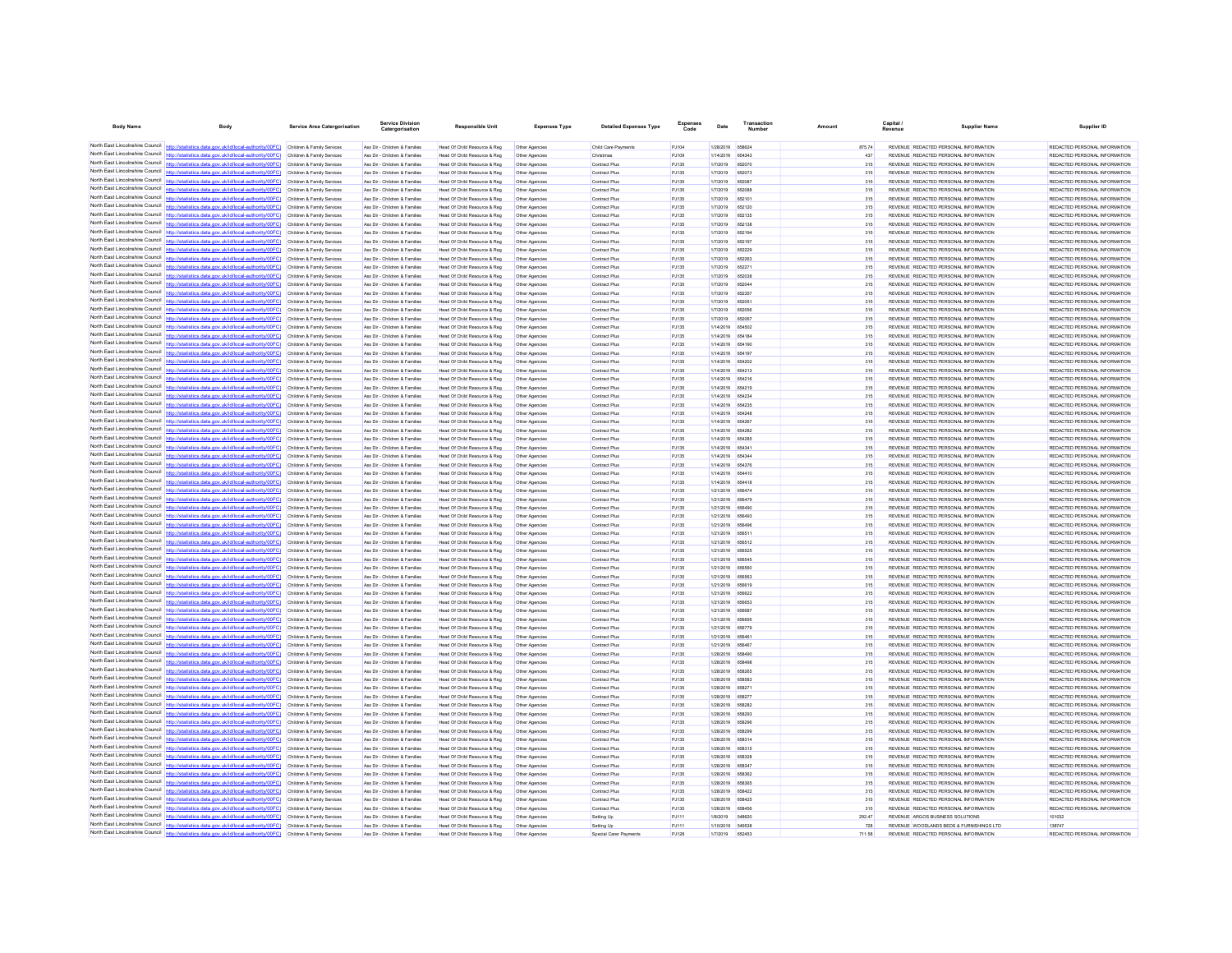| <b>Body Name</b>                              | Body                                                                                                                                                                                                          | <b>Service Area Catergorisation</b>                      | Service Divisio<br>Catergorisation                             | <b>Responsible Unit</b>                                      | <b>Expenses Type</b>             | <b>Detailed Expenses Type</b>  | Code           | Date                                 | Number           | Amount     | Capital<br>Revenue | <b>Supplier Name</b>                                                           | Supplier ID                                                    |
|-----------------------------------------------|---------------------------------------------------------------------------------------------------------------------------------------------------------------------------------------------------------------|----------------------------------------------------------|----------------------------------------------------------------|--------------------------------------------------------------|----------------------------------|--------------------------------|----------------|--------------------------------------|------------------|------------|--------------------|--------------------------------------------------------------------------------|----------------------------------------------------------------|
|                                               | North East Lincolnshire Council http://statistics.data.gov.uk/id/local-authority/00FC) Children & Family Services                                                                                             |                                                          | Ass Dir - Children & Families                                  | Head Of Child Resource & Reg                                 | Other Agencies                   | Child Care Payments            | PJ104          | 1/28/2019 658624                     |                  | 875.74     |                    | REVENUE REDACTED PERSONAL INFORMATION                                          | REDACTED PERSONAL INFORMATION                                  |
|                                               | North East Lincolnshire Council http://statistics.data.gov.uk/id/local-authority/00FC) Children & Family Services                                                                                             |                                                          | Ass Dir - Children & Families                                  | Head Of Child Resource & Reg                                 | Other Agencies                   | Christmas                      | PJ109          | 1/14/2019 654343                     |                  | 437        |                    | REVENUE REDACTED PERSONAL INFORMATION                                          | REDACTED PERSONAL INFORMATION                                  |
|                                               | North East Lincolnshire Council http://statistics.data.gov.uk/id/local-authority/00FC)                                                                                                                        | Children & Family Services                               | Ass Dir - Children & Families                                  | Head Of Child Resource & Reg                                 | Other Agencies                   | Contract Plus                  | PJ135          | 1/7/2019                             | 652070           | 315        |                    | REVENUE REDACTED PERSONAL INFORMATION                                          | REDACTED PERSONAL INFORMATION                                  |
|                                               | North East Lincolnshire Council http://statistics.data.gov.uk/id/local-authority/00FC)                                                                                                                        | Children & Family Services                               | Ass Dir - Children & Families                                  | Head Of Child Resource & Reg                                 | Other Agencies                   | Contract Plus                  | PJ135          | 1/7/2019                             | 652073           | 315        |                    | REVENUE REDACTED PERSONAL INFORMATION                                          | REDACTED PERSONAL INFORMATION                                  |
|                                               | North East Lincolnshire Council http://statistics.data.gov.uk/id/local-authority/00FC) Children & Family Services                                                                                             |                                                          | Ass Dir - Children & Families                                  | Head Of Child Resource & Reg                                 | Other Agencies                   | Contract Plus                  | PJ135          | 1/7/2019                             | 652087           | 315        |                    | REVENUE REDACTED PERSONAL INFORMATION                                          | REDACTED PERSONAL INFORMATION                                  |
|                                               | North East Lincolnshire Council http://statistics.data.gov.uk/id/local-authority/00FC) Children & Family Services                                                                                             |                                                          | Ass Dir - Children & Families                                  | Head Of Child Resource & Reg                                 | Other Agencies                   | Contract Plus                  | PJ135          | 1/7/2019                             | 652088           | 315        |                    | REVENUE REDACTED PERSONAL INFORMATION                                          | REDACTED PERSONAL INFORMATION                                  |
|                                               | North East Lincolnshire Council http://statistics.data.gov.uk/id/local-authority/00FC) Children & Family Services                                                                                             |                                                          | Ass Dir - Children & Families                                  | Head Of Child Resource & Reg                                 | Other Agencies                   | Contract Plus                  | PJ135          | 1/7/2019                             | 652101           | 315        |                    | REVENUE REDACTED PERSONAL INFORMATION                                          | REDACTED PERSONAL INFORMATION                                  |
| North East Lincolnshire Council               | http://statistics.data.gov.uk/id/local-authority/00FC)                                                                                                                                                        | Children & Family Services                               | Ass Dir - Children & Families                                  | Head Of Child Resource & Reg                                 | Other Agencies                   | Contract Plus                  | PJ135          | 1/7/2019                             | 652120           | 315        |                    | REVENUE REDACTED PERSONAL INFORMATION                                          | REDACTED PERSONAL INFORMATION                                  |
|                                               | North East Lincolnshire Council http://statistics.data.gov.uk/id/local-authority/00FC)                                                                                                                        | Children & Family Services                               | Ass Dir - Children & Families                                  | Head Of Child Resource & Reg                                 |                                  | Contract Plus                  | PJ135          | 1/7/2019                             | 652135           | 315        |                    | REVENUE REDACTED PERSONAL INFORMATION                                          | REDACTED PERSONAL INFORMATION                                  |
|                                               | North East Lincolnshire Council http://statistics.data.gov.uk/id/local-authority/00FC)                                                                                                                        | Children & Family Services                               | Ass Dir - Children & Families                                  | Head Of Child Resource & Reg                                 | Other Agencies                   | Contract Plus                  | PJ135          | 1/7/2019                             | 652138           | 315        |                    | REVENUE REDACTED PERSONAL INFORMATION                                          | REDACTED PERSONAL INFORMATION                                  |
|                                               | North East Lincolnshire Council http://statistics.data.gov.uk/id/local-authority/00FC) Children & Family Services                                                                                             |                                                          | Ass Dir - Children & Families                                  | Head Of Child Resource & Reg                                 | Other Agencies                   | Contract Plus                  | PJ135          | 1/7/2019                             | 652194           | 315        |                    | REVENUE REDACTED PERSONAL INFORMATION                                          | REDACTED PERSONAL INFORMATION                                  |
| North East Lincolnshire Council               | North East Lincolnshire Council http://statistics.data.gov.uk/id/local-authority/00FC) Children & Family Services                                                                                             |                                                          | Ass Dir - Children & Families                                  | Head Of Child Resource & Reg                                 | Other Agencies                   | Contract Plus                  | PJ135          | 1/7/2019                             | 652197           | 315<br>315 |                    | REVENUE REDACTED PERSONAL INFORMATION                                          | REDACTED PERSONAL INFORMATION                                  |
|                                               | http://statistics.data.gov.uk/id/local-authority/00FC)<br>North East Lincolnshire Council http://statistics.data.gov.uk/id/local-authority/00FC)                                                              | Children & Family Services<br>Children & Family Services | Ass Dir - Children & Families<br>Ass Dir - Children & Families | Head Of Child Resource & Reg<br>Head Of Child Resource & Reg | Other Agencies                   | Contract Plus<br>Contract Plus | PJ135<br>PJ135 | 1/7/2019<br>1/7/2019                 | 652229<br>652263 | 315        |                    | REVENUE REDACTED PERSONAL INFORMATION<br>REVENUE REDACTED PERSONAL INFORMATION | REDACTED PERSONAL INFORMATION<br>REDACTED PERSONAL INFORMATION |
|                                               | North East Lincolnshire Council http://statistics.data.gov.uk/id/local-authority/00FC) Children & Family Services                                                                                             |                                                          | Ass Dir - Children & Families                                  | Head Of Child Resource & Reg                                 | Other Agencies<br>Other Agencies | Contract Plus                  | PJ135          | 1/7/2019                             | 652271           | 315        |                    | REVENUE REDACTED PERSONAL INFORMATION                                          | REDACTED PERSONAL INFORMATION                                  |
|                                               | North East Lincolnshire Council http://statistics.data.gov.uk/id/local-authority/00FC) Children & Family Services                                                                                             |                                                          | Ass Dir - Children & Families                                  | Head Of Child Resource & Reg                                 | Other Agencies                   | Contract Plus                  | PJ135          | 1/7/2019                             | 652038           | 315        |                    | REVENUE REDACTED PERSONAL INFORMATION                                          | REDACTED PERSONAL INFORMATION                                  |
|                                               | North East Lincolnshire Council http://statistics.data.gov.uk/id/local-authority/00FC) Children & Family Services                                                                                             |                                                          | Ass Dir - Children & Families                                  | Head Of Child Resource & Reg                                 | Other Agencies                   | Contract Plus                  | PJ135          | 1/7/2019                             | 652044           | 315        |                    | REVENUE REDACTED PERSONAL INFORMATION                                          | REDACTED PERSONAL INFORMATION                                  |
| North Fast Lincolnshire Council               | ics.data.gov.uk/id/local-authority/00FC) Children & Family Services                                                                                                                                           |                                                          | Ass Dir - Children & Families                                  | Head Of Child Resource & Reg                                 | Other Agencies                   | Contract Plus                  | PJ135          | 1/7/2019                             | 652357           | 315        |                    | REVENUE REDACTED PERSONAL INFORMATION                                          | REDACTED PERSONAL INFORMATION                                  |
|                                               | North East Lincolnshire Council http://statistics.data.gov.uk/id/local-authority/00FC)                                                                                                                        | Children & Family Services                               | Ass Dir - Children & Families                                  | Head Of Child Resource & Reg                                 | Other Agencies                   | Contract Plus                  | PJ135          | 1/7/2019                             | 652051           | 315        |                    | REVENUE REDACTED PERSONAL INFORMATION                                          | REDACTED PERSONAL INFORMATION                                  |
| North East Lincolnshire Council               | http://statistics.data.gov.uk/id/local-authority/00FC)                                                                                                                                                        | Children & Family Services                               | Ass Dir - Children & Families                                  | Head Of Child Resource & Reg                                 | Other Agencies                   | Contract Plus                  | PJ135          | 1/7/2019                             | 652056           | 315        |                    | REVENUE REDACTED PERSONAL INFORMATION                                          | REDACTED PERSONAL INFORMATION                                  |
|                                               | North East Lincolnshire Council http://statistics.data.gov.uk/id/local-authority/00FC)                                                                                                                        | Children & Family Services                               | Ass Dir - Children & Families                                  | Head Of Child Resource & Reg                                 | Other Agencies                   | Contract Plus                  | PJ135          | 1/7/2019                             | 652067           | 315        |                    | REVENUE REDACTED PERSONAL INFORMATION                                          | REDACTED PERSONAL INFORMATION                                  |
|                                               | North East Lincolnshire Council http://statistics.data.gov.uk/id/local-authority/00FC)                                                                                                                        | Children & Family Services                               | Ass Dir - Children & Families                                  | Head Of Child Resource & Reg                                 | Other Agencies                   | Contract Plus                  | PJ135          | 1/14/2019 654502                     |                  | 315        |                    | REVENUE REDACTED PERSONAL INFORMATION                                          | REDACTED PERSONAL INFORMATION                                  |
| North East Lincolnshire Council http://statis | tics.data.gov.uk/id/local-authority/00FC)                                                                                                                                                                     | Children & Family Services                               | Ass Dir - Children & Families                                  | Head Of Child Resource & Reg                                 | Other Agencies                   | Contract Plus                  | PJ135          | 1/14/2019 654184                     |                  | 315        |                    | REVENUE REDACTED PERSONAL INFORMATION                                          | REDACTED PERSONAL INFORMATION                                  |
|                                               | North East Lincolnshire Council   http://statistics.data.gov.uk/id/local-authority/00FC)                                                                                                                      | Children & Family Services                               | Ass Dir - Children & Families                                  | Head Of Child Resource & Reg                                 | Other Agencie                    | Contract Plus                  | PJ135          | 1/14/2019                            | 654190           | 315        |                    | REVENUE REDACTED PERSONAL INFORMATION                                          | REDACTED PERSONAL INFORMATION                                  |
| North East Lincolnshire Council               | http://statistics.data.gov.uk/id/local-authority/00FC) Children & Family Services                                                                                                                             |                                                          | Ass Dir - Children & Families                                  | Head Of Child Resource & Reg                                 | Other Agencies                   | Contract Plus                  | PJ135          | 1/14/2019 654197                     |                  | 315        |                    | REVENUE REDACTED PERSONAL INFORMATION                                          | REDACTED PERSONAL INFORMATION                                  |
|                                               | North East Lincolnshire Council http://statistics.data.gov.uk/id/local-authority/00FC) Children & Family Services                                                                                             |                                                          | Ass Dir - Children & Families                                  | Head Of Child Resource & Reg                                 | Other Agencies                   | Contract Plus                  | PJ135          | 1/14/2019 654202                     |                  | 315        |                    | REVENUE REDACTED PERSONAL INFORMATION                                          | REDACTED PERSONAL INFORMATION                                  |
| North East Lincolnshire Council               | North East Lincolnshire Council http://statistics.data.gov.uk/id/local-authority/00FC) Children & Family Services                                                                                             |                                                          | Ass Dir - Children & Families                                  | Head Of Child Resource & Reg                                 | Other Agencies                   | <b>Contract Plus</b>           | PJ135          | 1/14/2019 654213                     |                  | 315        |                    | REVENUE REDACTED PERSONAL INFORMATION                                          | REDACTED PERSONAL INFORMATION                                  |
|                                               | http://statistics.data.gov.uk/id/local-authority/00FC)<br>North East Lincolnshire Council http://statistics.data.gov.uk/id/local-authority/00FC).                                                             | Children & Family Services                               | Ass Dir - Children & Families                                  | Head Of Child Resource & Reg                                 | Other Agencies                   | Contract Plus                  | PJ135          | 1/14/2019                            | 654216           | 315        |                    | REVENUE REDACTED PERSONAL INFORMATION                                          | REDACTED PERSONAL INFORMATION                                  |
|                                               | North East Lincolnshire Council http://statistics.data.gov.uk/id/local-authority/00FC)                                                                                                                        | Children & Family Services<br>Children & Family Services | Ass Dir - Children & Families<br>Ass Dir - Children & Families | Head Of Child Resource & Reg<br>Head Of Child Resource & Reg | Other Agencies<br>Other Agencies | Contract Plus<br>Contract Plus | PJ135<br>PJ135 | 1/14/2019<br>1/14/2019 654234        | 654219           | 315<br>315 |                    | REVENUE REDACTED PERSONAL INFORMATION<br>REVENUE REDACTED PERSONAL INFORMATION | REDACTED PERSONAL INFORMATION<br>REDACTED PERSONAL INFORMATION |
|                                               | North East Lincolnshire Council http://statistics.data.gov.uk/id/local-authority/00FC)                                                                                                                        | Children & Family Services                               | Ass Dir - Children & Families                                  | Head Of Child Resource & Reg                                 | Other Agencies                   | Contract Plus                  | PJ135          | 1/14/2019 654235                     |                  | 315        |                    | REVENUE REDACTED PERSONAL INFORMATION                                          | REDACTED PERSONAL INFORMATION                                  |
| North East Lincolnshire Council               | http://statistics.data.oov.uk/id/local-authority/00EC)                                                                                                                                                        | Children & Family Services                               | Ass Dir - Children & Families                                  | Head Of Child Resource & Reg                                 | Other Agencies                   | Contract Plus                  | PJ135          | 1/14/2019 654248                     |                  | 315        |                    | REVENUE REDACTED PERSONAL INFORMATION                                          | REDACTED PERSONAL INFORMATION                                  |
|                                               | North East Lincolnshire Council http://statistics.data.gov.uk/id/local-authority/00FC)                                                                                                                        | Children & Family Services                               | Ass Dir - Children & Families                                  | Head Of Child Resource & Reg                                 | Other Agencies                   | Contract Plus                  | PJ135          | 1/14/2019                            | 654267           | 315        |                    | REVENUE REDACTED PERSONAL INFORMATION                                          | REDACTED PERSONAL INFORMATION                                  |
|                                               | North East Lincolnshire Council http://statistics.data.gov.uk/id/local-authority/00FC) Children & Family Services                                                                                             |                                                          | Ass Dir - Children & Families                                  | Head Of Child Resource & Reg                                 | Other Agencies                   | Contract Plus                  | PJ135          | 1/14/2019 654282                     |                  | 315        |                    | REVENUE REDACTED PERSONAL INFORMATION                                          | REDACTED PERSONAL INFORMATION                                  |
|                                               | North East Lincolnshire Council http://statistics.data.gov.uk/id/local-authority/00FC) Children & Family Services                                                                                             |                                                          | Ass Dir - Children & Families                                  | Head Of Child Resource & Reg                                 | Other Agencies                   | Contract Plus                  | PJ135          | 1/14/2019 654285                     |                  | 315        |                    | REVENUE REDACTED PERSONAL INFORMATION                                          | REDACTED PERSONAL INFORMATION                                  |
|                                               | North East Lincolnshire Council http://statistics.data.gov.uk/id/local-authority/00FC) Children & Family Services                                                                                             |                                                          | Ass Dir - Children & Families                                  | Head Of Child Resource & Reg                                 | Other Agencies                   | Contract Plus                  | PJ135          | 1/14/2019 65434                      |                  | 315        |                    | REVENUE REDACTED PERSONAL INFORMATION                                          | REDACTED PERSONAL INFORMATION                                  |
|                                               | North East Lincolnshire Council http://statistics.data.gov.uk/id/local-authority/00FC) Children & Family Services                                                                                             |                                                          | Ass Dir - Children & Families                                  | Head Of Child Resource & Reg                                 | Other Agencies                   | Contract Plus                  | PJ135          | 1/14/2019 654344                     |                  | 315        |                    | REVENUE REDACTED PERSONAL INFORMATION                                          | REDACTED PERSONAL INFORMATION                                  |
| North East Lincolnshire Council               | http://statistics.data.gov.uk/id/local-authority/00FC)                                                                                                                                                        | Children & Family Services                               | Ass Dir - Children & Families                                  | Head Of Child Resource & Reg                                 | Other Agencies                   | Contract Plus                  | PJ135          | 1/14/2019                            | 654376           | 315        |                    | REVENUE REDACTED PERSONAL INFORMATION                                          | REDACTED PERSONAL INFORMATION                                  |
|                                               | North East Lincolnshire Council http://statistics.data.gov.uk/id/local-authority/00FC)                                                                                                                        | Children & Family Services                               | Ass Dir - Children & Families                                  | Head Of Child Resource & Reg                                 |                                  | Contract Plus                  | PJ135          | 1/14/2019                            | 654410           | 315        |                    | REVENUE REDACTED PERSONAL INFORMATION                                          | REDACTED PERSONAL INFORMATION                                  |
|                                               | North East Lincolnshire Council http://statistics.data.gov.uk/id/local-authority/00FC) Children & Family Services                                                                                             |                                                          | Ass Dir - Children & Families                                  | Head Of Child Resource & Reg                                 | Other Agencies                   | Contract Plus                  | PJ135          | 1/14/2019 654418                     |                  | 315        |                    | REVENUE REDACTED PERSONAL INFORMATION                                          | REDACTED PERSONAL INFORMATION                                  |
|                                               | North East Lincolnshire Council http://statistics.data.gov.uk/id/local-authority/00FC)                                                                                                                        | Children & Family Services                               | Ass Dir - Children & Families                                  | Head Of Child Resource & Reg                                 | Other Agencies                   | Contract Plus                  | PJ135          | 1/21/2019 656474                     |                  | 315        |                    | REVENUE REDACTED PERSONAL INFORMATION                                          | REDACTED PERSONAL INFORMATION                                  |
| North East Lincolnshire Council               | http://statistics.data.gov.uk/id/local-authority/00FC) Children & Family Services                                                                                                                             |                                                          | Ass Dir - Children & Families                                  | Head Of Child Resource & Reg                                 | Other Agencies                   | <b>Contract Plus</b>           | PJ135          | 1/21/2019 656479                     |                  | 315        |                    | REVENUE REDACTED PERSONAL INFORMATION                                          | REDACTED PERSONAL INFORMATION                                  |
| North East Lincolnshire Council               | lics.data.gov.uk/id/local-authority/00FC)                                                                                                                                                                     | Children & Family Services                               | Ass Dir - Children & Families                                  | Head Of Child Resource & Reg                                 | Other Agencies                   | Contract Plus                  | PJ135          | 1/21/2019 656490                     |                  | 315        |                    | REVENUE REDACTED PERSONAL INFORMATION                                          | REDACTED PERSONAL INFORMATION                                  |
|                                               | North East Lincolnshire Council http://statistics.data.gov.uk/id/local-authority/00FC) Children & Family Services                                                                                             |                                                          | Ass Dir - Children & Families                                  | Head Of Child Resource & Reg                                 | Other Agencies                   | Contract Plus                  | PJ135          | 1/21/2019 656493                     |                  | 315        |                    | REVENUE REDACTED PERSONAL INFORMATION                                          | REDACTED PERSONAL INFORMATION                                  |
|                                               | North East Lincolnshire Council http://statistics.data.gov.uk/id/local-authority/00FC) Children & Family Services                                                                                             |                                                          | Ass Dir - Children & Families                                  | Head Of Child Resource & Reg                                 | Other Agencies                   | Contract Plus                  | PJ135          | 1/21/2019 656496                     |                  | 315        |                    | REVENUE REDACTED PERSONAL INFORMATION                                          | REDACTED PERSONAL INFORMATION                                  |
|                                               | North East Lincolnshire Council http://statistics.data.gov.uk/id/local-authority/00FC) Children & Family Services<br>North East Lincolnshire Council http://statistics.data.gov.uk/id/local-authority/00FC)   | Children & Family Services                               | Ass Dir - Children & Families<br>Ass Dir - Children & Families | Head Of Child Resource & Reg<br>Head Of Child Resource & Reg | Other Agencies<br>Other Agencies | Contract Plus<br>Contract Plus | PJ135<br>PJ135 | 1/21/2019 656511<br>1/21/2019 656512 |                  | 315<br>315 |                    | REVENUE REDACTED PERSONAL INFORMATION<br>REVENUE REDACTED PERSONAL INFORMATION | REDACTED PERSONAL INFORMATION<br>REDACTED PERSONAL INFORMATION |
|                                               | North East Lincolnshire Council http://statistics.data.gov.uk/id/local-authority/00FC)                                                                                                                        | Children & Family Services                               | Ass Dir - Children & Families                                  | Head Of Child Resource & Reg                                 | Other Agencies                   | Contract Plus                  | PJ135          | 1/21/2019                            | 656525           | 315        |                    | REVENUE REDACTED PERSONAL INFORMATION                                          | REDACTED PERSONAL INFORMATION                                  |
|                                               | North East Lincolnshire Council http://statistics.data.gov.uk/id/local-authority/00FC)                                                                                                                        | Children & Family Services                               | Ass Dir - Children & Families                                  | Head Of Child Resource & Reg                                 | Other Agencie                    | Contract Plus                  | PJ135          | 1/21/2019                            | <b>REBEAR</b>    | 315        |                    | REVENUE REDACTED PERSONAL INFORMATION                                          | REDACTED PERSONAL INFORMATION                                  |
|                                               | North East Lincolnshire Council http://statistics.data.gov.uk/id/local-authority/00FC) Children & Family Services                                                                                             |                                                          | Ass Dir - Children & Families                                  | Head Of Child Resource & Reg                                 | Other Agencies                   | Contract Plus                  | PJ135          | 1/21/2019 656560                     |                  | 315        |                    | REVENUE REDACTED PERSONAL INFORMATION                                          | REDACTED PERSONAL INFORMATION                                  |
|                                               | North East Lincolnshire Council http://statistics.data.gov.uk/id/local-authority/00FC)                                                                                                                        | Children & Family Services                               | Ass Dir - Children & Families                                  | Head Of Child Resource & Reg                                 | Other Agencies                   | Contract Plus                  | PJ135          | 1/21/2019 656563                     |                  | 315        |                    | REVENUE REDACTED PERSONAL INFORMATION                                          | REDACTED PERSONAL INFORMATION                                  |
|                                               | North East Lincolnshire Council http://statistics.data.gov.uk/id/local-authority/00FC)                                                                                                                        | Children & Family Services                               | Ass Dir - Children & Families                                  | Head Of Child Resource & Reg                                 | Other Agencies                   | Contract Plus                  | PJ135          | 1/21/2019 656619                     |                  | 315        |                    | REVENUE REDACTED PERSONAL INFORMATION                                          | REDACTED PERSONAL INFORMATION                                  |
| North East Lincolnshire Council               | http://statistics.data.gov.uk/id/local-authority/00FC)                                                                                                                                                        | Children & Family Services                               | Ass Dir - Children & Families                                  | Head Of Child Resource & Reg                                 | Other Agencies                   | Contract Plus                  | PJ135          | 1/21/2019 656622                     |                  | 315        |                    | REVENUE REDACTED PERSONAL INFORMATION                                          | REDACTED PERSONAL INFORMATION                                  |
|                                               | North East Lincolnshire Council http://statistics.data.gov.uk/id/local-authority/00FC) Children & Family Services                                                                                             |                                                          | Ass Dir - Children & Families                                  | Head Of Child Resource & Reg                                 | Other Agencies                   | Contract Plus                  | PJ135          | 1/21/2019                            | <b>BERRET</b>    | 315        |                    | REVENUE REDACTED PERSONAL INFORMATION                                          | REDACTED PERSONAL INFORMATION                                  |
|                                               | North East Lincolnshire Council http://statistics.data.gov.uk/id/local-authority/00FC) Children & Family Services                                                                                             |                                                          | Ass Dir - Children & Families                                  | Head Of Child Resource & Reg                                 | Other Agencies                   | Contract Plus                  | PJ135          | 1/21/2019 656687                     |                  | 315        |                    | REVENUE REDACTED PERSONAL INFORMATION                                          | REDACTED PERSONAL INFORMATION                                  |
|                                               | North East Lincolnshire Council http://statistics.data.gov.uk/id/local-authority/00FC) Children & Family Services                                                                                             |                                                          | Ass Dir - Children & Families                                  | Head Of Child Resource & Reg                                 | Other Agencies                   | Contract Plus                  | PJ135          | 1/21/2019                            | 656695           | 315        |                    | REVENUE REDACTED PERSONAL INFORMATION                                          | REDACTED PERSONAL INFORMATION                                  |
| North East Lincolnshire Council               | http://statistics.data.gov.uk/id/local-authority/00EC) Children & Family Services                                                                                                                             |                                                          | Ass Dir - Children & Families                                  | Head Of Child Resource & Reg                                 | Other Agencies                   | <b>Contract Plus</b>           | PJ135          | 1/21/2019 656779                     |                  | 315        |                    | REVENUE REDACTED PERSONAL INFORMATION                                          | REDACTED PERSONAL INFORMATION                                  |
|                                               | North East Lincolnshire Council http://statistics.data.gov.uk/id/local-authority/00FC)                                                                                                                        | Children & Family Services                               | Ass Dir - Children & Families                                  | Head Of Child Resource & Reg                                 | Other Agencies                   | Contract Plus                  | PJ135          | 1/21/2019                            | 65646            | 315        |                    | REVENUE REDACTED PERSONAL INFORMATION                                          | REDACTED PERSONAL INFORMATION                                  |
|                                               | North East Lincolnshire Council nttp://statistics.data.gov.uk/id/local-authority/00FC)                                                                                                                        | Children & Family Services                               | Ass Dir - Children & Families                                  | Head Of Child Resource & Reg                                 | Other Agencies                   | <b>Contract Plus</b>           | PJ135          | 1/21/2019 656467                     |                  | 315        |                    | REVENUE REDACTED PERSONAL INFORMATION                                          | REDACTED PERSONAL INFORMATION                                  |
| North East Lincolnshire Council               | http://statistics.data.gov.uk/id/local-authority/00FC) Children & Family Services                                                                                                                             |                                                          | Ass Dir - Children & Families                                  | Head Of Child Resource & Reg                                 | Other Agencies                   | Contract Plus                  | PJ135          | 1/28/2019 658490                     |                  | 315        |                    | REVENUE REDACTED PERSONAL INFORMATION                                          | REDACTED PERSONAL INFORMATION                                  |
| North East Lincolnshire Council               | North East Lincolnshire Council http://statistics.data.gov.uk/id/local-authority/00FC).                                                                                                                       | Children & Family Services                               | Ass Dir - Children & Families                                  | Head Of Child Resource & Reg                                 | Other Agencies                   | Contract Plus                  | PJ135          | 1/28/2019 658496                     |                  | 315        |                    | REVENUE REDACTED PERSONAL INFORMATION                                          | REDACTED PERSONAL INFORMATION                                  |
|                                               | http://statistics.data.gov.uk/id/local-authority/00FC)                                                                                                                                                        | Children & Family Services                               | Ass Dir - Children & Families                                  | Head Of Child Resource & Reg                                 | Other Agencies                   | Contract Plus                  | PJ135          | 1/28/2019 658265                     |                  | 315        |                    | REVENUE REDACTED PERSONAL INFORMATION                                          | REDACTED PERSONAL INFORMATION                                  |
| North East Lincolnshire Council               | North East Lincolnshire Council http://statistics.data.gov.uk/id/local-authority/00FC)<br>httn://statistics.data.gov.uk/id/local-authority/00FC) Children & Family Services                                   | Children & Family Services                               | Ass Dir - Children & Families                                  | Head Of Child Resource & Reg                                 | Other Agencies                   | Contract Plus                  | PJ135          | 1/28/2019                            | 658583           | 315        |                    | REVENUE REDACTED PERSONAL INFORMATION                                          | REDACTED PERSONAL INFORMATION                                  |
|                                               | North East Lincolnshire Council http://statistics.data.gov.uk/id/local-authority/00FC) Children & Family Services                                                                                             |                                                          | Ass Dir - Children & Families<br>Ass Dir - Children & Families | Head Of Child Resource & Reg<br>Head Of Child Resource & Reg | Other Agencies                   | Contract Plus<br>Contract Plus | PJ135<br>PJ135 | 1/28/2019<br>1/28/2019 658277        | 658271           | 315<br>315 |                    | REVENUE REDACTED PERSONAL INFORMATION<br>REVENUE REDACTED PERSONAL INFORMATION | REDACTED PERSONAL INFORMATION<br>REDACTED PERSONAL INFORMATION |
|                                               | North East Lincolnshire Council http://statistics.data.gov.uk/id/local-authority/00FC) Children & Family Services                                                                                             |                                                          | Ass Dir - Children & Families                                  | Head Of Child Resource & Reg                                 | Other Agencies<br>Other Agencies | Contract Plus                  | PJ135          | 1/28/2019 658282                     |                  | 315        |                    | REVENUE REDACTED PERSONAL INFORMATION                                          | REDACTED PERSONAL INFORMATION                                  |
| North East Lincolnshire Council               | http://statistics.data.gov.uk/id/local-authority/00FC) Children & Family Services                                                                                                                             |                                                          | Ass Dir - Children & Families                                  | Head Of Child Resource & Reg                                 | Other Agencies                   | Contract Plus                  | PJ135          | 1/28/2019                            | 658293           | 315        |                    | REVENUE REDACTED PERSONAL INFORMATION                                          | REDACTED PERSONAL INFORMATION                                  |
| North East Lincolnshire Council               |                                                                                                                                                                                                               | Children & Family Services                               | Ass Dir - Children & Families                                  | Head Of Child Resource & Reg                                 | Other Agencies                   | Contract Plus                  | PJ135          | 1/28/2019                            | 658296           | 315        |                    | REVENUE REDACTED PERSONAL INFORMATION                                          | REDACTED PERSONAL INFORMATION                                  |
|                                               | North East Lincolnshire Council nttp://statistics.data.gov.uk/id/local-authority/00FC)                                                                                                                        | Children & Family Services                               | Ass Dir - Children & Families                                  | Head Of Child Resource & Reg                                 | Other Agencies                   | <b>Contract Plus</b>           | P.1135         | 1/28/2019 658299                     |                  | 315        |                    | REVENUE REDACTED PERSONAL INFORMATION                                          | REDACTED PERSONAL INFORMATION                                  |
|                                               | North East Lincolnshire Council http://statistics.data.gov.uk/id/local-authority/00FC)                                                                                                                        | Children & Family Services                               | Ass Dir - Children & Families                                  | Head Of Child Resource & Reg                                 | Other Agencies                   | Contract Plus                  | PJ135          | 1/28/2019 658314                     |                  | 315        |                    | REVENUE REDACTED PERSONAL INFORMATION                                          | REDACTED PERSONAL INFORMATION                                  |
|                                               | North East Lincolnshire Council http://statistics.data.gov.uk/id/local-authority/00FC)                                                                                                                        | Children & Family Services                               | Ass Dir - Children & Families                                  | Head Of Child Resource & Reg                                 | Other Agencies                   | Contract Plus                  | PJ135          | 1/28/2019 658315                     |                  | 315        |                    | REVENUE REDACTED PERSONAL INFORMATION                                          | REDACTED PERSONAL INFORMATION                                  |
|                                               | North East Lincolnshire Council http://statistics.data.gov.uk/id/local-authority/00FC)                                                                                                                        | Children & Family Services                               | Ass Dir - Children & Families                                  | Head Of Child Resource & Reg                                 | Other Agencies                   | Contract Plus                  | PJ135          | 1/28/2019 658328                     |                  | 315        |                    | REVENUE REDACTED PERSONAL INFORMATION                                          | REDACTED PERSONAL INFORMATION                                  |
|                                               | North East Lincolnshire Council http://statistics.data.gov.uk/id/local-authority/00FC)                                                                                                                        | Children & Family Services                               | Ass Dir - Children & Families                                  | Head Of Child Resource & Reg                                 | Other Agencies                   | Contract Plus                  | PJ135          | 1/28/2019                            | 658347           | 315        |                    | REVENUE REDACTED PERSONAL INFORMATION                                          | REDACTED PERSONAL INFORMATION                                  |
|                                               | North East Lincolnshire Council http://statistics.data.gov.uk/id/local-authority/00FC) Children & Family Services                                                                                             |                                                          | Ass Dir - Children & Families                                  | Head Of Child Resource & Reg                                 | Other Agencies                   | Contract Plus                  | PJ135          | 1/28/2019 658362                     |                  | 315        |                    | REVENUE REDACTED PERSONAL INFORMATION                                          | REDACTED PERSONAL INFORMATION                                  |
|                                               | North East Lincolnshire Council http://statistics.data.gov.uk/id/local-authority/00FC) Children & Family Services                                                                                             |                                                          | Ass Dir - Children & Families                                  | Head Of Child Resource & Reg                                 | Other Agencies                   | Contract Plus                  | PJ135          | 1/28/2019 658365                     |                  | 315        |                    | REVENUE REDACTED PERSONAL INFORMATION                                          | REDACTED PERSONAL INFORMATION                                  |
|                                               | North East Lincolnshire Council http://statistics.data.gov.uk/id/local-authority/00FC) Children & Family Services                                                                                             |                                                          | Ass Dir - Children & Families                                  | Head Of Child Resource & Reg                                 | Other Agencies                   | Contract Plus                  | PJ135          | 1/28/2019 658422                     |                  | 315        |                    | REVENUE REDACTED PERSONAL INFORMATION                                          | REDACTED PERSONAL INFORMATION                                  |
|                                               | North East Lincolnshire Council http://statistics.data.gov.uk/id/local-authority/00FC)                                                                                                                        | Children & Family Services                               | Ass Dir - Children & Families                                  | Head Of Child Resource & Reg                                 | Other Agencies                   | Contract Plus                  | PJ135          | 1/28/2019 658425                     |                  | 315        |                    | REVENUE REDACTED PERSONAL INFORMATION                                          | REDACTED PERSONAL INFORMATION                                  |
|                                               | North East Lincolnshire Council http://statistics.data.gov.uk/id/local-authority/00FC)                                                                                                                        | Children & Family Services                               | Ass Dir - Children & Families                                  | Head Of Child Resource & Reg                                 | Other Agencies                   | Contract Plus                  | PJ135          | 1/28/2019                            |                  | 315        |                    | REVENUE REDACTED PERSONAL INFORMATION                                          | REDACTED PERSONAL INFORMATION                                  |
|                                               | North East Lincolnshire Council http://statistics.data.gov.uk/id/local-authority/00FC) Children & Family Services                                                                                             |                                                          | Ass Dir - Children & Families                                  | Head Of Child Resource & Reg.                                | Other Agencies                   | Setting Up                     | PJ111          | 1/8/2019                             | 548820           | 292.47     |                    | REVENUE ARGOS BUSINESS SOLUTIONS                                               |                                                                |
|                                               | North East Lincolnshire Council http://statistics.data.gov.uk/id/local-authority/00FC) Children & Family Services<br>North East Lincolnshire Council   http://statistics.data.gov.uk/id/local-authority/00FC) |                                                          | Ass Dir - Children & Families                                  | Head Of Child Resource & Reg                                 | Other Agencies                   | Setting Up                     | PJ111          | 1/10/2019 549536                     |                  | 728        |                    | REVENUE WOODLANDS BEDS & FURNISHINGS LTD                                       |                                                                |
|                                               |                                                                                                                                                                                                               | Children & Family Services                               | Ass Dir - Children & Families                                  | Head Of Child Resource & Reg                                 | Other Agencie                    | Special Carer Pay              | PJ128          | 1/7/2019                             | 652453           | 711.58     |                    | REVENUE REDACTED PERSONAL INFORMATION                                          | REDACTED PERSONAL INFORMATION                                  |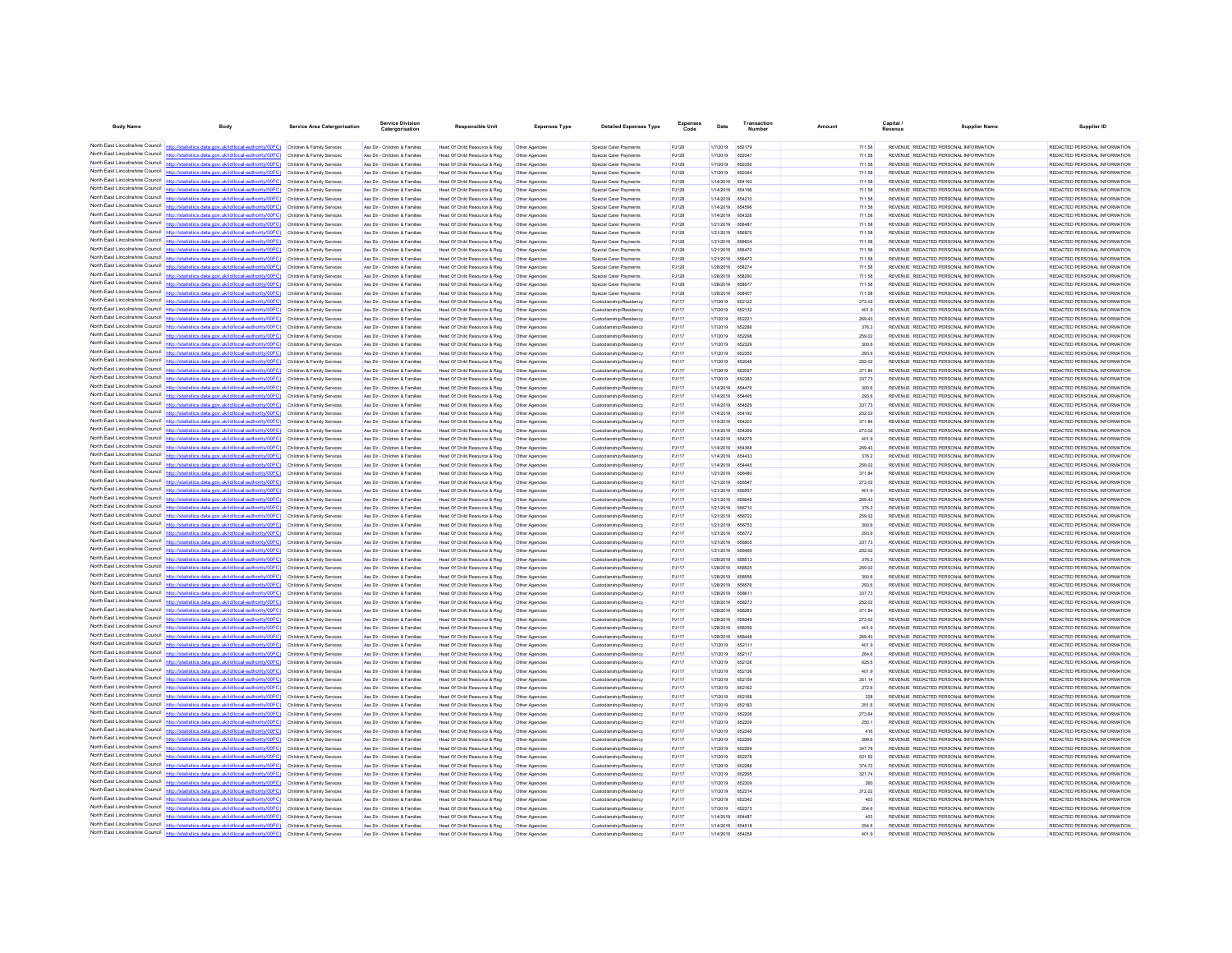| <b>Body Name</b>                                                   | Body                                                                                                                                                                                                                                   | <b>Service Area Catergorisation</b>                      | Service Divisio<br>Catergorisation                             | <b>Responsible Unit</b>                                      | <b>Expenses Type</b>             | <b>Detailed Expenses Type</b>                      |                | Date                                 | Number           | Amount           | Capital<br>Revenue | <b>Supplier Name</b>                                                           | Supplier ID                                                    |
|--------------------------------------------------------------------|----------------------------------------------------------------------------------------------------------------------------------------------------------------------------------------------------------------------------------------|----------------------------------------------------------|----------------------------------------------------------------|--------------------------------------------------------------|----------------------------------|----------------------------------------------------|----------------|--------------------------------------|------------------|------------------|--------------------|--------------------------------------------------------------------------------|----------------------------------------------------------------|
|                                                                    | North East Lincolnshire Council http://statistics.data.gov.uk/id/local-authority/00FC) Children & Family Services                                                                                                                      |                                                          | Ass Dir - Children & Families                                  | Head Of Child Resource & Reg                                 | Other Agencies                   | Special Carer Payments                             | PJ128          | 1/7/2019                             | 652179           | 711.58           |                    | REVENUE REDACTED PERSONAL INFORMATION                                          | REDACTED PERSONAL INFORMATION                                  |
|                                                                    | North East Lincolnshire Council http://statistics.data.gov.uk/id/local-authority/00FC) Children & Family Services                                                                                                                      |                                                          | Ass Dir - Children & Families                                  | Head Of Child Resource & Reg                                 | Other Agencies                   | Special Carer Payments                             | PJ128          | 1/7/2019                             | 652047           | 711.58           |                    | REVENUE REDACTED PERSONAL INFORMATION                                          | REDACTED PERSONAL INFORMATION                                  |
|                                                                    | North East Lincolnshire Council http://statistics.data.gov.uk/id/local-authority/00FC)                                                                                                                                                 | Children & Family Services                               | Ass Dir - Children & Families                                  | Head Of Child Resource & Reg                                 | Other Agencies                   | Soecial Carer Payments                             | PJ128          | 1/7/2019                             | 652050           | 711.58           |                    | REVENUE REDACTED PERSONAL INFORMATION                                          | REDACTED PERSONAL INFORMATION                                  |
|                                                                    | North East Lincolnshire Council http://statistics.data.gov.uk/id/local-authority/00FC)                                                                                                                                                 | Children & Family Services                               | Ass Dir - Children & Families                                  | Head Of Child Resource & Reg                                 | Other Agencies                   | Special Carer Payment                              | PJ128          | 1/7/2019                             | 652064           | 711.58           |                    | REVENUE REDACTED PERSONAL INFORMATION                                          | REDACTED PERSONAL INFORMATION                                  |
|                                                                    | North East Lincolnshire Council http://statistics.data.gov.uk/id/local-authority/00FC) Children & Family Services                                                                                                                      |                                                          | Ass Dir - Children & Families                                  | Head Of Child Resource & Reg                                 | Other Agencies                   | Soecial Carer Payments                             | PJ128          | 1/14/2019 654193                     |                  | 711.58           |                    | REVENUE REDACTED PERSONAL INFORMATION                                          | REDACTED PERSONAL INFORMATION                                  |
|                                                                    | North East Lincolnshire Council http://statistics.data.gov.uk/id/local-authority/00FC) Children & Family Services                                                                                                                      |                                                          | Ass Dir - Children & Families                                  | Head Of Child Resource & Reg                                 | Other Agencies                   | Special Carer Payments                             | PJ128          | 1/14/2019 654196                     |                  | 711.58           |                    | REVENUE REDACTED PERSONAL INFORMATION                                          | REDACTED PERSONAL INFORMATION                                  |
|                                                                    | North East Lincolnshire Council http://statistics.data.gov.uk/id/local-authority/00FC) Children & Family Services                                                                                                                      |                                                          | Ass Dir - Children & Families                                  | Head Of Child Resource & Reg                                 | Other Agencies                   | Special Carer Payments                             | PJ128          | 1/14/2019 654210                     |                  | 711.58           |                    | REVENUE REDACTED PERSONAL INFORMATION                                          | REDACTED PERSONAL INFORMATION                                  |
|                                                                    | North East Lincolnshire Council http://statistics.data.gov.uk/id/local-authority/00FC)                                                                                                                                                 | Children & Family Services                               | Ass Dir - Children & Families                                  | Head Of Child Resource & Reg                                 | Other Agencies                   | Special Carer Payments                             | PJ128          | 1/14/2019                            | 654596           | 711.58           |                    | REVENUE REDACTED PERSONAL INFORMATION                                          | REDACTED PERSONAL INFORMATION                                  |
|                                                                    | North East Lincolnshire Council http://statistics.data.gov.uk/id/local-authority/00FC)                                                                                                                                                 | Children & Family Services                               | Ass Dir - Children & Families                                  | Head Of Child Resource & Reg                                 |                                  | Special Carer Payment                              | PJ128          | 1/14/2019                            | 654326           | 711.58           |                    | REVENUE REDACTED PERSONAL INFORMATION                                          | REDACTED PERSONAL INFORMATION                                  |
|                                                                    | North East Lincolnshire Council http://statistics.data.gov.uk/id/local-authority/00FC) Children & Family Services                                                                                                                      |                                                          | Ass Dir - Children & Families                                  | Head Of Child Resource & Reg                                 | Other Agencies                   | Special Carer Payments                             | PJ128          | 1/21/2019 656487                     |                  | 711.58           |                    | REVENUE REDACTED PERSONAL INFORMATION                                          | REDACTED PERSONAL INFORMATION                                  |
|                                                                    | North East Lincolnshire Council http://statistics.data.gov.uk/id/local-authority/00FC) Children & Family Services                                                                                                                      |                                                          | Ass Dir - Children & Families                                  | Head Of Child Resource & Reg                                 | Other Agencies                   | Special Carer Payments                             | PJ128          | 1/21/2019 656870                     |                  | 711.58           |                    | REVENUE REDACTED PERSONAL INFORMATION                                          | REDACTED PERSONAL INFORMATION                                  |
| North East Lincolnshire Council                                    | North East Lincolnshire Council http://statistics.data.gov.uk/id/local-authority/00FC) Children & Family Services<br>http://statistics.data.gov.uk/id/local-authority/00FC)                                                            |                                                          | Ass Dir - Children & Families                                  | Head Of Child Resource & Reg                                 | Other Agencies                   | Special Carer Payments                             | PJ128          | 1/21/2019 656604                     |                  | 711.58<br>711.58 |                    | REVENUE REDACTED PERSONAL INFORMATION                                          | REDACTED PERSONAL INFORMATION<br>REDACTED PERSONAL INFORMATION |
|                                                                    | North East Lincolnshire Council http://statistics.data.gov.uk/id/local-authority/00FC)                                                                                                                                                 | Children & Family Services<br>Children & Family Services | Ass Dir - Children & Families<br>Ass Dir - Children & Families | Head Of Child Resource & Reg<br>Head Of Child Resource & Reg | Other Agencies                   | Special Carer Payments<br>Special Carer Payment    | PJ128<br>PJ128 | 1/21/2019 656470<br>1/21/2019        | 656473           | 711.58           |                    | REVENUE REDACTED PERSONAL INFORMATION<br>REVENUE REDACTED PERSONAL INFORMATION | REDACTED PERSONAL INFORMATION                                  |
|                                                                    | North East Lincolnshire Council http://statistics.data.gov.uk/id/local-authority/00FC) Children & Family Services                                                                                                                      |                                                          | Ass Dir - Children & Families                                  | Head Of Child Resource & Reg                                 | Other Agencies<br>Other Agencies | Soecial Carer Payments                             | PJ128          | 1/28/2019 658274                     |                  | 711.58           |                    | REVENUE REDACTED PERSONAL INFORMATION                                          | REDACTED PERSONAL INFORMATION                                  |
|                                                                    | North East Lincolnshire Council http://statistics.data.gov.uk/id/local-authority/00FC) Children & Family Services                                                                                                                      |                                                          | Ass Dir - Children & Families                                  | Head Of Child Resource & Reg                                 | Other Agencies                   | Special Carer Payments                             | PJ128          | 1/28/2019 658290                     |                  | 711.58           |                    | REVENUE REDACTED PERSONAL INFORMATION                                          | REDACTED PERSONAL INFORMATION                                  |
|                                                                    | North East Lincolnshire Council http://statistics.data.gov.uk/id/local-authority/00FC) Children & Family Services                                                                                                                      |                                                          | Ass Dir - Children & Families                                  | Head Of Child Resource & Reg                                 | Other Agencies                   | Special Carer Payments                             | PJ128          | 1/28/2019 658677                     |                  | 711.58           |                    | REVENUE REDACTED PERSONAL INFORMATION                                          | REDACTED PERSONAL INFORMATION                                  |
| North East Lincolnshire Council                                    | lics data gov uk/id/local-authority/00EC) Children & Family Services                                                                                                                                                                   |                                                          | Ass Dir - Children & Families                                  | Head Of Child Resource & Reg                                 | Other Agencies                   | Soecial Carer Payments                             | PJ128          | 1/28/2019                            | 658407           | 711.58           |                    | REVENUE REDACTED PERSONAL INFORMATION                                          | REDACTED PERSONAL INFORMATION                                  |
|                                                                    | North East Lincolnshire Council http://statistics.data.gov.uk/id/local-authority/00FC)                                                                                                                                                 | Children & Family Services                               | Ass Dir - Children & Families                                  | Head Of Child Resource & Reg                                 | Other Agencies                   | Custodianship/Residency                            | PJ117          | 1/7/2019                             | 652122           | 273.02           |                    | REVENUE REDACTED PERSONAL INFORMATION                                          | REDACTED PERSONAL INFORMATION                                  |
| North East Lincolnshire Council                                    | http://statistics.data.gov.uk/id/local-authority/00FC) Children & Family Services                                                                                                                                                      |                                                          | Ass Dir - Children & Families                                  | Head Of Child Resource & Reg                                 | Other Agencies                   | Custodianship/Residency                            | PJ117          | 1/7/2019                             | 652132           | 401.9            |                    | REVENUE REDACTED PERSONAL INFORMATION                                          | REDACTED PERSONAL INFORMATION                                  |
|                                                                    | North East Lincolnshire Council http://statistics.data.gov.uk/id/local-authority/00FC)                                                                                                                                                 | Children & Family Services                               | Ass Dir - Children & Families                                  | Head Of Child Resource & Reg                                 | Other Agencies                   | Custodianship/Residency                            | PJ117          | 1/7/2019                             | 652221           | 269.43           |                    | REVENUE REDACTED PERSONAL INFORMATION                                          | REDACTED PERSONAL INFORMATION                                  |
|                                                                    | North East Lincolnshire Council http://statistics.data.gov.uk/id/local-authority/00FC)                                                                                                                                                 | Children & Family Services                               | Ass Dir - Children & Families                                  | Head Of Child Resource & Reg                                 | Other Agencies                   | Custodianship/Residency                            | PJ117          | 1/7/2019                             | 652286           | 376.2            |                    | REVENUE REDACTED PERSONAL INFORMATION                                          | REDACTED PERSONAL INFORMATION                                  |
| North East Lincolnshire Council http://statis                      | tics.data.gov.uk/id/local-authority/00FC)                                                                                                                                                                                              | Children & Family Services                               | Ass Dir - Children & Families                                  | Head Of Child Resource & Reg                                 | Other Agencies                   | Custodianship/Residency                            | PJ117          | 1/7/2019                             | 652296           | 259.02           |                    | REVENUE REDACTED PERSONAL INFORMATION                                          | REDACTED PERSONAL INFORMATION                                  |
|                                                                    | North East Lincolnshire Council http://statistics.data.gov.uk/id/local-authority/00FC)                                                                                                                                                 | Children & Family Services                               | Ass Dir - Children & Families                                  | Head Of Child Resource & Reg                                 | Other Agencie                    | Custodianship/Residency                            | PJ117          | 1/7/2019                             | 652329           | 300.6            |                    | REVENUE REDACTED PERSONAL INFORMATION                                          | REDACTED PERSONAL INFORMATION                                  |
| North East Lincolnshire Council                                    | http://statistics.data.gov.uk/id/local-authority/00FC) Children & Family Services                                                                                                                                                      |                                                          | Ass Dir - Children & Families                                  | Head Of Child Resource & Reg                                 | Other Agencies                   | Custodianship/Residency                            | PJ117          | 1/7/2019                             | 652350           | 293.6            |                    | REVENUE REDACTED PERSONAL INFORMATION                                          | REDACTED PERSONAL INFORMATION                                  |
|                                                                    | North East Lincolnshire Council http://statistics.data.gov.uk/id/local-authority/00FC) Children & Family Services                                                                                                                      |                                                          | Ass Dir - Children & Families                                  | Head Of Child Resource & Reg                                 | Other Agencies                   | Custodianship/Residency                            | PJ117          | 1/7/2019                             | 652046           | 252.02           |                    | REVENUE REDACTED PERSONAL INFORMATION                                          | REDACTED PERSONAL INFORMATION                                  |
| North East Lincolnshire Council                                    | North East Lincolnshire Council http://statistics.data.gov.uk/id/local-authority/00FC) Children & Family Services                                                                                                                      |                                                          | Ass Dir - Children & Families                                  | Head Of Child Resource & Reg                                 | Other Agencies                   | Custodianship/Residency                            | PJ117          | 1/7/2019                             | 652057           | 37184            |                    | REVENUE REDACTED PERSONAL INFORMATION                                          | REDACTED PERSONAL INFORMATION                                  |
|                                                                    | http://statistics.data.gov.uk/id/local-authority/00FC)<br>North East Lincolnshire Council http://statistics.data.gov.uk/id/local-authority/00FC)                                                                                       | Children & Family Services                               | Ass Dir - Children & Families                                  | Head Of Child Resource & Reg                                 | Other Agencies                   | Custodianship/Residency                            | PJ117          | 1/7/2019                             | 652383           | 337.73           |                    | REVENUE REDACTED PERSONAL INFORMATION                                          | REDACTED PERSONAL INFORMATION                                  |
|                                                                    | North East Lincolnshire Council http://statistics.data.gov.uk/id/local-authority/00FC)                                                                                                                                                 | Children & Family Services<br>Children & Family Services | Ass Dir - Children & Families<br>Ass Dir - Children & Families | Head Of Child Resource & Reg<br>Head Of Child Resource & Reg | Other Agencies<br>Other Agencies | Custodianship/Residency<br>Custodianship/Residency | PJ117<br>PJ117 | 1/14/2019<br>1/14/2019 654495        | 654476           | 300.6<br>293.6   |                    | REVENUE REDACTED PERSONAL INFORMATION<br>REVENUE REDACTED PERSONAL INFORMATION | REDACTED PERSONAL INFORMATION<br>REDACTED PERSONAL INFORMATION |
|                                                                    | North East Lincolnshire Council   http://statistics.data.gov.uk/id/local-authority/00FC)                                                                                                                                               | Children & Family Services                               | Ass Dir - Children & Families                                  | Head Of Child Resource & Reg                                 | Other Agencies                   | Custodianship/Residency                            | PJ117          | 1/14/2019 654529                     |                  | 337.73           |                    | REVENUE REDACTED PERSONAL INFORMATION                                          | REDACTED PERSONAL INFORMATION                                  |
| North East Lincolnshire Council                                    | http://statistics.data.oov.uk/id/local-authority/00EC)                                                                                                                                                                                 | Children & Family Services                               | Ass Dir - Children & Families                                  | Head Of Child Resource & Reg                                 | Other Agencies                   | Custodianship/Residency                            | PJ117          | 1/14/2019 654192                     |                  | 252.02           |                    | REVENUE REDACTED PERSONAL INFORMATION                                          | REDACTED PERSONAL INFORMATION                                  |
|                                                                    | North East Lincolnshire Council http://statistics.data.gov.uk/id/local-authority/00FC)                                                                                                                                                 | Children & Family Services                               | Ass Dir - Children & Families                                  | Head Of Child Resource & Reg                                 | Other Agencies                   | Custodianship/Residency                            | PJ117          | 1/14/2019                            | 654203           | 371.84           |                    | REVENUE REDACTED PERSONAL INFORMATION                                          | REDACTED PERSONAL INFORMATION                                  |
|                                                                    | North East Lincolnshire Council http://statistics.data.gov.uk/id/local-authority/00FC) Children & Family Services                                                                                                                      |                                                          | Ass Dir - Children & Families                                  | Head Of Child Resource & Reg                                 | Other Agencies                   | Custodianship/Residency                            | PJ117          | 1/14/2019 654269                     |                  | 273.02           |                    | REVENUE REDACTED PERSONAL INFORMATION                                          | REDACTED PERSONAL INFORMATION                                  |
|                                                                    | North East Lincolnshire Council http://statistics.data.gov.uk/id/local-authority/00FC) Children & Family Services                                                                                                                      |                                                          | Ass Dir - Children & Families                                  | Head Of Child Resource & Reg                                 | Other Agencies                   | Custodianship/Residency                            | PJ117          | 1/14/2019 654279                     |                  | 401.9            |                    | REVENUE REDACTED PERSONAL INFORMATION                                          | REDACTED PERSONAL INFORMATION                                  |
|                                                                    | North East Lincolnshire Council http://statistics.data.gov.uk/id/local-authority/00FC) Children & Family Services                                                                                                                      |                                                          | Ass Dir - Children & Families                                  | Head Of Child Resource & Reg                                 | Other Agencies                   | Custodianship/Residency                            | PJ117          | 1/14/2019 654366                     |                  | 269.43           |                    | REVENUE REDACTED PERSONAL INFORMATION                                          | REDACTED PERSONAL INFORMATION                                  |
|                                                                    | North East Lincolnshire Council http://statistics.data.gov.uk/id/local-authority/00FC) Children & Family Services                                                                                                                      |                                                          | Ass Dir - Children & Families                                  | Head Of Child Resource & Reg                                 | Other Agencies                   | Custodianship/Residency                            | PJ117          | 1/14/2019 654433                     |                  | 376.2            |                    | REVENUE REDACTED PERSONAL INFORMATION                                          | REDACTED PERSONAL INFORMATION                                  |
|                                                                    | North East Lincolnshire Council   http://statistics.data.gov.uk/id/local-authority/00FC)                                                                                                                                               | Children & Family Services                               | Ass Dir - Children & Families                                  | Head Of Child Resource & Reg                                 | Other Agencies                   | Custodianship/Residency                            | PJ117          | 1/14/2019                            | 654445           | 259.02           |                    | REVENUE REDACTED PERSONAL INFORMATION                                          | REDACTED PERSONAL INFORMATION                                  |
|                                                                    | North East Lincolnshire Council http://statistics.data.gov.uk/id/local-authority/00FC)                                                                                                                                                 | Children & Family Services                               | Ass Dir - Children & Families                                  | Head Of Child Resource & Reg                                 |                                  | Custodianship/Residency                            | PJ117          | 1/21/2019                            | <b>R56480</b>    | 371.84           |                    | REVENUE REDACTED PERSONAL INFORMATION                                          | REDACTED PERSONAL INFORMATION                                  |
|                                                                    | North East Lincolnshire Council http://statistics.data.gov.uk/id/local-authority/00FC) Children & Family Services                                                                                                                      |                                                          | Ass Dir - Children & Families                                  | Head Of Child Resource & Reg                                 | Other Agencies                   | Custodianship/Residency                            | PJ117          | 1/21/2019 656547                     |                  | 273.02           |                    | REVENUE REDACTED PERSONAL INFORMATION                                          | REDACTED PERSONAL INFORMATION                                  |
|                                                                    | North East Lincolnshire Council http://statistics.data.gov.uk/id/local-authority/00FC)                                                                                                                                                 | Children & Family Services                               | Ass Dir - Children & Families                                  | Head Of Child Resource & Reg                                 | Other Agencies                   | Custodianship/Residency                            | PJ117          | 1/21/2019 656557                     |                  | 401.9            |                    | REVENUE REDACTED PERSONAL INFORMATION                                          | REDACTED PERSONAL INFORMATION                                  |
| North East Lincolnshire Council<br>North East Lincolnshire Council | http://statistics.data.gov.uk/id/local-authority/00EC) Children & Family Services                                                                                                                                                      |                                                          | Ass Dir - Children & Families                                  | Head Of Child Resource & Reg                                 | Other Agencies                   | Custodianship/Residency                            | PJ117          | 1/21/2019 R56645                     |                  | 269.43           |                    | REVENUE REDACTED PERSONAL INFORMATION                                          | REDACTED PERSONAL INFORMATION                                  |
|                                                                    | tics.data.gov.uk/id/local-authority/00FC)<br>North East Lincolnshire Council http://statistics.data.gov.uk/id/local-authority/00FC) Children & Family Services                                                                         | Children & Family Services                               | Ass Dir - Children & Families                                  | Head Of Child Resource & Reg                                 | Other Agencies                   | Custodianship/Residency                            | PJ117          | 1/21/2019 656710                     |                  | 376.2            |                    | REVENUE REDACTED PERSONAL INFORMATION                                          | REDACTED PERSONAL INFORMATION                                  |
|                                                                    |                                                                                                                                                                                                                                        |                                                          | Ass Dir - Children & Families<br>Ass Dir - Children & Families | Head Of Child Resource & Reg<br>Head Of Child Resource & Reg | Other Agencies                   | Custodianship/Residency<br>Custodianship/Residency | PJ117<br>PJ117 | 1/21/2019 656722<br>1/21/2019 656753 |                  | 259.02<br>300.6  |                    | REVENUE REDACTED PERSONAL INFORMATION<br>REVENUE REDACTED PERSONAL INFORMATION | REDACTED PERSONAL INFORMATION<br>REDACTED PERSONAL INFORMATION |
|                                                                    | North East Lincolnshire Council http://statistics.data.gov.uk/id/local-authority/00FC) Children & Family Services<br>North East Lincolnshire Council http://statistics.data.gov.uk/id/local-authority/00FC) Children & Family Services |                                                          | Ass Dir - Children & Families                                  | Head Of Child Resource & Reg                                 | Other Agencies<br>Other Agencies | Custodianship/Residency                            | PJ117          | 1/21/2019 656772                     |                  | 293.6            |                    | REVENUE REDACTED PERSONAL INFORMATION                                          | REDACTED PERSONAL INFORMATION                                  |
|                                                                    | North East Lincolnshire Council http://statistics.data.gov.uk/id/local-authority/00FC)                                                                                                                                                 | Children & Family Services                               | Ass Dir - Children & Families                                  | Head Of Child Resource & Reg                                 | Other Agencies                   | Custodianship/Residency                            | PJ117          | 1/21/2019 656806                     |                  | 337.73           |                    | REVENUE REDACTED PERSONAL INFORMATION                                          | REDACTED PERSONAL INFORMATION                                  |
|                                                                    | North East Lincolnshire Council http://statistics.data.gov.uk/id/local-authority/00FC)                                                                                                                                                 | Children & Family Services                               | Ass Dir - Children & Families                                  | Head Of Child Resource & Reg                                 | Other Agencies                   | Custodianship/Residency                            | PJ117          | 1/21/2019                            | 656469           | 252.02           |                    | REVENUE REDACTED PERSONAL INFORMATION                                          | REDACTED PERSONAL INFORMATION                                  |
|                                                                    | North East Lincolnshire Council http://statistics.data.gov.uk/id/local-authority/00FC) Children & Family Services                                                                                                                      |                                                          | Ass Dir - Children & Families                                  | Head Of Child Resource & Reg                                 | Other Agencie                    | Custodianship/Residency                            | PJ117          | 1/28/2019                            | 658513           | 376.2            |                    | REVENUE REDACTED PERSONAL INFORMATION                                          | REDACTED PERSONAL INFORMATION                                  |
|                                                                    | North East Lincolnshire Council http://statistics.data.gov.uk/id/local-authority/00FC) Children & Family Services                                                                                                                      |                                                          | Ass Dir - Children & Families                                  | Head Of Child Resource & Reg                                 | Other Agencies                   | Custodianship/Residency                            | PJ117          | 1/28/2019 658525                     |                  | 259.02           |                    | REVENUE REDACTED PERSONAL INFORMATION                                          | REDACTED PERSONAL INFORMATION                                  |
|                                                                    | North East Lincolnshire Council http://statistics.data.gov.uk/id/local-authority/00FC)                                                                                                                                                 | Children & Family Services                               | Ass Dir - Children & Families                                  | Head Of Child Resource & Reg                                 | Other Agencies                   | Custodianship/Residency                            | PJ117          | 1/28/2019 658556                     |                  | 300.6            |                    | REVENUE REDACTED PERSONAL INFORMATION                                          | REDACTED PERSONAL INFORMATION                                  |
|                                                                    | North East Lincolnshire Council http://statistics.data.gov.uk/id/local-authority/00FC)                                                                                                                                                 | Children & Family Services                               | Ass Dir - Children & Families                                  | Head Of Child Resource & Reg                                 | Other Agencies                   | Custodianship/Residency                            | PJ117          | 1/28/2019 658576                     |                  | 293.6            |                    | REVENUE REDACTED PERSONAL INFORMATION                                          | REDACTED PERSONAL INFORMATION                                  |
|                                                                    | North East Lincolnshire Council http://statistics.data.gov.uk/id/local-authority/00FC)                                                                                                                                                 | Children & Family Services                               | Ass Dir - Children & Families                                  | Head Of Child Resource & Reg                                 | Other Agencies                   | Custodianship/Residency                            | PJ117          | 1/28/2019                            | 658611           | 337.73           |                    | REVENUE REDACTED PERSONAL INFORMATION                                          | REDACTED PERSONAL INFORMATION                                  |
|                                                                    | North East Lincolnshire Council http://statistics.data.gov.uk/id/local-authority/00FC) Children & Family Services                                                                                                                      |                                                          | Ass Dir - Children & Families                                  | Head Of Child Resource & Reg                                 | Other Agencies                   | Custodianship/Residency                            | PJ117          | 1/28/2019                            | 658273           | 252.02           |                    | REVENUE REDACTED PERSONAL INFORMATION                                          | REDACTED PERSONAL INFORMATION                                  |
|                                                                    | North East Lincolnshire Council http://statistics.data.gov.uk/id/local-authority/00FC) Children & Family Services                                                                                                                      |                                                          | Ass Dir - Children & Families                                  | Head Of Child Resource & Reg                                 | Other Agencies                   | Custodianship/Residency                            | PJ117          | 1/28/2019 658283                     |                  | 371.84           |                    | REVENUE REDACTED PERSONAL INFORMATION                                          | REDACTED PERSONAL INFORMATION                                  |
|                                                                    | North East Lincolnshire Council http://statistics.data.gov.uk/id/local-authority/00FC) Children & Family Services                                                                                                                      |                                                          | Ass Dir - Children & Families                                  | Head Of Child Resource & Reg                                 | Other Agencies                   | Custodianship/Residency                            | PJ117          | 1/28/2019                            | 658349           | 273.02           |                    | REVENUE REDACTED PERSONAL INFORMATION                                          | REDACTED PERSONAL INFORMATION                                  |
| North East Lincolnshire Council                                    | http://statistics.data.gov.uk/id/local-authority/00EC) Children & Family Services                                                                                                                                                      |                                                          | Ass Dir - Children & Families                                  | Head Of Child Resource & Reg                                 | Other Agencies                   | Custodianship/Residency                            | P.1117         | 1/28/2019 658359                     |                  | 401.9            |                    | REVENUE REDACTED PERSONAL INFORMATION                                          | REDACTED PERSONAL INFORMATION                                  |
|                                                                    | North East Lincolnshire Council http://statistics.data.gov.uk/id/local-authority/00FC)                                                                                                                                                 | Children & Family Services                               | Ass Dir - Children & Families                                  | Head Of Child Resource & Reg                                 | Other Agencies                   | Custodianship/Residency                            | PJ117          | 1/28/2019                            | 658448           | 269.43           |                    | REVENUE REDACTED PERSONAL INFORMATION                                          | REDACTED PERSONAL INFORMATION                                  |
|                                                                    | North East Lincolnshire Council nttp://statistics.data.gov.uk/id/local-authority/00FC)                                                                                                                                                 | Children & Family Services                               | Ass Dir - Children & Families                                  | Head Of Child Resource & Reg                                 | Other Agencies                   | Custodianship/Residency                            | PJ117          | 1/7/2019                             | 652111           | 401.9            |                    | REVENUE REDACTED PERSONAL INFORMATION                                          | REDACTED PERSONAL INFORMATION                                  |
|                                                                    | North East Lincolnshire Council http://statistics.data.gov.uk/id/local-authority/00FC) Children & Family Services                                                                                                                      |                                                          | Ass Dir - Children & Families                                  | Head Of Child Resource & Reg                                 | Other Agencies                   | Custodianship/Residency                            | PJ117          | 1/7/2019                             | 652117           | 264 B            |                    | REVENUE REDACTED PERSONAL INFORMATION                                          | REDACTED PERSONAL INFORMATION                                  |
| North East Lincolnshire Council                                    | North East Lincolnshire Council http://statistics.data.gov.uk/id/local-authority/00FC).                                                                                                                                                | Children & Family Services                               | Ass Dir - Children & Families                                  | Head Of Child Resource & Reg                                 | Other Agencies                   | Custodianship/Residency                            | PJ117          | 1/7/2019                             | 652126           | 625.5            |                    | REVENUE REDACTED PERSONAL INFORMATION                                          | REDACTED PERSONAL INFORMATION                                  |
|                                                                    | http://statistics.data.gov.uk/id/local-authority/00FC)<br>North East Lincolnshire Council http://statistics.data.gov.uk/id/local-authority/00FC)                                                                                       | Children & Family Services<br>Children & Family Services | Ass Dir - Children & Families<br>Ass Dir - Children & Families | Head Of Child Resource & Reg<br>Head Of Child Resource & Reg | Other Agencies                   | Custodianship/Residency<br>Custodianship/Residency | PJ117<br>PJ117 | 1/7/2019<br>1/7/2019                 | 652136<br>652159 | 401.9<br>351.14  |                    | REVENUE REDACTED PERSONAL INFORMATION<br>REVENUE REDACTED PERSONAL INFORMATION | REDACTED PERSONAL INFORMATION<br>REDACTED PERSONAL INFORMATION |
| North East Lincolnshire Council                                    | httn://statistics.data.gov.uk/id/local-authority/00FC) Children & Family Services                                                                                                                                                      |                                                          | Ass Dir - Children & Families                                  |                                                              | Other Agencies                   |                                                    | PJ117          | 1/7/2019                             | 652162           | 272.6            |                    | REVENUE REDACTED PERSONAL INFORMATION                                          | REDACTED PERSONAL INFORMATION                                  |
|                                                                    | North East Lincolnshire Council http://statistics.data.gov.uk/id/local-authority/00FC) Children & Family Services                                                                                                                      |                                                          | Ass Dir - Children & Families                                  | Head Of Child Resource & Reg<br>Head Of Child Resource & Reg | Other Agencies<br>Other Agencies | Custodianship/Residency<br>Custodianship/Residency | PJ117          | 1/7/2019                             | 652168           | 328              |                    | REVENUE REDACTED PERSONAL INFORMATION                                          | REDACTED PERSONAL INFORMATION                                  |
|                                                                    | North East Lincolnshire Council http://statistics.data.gov.uk/id/local-authority/00FC) Children & Family Services                                                                                                                      |                                                          | Ass Dir - Children & Families                                  | Head Of Child Resource & Reg                                 | Other Agencies                   | Custodianship/Residency                            | PJ117          | 1/7/2019                             | 652183           | 251.6            |                    | REVENUE REDACTED PERSONAL INFORMATION                                          | REDACTED PERSONAL INFORMATION                                  |
| North East Lincolnshire Council                                    | http://statistics.data.gov.uk/id/local-authority/00FC) Children & Family Services                                                                                                                                                      |                                                          | Ass Dir - Children & Families                                  | Head Of Child Resource & Reg                                 | Other Agencies                   | Custodianship/Residency                            | PJ117          | 1/7/2019                             | 652206           | 273.64           |                    | REVENUE REDACTED PERSONAL INFORMATION                                          | REDACTED PERSONAL INFORMATION                                  |
| North East Lincolnshire Council                                    |                                                                                                                                                                                                                                        | Children & Family Services                               | Ass Dir - Children & Families                                  | Head Of Child Resource & Reg                                 | Other Agencies                   | Custodianship/Residency                            | PJ117          | 1/7/2019                             | 652209           | 250.1            |                    | REVENUE REDACTED PERSONAL INFORMATION                                          | REDACTED PERSONAL INFORMATION                                  |
|                                                                    | North East Lincolnshire Council http://statistics.data.gov.uk/id/local-authority/00FC)                                                                                                                                                 | Children & Family Services                               | Ass Dir - Children & Families                                  | Head Of Child Resource & Reg                                 | Other Agencies                   | Custodianship/Residency                            | PJ117          | 1/7/2019                             | <b>R52248</b>    | 416              |                    | REVENUE REDACTED PERSONAL INFORMATION                                          | REDACTED PERSONAL INFORMATION                                  |
|                                                                    | North East Lincolnshire Council   http://statistics.data.gov.uk/id/local-authority/00FC)                                                                                                                                               | Children & Family Services                               | Ass Dir - Children & Families                                  | Head Of Child Resource & Reg                                 | Other Agencies                   | Custodianship/Residency                            | PJ117          | 1/7/2019                             | 652266           | 299.6            |                    | REVENUE REDACTED PERSONAL INFORMATION                                          | REDACTED PERSONAL INFORMATION                                  |
|                                                                    | North East Lincolnshire Council http://statistics.data.gov.uk/id/local-authority/00FC)                                                                                                                                                 | Children & Family Services                               | Ass Dir - Children & Families                                  | Head Of Child Resource & Reg                                 | Other Agencies                   | Custodianship/Residency                            | PJ117          | 1/7/2019                             | 652269           | 347.78           |                    | REVENUE REDACTED PERSONAL INFORMATION                                          | REDACTED PERSONAL INFORMATION                                  |
|                                                                    | North East Lincolnshire Council http://statistics.data.gov.uk/id/local-authority/00FC)                                                                                                                                                 | Children & Family Services                               | Ass Dir - Children & Families                                  | Head Of Child Resource & Reg                                 | Other Agencies                   | Custodianship/Residency                            | PJ117          | 1/7/2019                             | 652278           | 521.52           |                    | REVENUE REDACTED PERSONAL INFORMATION                                          | REDACTED PERSONAL INFORMATION                                  |
|                                                                    | North East Lincolnshire Council http://statistics.data.gov.uk/id/local-authority/00FC)                                                                                                                                                 | Children & Family Services                               | Ass Dir - Children & Families                                  | Head Of Child Resource & Reg                                 | Other Agencies                   | Custodianship/Residency                            | PJ117          | 1/7/2019                             | 652288           | 374.72           |                    | REVENUE REDACTED PERSONAL INFORMATION                                          | REDACTED PERSONAL INFORMATION                                  |
|                                                                    | North East Lincolnshire Council http://statistics.data.gov.uk/id/local-authority/00FC) Children & Family Services                                                                                                                      |                                                          | Ass Dir - Children & Families                                  | Head Of Child Resource & Reg                                 | Other Agencies                   | Custodianship/Residency                            | PJ117          | 1/7/2019                             | 652295           | 321.74           |                    | REVENUE REDACTED PERSONAL INFORMATION                                          | REDACTED PERSONAL INFORMATION                                  |
|                                                                    | North East Lincolnshire Council http://statistics.data.gov.uk/id/local-authority/00FC) Children & Family Services                                                                                                                      |                                                          | Ass Dir - Children & Families                                  | Head Of Child Resource & Reg                                 | Other Agencies                   | Custodianship/Residency                            | PJ117          | 1/7/2019                             | 652309           | 260              |                    | REVENUE REDACTED PERSONAL INFORMATION                                          | REDACTED PERSONAL INFORMATION                                  |
|                                                                    | North East Lincolnshire Council http://statistics.data.gov.uk/id/local-authority/00FC) Children & Family Services                                                                                                                      |                                                          | Ass Dir - Children & Families                                  | Head Of Child Resource & Reg                                 | Other Agencies                   | Custodianship/Residency                            | PJ117          | 1/7/2019                             | 652314           | 312.02           |                    | REVENUE REDACTED PERSONAL INFORMATION                                          | REDACTED PERSONAL INFORMATION                                  |
|                                                                    | North East Lincolnshire Council http://statistics.data.gov.uk/id/local-authority/00FC)                                                                                                                                                 | Children & Family Services                               | Ass Dir - Children & Families                                  | Head Of Child Resource & Reg                                 | Other Agencies                   | Custodianship/Residency                            | PJ117          | 1/7/2019                             | 652342           | 403              |                    | REVENUE REDACTED PERSONAL INFORMATION                                          | REDACTED PERSONAL INFORMATION                                  |
|                                                                    | North East Lincolnshire Council http://statistics.data.gov.uk/id/local-authority/00FC)                                                                                                                                                 | Children & Family Services                               | Ass Dir - Children & Families                                  | Head Of Child Resource & Reg                                 | Other Agencies                   | Custodianship/Residency                            | PJ117          | 1/7/2019                             |                  | 254.6            |                    | REVENUE REDACTED PERSONAL INFORMATION                                          | REDACTED PERSONAL INFORMATION                                  |
|                                                                    | North East Lincolnshire Council http://statistics.data.gov.uk/id/local-authority/00FC) Children & Family Services                                                                                                                      |                                                          | Ass Dir - Children & Families                                  | Head Of Child Resource & Reg                                 | Other Agencies                   | Custodianship/Residency<br>Custodianship/Residency | PJ117          | 1/14/2019 654487<br>1/14/2019 654518 |                  | 403              |                    | REVENUE REDACTED PERSONAL INFORMATION<br>REVENUE REDACTED PERSONAL INFORMATION | REDACTED PERSONAL INFORMATION<br>REDACTED PERSONAL INFORMATION |
|                                                                    | North East Lincolnshire Council http://statistics.data.gov.uk/id/local-authority/00FC) Children & Family Services<br>North East Lincolnshire Council http://statistics.data.gov.uk/id/local-authority/00FC) Children & Family Services |                                                          | Ass Dir - Children & Families<br>Ass Dir - Children & Families | Head Of Child Resource & Reg<br>Head Of Child Resource & Reg | Other Agencies<br>Other Agencies | Custodianship/Resid                                | PJ117<br>PJ117 | 1/14/2019                            | 654258           | 254.6<br>401.9   |                    | REVENUE REDACTED PERSONAL INFORMATION                                          | REDACTED PERSONAL INFORMATION                                  |
|                                                                    |                                                                                                                                                                                                                                        |                                                          |                                                                |                                                              |                                  |                                                    |                |                                      |                  |                  |                    |                                                                                |                                                                |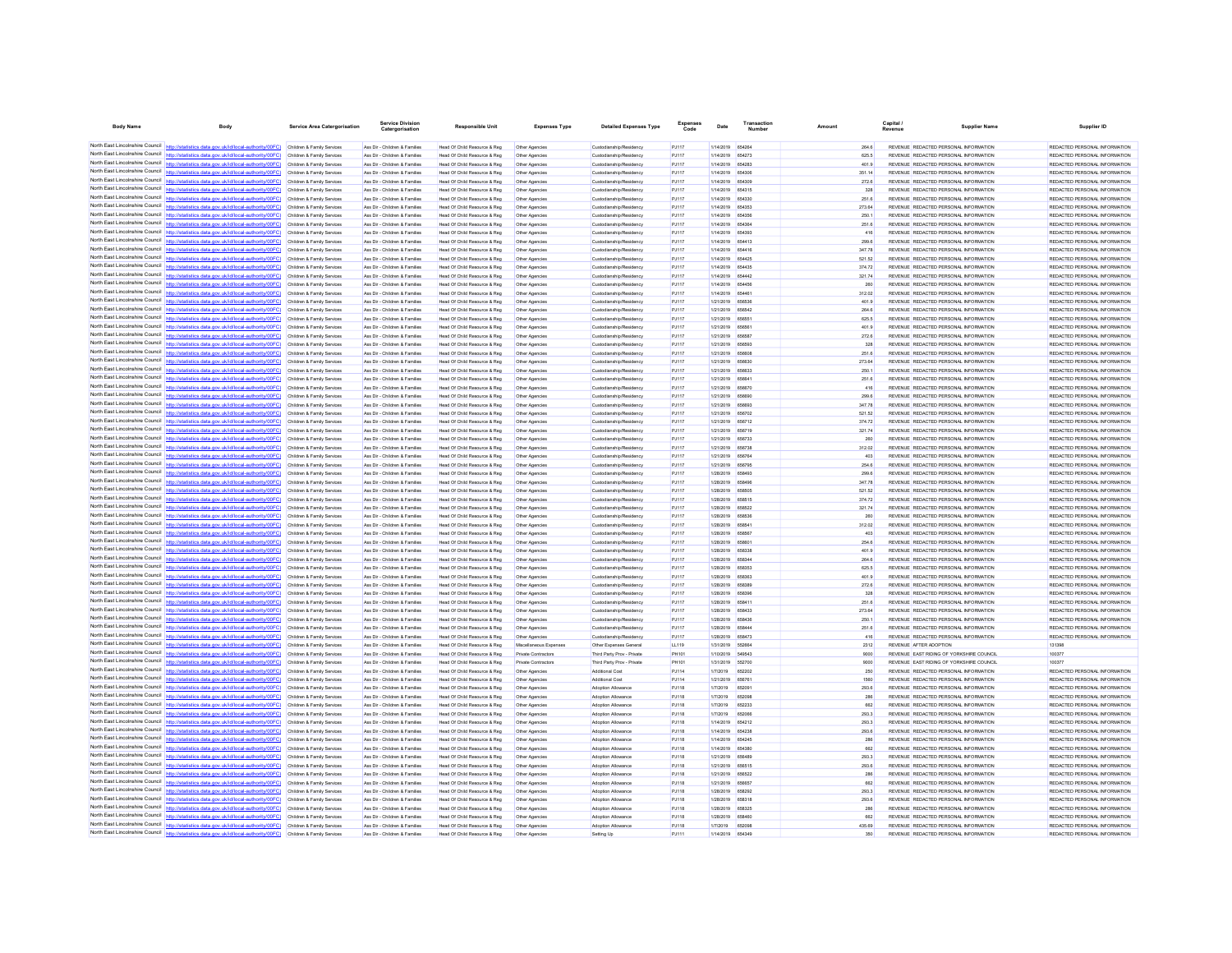| <b>Body Name</b>                                                   | Body                                                                                                                                                                                                                                   | Service Area Catergorisation                             | Service Division<br>Catergorisatio                             | <b>Responsible Unit</b>                                       | <b>Expenses Type</b>             | <b>Detailed Expenses Type</b>                      | Expenses       | Date                                 | Transaction             | Amount           | Capital | <b>Supplier Name</b>                                                           | Supplier ID                                                     |
|--------------------------------------------------------------------|----------------------------------------------------------------------------------------------------------------------------------------------------------------------------------------------------------------------------------------|----------------------------------------------------------|----------------------------------------------------------------|---------------------------------------------------------------|----------------------------------|----------------------------------------------------|----------------|--------------------------------------|-------------------------|------------------|---------|--------------------------------------------------------------------------------|-----------------------------------------------------------------|
|                                                                    | North East Lincolnshire Council http://statistics.data.gov.uk/id/local-authority/00FC) Children & Family Services                                                                                                                      |                                                          | Ass Dir - Children & Families                                  | Head Of Child Resource & Reg                                  | Other Agencies                   | Custodianship/Residency                            | PJ117          | 1/14/2019 654264                     |                         | 264.6            |         | REVENUE REDACTED PERSONAL INFORMATION                                          | REDACTED PERSONAL INFORMATION                                   |
|                                                                    | North East Lincolnshire Council http://statistics.data.gov.uk/id/local-authority/00FC) Children & Family Services                                                                                                                      |                                                          | Ass Dir - Children & Families                                  | Head Of Child Resource & Reg                                  | Other Agencies                   | Custodianship/Residency                            | PJ117          | 1/14/2019                            | 654273                  | 625.5            |         | REVENUE REDACTED PERSONAL INFORMATION                                          | REDACTED PERSONAL INFORMATION                                   |
|                                                                    | North East Lincolnshire Council http://statistics.data.gov.uk/id/local-authority/00FC) Children & Family Services                                                                                                                      |                                                          | Ass Dir - Children & Families                                  | Head Of Child Resource & Reg                                  | Other Agencies                   | Custodianship/Residency                            | P.1117         | 1/14/2019 654283                     |                         | 401.9            |         | REVENUE REDACTED PERSONAL INFORMATION.                                         | REDACTED PERSONAL INFORMATION.                                  |
| North East Lincolnshire Council                                    | tics.data.gov.uk/id/local-authority/00FC)                                                                                                                                                                                              | Children & Family Services                               | Ass Dir - Children & Families                                  | Head Of Child Resource & Reg.                                 | Other Agencies                   | Custodianship/Residency                            | PJ117          | 1/14/2019                            | 654306                  | 351.14           |         | REVENUE REDACTED PERSONAL INFORMATION                                          | REDACTED PERSONAL INFORMATION                                   |
|                                                                    | North East Lincolnshire Council http://statistics.data.gov.uk/id/local-authority/00FC) Children & Family Services                                                                                                                      |                                                          | Ass Dir - Children & Families                                  | Head Of Child Resource & Reg                                  | Other Agencies                   | Custodianship/Residency                            | PJ117          | 1/14/2019                            | 654309                  | 272.6            |         | REVENUE REDACTED PERSONAL INFORMATION                                          | REDACTED PERSONAL INFORMATION.                                  |
|                                                                    | North East Lincolnshire Council http://statistics.data.gov.uk/id/local-authority/00FC) Children & Family Services                                                                                                                      |                                                          | Ass Dir - Children & Families                                  | Head Of Child Resource & Reg                                  | Other Agencies                   | Custodianship/Residency                            | PJ117          | 1/14/2019                            | 654315                  | 328              |         | REVENUE REDACTED PERSONAL INFORMATION                                          | REDACTED PERSONAL INFORMATION.                                  |
|                                                                    | North East Lincolnshire Council http://statistics.data.gov.uk/id/local-authority/00FC) Children & Family Services<br>North East Lincolnshire Council http://statistics.data.gov.uk/id/local-authority/00FC) Children & Family Services |                                                          | Ass Dir - Children & Families<br>Ass Dir - Children & Families | Head Of Child Resource & Reg<br>Head Of Child Resource & Reg  | Other Agencies<br>Other Agencies | Custodianship/Residency<br>Custodianship/Residency | PJ117<br>PJ117 | 1/14/2019<br>1/14/2019               | 654330<br>654353        | 251.6<br>273.64  |         | REVENUE REDACTED PERSONAL INFORMATION<br>REVENUE REDACTED PERSONAL INFORMATION | REDACTED PERSONAL INFORMATION<br>REDACTED PERSONAL INFORMATION  |
|                                                                    | North East Lincolnshire Council http://statistics.data.gov.uk/id/local-authority/00FC)                                                                                                                                                 | Children & Family Services                               | Ass Dir - Children & Families                                  | Head Of Child Resource & Reg.                                 | Other Agencies                   | Custodianship/Residency                            | PJ117          | 1/14/2019                            | 654356                  | 250.1            |         | REVENUE REDACTED PERSONAL INFORMATION                                          | REDACTED PERSONAL INFORMATION                                   |
|                                                                    | North East Lincolnshire Council http://statistics.data.gov.uk/id/local-authority/00FC) Children & Family Services                                                                                                                      |                                                          | Ass Dir - Children & Families                                  | Head Of Child Resource & Reg                                  | Other Agencie                    | Custodianship/Residency                            | PJ117          | 1/14/2019                            | 654364                  | 251.6            |         | REVENUE REDACTED PERSONAL INFORMATION                                          | REDACTED PERSONAL INFORMATION                                   |
|                                                                    | North East Lincolnshire Council http://statistics.data.gov.uk/id/local-authority/00FC) Children & Family Services                                                                                                                      |                                                          | Ass Dir - Children & Families                                  | Head Of Child Resource & Reg                                  | Other Agencies                   | Custodianship/Residency                            | PJ117          | 1/14/2019                            | 654393                  | 416              |         | REVENUE REDACTED PERSONAL INFORMATION                                          | REDACTED PERSONAL INFORMATION                                   |
|                                                                    | North East Lincolnshire Council http://statistics.data.gov.uk/id/local-authority/00FC) Children & Family Services                                                                                                                      |                                                          | Ass Dir - Children & Families                                  | Head Of Child Resource & Reg                                  | Other Agencies                   | Custodianship/Residency                            | PJ117          | 1/14/2019                            | 654413                  | 299.6            |         | REVENUE REDACTED PERSONAL INFORMATION                                          | REDACTED PERSONAL INFORMATION                                   |
| North East Lincolnshire Council<br>North East Lincolnshire Council | http://statistics.data.gov.uk/id/local-authority/00FC)                                                                                                                                                                                 | Children & Family Services                               | Ass Dir - Children & Families                                  | Head Of Child Resource & Reg                                  | Other Agencies                   | Custodianship/Residency                            | PJ117          | 1/14/2019 654416                     |                         | 347.78           |         | REVENUE REDACTED PERSONAL INFORMATION                                          | REDACTED PERSONAL INFORMATION                                   |
|                                                                    | North East Lincolnshire Council http://statistics.data.gov.uk/id/local-authority/00FC) Children & Family Services                                                                                                                      | Children & Family Services                               | Ass Dir - Children & Families<br>Ass Dir - Children & Families | Head Of Child Resource & Reg.<br>Head Of Child Resource & Reg | Other Agencies<br>Other Agencies | Custodianship/Residency<br>Custodianship/Residency | PJ117<br>PJ117 | 1/14/2019<br>1/14/2019               | 654425<br>654435        | 521.52<br>374.72 |         | REVENUE REDACTED PERSONAL INFORMATION<br>REVENUE REDACTED PERSONAL INFORMATION | REDACTED PERSONAL INFORMATION<br>REDACTED PERSONAL INFORMATION  |
|                                                                    | North East Lincolnshire Council http://statistics.data.gov.uk/id/local-authority/00FC) Children & Family Services                                                                                                                      |                                                          | Ass Dir - Children & Families                                  | Head Of Child Resource & Reg                                  | Other Agencies                   | Custodianship/Residency                            | PJ117          | 1/14/2019                            | 654442                  | 321.74           |         | REVENUE REDACTED PERSONAL INFORMATION                                          | REDACTED PERSONAL INFORMATION                                   |
|                                                                    | North East Lincolnshire Council http://statistics.data.gov.uk/id/local-authority/00FC) Children & Family Services                                                                                                                      |                                                          | Ass Dir - Children & Families                                  | Head Of Child Resource & Reg                                  | Other Agencies                   | Custodianship/Residency                            | PJ117          | 1/14/2019                            | 654456                  | 260              |         | REVENUE REDACTED PERSONAL INFORMATION                                          | REDACTED PERSONAL INFORMATION                                   |
| North East Lincolnshire Council                                    | http://statis<br>tics.data.gov.uk/id/local-authority/00FC) Children & Family Services                                                                                                                                                  |                                                          | Ass Dir - Children & Families                                  | Head Of Child Resource & Reg                                  | Other Agencies                   | Custodianship/Residency                            | PJ117          | 1/14/2019                            | 654461                  | 312.02           |         | REVENUE REDACTED PERSONAL INFORMATION                                          | REDACTED PERSONAL INFORMATION                                   |
|                                                                    | North East Lincolnshire Council http://statistics.data.gov.uk/id/local-authority/00FC)                                                                                                                                                 | Children & Family Services                               | Ass Dir - Children & Families                                  | Head Of Child Resource & Reg                                  | Other Agencies                   | Custodianship/Residency                            | PJ117          | 1/21/2019                            | 656536                  | 401.9            |         | REVENUE REDACTED PERSONAL INFORMATION                                          | REDACTED PERSONAL INFORMATION                                   |
|                                                                    | North East Lincolnshire Council http://statistics.data.gov.uk/id/local-authority/00FC) Children & Family Services                                                                                                                      |                                                          | Ass Dir - Children & Families                                  | Head Of Child Resource & Reg.                                 | Other Agencies                   | Custodianship/Residency                            | PJ117          | 1/21/2019                            | 656542                  | 264 6            |         | REVENUE REDACTED PERSONAL INFORMATION<br>REVENUE REDACTED PERSONAL INFORMATION | REDACTED PERSONAL INFORMATION.<br>REDACTED PERSONAL INFORMATION |
|                                                                    | North East Lincolnshire Council http://statistics.data.gov.uk/id/local-authority/00FC) Children & Family Services<br>North East Lincolnshire Council http://statistics.data.gov.uk/id/local-authority/00FC) Children & Family Services |                                                          | Ass Dir - Children & Families<br>Ass Dir - Children & Families | Head Of Child Resource & Reg<br>Head Of Child Resource & Reg  | Other Agencies<br>Other Agencies | Custodianship/Residency<br>Custodianship/Residency | PJ117<br>PJ117 | 1/21/2019 656551<br>1/21/2019 656561 |                         | 625.5<br>401.9   |         | REVENUE REDACTED PERSONAL INFORMATION                                          | REDACTED PERSONAL INFORMATION                                   |
| North East Lincolnshire Council                                    | http://statistics.data.gov.uk/id/local-authority/00FC)                                                                                                                                                                                 | Children & Family Services                               | Ass Dir - Children & Families                                  | Head Of Child Resource & Reg                                  | Other Agencies                   | Custodianship/Residency                            | PJ117          | 1/21/2019                            | 656587                  | 272.6            |         | REVENUE REDACTED PERSONAL INFORMATION                                          | REDACTED PERSONAL INFORMATION                                   |
|                                                                    | North East Lincolnshire Council http://statistics.data.gov.uk/id/local-authority/00FC)                                                                                                                                                 | Children & Family Services                               | Ass Dir - Children & Families                                  | Head Of Child Resource & Reg                                  | Other Agencies                   | Custodianship/Residency                            | PJ117          | 1/21/2019                            |                         | 328              |         | REVENUE REDACTED PERSONAL INFORMATION                                          | REDACTED PERSONAL INFORMATION                                   |
|                                                                    | North East Lincolnshire Council http://statistics.data.gov.uk/id/local-authority/00FC) Children & Family Services                                                                                                                      |                                                          | Ass Dir - Children & Families                                  | Head Of Child Resource & Reg                                  | Other Agencies                   | Custodianship/Residency                            | PJ117          | 1/21/2019                            | <b>BERROR</b>           | 251.6            |         | REVENUE REDACTED PERSONAL INFORMATION                                          | REDACTED PERSONAL INFORMATION.                                  |
|                                                                    | North East Lincolnshire Council http://statistics.data.gov.uk/id/local-authority/00FC) Children & Family Services                                                                                                                      |                                                          | Ass Dir - Children & Families                                  | Head Of Child Resource & Reg                                  | Other Agencies                   | Custodianship/Residency                            | PJ117          | 1/21/2019                            | 656630                  | 273.64           |         | REVENUE REDACTED PERSONAL INFORMATION                                          | REDACTED PERSONAL INFORMATION                                   |
| North East Lincolnshire Council                                    | North East Lincolnshire Council http://statistics.data.gov.uk/id/local-authority/00FC) Children & Family Services                                                                                                                      |                                                          | Ass Dir - Children & Families                                  | Head Of Child Resource & Reg                                  | Other Agencies                   | Custodianship/Residency                            | PJ117          | 1/21/2019                            | 656633                  | 250.1            |         | REVENUE REDACTED PERSONAL INFORMATION                                          | REDACTED PERSONAL INFORMATION                                   |
| North East Lincolnshire Council                                    | http://statistics.data.gov.uk/id/local-authority/00FC) Children & Family Services                                                                                                                                                      | Children & Family Services                               | Ass Dir - Children & Families<br>Ass Dir - Children & Families | Head Of Child Resource & Reg<br>Head Of Child Resource & Reg  | Other Agencies<br>Other Agencies | Custodianship/Residency<br>Custodianship/Residency | PJ117<br>PJ117 | 1/21/2019<br>1/21/2019               | 656641                  | 251.6<br>416     |         | REVENUE REDACTED PERSONAL INFORMATION<br>REVENUE REDACTED PERSONAL INFORMATION | REDACTED PERSONAL INFORMATION<br>REDACTED PERSONAL INFORMATION  |
|                                                                    | North East Lincolnshire Council http://statistics.data.gov.uk/id/local-authority/00FC) Children & Family Services                                                                                                                      |                                                          | Ass Dir - Children & Families                                  | Head Of Child Resource & Reg                                  | Other Agencies                   | Custodianship/Residency                            | PJ117          | 1/21/2019                            | 656690                  | 299.6            |         | REVENUE REDACTED PERSONAL INFORMATION                                          | REDACTED PERSONAL INFORMATION                                   |
|                                                                    | North East Lincolnshire Council http://statistics.data.gov.uk/id/local-authority/00FC) Children & Family Services                                                                                                                      |                                                          | Ass Dir - Children & Families                                  | Head Of Child Resource & Reg                                  | Other Agencies                   | Custodianship/Residency                            | PJ117          | 1/21/2019                            | 656693                  | 347.78           |         | REVENUE REDACTED PERSONAL INFORMATION                                          | REDACTED PERSONAL INFORMATION                                   |
|                                                                    | North East Lincolnshire Council http://statistics.data.gov.uk/id/local-authority/00FC) Children & Family Services                                                                                                                      |                                                          | Ass Dir - Children & Families                                  | Head Of Child Resource & Reg                                  | Other Agencies                   | Custodianship/Residency                            | PJ117          | 1/21/2019                            | 656702                  | 521.52           |         | REVENUE REDACTED PERSONAL INFORMATION                                          | REDACTED PERSONAL INFORMATION                                   |
| North East Lincolnshire Council                                    | http://statistics.data.gov.uk/id/local-authority/00FC)                                                                                                                                                                                 | Children & Family Services                               | Ass Dir - Children & Families                                  | Head Of Child Resource & Reg                                  | Other Agencies                   | Custodianship/Residency                            | PJ117          | 1/21/2019                            | 656712                  | 374.72           |         | REVENUE REDACTED PERSONAL INFORMATION                                          | REDACTED PERSONAL INFORMATION                                   |
|                                                                    | North East Lincolnshire Council http://statistics.data.gov.uk/id/local-authority/00FC)                                                                                                                                                 | Children & Family Services                               | Ass Dir - Children & Families                                  | Head Of Child Resource & Reg                                  | Other Agencies                   | Custodianship/Residency                            | PJ117          | 1/21/2019                            | 656719                  | 321.74           |         | REVENUE REDACTED PERSONAL INFORMATION                                          | REDACTED PERSONAL INFORMATION                                   |
|                                                                    | North East Lincolnshire Council http://statistics.data.gov.uk/id/local-authority/00FC) Children & Family Services<br>North East Lincolnshire Council http://statistics.data.gov.uk/id/local-authority/00FC) Children & Family Services |                                                          | Ass Dir - Children & Families                                  | Head Of Child Resource & Reg.<br>Head Of Child Resource & Reg | Other Agencies                   | Custodianship/Residency                            | PJ117          | 1/21/2019                            | 656733                  | 260<br>312.02    |         | REVENUE REDACTED PERSONAL INFORMATION<br>REVENUE REDACTED PERSONAL INFORMATION | REDACTED PERSONAL INFORMATION.<br>REDACTED PERSONAL INFORMATION |
|                                                                    | North East Lincolnshire Council http://statistics.data.gov.uk/id/local-authority/00FC) Children & Family Services                                                                                                                      |                                                          | Ass Dir - Children & Families<br>Ass Dir - Children & Families | Head Of Child Resource & Reg                                  | Other Agencies<br>Other Agencies | Custodianship/Residency<br>Custodianship/Residency | PJ117<br>PJ117 | 1/21/2019 656738<br>1/21/2019        | <b>656764</b>           | 403              |         | REVENUE REDACTED PERSONAL INFORMATION                                          | REDACTED PERSONAL INFORMATION                                   |
| North East Lincolnshire Council                                    | http://statistics.data.gov.uk/id/local-authority/00FC)                                                                                                                                                                                 | Children & Family Services                               | Ass Dir - Children & Families                                  | Head Of Child Resource & Reg                                  | Other Agencies                   | Custodianship/Residency                            | PJ117          | 1/21/2019                            | 656795                  | 254.6            |         | REVENUE REDACTED PERSONAL INFORMATION                                          | REDACTED PERSONAL INFORMATION                                   |
|                                                                    | North East Lincolnshire Council http://statistics.data.gov.uk/id/local-authority/00FC)                                                                                                                                                 | Children & Family Services                               | Ass Dir - Children & Families                                  | Head Of Child Resource & Reg                                  | Other Agencies                   | Custodianship/Residency                            | PJ117          | 1/28/2019                            | 658493                  | 299.6            |         | REVENUE REDACTED PERSONAL INFORMATION                                          | REDACTED PERSONAL INFORMATION                                   |
|                                                                    | North East Lincolnshire Council http://statistics.data.gov.uk/id/local-authority/00FC) Children & Family Services                                                                                                                      |                                                          | Ass Dir - Children & Families                                  | Head Of Child Resource & Reg                                  | Other Agencies                   | Custodianship/Residency                            | PJ117          | 1/28/2019                            | 658496                  | 347.78           |         | REVENUE REDACTED PERSONAL INFORMATION                                          | REDACTED PERSONAL INFORMATION                                   |
|                                                                    | North East Lincolnshire Council http://statistics.data.gov.uk/id/local-authority/00FC) Children & Family Services                                                                                                                      |                                                          | Ass Dir - Children & Families                                  | Head Of Child Resource & Reg                                  | Other Agencies                   | Custodianship/Residency                            | PJ117          | 1/28/2019                            | 658505                  | 521.52           |         | REVENUE REDACTED PERSONAL INFORMATION                                          | REDACTED PERSONAL INFORMATION                                   |
| North East Lincolnshire Council                                    | North East Lincolnshire Council http://statistics.data.gov.uk/id/local-authority/00FC) Children & Family Services<br>statistics data nov uk/id/incal-authority/00FC)                                                                   |                                                          | Ass Dir - Children & Families                                  | Head Of Child Resource & Reg                                  | Other Agencies                   | Custodianship/Residency                            | PJ117          | 1/28/2019 658515                     |                         | 374.72           |         | REVENUE REDACTED PERSONAL INFORMATION                                          | REDACTED PERSONAL INFORMATION                                   |
|                                                                    | North East Lincolnshire Council http://statistics.data.gov.uk/id/local-authority/00FC)                                                                                                                                                 | Children & Family Services<br>Children & Family Services | Ass Dir - Children & Families<br>Ass Dir - Children & Families | Head Of Child Resource & Reg<br>Head Of Child Resource & Reg  | Other Agencies<br>Other Agencies | Custodianship/Residency<br>Custodianship/Residency | PJ117<br>PJ117 | 1/28/2019<br>1/28/2019               | 658522<br>658536        | 321.74<br>260    |         | REVENUE REDACTED PERSONAL INFORMATION<br>REVENUE REDACTED PERSONAL INFORMATION | REDACTED PERSONAL INFORMATION<br>REDACTED PERSONAL INFORMATION  |
|                                                                    | North East Lincolnshire Council http://statistics.data.gov.uk/id/local-authority/00FC) Children & Family Services                                                                                                                      |                                                          | Ass Dir - Children & Families                                  | Head Of Child Resource & Reg                                  | Other Agencies                   | Custodianship/Residency                            | PJ117          | 1/28/2019                            | 658541                  | 312.02           |         | REVENUE REDACTED PERSONAL INFORMATION                                          | REDACTED PERSONAL INFORMATION                                   |
|                                                                    | North East Lincolnshire Council http://statistics.data.gov.uk/id/local-authority/00FC) Children & Family Services                                                                                                                      |                                                          | Ass Dir - Children & Families                                  | Head Of Child Resource & Reg                                  | Other Agencies                   | Custodianship/Residency                            | PJ117          | 1/28/2019                            | 65856                   | 403              |         | REVENUE REDACTED PERSONAL INFORMATION                                          | REDACTED PERSONAL INFORMATION                                   |
|                                                                    | North East Lincolnshire Council http://statistics.data.gov.uk/id/local-authority/00FC) Children & Family Services                                                                                                                      |                                                          | Ass Dir - Children & Families                                  | Head Of Child Resource & Reg                                  | Other Agencies                   | Custodianship/Residency                            | PJ117          | 1/28/2019                            | 658601                  | 254.6            |         | REVENUE REDACTED PERSONAL INFORMATION                                          | REDACTED PERSONAL INFORMATION                                   |
|                                                                    | North East Lincolnshire Council http://statistics.data.gov.uk/id/local-authority/00FC)                                                                                                                                                 | Children & Family Services                               | Ass Dir - Children & Families                                  | Head Of Child Resource & Reg                                  | Other Agencies                   | Custodianship/Residency                            | PJ117          | 1/28/2019                            | 658338                  | 401.9            |         | REVENUE REDACTED PERSONAL INFORMATION                                          | REDACTED PERSONAL INFORMATION                                   |
|                                                                    | North East Lincolnshire Council http://statistics.data.gov.uk/id/local-authority/00FC)<br>North East Lincolnshire Council http://statistics.data.gov.uk/id/local-authority/00FC) Children & Family Services                            | Children & Family Services                               | Ass Dir - Children & Familier<br>Ass Dir - Children & Families | Head Of Child Resource & Reg<br>Head Of Child Resource & Reg  |                                  | Custodianship/Residency<br>Custodianship/Residency | PJ117<br>PJ117 | 1/28/2019<br>1/28/2019               | <b>RER344</b><br>658353 | 264.6<br>625.5   |         | REVENUE REDACTED PERSONAL INFORMATION<br>REVENUE REDACTED PERSONAL INFORMATION | REDACTED PERSONAL INFORMATION<br>REDACTED PERSONAL INFORMATION  |
|                                                                    | North East Lincolnshire Council http://statistics.data.gov.uk/id/local-authority/00FC)                                                                                                                                                 | Children & Family Services                               | Ass Dir - Children & Families                                  | Head Of Child Resource & Reg                                  | Other Agencies<br>Other Agencies | Custodianship/Residency                            | PJ117          | 1/28/2019                            | 658363                  | 401.9            |         | REVENUE REDACTED PERSONAL INFORMATION                                          | REDACTED PERSONAL INFORMATION                                   |
|                                                                    | North East Lincolnshire Council http://statistics.data.gov.uk/id/local-authority/00FC) Children & Family Services                                                                                                                      |                                                          | Ass Dir - Children & Families                                  | Head Of Child Resource & Reg                                  | Other Agencies                   | Custodianship/Residency                            | PJ117          | 1/28/2019 658389                     |                         | 272.6            |         | REVENUE REDACTED PERSONAL INFORMATION                                          | REDACTED PERSONAL INFORMATION.                                  |
| North East Lincolnshire Council                                    | http://statistics.data.gov.uk/id/local-authority/00FC)                                                                                                                                                                                 | Children & Family Services                               | Ass Dir - Children & Families                                  | Head Of Child Resource & Reg                                  | Other Agencies                   | Custodianship/Residency                            | PJ117          | 1/28/2019                            | 658396                  | 328              |         | REVENUE REDACTED PERSONAL INFORMATION                                          | REDACTED PERSONAL INFORMATION                                   |
|                                                                    | North East Lincolnshire Council http://statistics.data.gov.uk/id/local-authority/00FC)                                                                                                                                                 | Children & Family Services                               | Ass Dir - Children & Families                                  | Head Of Child Resource & Reg                                  | Other Agencies                   | Custodianship/Residency                            | PJ117          | 1/28/2019                            | 65841                   | 251.6            |         | REVENUE REDACTED PERSONAL INFORMATION                                          | REDACTED PERSONAL INFORMATION                                   |
|                                                                    | North East Lincolnshire Council http://statistics.data.gov.uk/id/local-authority/00FC) Children & Family Services                                                                                                                      |                                                          | Ass Dir - Children & Families                                  | Head Of Child Resource & Reg                                  | Other Agencies                   | Custodianship/Residency                            | PJ117          | 1/28/2019                            | 658433                  | 273.64           |         | REVENUE REDACTED PERSONAL INFORMATION                                          | REDACTED PERSONAL INFORMATION                                   |
| North East Lincolnshire Council                                    | North East Lincolnshire Council http://statistics.data.gov.uk/id/local-authority/00FC) Children & Family Services<br>http://statistics.data.gov.uk/id/local-authority/00FC) Children & Family Services                                 |                                                          | Ass Dir - Children & Families<br>Ass Dir - Children & Families | Head Of Child Resource & Reg<br>Head Of Child Resource & Reg  | Other Agencies<br>Other Agencies | Custodianship/Residency<br>Custodianship/Residency | PJ117<br>PJ117 | 1/28/2019<br>1/28/2019               | 658436<br><b>REBAAL</b> | 250.1<br>251.6   |         | REVENUE REDACTED PERSONAL INFORMATION<br>REVENUE REDACTED PERSONAL INFORMATION | REDACTED PERSONAL INFORMATION<br>REDACTED PERSONAL INFORMATION. |
|                                                                    | North East Lincolnshire Council http://statistics.data.gov.uk/id/local-authority/00FC)                                                                                                                                                 | Children & Family Services                               | Ass Dir - Children & Families                                  | Head Of Child Resource & Reg.                                 | Other Agencies                   | Custodianship/Residency                            | PJ117          | 1/28/2019                            |                         | 416              |         | REVENUE REDACTED PERSONAL INFORMATION                                          | REDACTED PERSONAL INFORMATION                                   |
|                                                                    | North East Lincolnshire Council http://statistics.data.gov.uk/id/local-authority/00FC)                                                                                                                                                 | Children & Family Services                               | Ass Dir - Children & Families                                  | Head Of Child Resource & Reg                                  | Miscellaneous Expense            | Other Expenses General                             | LL119          | 1/31/2019                            | <b>552664</b>           | 2312             |         | REVENUE AFTER ADOPTION                                                         | 131396                                                          |
|                                                                    | North East Lincolnshire Council http://statistics.data.gov.uk/id/local-authority/00FC) Children & Family Services                                                                                                                      |                                                          | Ass Dir - Children & Families                                  | Head Of Child Resource & Reg                                  | Private Contractors              | Third Party Proy - Private                         | PH101          | 1/10/2019                            | 549543                  | 9000             |         | REVENUE EAST RIDING OF YORKSHIRE COUNCIL                                       | 100377                                                          |
|                                                                    | North East Lincolnshire Council http://statistics.data.gov.uk/id/local-authority/00FC)                                                                                                                                                 | Children & Family Services                               | Ass Dir - Children & Families                                  | Head Of Child Resource & Reg                                  | Private Contractors              | Third Party Prov - Private                         | PH101          | 1/31/2019                            | 552700                  | 9000             |         | REVENUE EAST RIDING OF YORKSHIRE COUNCIL                                       | 100377                                                          |
|                                                                    | North East Lincolnshire Council http://statistics.data.gov.uk/id/local-authority/00FC) Children & Family Services                                                                                                                      |                                                          | Ass Dir - Children & Families                                  | Head Of Child Resource & Reg                                  | Other Agencies                   | Additional Cost                                    | PJ114          | 1/7/2019                             | 652202                  | 250              |         | REVENUE REDACTED PERSONAL INFORMATION                                          | REDACTED PERSONAL INFORMATION                                   |
| North East Lincolnshire Council                                    | North East Lincolnshire Council http://statistics.data.gov.uk/id/local-authority/00FC)<br>http://statistics.data.gov.uk/id/local-authority/00FC) Children & Family Services                                                            | Children & Family Services                               | Ass Dir - Children & Families<br>Ass Dir - Children & Families | Head Of Child Resource & Reg                                  | Other Agencies<br>Other Agencies | Additional Cost<br>Adoption Allowano               | PJ114          | 1/21/2019                            | 656761<br>652091        | 1560<br>293.6    |         | REVENUE REDACTED PERSONAL INFORMATION<br>REVENUE REDACTED PERSONAL INFORMATION | REDACTED PERSONAL INFORMATION<br>REDACTED PERSONAL INFORMATION  |
|                                                                    | North East Lincolnshire Council http://statistics.data.gov.uk/id/local-authority/00FC) Children & Family Services                                                                                                                      |                                                          | Ass Dir - Children & Families                                  | Head Of Child Resource & Reg<br>Head Of Child Resource & Reg  | Other Agencies                   | Adoption Allowance                                 | PJ118<br>PJ118 | 1/7/2019<br>1/7/2019                 | 652096                  | 286              |         | REVENUE REDACTED PERSONAL INFORMATION                                          | REDACTED PERSONAL INFORMATION                                   |
|                                                                    | North East Lincolnshire Council http://statistics.data.gov.uk/id/local-authority/00FC) Children & Family Services                                                                                                                      |                                                          | Ass Dir - Children & Families                                  | Head Of Child Resource & Reg                                  | Other Agencies                   | Adoption Allowano                                  | PJ118          | 1/7/2019                             | 652233                  | 662              |         | REVENUE REDACTED PERSONAL INFORMATION                                          | REDACTED PERSONAL INFORMATION                                   |
| North East Lincolnshire Council                                    | http://statistics.data.gov.uk/id/local-authority/00FC) Children & Family Services                                                                                                                                                      |                                                          | Ass Dir - Children & Families                                  | Head Of Child Resource & Reg                                  | Other Agencies                   | Adoption Allowance                                 | PJ118          | 1/7/2019                             | 652066                  | 293.3            |         | REVENUE REDACTED PERSONAL INFORMATION                                          | REDACTED PERSONAL INFORMATION                                   |
| North East Lincolnshire Council                                    |                                                                                                                                                                                                                                        | Children & Family Services                               | Ass Dir - Children & Families                                  | Head Of Child Resource & Reg                                  | Other Agencies                   | Adoption Allowance                                 | PJ118          | 1/14/2019                            | 654212                  | 293.3            |         | REVENUE REDACTED PERSONAL INFORMATION                                          | REDACTED PERSONAL INFORMATION                                   |
|                                                                    | North East Lincolnshire Council http://statistics.data.gov.uk/id/local-authority/00FC)                                                                                                                                                 | Children & Family Services                               | Ass Dir - Children & Families                                  | Head Of Child Resource & Reg                                  | Other Agencies                   | Adoption Allowano                                  | PJ118          | 1/14/2019                            | 654238                  | 293.6            |         | REVENUE REDACTED PERSONAL INFORMATION                                          | REDACTED PERSONAL INFORMATION.                                  |
|                                                                    | North East Lincolnshire Council http://statistics.data.gov.uk/id/local-authority/00FC) Children & Family Services                                                                                                                      |                                                          | Ass Dir - Children & Families                                  | Head Of Child Resource & Reg                                  | Other Agencies                   | Adoption Allowance                                 | PJ118          | 1/14/2019                            | 654245                  | 286              |         | REVENUE REDACTED PERSONAL INFORMATION                                          | REDACTED PERSONAL INFORMATION                                   |
|                                                                    | North East Lincolnshire Council http://statistics.data.gov.uk/id/local-authority/00FC) Children & Family Services<br>North East Lincolnshire Council http://statistics.data.gov.uk/id/local-authority/00FC)                            | Children & Family Services                               | Ass Dir - Children & Families<br>Ass Dir - Children & Families | Head Of Child Resource & Reg<br>Head Of Child Resource & Reg  | Other Agencies<br>Other Agencies | Adoption Allowance<br>Adoption Allowance           | PJ118<br>PJ118 | 1/14/2019<br>1/21/2019               | 654380<br><b>RERARE</b> | 662<br>293.3     |         | REVENUE REDACTED PERSONAL INFORMATION<br>REVENUE REDACTED PERSONAL INFORMATION | REDACTED PERSONAL INFORMATION<br>REDACTED PERSONAL INFORMATION  |
|                                                                    | North East Lincolnshire Council http://statistics.data.gov.uk/id/local-authority/00FC)                                                                                                                                                 | Children & Family Services                               | Ass Dir - Children & Families                                  | Head Of Child Resource & Reg                                  | Other Agencies                   | Adoption Allowano                                  | PJ118          | 1/21/2019                            | 656515                  | 293.6            |         | REVENUE REDACTED PERSONAL INFORMATION                                          | REDACTED PERSONAL INFORMATION                                   |
|                                                                    | North East Lincolnshire Council http://statistics.data.gov.uk/id/local-authority/00FC) Children & Family Services                                                                                                                      |                                                          | Ass Dir - Children & Families                                  | Head Of Child Resource & Reg                                  | Other Agencies                   | Adoption Allowano                                  | PJ118          | 1/21/2019                            | 656522                  | 286              |         | REVENUE REDACTED PERSONAL INFORMATION                                          | REDACTED PERSONAL INFORMATION.                                  |
|                                                                    | North East Lincolnshire Council http://statistics.data.gov.uk/id/local-authority/00FC) Children & Family Services                                                                                                                      |                                                          | Ass Dir - Children & Families                                  | Head Of Child Resource & Reg                                  | Other Agencies                   | Adoption Allowance                                 | PJ118          | 1/21/2019                            | 656657                  | 662              |         | REVENUE REDACTED PERSONAL INFORMATION                                          | REDACTED PERSONAL INFORMATION.                                  |
|                                                                    | North East Lincolnshire Council http://statistics.data.gov.uk/id/local-authority/00FC) Children & Family Services                                                                                                                      |                                                          | Ass Dir - Children & Families                                  | Head Of Child Resource & Reg                                  | Other Agencies                   | Adoption Allowano                                  | PJ118          | 1/28/2019                            | 658292                  | 293.3            |         | REVENUE REDACTED PERSONAL INFORMATION                                          | REDACTED PERSONAL INFORMATION                                   |
|                                                                    | North East Lincolnshire Council http://statistics.data.gov.uk/id/local-authority/00FC) Children & Family Services<br>North East Lincolnshire Council http://statistics.data.gov.uk/id/local-authority/00FC)                            | Children & Family Services                               | Ass Dir - Children & Families<br>Ass Dir - Children & Families | Head Of Child Resource & Reg<br>Head Of Child Resource & Reg. | Other Agencies<br>Other Agencies | Adoption Allowance<br>Adoption Allowano            | PJ118<br>PJ118 | 1/28/2019<br>1/28/2019               | 658318<br>658325        | 293.6<br>286     |         | REVENUE REDACTED PERSONAL INFORMATION<br>REVENUE REDACTED PERSONAL INFORMATION | REDACTED PERSONAL INFORMATION<br>REDACTED PERSONAL INFORMATION  |
|                                                                    | North East Lincolnshire Council http://statistics.data.gov.uk/id/local-authority/00FC). Children & Family Services                                                                                                                     |                                                          | Ass Dir - Children & Families                                  | Head Of Child Resource & Reg                                  | Other Agencies                   | Adoption Allowano                                  | PJ118          | 1/28/2019                            | <b>R584RD</b>           | 662              |         | REVENUE REDACTED PERSONAL INFORMATION                                          | REDACTED PERSONAL INFORMATION                                   |
|                                                                    | North East Lincolnshire Council http://statistics.data.gov.uk/id/local-authority/00FC) Children & Family Services                                                                                                                      |                                                          | Ass Dir - Children & Families                                  | Head Of Child Resource & Reg                                  | Other Agencies                   | Adoption Allowance                                 | PJ118          | 1/7/2019                             | 652096                  | 435.69           |         | REVENUE REDACTED PERSONAL INFORMATION                                          | REDACTED PERSONAL INFORMATION                                   |
|                                                                    | North East Lincolnshire Council http://statistics.data.gov.uk/id/local-authority/00FC) Children & Family Services                                                                                                                      |                                                          | Ass Dir - Children & Families                                  | Head Of Child Resource & Reg                                  | Other Agencies                   |                                                    | PJ111          | 1/14/2019                            | 654349                  |                  |         | REVENUE REDACTED PERSONAL INFORMATION                                          | REDACTED PERSONAL INFORMATION                                   |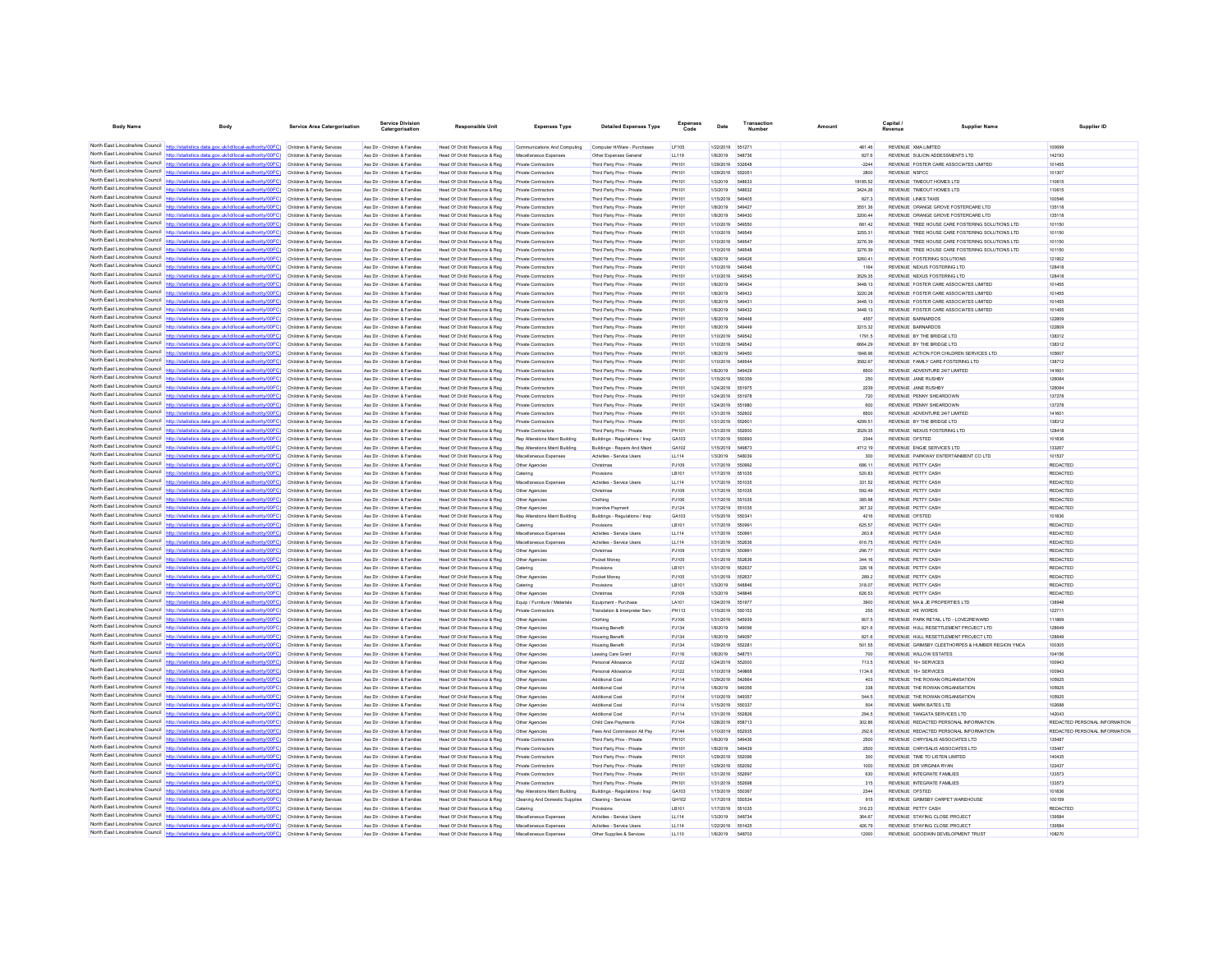| <b>Body Name</b>                              | Body                                                                                                                                                                                                                                   | <b>Service Area Catergorisation</b>                      | ervice Divisio<br>Catergorisation                              | <b>Responsible Unit</b>                                       | <b>Expenses Type</b>                                     | <b>Detailed Expenses Type</b>                            | Expenses<br>Code | Date                                 | Number                   | Amount             | Capital .<br><b>Supplier Name</b><br>Revenue                                                       | Supplier ID                        |
|-----------------------------------------------|----------------------------------------------------------------------------------------------------------------------------------------------------------------------------------------------------------------------------------------|----------------------------------------------------------|----------------------------------------------------------------|---------------------------------------------------------------|----------------------------------------------------------|----------------------------------------------------------|------------------|--------------------------------------|--------------------------|--------------------|----------------------------------------------------------------------------------------------------|------------------------------------|
|                                               |                                                                                                                                                                                                                                        |                                                          |                                                                |                                                               |                                                          |                                                          |                  |                                      |                          |                    |                                                                                                    |                                    |
|                                               | North East Lincolnshire Council http://statistics.data.gov.uk/id/local-authority/00FC) Children & Family Services                                                                                                                      |                                                          | Ass Dir - Children & Families                                  | Head Of Child Resource & Reg                                  | Communications And Computing                             | Computer H/Ware - Purchases                              | LF105            | 1/22/2019 651271                     |                          | 481.46             | REVENUE XMA LIMITED                                                                                | 100699                             |
|                                               | North East Lincolnshire Council http://statistics.data.gov.uk/id/local-authority/00FC) Children & Family Services                                                                                                                      |                                                          | Ass Dir - Children & Families                                  | Head Of Child Resource & Reg                                  | Miscellaneous Expenses                                   | Other Expenses General                                   | LL119            | 1/8/2019 548736                      |                          | 827.6              | REVENUE SULION ADDESSMENTS LTD.                                                                    | 142193                             |
|                                               | North East Lincolnshire Council http://statistics.data.gov.uk/id/local-authority/00FC)<br>North East Lincolnshire Council http://statistics.data.gov.uk/id/local-authority/00FC).                                                      | Children & Family Services<br>Children & Family Services | Ass Dir - Children & Families<br>Ass Dir - Children & Families | Head Of Child Resource & Reg<br>Head Of Child Resource & Reg  | <b>Private Contractors</b><br>Private Contractors        | Third Party Prov - Private<br>Third Party Prov - Private | PH101<br>PH101   | 1/29/2019<br>1/29/2019               | 632648<br>65205          | $-2244$<br>2800    | REVENUE FOSTER CARE ASSOCIATES LIMITED<br><b>REVENUE NSPCC</b>                                     | 101455<br>101307                   |
|                                               | North East Lincolnshire Council http://statistics.data.gov.uk/id/local-authority/00FC) Children & Family Services                                                                                                                      |                                                          | Ass Dir - Children & Families                                  | Head Of Child Resource & Reg                                  | <b>Private Contractors</b>                               | Third Party Prov - Private                               | PH101            | 1/3/2019                             | 548833                   | 19185.52           | REVENUE TIMEOUT HOMES LTD                                                                          | 110615                             |
|                                               | North East Lincolnshire Council http://statistics.data.gov.uk/id/local-authority/00FC) Children & Family Services                                                                                                                      |                                                          | Ass Dir - Children & Families                                  | Head Of Child Resource & Reg                                  | <b>Private Contractors</b>                               | Third Party Prov - Private                               | PH101            | 1/3/2019                             | 548632                   | 3424.26            | REVENUE TIMEOUT HOMES LTD                                                                          | 110615                             |
|                                               | North East Lincolnshire Council http://statistics.data.gov.uk/id/local-authority/00FC) Children & Family Services                                                                                                                      |                                                          | Ass Dir - Children & Families                                  | Head Of Child Resource & Reg                                  | Private Contractors                                      | Third Party Prov - Private                               | PH101            | 1/15/2019                            | <b>549406</b>            | 827.3              | <b>REVENUE LINKS TAXIS</b>                                                                         | 100546                             |
|                                               | North East Lincolnshire Council http://statistics.data.gov.uk/id/local-authority/00FC)                                                                                                                                                 | Children & Family Services                               | Ass Dir - Children & Families                                  | Head Of Child Resource & Reg.                                 | <b>Private Contractors</b>                               | Third Party Prov - Private                               | PH101            | 1/8/2019                             | 54942                    | 3551.36            | REVENUE ORANGE GROVE FOSTERCARE LTD                                                                | 135118                             |
|                                               | North East Lincolnshire Council http://statistics.data.gov.uk/id/local-authority/00FC)                                                                                                                                                 | Children & Family Services                               | Ass Dir - Children & Families                                  | Head Of Child Resource & Reg                                  | Private Contractors                                      | Third Party Prov - Private                               | PH101            | 1/8/2019                             | 649430                   | 3200.44            | REVENUE ORANGE GROVE FOSTERCARE LTD.                                                               | 135118                             |
|                                               | North East Lincolnshire Council http://statistics.data.gov.uk/id/local-authority/00FC) Children & Family Services<br>North East Lincolnshire Council http://statistics.data.gov.uk/id/local-authority/00FC) Children & Family Services |                                                          | Ass Dir - Children & Families<br>Ass Dir - Children & Families | Head Of Child Resource & Reg<br>Head Of Child Resource & Reg  | <b>Private Contractors</b><br><b>Private Contractors</b> | Third Party Prov - Private<br>Third Party Prov - Private | PH101<br>PH101   | 1/10/2019<br>1/10/2019 549549        | 649550                   | 681.42<br>3255.31  | REVENUE TREE HOUSE CARE FOSTERING SOLUTIONS LTD<br>REVENUE TREE HOUSE CARE FOSTERING SOLUTIONS LTD | 101150<br>101150                   |
|                                               | North East Lincolnshire Council http://statistics.data.gov.uk/id/local-authority/00FC) Children & Family Services                                                                                                                      |                                                          | Ass Dir - Children & Families                                  | Head Of Child Resource & Reg                                  | Private Contractors                                      | Third Party Prov - Private                               | PH101            | 1/10/2019 549547                     |                          | 3276.39            | REVENUE TREE HOUSE CARE FOSTERING SOLUTIONS LTD.                                                   | 101150                             |
| North East Lincolnshire Council               | http://statistics.data.gov.uk/id/local-authority/00FC)                                                                                                                                                                                 | Children & Family Services                               | Ass Dir - Children & Families                                  | Head Of Child Resource & Reg                                  | <b>Private Contractors</b>                               | Third Party Prov - Private                               | PH101            | 1/10/2019                            | 549548                   | 3276.39            | REVENUE TREE HOUSE CARE FOSTERING SOLUTIONS LTD                                                    | 101150                             |
| North East Lincolnshire Council               | http://etatistics.data.oov.uk/id/local-authority/00FC)                                                                                                                                                                                 | Children & Family Services                               | Ass Dir - Children & Families                                  | Head Of Child Resource & Reg                                  | Private Contractors                                      | Third Party Prov - Private                               | PH101            | 1/8/2019                             | 549426                   | 3260.41            | REVENUE FOSTERING SOLUTIONS                                                                        | 121902                             |
|                                               | North East Lincolnshire Council http://statistics.data.gov.uk/id/local-authority/00FC) Children & Family Services                                                                                                                      |                                                          | Ass Dir - Children & Families                                  | Head Of Child Resource & Reg                                  | Private Contractors                                      | Third Party Prov - Private                               | PH101            | 1/10/2019                            | <b>549546</b>            | 1164               | REVENUE NEXUS FOSTERING LTD                                                                        | 128418                             |
| North East Lincolnshire Council               | North East Lincolnshire Council http://statistics.data.gov.uk/id/local-authority/00FC) Children & Family Services                                                                                                                      |                                                          | Ass Dir - Children & Families                                  | Head Of Child Resource & Reg                                  | Private Contractors                                      | Third Party Prov - Private                               | PH101            | 1/10/2019                            | 549545                   | 3529.35            | REVENUE NEXUS FOSTERING LTD                                                                        | 128418                             |
| North Fast Lincolnshire Council               | http://statistics.data.gov.uk/id/local-authority/00FC) Children & Family Services<br>lics.data.gov.uk/id/local-authority/00FC)                                                                                                         |                                                          | Ass Dir - Children & Families                                  | Head Of Child Resource & Reg                                  | Private Contractors                                      | Third Party Prov - Private                               | PH101            | 1/8/2019                             | 649434<br>549433         | 3448.13<br>3220.28 | REVENUE FOSTER CARE ASSOCIATES LIMITED<br>REVENUE FOSTER CARE ASSOCIATES LIMITED                   | 101455<br>101455                   |
|                                               | North East Lincolnshire Council http://statistics.data.gov.uk/id/local-authority/00FC)                                                                                                                                                 | Children & Family Services<br>Children & Family Services | Ass Dir - Children & Families<br>Ass Dir - Children & Families | Head Of Child Resource & Reg<br>Head Of Child Resource & Reg  | <b>Private Contractors</b><br><b>Private Contractors</b> | Third Party Prov - Private<br>Third Party Prov - Private | PH101<br>PH101   | 1/8/2019<br>1/8/2019                 | 649431                   | 3448.13            | REVENUE FOSTER CARE ASSOCIATES LIMITED                                                             | 101455                             |
|                                               | North East Lincolnshire Council http://statistics.data.gov.uk/id/local-authority/00FC)                                                                                                                                                 | Children & Family Services                               | Ass Dir - Children & Families                                  | Head Of Child Resource & Reg                                  | <b>Private Contractors</b>                               | Third Party Prov - Private                               | PH101            | 1/8/2019                             | 549432                   | 3448.13            | REVENUE FOSTER CARE ASSOCIATES LIMITED                                                             | 101455                             |
|                                               | North East Lincolnshire Council http://statistics.data.gov.uk/id/local-authority/00FC)                                                                                                                                                 | Children & Family Services                               | Ass Dir - Children & Families                                  | Head Of Child Resource & Reg                                  | Private Contractors                                      | Third Party Prov - Private                               | PH101            | 1/8/2019                             | 54944                    | 4557               | REVENUE BARNARDOS                                                                                  | 122809                             |
| North East Lincolnshire Council               | http://statistics.data.gov.uk/id/local-authority/00FC)                                                                                                                                                                                 | Children & Family Services                               | Ass Dir - Children & Families                                  | Head Of Child Resource & Reg                                  | <b>Private Contractors</b>                               | Third Party Prov - Private                               | PH101            | 1/8/2019                             | 649449                   | 3215.32            | <b>REVENUE BARNARDOS</b>                                                                           | 122809                             |
|                                               | North East Lincolnshire Council http://statistics.data.gov.uk/id/local-authority/00FC)                                                                                                                                                 | Children & Family Services                               | Ass Dir - Children & Families                                  | Head Of Child Resource & Reg.                                 | <b>Private Contractors</b>                               | Third Party Prov - Private                               | PH101            | 1/10/2019                            | 549542                   | 1791.5             | REVENUE BY THE BRIDGE LTD                                                                          | 138312                             |
|                                               | North East Lincolnshire Council   http://statistics.data.gov.uk/id/local-authority/00FC)                                                                                                                                               | Children & Family Services                               | Ass Dir - Children & Families                                  | Head Of Child Resource & Reg                                  | Private Contractors                                      | Third Party Prov - Private                               | PH101            | 1/10/2019                            | 649542                   | 6664.29            | REVENUE BY THE BRIDGE LTD                                                                          | 138312                             |
|                                               | North East Lincolnshire Council http://statistics.data.gov.uk/id/local-authority/00FC) Children & Family Services<br>North East Lincolnshire Council http://statistics.data.gov.uk/id/local-authority/00FC) Children & Family Services |                                                          | Ass Dir - Children & Families<br>Ass Dir - Children & Families | Head Of Child Resource & Reg.<br>Head Of Child Resource & Reg | <b>Private Contractors</b><br>Private Contractors        | Third Party Prov - Private<br>Third Party Prov - Private | PH101<br>PH101   | 1/8/2019<br>1/10/2019                | 549450<br>649544         | 1848.96<br>3582.67 | REVENUE ACTION FOR CHILDREN SERVICES LTD<br>REVENUE FAMILY CARE FOSTERING LTD                      | 105607<br>138712                   |
|                                               | North East Lincolnshire Council http://statistics.data.gov.uk/id/local-authority/00FC) Children & Family Services                                                                                                                      |                                                          | Ass Dir - Children & Families                                  | Head Of Child Resource & Reg                                  | <b>Private Contractors</b>                               | Third Party Prov - Private                               | PH101            | 1/8/2019                             | 549429                   | 8500               | REVENUE ADVENTURE 24/7 LIMITED                                                                     | 141601                             |
| North East Lincolnshire Council               | http://statistics.data.gov.uk/id/local-authority/00FC)                                                                                                                                                                                 | Children & Family Services                               | Ass Dir - Children & Families                                  | Head Of Child Resource & Reg                                  | <b>Private Contractors</b>                               | Third Party Prov - Private                               | PH101            | 1/15/2019                            | 650359                   | 250                | REVENUE JANE RUSHBY                                                                                | 126084                             |
| North East Lincolnshire Council               | http://statistics.data.oov.uk/id/local-authority/00EC)                                                                                                                                                                                 | Children & Family Services                               | Ass Dir - Children & Families                                  | Head Of Child Resource & Reg                                  | <b>Private Contractors</b>                               | Third Party Prov - Private                               | PH101            | 1/24/2019                            | 651076                   | 2239               | REVENUE JANE RUSHRY                                                                                | 126084                             |
|                                               | North East Lincolnshire Council   http://statistics.data.gov.uk/id/local-authority/00FC)                                                                                                                                               | Children & Family Services                               | Ass Dir - Children & Families                                  | Head Of Child Resource & Reg                                  | <b>Private Contractors</b>                               | Third Party Prov - Private                               | <b>PH101</b>     | 1/24/2019 551978                     |                          | 720                | REVENUE PENNY SHEARDOWN                                                                            | 137278                             |
|                                               | North East Lincolnshire Council http://statistics.data.gov.uk/id/local-authority/00FC)                                                                                                                                                 | Children & Family Services                               | Ass Dir - Children & Families                                  | Head Of Child Resource & Reg                                  | Private Contractors                                      | Third Party Prov - Private                               | PH101            | 1/24/2019                            | 551980                   | 600                | REVENUE PENNY SHEARDOWN                                                                            | 137278                             |
| North East Lincolnshire Council               | http://statistics.data.gov.uk/id/local-authority/00EC).                                                                                                                                                                                | Children & Family Services                               | Ass Dir - Children & Families                                  | Head Of Child Resource & Reg                                  | Private Contractors                                      | Third Party Prov - Private                               | PH101            | 1/31/2019                            | 552602                   | 8500               | REVENUE ADVENTURE 24/7 LIMITED                                                                     | 141601                             |
|                                               | North East Lincolnshire Council http://statistics.data.gov.uk/id/local-authority/00FC)<br>North East Lincolnshire Council http://statistics.data.gov.uk/id/local-authority/00FC) Children & Family Services                            | Children & Family Services                               | Ass Dir - Children & Families<br>Ass Dir - Children & Families | Head Of Child Resource & Reg<br>Head Of Child Resource & Reg  | Private Contractors<br><b>Private Contractors</b>        | Third Party Prov - Private<br>Third Party Prov - Private | PH101<br>PH101   | 1/31/2019<br>1/31/2019 552600        |                          | 4299.51<br>3529.35 | REVENUE BY THE BRIDGE LTD<br>REVENUE NEXUS FOSTERING LTD                                           | 138312<br>128418                   |
|                                               | North East Lincolnshire Council http://statistics.data.gov.uk/id/local-authority/00FC) Children & Family Services                                                                                                                      |                                                          | Ass Dir - Children & Families                                  | Head Of Child Resource & Reg                                  | Rep Alterations Maint Building                           | Buildings - Regulations / Insp                           | GA103            | 1/17/2019 550693                     |                          | 2344               | <b>REVENUE OFSTED</b>                                                                              | 101836                             |
|                                               | North East Lincolnshire Council http://statistics.data.gov.uk/id/local-authority/00FC) Children & Family Services                                                                                                                      |                                                          | Ass Dir - Children & Families                                  | Head Of Child Resource & Reg                                  | Rep Alterations Maint Building                           | Buildings - Repairs And Maint                            | GA102            | 1/15/2019                            | 549873                   | 4712.19            | REVENUE ENGIE SERVICES LTD                                                                         | 133267                             |
| North East Lincolnshire Council               | http://statistics.data.gov.uk/id/local-authority/00FC)                                                                                                                                                                                 | Children & Family Services                               | Ass Dir - Children & Families                                  | Head Of Child Resource & Reg                                  | Miscellaneous Expenses                                   | Activities - Service Users                               | LL114            | 1/3/2019                             | <b>548039</b>            | 300                | REVENUE PARKWAY ENTERTAINMENT CO LTD                                                               | 101537                             |
|                                               | North East Lincolnshire Council http://statistics.data.gov.uk/id/local-authority/00FC)                                                                                                                                                 | Children & Family Services                               | Ass Dir - Children & Families                                  | Head Of Child Resource & Reg                                  | Other Agencies                                           | Christmas                                                | PJ109            | 1/17/2019                            |                          | 686.11             | REVENUE PETTY CASH                                                                                 | REDACTED                           |
| North East Lincolnshire Council               | http://statistics.data.gov.uk/id/local-authority/00FC) Children & Family Services                                                                                                                                                      |                                                          | Ass Dir - Children & Families                                  | Head Of Child Resource & Reg                                  | Catering                                                 |                                                          | LB101            | 1/17/2019                            | 551035                   | 520.83             | REVENUE PETTY CASH                                                                                 | <b>REDACTED</b>                    |
|                                               | North East Lincolnshire Council http://statistics.data.gov.uk/id/local-authority/00FC) Children & Family Services                                                                                                                      |                                                          | Ass Dir - Children & Families                                  | Head Of Child Resource & Reg.                                 | Miscellaneous Expenses                                   | Activities - Service Users                               | LL114            | 1/17/2019 551035                     |                          | 331.52             | REVENUE PETTY CASH                                                                                 | REDACTED                           |
| North East Lincolnshire Council               | North East Lincolnshire Council http://statistics.data.gov.uk/id/local-authority/00FC) Children & Family Services<br>http://statistics.data.gov.uk/id/local-authority/00FC)                                                            | Children & Family Services                               | Ass Dir - Children & Families<br>Ass Dir - Children & Families | Head Of Child Resource & Reg<br>Head Of Child Resource & Reg  | Other Agencies<br>Other Agencies                         | Christmas<br>Clothing                                    | PJ109<br>PJ106   | 1/17/2019 551035<br>1/17/2019 551035 |                          | 592.49<br>385.98   | REVENUE PETTY CASH<br><b>REVENUE PETTY CASH</b>                                                    | REDACTED<br>REDACTED               |
| North Fast Lincolnshire Council               | statistics.data.gov.uk/id/local-authority/00FC)                                                                                                                                                                                        | Children & Family Services                               | Ass Dir - Children & Families                                  | Head Of Child Resource & Reg                                  | Other Agencies                                           | Incentive Paymen                                         | PJ124            | 1/17/2019                            | 551035                   | 367.32             | REVENUE PETTY CASH                                                                                 | REDACTED                           |
|                                               | North East Lincolnshire Council http://statistics.data.gov.uk/id/local-authority/00FC) Children & Family Services                                                                                                                      |                                                          | Ass Dir - Children & Families                                  | Head Of Child Resource & Reg                                  | Rep Alterations Maint Building                           | Buildings - Regulations / Insp                           | GA103            | 1/15/2019 550341                     |                          | 4216               | REVENUE OFSTED                                                                                     | 101836                             |
|                                               | North East Lincolnshire Council http://statistics.data.gov.uk/id/local-authority/00FC) Children & Family Services                                                                                                                      |                                                          | Ass Dir - Children & Families                                  | Head Of Child Resource & Reg                                  | Catering                                                 | Provisions                                               | LB101            | 1/17/2019 55099                      |                          | 625.57             | REVENUE PETTY CASH                                                                                 | REDACTED                           |
|                                               | North East Lincolnshire Council http://statistics.data.gov.uk/id/local-authority/00FC) Children & Family Services                                                                                                                      |                                                          | Ass Dir - Children & Families                                  | Head Of Child Resource & Reg                                  | Miscellaneous Expenses                                   | Activities - Service Users                               | LL114            | 1/17/2019 55099                      |                          | 263.8              | REVENUE PETTY CASH                                                                                 | REDACTED                           |
|                                               | North East Lincolnshire Council http://statistics.data.gov.uk/id/local-authority/00FC)                                                                                                                                                 | Children & Family Services                               | Ass Dir - Children & Families                                  | Head Of Child Resource & Reg                                  | Miscellaneous Expenses                                   | Activities - Service Users                               | LL114            | 1/31/2019                            | 552636                   | 616.75             | REVENUE PETTY CASH                                                                                 | REDACTED                           |
|                                               | North East Lincolnshire Council http://statistics.data.gov.uk/id/local-authority/00FC)<br>North East Lincolnshire Council http://statistics.data.gov.uk/id/local-authority/00FC) Children & Family Services                            | Children & Family Services                               | Ass Dir - Children & Families<br>Ass Dir - Children & Families | Head Of Child Resource & Reg<br>Head Of Child Resource & Reg  | Other Agencies<br>Other Agencies                         | Christmas<br>Porket Money                                | PJ109<br>PJ105   | 1/17/2019<br>1/31/2019 552636        |                          | 296.77<br>344.16   | <b>REVENUE PETTY CASH</b><br>REVENUE PETTY CASH                                                    | <b>REDACTED</b><br><b>REDACTED</b> |
|                                               | North East Lincolnshire Council http://statistics.data.gov.uk/id/local-authority/00FC) Children & Family Services                                                                                                                      |                                                          | Ass Dir - Children & Families                                  | Head Of Child Resource & Reg                                  | Catering                                                 | Provisions                                               | LB101            | 1/31/2019 552637                     |                          | 328.18             | REVENUE PETTY CASH                                                                                 | REDACTED                           |
|                                               | North East Lincolnshire Council http://statistics.data.gov.uk/id/local-authority/00FC) Children & Family Services                                                                                                                      |                                                          | Ass Dir - Children & Families                                  | Head Of Child Resource & Reg                                  | Other Agencies                                           | Pocket Money                                             | PJ105            | 1/31/2019 552637                     |                          | 289.2              | REVENUE PETTY CASH                                                                                 | <b>REDACTED</b>                    |
| North East Lincolnshire Council               | http://statistics.data.gov.uk/id/local-authority/00FC)                                                                                                                                                                                 | Children & Family Services                               | Ass Dir - Children & Families                                  | Head Of Child Resource & Reg                                  | Catering                                                 | Provisions                                               | LB101            | 1/3/2019                             | <b>F4RR4F</b>            | 318.07             | REVENUE PETTY CASH                                                                                 | REDACTED                           |
|                                               | North East Lincolnshire Council http://statistics.data.gov.uk/id/local-authority/00FC)                                                                                                                                                 | Children & Family Services                               | Ass Dir - Children & Families                                  | Head Of Child Resource & Reg                                  | Other Agencies                                           | Christmas                                                | PJ109            | 1/3/2019                             | 54884                    | 626.53             | REVENUE PETTY CASH                                                                                 | <b>REDACTED</b>                    |
| North East Lincolnshire Council               | http://statistics.data.gov.uk/id/local-authority/00EC) Children & Family Services                                                                                                                                                      |                                                          | Ass Dir - Children & Families                                  | Head Of Child Resource & Reg                                  | Foujo / Furniture / Materials                            | Fournment - Purchase                                     | LA101            | 1/24/2019 551977                     |                          | 3900               | REVENUE MA & JE PROPERTIES LTD.                                                                    | 138948                             |
|                                               | North East Lincolnshire Council http://statistics.data.gov.uk/id/local-authority/00FC) Children & Family Services                                                                                                                      |                                                          | Ass Dir - Children & Families                                  | Head Of Child Resource & Reg.                                 | Private Contractors                                      | Translation & Interpreter Serv                           | <b>PH113</b>     | 1/15/2019                            | 550153                   | 255                | REVENUE HE WORDS                                                                                   | 122711                             |
| North East Lincolnshire Council http://statis | North East Lincolnshire Council http://statistics.data.gov.uk/id/local-authority/00FC) Children & Family Services<br>(ORDOVitiodius-lepol/bi/slu von atab apitu                                                                        |                                                          | Ass Dir - Children & Families                                  | Head Of Child Resource & Reg                                  | Other Agencies                                           | Clothing                                                 | PJ106            | 1/31/2019                            | 545939                   | 807.5              | REVENUE PARK RETAIL LTD - LOVE2REWARD                                                              | 111869                             |
|                                               | North East Lincolnshire Council http://statistics.data.gov.uk/id/local-authority/00FC)                                                                                                                                                 | Children & Family Services<br>Children & Family Services | Ass Dir - Children & Families<br>Ass Dir - Children & Families | Head Of Child Resource & Reg<br>Head Of Child Resource & Reg  | Other Agencies<br>Other Agencies                         | <b>Housing Benefit</b><br><b>Housing Benefit</b>         | PJ134<br>PJ134   | 1/8/2019<br>1/8/2019                 | 549096<br><b>Krono</b> 7 | 821.6<br>821.6     | REVENUE HULL RESETTLEMENT PROJECT LTD<br>REVENUE HULL RESETTLEMENT PROJECT LTD                     | 128649<br>128649                   |
|                                               | North East Lincolnshire Council http://statistics.data.gov.uk/id/local-authority/00FC) Children & Family Services                                                                                                                      |                                                          | Ass Dir - Children & Families                                  | Head Of Child Resource & Reg                                  | Other Agencies                                           | <b>Housing Benefit</b>                                   | PJ134            | 1/29/2019                            | 652281                   | 501.55             | REVENUE GRIMSBY CLEETHORPES & HUMBER REGION YMCA                                                   | 100305                             |
| North East Lincolnshire Council               | http://statistics.data.gov.uk/id/local-authority/00FC) Children & Family Services                                                                                                                                                      |                                                          | Ass Dir - Children & Families                                  | Head Of Child Resource & Reg                                  | Other Agencies                                           | Leaving Care Grant                                       | PJ116            | 1/8/2019                             | 54875                    | 700                | <b>REVENUE WILLOW ESTATES</b>                                                                      | 104156                             |
| North East Lincolnshire Council               | http://statistics.data.gov.uk/id/local-authority/00EC)                                                                                                                                                                                 | Children & Family Services                               | Ass Dir - Children & Families                                  | Head Of Child Resource & Reg                                  | Other Agencies                                           | Personal Allowance                                       | PJ122            | 1/24/2019                            | 552000                   | 713.5              | REVENUE 16+ SERVICES                                                                               | 100943                             |
| North East Lincolnshire Council               | http://statistics.data.gov.uk/id/local-authority/00FC)                                                                                                                                                                                 | Children & Family Services                               | Ass Dir - Children & Families                                  | Head Of Child Resource & Reg                                  | Other Agencies                                           | Personal Allowance                                       | PJ122            | 1/10/2019                            | 54986                    | 1134.6             | REVENUE 16+ SERVICES                                                                               | 100943                             |
| North East Lincolnshire Council               | North East Lincolnshire Council http://statistics.data.gov.uk/id/local-authority/00FC)                                                                                                                                                 | Children & Family Services                               | Ass Dir - Children & Families                                  | Head Of Child Resource & Reg                                  | Other Agencies                                           | Additional Cos                                           | PJ114            | 1/29/2019                            | <b>542884</b>            | 403                | REVENUE THE ROWAN ORGANISATION                                                                     | 105925                             |
|                                               | http://statistics.data.gov.uk/id/local-authority/00FC) Children & Family Services                                                                                                                                                      |                                                          | Ass Dir - Children & Families                                  | Head Of Child Resource & Reg                                  | Other Agencies                                           | <b>Additional Cost</b>                                   | PJ114            | 1/8/2019                             | 549356<br>549357         | 338                | REVENUE THE ROWAN ORGANISATION                                                                     | 105925<br>105925                   |
|                                               | North East Lincolnshire Council http://statistics.data.gov.uk/id/local-authority/00FC) Children & Family Services<br>North East Lincolnshire Council http://statistics.data.gov.uk/id/local-authority/00FC) Children & Family Services |                                                          | Ass Dir - Children & Families<br>Ass Dir - Children & Families | Head Of Child Resource & Reg<br>Head Of Child Resource & Reg  | Other Agencies<br>Other Agencies                         | Additional Cos<br>Additional Cost                        | PJ114<br>P.1114  | 1/10/2019<br>1/15/2019               | 650337                   | 544.5<br>504       | REVENUE THE ROWAN ORGANISATION<br>REVENUE MARK BATES LTD.                                          | 102688                             |
| North Fast Lincolnshire Council               | http://statistics.data.gov.uk/id/local-authority/00FC)                                                                                                                                                                                 | Children & Family Services                               | Ass Dir - Children & Families                                  | Head Of Child Resource & Reg                                  | Other Agencies                                           | Additional Cost                                          | PJ114            | 1/31/2019                            | 552826                   | 294.5              | REVENUE TANGATA SERVICES LTD                                                                       | 142043                             |
|                                               | North East Lincolnshire Council   http://statistics.data.gov.uk/id/local-authority/00FC)                                                                                                                                               | Children & Family Services                               | Ass Dir - Children & Families                                  | Head Of Child Resource & Reg                                  | Other Agencies                                           | Child Care Payments                                      | PJ104            | 1/28/2019                            | 658713                   | 302.86             | REVENUE REDACTED PERSONAL INFORMATION                                                              | REDACTED PERSONAL INFORMATION      |
|                                               | North East Lincolnshire Council http://statistics.data.gov.uk/id/local-authority/00FC) Children & Family Services                                                                                                                      |                                                          | Ass Dir - Children & Families                                  | Head Of Child Resource & Reg.                                 | Other Agencies                                           | Fees And Commission All Pay                              | PJ144            | 1/10/2019 652935                     |                          | 292.6              | REVENUE REDACTED PERSONAL INFORMATION                                                              | REDACTED PERSONAL INFORMATION      |
|                                               | North East Lincolnshire Council   http://statistics.data.gov.uk/id/local-authority/00FC)                                                                                                                                               | Children & Family Services                               | Ass Dir - Children & Families                                  | Head Of Child Resource & Reg                                  | Private Contractors                                      | Third Party Prov - Private                               | PH101            | 1/8/2019                             | 54943                    | 2500               | REVENUE CHRYSALIS ASSOCIATES LTD                                                                   | 135487                             |
|                                               | North East Lincolnshire Council   http://statistics.data.gov.uk/id/local-authority/00FC)                                                                                                                                               | Children & Family Services                               | Ass Dir - Children & Families                                  | Head Of Child Resource & Reg                                  | <b>Private Contractors</b>                               | Third Party Proy - Private                               | PH101            | 1/8/2019                             | 649439                   | 2500               | REVENUE CHRYSAUS ASSOCIATES LTD                                                                    | 135487                             |
|                                               | North East Lincolnshire Council http://statistics.data.gov.uk/id/local-authority/00FC)<br>North East Lincolnshire Council http://statistics.data.gov.uk/id/local-authority/00FC)                                                       | Children & Family Services                               | Ass Dir - Children & Families                                  | Head Of Child Resource & Reg                                  | <b>Private Contractors</b>                               | Third Party Prov - Private                               | PH101            | 1/29/2019                            | 55209<br>652092          | 300                | REVENUE TIME TO LISTEN LIMITED<br><b>REVENUE DR VIRGINIA RYAN</b>                                  | 140435<br>122437                   |
|                                               | North East Lincolnshire Council http://statistics.data.gov.uk/id/local-authority/00FC) Children & Family Services                                                                                                                      | Children & Family Services                               | Ass Dir - Children & Families<br>Ass Dir - Children & Families | Head Of Child Resource & Reg<br>Head Of Child Resource & Reg. | Private Contractors<br><b>Private Contractors</b>        | Third Party Prov - Private<br>Third Party Prov - Private | PH101<br>PH101   | 1/29/2019<br>1/31/2019               | 552697                   | 1000<br>630        | REVENUE INTEGRATE FAMILIES                                                                         | 133573                             |
|                                               | North East Lincolnshire Council http://statistics.data.gov.uk/id/local-authority/00FC) Children & Family Services                                                                                                                      |                                                          | Ass Dir - Children & Families                                  | Head Of Child Resource & Reg                                  | <b>Private Contractors</b>                               | Third Party Prov - Private                               | PH101            | 1/31/2019                            | 552696                   | 315                | REVENUE INTEGRATE FAMILIES                                                                         | 133573                             |
|                                               | North East Lincolnshire Council http://statistics.data.gov.uk/id/local-authority/00FC) Children & Family Services                                                                                                                      |                                                          | Ass Dir - Children & Families                                  | Head Of Child Resource & Reg                                  | Rep Alterations Maint Building                           | Buildings - Regulations / Insp                           | GA103            | 1/15/2019                            | 650367                   | 2344               | REVENUE OFSTED                                                                                     | 101836                             |
| North East Lincolnshire Council http://sta    | tics.data.gov.uk/id/local-authority/00FC)                                                                                                                                                                                              | Children & Family Services                               | Ass Dir - Children & Families                                  | Head Of Child Resource & Reg                                  | Cleaning And Domestic Supplies                           | Cleaning - Services                                      | GH102            | 1/17/2019                            | 650534                   | 815                | REVENUE GRIMSBY CARPET WAREHOUSE                                                                   | 100159                             |
|                                               | North East Lincolnshire Council http://statistics.data.gov.uk/id/local-authority/00FC)                                                                                                                                                 | Children & Family Services                               | Ass Dir - Children & Familier                                  | Head Of Child Resource & Reg                                  |                                                          |                                                          | LB101            | 1/17/2019                            | 651035                   | 316.23             | <b>REVENUE PETTY CASE</b>                                                                          | REDACTED                           |
|                                               | North East Lincolnshire Council http://statistics.data.gov.uk/id/local-authority/00FC) Children & Family Services                                                                                                                      |                                                          | Ass Dir - Children & Families                                  | Head Of Child Resource & Reg.                                 | Miscellaneous Expenses                                   | Activities - Service Users                               | LL114            | 1/3/2019 548734                      |                          | 364.67             | REVENUE STAYING CLOSE PROJECT                                                                      | 139584                             |
| North East Lincolnshire Council               | North East Lincolnshire Council http://statistics.data.gov.uk/id/local-authority/00FC) Children & Family Services                                                                                                                      | Children & Family Services                               | Ass Dir - Children & Families<br>Ass Dir - Children & Families | Head Of Child Resource & Reg                                  | Miscellaneous Expenses<br>Miscellaneous Expenses         | Activities - Service Users<br>Other Sunnlies & Services  | LL114<br>11110   | 1/22/2019 551425<br>1/8/2019         |                          | 426.79<br>12000    | REVENUE STAYING CLOSE PROJECT<br>REVENUE GOODWIN DEVELOPMENT TRUST                                 | 139584<br>108270                   |
|                                               | http://statistics.data.gov.uk/id/local-authority/00FC)                                                                                                                                                                                 |                                                          |                                                                | Head Of Child Resource & Reg                                  |                                                          |                                                          |                  |                                      | 548702                   |                    |                                                                                                    |                                    |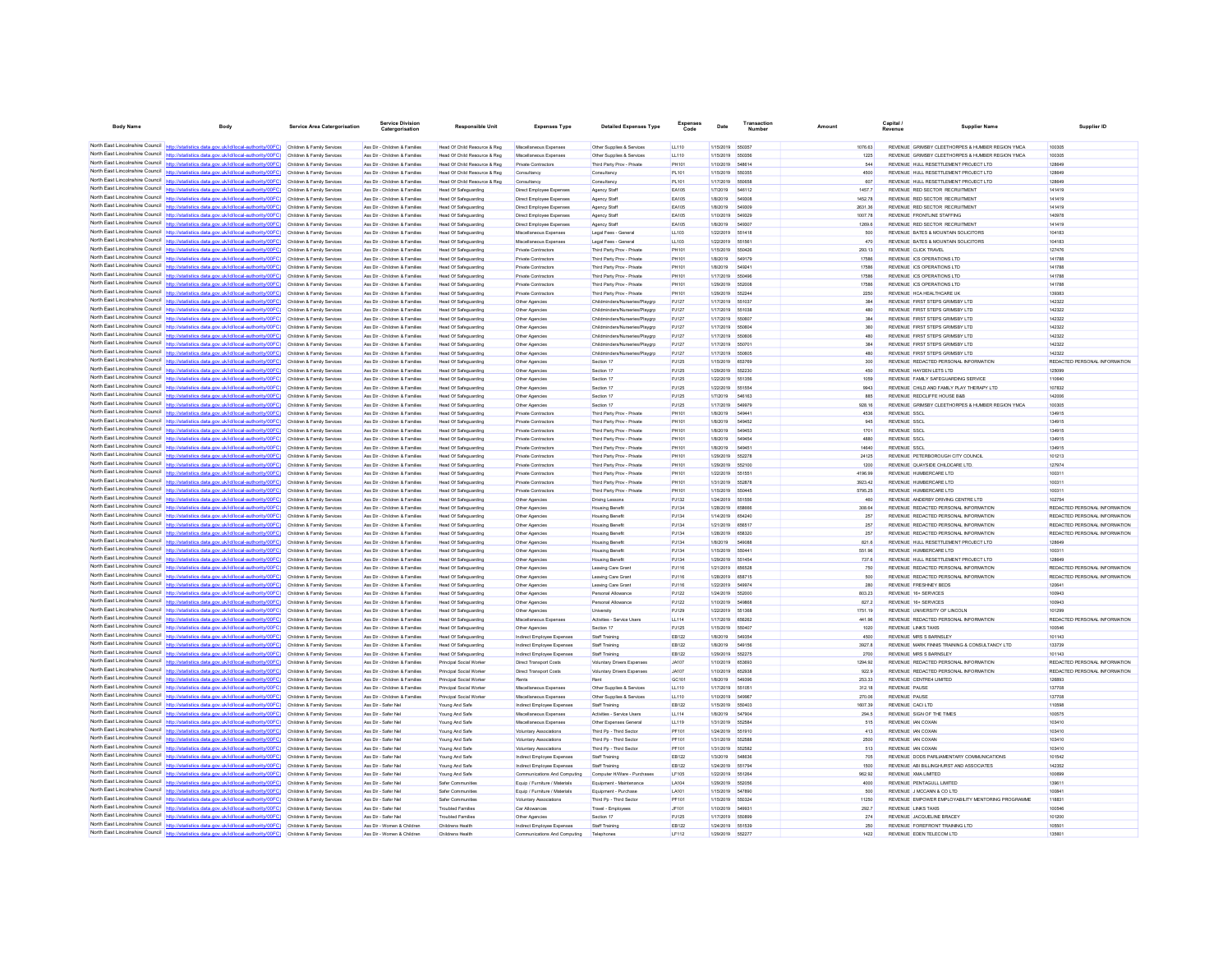| <b>Body Name</b>                                                   | Body                                                                                                                                                                                                        | Service Area Catergorisation                             | ervice Divisio<br>Catergorisation                              | <b>Responsible Unit</b>                                      | <b>Expenses Type</b>                                      | <b>Detailed Expenses Type</b>                                | Code           | Date                                | Number          | Amount            | Capital<br><b>Supplier Name</b><br>Revenue                                     | Supplier ID                                                    |
|--------------------------------------------------------------------|-------------------------------------------------------------------------------------------------------------------------------------------------------------------------------------------------------------|----------------------------------------------------------|----------------------------------------------------------------|--------------------------------------------------------------|-----------------------------------------------------------|--------------------------------------------------------------|----------------|-------------------------------------|-----------------|-------------------|--------------------------------------------------------------------------------|----------------------------------------------------------------|
|                                                                    |                                                                                                                                                                                                             |                                                          |                                                                |                                                              |                                                           |                                                              |                |                                     |                 |                   |                                                                                |                                                                |
|                                                                    | North East Lincolnshire Council http://statistics.data.gov.uk/id/local-authority/00FC) Children & Family Services                                                                                           |                                                          | Ass Dir - Children & Families                                  | Head Of Child Resource & Reg                                 | Miscellaneous Expenses                                    | Other Supplies & Services                                    | LL110          | 1/15/2019                           | 550357          | 1076.63           | REVENUE GRIMSBY CLEETHORPES & HUMBER REGION YMCA                               | 100305                                                         |
| North East Lincolnshire Council                                    | North East Lincolnshire Council http://statistics.data.gov.uk/id/local-authority/00FC) Children & Family Services                                                                                           |                                                          | Ass Dir - Children & Families                                  | Head Of Child Resource & Reg                                 | Miscellaneous Expenser                                    | Other Supplies & Services                                    | LL110          | 1/15/2019                           | 550358          | 1225              | REVENUE GRIMSBY CLEETHORPES & HUMBER REGION YMCA                               | 100305                                                         |
| North East Lincolnshire Council                                    | http://statistics.data.gov.uk/id/local-authority/00FC)                                                                                                                                                      | Children & Family Services<br>Children & Family Services | Ass Dir - Children & Families<br>Ass Dir - Children & Families | Head Of Child Resource & Reg<br>Head Of Child Resource & Reg | <b>Private Contractors</b><br>Consultancy                 | Third Party Prov - Private<br>Consultancy                    | PH101<br>PL101 | 1/10/2019<br>1/15/2019              | 548614          | 544<br>4500       | REVENUE HULL RESETTLEMENT PROJECT LTD<br>REVENUE HULL RESETTLEMENT PROJECT LTD | 128649<br>128649                                               |
|                                                                    | North East Lincolnshire Council http://statistics.data.gov.uk/id/local-authority/00FC)                                                                                                                      | Children & Family Services                               | Ass Dir - Children & Families                                  | Head Of Child Resource & Reg                                 | Consultancy                                               | Consultanov                                                  | PL101          | 1/17/2019                           | 650658          | 607               | REVENUE HULL RESETTLEMENT PROJECT LTD                                          | 128649                                                         |
|                                                                    | North East Lincolnshire Council http://statistics.data.gov.uk/id/local-authority/00FC) Children & Family Services                                                                                           |                                                          | Ass Dir - Children & Families                                  | <b>Head Of Safeguarding</b>                                  | Direct Employee Expenses                                  | Agency Staff                                                 | EA105          | 1/7/2019                            | 546112          | 1457.7            | REVENUE RED SECTOR RECRUITMENT                                                 | 141419                                                         |
|                                                                    | North East Lincolnshire Council http://statistics.data.gov.uk/id/local-authority/00FC)                                                                                                                      | Children & Family Services                               | Ass Dir - Children & Families                                  | <b>Head Of Safeguarding</b>                                  | Direct Employee Expenses                                  | <b>Agency Staff</b>                                          | EA105          | 1/8/2019                            | 54930           | 1452.78           | REVENUE RED SECTOR RECRUITMENT                                                 | 141419                                                         |
| North East Lincolnshire Council                                    | http://statistics.data.gov.uk/id/local-authority/00FC)                                                                                                                                                      | Children & Family Services                               | Ass Dir - Children & Families                                  | Head Of Safeguarding                                         | Direct Employee Expenses                                  | Agency Staff                                                 | <b>EA105</b>   | 1/8/2019                            | 54930           | 2631.36           | REVENUE RED SECTOR RECRUITMENT                                                 | 141419                                                         |
|                                                                    | North East Lincolnshire Council http://statistics.data.gov.uk/id/local-authority/00FC)                                                                                                                      | Children & Family Services                               | Ass Dir - Children & Families                                  | Head Of Safeguarding                                         | Direct Employee Expenses                                  | Agency Staf                                                  | <b>EA105</b>   | 1/10/2019                           | 54932           | 1007.78           | REVENUE FRONTLINE STAFFING                                                     | 140978                                                         |
|                                                                    | North East Lincolnshire Council http://statistics.data.gov.uk/id/local-authority/00FC)<br>North East Lincolnshire Council http://statistics.data.gov.uk/id/local-authority/00FC).                           | Children & Family Services                               | Ass Dir - Children & Families                                  | Head Of Safeguarding                                         | Direct Employee Expenses                                  | Agency Staff                                                 | EA105          | 1/8/2019<br>1/22/2019 551418        | 54930           | 1269.6<br>500     | REVENUE RED SECTOR RECRUITMENT                                                 | 141419<br>104183                                               |
|                                                                    | North East Lincolnshire Council http://statistics.data.gov.uk/id/local-authority/00FC)                                                                                                                      | Children & Family Services<br>Children & Family Services | Ass Dir - Children & Families<br>Ass Dir - Children & Families | <b>Head Of Safeguarding</b><br><b>Head Of Safeguarding</b>   | Miscellaneous Expenses<br>Miscellaneous Expenser          | Legal Fees - General<br>Legal Fees - General                 | LL103<br>LL103 | 1/22/2019 55156                     |                 | 470               | REVENUE BATES & MOUNTAIN SOLICITORS<br>REVENUE BATES & MOUNTAIN SOLICITORS     | 104183                                                         |
| North East Lincolnshire Council                                    | http://statistics.data.gov.uk/id/local-authority/00FC)                                                                                                                                                      | Children & Family Services                               | Ass Dir - Children & Families                                  | Head Of Safeguarding                                         | Private Contractors                                       | Third Party Prov - Private                                   | PH101          | 1/15/2019                           | 550426          | 293.13            | <b>REVENUE CLICK TRAVEL</b>                                                    | 127476                                                         |
| North East Lincolnshire Council                                    | http://statistics.data.gov.uk/id/local-authority/00FC)                                                                                                                                                      | Children & Family Services                               | Ass Dir - Children & Families                                  | Head Of Safeguarding                                         | Private Contractors                                       | Third Party Prov - Private                                   | PH101          | 1/8/2019                            | 54917           | 17586             | REVENUE ICS OPERATIONS LTD                                                     | 141788                                                         |
|                                                                    | North East Lincolnshire Council http://statistics.data.gov.uk/id/local-authority/00FC)                                                                                                                      | Children & Family Services                               | Ass Dir - Children & Families                                  | Head Of Safeguarding                                         | Private Contractors                                       | Third Party Prov - Private                                   | PH101          | 1/8/2019                            | <b>54924</b>    | 17586             | REVENUE ICS OPERATIONS LTD                                                     | 141788                                                         |
| North East Lincolnshire Council                                    | North East Lincolnshire Council http://statistics.data.gov.uk/id/local-authority/00FC) Children & Family Services                                                                                           |                                                          | Ass Dir - Children & Families                                  | Head Of Safeguarding                                         | Private Contractors                                       | Third Party Prov - Private                                   | PH101          | 1/17/2019                           | 55049           | 17586             | REVENUE ICS OPERATIONS LTD                                                     | 141788                                                         |
| North East Lincolnshire Council                                    | http://statistics.data.gov.uk/id/local-authority/00FC)                                                                                                                                                      | Children & Family Services                               | Ass Dir - Children & Families                                  | Head Of Safeguarding                                         | Private Contractors                                       | Third Party Prov - Private                                   | PH101          | 1/29/2019                           | 552001<br>55224 | 17586<br>2250     | REVENUE ICS OPERATIONS LTD                                                     | 141788<br>139383                                               |
|                                                                    | North East Lincolnshire Council http://statistics.data.gov.uk/id/local-authority/00FC)                                                                                                                      | Children & Family Services<br>Children & Family Services | Ass Dir - Children & Families<br>Ass Dir - Children & Families | Head Of Safeguarding<br>Head Of Safeguarding                 | Private Contractors<br>Other Agencies                     | Third Party Prov - Private<br>Childminders/Nurseries/Playgrp | PH101<br>PJ127 | 1/29/2019<br>1/17/2019              | 551033          | 384               | REVENUE HCA HEALTHCARE UK<br>REVENUE FIRST STEPS GRIMSBY LTD                   | 142322                                                         |
|                                                                    | North East Lincolnshire Council http://statistics.data.gov.uk/id/local-authority/00FC)                                                                                                                      | Children & Family Services                               | Ass Dir - Children & Families                                  | Head Of Safeguarding                                         | Other Agencies                                            | Childminders/Nurseries/Playarp                               | PJ127          | 1/17/2019                           | 551038          | 480               | REVENUE FIRST STEPS GRIMSBY LTD                                                | 142322                                                         |
|                                                                    | North East Lincolnshire Council http://statistics.data.gov.uk/id/local-authority/00FC)                                                                                                                      | Children & Family Services                               | Ass Dir - Children & Families                                  | Head Of Safeguarding                                         | Other Agencies                                            | Childminders/Nurseries/Playgrp                               | PJ127          | 1/17/2019 55060                     |                 | 384               | REVENUE FIRST STEPS GRIMSBY LTD                                                | 142322                                                         |
|                                                                    | North East Lincolnshire Council http://statistics.data.gov.uk/id/local-authority/00FC)                                                                                                                      | Children & Family Services                               | Ass Dir - Children & Families                                  | Head Of Safeguarding                                         | Other Agencies                                            | Childminders/Nurseries/Playgrp                               | PJ127          | 1/17/2019 55060                     |                 | 360               | REVENUE FIRST STEPS GRIMSBY LTD                                                | 142322                                                         |
| North East Lincolnshire Council                                    | tics.data.gov.uk/id/local-authority/00FC)                                                                                                                                                                   | Children & Family Services                               | Ass Dir - Children & Families                                  | <b>Head Of Safeguarding</b>                                  | Other Agencies                                            | Childminders/Nurseries/Playarp                               | PJ127          | 1/17/2019                           | 55060           | 480               | REVENUE FIRST STEPS GRIMSBY LTD                                                | 142322                                                         |
| North East Lincolnshire Council<br>North East Lincolnshire Council | http://statistics.data.gov.uk/id/local-authority/00FC)                                                                                                                                                      | Children & Family Services                               | Ass Dir - Children & Families                                  | <b>Head Of Safeguarding</b>                                  | Other Agencies                                            | Childminders/Nurs                                            | PJ127          | 1/17/2019                           | 55070           | 384               | REVENUE FIRST STEPS GRIMSBY LTD                                                | 142322                                                         |
|                                                                    | http://statistics.data.gov.uk/id/local-authority/00FC) Children & Family Services<br>North East Lincolnshire Council http://statistics.data.gov.uk/id/local-authority/00FC) Children & Family Services      |                                                          | Ass Dir - Children & Families<br>Ass Dir - Children & Families | Head Of Safeguarding<br>Head Of Safeguarding                 | Other Agencies<br>Other Agencies                          | Childminders/Nurseries/Playarp<br>Section 17                 | PJ127<br>PJ125 | 1/17/2019<br>1/15/2019              | 550805<br>65376 | 480<br>300        | REVENUE FIRST STEPS GRIMSBY LTD<br>REVENUE REDACTED PERSONAL INFORMATION       | 142322<br>REDACTED PERSONAL INFORMATION                        |
| North East Lincolnshire Council                                    | http://statistics.data.gov.uk/id/local-authority/00FC)                                                                                                                                                      | Children & Family Services                               | Ass Dir - Children & Families                                  | Head Of Safeguarding                                         | Other Agencies                                            | Section 17                                                   | PJ125          | 1/29/2019                           | 652230          | 450               | REVENUE HAYDEN LETS LTD                                                        | 125099                                                         |
| North East Lincolnshire Council                                    | http://statistics.data.gov.uk/id/local-authority/00FC)                                                                                                                                                      | Children & Family Services                               | Ass Dir - Children & Families                                  | Head Of Safeguarding                                         | Other Agencies                                            | Section 17                                                   | PJ125          | 1/22/2019                           | 65135           | 1059              | REVENUE FAMILY SAFEGUARDING SERVICE                                            | 110640                                                         |
| North East Lincolnshire Council                                    | http://statistics.data.gov.uk/id/local-authority/00EC)                                                                                                                                                      | Children & Family Services                               | Ass Dir - Children & Families                                  | Head Of Safeguarding                                         | Other Agencies                                            | Section 17                                                   | PJ125          | 1/22/2019                           | 65155           | 9943              | REVENUE CHILD AND FAMILY PLAY THERAPY LTD                                      | 107832                                                         |
|                                                                    | North East Lincolnshire Council http://statistics.data.gov.uk/id/local-authority/00FC)                                                                                                                      | Children & Family Services                               | Ass Dir - Children & Families                                  | <b>Head Of Safeguarding</b>                                  | Other Agencies                                            | Section 17                                                   | PJ125          | 1/7/2019                            | 546163          | 885               | REVENUE REDCLIFFE HOUSE B&B                                                    | 142006                                                         |
|                                                                    | North East Lincolnshire Council http://statistics.data.gov.uk/id/local-authority/00FC) Children & Family Services                                                                                           |                                                          | Ass Dir - Children & Families                                  | Head Of Safeguarding                                         | Other Agencies                                            | Section 17                                                   | PJ125          | 1/17/2019                           | 54997           | 928.16            | REVENUE GRIMSBY CLEETHORPES & HUMBER REGION YMCA                               | 100305                                                         |
| North East Lincolnshire Council<br>North East Lincolnshire Council | stics.data.gov.uk/id/local-authority/00FC)                                                                                                                                                                  | Children & Family Services                               | Ass Dir - Children & Families                                  | Head Of Safeguarding                                         | Private Contractors                                       | Third Party Prov - Private                                   | PH101          | 1/8/2019                            | 64944           | 4536              | <b>REVENUE</b> SSCL                                                            | 134915                                                         |
|                                                                    | North East Lincolnshire Council http://statistics.data.gov.uk/id/local-authority/00FC)                                                                                                                      | Children & Family Services                               | Ass Dir - Children & Families<br>Ass Dir - Children & Families | Head Of Safeguarding                                         | Private Contractors                                       | Third Party Prov - Private                                   | PH101          | 1/8/2019                            | 54945<br>649453 | 945               | <b>REVENUE</b> SSCL<br><b>REVENUE SSCL</b>                                     | 134915<br>134915                                               |
|                                                                    | North East Lincolnshire Council http://statistics.data.gov.uk/id/local-authority/00FC) Children & Family Services                                                                                           | Children & Family Services                               | Ass Dir - Children & Families                                  | Head Of Safeguarding<br>Head Of Safeguarding                 | Private Contractors<br><b>Private Contractors</b>         | Third Party Prov - Private<br>Third Party Prov - Private     | PH101<br>PH101 | 1/8/2019<br>1/8/2019                | 649454          | 1701<br>4880      | <b>REVENUE</b> SSCL                                                            | 134915                                                         |
|                                                                    | North East Lincolnshire Council http://statistics.data.gov.uk/id/local-authority/00FC) Children & Family Services                                                                                           |                                                          | Ass Dir - Children & Families                                  | Head Of Safeguarding                                         | Private Contractors                                       | Third Party Prov - Private                                   | PH101          | 1/8/2019                            | 54945           | 14640             | <b>REVENUE SSCL</b>                                                            | 134915                                                         |
| North East Lincolnshire Council                                    | http://statistics.data.gov.uk/id/local-authority/00FC)                                                                                                                                                      | Children & Family Services                               | Ass Dir - Children & Families                                  | Head Of Safeguarding                                         | <b>Private Contractors</b>                                | Third Party Prov - Private                                   | PH101          | 1/29/2019                           | 55227           | 24125             | REVENUE PETERBOROUGH CITY COUNCIL                                              | 101213                                                         |
| North East Lincolnshire Council                                    | http://statistics.data.gov.uk/id/local-authority/00FC)                                                                                                                                                      | Children & Family Services                               | Ass Dir - Children & Families                                  | Head Of Safeguarding                                         | Private Contractors                                       | Third Party Prov - Private                                   | PH101          | 1/29/2019                           | 55210           | 1200              | REVENUE QUAYSIDE CHILDCARE LTD.                                                | 127974                                                         |
| North East Lincolnshire Council                                    | http://statistics.data.oov.uk/id/local-authority/00EC)                                                                                                                                                      | Children & Family Services                               | Ass Dir - Children & Families                                  | Head Of Safeguarding                                         | Private Contractors                                       | Third Party Prov - Privat                                    | PH101          | 1/22/2019                           | 66166           | 4196.99           | REVENUE HUMBERCARE LTD                                                         | 100311                                                         |
|                                                                    | North East Lincolnshire Council http://statistics.data.gov.uk/id/local-authority/00FC) Children & Family Services                                                                                           |                                                          | Ass Dir - Children & Families                                  | Head Of Safeguarding                                         | Private Contractors                                       | Third Party Prov - Private                                   | PH101          | 1/31/2019                           | 55287           | 3923.42           | REVENUE HUMBERCARE LTD                                                         | 100311                                                         |
| North East Lincolnshire Council                                    | North East Lincolnshire Council http://statistics.data.gov.uk/id/local-authority/00FC)                                                                                                                      | Children & Family Services                               | Ass Dir - Children & Families                                  | <b>Head Of Safeguarding</b>                                  | Private Contractors                                       | Third Party Prov - Privat                                    | PH101          | 1/15/2019                           | 55044           | 5795.25           | REVENUE HUMBERCARE LTD                                                         | 100311                                                         |
| North East Lincolnshire Council                                    | http://statistics.data.gov.uk/id/local-authority/00FC)                                                                                                                                                      | Children & Family Services<br>Children & Family Services | Ass Dir - Children & Families<br>Ass Dir - Children & Families | Head Of Safeguarding<br><b>Head Of Safeguarding</b>          | Other Agencies<br>Other Agencies                          | Driving Lessons<br><b>Housing Benefit</b>                    | PJ132<br>PJ134 | 1/24/2019 55155<br>1/28/2019        |                 | 460<br>308.64     | REVENUE ANDERBY DRIVING CENTRE LTD<br>REVENUE REDACTED PERSONAL INFORMATION    | 102754<br>REDACTED PERSONAL INFORMATION                        |
|                                                                    | North East Lincolnshire Council http://statistics.data.gov.uk/id/local-authority/00FC)                                                                                                                      | Children & Family Services                               | Ass Dir - Children & Families                                  | Head Of Safeguarding                                         | Other Agencies                                            | <b>Housing Benefit</b>                                       | PJ134          | 1/14/2019                           | 654240          | 257               | REVENUE REDACTED PERSONAL INFORMATION                                          | REDACTED PERSONAL INFORMATION                                  |
| North East Lincolnshire Council                                    | http://statistics.data.gov.uk/id/local-authority/00FC) Children & Family Services                                                                                                                           |                                                          | Ass Dir - Children & Families                                  | <b>Head Of Safeguarding</b>                                  | Other Agencies                                            | <b>Housing Benefit</b>                                       | PJ134          | 1/21/2019                           | 65651           | 257               | REVENUE REDACTED PERSONAL INFORMATION                                          | REDACTED PERSONAL INFORMATION                                  |
|                                                                    | North East Lincolnshire Council http://statistics.data.gov.uk/id/local-authority/00FC)                                                                                                                      | Children & Family Services                               | Ass Dir - Children & Families                                  | Head Of Safeguarding                                         | Other Agencies                                            | <b>Housing Benefit</b>                                       | PJ134          | 1/28/2019                           | 65832           | 257               | REVENUE REDACTED PERSONAL INFORMATION                                          | REDACTED PERSONAL INFORMATION                                  |
| North East Lincolnshire Council                                    | http://statistics.data.gov.uk/id/local-authority/00FC)                                                                                                                                                      | Children & Family Services                               | Ass Dir - Children & Families                                  | Head Of Safeguarding                                         | Other Agencies                                            | <b>Housing Benefit</b>                                       | PJ134          | 1/8/2019                            | 54908           | 821.6             | REVENUE HULL RESETTLEMENT PROJECT LTD                                          | 128649                                                         |
| North East Lincolnshire Council                                    |                                                                                                                                                                                                             | Children & Family Services                               | Ass Dir - Children & Families                                  | Head Of Safeguarding                                         | Other Agencies                                            | <b>Housing Benefit</b>                                       | PJ134          | 1/15/2019                           |                 | 551.96            |                                                                                | 100311                                                         |
|                                                                    | North East Lincolnshire Council http://statistics.data.gov.uk/id/local-authority/00FC)<br>North East Lincolnshire Council http://statistics.data.gov.uk/id/local-authority/00FC).                           | Children & Family Services                               | Ass Dir - Children & Families                                  | Head Of Safeguarding                                         | Other Agencies                                            | <b>Housing Benefit</b>                                       | PJ134          | 1/29/2019                           | 651454          | 737.6             | REVENUE HULL RESETTLEMENT PROJECT LTD                                          | 128649                                                         |
|                                                                    | North East Lincolnshire Council http://statistics.data.gov.uk/id/local-authority/00FC)                                                                                                                      | Children & Family Services<br>Children & Family Services | Ass Dir - Children & Families<br>Ass Dir - Children & Families | Head Of Safeguarding<br><b>Head Of Safeguarding</b>          | Other Agencies<br>Other Agencies                          | Leaving Care Grant<br>Leaving Care Grant                     | PJ116<br>PJ116 | 1/21/2019 656528<br>1/28/2019 65871 |                 | 750<br>500        | REVENUE REDACTED PERSONAL INFORMATION<br>REVENUE REDACTED PERSONAL INFORMATION | REDACTED PERSONAL INFORMATION<br>REDACTED PERSONAL INFORMATION |
| North East Lincolnshire Council                                    | http://statistics.data.gov.uk/id/local-authority/00FC)                                                                                                                                                      | Children & Family Services                               | Ass Dir - Children & Families                                  | Head Of Safeguarding                                         | Other Agencies                                            | Leaving Care Grant                                           | PJ116          | 1/22/2019                           | 54997           | 280               | REVENUE FRESHNEY BEDS                                                          | 120641                                                         |
| North East Lincolnshire Council                                    | http://statistics.data.gov.uk/id/local-authority/00FC)                                                                                                                                                      | Children & Family Services                               | Ass Dir - Children & Families                                  | Head Of Safeguarding                                         | Other Agencies                                            | Personal Allowance                                           | PJ122          | 1/24/2019                           | 55200           | 803.23            | REVENUE 16+ SERVICES                                                           | 100943                                                         |
| North East Lincolnshire Council                                    | http://statistics.data.gov.uk/id/local-authority/00EC)                                                                                                                                                      | Children & Family Services                               | Ass Dir - Children & Families                                  | Head Of Safeguarding                                         | Other Agencie                                             | Personal Allowano                                            | PJ122          | 1/10/2019                           |                 | 827.2             | REVENUE 16+ SERVICES                                                           | 100943                                                         |
|                                                                    | North East Lincolnshire Council http://statistics.data.gov.uk/id/local-authority/00FC) Children & Family Services                                                                                           |                                                          | Ass Dir - Children & Families                                  | Head Of Safeguarding                                         | Other Agencies                                            | <b>University</b>                                            | PJ129          | 1/22/2019                           | 651368          | 1751.19           | REVENUE UNIVERSITY OF LINCOLN                                                  | 101299                                                         |
| North East Lincolnshire Council                                    | North East Lincolnshire Council http://statistics.data.gov.uk/id/local-authority/00FC)                                                                                                                      | Children & Family Services                               | Ass Dir - Children & Families                                  | <b>Head Of Safeguarding</b>                                  | Miscellaneous Expense                                     | Activities - Service Users                                   | LL114          | 1/17/2019                           | 65626           | 441.96            | REVENUE REDACTED PERSONAL INFORMATION                                          | REDACTED PERSONAL INFORMATION                                  |
| North East Lincolnshire Council                                    | ics.data.gov.uk/id/local-authority/00FC)<br>http://statistics.data.gov.uk/id/local-authority/00FC)                                                                                                          | Children & Family Services<br>Children & Family Services | Ass Dir - Children & Families<br>Ass Dir - Children & Familier | Head Of Safeguarding<br>Head Of Safeguarding                 | Other Agencies<br>Indirect Employee Expenses              | Section 17<br>Staff Training                                 | PJ125<br>EB122 | 1/15/2019<br>1/8/2019               | 550400<br>64935 | 1020<br>4500      | <b>REVENUE LINKS TAXIS</b><br><b>REVENUE MRS S BARNSLEY</b>                    | 100546<br>101143                                               |
|                                                                    | North East Lincolnshire Council http://statistics.data.gov.uk/id/local-authority/00FC)                                                                                                                      | Children & Family Services                               | Ass Dir - Children & Families                                  | Head Of Safeguarding                                         | Indirect Employee Expenses                                | Staff Training                                               | EB122          | 1/8/2019                            | 649156          | 3927.8            | REVENUE MARK FINNIS TRAINING & CONSULTANCY LTD                                 | 133739                                                         |
|                                                                    | North East Lincolnshire Council http://statistics.data.gov.uk/id/local-authority/00FC)                                                                                                                      | Children & Family Services                               | Ass Dir - Children & Families                                  | <b>Head Of Safeguarding</b>                                  | Indirect Employee Expenses                                | Staff Training                                               | EB122          | 1/29/2019                           | 652275          | 2700              | <b>REVENUE MRS S BARNSLEY</b>                                                  | 101143                                                         |
| North East Lincolnshire Council                                    | http://statistics.data.gov.uk/id/local-authority/00FC)                                                                                                                                                      | Children & Family Services                               | Ass Dir - Children & Families                                  | Principal Social Worke                                       | Direct Transport Costs                                    | Voluntary Drivers Expenses                                   | <b>JA107</b>   | 1/10/2019                           | 65369           | 1294.92           | REVENUE REDACTED PERSONAL INFORMATION                                          | REDACTED PERSONAL INFORMATION                                  |
| North East Lincolnshire Council                                    | itics.data.gov.uk/id/local-authority/00FC)                                                                                                                                                                  | Children & Family Services                               | Ass Dir - Children & Families                                  | Principal Social Worke                                       | <b>Direct Transport Costs</b>                             | Voluntary Drivers Expenses                                   | <b>JA107</b>   | 1/10/2019                           | 65293           | 922.9             | REVENUE REDACTED PERSONAL INFORMATION                                          | REDACTED PERSONAL INFORMATION                                  |
| North East Lincolnshire Council                                    | http://statistics.data.gov.uk/id/local-authority/00FC)                                                                                                                                                      | Children & Family Services                               | Ass Dir - Children & Families                                  | Principal Social Worke                                       |                                                           |                                                              | GC101          | 1/8/2019                            |                 | 253.33            | REVENUE CENTRE4 LIMITED                                                        | 126893                                                         |
| North East Lincolnshire Council                                    | http://statistics.data.gov.uk/id/local-authority/00FC) Children & Family Services                                                                                                                           |                                                          | Ass Dir - Children & Families                                  | Principal Social Worke                                       | Miscellaneous Expense                                     | Other Supplies & Services                                    | LL110          | 1/17/2019                           | 55105           | 312.18            | <b>REVENUE PAUSE</b>                                                           | 137708                                                         |
|                                                                    | North East Lincolnshire Council http://statistics.data.gov.uk/id/local-authority/00FC) Children & Family Services<br>North East Lincolnshire Council http://statistics.data.gov.uk/id/local-authority/00FC) |                                                          | Ass Dir - Children & Families<br>Ass Dir - Safer Net           | Principal Social Worke                                       | Miscellaneous Expenses                                    | Other Supplies & Services                                    | LL110<br>EB122 | 1/10/2019<br>1/15/2019              | 550403          | 270.06<br>1607.39 | REVENUE PAUSE<br>REVENUE CACI LTD                                              | 137708<br>110598                                               |
| North East Lincolnshire Council                                    | http://statistics.data.gov.uk/id/local-authority/00FC)                                                                                                                                                      | Children & Family Services<br>Children & Family Services | Ass Dir - Safer Net                                            | Young And Safe<br>Young And Safe                             | Indirect Employee Expense<br>Miscellaneous Expenses       | Staff Training<br>Activities - Service Users                 | LL114          | 1/8/2019                            | 54790           | 294.5             | REVENUE SIGN OF THE TIMES                                                      | 100575                                                         |
| North East Lincolnshire Council                                    |                                                                                                                                                                                                             | Children & Family Services                               | Ass Dir - Safer Net                                            | Young And Safe                                               | Miscellaneous Expenser                                    | Other Expenses General                                       | LL119          | 1/31/2019                           | 55258           | 515               | REVENUE IAN COXA!                                                              | 103410                                                         |
|                                                                    | North East Lincolnshire Council http://statistics.data.gov.uk/id/local-authority/00FC)                                                                                                                      | Children & Family Services                               | Ass Dir - Safer Nel                                            | Young And Safe                                               | Voluntary Associations                                    | Third Pp - Third Sector                                      | PF101          | 1/24/2019                           | 551910          | 413               | REVENUE IAN COXAN                                                              | 103410                                                         |
|                                                                    | North East Lincolnshire Council http://statistics.data.gov.uk/id/local-authority/00FC)                                                                                                                      | Children & Family Services                               | Ass Dir - Safer Net                                            | Young And Safe                                               | Voluntary Associations                                    | Third Pp - Third Sector                                      | PF101          | 1/31/2019                           | 55258           | 2500              | REVENUE IAN COXAN                                                              | 103410                                                         |
|                                                                    | North East Lincolnshire Council http://statistics.data.gov.uk/id/local-authority/00FC)                                                                                                                      | Children & Family Services                               | Ass Dir - Safer Net                                            | Young And Safe                                               | Voluntary Associations                                    | Third Pp - Third Sector                                      | PF101          | 1/31/2019                           | 652582          | 513               | REVENUE IAN COXAN                                                              | 103410                                                         |
| North East Lincolnshire Council<br>North East Lincolnshire Council | http://statistics.data.gov.uk/id/local-authority/00FC)                                                                                                                                                      | Children & Family Services                               | Ass Dir - Safer Net                                            | Young And Safe                                               | Indirect Employee Expenses                                | Staff Training                                               | EB122          | 1/3/2019                            | 54863           | 705               | REVENUE DODS PARLIAMENTARY COMMUNICATIONS                                      | 101542                                                         |
|                                                                    | http://statistics.data.gov.uk/id/local-authority/00FC)<br>North East Lincolnshire Council http://statistics.data.gov.uk/id/local-authority/00FC) Children & Family Services                                 | Children & Family Services                               | Ass Dir - Safer Net<br>Ass Dir - Safer Nel                     | Young And Safe                                               | Indirect Employee Expense<br>Communications And Computing | <b>Staff Training</b><br>Computer H/Ware - Purchases         | EB122<br>LF105 | 1/24/2019<br>1/22/2019              | 65179<br>55126  | 1500<br>962.92    | REVENUE ABI BILLINGHURST AND ASSOCIATES<br>REVENUE XMA LIMITED                 | 142352<br>100699                                               |
|                                                                    | North East Lincolnshire Council http://statistics.data.gov.uk/id/local-authority/00FC) Children & Family Services                                                                                           |                                                          | Ass Dir - Safer Net                                            | Young And Safe<br>Safer Communities                          | Equip / Furniture / Materials                             | Equipment - Maintenano                                       | LA104          | 1/29/2019                           | 65205           | 4000              | REVENUE PENTAGULL LIMITED                                                      | 139611                                                         |
|                                                                    | North East Lincolnshire Council   http://statistics.data.gov.uk/id/local-authority/00FC)                                                                                                                    | Children & Family Services                               | Ass Dir - Safer Net                                            | Safer Communities                                            | Equip / Furniture / Materials                             | Equipment - Purchase                                         | LA101          | 1/15/2019                           | 647890          | 500               | REVENUE J MCCANN & CO LTD                                                      | 100841                                                         |
| North East Lincolnshire Council                                    | tics.data.gov.uk/id/local-authority/00FC)                                                                                                                                                                   | Children & Family Services                               | Ass Dir - Safer Net                                            | Safer Communities                                            | <b>Voluntary Associations</b>                             | Third Pp - Third Sector                                      | PF101          | 1/15/2019                           | 55032           | 11250             | REVENUE EMPOWER EMPLOYABILITY MENTORING PROGRAMME                              | 118831                                                         |
| North East Lincolnshire Council                                    | http://statistics.data.gov.uk/id/local-authority/00FC)                                                                                                                                                      | Children & Family Services                               | Ass Dir - Safer Ne                                             | <b>Troubled Familie</b>                                      |                                                           | Travel - Employ                                              | JF 101         | 1/10/2019                           |                 | 292.7             | REVENUE LINKS TAXIS                                                            | 100546                                                         |
|                                                                    | North East Lincolnshire Council http://statistics.data.gov.uk/id/local-authority/00FC) Children & Family Services                                                                                           |                                                          | Ass Dir - Safer Nel                                            | <b>Troubled Families</b>                                     | Other Agencies                                            | Section 17                                                   | PJ125          | 1/17/2019                           | 550899          | 274               | REVENUE JACQUELINE BRACEY                                                      | 101200                                                         |
| North East Lincolnshire Council                                    | North East Lincolnshire Council http://statistics.data.gov.uk/id/local-authority/00FC) Children & Family Services                                                                                           |                                                          | Ass Dir - Women & Children                                     | Childrens Health                                             | Indirect Employee Expenses                                | Staff Training                                               | EB122          | 1/24/2019 55153                     |                 | 250               | REVENUE FOREFRONT TRAINING LTD                                                 | 105501                                                         |
|                                                                    | http://statistics.data.gov.uk/id/local-authority/00FC)                                                                                                                                                      | Children & Family Services                               | Ass Dir - Women & Children                                     | Childrens Health                                             | Communications And Computing                              | Telephones                                                   | IF112          | 01092019                            | 66227           | 1422              | REVENUE EDEN TELECOM LTD.                                                      | 135601                                                         |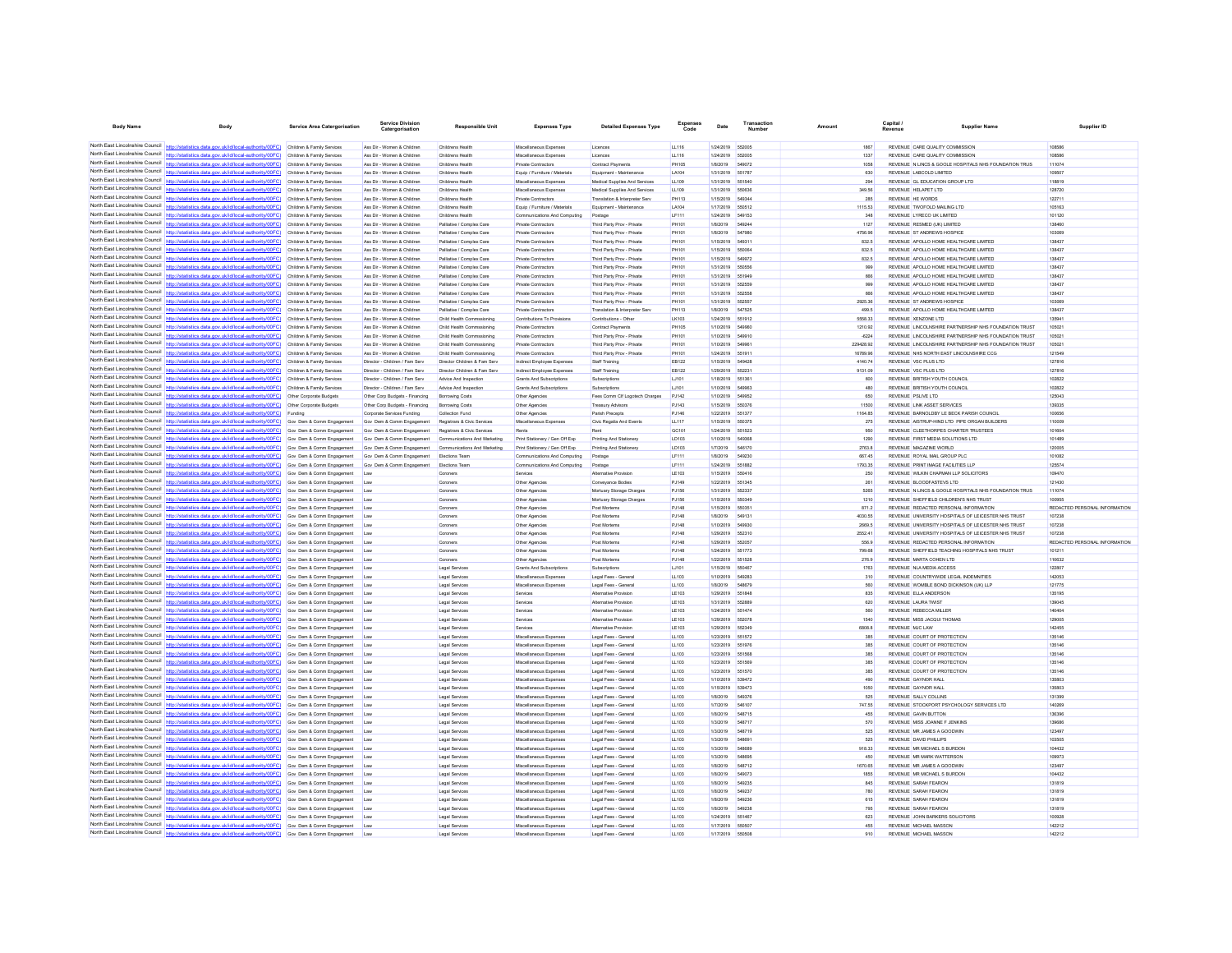| <b>Body Name</b>                                                   | Body                                                                                                                                                                                                                                     | Service Area Catergorisation                          | <b>Service Division</b><br>Catergorisatio                    | <b>Responsible Unit</b>                                    | <b>Expenses Type</b>                                     | <b>Detailed Expenses Type</b>                            | Expenses       | Date                          | Transaction             | Amount              | Capital                                                                          | Supplier Name                                         | Supplier ID                   |
|--------------------------------------------------------------------|------------------------------------------------------------------------------------------------------------------------------------------------------------------------------------------------------------------------------------------|-------------------------------------------------------|--------------------------------------------------------------|------------------------------------------------------------|----------------------------------------------------------|----------------------------------------------------------|----------------|-------------------------------|-------------------------|---------------------|----------------------------------------------------------------------------------|-------------------------------------------------------|-------------------------------|
|                                                                    |                                                                                                                                                                                                                                          |                                                       |                                                              |                                                            |                                                          |                                                          |                |                               |                         |                     |                                                                                  |                                                       |                               |
|                                                                    | North East Lincolnshire Council http://statistics.data.gov.uk/id/local-authority/00FC) Children & Family Services                                                                                                                        |                                                       | Ass Dir - Women & Children                                   | Childrens Health                                           | Miscellaneous Expenses                                   | Licences                                                 | LL116          | 1/24/2019 552005              |                         | 1867                | REVENUE CARE QUALITY COMMISSION                                                  |                                                       | 108586                        |
|                                                                    | North East Lincolnshire Council http://statistics.data.gov.uk/id/local-authority/00FC) Children & Family Services<br>North East Lincolnshire Council http://statistics.data.gov.uk/id/local-authority/00FC) Children & Family Services   |                                                       | Ass Dir - Women & Children<br>Ass Dir - Women & Children     | Childrens Health<br>Childrens Health                       | Miscellaneous Expenses<br>Private Contractors            | Licences<br><b>Contract Payments</b>                     | LL116<br>PH105 | 1/24/2019<br>1/8/2019         | 552005<br>549072        | 1337<br>1058        | REVENUE CARE QUALITY COMMISSION                                                  | REVENUE N LINCS & GOOLE HOSPITALS NHS FOUNDATION TRUS | 108586<br>111074              |
| North East Lincolnshire Council                                    | /00FC)                                                                                                                                                                                                                                   | Children & Family Services                            | Ass Dir - Women & Children                                   | Childrens Health                                           | Equip / Furniture / Materials                            | Equipment - Maintenance                                  | LA104          | 1/31/2019                     | 551787                  | 630                 | REVENUE LABCOLD LIMITED                                                          |                                                       | 109507                        |
|                                                                    | North East Lincolnshire Council http://statistics.data.gov.uk/id/local-authority/00FC) Children & Family Services                                                                                                                        |                                                       | Ass Dir - Women & Children                                   | Childrens Health                                           | Miscellaneous Expenses                                   | Medical Supplies And Services                            | LL109          | 1/31/2019 551540              |                         | 294                 | REVENUE GL EDUCATION GROUP LTD                                                   |                                                       | 118819                        |
|                                                                    | North East Lincolnshire Council http://statistics.data.gov.uk/id/local-authority/00FC) Children & Family Services                                                                                                                        |                                                       | Ass Dir - Women & Children                                   | Childrens Health                                           | Miscellaneous Expenses                                   | Medical Supplies And Services                            | LL109          | 1/31/2019 550636              |                         | 349.56              | REVENUE HELAPET LTD                                                              |                                                       | 128720                        |
|                                                                    | North East Lincolnshire Council http://statistics.data.gov.uk/id/local-authority/00FC) Children & Family Services                                                                                                                        |                                                       | Ass Dir - Women & Children                                   | Childrens Health                                           | Private Contractors                                      | Translation & Interpreter Serv                           | PH113          | 1/15/2019                     | 54934                   | 285                 | REVENUE HE WORDS                                                                 |                                                       | 122711                        |
| North East Lincolnshire Council                                    | http://statistics.data.gov.uk/id/local-authority/00FC)                                                                                                                                                                                   | Children & Family Services                            | Ass Dir - Women & Children                                   | Childrens Health                                           | Equip / Furniture / Materials                            | Equipment - Maintenance                                  | LA104          | 1/17/2019                     | 550512                  | 1115.53             | REVENUE TWOFOLD MAILING LTD                                                      |                                                       | 105163                        |
|                                                                    | North East Lincolnshire Council http://statistics.data.gov.uk/id/local-authority/00FC)<br>North East Lincolnshire Council http://statistics.data.gov.uk/id/local-authority/00FC)                                                         | Children & Family Services                            | Ass Dir - Women & Children                                   | Childrens Health                                           | Communications And Computing                             | Postage                                                  | LF111          | 1/24/2019                     | 549153                  | 348                 | REVENUE LYRECO UK LIMITED<br>REVENUE RESMED (UK) UMTED                           |                                                       | 101120                        |
|                                                                    | North East Lincolnshire Council http://statistics.data.gov.uk/id/local-authority/00FC) Children & Family Services                                                                                                                        | Children & Family Services                            | Ass Dir - Women & Children<br>Ass Dir - Women & Children     | Palliative / Complex Care<br>Palliative / Complex Care     | <b>Private Contractors</b><br><b>Private Contractors</b> | Third Party Prov - Private<br>Third Party Prov - Private | PH101<br>PH101 | 1/8/2019<br>1/8/2019          | 649244<br>547980        | 1127<br>4756.96     | REVENUE ST ANDREWS HOSPICE                                                       |                                                       | 138460<br>103069              |
|                                                                    | North East Lincolnshire Council http://statistics.data.gov.uk/id/local-authority/00FC)                                                                                                                                                   | Children & Family Services                            | Ass Dir - Women & Children                                   | Palliative / Complex Care                                  | Private Contractors                                      | Third Party Prov - Private                               | PH101          | 1/15/2019                     | 649311                  | 832.5               | REVENUE APOLLO HOME HEALTHCARE LIMITED                                           |                                                       | 138437                        |
| North East Lincolnshire Council                                    | http://statistics.data.gov.uk/id/local-authority/00FC)                                                                                                                                                                                   | Children & Family Services                            | Ass Dir - Women & Children                                   | Palliative / Complex Care                                  | <b>Private Contractors</b>                               | Third Party Prov - Private                               | PH101          | 1/15/2019 550064              |                         | 832.5               | REVENUE APOLLO HOME HEALTHCARE LIMITED                                           |                                                       | 138437                        |
| North East Lincolnshire Council                                    | statistics data.gov.uk/id/local-authority/00FC)                                                                                                                                                                                          | Children & Family Services                            | Ass Dir - Women & Children                                   | Palliative / Complex Care                                  | <b>Private Contractors</b>                               | Third Party Prov - Private                               | PH101          | 1/15/2019                     | 549972                  | 832.5               | REVENUE APOLLO HOME HEALTHCARE LIMITED                                           |                                                       | 138437                        |
|                                                                    | North East Lincolnshire Council http://statistics.data.gov.uk/id/local-authority/00FC) Children & Family Services                                                                                                                        |                                                       | Ass Dir - Women & Children                                   | Palliative / Complex Care                                  | <b>Private Contractors</b>                               | Third Party Prov - Private                               | PH101          | 1/31/2019 550556              |                         | 999                 | REVENUE APOLLO HOME HEALTHCARE LIMITED                                           |                                                       | 138437                        |
|                                                                    | North East Lincolnshire Council http://statistics.data.gov.uk/id/local-authority/00FC) Children & Family Services                                                                                                                        |                                                       | Ass Dir - Women & Children                                   | Palliative / Complex Care                                  | <b>Private Contractors</b>                               | Third Party Prov - Private                               | PH101          | 1/31/2019 551949              |                         | 666                 | REVENUE APOLLO HOME HEALTHCARE LIMITED                                           |                                                       | 138437                        |
| North East Lincolnshire Council                                    | North East Lincolnshire Council http://statistics.data.gov.uk/id/local-authority/00FC) Children & Family Services<br>http://statistics.data.gov.uk/id/local-authority/00FC) Children & Family Services                                   |                                                       | Ass Dir - Women & Children<br>Ass Dir - Women & Children     | Palliative / Complex Care<br>Palliative / Complex Care     | Private Contractors<br><b>Private Contractors</b>        | Third Party Prov - Private<br>Third Party Prov - Private | PH101<br>PH101 | 1/31/2019<br>1/31/2019        | 662669<br>652558        | 999<br>666          | REVENUE APOLLO HOME HEALTHCARE LIMITED<br>REVENUE APOLLO HOME HEALTHCARE LIMITED |                                                       | 138437<br>138437              |
|                                                                    | North East Lincolnshire Council http://statistics.data.gov.uk/id/local-authority/00FC)                                                                                                                                                   | Children & Family Services                            | Ass Dir - Women & Children                                   | Palliative / Complex Care                                  | Private Contractors                                      | Third Party Prov - Private                               | PH101          | 1/31/2019                     | 552557                  | 2925.36             | REVENUE ST ANDREWS HOSPICE                                                       |                                                       | 103069                        |
|                                                                    | North East Lincolnshire Council http://statistics.data.gov.uk/id/local-authority/00FC)                                                                                                                                                   | Children & Family Services                            | Ass Dir - Women & Children                                   | Palliative / Complex Care                                  | <b>Private Contractors</b>                               | Translation & Internreter Serv                           | PH113          | 1/8/2019                      | 647525                  | 499.5               | REVENUE APOLLO HOME HEALTHCARE LIMITED                                           |                                                       | 138437                        |
|                                                                    | North East Lincolnshire Council http://statistics.data.gov.uk/id/local-authority/00FC)                                                                                                                                                   | Children & Family Services                            | Ass Dir - Women & Children                                   | Child Health Commssioning                                  | Contributions To Provisions                              | Contributions - Other                                    | LK103          | 1/24/2019 551912              |                         | 5558.33             | REVENUE XENZONE LTD                                                              |                                                       | 135941                        |
|                                                                    | North East Lincolnshire Council http://statistics.data.gov.uk/id/local-authority/00FC) Children & Family Services                                                                                                                        |                                                       | Ass Dir - Women & Children                                   | Child Health Commssioning                                  | Private Contractors                                      | Contract Payments                                        | <b>PH105</b>   | 1/10/2019 549960              |                         | 1210.92             |                                                                                  | REVENUE LINCOLNSHIRE PARTNERSHIP NHS FOUNDATION TRUST | 105021                        |
| North East Lincolnshire Council                                    | http://statistics.data.gov.uk/id/local-authority/00FC)                                                                                                                                                                                   | Children & Family Services                            | Ass Dir - Women & Children                                   | Child Health Commssioning                                  | <b>Private Contractors</b>                               | Third Party Prov - Private                               | PH101          | 1/10/2019 549910              |                         | $-6224$             |                                                                                  | REVENUE LINCOLNSHIRE PARTNERSHIP NHS FOUNDATION TRUST | 105021                        |
| North East Lincolnshire Council                                    | North East Lincolnshire Council http://statistics.data.gov.uk/id/local-authority/00FC)                                                                                                                                                   | Children & Family Services                            | Ass Dir - Women & Children                                   | Child Health Commssioning                                  | Private Contractors                                      | Third Party Prov - Private                               | PH101          | 1/10/2019                     |                         | 229428.92           |                                                                                  | REVENUE LINCOLNSHIRE PARTNERSHIP NHS FOUNDATION TRUST | 105021                        |
|                                                                    | http://statistics.data.gov.uk/id/local-authority/00FC) Children & Family Services<br>North East Lincolnshire Council http://statistics.data.gov.uk/id/local-authority/00FC) Children & Family Services                                   |                                                       | Ass Dir - Women & Children<br>Director - Children / Fam Serv | Child Health Commssioning<br>Director Children & Fam Serv  | <b>Private Contractors</b><br>Indirect Employee Expenses | Third Party Prov - Private<br>Staff Training             | PH101<br>EB122 | 1/24/2019 551911<br>1/15/2019 | 549428                  | 16789.96<br>4140.74 | REVENUE NHS NORTH EAST LINCOLNSHIRE CCG<br>REVENUE VSC PLUS LTD                  |                                                       | 121549<br>127816              |
|                                                                    | North East Lincolnshire Council http://statistics.data.gov.uk/id/local-authority/00FC) Children & Family Services                                                                                                                        |                                                       | Director - Children / Fam Serv                               | Director Children & Fam Serv                               | Indirect Employee Expenses                               | Staff Training                                           | EB122          | 1/29/2019                     | 652231                  | 9131.09             | REVENUE VSC PLUS LTD                                                             |                                                       | 127816                        |
| North East Lincolnshire Council                                    | http://statistics.data.gov.uk/id/local-authority/00FC)                                                                                                                                                                                   | Children & Family Services                            | Director - Children / Fam Serv                               | Advice And Inspection                                      | <b>Grants And Subscriptions</b>                          | Subscriptions                                            | LJ101          | 1/18/2019                     | 551361                  | 600                 | REVENUE BRITISH YOUTH COUNCIL                                                    |                                                       | 102822                        |
|                                                                    | North East Lincolnshire Council http://statistics.data.gov.uk/id/local-authority/00FC).                                                                                                                                                  | Children & Family Services                            | Director - Children / Fam Serv                               | Advice And Inspection                                      | <b>Grants And Subscriptions</b>                          | Subscriptions                                            | LJ101          | 1/10/2019                     | 549963                  | 480                 | REVENUE BRITISH YOUTH COUNCIL                                                    |                                                       | 102822                        |
|                                                                    | North East Lincolnshire Council   http://statistics.data.gov.uk/id/local-authority/00FC)                                                                                                                                                 | Other Corporate Budgets                               | Other Corp Budgets - Financing                               | <b>Borrowing Costs</b>                                     | Other Agencies                                           | Fees Comm Clf Logotech Charges                           | PJ142          | 1/10/2019                     | 549952                  | 650                 | REVENUE PSLIVE LTD                                                               |                                                       | 125043                        |
|                                                                    | North East Lincolnshire Council http://statistics.data.gov.uk/id/local-authority/00FC) Other Corporate Budgets                                                                                                                           |                                                       | Other Corp Budgets - Financing                               | Borrowing Costs                                            | Other Agencies                                           | Treasury Advisors                                        | PJ143          | 1/15/2019                     | 550376                  | 11500               | REVENUE LINK ASSET SERVICES                                                      |                                                       | 139335                        |
| North East Lincolnshire Council                                    | North East Lincolnshire Council http://statistics.data.gov.uk/id/local-authority/00FC) Funding                                                                                                                                           |                                                       | Corporate Services Funding                                   | Collection Fund                                            | Other Agencies                                           | Parish Precepts                                          | PJ146          | 1/22/2019                     | 651377                  | 1164.85             | REVENUE BARNOLDBY LE BECK PARISH COUNCIL                                         |                                                       | 100656                        |
|                                                                    | http://statistics.data.gov.uk/id/local-authority/00FC)<br>North East Lincolnshire Council http://statistics.data.gov.uk/id/local-authority/00FC)                                                                                         | Gov Dem & Comm Engagement<br>Gov Dem & Comm Engagemen | Gov Dem & Comm Engagement<br>Gov Dem & Comm Engagement       | Registrars & Civic Services<br>Registrars & Civic Services | Miscellaneous Expenses                                   | Civic Regalia And Events<br>Rent                         | LL117<br>GC101 | 1/15/2019<br>1/24/2019        | 550375<br>651523        | 275<br>950          | REVENUE CLEETHORPES CHARTER TRUSTEES                                             | REVENUE AISTRUP-HIND LTD PIPE ORGAN BUILDERS          | 110009<br>101604              |
| North East Lincolnshire Council                                    | http://statistics.data.gov.uk/id/local-authority/00EC) Gov. Dem & Comm Engagement                                                                                                                                                        |                                                       | Gov Dem & Comm Engagement                                    | Communications And Marketing                               | Print Stationery / Gen Off Fan                           | Printing And Stationery                                  | <b>ID103</b>   | 1/10/2019                     | 549368                  | 1290                | REVENUE FIRST MEDIA SOLUTIONS LTD                                                |                                                       | 101489                        |
| North East Lincolnshire Council                                    | statistics.data.gov.uk/id/local-authority/00FC) Gov Dem & Comm Engagement                                                                                                                                                                |                                                       | Gov Dem & Comm Engagement                                    | Communications And Marketing                               | Print Stationery / Gen Off Exp                           | Printing And Stationery                                  | LD103          | 1/7/2019                      | 546170                  | 2763.8              | REVENUE MAGAZINE WORLD                                                           |                                                       | 120005                        |
|                                                                    | North East Lincolnshire Council http://statistics.data.gov.uk/id/local-authority/00FC) Gov Dem & Comm Engagement                                                                                                                         |                                                       | Gov Dem & Comm Engagement                                    | <b>Elections Team</b>                                      | Communications And Computing                             | Postage                                                  | <b>IF111</b>   | 1/8/2019                      | 549230                  | 667.45              | REVENUE ROYAL MAIL GROUP PLC                                                     |                                                       | 101082                        |
| North Fast Lincolnshire Council                                    | http://statistics.data.gov.uk/id/local-authority/00FC) Gov Dem & Comm Engagement                                                                                                                                                         |                                                       | Gov Dem & Comm Engagement                                    | Elections Team                                             | Communications And Computing                             | Postage                                                  | LF111          | 1/24/2019                     | 551882                  | 1793.35             | REVENUE PRINT IMAGE FACILITIES LLP                                               |                                                       | 125574                        |
|                                                                    | North East Lincolnshire Council http://statistics.data.gov.uk/id/local-authority/00FC)                                                                                                                                                   | Gov Dem & Comm Engagement                             | Law                                                          | Coroners                                                   | Services                                                 | Alternative Provisio                                     | LE103          | 1/15/2019                     | 550416                  | 250                 | REVENUE WILKIN CHAPMAN LLP SOLICITORS                                            |                                                       | 109470                        |
|                                                                    | North East Lincolnshire Council http://statistics.data.gov.uk/id/local-authority/00FC) Gov Dem & Comm Engagement                                                                                                                         |                                                       | Law                                                          | Coroners                                                   | Other Agencies                                           | Conveyance Bodies                                        | PJ149          | 1/22/2019 551345              |                         | 261                 | REVENUE BLOODFASTEVS LTD                                                         |                                                       | 121430                        |
| North East Lincolnshire Council                                    | North East Lincolnshire Council http://statistics.data.gov.uk/id/local-authority/00FC) Gov Dem & Comm Engagement<br>http://statistics.data.gov.uk/id/local-authority/00FC) Gov Dem & Comm Engagement                                     |                                                       | Law                                                          | Coroners                                                   | Other Agencies                                           | Mortuary Storage Charges                                 | PJ156<br>PJ156 | 1/31/2019<br>1/15/2019        | 55233<br>550349         | 5265<br>1210        | REVENUE SHEFFIELD CHILDREN'S NHS TRUST                                           | REVENUE N LINCS & GOOLE HOSPITALS NHS FOUNDATION TRUS | 111074<br>100955              |
| North Fast Lincolnshire Council                                    | stics.data.gov.uk/id/local-authority/00FC) Gov Dem & Comm Engagement                                                                                                                                                                     |                                                       | Law<br>Law                                                   | Coroners<br>Coroners                                       | Other Agencies<br>Other Agencies                         | Mortuary Storage Charges<br>Post Mortems                 | PJ148          | 1/15/2019                     | 550351                  | 871.2               | REVENUE REDACTED PERSONAL INFORMATION                                            |                                                       | REDACTED PERSONAL INFORMATION |
|                                                                    | North East Lincolnshire Council http://statistics.data.gov.uk/id/local-authority/00FC) Gov Dem & Comm Engagement                                                                                                                         |                                                       | Law                                                          | Coroners                                                   | Other Agencies                                           | Post Mortem                                              | PJ148          | 1/8/2019                      | 649131                  | 4030.55             |                                                                                  | REVENUE UNIVERSITY HOSPITALS OF LEICESTER NHS TRUST   | 107238                        |
|                                                                    | North East Lincolnshire Council http://statistics.data.gov.uk/id/local-authority/00FC) Gov Dem & Comm Engagement                                                                                                                         |                                                       | Law                                                          | Coroners                                                   | Other Agencies                                           | Post Mortems                                             | PJ148          | 1/10/2019                     | 549930                  | 2669.5              |                                                                                  | REVENUE UNIVERSITY HOSPITALS OF LEICESTER NHS TRUST   | 107238                        |
|                                                                    | North East Lincolnshire Council http://statistics.data.gov.uk/id/local-authority/00FC) Gov Dem & Comm Engagement                                                                                                                         |                                                       | Law                                                          | Coroners                                                   | Other Agencies                                           | Post Mortems                                             | PJ148          | 1/29/2019                     | 552310                  | 2552.41             |                                                                                  | REVENUE UNIVERSITY HOSPITALS OF LEICESTER NHS TRUST   | 107238                        |
|                                                                    | North East Lincolnshire Council http://statistics.data.gov.uk/id/local-authority/00FC) Gov Dem & Comm Engagement                                                                                                                         |                                                       | Law                                                          | Coroners                                                   | Other Agencies                                           | Post Mortems                                             | PJ148          | 1/29/2019                     | 652057                  | 556.9               | REVENUE REDACTED PERSONAL INFORMATION                                            |                                                       | REDACTED PERSONAL INFORMATION |
|                                                                    | North East Lincolnshire Council http://statistics.data.gov.uk/id/local-authority/00FC) Gov Dem & Comm Engagement<br>North East Lincolnshire Council http://statistics.data.gov.uk/id/local-authority/00FC) Gov Dem & Comm Engagement     |                                                       | Law                                                          | Coroners                                                   | Other Agencies                                           | Post Mortems<br>Post Mortems                             | PJ148          | 1/24/2019<br>1/22/2019        | 651773<br>651528        | 799.68              | REVENUE MARTA COHEN LTD                                                          | REVENUE SHEFFIELD TEACHING HOSPITALS NHS TRUST        | 101211<br>110632              |
|                                                                    | North East Lincolnshire Council http://statistics.data.gov.uk/id/local-authority/00FC) Gov Dem & Comm Engagement                                                                                                                         |                                                       | Law<br>Law                                                   | Coroners<br>Legal Services                                 | Other Agencies<br>Grants And Subscriptions               | Subscriptions                                            | PJ148<br>LJ101 | 1/15/2019 550467              |                         | 276.9<br>1763       | REVENUE NLA MEDIA ACCESS                                                         |                                                       | 122807                        |
|                                                                    | North East Lincolnshire Council http://statistics.data.gov.uk/id/local-authority/00FC) Gov Dem & Comm Engagement                                                                                                                         |                                                       | Law                                                          | Legal Services                                             | Miscellaneous Expense                                    | Legal Fees - Genera                                      | LL103          | 1/10/2019                     | 549283                  | 310                 | REVENUE COUNTRYWIDE LEGAL INDEMNITIES                                            |                                                       | 142053                        |
|                                                                    | North East Lincolnshire Council http://statistics.data.gov.uk/id/local-authority/00FC) Gov Dem & Comm Engagement                                                                                                                         |                                                       | Law                                                          | Legal Services                                             | Miscellaneous Expense                                    | Legal Fees - General                                     | LL103          | 1/8/2019                      | 548879                  | 580                 | REVENUE WOMBLE BOND DICKINSON (UK) LLE                                           |                                                       | 121775                        |
| North East Lincolnshire Council                                    | http://statistics.data.gov.uk/id/local-authority/00FC)                                                                                                                                                                                   | Gov Dem & Comm Engagement                             | Law                                                          | Legal Services                                             | Services                                                 | Alternative Provision                                    | LE103          | 1/29/2019                     | 651848                  | 835                 | REVENUE ELLA ANDERSON                                                            |                                                       | 135195                        |
|                                                                    | North East Lincolnshire Council http://statistics.data.gov.uk/id/local-authority/00FC) Gov Dem & Comm Engagement                                                                                                                         |                                                       | Law                                                          | Legal Services                                             | Services                                                 | Alternative Provisio                                     | LE103          | 1/31/2019                     | <b>552889</b>           | 620                 | <b>REVENUE LAURA TWIST</b>                                                       |                                                       | 139045                        |
|                                                                    | North East Lincolnshire Council http://statistics.data.gov.uk/id/local-authority/00FC) Gov Dem & Comm Engagement                                                                                                                         |                                                       | Law                                                          | Legal Services                                             | Services                                                 | Alternative Provision                                    | LE103          | 1/24/2019 551474              |                         | 560                 | REVENUE REBECCA MILLER                                                           |                                                       | 140404                        |
| North East Lincolnshire Council                                    | North East Lincolnshire Council http://statistics.data.gov.uk/id/local-authority/00FC) Gov Dem & Comm Engagement<br>//statistics.data.gov.uk/id/local-authority/00FC) Gov Dem & Comm Engagement                                          |                                                       | Law                                                          | Legal Services<br>Legal Services                           | Services                                                 | Alternative Provision<br>Alternative Provision           | LE103<br>LE103 | 1/29/2019<br>1/29/2019        | 65207<br>652349         | 1540<br>680B B      | REVENUE MISS JACQUI THOMAS<br>REVENUE M.IC.LAW                                   |                                                       | 129005<br>142455              |
|                                                                    | North East Lincolnshire Council http://statistics.data.gov.uk/id/local-authority/00FC)                                                                                                                                                   | Gov Dem & Comm Engagement                             | Law<br>Law                                                   | Legal Services                                             | Services<br>Miscellaneous Expenses                       | Legal Fees - General                                     | LL103          | 1/23/2019                     |                         | 385                 | REVENUE COURT OF PROTECTION                                                      |                                                       | 135146                        |
|                                                                    | North East Lincolnshire Council http://statistics.data.gov.uk/id/local-authority/00FC) Gov Dem & Comm Engagement                                                                                                                         |                                                       | Law                                                          | Legal Services                                             | Miscellaneous Expense                                    | Legal Fees - Genera                                      | LL103          | 1/23/2019                     | 551976                  | 385                 | REVENUE COURT OF PROTECTION                                                      |                                                       | 135146                        |
|                                                                    | North East Lincolnshire Council http://statistics.data.gov.uk/id/local-authority/00FC) Gov Dem & Comm Engagement                                                                                                                         |                                                       | Law                                                          | Legal Services                                             | Miscellaneous Expenses                                   | Legal Fees - General                                     | LL103          | 1/23/2019 551568              |                         | 385                 | REVENUE COURT OF PROTECTION                                                      |                                                       | 135146                        |
|                                                                    | North East Lincolnshire Council http://statistics.data.gov.uk/id/local-authority/00FC) Gov Dem & Comm Engagement                                                                                                                         |                                                       | Law                                                          | Legal Services                                             | Miscellaneous Expenses                                   | Legal Fees - General                                     | LL103          | 1/23/2019 651569              |                         | 385                 | REVENUE COURT OF PROTECTION                                                      |                                                       | 135146                        |
| North East Lincolnshire Council                                    | http://statistics.data.gov.uk/id/local-authority/00FC) Gov Dem & Comm Engagement                                                                                                                                                         |                                                       | Law                                                          | Legal Services                                             | Miscellaneous Expenses                                   | Legal Fees - General                                     | LL103          | 1/23/2019 551570              |                         | 385                 | REVENUE COURT OF PROTECTION                                                      |                                                       | 135146                        |
| North East Lincolnshire Council<br>North East Lincolnshire Council | ttp://statistics.data.gov.uk/id/local-authority/00FC)                                                                                                                                                                                    | Gov Dem & Comm Engagement                             | Law                                                          | <b>Legal Services</b>                                      | Miscellaneous Expenses                                   | Legal Fees - Genera                                      | LL103          | 1/10/2019                     | 539472                  | 490                 | <b>REVENUE GAYNOR HALL</b>                                                       |                                                       | 135803                        |
|                                                                    | http://statistics.data.gov.uk/id/local-authority/00FC) Gov Dem & Comm Engagement<br>North East Lincolnshire Council http://statistics.data.gov.uk/id/local-authority/00FC) Gov Dem & Comm Engagement                                     |                                                       | Law                                                          | Legal Service                                              | Miscellaneous Expense                                    | Legal Fees - Genera                                      | LL103          | 1/15/2019                     | 639473<br>549376        | 1050<br>525         | <b>REVENUE GAYNOR HALL</b><br>REVENUE SALLY COLLINS                              |                                                       | 135803<br>131399              |
|                                                                    | North East Lincolnshire Council http://statistics.data.gov.uk/id/local-authority/00FC) Gov Dem & Comm Engagement                                                                                                                         |                                                       | Law<br>Lav                                                   | Legal Services<br>Legal Services                           | Miscellaneous Expenses<br>Miscellaneous Expenses         | Legal Fees - General<br>Legal Fees - Genera              | LL103<br>LL103 | 1/8/2019<br>1/7/2019          | 546107                  | 747.55              |                                                                                  | REVENUE STOCKPORT PSYCHOLOGY SERVICES LTD             | 140269                        |
| North East Lincolnshire Council                                    | http://statistics.data.gov.uk/id/local-authority/00FC) Gov Dem & Comm Engagement                                                                                                                                                         |                                                       | Law                                                          | Legal Services                                             | Miscellaneous Expenses                                   | Legal Fees - General                                     | LL103          | 1/8/2019                      | 548715                  | 455                 | <b>REVENUE GAVIN BUTTON</b>                                                      |                                                       | 136396                        |
| North East Lincolnshire Council                                    | uk/id/local-authority/00FC)                                                                                                                                                                                                              | Gov Dem & Comm Engagement                             | Law                                                          | <b>Legal Services</b>                                      | Miscellaneous Expenses                                   | Legal Fees - General                                     | LL103          | 1/3/2019                      | 548717                  | 570                 | REVENUE MISS JOANNE F JENKINS                                                    |                                                       | 139686                        |
|                                                                    | North East Lincolnshire Council http://statistics.data.gov.uk/id/local-authority/00FC) Gov Dem & Comm Engagement                                                                                                                         |                                                       | Law                                                          | Legal Services                                             | Miscellaneous Expenses                                   | Legal Fees - General                                     | LL103          | 1/3/2019                      | <b>548719</b>           | 525                 | REVENUE MR JAMES A GOODWIN                                                       |                                                       | 123497                        |
|                                                                    | North East Lincolnshire Council http://statistics.data.gov.uk/id/local-authority/00FC) Gov Dem & Comm Engagement                                                                                                                         |                                                       | Law                                                          | Legal Services                                             | Miscellaneous Expenses                                   | Legal Fees - General                                     | LL103          | 1/3/2019                      | 548691                  | 525                 | REVENUE DAVID PHILLIPS                                                           |                                                       | 103505                        |
|                                                                    | North East Lincolnshire Council http://statistics.data.gov.uk/id/local-authority/00FC) Gov Dem & Comm Engagement                                                                                                                         |                                                       | Law                                                          | Legal Services                                             | Miscellaneous Expenses                                   | Legal Fees - Genera                                      | LL103          | 1/3/2019                      | 548689                  | 918.33              | REVENUE MR MICHAEL S BURDON                                                      |                                                       | 104432                        |
| North East Lincolnshire Council                                    | http://statistics.data.gov.uk/id/local-authority/00FC) Gov Dem & Comm Engagement                                                                                                                                                         |                                                       | Law                                                          | Legal Services                                             | Miscellaneous Expenses                                   | Legal Fees - General                                     | LL103          | 1/3/2019                      | <b>548895</b><br>548712 | 450                 | REVENUE MR MARK WATTERSON                                                        |                                                       | 109973                        |
|                                                                    | North East Lincolnshire Council http://statistics.data.gov.uk/id/local-authority/00FC)<br>North East Lincolnshire Council http://statistics.data.gov.uk/id/local-authority/00FC) Gov Dem & Comm Engagement                               | Gov Dem & Comm Engagement                             | Law<br>Law                                                   | Legal Services<br>Legal Services                           | Miscellaneous Expenses<br>Miscellaneous Expenses         | Legal Fees - Genera<br>Legal Fees - General              | LL103<br>LL103 | 1/8/2019<br>1/8/2019          | 549073                  | 1670.65<br>1855     | REVENUE MR JAMES A GOODWIN<br>REVENUE MR MICHAEL S BURDON                        |                                                       | 123497<br>104432              |
|                                                                    | North East Lincolnshire Council http://statistics.data.gov.uk/id/local-authority/00FC) Gov Dem & Comm Engagement                                                                                                                         |                                                       | Law                                                          | Legal Services                                             | Miscellaneous Expenses                                   | Legal Fees - General                                     | LL103          | 1/8/2019                      | 549235                  | 845                 | REVENUE SARAH FEARON                                                             |                                                       | 131819                        |
|                                                                    | North East Lincolnshire Council http://statistics.data.gov.uk/id/local-authority/00FC) Gov Dem & Comm Engagement                                                                                                                         |                                                       | Lav                                                          | Legal Services                                             | Miscellaneous Expenses                                   | Legal Fees - Genera                                      | LL103          | 1/8/2019                      | 549237                  | 780                 | REVENUE SARAH FEARON                                                             |                                                       | 131819                        |
|                                                                    | North East Lincolnshire Council http://statistics.data.gov.uk/id/local-authority/00FC) Gov Dem & Comm Engagement                                                                                                                         |                                                       | Law                                                          | Legal Services                                             | Miscellaneous Expenses                                   | Legal Fees - General                                     | LL103          | 1/8/2019                      | 549236                  | 615                 | REVENUE SARAH FEARON                                                             |                                                       | 131819                        |
|                                                                    | North East Lincolnshire Council http://statistics.data.gov.uk/id/local-authority/00FC) Gov Dem & Comm Engagement                                                                                                                         |                                                       | Law                                                          | Legal Services                                             | Miscellaneous Expenses                                   | Legal Fees - General                                     | LL103          | 1/8/2019                      | 549238                  | 795                 | REVENUE SARAH FEARON                                                             |                                                       | 131819                        |
|                                                                    | North East Lincolnshire Council http://statistics.data.gov.uk/id/local-authority/00FC) Gov Dem & Comm Engagement                                                                                                                         |                                                       | Law                                                          | Legal Services                                             | Miscellaneous Expenses                                   | Legal Fees - Genera                                      | LL103          | 1/24/2019                     | 651467                  | 623                 | REVENUE JOHN BARKERS SOLICITORS                                                  |                                                       | 100928                        |
|                                                                    | North East Lincolnshire Council http://statistics.data.gov.uk/id/local-authority/00FC) Gov Dem & Comm Engagement Law<br>North East Lincolnshire Council http://statistics.data.gov.uk/id/local-authority/00FC) Gov Dem & Comm Engagement |                                                       |                                                              | Legal Services                                             | Miscellaneous Expenses                                   | Legal Fees - General                                     | LL103          | 1/17/2019 550507              |                         | 455                 | REVENUE MICHAEL MASSON                                                           |                                                       | 142212                        |
|                                                                    |                                                                                                                                                                                                                                          |                                                       |                                                              | Legal Services                                             |                                                          | Legal Fees - Genera                                      | LL103          | 1/17/2019                     | 55050                   | 910                 | <b>REVENUE MICHAEL MASSON</b>                                                    |                                                       | 142212                        |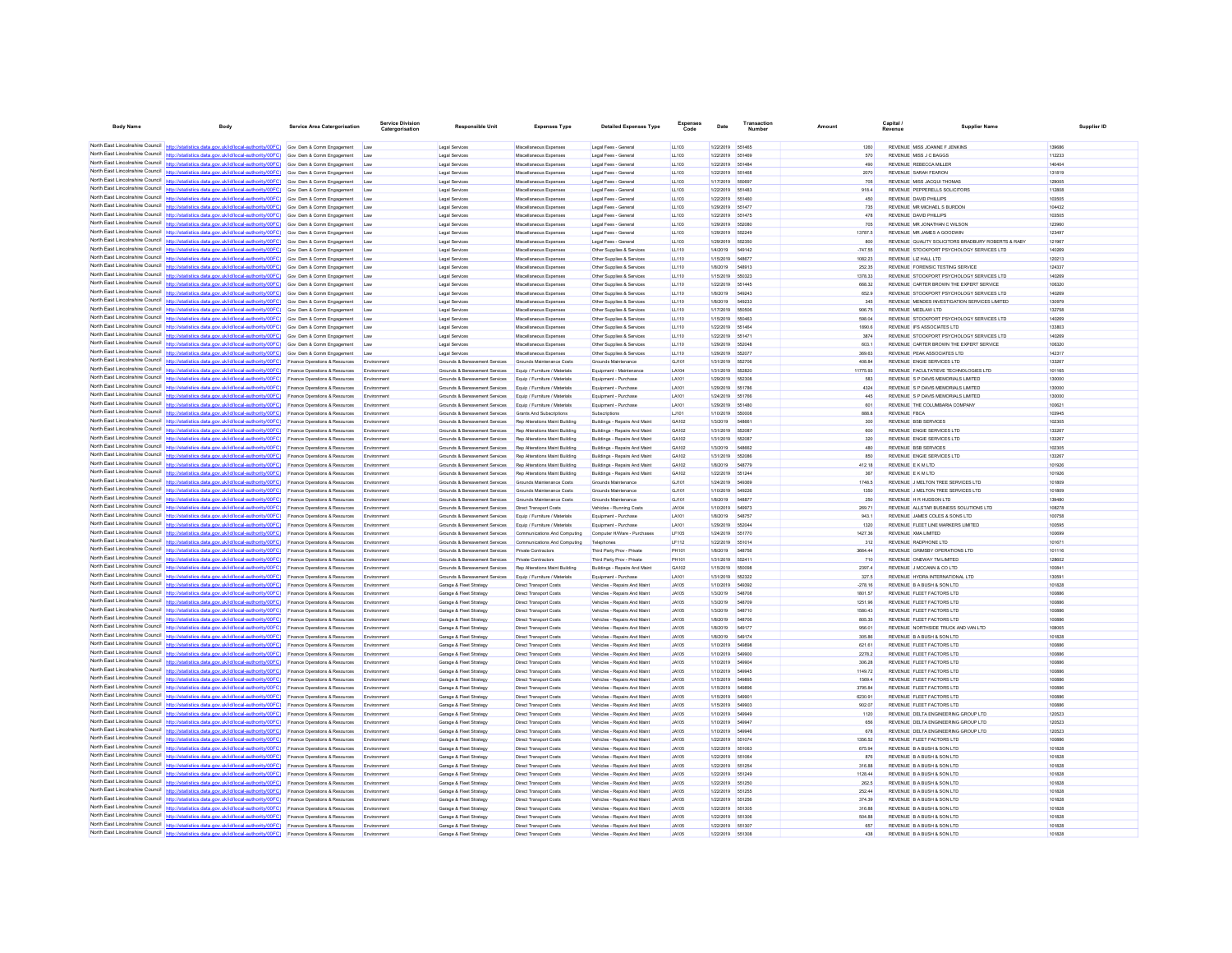| <b>Body Name</b>                                                   | Body                                                                                                                                                                                                         | <b>Service Area Catergorisation</b>                                         | Catergorisation          | <b>Responsible Unit</b>                                          | <b>Expenses Type</b>                                             | <b>Detailed Expenses Type</b>                                 | Code                         | Date                   | Number                 | Amount             | Capital<br>Revenue                                                                   | <b>Supplier Name</b>                               | Supplier ID      |
|--------------------------------------------------------------------|--------------------------------------------------------------------------------------------------------------------------------------------------------------------------------------------------------------|-----------------------------------------------------------------------------|--------------------------|------------------------------------------------------------------|------------------------------------------------------------------|---------------------------------------------------------------|------------------------------|------------------------|------------------------|--------------------|--------------------------------------------------------------------------------------|----------------------------------------------------|------------------|
|                                                                    |                                                                                                                                                                                                              |                                                                             |                          |                                                                  |                                                                  |                                                               |                              |                        |                        |                    |                                                                                      |                                                    |                  |
|                                                                    | North East Lincolnshire Council http://statistics.data.gov.uk/id/local-authority/00FC) Gov Dem & Comm Engagement Law                                                                                         |                                                                             |                          | Legal Services                                                   | Miscellaneous Expenses                                           | Legal Fees - General                                          | LL103                        | 1/22/2019              | 551465                 | 1260               | REVENUE MISS JOANNE F JENKINS                                                        |                                                    | 139686           |
|                                                                    | North East Lincolnshire Council http://statistics.data.gov.uk/id/local-authority/00FC) Gov Dem & Comm Engagement                                                                                             |                                                                             | Law                      | <b>Legal Services</b>                                            | Miscellaneous Expenses                                           | Legal Fees - General                                          | LL103                        | 1/22/2019 551469       |                        | 570                | REVENUE MISS J C BAGGS                                                               |                                                    | 112233           |
|                                                                    | North East Lincolnshire Council http://statistics.data.gov.uk/id/local-authority/00FC) Gov Dem & Comm Engagement<br>North East Lincolnshire Council   http://statistics.data.gov.uk/id/local-authority/00FC) | Gov Dem & Comm Engagement                                                   | Law<br>Law               | Legal Services<br>Legal Services                                 | Miscellaneous Expenses<br>Miscellaneous Expenses                 | Legal Fees - General<br>Legal Fees - Genera                   | LL103<br>LL103               | 1/22/2019<br>1/22/2019 | 551484<br>55146        | 490<br>2070        | <b>REVENUE REBECCA MILLER</b><br>REVENUE SARAH FEARON                                |                                                    | 140404<br>131819 |
|                                                                    | North East Lincolnshire Council http://statistics.data.gov.uk/id/local-authority/00FC) Gov Dem & Comm Engagement                                                                                             |                                                                             | Law                      | Legal Services                                                   | Miscellaneous Expenses                                           | Legal Fees - General                                          | LL103                        | 1/17/2019              | 550697                 | 705                | REVENUE MISS JACQUI THOMAS                                                           |                                                    | 129005           |
|                                                                    | North East Lincolnshire Council http://statistics.data.gov.uk/id/local-authority/00FC) Gov Dem & Comm Engagement                                                                                             |                                                                             | Law                      | Legal Services                                                   | Miscellaneous Expenses                                           | Legal Fees - General                                          | LL103                        | 1/22/2019              | 651483                 | 918.4              | REVENUE PEPPERELLS SOLICITORS                                                        |                                                    | 112808           |
|                                                                    | North East Lincolnshire Council http://statistics.data.gov.uk/id/local-authority/00FC) Gov Dem & Comm Engagement                                                                                             |                                                                             | Lav                      | Legal Services                                                   | Miscellaneous Expenses                                           | Legal Fees - Genera                                           | LL103                        | 1/22/2019              | 551460                 | 450                | REVENUE DAVID PHILLIPS                                                               |                                                    | 103505           |
|                                                                    | North East Lincolnshire Council http://statistics.data.gov.uk/id/local-authority/00FC) Gov Dem & Comm Engagement                                                                                             |                                                                             | Law                      | <b>Legal Services</b>                                            | Miscellaneous Expenses                                           | Legal Fees - Genera                                           | LL103                        | 1/29/2019              | 65147                  | 735                | REVENUE MR MICHAEL S BURDON                                                          |                                                    | 104432           |
|                                                                    | North East Lincolnshire Council http://statistics.data.gov.uk/id/local-authority/00FC)                                                                                                                       | Gov Dem & Comm Engagement                                                   | Law                      | Legal Services                                                   | Miscellaneous Expense                                            | Legal Fees - Genera                                           | LL103                        | 1/22/2019              | 651475                 | 478                | REVENUE DAVID PHILLIPS                                                               |                                                    | 103505           |
| North East Lincolnshire Council                                    | North East Lincolnshire Council http://statistics.data.gov.uk/id/local-authority/00FC) Gov Dem & Comm Engagement<br>http://statistics.data.gov.uk/id/local-authority/00FC) Gov Dem & Comm Engagement         |                                                                             | Law                      | Legal Services                                                   | Miscellaneous Expenses                                           | Legal Fees - General                                          | LL103                        | 1/29/2019<br>1/29/2019 | 552080<br>652249       | 705<br>13787.5     | REVENUE MR JONATHAN C WILSON<br>REVENUE MR JAMES A GOODWIN                           |                                                    | 123960<br>123497 |
|                                                                    | North East Lincolnshire Council http://statistics.data.gov.uk/id/local-authority/00FC) Gov Dem & Comm Engagement                                                                                             |                                                                             | Law<br>Law               | Legal Services<br>Legal Services                                 | Miscellaneous Expenses<br>Miscellaneous Expenses                 | Legal Fees - General<br>Legal Fees - General                  | LL103<br>LL103               | 1/29/2019              | 652350                 | 800                |                                                                                      | REVENUE OUALITY SOLICITORS BRADBURY ROBERTS & RABY | 121967           |
| North East Lincolnshire Council                                    | http://statistics.data.gov.uk/id/local-authority/00FC) Gov Dem & Comm Engagement                                                                                                                             |                                                                             | Law                      | <b>Legal Services</b>                                            | Miscellaneous Expenses                                           | Other Supplies & Services                                     | LL110                        | 1/4/2019               | 549142                 | $-747.66$          | REVENUE STOCKPORT PSYCHOLOGY SERVICES LTD                                            |                                                    | 140269           |
|                                                                    | North East Lincolnshire Council http://statistics.data.gov.uk/id/local-authority/00FC) Gov Dem & Comm Engagement                                                                                             |                                                                             | Law                      | Legal Services                                                   | Miscellaneous Expense                                            | Other Supplies & Services                                     | LL110                        | 1/15/2019              | <b>S4887</b>           | 1082.23            | REVENUE LIZ HALL LTD                                                                 |                                                    | 120213           |
|                                                                    | North East Lincolnshire Council http://statistics.data.gov.uk/id/local-authority/00FC) Gov Dem & Comm Engagement                                                                                             |                                                                             | Law                      | Legal Services                                                   | Miscellaneous Expenses                                           | Other Supplies & Services                                     | LL110                        | 1/8/2019               | 548913                 | 252.35             | REVENUE FORENSIC TESTING SERVICE                                                     |                                                    | 124337           |
|                                                                    | North East Lincolnshire Council http://statistics.data.gov.uk/id/local-authority/00FC) Gov Dem & Comm Engagement                                                                                             |                                                                             | Law                      | Legal Services                                                   | Miscellaneous Expenses                                           | Other Supplies & Services                                     | LL110                        | 1/15/2019              | 550323                 | 1378.33            | REVENUE STOCKPORT PSYCHOLOGY SERVICES LTD                                            |                                                    | 140269           |
| North Fast Lincolnshire Council                                    | North East Lincolnshire Council http://statistics.data.gov.uk/id/local-authority/00FC) Gov Dem & Comm Engagement<br>cs.data.gov.uk/id/local-authority/00FC) Gov Dem & Comm Engagement                        |                                                                             | Law                      | Legal Services                                                   | Miscellaneous Expenses                                           | Other Supplies & Services                                     | LL110                        | 1/22/2019              | 551445<br>549243       | 668.32<br>652.9    | REVENUE CARTER BROWN THE EXPERT SERVICE<br>REVENUE STOCKPORT PSYCHOLOGY SERVICES LTD |                                                    | 106320<br>140269 |
|                                                                    | North East Lincolnshire Council http://statistics.data.gov.uk/id/local-authority/00FC) Gov Dem & Comm Engagement                                                                                             |                                                                             | Law<br>Law               | Legal Services<br>Legal Services                                 | Miscellaneous Expenses<br>Miscellaneous Expense                  | Other Supplies & Services<br>Other Supplies & Services        | LL110<br>LL110               | 1/8/2019<br>1/8/2019   | 549233                 | 345                | REVENUE MENDES INVESTIGATION SERVICES LIMITED                                        |                                                    | 130979           |
|                                                                    | North East Lincolnshire Council http://statistics.data.gov.uk/id/local-authority/00FC) Gov Dem & Comm Engagement                                                                                             |                                                                             | Law                      | Legal Services                                                   | Miscellaneous Expenses                                           | Other Supplies & Services                                     | LL110                        | 1/17/2019              | 550506                 | 906.75             | REVENUE MEDLAW LTD                                                                   |                                                    | 132758           |
|                                                                    | North East Lincolnshire Council http://statistics.data.gov.uk/id/local-authority/00FC) Gov Dem & Comm Engagement                                                                                             |                                                                             | Law                      | Legal Services                                                   | Miscellaneous Expenses                                           | Other Supplies & Services                                     | LL110                        | 1/15/2019              | 550463                 | 598.04             | REVENUE STOCKPORT PSYCHOLOGY SERVICES LTD                                            |                                                    | 140269           |
|                                                                    | North East Lincolnshire Council http://statistics.data.gov.uk/id/local-authority/00FC) Gov Dem & Comm Engagement                                                                                             |                                                                             | Law                      | Legal Services                                                   | Miscellaneous Expenses                                           | Other Supplies & Services                                     | LL110                        | 1/22/2019 551464       |                        | 1890.6             | REVENUE IFS ASSOCIATES LTD                                                           |                                                    | 133803           |
| North Fast Lincolnshire Council                                    | http://statistics.data.gov.uk/id/local-authority/00FC)                                                                                                                                                       | Gov Dem & Comm Engagement                                                   | Law                      | Legal Services                                                   | Miscellaneous Expenses                                           | Other Supplies & Services                                     | LL110                        | 1/22/2019              | 65147                  | 3874               | REVENUE STOCKPORT PSYCHOLOGY SERVICES LTD                                            |                                                    | 140269           |
|                                                                    | North East Lincolnshire Council http://statistics.data.gov.uk/id/local-authority/00FC)                                                                                                                       | Gov Dem & Comm Engagement                                                   | Law                      | Legal Services                                                   | Miscellaneous Expense                                            | Other Supplies & Services                                     | LL110                        | 1/29/2019              | 652048                 | 603.1              | REVENUE CARTER BROWN THE EXPERT SERVICE                                              |                                                    | 106320           |
|                                                                    | North East Lincolnshire Council http://statistics.data.gov.uk/id/local-authority/00FC) Gov Dem & Comm Engagement<br>North East Lincolnshire Council http://statistics.data.gov.uk/id/local-authority/00FC)   | Finance Operations & Resources                                              | Law<br>Environmen        | Legal Services<br>Grounds & Bereavement Services                 | Miscellaneous Expenses<br>Grounds Maintenance Costs              | Other Supplies & Services<br>Grounds Maintenance              | LL110<br>GJ101               | 1/29/2019<br>1/31/2019 | 552077<br>55270        | 369.63<br>408.84   | REVENUE PEAK ASSOCIATES LTD<br>REVENUE ENGIE SERVICES LTD                            |                                                    | 142317<br>133267 |
|                                                                    | North East Lincolnshire Council http://statistics.data.gov.uk/id/local-authority/00FC) Finance Operations & Resources                                                                                        |                                                                             | Fovironmen               | Grounds & Bereavement Services                                   | Equip / Furniture / Materials                                    | Equipment - Maintenance                                       | <b>LA104</b>                 | 1/31/2019              | 652820                 | 11775.93           | REVENUE FACULTATIEVE TECHNOLOGIES LTD                                                |                                                    | 101165           |
| North East Lincolnshire Council                                    | http://statistics.data.gov.uk/id/local-authority/00FC)                                                                                                                                                       | Finance Operations & Resources                                              | Environmen               | Grounds & Bereavement Services                                   | Equip / Furniture / Materials                                    | Equipment - Purchase                                          | LA101                        | 1/29/2019              | 552308                 | 583                | REVENUE S P DAVIS MEMORIALS LIMITED                                                  |                                                    | 130000           |
|                                                                    | North East Lincolnshire Council http://statistics.data.gov.uk/id/local-authority/00FC)                                                                                                                       | Finance Operations & Resources                                              | Em                       | Grounds & Bereavement Services                                   | Equip / Furniture / Materials                                    | Equipment - Purchase                                          | LA101                        | 1/29/2019              | 551786                 | 4324               | REVENUE S P DAVIS MEMORIALS LIMITED                                                  |                                                    | 130000           |
|                                                                    | North East Lincolnshire Council http://statistics.data.gov.uk/id/local-authority/00FC)                                                                                                                       | Finance Operations & Resources                                              | Environmen               | Grounds & Bereavement Services                                   | Equip / Furniture / Materials                                    | Equipment - Purchase                                          | LA101                        | 1/24/2019              | 551766                 | 445                | REVENUE S P DAVIS MEMORIALS LIMITED                                                  |                                                    | 130000           |
|                                                                    | North East Lincolnshire Council   http://statistics.data.gov.uk/id/local-authority/00FC)                                                                                                                     | Finance Operations & Resources                                              | Environmen               | Grounds & Bereavement Services                                   | Equip / Furniture / Materials                                    | Equipment - Purchase                                          | LA101                        | 1/29/2019              | 551480                 | 601                | REVENUE THE COLUMBARIA COMPANY                                                       |                                                    | 100621           |
| North East Lincolnshire Council<br>North East Lincolnshire Council | http://statistics.data.oov.uk/id/local-authority/00EC)                                                                                                                                                       | Finance Operations & Resources                                              | Fovironmen               | Grounds & Bereavement Services                                   | Grants And Subscriptions                                         | Subscriptions                                                 | LJ101                        | 1/10/2019              | 550008                 | 888.8              | <b>REVENUE FBCA</b>                                                                  |                                                    | 103945           |
|                                                                    | http://statistics.data.gov.uk/id/local-authority/00FC)<br>North East Lincolnshire Council   http://statistics.data.gov.uk/id/local-authority/00FC)                                                           | Finance Operations & Resources                                              | Environmen               | Grounds & Bereavement Services                                   | Rep Alterations Maint Building                                   | Buildings - Repairs And Main                                  | GA102<br>GA102               | 1/3/2019               |                        | 300                | <b>REVENUE BSB SERVICES</b>                                                          |                                                    | 102305<br>133267 |
|                                                                    | North East Lincolnshire Council http://statistics.data.gov.uk/id/local-authority/00FC)                                                                                                                       | Finance Operations & Resources<br>Finance Operations & Resources            | Environmen<br>Environmen | Grounds & Bereavement Services<br>Grounds & Bereavement Services | Rep Alterations Maint Building<br>Rep Alterations Maint Building | Buildings - Repairs And Main<br>Buildings - Repairs And Maint | GA102                        | 1/31/2019<br>1/31/2019 | 552087<br>552087       | 600<br>320         | REVENUE ENGIE SERVICES LTD<br>REVENUE ENGIE SERVICES LTD                             |                                                    | 133267           |
|                                                                    | North East Lincolnshire Council http://statistics.data.gov.uk/id/local-authority/00FC).                                                                                                                      | Finance Operations & Resources                                              | Environmen               | Grounds & Bereavement Services                                   | Rep Alterations Maint Building                                   | Buildings - Repairs And Maint                                 | GA102                        | 1/3/2019               | 548662                 | 480                | <b>REVENUE BSB SERVICES</b>                                                          |                                                    | 102305           |
| North East Lincolnshire Council                                    | http://statistics.data.gov.uk/id/local-authority/00FC)                                                                                                                                                       | Finance Operations & Resources                                              | Environmen               | Grounds & Bereavement Services                                   | Rep Alterations Maint Building                                   | Buildings - Repairs And Maint                                 | GA102                        | 1/31/2019              | 552086                 | 850                | REVENUE ENGIE SERVICES LTD                                                           |                                                    | 133267           |
| North East Lincolnshire Council                                    | http://statistics.data.gov.uk/id/local-authority/00FC)                                                                                                                                                       | Finance Operations & Resources                                              | Envi                     | Grounds & Bereavement Services                                   | Rep Alterations Maint Building                                   | Buildings - Repairs And Maint                                 | GA102                        | 1/8/2019               | 548779                 | 412.18             | REVENUE E K M LTD                                                                    |                                                    | 101926           |
| North East Lincolnshire Council                                    | http://etatietics.data.oov.uk/id/local-authority/00EC)                                                                                                                                                       | ance Operations & Resources                                                 | Env                      | Grounds & Bereavement Services                                   | Rep Alterations Maint Building                                   | Buildings - Repairs And Main                                  | GA102                        | 1/22/2019              | 651244                 | 367                | REVENUE E K M LTD                                                                    |                                                    | 101926           |
|                                                                    | North East Lincolnshire Council http://statistics.data.gov.uk/id/local-authority/00FC)                                                                                                                       | Finance Operations & Resources                                              | Environmen               | Grounds & Bereavement Services                                   | Grounds Maintenance Costs                                        | Grounds Maintenance                                           | GJ101                        | 1/24/2019              | 549369                 | 1748.5             | REVENUE J MELTON TREE SERVICES LTD                                                   |                                                    | 101809           |
| North East Lincolnshire Council                                    | North East Lincolnshire Council http://statistics.data.gov.uk/id/local-authority/00FC)<br>http://statistics.data.gov.uk/id/local-authority/00FC)                                                             | Finance Operations & Resources<br><b>Finance Operations &amp; Resources</b> | Environmen<br>Fryimnmen  | Grounds & Bereavement Services<br>Grounds & Bereavement Services | Grounds Maintenance Costs<br>Grounds Maintenance Costs           | Grounds Maintenance<br>Grounds Maintenance                    | GJ101<br>G.1101              | 1/10/2019<br>1/8/2019  | 54922<br><b>548877</b> | 1350<br>250        | REVENUE J MELTON TREE SERVICES LTD<br>REVENUE H R HUDSON LTD                         |                                                    | 101809<br>139480 |
| North East Lincolnshire Council                                    | s.data.gov.uk/id/local-authority/00FC)                                                                                                                                                                       | Finance Operations & Resources                                              | Environmen               | Grounds & Bereavement Services                                   | <b>Direct Transport Costs</b>                                    | Vehicles - Running Costs                                      | JA104                        | 1/10/2019              | 549973                 | 269.71             | REVENUE ALLSTAR BUSINESS SOLUTIONS LTD                                               |                                                    | 108278           |
|                                                                    | North East Lincolnshire Council http://statistics.data.gov.uk/id/local-authority/00FC)                                                                                                                       | Finance Operations & Resources                                              | Fovironmen               | Grounds & Bereavement Services                                   | Equip / Furniture / Materials                                    | Foujoment - Purchase                                          | LA101                        | 1/8/2019               | 548757                 | 943.1              | REVENUE JAMES COLES & SONS LTD.                                                      |                                                    | 100758           |
|                                                                    | North East Lincolnshire Council http://statistics.data.gov.uk/id/local-authority/00FC)                                                                                                                       | Finance Operations & Resources                                              | Fovironmen               | Grounds & Bereavement Services                                   | Equip / Furniture / Materials                                    | Equipment - Purchase                                          | LA101                        | 1/29/2019              | 552044                 | 1320               | REVENUE FLEET LINE MARKERS LIMITED                                                   |                                                    | 100595           |
|                                                                    | North East Lincolnshire Council http://statistics.data.gov.uk/id/local-authority/00FC)                                                                                                                       | Finance Operations & Resources                                              | Environmen               | Grounds & Bereavement Services                                   | Communications And Computing                                     | Computer H/Ware - Purchases                                   | LF105                        | 1/24/2019              | 551770                 | 1427.36            | REVENUE XMA LIMITED                                                                  |                                                    | 100699           |
| North East Lincolnshire Council                                    | http://statistics.data.gov.uk/id/local-authority/00FC)                                                                                                                                                       | Finance Operations & Resources                                              | Fovironmen               | Grounds & Bereavement Services                                   | Communications And Computing                                     | Telephones                                                    | LF112                        | 1/22/2019              | 551014                 | 312                | REVENUE RADPHONE LTD                                                                 |                                                    | 101671           |
|                                                                    | North East Lincolnshire Council http://statistics.data.gov.uk/id/local-authority/00FC)<br>North East Lincolnshire Council   http://statistics.data.gov.uk/id/local-authority/00FC)                           | Finance Operations & Resources                                              | Env                      | Grounds & Bereavement Services                                   | <b>Private Contractors</b>                                       | Third Party Prov - Private                                    | PH101                        | 1/8/2019               |                        | 3664.44            | REVENUE GRIMSBY OPERATIONS LTD                                                       |                                                    | 101116           |
|                                                                    | North East Lincolnshire Council http://statistics.data.gov.uk/id/local-authority/00FC).                                                                                                                      | nce Operations & Resources<br>Finance Operations & Resources                | Fmy<br>Environmen        | Grounds & Bereavement Services<br>Grounds & Bereavement Services | <b>Private Contractors</b><br>Rep Alterations Maint Building     | Third Party Prov - Privat<br>Buildings - Repairs And Maint    | PH101<br>GA102               | 1/31/2019<br>1/15/2019 | 552411<br>550098       | 710<br>2397.4      | REVENUE ONEWAY TM LIMITED<br>REVENUE J MCCANN & CO LTD                               |                                                    | 128602<br>100841 |
|                                                                    | North East Lincolnshire Council http://statistics.data.gov.uk/id/local-authority/00FC)                                                                                                                       | Finance Operations & Resources                                              | Environmen               | Grounds & Bereavement Services                                   | Equip / Furniture / Materials                                    | Equipment - Purchase                                          | LA101                        | 1/31/2019              | 662322                 | 327.5              | REVENUE HYDRA INTERNATIONAL LTD                                                      |                                                    | 130591           |
| North East Lincolnshire Council                                    | http://statistics.data.gov.uk/id/local-authority/00FC)                                                                                                                                                       | Finance Operations & Resources                                              | Environmen               | Garage & Fleet Strategy                                          | <b>Direct Transport Costs</b>                                    | Vehicles - Repairs And Maint                                  | <b>JA105</b>                 | 1/10/2019              | 549392                 | $-278.16$          | REVENUE B A BUSH & SON LTD                                                           |                                                    | 101828           |
| North East Lincolnshire Council                                    | ttp://statistics.data.gov.uk/id/local-authority/00FC)                                                                                                                                                        | Finance Operations & Resources                                              | Environmen               | Garage & Fleet Strategy                                          | <b>Direct Transport Costs</b>                                    | Vehicles - Repairs And Maint                                  | JA105                        | 1/3/2019               | 548708                 | 1801.57            | REVENUE FLEET FACTORS LTD                                                            |                                                    | 100886           |
|                                                                    | North East Lincolnshire Council   http://statistics.data.gov.uk/id/local-authority/00FC)                                                                                                                     | Finance Operations & Resources                                              | Frwig                    | Garage & Fleet Strategy                                          | Direct Transport Costs                                           | Vehicles - Repairs And Main                                   | <b>JA105</b>                 | 1/3/2019               | 549700                 | 1251.96            | REVENUE FLEET FACTORS LTD                                                            |                                                    | 100886           |
|                                                                    | North East Lincolnshire Council   http://statistics.data.gov.uk/id/local-authority/00FC)                                                                                                                     | Finance Operations & Resources                                              | Environmen               | Garage & Fleet Strategy                                          | <b>Direct Transport Costs</b>                                    | Vehicles - Repairs And Maint                                  | <b>JA105</b>                 | 1/3/2019               | 548710                 | 1580.43            | REVENUE FLEET FACTORS LTD                                                            |                                                    | 100886           |
| North East Lincolnshire Council                                    | North East Lincolnshire Council http://statistics.data.gov.uk/id/local-authority/00FC)<br>http://statistics.data.gov.uk/id/local-authority/00EC)                                                             | Finance Operations & Resources<br>Finance Operations & Resources            | Environmen<br>Fovironmen | Garage & Fleet Strategy<br>Garage & Fleet Strategy               | Direct Transport Costs<br><b>Direct Transport Costs</b>          | Vehicles - Repairs And Main<br>Vehicles - Repairs And Maint   | <b>JA105</b><br>A0141.       | 1/8/2019<br>1/8/2019   | 54870<br>649177        | 805.35<br>956.01   | REVENUE FLEET FACTORS LTD<br>REVENUE NORTHSIDE TRUCK AND VAN LTD.                    |                                                    | 100886<br>109065 |
|                                                                    | North East Lincolnshire Council http://statistics.data.gov.uk/id/local-authority/00FC)                                                                                                                       | Finance Operations & Resources                                              |                          | Garage & Fleet Strategy                                          | Direct Transport Costs                                           | Vehicles - Repairs And Main                                   | <b>JA105</b>                 | 1/8/2019               | 549174                 | 305.86             | REVENUE B A BUSH & SON LTD                                                           |                                                    | 101828           |
|                                                                    | North East Lincolnshire Council http://statistics.data.gov.uk/id/local-authority/00FC)                                                                                                                       | Finance Operations & Resources                                              | Emi                      | Garage & Fleet Strategy                                          | <b>Direct Transport Costs</b>                                    | Vehicles - Repairs And Maint                                  | <b>JA105</b>                 | 1/10/2019              | <b>549898</b>          | 621.61             | REVENUE ELEET FACTORS LTD.                                                           |                                                    | 100886           |
|                                                                    | North East Lincolnshire Council http://statistics.data.gov.uk/id/local-authority/00FC)                                                                                                                       | Finance Operations & Resources                                              | Environmen               | Garage & Fleet Strategy                                          | <b>Direct Transport Costs</b>                                    | Vehicles - Repairs And Maint                                  | <b>JA105</b>                 | 1/10/2019              | 549900                 | 2278.2             | REVENUE FLEET FACTORS LTD                                                            |                                                    | 100886           |
|                                                                    | North East Lincolnshire Council http://statistics.data.gov.uk/id/local-authority/00FC)                                                                                                                       | Finance Operations & Resources                                              | Environmen               | Garage & Fleet Strategy                                          | Direct Transport Costs                                           | Vehicles - Repairs And Maint                                  | <b>JA105</b>                 | 1/10/2019              | 54990                  | 306.28             | REVENUE FLEET FACTORS LTD                                                            |                                                    | 100886           |
| North East Lincolnshire Council<br>North Fast Lincolnshire Council | http://statistics.data.gov.uk/id/local-authority/00FC)                                                                                                                                                       | Finance Operations & Resources                                              | Environmen               | Garage & Fleet Strategy                                          | <b>Direct Transport Costs</b>                                    | Vehicles - Repairs And Maint                                  | <b>JA105</b>                 | 1/10/2019              | 549945                 | 1149.72            | REVENUE FLEET FACTORS LTD                                                            |                                                    | 100886           |
| North East Lincolnshire Council                                    | http://statistics.data.gov.uk/id/local-authority/00FC)                                                                                                                                                       | Finance Operations & Resources                                              | Environmen               | Garage & Fleet Strategy                                          | Direct Transport Costs                                           | Vehicles - Repairs And Maint                                  | <b>JA105</b>                 | 1/15/2019              |                        | 1569.4             | REVENUE FLEET FACTORS LTD                                                            |                                                    | 100886           |
|                                                                    | http://statistics.data.gov.uk/id/local-authority/00EC)<br>North East Lincolnshire Council http://statistics.data.gov.uk/id/local-authority/00FC)                                                             | Finance Operations & Resources<br>Finance Operations & Resources            | Environmen<br>Environmen | Garage & Fleet Strategy<br>Garage & Fleet Strategy               | Direct Transport Costs<br>Direct Transport Costs                 | Vehicles - Repairs And Maint<br>Vehicles - Repairs And Maint  | <b>JA105</b><br><b>JA105</b> | 1/15/2019<br>1/15/2019 | 549896<br>54990        | 3795.84<br>6230.91 | REVENUE FLEET FACTORS LTD<br>REVENUE FLEET FACTORS LTD                               |                                                    | 100886<br>100886 |
|                                                                    | North East Lincolnshire Council http://statistics.data.gov.uk/id/local-authority/00FC)                                                                                                                       | Finance Operations & Resources                                              | Environmen               | Garage & Fleet Strategy                                          | Direct Transport Costs                                           | Vehicles - Repairs And Maint                                  | <b>JA105</b>                 | 1/15/2019              | 649903                 | 902.07             | REVENUE FLEET FACTORS LTD                                                            |                                                    | 100886           |
| North East Lincolnshire Council                                    | http://statistics.data.gov.uk/id/local-authority/00FC)                                                                                                                                                       | Finance Operations & Resources                                              | Environmen               | Garage & Fleet Strategy                                          | <b>Direct Transport Costs</b>                                    | Vehicles - Repairs And Maint                                  | <b>JA105</b>                 | 1/10/2019              | 649949                 | 1120               | REVENUE DELTA ENGINEERING GROUP LTD                                                  |                                                    | 120523           |
| North East Lincolnshire Council                                    |                                                                                                                                                                                                              | Finance Operations & Resources                                              | Environmen               | Garage & Fleet Strategy                                          | Direct Transport Costs                                           | Vehicles - Repairs And Maint                                  | <b>JA105</b>                 | 1/10/2019              | 54994                  | 656                | REVENUE DELTA ENGINEERING GROUP LTD                                                  |                                                    | 120523           |
|                                                                    | North East Lincolnshire Council http://statistics.data.gov.uk/id/local-authority/00FC)                                                                                                                       | <b>Finance Operations &amp; Resources</b>                                   | Fovironmen               | Garage & Fleet Strategy                                          | <b>Direct Transport Costs</b>                                    | Vehicles - Renairs And Maint                                  | A0141.                       | 1/10/2019              | <b>549946</b>          | 678                | REVENUE DELTA ENGINEERING GROUP LTD.                                                 |                                                    | 120523           |
|                                                                    | North East Lincolnshire Council   http://statistics.data.gov.uk/id/local-authority/00FC)                                                                                                                     | Finance Operations & Resources                                              | Environmen               | Garage & Fleet Strategy                                          | <b>Direct Transport Costs</b>                                    | Vehicles - Repairs And Maint                                  | <b>JA105</b>                 | 1/22/2019 551074       |                        | 1356.52            | REVENUE FLEET FACTORS LTD                                                            |                                                    | 100886           |
| North East Lincolnshire Council                                    | North East Lincolnshire Council http://statistics.data.gov.uk/id/local-authority/00FC)                                                                                                                       | Finance Operations & Resources                                              | Environmen               | Garage & Fleet Strategy                                          | Direct Transport Costs                                           | Vehicles - Repairs And Maint                                  | <b>JA105</b>                 | 1/22/2019              | 651063                 | 675.94             | REVENUE B A BUSH & SON LTD                                                           |                                                    | 101828           |
|                                                                    | http://statistics.data.gov.uk/id/local-authority/00FC)<br>North East Lincolnshire Council http://statistics.data.gov.uk/id/local-authority/00FC)                                                             | Finance Operations & Resources<br>Finance Operations & Resources            | Fovironmen<br>Envi       | Garage & Fleet Strategy<br>Garage & Fleet Strategy               | <b>Direct Transport Costs</b><br>Direct Transport Costs          | Vehicles - Repairs And Maint<br>Vehicles - Repairs And Main   | <b>JA105</b><br><b>JA105</b> | 1/22/2019<br>1/22/2019 | 551064<br>55125        | 876<br>316.88      | REVENUE B A BUSH & SON LTD<br>REVENUE B A BUSH & SON LTD                             |                                                    | 101828<br>101828 |
|                                                                    | North East Lincolnshire Council http://statistics.data.gov.uk/id/local-authority/00FC)                                                                                                                       | <b>Finance Operations &amp; Resources</b>                                   | Fovironmen               | Garage & Fleet Strategy                                          | <b>Direct Transport Costs</b>                                    | Vehicles - Renairs And Maint                                  | <b>JA105</b>                 | 1/22/2019              | 651249                 | 1128.44            | REVENUE B A BUSH & SON LTD.                                                          |                                                    | 101828           |
|                                                                    | North East Lincolnshire Council http://statistics.data.gov.uk/id/local-authority/00FC) Finance Operations & Resources                                                                                        |                                                                             | Environmen               | Garage & Fleet Strategy                                          | <b>Direct Transport Costs</b>                                    | Vehicles - Repairs And Maint                                  | <b>JA105</b>                 | 1/22/2019              | 551250                 | 262.5              | REVENUE B A BUSH & SON LTD                                                           |                                                    | 101828           |
|                                                                    | North East Lincolnshire Council http://statistics.data.gov.uk/id/local-authority/00FC)                                                                                                                       | Finance Operations & Resources                                              | Environmen               | Garage & Fleet Strategy                                          | Direct Transport Costs                                           | Vehicles - Repairs And Maint                                  | <b>JA105</b>                 | 1/22/2019              | 651255                 | 252.44             | REVENUE B A BUSH & SON LTD                                                           |                                                    | 101828           |
| North East Lincolnshire Council                                    | http://statistics.data.gov.uk/id/local-authority/00FC)                                                                                                                                                       | Finance Operations & Resources                                              | Fovironmen               | Garage & Fleet Strategy                                          | <b>Direct Transport Costs</b>                                    | Vehicles - Repairs And Maint                                  | <b>JA105</b>                 | 1/22/2019              | 651256                 | 374.39             | REVENUE B A BUSH & SON LTD                                                           |                                                    | 101828           |
|                                                                    | North East Lincolnshire Council http://statistics.data.gov.uk/id/local-authority/00FC)<br>North East Lincolnshire Council http://statistics.data.gov.uk/id/local-authority/00FC)                             | Finance Operations & Resources                                              |                          | Garage & Fleet Strategy                                          | Direct Transport Costs                                           | Vehicles - Repairs And Maint                                  | <b>JA105</b>                 | 1/22/2019              | 651305                 | 316.88             | REVENUE B A BUSH & SON LTD                                                           |                                                    | 101828           |
|                                                                    | North East Lincolnshire Council http://statistics.data.gov.uk/id/local-authority/00FC) Finance Operations & Resources Environment                                                                            | Finance Operations & Resources                                              | Environmen               | Garage & Fleet Strategy<br>Garage & Fleet Strategy               | <b>Direct Transport Costs</b><br>Direct Transport Costs          | Vehicles - Repairs And Maint<br>Vehicles - Repairs And Maint  | <b>JA105</b><br><b>JA105</b> | 1/22/2019<br>1/22/2019 | 551306<br>651307       | 504.88<br>657      | REVENUE B A BUSH & SON LTD<br>REVENUE B A BUSH & SON LTD                             |                                                    | 101828<br>101828 |
|                                                                    | North East Lincolnshire Council http://statistics.data.gov.uk/id/local-authority/00FC)                                                                                                                       | Finance Operations & Resources                                              | Em                       | Garage & Fleet Strategy                                          | <b>Direct Transport Costs</b>                                    | Vehicles - Repairs And Main                                   | <b>JA105</b>                 | 1/22/2019              | 55130                  | 438                | REVENUE B A BUSH & SON LTD                                                           |                                                    | 101828           |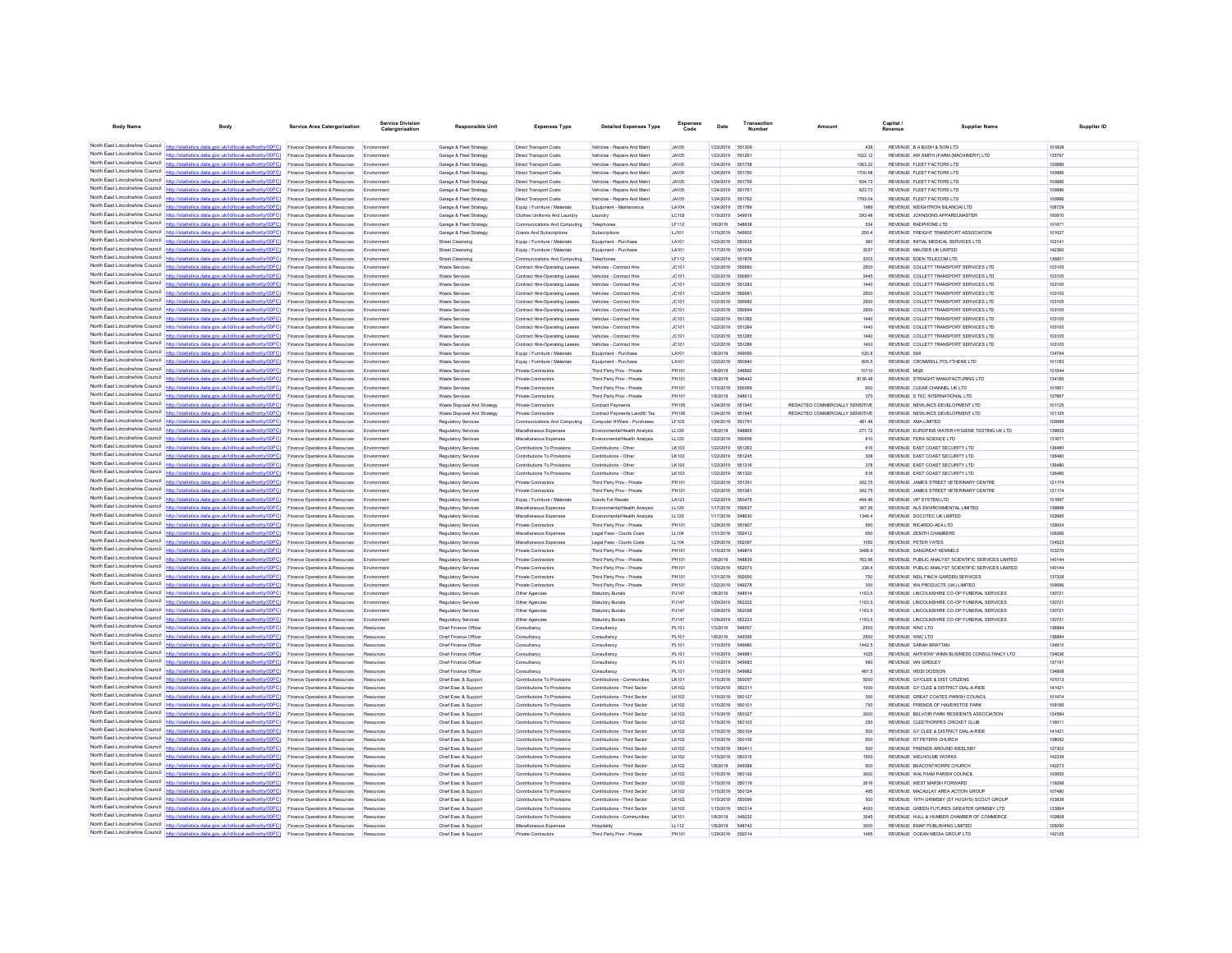| <b>Body Name</b>                                                   | Body                                                                                                                                                                               | <b>Service Area Catergorisation</b>                                         | Catergorisation           | <b>Responsible Unit</b>                            | <b>Expenses Type</b>                                             | <b>Detailed Expenses Type</b>                                  | Expenses<br>Code             | Date                          | Number           | Amount                          | Capital<br>Revenue                                                                       | <b>Supplier Name</b> | Supplier ID |
|--------------------------------------------------------------------|------------------------------------------------------------------------------------------------------------------------------------------------------------------------------------|-----------------------------------------------------------------------------|---------------------------|----------------------------------------------------|------------------------------------------------------------------|----------------------------------------------------------------|------------------------------|-------------------------------|------------------|---------------------------------|------------------------------------------------------------------------------------------|----------------------|-------------|
|                                                                    |                                                                                                                                                                                    |                                                                             |                           |                                                    |                                                                  |                                                                |                              |                               |                  |                                 |                                                                                          |                      |             |
|                                                                    | North East Lincolnshire Council http://statistics.data.gov.uk/id/local-authority/00FC) Finance Operations & Resources                                                              |                                                                             | Environment               | Garage & Fleet Strategy                            | Direct Transport Costs                                           | Vehicles - Repairs And Maint                                   | <b>JA105</b>                 | 1/22/2019 551309              |                  | 438                             | REVENUE B A BUSH & SON LTD                                                               | 101828               |             |
| North Fast Lincolnshire Council                                    | North East Lincolnshire Council http://statistics.data.gov.uk/id/local-authority/00FC) Finance Operations & Resources                                                              |                                                                             | Environmen                | Garage & Fleet Strategy                            | Direct Transport Costs                                           | Vehicles - Repairs And Maint                                   | .IA105                       | 1/22/2019 551261              |                  | 1522.12                         | REVENUE AW SMITH (FARM (MACHINERY) LTD                                                   | 135797               |             |
|                                                                    | http://statistics.data.gov.uk/id/local-authority/00FC)<br>North East Lincolnshire Council http://statistics.data.gov.uk/id/local-authority/00FC).                                  | Finance Operations & Resources<br>Finance Operations & Resources            | Environment<br>Environmen | Garage & Fleet Strategy<br>Garage & Fleet Strategy | <b>Direct Transport Costs</b><br>Direct Transport Costs          | Vehicles - Repairs And Maint<br>Vehicles - Repairs And Maint   | <b>JA105</b><br><b>JA105</b> | 1/24/2019 551758<br>1/24/2019 | 551760           | 1363.22<br>1700.98              | REVENUE FLEET FACTORS LTD<br>REVENUE FLEET FACTORS LTD                                   | 100886<br>100886     |             |
|                                                                    | North East Lincolnshire Council http://statistics.data.gov.uk/id/local-authority/00FC)                                                                                             | Finance Operations & Resources                                              | Environment               | Garage & Fleet Strategy                            | <b>Direct Transport Costs</b>                                    | Vehicles - Repairs And Maint                                   | <b>JA105</b>                 | 1/24/2019 551759              |                  | 934.72                          | REVENUE FLEET FACTORS LTD                                                                | 100886               |             |
|                                                                    | North East Lincolnshire Council http://statistics.data.gov.uk/id/local-authority/00FC)                                                                                             | Finance Operations & Resources                                              | Environmen                | Garage & Fleet Strategy                            | <b>Direct Transport Costs</b>                                    | Vehicles - Repairs And Maint                                   | <b>JA105</b>                 | 1/24/2019                     | 651761           | 823.73                          | REVENUE FLEET FACTORS LTD                                                                | 100886               |             |
| North East Lincolnshire Council                                    | http://statistics.data.gov.uk/id/local-authority/00FC)                                                                                                                             | Finance Operations & Resources                                              | Environmen                | Garage & Fleet Strategy                            | <b>Direct Transport Costs</b>                                    | Vehicles - Repairs And Maint                                   | <b>JA105</b>                 | 1/24/2019                     | 551762           | 1793.04                         | REVENUE FLEET FACTORS LTD                                                                | 100886               |             |
|                                                                    | North East Lincolnshire Council http://statistics.data.gov.uk/id/local-authority/00FC)                                                                                             | Finance Operations & Resources                                              | Envi<br>onmen             | Garage & Fleet Strategy                            | Equip / Furniture / Materials                                    | Equipment - Maintenance                                        | LA104                        | 1/24/2019                     | 551789           | 1989                            | REVENUE WEIGHTRON BILANCIAI LTD                                                          | 108729               |             |
|                                                                    | North East Lincolnshire Council http://statistics.data.gov.uk/id/local-authority/00FC)                                                                                             | nce Operations & Resources                                                  | En                        | Garage & Fleet Strategy                            | Clothes Uniforms And Laundry                                     | Laundry                                                        | LC103                        | 1/15/2019                     | 549919           | 293.48                          | REVENUE JOHNSONS APPARELMASTER                                                           | 100810               |             |
|                                                                    | North East Lincolnshire Council http://statistics.data.gov.uk/id/local-authority/00FC)                                                                                             | Finance Operations & Resources                                              | Envir                     | Garage & Fleet Strategy                            | Communications And Computing                                     | Telephones                                                     | LF112                        | 1/8/2019                      | 548638           | 534                             | REVENUE RADPHONE LTD                                                                     | 101671               |             |
| North East Lincolnshire Council                                    | North East Lincolnshire Council http://statistics.data.gov.uk/id/local-authority/00FC)<br>http://statistics.data.gov.uk/id/local-authority/00FC)                                   | Finance Operations & Resources<br><b>Finance Operations &amp; Resources</b> | Environmen<br>Fryimnmen   | Garage & Fleet Strategy<br>Street Cleansing        | Grants And Subscriptions<br>Foujo / Furniture / Materials        | Subscriptions<br>Equipment - Purchase                          | LJ101<br><b>LA101</b>        | 1/15/2019<br>1/22/2019 550635 | 549920           | 250.4<br>360                    | REVENUE FREIGHT TRANSPORT ASSOCIATION<br>REVENUE INITIAL MEDICAL SERVICES LTD            | 101027<br>102141     |             |
| North East Lincolnshire Council                                    | http://statistics.data.gov.uk/id/local-authority/00FC)                                                                                                                             | Finance Operations & Resources                                              | Environmen                | <b>Street Cleansing</b>                            | Equip / Furniture / Materials                                    | Equipment - Purchase                                           | LA101                        | 1/17/2019                     | 651049           | 2037                            | REVENUE MAUSER UK LIMITED                                                                | 142360               |             |
|                                                                    | North East Lincolnshire Council http://statistics.data.gov.uk/id/local-authority/00FC)                                                                                             | Finance Operations & Resources                                              | Env                       | Street Cleansin                                    | Communications And Computing                                     | Telephone                                                      | LF112                        | 1/24/2019                     | 651876           | 3003                            | REVENUE EDEN TELECOM LTD                                                                 | 135601               |             |
|                                                                    | North East Lincolnshire Council http://statistics.data.gov.uk/id/local-authority/00FC)                                                                                             | Finance Operations & Resources                                              | Fovironmen                | <b>Waste Services</b>                              | Contract Hire-Operating Leases                                   | Vehicles - Contract Hire                                       | JC101                        | 1/22/2019                     | 550680           | 2500                            | REVENUE COLLETT TRANSPORT SERVICES LTD                                                   | 103105               |             |
|                                                                    | North East Lincolnshire Council http://statistics.data.gov.uk/id/local-authority/00FC)                                                                                             | Finance Operations & Resources                                              |                           | Waste Services                                     | Contract Hire-Operating Leases                                   | Vehicles - Contract Hire                                       | JC101                        | 1/22/2019                     | 55069            | 2445                            | REVENUE COLLETT TRANSPORT SERVICES LTD                                                   | 103105               |             |
| North East Lincolnshire Council<br>North Fast Lincolnshire Council | http://statistics.data.gov.uk/id/local-authority/00FC)                                                                                                                             | Finance Operations & Resources                                              | Fovironmen                | Waste Services                                     | Contract Hire-Operating Leases                                   | Vehicles - Contract Hire                                       | JC101                        | 1/22/2019                     | 551283           | 1440                            | REVENUE COLLETT TRANSPORT SERVICES LTD                                                   | 103105               |             |
|                                                                    | s.data.gov.uk/id/local-authority/00FC)<br>North East Lincolnshire Council http://statistics.data.gov.uk/id/local-authority/00FC)                                                   | Finance Operations & Resources                                              | Environmen<br>Fmy         | <b>Waste Services</b>                              | Contract Hire-Operating Leases                                   | Vehicles - Contract Hire                                       | JC101                        | 1/22/2019                     | 550681<br>550882 | 2500                            | REVENUE COLLETT TRANSPORT SERVICES LTD<br>REVENUE COLLETT TRANSPORT SERVICES LTD         | 103105<br>103105     |             |
|                                                                    | North East Lincolnshire Council http://statistics.data.gov.uk/id/local-authority/00FC)                                                                                             | Finance Operations & Resources<br>Finance Operations & Resources            | Fovironmen                | Waste Services<br><b>Waste Services</b>            | Contract Hire-Operating Leaser<br>Contract Hire-Operating Leases | Vehicles - Contract Hire<br>Vehicles - Contract Hire           | JC101<br>JC101               | 1/22/2019<br>1/22/2019        | 550894           | 2500<br>2500                    | REVENUE COLLETT TRANSPORT SERVICES LTD                                                   | 103105               |             |
|                                                                    | North East Lincolnshire Council http://statistics.data.gov.uk/id/local-authority/00FC)                                                                                             | Finance Operations & Resources                                              | Environmen                | Waste Services                                     | Contract Hire-Operating Leases                                   | Vehicles - Contract Hire                                       | JC101                        | 1/22/2019 651282              |                  | 1440                            | REVENUE COLLETT TRANSPORT SERVICES LTD                                                   | 103105               |             |
| North East Lincolnshire Council                                    | http://statistics.data.gov.uk/id/local-authority/00FC)                                                                                                                             | Finance Operations & Resources                                              | Environmen                | <b>Waste Services</b>                              | Contract Hire-Operating Leases                                   | Vehicles - Contract Hire                                       | JC101                        | 1/22/2019 551284              |                  | 1440                            | REVENUE COLLETT TRANSPORT SERVICES LTD                                                   | 103105               |             |
| North Fast Lincolnshire Council                                    | http://statistics.data.gov.uk/id/local-authority/00FC)                                                                                                                             | Finance Operations & Resources                                              | Environmen                | Waste Services                                     | Contract Hire-Operating Leases                                   | Vehicles - Contract Hire                                       | JC101                        | 1/22/2019                     | 551285           | 1440                            | REVENUE COLLETT TRANSPORT SERVICES LTD                                                   | 103105               |             |
|                                                                    | North East Lincolnshire Council   http://statistics.data.gov.uk/id/local-authority/00FC)                                                                                           | Fina<br>nce Operations & Resources                                          | Envi                      | Waste Services                                     | Contract Hire-Operating Leases                                   | Vehicles - Contract Hire                                       | JC101                        | 1/22/2019                     | 551286           | 1400                            | REVENUE COLLETT TRANSPORT SERVICES LTD                                                   | 103105               |             |
| North Fast Lincolnshire Council                                    | http://statistics.data.gov.uk/id/local-authority/00FC)                                                                                                                             | Finance Operations & Resources                                              | Fovironmen                | <b>Waste Services</b>                              | Equip / Furniture / Materials                                    | Equipment - Purchase                                           | LA101                        | 1/8/2019                      | 549090           | 520.8                           | <b>REVENUE SMI</b>                                                                       | 134794               |             |
| North East Lincolnshire Council                                    | North East Lincolnshire Council http://statistics.data.gov.uk/id/local-authority/00FC)                                                                                             | Finance Operations & Resources                                              | Envi                      | Waste Services                                     | Equip / Furniture / Materials                                    | Equipment - Purchase                                           | LA101                        | 1/22/2019                     | 550940           | 805.5                           | REVENUE CROMWELL POLYTHENE LTD                                                           | 101183               |             |
| North East Lincolnshire Council                                    | http://statistics.data.gov.uk/id/local-authority/00FC)<br>http://statistics.data.gov.uk/id/local-authority/00FC)                                                                   | Finance Operations & Resources<br>Finance Operations & Resources            | Environmen<br>Envi        | <b>Waste Services</b><br>Waste Services            | <b>Private Contractors</b><br><b>Private Contractors</b>         | Third Party Prov - Private<br>Third Party Prov - Private       | PH101<br>PH101               | 1/8/2019<br>1/8/2019          | 546892<br>546442 | 10110<br>8136.48                | <b>REVENUE MGB</b><br>REVENUE STRAIGHT MANUFACTURING LTD                                 | 101544<br>134185     |             |
| North East Lincolnshire Council                                    | http://statistics.data.gov.uk/id/local-authority/00EC)                                                                                                                             | nce Operations & Resources                                                  | Fmy                       | <b>Waste Services</b>                              | <b>Private Contractors</b>                                       | Third Party Prov - Private                                     | PH101                        | 1/15/2019                     | 550069           | 600                             | REVENUE CLEAR CHANNEL UK LTD                                                             | 101851               |             |
|                                                                    | North East Lincolnshire Council   http://statistics.data.gov.uk/id/local-authority/00FC)                                                                                           | Finance Operations & Resources                                              | Environmen                | <b>Waste Services</b>                              | Private Contractors                                              | Third Party Prov - Private                                     | PH101                        | 1/8/2019                      | 548613           | 370                             | REVENUE D TEC INTERNATIONAL LTD                                                          | 107867               |             |
|                                                                    | North East Lincolnshire Council http://statistics.data.gov.uk/id/local-authority/00FC)                                                                                             | Finance Operations & Resources                                              | Environmen                | Waste Disposal And Strategy                        | Private Contractors                                              | Contract Payments                                              | PH105                        | 1/24/2019                     | 551945           | REDACTED COMMERCIALLY SENSITIVE | REVENUE NEWLINCS DEVELOPMENT LTD                                                         | 101125               |             |
| North East Lincolnshire Council                                    | (statistics data gov uk/id/incal-authority/00EC)                                                                                                                                   | Finance Operations & Resources                                              | Fovironmen                | Waste Disnosal And Strategy                        | Private Contractors                                              | Contract Payments Landfill Tax                                 | PH106                        | 1/24/2019 551945              |                  | REDACTED COMMERCIALLY SENSITIVE | REVENUE NEWLINCS DEVELOPMENT LTD                                                         | 101125               |             |
|                                                                    | North East Lincolnshire Council http://statistics.data.gov.uk/id/local-authority/00FC)                                                                                             | Finance Operations & Resources                                              | Envir                     | Regulatory Service                                 | Communications And Computing                                     | Computer H/Ware - Purchase                                     | LF105                        | 1/24/2019                     | 551791           | 481.46                          | REVENUE XMA LIMITED                                                                      | 100699               |             |
|                                                                    | North East Lincolnshire Council http://statistics.data.gov.uk/id/local-authority/00FC)<br>North East Lincolnshire Council http://statistics.data.gov.uk/id/local-authority/00FC)   | <b>Finance Operations &amp; Resources</b>                                   | Fmir                      | Regulatory Services                                | Miscellaneous Expenses                                           | Fruironmental/Health Analysis                                  | LL120                        | 1/8/2019                      | <b>SARRAS</b>    | 271.72                          | REVENUE EUROFINS WATER HYGIENE TESTING UK LTD<br>REVENUE FERA SCIENCE LTD                | 139602               |             |
|                                                                    | North East Lincolnshire Council http://statistics.data.gov.uk/id/local-authority/00FC)                                                                                             | Finance Operations & Resources<br>Finance Operations & Resources            | Fovironmen                | Regulatory Services<br>Regulatory Services         | Miscellaneous Expenses<br>Contributions To Provisions            | Environmental/Health Analysis<br>Contributions - Other         | LL120<br>LK103               | 1/22/2019<br>1/22/2019        | 550858<br>551263 | 810<br>616                      | REVENUE EAST COAST SECURITY LTD                                                          | 131671<br>136480     |             |
| North East Lincolnshire Council                                    | http://statistics.data.gov.uk/id/local-authority/00FC)                                                                                                                             | Finance Operations & Resources                                              | Fovironmen                | Regulatory Services                                | Contributions To Provisions                                      | Contributions - Other                                          | LK103                        | 1/22/2019                     | 651245           | 308                             | REVENUE EAST COAST SECURITY LTD                                                          | 136480               |             |
| North Fast Lincolnshire Council                                    | http://statistics.data.gov.uk/id/local-authority/00FC)                                                                                                                             | Finance Operations & Resources                                              | Env                       | Regulatory Services                                | Contributions To Provisions                                      | Contributions - Other                                          | LK103                        | 1/22/2019                     |                  | 378                             | REVENUE EAST COAST SECURITY LTD                                                          | 136480               |             |
| North East Lincolnshire Council                                    | http://statistics.data.gov.uk/id/local-authority/00EC)                                                                                                                             | Finance Operations & Resources                                              | Emi                       | Regulatory Service                                 | Contributions To Provisions                                      | Contributions - Other                                          | LK103                        | 1/22/2019                     | 651320           | 616                             | REVENUE EAST COAST SECURITY LTD                                                          | 136480               |             |
|                                                                    | North East Lincolnshire Council http://statistics.data.gov.uk/id/local-authority/00FC)                                                                                             | Finance Operations & Resources                                              | Environmen                | Regulatory Services                                | <b>Private Contractors</b>                                       | Third Party Prov - Private                                     | PH101                        | 1/22/2019                     | 651391           | 302.75                          | REVENUE JAMES STREET VETERINARY CENTRE                                                   | 121174               |             |
| North East Lincolnshire Council                                    | North East Lincolnshire Council http://statistics.data.gov.uk/id/local-authority/00FC)                                                                                             | Finance Operations & Resources                                              | Environmen                | Regulatory Service                                 | <b>Private Contractors</b>                                       | Third Party Prov - Private                                     | PH101                        | 1/22/2019 651381              |                  | 302.75                          | REVENUE JAMES STREET VETERINARY CENTRE                                                   | 121174               |             |
| North East Lincolnshire Council                                    | http://statistics.data.gov.uk/id/local-authority/00FC)<br>tetieties data nov uk/id/jocal-authority/00FC)                                                                           | Finance Operations & Resources                                              | Environmen                | Regulatory Services                                | Equip / Furniture / Materials                                    | Goods For Resale                                               | LA123                        | 1/22/2019 550475              |                  | 494.46                          | REVENUE VIP SYSTEM LTD                                                                   | 101697               |             |
|                                                                    | North East Lincolnshire Council http://statistics.data.gov.uk/id/local-authority/00FC)                                                                                             | Finance Operations & Resources<br>Finance Operations & Resources            | Environmen<br>Environmen  | Regulatory Services<br>Regulatory Services         | Miscellaneous Expenses<br>Miscellaneous Expenses                 | Environmental/Health Analysis<br>Environmental/Health Analysis | LL120<br>LL120               | 1/17/2019<br>1/17/2019 548630 | 55063            | 367.26<br>1346.4                | REVENUE ALS ENVIRONMENTAL LIMITED<br>REVENUE SOCOTEC UK LIMITED                          | 139898<br>102685     |             |
|                                                                    | North East Lincolnshire Council http://statistics.data.gov.uk/id/local-authority/00FC)                                                                                             | Finance Operations & Resources                                              | Environmen                | Regulatory Services                                | <b>Private Contractors</b>                                       | Third Party Prov - Private                                     | PH101                        | 1/29/2019                     | 651907           | 590                             | REVENUE RICARDO-AEA LTD                                                                  | 129004               |             |
|                                                                    | North East Lincolnshire Council http://statistics.data.gov.uk/id/local-authority/00FC)                                                                                             | Finance Operations & Resources                                              | Environmen                | Regulatory Services                                | Miscellaneous Expenses                                           | Legal Fees - Courts Costs                                      | LL104                        | 1/31/2019                     | 652412           | 650                             | REVENUE ZENITH CHAMBERS                                                                  | 126266               |             |
| North East Lincolnshire Council                                    | http://statistics.data.gov.uk/id/local-authority/00FC)                                                                                                                             | Finance Operations & Resources                                              | Environmen                | Regulatory Services                                | Miscellaneous Expenses                                           | Legal Fees - Courts Costs                                      | LL104                        | 1/29/2019                     | 552097           | 1050                            | <b>REVENUE PETER YATES</b>                                                               | 134523               |             |
|                                                                    | North East Lincolnshire Council http://statistics.data.gov.uk/id/local-authority/00FC)                                                                                             | Finance Operations & Resources                                              | En                        | Regulatory Service                                 | Private Contractors                                              | Third Party Prov - Private                                     | PH101                        | 1/15/2019                     | <b>549874</b>    | 3468.9                          | <b>REVENUE SANGREAT KENNELS</b>                                                          | 103270               |             |
|                                                                    | North East Lincolnshire Council http://statistics.data.gov.uk/id/local-authority/00FC)                                                                                             | <b>Finance Operations &amp; Resources</b>                                   | Fovironmen                | <b>Regulatory Services</b>                         | Private Contractors                                              | Third Party Prov - Private                                     | <b>PH101</b>                 | 4/8/2019                      | 548839           | 763.96                          | REVENUE. PUBLIC ANALYST SCIENTIFIC SERVICES LIMITED                                      | 140144               |             |
|                                                                    | North East Lincolnshire Council http://statistics.data.gov.uk/id/local-authority/00FC).<br>North East Lincolnshire Council http://statistics.data.gov.uk/id/local-authority/00FC)  | Finance Operations & Resources                                              | Environmen                | Regulatory Services                                | <b>Private Contractors</b>                                       | Third Party Prov - Private                                     | PH101                        | 1/29/2019<br>1/31/2019        | 552073<br>552650 | 336.4                           | REVENUE PUBLIC ANALYST SCIENTIFIC SERVICES LIMITED<br>REVENUE NEIL FINCH GARDEN SERVICES | 140144<br>137328     |             |
| North East Lincolnshire Council                                    | http://statistics.data.gov.uk/id/local-authority/00FC)                                                                                                                             | Finance Operations & Resources<br>Finance Operations & Resources            | Environmen<br>Fovironmen  | Regulatory Services<br>Regulatory Services         | Private Contractors<br><b>Private Contractors</b>                | Third Party Prov - Private<br>Third Party Prov - Private       | PH101<br>PH101               | 1/22/2019                     | 549278           | 750<br>300                      | REVENUE WA PRODUCTS (UK) LIMITED                                                         | 109596               |             |
| North East Lincolnshire Council                                    | http://statistics.data.gov.uk/id/local-authority/00FC)                                                                                                                             | Finance Operations & Resources                                              |                           | Regulatory Service                                 | Other Agencies                                                   | Statutory Burial:                                              | PJ147                        | 1/8/2019                      |                  | 1163.5                          | REVENUE LINCOLNSHIRE CO-OP FUNERAL SERVICES                                              | 130721               |             |
| North East Lincolnshire Council                                    | http://statistics.data.gov.uk/id/local-authority/00EC)                                                                                                                             | Finance Operations & Resources                                              | Environmen                | Regulatory Services                                | Other Agencies                                                   | <b>Statutory Burials</b>                                       | PJ147                        | 1/29/2019                     | 552222           | 1163.5                          | REVENUE LINCOLNSHIRE CO-OP FUNERAL SERVICES                                              | 130721               |             |
|                                                                    | North East Lincolnshire Council http://statistics.data.gov.uk/id/local-authority/00FC)                                                                                             | Finance Operations & Resources                                              | Environmen                | Regulatory Services                                | Other Agencies                                                   | <b>Statutory Burials</b>                                       | PJ147                        | 1/29/2019                     | 652096           | 1163.5                          | REVENUE LINCOLNSHIRE CO-OP FUNERAL SERVICES                                              | 130721               |             |
|                                                                    | North East Lincolnshire Council http://statistics.data.gov.uk/id/local-authority/00FC)                                                                                             | Finance Operations & Resources                                              | Environmen                | <b>Regulatory Services</b>                         | Other Agencies                                                   | <b>Statutory Burials</b>                                       | PJ147                        | 1/29/2019                     | 552223           | 1163.5                          | REVENUE LINCOLNSHIRE CO-OP FUNERAL SERVICES                                              | 130721               |             |
| North East Lincolnshire Council                                    | lics.data.gov.uk/id/local-authority/00FC)                                                                                                                                          | Finance Operations & Resources                                              | Resources                 | Chief Finance Officer                              | Consultanov                                                      | Consultanov                                                    | PL101                        | 1/3/2019                      | 648557           | 2500                            | REVENUE WNC LTD                                                                          | 138884               |             |
|                                                                    | North East Lincolnshire Council http://statistics.data.gov.uk/id/local-authority/00FC)<br>North East Lincolnshire Council   http://statistics.data.gov.uk/id/local-authority/00FC) | Finance Operations & Resources                                              | Dan:                      | Chief Finance Office                               | Consultance                                                      | Consultano                                                     | PL101                        | 1/8/2019                      | <b>R40305</b>    | 2500                            | REVENUE WNC.I TD                                                                         | 138884               |             |
| North East Lincolnshire Council                                    | http://statistics.data.gov.uk/id/local-authority/00FC)                                                                                                                             | Finance Operations & Resources<br>Finance Operations & Resources            | Resources<br>Resources    | Chief Finance Officer<br>Chief Finance Officer     | Consultanov<br>Consultancy                                       | Consultanov<br>Consultanov                                     | PL101<br>PL101               | 1/10/2019<br>1/10/2019        | 549980<br>54998  | 1442.5<br>1025                  | REVENUE SARAH BRATTAN<br>REVENUE ANTHONY WINN BUSINESS CONSULTANCY LTD                   | 134910<br>134636     |             |
| North East Lincolnshire Council                                    | http://statistics.data.oov.uk/id/local-authority/00EC)                                                                                                                             | Finance Operations & Resources                                              | Resources                 | Chief Finance Officer                              | Consultancy                                                      | Consultancy                                                    | PL101                        | 1/10/2019 549983              |                  | 990                             | REVENUE IAN GIRDLEY                                                                      | 137191               |             |
| North East Lincolnshire Council                                    | http://statistics.data.gov.uk/id/local-authority/00FC)                                                                                                                             | Finance Operations & Resources                                              | Resources                 | Chief Finance Office                               | Consultancy                                                      | Consultancy                                                    | PL101                        | 1/10/2019                     | 549982           | 487.5                           | REVENUE HEIDI DODSON                                                                     | 134908               |             |
| North East Lincolnshire Council                                    | http://statistics.data.gov.uk/id/local-authority/00FC)                                                                                                                             | Finance Operations & Resources                                              | Resources                 | Chief Exec & Suppor                                | Contributions To Provisions                                      | Contributions - Communities                                    | LK101                        | 1/15/2019                     | 550097           | 5000                            | REVENUE GY/CLEE & DIST CITIZENS                                                          | 101013               |             |
| North East Lincolnshire Council                                    | http://statistics.data.gov.uk/id/local-authority/00FC)                                                                                                                             | Finance Operations & Resources                                              | Resources                 | Chief Exec & Support                               | Contributions To Provisions                                      | Contributions - Third Sector                                   | LK102                        | 1/15/2019                     | 550311           | 1000                            | REVENUE GY CLEE & DISTRICT DIAL-A-RIDE                                                   | 141421               |             |
|                                                                    | North East Lincolnshire Council http://statistics.data.gov.uk/id/local-authority/00FC)                                                                                             | Finance Operations & Resources                                              |                           | Chief Exec & Suppor                                | Contributions To Provisions                                      | Contributions - Third Sector                                   | LK102                        | 1/15/2019                     | 550127           | 300                             | REVENUE GREAT COATES PARISH COUNCIL                                                      | 101474               |             |
| North Fast Lincolnshire Council                                    | North East Lincolnshire Council http://statistics.data.gov.uk/id/local-authority/00FC)                                                                                             | Finance Operations & Resources                                              | Resources                 | Chief Exec & Support                               | Contributions To Provisions                                      | Contributions - Third Sector                                   | LK102                        | 1/15/2019                     | 550101           | 750                             | REVENUE FRIENDS OF HAVERSTOF PARK                                                        | 109185               |             |
| North East Lincolnshire Council                                    | http://statistics.data.gov.uk/id/local-authority/00FC)<br>http://etatistics.data.oov.uk/id/local-authority/00FC)                                                                   | Finance Operations & Resources                                              | Resources                 | Chief Exec & Support                               | Contributions To Provisions                                      | Contributions - Third Sector                                   | LK102                        | 1/15/2019                     | 550327           | 2000                            | REVENUE BELVOIR PARK RESIDENTS ASSOCIATION                                               | 124594               |             |
|                                                                    | North East Lincolnshire Council http://statistics.data.gov.uk/id/local-authority/00FC)                                                                                             | Finance Operations & Resources<br>Finance Operations & Resources            | Resources                 | Chief Exec & Suppor<br>Chief Exec & Support        | Contributions To Provisions<br>Contributions To Provisions       | Contributions - Third Secto<br>Contributions - Third Sector    | LK102<br>LK102               | 1/15/2019<br>1/15/2019 550104 | 550103           | 250<br>500                      | REVENUE CLEETHORPES CRICKET CLUB<br>REVENUE GY CLEE & DISTRICT DIAL-A-RIDE               | 116011<br>141421     |             |
|                                                                    | North East Lincolnshire Council   http://statistics.data.gov.uk/id/local-authority/00FC)                                                                                           | Finance Operations & Resources                                              | Resources                 | Chief Exec & Support                               | Contributions To Provisions                                      | Contributions - Third Sector                                   | LK102                        | 1/10/2019                     | 550106           | 500                             | REVENUE ST PETERS CHURCH                                                                 | 108092               |             |
| North East Lincolnshire Council                                    | http://statistics.data.gov.uk/id/local-authority/00FC)                                                                                                                             | Finance Operations & Resources                                              | Resources                 | Chief Exec & Support                               | Contributions To Provisions                                      | Contributions - Third Sector                                   | LK102                        | 1/15/2019                     | 650411           | 500                             | REVENUE FRIENDS AROUND WEELSBY                                                           | 127302               |             |
|                                                                    | North East Lincolnshire Council http://statistics.data.gov.uk/id/local-authority/00FC)                                                                                             | Finance Operations & Resources                                              | Resources                 | Chief Exec & Suppor                                | Contributions To Provisions                                      | Contributions - Third Secto                                    | LK102                        | 1/15/2019                     | 550315           | 1500                            | REVENUE WELHOLME WORKS                                                                   | 142339               |             |
|                                                                    | North East Lincolnshire Council http://statistics.data.gov.uk/id/local-authority/00FC)                                                                                             | nce Operations & Resources                                                  | Resources                 | Chief Exec & Suppor                                | Contributions To Provisions                                      | Contributions - Third Sector                                   | LK102                        | 1/8/2019                      | 549388           | 500                             | REVENUE BEACONTHORPE CHURCH                                                              | 142273               |             |
|                                                                    | North East Lincolnshire Council http://statistics.data.gov.uk/id/local-authority/00FC)                                                                                             | Finance Operations & Resources                                              | Resources                 | Chief Exec & Support                               | Contributions To Provisions                                      | Contributions - Third Sector                                   | LK102                        | 1/15/2019                     | 550126           | 3000                            | REVENUE WALTHAM PARISH COUNCIL                                                           | 100655               |             |
|                                                                    | North East Lincolnshire Council http://statistics.data.gov.uk/id/local-authority/00FC)<br>North East Lincolnshire Council http://statistics.data.gov.uk/id/local-authority/00FC)   | Finance Operations & Resources                                              | Resources                 | Chief Exec & Support                               | Contributions To Provisions                                      | Contributions - Third Sector                                   | LK102                        | 1/15/2019                     | 550119           | 2616                            | REVENUE WEST MARSH FORWARD                                                               | 119298               |             |
| North East Lincolnshire Council http://stati                       | stics.data.gov.uk/id/local-authority/00FC)                                                                                                                                         | Finance Operations & Resources<br>Finance Operations & Resources            | Resources<br>Resources    | Chief Exec & Support<br>Chief Exec & Support       | Contributions To Provisions<br>Contributions To Provisions       | Contributions - Third Sector<br>Contributions - Third Sector   | LK102<br>LK102               | 1/15/2019<br>1/15/2019        | 550124<br>550099 | 495<br>500                      | REVENUE MACAULAY AREA ACTION GROUP<br>REVENUE 19TH GRIMSBY (ST HUGH'S) SCOUT GROUP       | 107480<br>103838     |             |
|                                                                    | North East Lincolnshire Council   http://statistics.data.gov.uk/id/local-authority/00FC)                                                                                           | Finance Operations & Resources                                              |                           | Chief Exec & Suppor                                | Contributions To Provisions                                      | Contributions - Third Secto                                    | LK102                        | 1/15/2019                     | 550314           | 4000                            | REVENUE GREEN FUTURES GREATER GRIMSBY LTD                                                | 133864               |             |
|                                                                    | North East Lincolnshire Council http://statistics.data.gov.uk/id/local-authority/00FC) Finance Operations & Resources                                                              |                                                                             | Resources                 | Chief Exec & Support                               | Contributions To Provisions                                      | Contributions - Communities                                    | LK101                        | 1/8/2019                      | 549232           | 3045                            | REVENUE HULL & HUMBER CHAMBER OF COMMERCE                                                | 102808               |             |
|                                                                    | North East Lincolnshire Council http://statistics.data.gov.uk/id/local-authority/00FC) Finance Operations & Resources                                                              |                                                                             | Resources                 | Chief Exec & Support                               | Miscellaneous Expenses                                           | Hospitality                                                    | LL112                        | 1/8/2019                      | 548742           | 3000                            | REVENUE EMAP PUBLISHING LIMITED                                                          | 129290               |             |
| North East Lincolnshire Council                                    | http://statistics.data.gov.uk/id/local-authority/00FC)                                                                                                                             | <b>Finance Operations &amp; Resources</b>                                   | Resources                 | Chief Exec & Support                               | Private Contractors                                              | Third Party Prov - Private                                     | PH101                        | 910992019                     | 662014           | 1495                            | REVENUE OCEAN MEDIA GROUP LTD                                                            | 142125               |             |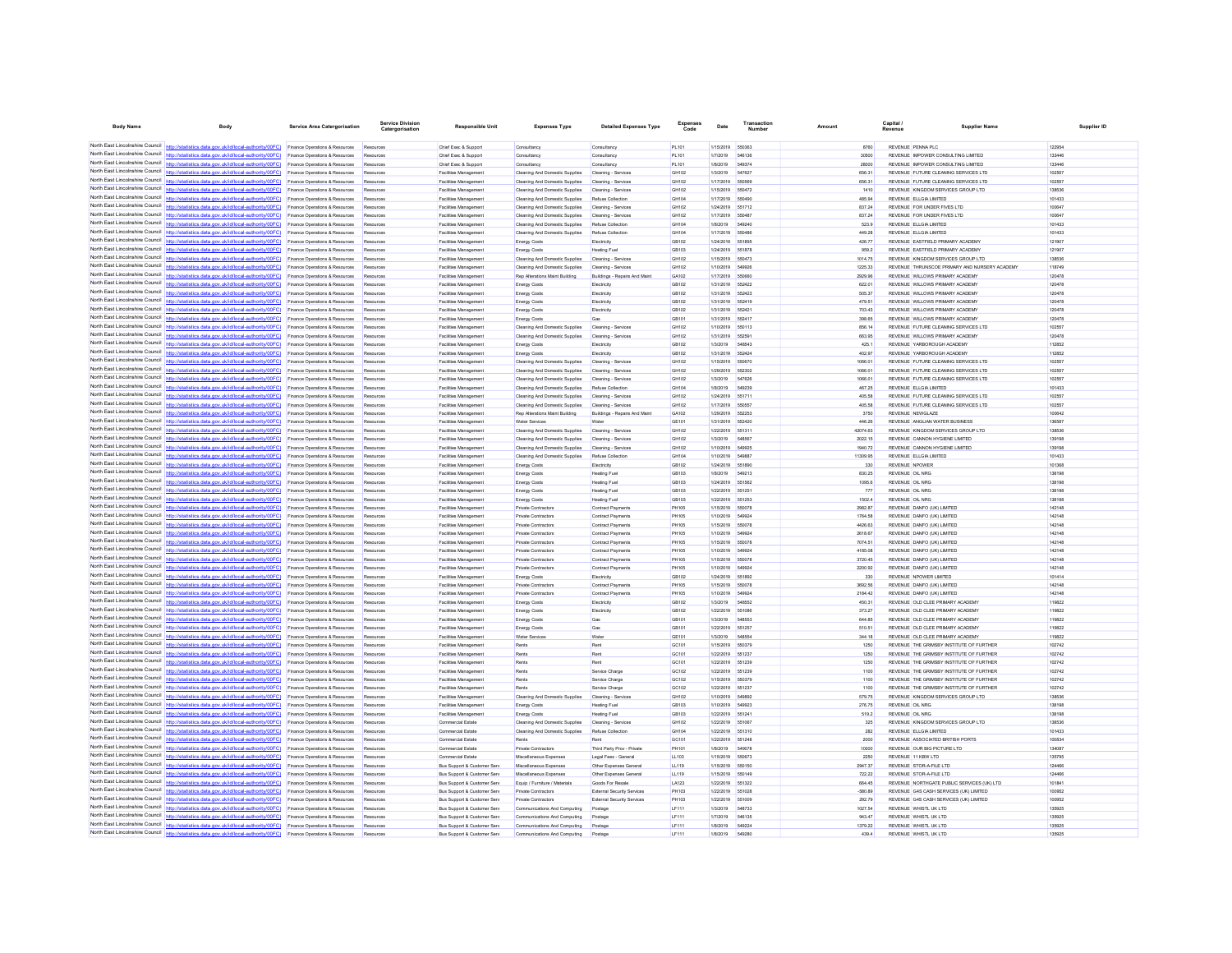| <b>Body Name</b>                                                   | Body                                                                                                                                                                             | <b>Service Area Catergorisation</b>                                         | Catergorisation        | <b>Responsible Unit</b>                                                          | <b>Expenses Type</b>                                             | <b>Detailed Expenses Type</b>                                          | Code           | Date                   | Number                  | Amount              | Capital<br>Revenue                                                                   | <b>Supplier Name</b> | Supplier ID      |
|--------------------------------------------------------------------|----------------------------------------------------------------------------------------------------------------------------------------------------------------------------------|-----------------------------------------------------------------------------|------------------------|----------------------------------------------------------------------------------|------------------------------------------------------------------|------------------------------------------------------------------------|----------------|------------------------|-------------------------|---------------------|--------------------------------------------------------------------------------------|----------------------|------------------|
|                                                                    |                                                                                                                                                                                  |                                                                             |                        |                                                                                  |                                                                  |                                                                        |                |                        |                         |                     |                                                                                      |                      |                  |
|                                                                    | North East Lincolnshire Council http://statistics.data.gov.uk/id/local-authority/00FC) Finance Operations & Resources                                                            |                                                                             | Resources              | Chief Exec & Support                                                             | Consultancy                                                      | Consultancy                                                            | PL101          | 1/15/2019              | 550363                  | 8760                | REVENUE PENNA PLC                                                                    |                      | 122954           |
| North Fast Lincolnshire Council                                    | North East Lincolnshire Council http://statistics.data.gov.uk/id/local-authority/00FC) Finance Operations & Resources                                                            |                                                                             | Resources              | Chief Exec & Support                                                             | Consultancy                                                      | Consultancy                                                            | PL101          | 1/7/2019               | 546136                  | 30500               | REVENUE IMPOWER CONSULTING LIMITED.                                                  |                      | 133446           |
|                                                                    | http://statistics.data.gov.uk/id/local-authority/00FC)<br>North East Lincolnshire Council http://statistics.data.gov.uk/id/local-authority/00FC).                                | Finance Operations & Resources<br>Finance Operations & Resources            | Resources<br>Resources | Chief Exec & Support<br>Facilities Managemen                                     | Consultanov<br>Cleaning And Domestic Supplies                    | Consultancy<br>Cleaning - Services                                     | PL101<br>GH102 | 1/8/2019<br>1/3/2019   | 549374<br>547627        | 28000<br>656.31     | REVENUE IMPOWER CONSULTING LIMITED<br>REVENUE FUTURE CLEANING SERVICES LTD           |                      | 133446<br>102557 |
|                                                                    | North East Lincolnshire Council http://statistics.data.gov.uk/id/local-authority/00FC)                                                                                           | Finance Operations & Resources                                              | Resources              | <b>Facilities Management</b>                                                     | Cleaning And Domestic Supplies                                   | Cleaning - Services                                                    | GH102          | 1/17/2019              | 650569                  | 656.31              | REVENUE FUTURE CLEANING SERVICES LTD                                                 |                      | 102557           |
|                                                                    | North East Lincolnshire Council http://statistics.data.gov.uk/id/local-authority/00FC)                                                                                           | Finance Operations & Resources                                              | Resources              | Facilities Managemen                                                             | Cleaning And Domestic Supplies                                   | Cleaning - Services                                                    | GH102          | 1/15/2019              | 550472                  | 1410                | REVENUE KINGDOM SERVICES GROUP LTD                                                   |                      | 138536           |
| North East Lincolnshire Council                                    | http://statistics.data.oov.uk/id/local-authority/00EC)                                                                                                                           | Finance Operations & Resources                                              | Resources              | Facilities Managemen                                                             | Cleaning And Domestic Supplies                                   | <b>Refuse Collection</b>                                               | GH104          | 1/17/2019              | 550490                  | 485.94              | REVENUE ELLGIA LIMITED                                                               |                      | 101433           |
| North East Lincolnshire Council                                    | http://statistics.data.gov.uk/id/local-authority/00FC)                                                                                                                           | Finance Operations & Resources                                              | Resources              | Facilities Management                                                            | Cleaning And Domestic Supplies                                   | Cleaning - Services                                                    | GH102          | 1/24/2019              | 651712                  | 837.24              | REVENUE FOR UNDER FIVES LTD                                                          |                      | 100647           |
|                                                                    | North East Lincolnshire Council http://statistics.data.gov.uk/id/local-authority/00FC)                                                                                           | nce Operations & Resources                                                  | Re                     | Facilities Managemen                                                             | Cleaning And Domestic Supplies                                   | Cleaning - Service                                                     | GH102          | 1/17/2019              | <b>SSOAR</b>            | 837.24              | REVENUE FOR UNDER FIVES LTD                                                          |                      | 100647           |
| North East Lincolnshire Council                                    | North East Lincolnshire Council http://statistics.data.gov.uk/id/local-authority/00FC)<br>http://statistics.data.gov.uk/id/local-authority/00FC)                                 | Finance Operations & Resources<br>Finance Operations & Resources            | Resources<br>Resources | <b>Facilities Management</b><br>Facilities Management                            | Cleaning And Domestic Supplies<br>Cleaning And Domestic Supplies | Refuse Collection<br>Refuse Collection                                 | GH104<br>GH104 | 1/8/2019<br>1/17/2019  | 549240<br>550486        | 523.9<br>449.28     | <b>REVENUE ELLGIA LIMITED</b><br>REVENUE ELLGIA LIMITED                              |                      | 101433<br>101433 |
| North East Lincolnshire Council                                    | http://statistics.data.gov.uk/id/local-authority/00FC)                                                                                                                           | <b>Finance Operations &amp; Resources</b>                                   | Resources              | Facilities Management                                                            | <b>Energy Costs</b>                                              | Flechicity                                                             | GR102          | 1/24/2019              | 651895                  | 426.77              | REVENUE EASTEIELD PRIMARY ACADEMY                                                    |                      | 121907           |
| North East Lincolnshire Council                                    | http://statistics.data.gov.uk/id/local-authority/00FC)                                                                                                                           | Finance Operations & Resources                                              | Resources              | Facilities Management                                                            | <b>Energy Costs</b>                                              | Heating Fuel                                                           | GB103          | 1/24/2019              | 551878                  | 959.2               | REVENUE EASTFIELD PRIMARY ACADEMY                                                    |                      | 121907           |
|                                                                    | North East Lincolnshire Council http://statistics.data.gov.uk/id/local-authority/00FC)                                                                                           | Finance Operations & Resources                                              | Rm                     | Facilities Managemen                                                             | Cleaning And Domestic Supplies                                   | Cleaning - Service                                                     | GH102          | 1/15/2019              | 550473                  | 1014.75             | REVENUE KINGDOM SERVICES GROUP LTD                                                   |                      | 138536           |
|                                                                    | North East Lincolnshire Council http://statistics.data.gov.uk/id/local-authority/00FC)                                                                                           | Finance Operations & Resources                                              | Resources              | Facilities Management                                                            | Cleaning And Domestic Supplies                                   | Cleaning - Services                                                    | GH102          | 1/10/2019              | <b>549926</b>           | 1225.33             | REVENUE THRUNSCOE PRIMARY AND NURSERY ACADEMY                                        |                      | 118749           |
| North East Lincolnshire Council                                    | North East Lincolnshire Council http://statistics.data.gov.uk/id/local-authority/00FC)                                                                                           | Finance Operations & Resources                                              | Resources              | Facilities Managemen                                                             | Rep Alterations Maint Building                                   | Buildings - Repairs And Main                                           | GA102          | 1/17/2019              | 55066                   | 2929.96             | REVENUE WILLOWS PRIMARY ACADEMY                                                      |                      | 120478           |
| North Fast Lincolnshire Council                                    | http://statistics.data.gov.uk/id/local-authority/00FC)<br>s.data.gov.uk/id/local-authorit<br>//00FC)                                                                             | Finance Operations & Resources<br>Finance Operations & Resources            | Resources<br>Resources | Facilities Management<br>Facilities Management                                   | <b>Energy Costs</b><br><b>Energy Costs</b>                       | Electricity<br>Electricity                                             | GR102<br>GB102 | 1/31/2019<br>1/31/2019 | 552422<br>652423        | 622.01<br>505.37    | REVENUE WILLOWS PRIMARY ACADEMY<br>REVENUE WILLOWS PRIMARY ACADEMY                   |                      | 120478<br>120478 |
|                                                                    | North East Lincolnshire Council http://statistics.data.gov.uk/id/local-authority/00FC)                                                                                           | nce Operations & Resources                                                  | Res                    | Facilities Managemen                                                             | <b>Energy Costs</b>                                              | Flechicity                                                             | GB102          | 1/31/2019              | 552419                  | 479.51              | REVENUE WILLOWS PRIMARY ACADEMY                                                      |                      | 120478           |
|                                                                    | North East Lincolnshire Council http://statistics.data.gov.uk/id/local-authority/00FC)                                                                                           | Finance Operations & Resources                                              | Resources              | <b>Facilities Management</b>                                                     | <b>Energy Costs</b>                                              | Electricity                                                            | GB102          | 1/31/2019              | 552421                  | 703.43              | REVENUE WILLOWS PRIMARY ACADEMY                                                      |                      | 120478           |
|                                                                    | North East Lincolnshire Council http://statistics.data.gov.uk/id/local-authority/00FC)                                                                                           | Finance Operations & Resources                                              | Resources              | Facilities Management                                                            | <b>Energy Costs</b>                                              |                                                                        | GB101          | 1/31/2019              | 55241                   | 398.65              | REVENUE WILLOWS PRIMARY ACADEMY                                                      |                      | 120478           |
| North East Lincolnshire Council                                    | http://statistics.data.gov.uk/id/local-authority/00FC)                                                                                                                           | Finance Operations & Resources                                              | Resources              | <b>Facilities Management</b>                                                     | Cleaning And Domestic Supplies                                   | Cleaning - Services                                                    | GH102          | 1/10/2019              | 550113                  | 856.14              | REVENUE FUTURE CLEANING SERVICES LTD                                                 |                      | 102557           |
| North Fast Lincolnshire Council                                    | http://statistics.data.gov.uk/id/local-authority/00FC)<br>North East Lincolnshire Council   http://statistics.data.gov.uk/id/local-authority/00FC)                               | Finance Operations & Resources                                              | Resources              | Facilities Management                                                            | Cleaning And Domestic Supplies                                   | Cleaning - Services                                                    | GH102          | 1/31/2019              | 65259                   | 663.95              | REVENUE WILLOWS PRIMARY ACADEMY                                                      |                      | 120478           |
| North Fast Lincolnshire Council                                    | http://statistics.data.gov.uk/id/local-authority/00FC)                                                                                                                           | nce Operations & Resources<br>Finance Operations & Resources                | Res<br>Resources       | Facilities Managemen<br><b>Facilities Management</b>                             | <b>Energy Costs</b><br><b>Energy Costs</b>                       | Electricity<br>Electricity                                             | GB102<br>GB102 | 1/3/2019<br>1/31/2019  | <b>548543</b><br>552424 | 425.1<br>402.97     | REVENUE YARROROUGH ACADEMY<br>REVENUE YARBOROUGH ACADEMY                             |                      | 112852<br>112852 |
|                                                                    | North East Lincolnshire Council http://statistics.data.gov.uk/id/local-authority/00FC)                                                                                           | Finance Operations & Resources                                              | Res                    | Facilities Managemen                                                             | Cleaning And Domestic Supplies                                   | Cleaning - Services                                                    | GH102          | 1/15/2019              | 550670                  | 1066.01             | REVENUE FUTURE CLEANING SERVICES LTD                                                 |                      | 102557           |
| North East Lincolnshire Council                                    | http://statistics.data.gov.uk/id/local-authority/00FC)                                                                                                                           | Finance Operations & Resources                                              | Resources              | <b>Facilities Management</b>                                                     | Cleaning And Domestic Supplies                                   | Cleaning - Services                                                    | GH102          | 1/29/2019              | 652302                  | 1066.01             | REVENUE FUTURE CLEANING SERVICES LTD                                                 |                      | 102557           |
| North East Lincolnshire Council                                    | http://statistics.data.gov.uk/id/local-authority/00FC)                                                                                                                           | Finance Operations & Resources                                              | Resources              | Facilities Management                                                            | Cleaning And Domestic Supplies                                   | Cleaning - Services                                                    | GH102          | 1/3/2019               | 547626                  | 1066.01             | REVENUE FUTURE CLEANING SERVICES LTD                                                 |                      | 102557           |
| North East Lincolnshire Council                                    | http://statistics.data.oov.uk/id/local-authority/00EC)                                                                                                                           | ice Operations & Resources                                                  | Dar                    | Facilities Managemen                                                             | Cleaning And Domestic Supplies                                   | Refuse Collection                                                      | GH104          | 1/8/2019               | <b>R40230</b>           | 467.25              | REVENUE ELLGIA LIMITED                                                               |                      | 101433           |
|                                                                    | North East Lincolnshire Council http://statistics.data.gov.uk/id/local-authority/00FC)                                                                                           | Finance Operations & Resources                                              | Resources              | <b>Facilities Management</b>                                                     | Cleaning And Domestic Supplies                                   | Cleaning - Services                                                    | GH102          | 1/24/2019              | 551711                  | 405.58              | REVENUE FUTURE CLEANING SERVICES LTD                                                 |                      | 102557           |
| North East Lincolnshire Council                                    | North East Lincolnshire Council http://statistics.data.gov.uk/id/local-authority/00FC)                                                                                           | Finance Operations & Resources                                              | Resources              | Facilities Managemen                                                             | Cleaning And Domestic Supplies                                   | Cleaning - Services                                                    | GH102          | 1/17/2019              | 650557                  | 405.58              | REVENUE FUTURE CLEANING SERVICES LTD                                                 |                      | 102557           |
|                                                                    | (statistics data gov uk/id/incal-authority/00EC)<br>North East Lincolnshire Council   http://statistics.data.gov.uk/id/local-authority/00FC)                                     | Finance Operations & Resources<br>Finance Operations & Resources            | Resources              | <b>Facilities Management</b><br>Facilities Managemen                             | <b>Ren Alterations Maint Ruilding</b><br>Water Services          | Buildings - Repairs And Maint                                          | GA102<br>GE101 | 1/29/2019<br>1/31/2019 | 662263<br>55242         | 3750<br>446.26      | REVENUE NEWSLAZE<br>REVENUE ANGLIAN WATER BUSINESS                                   |                      | 100842<br>136587 |
|                                                                    | North East Lincolnshire Council http://statistics.data.gov.uk/id/local-authority/00FC)                                                                                           | nce Operations & Resources                                                  | Reso                   | <b>Facilities Managemen</b>                                                      | Cleaning And Domestic Supplies                                   | Cleaning - Services                                                    | GH102          | 1/22/2019              | 651311                  | 42074.63            | REVENUE KINGDOM SERVICES GROUP LTD.                                                  |                      | 138536           |
|                                                                    | North East Lincolnshire Council http://statistics.data.gov.uk/id/local-authority/00FC)                                                                                           | Finance Operations & Resources                                              | Resources              | <b>Facilities Management</b>                                                     | Cleaning And Domestic Supplies                                   | Cleaning - Services                                                    | GH102          | 1/3/2019               | <b>548567</b>           | 2022.15             | REVENUE CANNON HYGIENE LIMITED                                                       |                      | 139198           |
|                                                                    | North East Lincolnshire Council http://statistics.data.gov.uk/id/local-authority/00FC)                                                                                           | Finance Operations & Resources                                              | Resources              | Facilities Managemen                                                             | Cleaning And Domestic Supplies                                   | Cleaning - Services                                                    | GH102          | 1/10/2019              | 54992                   | 1940.72             | REVENUE CANNON HYGIENE LIMITED                                                       |                      | 139198           |
| North East Lincolnshire Council                                    | http://statistics.data.gov.uk/id/local-authority/00FC)                                                                                                                           | Finance Operations & Resources                                              | Resources              | <b>Facilities Management</b>                                                     | Cleaning And Domestic Supplies                                   | Refuse Collection                                                      | GH104          | 1/10/2019              | <b>54988</b>            | 11309.95            | REVENUE ELLGIA LIMITED                                                               |                      | 101433           |
| North East Lincolnshire Council                                    | http://statistics.data.gov.uk/id/local-authority/00FC)                                                                                                                           | Finance Operations & Resources                                              |                        | Facilities Managemen                                                             | <b>Energy Costs</b>                                              | Electricity                                                            | GB102          | 1/24/2019              |                         | 330                 | REVENUE NPOWER                                                                       |                      | 101368           |
| North East Lincolnshire Council                                    | http://statistics.data.gov.uk/id/local-authority/00EC)<br>North East Lincolnshire Council http://statistics.data.gov.uk/id/local-authority/00FC)                                 | nce Operations & Resources                                                  | Resources              | Facilities Managemen                                                             | <b>Energy Costs</b>                                              | <b>Heating Fuel</b>                                                    | GB103<br>GB103 | 1/8/2019<br>1/24/2019  | 549213<br>651562        | 830.25<br>1095.6    | REVENUE OIL NRG<br>REVENUE OIL NRG                                                   |                      | 138198<br>138198 |
|                                                                    | North East Lincolnshire Council http://statistics.data.gov.uk/id/local-authority/00FC)                                                                                           | Finance Operations & Resources<br>Finance Operations & Resources            | Resources<br>Resources | Facilities Managemen<br>Facilities Managemen                                     | <b>Energy Costs</b><br><b>Energy Costs</b>                       | <b>Heating Fuel</b><br><b>Heating Fue</b>                              | GB103          | 1/22/2019              | 55125                   | 777                 | REVENUE OIL NRG                                                                      |                      | 138198           |
| North East Lincolnshire Council                                    | http://statistics.data.gov.uk/id/local-authority/00FC)                                                                                                                           | Finance Operations & Resources                                              | Resources              | <b>Facilities Management</b>                                                     | <b>Energy Costs</b>                                              | Heating Fuel                                                           | GB103          | 1/22/2019              | 651253                  | 1502.4              | <b>REVENUE OIL NRG</b>                                                               |                      | 138198           |
| North East Lincolnshire Council                                    | stieties data nov uk/id/jocal-authority/00FC)                                                                                                                                    | Finance Operations & Resources                                              | Resources              | Facilities Management                                                            | Private Contractors                                              | <b>Contract Payments</b>                                               | PH105          | 1/15/2019              | 550078                  | 2982.87             | REVENUE DANFO (UK) LIMITED                                                           |                      | 142148           |
|                                                                    | North East Lincolnshire Council http://statistics.data.gov.uk/id/local-authority/00FC)                                                                                           | Finance Operations & Resources                                              | Resources              | Facilities Management                                                            | <b>Private Contractors</b>                                       | <b>Contract Payments</b>                                               | <b>PH105</b>   | 1/10/2019              | 549924                  | 1764.58             | REVENUE DANFO (UK) LIMITED                                                           |                      | 142148           |
|                                                                    | North East Lincolnshire Council http://statistics.data.gov.uk/id/local-authority/00FC)                                                                                           | Finance Operations & Resources                                              | Resources              | <b>Facilities Management</b>                                                     | <b>Private Contractors</b>                                       | <b>Contract Payments</b>                                               | PH105          | 1/15/2019              | 650078                  | 4426.63             | REVENUE DANFO (UK) LIMITED                                                           |                      | 142148           |
| North East Lincolnshire Council                                    | North East Lincolnshire Council http://statistics.data.gov.uk/id/local-authority/00FC)<br>http://statistics.data.gov.uk/id/local-authority/00FC)                                 | Finance Operations & Resources                                              | Resources<br>Resources | Facilities Managemen                                                             | Private Contractors                                              | Contract Payments                                                      | PH105<br>PH105 | 1/10/2019              | 54992<br>650078         | 2618.67<br>7074.51  | REVENUE DANFO (UK) LIMITED                                                           |                      | 142148<br>142148 |
|                                                                    | North East Lincolnshire Council http://statistics.data.gov.uk/id/local-authority/00FC)                                                                                           | Finance Operations & Resources<br>Finance Operations & Resources            | Re                     | Facilities Management<br>Facilities Managemen                                    | Private Contractors<br>Private Contractors                       | <b>Contract Payments</b><br>Contract Payments                          | PH105          | 1/15/2019<br>1/10/2019 | 54992                   | 4185.08             | REVENUE DANFO (UK) LIMITED<br>REVENUE DANFO (UK) LIMITED                             |                      | 142148           |
|                                                                    | North East Lincolnshire Council http://statistics.data.gov.uk/id/local-authority/00FC)                                                                                           | <b>Finance Operations &amp; Resources</b>                                   | Resources              | <b>Facilities Management</b>                                                     | Private Contractors                                              | Contract Payments                                                      | <b>PH105</b>   | 1/15/2019              | 550078                  | 3720.45             | REVENUE DANEO (UK) LIMITED                                                           |                      | 142148           |
|                                                                    | North East Lincolnshire Council http://statistics.data.gov.uk/id/local-authority/00FC).                                                                                          | Finance Operations & Resources                                              | Resources              | Facilities Management                                                            | Private Contractors                                              | <b>Contract Payments</b>                                               | PH105          | 1/10/2019              | 549924                  | 2200.92             | REVENUE DANFO (UK) LIMITED                                                           |                      | 142148           |
|                                                                    | North East Lincolnshire Council http://statistics.data.gov.uk/id/local-authority/00FC)                                                                                           | Finance Operations & Resources                                              | Resources              | Facilities Management                                                            | <b>Energy Costs</b>                                              | Electricity                                                            | GB102          | 1/24/2019              | 651892                  | 330                 | REVENUE NPOWER LIMITED                                                               |                      | 101414           |
| North East Lincolnshire Council<br>North East Lincolnshire Council | http://statistics.data.gov.uk/id/local-authority/00FC)                                                                                                                           | Finance Operations & Resources                                              | Resources              | <b>Facilities Management</b>                                                     | <b>Private Contractors</b>                                       | <b>Contract Payments</b>                                               | <b>PH105</b>   | 1/15/2019              | 550078                  | 3692.56             | REVENUE DANFO (UK) LIMITED                                                           |                      | 142148           |
| North East Lincolnshire Council                                    | http://statistics.data.gov.uk/id/local-authority/00FC)                                                                                                                           | Finance Operations & Resources                                              | Resources              | Facilities Managemen                                                             | Private Contractor:                                              | Contract Payme                                                         | PH105          | 1/10/2019              |                         | 2184.42             | REVENUE DANFO (UK) LIMITED                                                           |                      | 142148           |
|                                                                    | http://statistics.data.gov.uk/id/local-authority/00EC)<br>North East Lincolnshire Council http://statistics.data.gov.uk/id/local-authority/00FC)                                 | <b>Finance Operations &amp; Resources</b><br>Finance Operations & Resources | Resources<br>Resources | <b>Facilities Management</b><br>Facilities Managemen                             | <b>Energy Costs</b><br><b>Energy Costs</b>                       | Flechicle<br>Electricity                                               | GR102<br>GB102 | 1/3/2019<br>1/22/2019  | 548552<br>551086        | 450.31<br>373.27    | REVENUE OLD CLEE PRIMARY ACADEMY<br>REVENUE OLD CLEE PRIMARY ACADEMY                 |                      | 119822<br>119822 |
|                                                                    | North East Lincolnshire Council http://statistics.data.gov.uk/id/local-authority/00FC)                                                                                           | Finance Operations & Resources                                              | Resources              | Facilities Managemen                                                             | <b>Energy Costs</b>                                              | Gas                                                                    | GB101          | 1/3/2019               | <b>548553</b>           | 644.85              | REVENUE OLD CLEE PRIMARY ACADEMY                                                     |                      | 119822           |
| North East Lincolnshire Council                                    | lics.data.gov.uk/id/local-authority/00FC)                                                                                                                                        | Finance Operations & Resources                                              | Resources              | <b>Facilities Management</b>                                                     | <b>Energy Costs</b>                                              | Gas                                                                    | GB101          | 1/22/2019              | 651257                  | 510.51              | REVENUE OLD CLEE PRIMARY ACADEMY                                                     |                      | 119822           |
|                                                                    | North East Lincolnshire Council http://statistics.data.gov.uk/id/local-authority/00FC)                                                                                           | nce Operations & Resources                                                  | Dar                    | Facilities Managemen                                                             | Water Service                                                    | Water                                                                  | GE101          | 1/3/2019               | <b><i>RABRRA</i></b>    | 344.18              | REVENUE OLD CLEE PRIMARY ACADEMY                                                     |                      | 119822           |
|                                                                    | North East Lincolnshire Council http://statistics.data.gov.uk/id/local-authority/00FC)                                                                                           | Finance Operations & Resources                                              | Resources              | <b>Facilities Management</b>                                                     | Rents                                                            | Rent                                                                   | GC101          | 1/15/2019              | 550379                  | 1250                | REVENUE THE GRIMSBY INSTITUTE OF FURTHER                                             |                      | 102742           |
| North East Lincolnshire Council<br>North East Lincolnshire Council | http://statistics.data.gov.uk/id/local-authority/00FC)                                                                                                                           | Finance Operations & Resources                                              | Resources              | Facilities Managemen                                                             | Rents                                                            | Rent                                                                   | GC101          | 1/22/2019              | 651237                  | 1250                | REVENUE THE GRIMSBY INSTITUTE OF FURTHER                                             |                      | 102742           |
| North East Lincolnshire Council                                    | http://statistics.data.oov.uk/id/local-authority/00EC)<br>http://statistics.data.gov.uk/id/local-authority/00FC)                                                                 | Finance Operations & Resources                                              | Resources<br>Resources | Facilities Managemen                                                             | Rent:<br>Rents                                                   | Rent<br>Service Charge                                                 | GC101<br>GC102 | 1/22/2019<br>1/22/2019 | 551239<br>551239        | 1250<br>1100        | REVENUE THE GRIMSBY INSTITUTE OF FURTHER<br>REVENUE THE GRIMSBY INSTITUTE OF FURTHER |                      | 102742<br>102742 |
| North East Lincolnshire Council                                    | http://statistics.data.gov.uk/id/local-authority/00FC)                                                                                                                           | Finance Operations & Resources<br>Finance Operations & Resources            | Resources              | Facilities Managemen<br>Facilities Managemen                                     | Rents                                                            | Service Charg                                                          | GC102          | 1/15/2019              | 650379                  | 1100                | REVENUE THE GRIMSBY INSTITUTE OF FURTHER                                             |                      | 102742           |
| North East Lincolnshire Council                                    | http://statistics.data.gov.uk/id/local-authority/00FC)                                                                                                                           | Finance Operations & Resources                                              | Resources              | Facilities Management                                                            | Rents                                                            | Service Charge                                                         | GC102          | 1/22/2019              | 651237                  | 1100                | REVENUE THE GRIMSBY INSTITUTE OF FURTHER                                             |                      | 102742           |
|                                                                    | North East Lincolnshire Council http://statistics.data.gov.uk/id/local-authority/00FC)                                                                                           | Finance Operations & Resources                                              | Resources              | Facilities Managemen                                                             | Cleaning And Domestic Supplies                                   | Cleaning - Services                                                    | GH102          | 1/10/2019              | 549893                  | 579.75              | REVENUE KINGDOM SERVICES GROUP LTD                                                   |                      | 138536           |
|                                                                    | North East Lincolnshire Council   http://statistics.data.gov.uk/id/local-authority/00FC)                                                                                         | Finance Operations & Resources                                              | Resources              | Facilities Managemen                                                             | <b>Energy Costs</b>                                              | <b>Heating Fuel</b>                                                    | GR103          | 1/10/2019              | 649923                  | 276.75              | REVENUE OIL NRG                                                                      |                      | 138198           |
| North Fast Lincolnshire Council<br>North East Lincolnshire Council | http://statistics.data.gov.uk/id/local-authority/00FC)                                                                                                                           | Finance Operations & Resources                                              | Resources              | Facilities Managemen                                                             | <b>Energy Costs</b>                                              | Heating Fuel                                                           | GB103          | 1/22/2019              | 55124                   | 519.2               | REVENUE OIL NRG                                                                      |                      | 138198           |
|                                                                    | http://etatistics.data.oov.uk/id/local-authority/00FC)<br>North East Lincolnshire Council http://statistics.data.gov.uk/id/local-authority/00FC)                                 | Finance Operations & Resources                                              | Resources              | Commercial Estate                                                                | Cleaning And Domestic Supplies                                   | Cleaning - Services                                                    | GH102          | 1/22/2019              | 55106                   | 325                 | REVENUE KINGDOM SERVICES GROUP LTD                                                   |                      | 138536           |
|                                                                    | North East Lincolnshire Council   http://statistics.data.gov.uk/id/local-authority/00FC)                                                                                         | Finance Operations & Resources<br>Finance Operations & Resources            | Resources              | Commercial Estate<br>Commercial Estate                                           | Cleaning And Domestic Supplies                                   | Refuse Collection                                                      | GH104<br>GC101 | 1/22/2019<br>1/22/2019 | 551310<br>551248        | 282<br>2000         | REVENUE ELLGIA LIMITED<br>REVENUE ASSOCIATED BRITISH PORTS                           |                      | 101433<br>100834 |
| North East Lincolnshire Council                                    | http://statistics.data.gov.uk/id/local-authority/00FC)                                                                                                                           | Finance Operations & Resources                                              | Resources              | Commercial Estate                                                                | <b>Private Contractors</b>                                       | Third Party Prov - Private                                             | PH101          | 1/8/2019               | <b>549078</b>           | 10000               | REVENUE OUR BIG PICTURE LTD                                                          |                      | 134087           |
|                                                                    | North East Lincolnshire Council http://statistics.data.gov.uk/id/local-authority/00FC)                                                                                           | Finance Operations & Resources                                              | Resources              | Commercial Estate                                                                | Miscellaneous Expenses                                           | Legal Fees - General                                                   | LL103          | 1/15/2019              | 550673                  | 2250                | REVENUE 11 KBW LTD                                                                   |                      | 135795           |
|                                                                    | North East Lincolnshire Council   http://statistics.data.gov.uk/id/local-authority/00FC)                                                                                         | nce Operations & Resources                                                  | Reso                   | <b>Bus Support &amp; Customer Serv</b>                                           | Miscellaneous Expense                                            | Other Expenses Genera                                                  | LL119          | 1/15/2019              | 550150                  | 2947.37             | REVENUE STOR-A-FILE LTD                                                              |                      | 124466           |
|                                                                    | North East Lincolnshire Council http://statistics.data.gov.uk/id/local-authority/00FC)                                                                                           | Finance Operations & Resources                                              | Resources              | <b>Bus Support &amp; Customer Serv</b>                                           | Miscellaneous Expenses                                           | Other Expenses General                                                 | LL119          | 1/15/2019              | 550149                  | 722.22              | REVENUE STOR-A-FILE LTD                                                              |                      | 124466           |
|                                                                    | North East Lincolnshire Council http://statistics.data.gov.uk/id/local-authority/00FC).                                                                                          | Finance Operations & Resources                                              | Resources              | <b>Bus Support &amp; Customer Serv</b>                                           | Equip / Furniture / Materials                                    | Goods For Resale                                                       | LA123          | 1/22/2019              | 651322                  | 664.45              | REVENUE NORTHGATE PUBLIC SERVICES (UK) LTD                                           |                      | 101841           |
|                                                                    | North East Lincolnshire Council http://statistics.data.gov.uk/id/local-authority/00FC)<br>North East Lincolnshire Council http://statistics.data.gov.uk/id/local-authority/00FC) | Finance Operations & Resources<br>Finance Operations & Resources            | Resources<br>Resources | <b>Bus Support &amp; Customer Serv</b><br><b>Bus Support &amp; Customer Serv</b> | <b>Private Contractors</b><br><b>Private Contractors</b>         | <b>External Security Services</b><br><b>External Security Services</b> | PH103<br>PH103 | 1/22/2019<br>1/22/2019 | 551028<br>551009        | $-580.89$<br>292.79 | REVENUE G4S CASH SERVICES (UK) LIMITED<br>REVENUE G4S CASH SERVICES (UK) LIMITED     |                      | 100952<br>100952 |
|                                                                    | North East Lincolnshire Council   http://statistics.data.gov.uk/id/local-authority/00FC)                                                                                         | Finance Operations & Resources                                              |                        | <b>Bus Support &amp; Customer Serv</b>                                           | Communications And Computing                                     |                                                                        | LF111          | 1/3/2019               | 548733                  | 1027.54             | REVENUE WHISTL UK LTD                                                                |                      | 135925           |
|                                                                    | North East Lincolnshire Council http://statistics.data.gov.uk/id/local-authority/00FC) Finance Operations & Resources                                                            |                                                                             | Resources              | <b>Bus Support &amp; Customer Serv</b>                                           | Communications And Computing                                     | Postage                                                                | LF111          | 1/7/2019               | 546135                  | 943.47              | REVENUE WHISTL UK LTD                                                                |                      | 135925           |
|                                                                    | North East Lincolnshire Council http://statistics.data.gov.uk/id/local-authority/00FC) Finance Operations & Resources                                                            |                                                                             | Resources              | <b>Bus Support &amp; Customer Serv</b>                                           | Communications And Computing                                     | Postage                                                                | LF111          | 1/8/2019               | 549224                  | 1379.22             | REVENUE WHISTL UK LTD                                                                |                      | 135925           |
| North East Lincolnshire Council                                    | http://statistics.data.gov.uk/id/local-authority/00FC)                                                                                                                           | <b>Finance Operations &amp; Resources</b>                                   | Resources              | <b>Bus Support &amp; Customer Serv</b>                                           | Communications And Computing                                     | Postage                                                                | <b>IF111</b>   | 1/8/2019               | <b>549280</b>           | 439.4               | REVENUE WHISTLUK LTD.                                                                |                      | 135925           |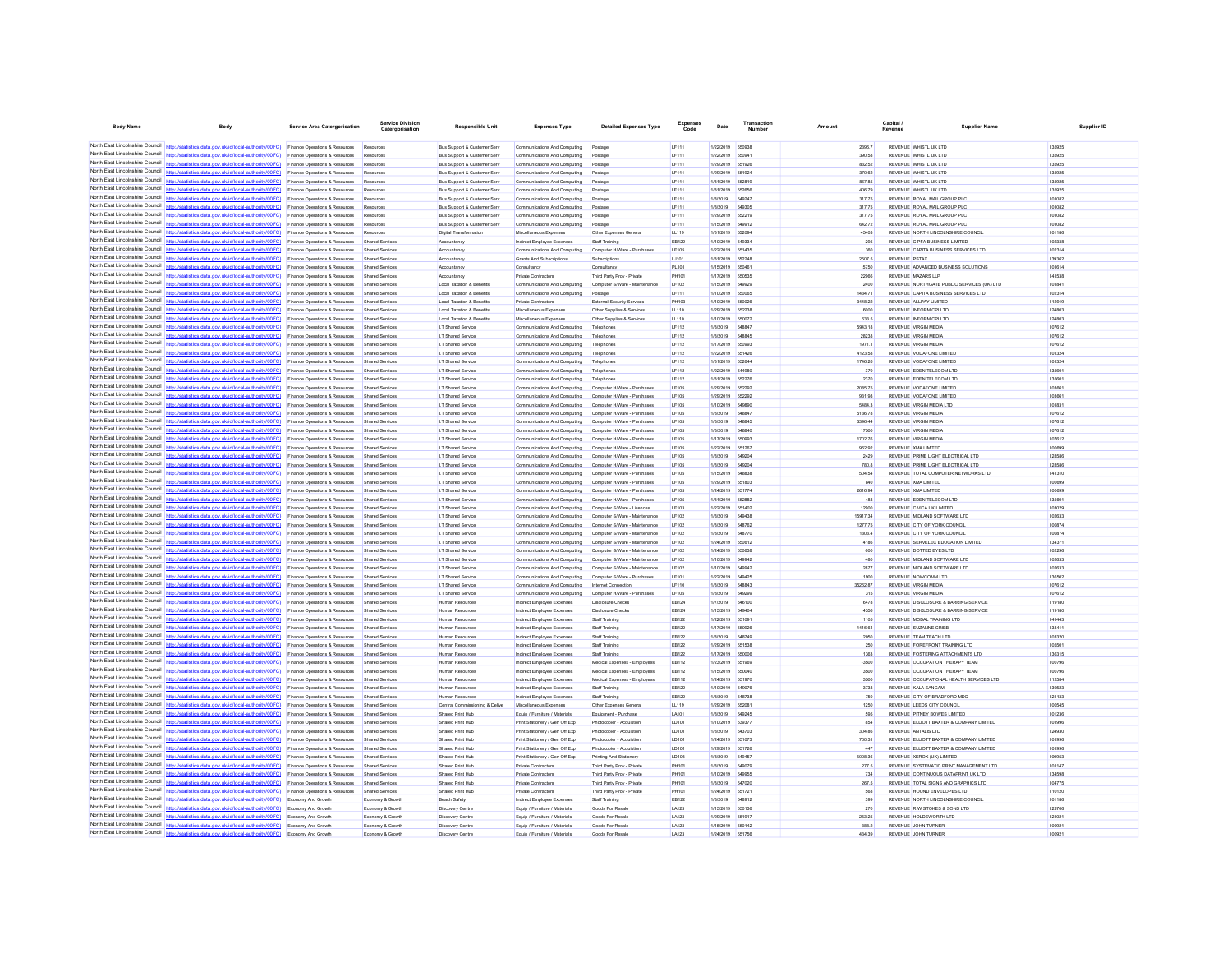| <b>Body Name</b>                | Body                                                                                                                                                                               | <b>Service Area Catergorisation</b>                                         | Catergorisation                     | <b>Responsible Unit</b>                                                          | <b>Expenses Type</b>                                             | <b>Detailed Expenses Type</b>                                  | Code                  | Date                          | Number                 | Amount             | Capital<br>Revenue                                                                   | <b>Supplier Name</b> | Supplier ID      |
|---------------------------------|------------------------------------------------------------------------------------------------------------------------------------------------------------------------------------|-----------------------------------------------------------------------------|-------------------------------------|----------------------------------------------------------------------------------|------------------------------------------------------------------|----------------------------------------------------------------|-----------------------|-------------------------------|------------------------|--------------------|--------------------------------------------------------------------------------------|----------------------|------------------|
|                                 |                                                                                                                                                                                    |                                                                             |                                     |                                                                                  |                                                                  |                                                                |                       |                               |                        |                    |                                                                                      |                      |                  |
|                                 | North East Lincolnshire Council http://statistics.data.gov.uk/id/local-authority/00FC) Finance Operations & Resources                                                              |                                                                             | Resources                           | Bus Support & Customer Serv                                                      | Communications And Computing                                     | Postage                                                        | LF111                 | 1/22/2019                     | 550938                 | 2396.7             | REVENUE WHISTL UK LTD                                                                |                      | 135925           |
|                                 | North East Lincolnshire Council http://statistics.data.gov.uk/id/local-authority/00FC) Finance Operations & Resources                                                              |                                                                             | Resources                           | <b>Bus Support &amp; Customer Serv</b>                                           | Communications And Computing                                     | Postage                                                        | LF111                 | 1/22/2019 550941              |                        | 390.58             | REVENUE WHISTLUK LTD                                                                 |                      | 135925           |
|                                 | North East Lincolnshire Council http://statistics.data.gov.uk/id/local-authority/00FC)<br>North East Lincolnshire Council http://statistics.data.gov.uk/id/local-authority/00FC)   | Finance Operations & Resources<br>Finance Operations & Resources            | Resources<br>Resources              | <b>Bus Support &amp; Customer Serv</b><br><b>Bus Support &amp; Customer Serv</b> | Communications And Computing<br>Communications And Computing     | Postage                                                        | LF111<br>LF111        | 1/29/2019<br>1/29/2019        | 551926<br>551924       | 832.52<br>370.62   | REVENUE WHISTL UK LTD<br>REVENUE WHISTL UK LTD                                       |                      | 135925<br>135925 |
|                                 | North East Lincolnshire Council http://statistics.data.gov.uk/id/local-authority/00FC)                                                                                             | Finance Operations & Resources                                              | Resources                           | <b>Bus Support &amp; Customer Serv</b>                                           | Communications And Computing                                     | Postage                                                        | LF111                 | 1/31/2019                     | 552819                 | 867.85             | REVENUE WHISTL UK LTD                                                                |                      | 135925           |
|                                 | North East Lincolnshire Council http://statistics.data.gov.uk/id/local-authority/00FC)                                                                                             | Finance Operations & Resources                                              | Resources                           | <b>Bus Support &amp; Customer Serv</b>                                           | Communications And Computing                                     | Postage                                                        | LF111                 | 1/31/2019                     | 55265                  | 406.79             | REVENUE WHISTL UK LTD                                                                |                      | 135925           |
| North East Lincolnshire Council | http://statistics.data.oov.uk/id/local-authority/00EC)                                                                                                                             | Finance Operations & Resources                                              | Resources                           | <b>Bus Support &amp; Customer Serv</b>                                           | Communications And Computing                                     | Postage                                                        | LF111                 | 1/8/2019                      | 549247                 | 317.75             | REVENUE ROYAL MAIL GROUP PLC                                                         |                      | 101082           |
|                                 | North East Lincolnshire Council http://statistics.data.gov.uk/id/local-authority/00FC)                                                                                             | Finance Operations & Resources                                              | Resources                           | <b>Bus Support &amp; Customer Serv</b>                                           | Communications And Computing                                     | Postage                                                        | LF111                 | 1/8/2019                      | 549305                 | 317.75             | REVENUE ROYAL MAIL GROUP PLC                                                         |                      | 101082           |
|                                 | North East Lincolnshire Council   http://statistics.data.gov.uk/id/local-authority/00FC)                                                                                           | nce Operations & Resources                                                  | Rm                                  | <b>Bus Support &amp; Customer Serv</b>                                           | Communications And Computing                                     |                                                                | LF111                 | 1/29/2019                     | 552219                 | 317.75             | REVENUE ROYAL MAIL GROUP PLC                                                         |                      | 101082           |
|                                 | North East Lincolnshire Council http://statistics.data.gov.uk/id/local-authority/00FC)<br>North East Lincolnshire Council http://statistics.data.gov.uk/id/local-authority/00FC).  | Finance Operations & Resources<br>Finance Operations & Resources            | Resources<br>Resources              | <b>Bus Support &amp; Customer Serv</b><br><b>Digital Transformation</b>          | Communications And Computing<br>Miscellaneous Expenses           | Postage<br>Other Expenses General                              | LF111<br>LL119        | 1/15/2019<br>1/31/2019        | 549912<br>55209        | 642.72<br>45403    | REVENUE ROYAL MAIL GROUP PLC<br>REVENUE NORTH LINCOLNSHIRE COUNCIL                   |                      | 101082<br>101186 |
| North East Lincolnshire Council | http://statistics.data.gov.uk/id/local-authority/00FC)                                                                                                                             | Finance Operations & Resources                                              | Shared Services                     | Accountancy                                                                      | Indirect Employee Expenses                                       | Staff Training                                                 | EB122                 | 1/10/2019 549334              |                        | 295                | REVENUE CIPFA BUSINESS LIMITED                                                       |                      | 102338           |
| North East Lincolnshire Council | http://statistics.data.gov.uk/id/local-authority/00FC)                                                                                                                             | Finance Operations & Resources                                              | Shared Service                      | Accountancy                                                                      | Communications And Computing                                     | Computer H/Ware - Purchases                                    | LF 105                | 1/22/2019                     | 651435                 | 360                | REVENUE CAPITA BUSINESS SERVICES LTD                                                 |                      | 102314           |
|                                 | North East Lincolnshire Council   http://statistics.data.gov.uk/id/local-authority/00FC)                                                                                           | Finance Operations & Resources                                              | Shared Service                      | Accountanc                                                                       | Grants And Subscriptions                                         | Subscription                                                   | LJ101                 | 1/31/2019                     | 652248                 | 2507.5             | REVENUE PSTAX                                                                        |                      | 139362           |
|                                 | North East Lincolnshire Council   http://statistics.data.gov.uk/id/local-authority/00FC)                                                                                           | Finance Operations & Resources                                              | Shared Services                     | Accountancy                                                                      | Consultancy                                                      | Consultancy                                                    | PL101                 | 1/15/2019                     | 55046                  | 5750               | REVENUE ADVANCED BUSINESS SOLUTIONS                                                  |                      | 101614           |
| North East Lincolnshire Council | North East Lincolnshire Council http://statistics.data.gov.uk/id/local-authority/00FC)                                                                                             | Finance Operations & Resources                                              | Shared Service                      | Accountancy                                                                      | Private Contractors                                              | Third Party Prov - Private                                     | PH101                 | 1/17/2019                     | 65053                  | 22966              | REVENUE MAZARS LLP                                                                   |                      | 141538           |
| North East Lincolnshire Council | http://statistics.data.gov.uk/id/local-authority/00FC)                                                                                                                             | <b>Finance Operations &amp; Resources</b>                                   | Shared Services<br>Shared Services  | Local Taxation & Renefits<br>Local Taxation & Benefits                           | Communications And Computing                                     | Computer S/Ware - Maintenance                                  | I F102                | 1/15/2019                     | 549929<br>550065       | 2400<br>1434.71    | REVENUE NORTHGATE PUBLIC SERVICES (UK) LTD.<br>REVENUE CAPITA BUSINESS SERVICES LTD  |                      | 101841<br>102314 |
|                                 | North East Lincolnshire Council http://statistics.data.gov.uk/id/local-authority/00FC)                                                                                             | Finance Operations & Resources<br><b>Finance Operations &amp; Resources</b> | Shared Services                     | Local Taxation & Renefits                                                        | Communications And Computing<br>Private Contractors              | Postage<br><b>External Security Services</b>                   | LF111<br>PH103        | 1/10/2019<br>1/10/2019        | 550026                 | 3448.22            | REVENUE AU PAY UMTED                                                                 |                      | 112919           |
|                                 | North East Lincolnshire Council http://statistics.data.gov.uk/id/local-authority/00FC)                                                                                             | Finance Operations & Resources                                              | Shared Services                     | Local Taxation & Benefits                                                        | Miscellaneous Expenses                                           | Other Supplies & Services                                      | LL110                 | 1/29/2019                     | 652238                 | 6000               | REVENUE INFORM CPI LTD                                                               |                      | 124803           |
|                                 | North East Lincolnshire Council http://statistics.data.gov.uk/id/local-authority/00FC)                                                                                             | Finance Operations & Resources                                              | Shared Services                     | Local Taxation & Benefits                                                        | Miscellaneous Expenses                                           | Other Supplies & Services                                      | LL110                 | 1/10/2019                     | 550072                 | 633.5              | REVENUE INFORM CPI LTD                                                               |                      | 124803           |
| North East Lincolnshire Council | http://statistics.data.gov.uk/id/local-authority/00FC)                                                                                                                             | Finance Operations & Resources                                              | Shared Services                     | I.T Shared Service                                                               | Communications And Computing                                     | Telephones                                                     | LF112                 | 1/3/2019                      | <b>SARRA</b>           | 5943.18            | REVENUE VIRGIN MEDIA                                                                 |                      | 107612           |
| North East Lincolnshire Council | North East Lincolnshire Council http://statistics.data.gov.uk/id/local-authority/00FC)                                                                                             | Finance Operations & Resources                                              | Shared Service                      | I.T Shared Service                                                               | Communications And Computing                                     | Telephones                                                     | LF112                 | 1/3/2019                      | 54884                  | 28238              | REVENUE VIRGIN MEDIA                                                                 |                      | 107612           |
|                                 | http://statistics.data.gov.uk/id/local-authority/00FC)<br>North East Lincolnshire Council http://statistics.data.gov.uk/id/local-authority/00FC) Finance Operations & Resources    | Finance Operations & Resources                                              | Shared Services                     | I.T Shared Service                                                               | Communications And Computing                                     | Telephone                                                      | LF112                 | 1/17/2019                     | 550993                 | 1971 1             | REVENUE VIRGIN MEDIA                                                                 |                      | 107612           |
|                                 | North East Lincolnshire Council http://statistics.data.gov.uk/id/local-authority/00FC)                                                                                             | Finance Operations & Resources                                              | Shared Services<br>Shared Service   | I.T Shared Service<br>I.T Shared Service                                         | Communications And Computing<br>Communications And Computing     | Telephones<br>Telephone                                        | LF112<br>LF112        | 1/22/2019<br>1/31/2019        | 651426<br>652644       | 4123.58<br>1746.26 | REVENUE VODAFONE LIMITED<br>REVENUE VODAFONE LIMITED                                 |                      | 101324<br>101324 |
| North East Lincolnshire Council | http://statistics.data.gov.uk/id/local-authority/00FC)                                                                                                                             | Finance Operations & Resources                                              | Shared Services                     | <b>I.T Shared Service</b>                                                        | Communications And Computing                                     | Telephones                                                     | LF112                 | 1/22/2019                     | 544980                 | 370                | REVENUE EDEN TELECOM LTD                                                             |                      | 135601           |
|                                 | North East Lincolnshire Council http://statistics.data.gov.uk/id/local-authority/00FC)                                                                                             | Finance Operations & Resources                                              |                                     | I.T Shared Service                                                               | Communications And Computing                                     | Telephones                                                     | LF112                 | 1/31/2019                     | 552276                 | 2370               | REVENUE EDEN TELECOM LTD                                                             |                      | 135601           |
|                                 | North East Lincolnshire Council http://statistics.data.gov.uk/id/local-authority/00FC)                                                                                             | Finance Operations & Resources                                              | Shared Service                      | I.T Shared Service                                                               | Communications And Computing                                     | Computer H/Ware - Purchase                                     | LF105                 | 1/29/2019                     | 552292                 | 2085.75            | REVENUE VODAFONE LIMITED                                                             |                      | 103661           |
|                                 | North East Lincolnshire Council http://statistics.data.gov.uk/id/local-authority/00FC)                                                                                             | Finance Operations & Resources                                              | Shared Services                     | I.T Shared Service                                                               | Communications And Computing                                     | Computer H/Ware - Purchases                                    | LF105                 | 1/29/2019                     | 552292                 | 931.98             | REVENUE VODAFONE LIMITED                                                             |                      | 103661           |
|                                 | North East Lincolnshire Council http://statistics.data.gov.uk/id/local-authority/00FC)                                                                                             | Finance Operations & Resources                                              | Shared Service                      | I.T Shared Service                                                               | Communications And Computing                                     | Computer H/Ware - Purchase                                     | LF105                 | 1/10/2019                     | 549890                 | 5484.3             | REVENUE VIRGIN MEDIA LTD                                                             |                      | 101831           |
| North East Lincolnshire Council | tics.data.gov.uk/id/local-authority/00FC)<br>North East Lincolnshire Council http://statistics.data.gov.uk/id/local-authority/00FC)                                                | Finance Operations & Resources<br>Finance Operations & Resources            | Shared Services<br>Shared Service   | I.T Shared Service<br>I.T Shared Service                                         | Communications And Computing<br>Communications And Computing     | Computer H/Ware - Purchases<br>Computer H/Ware - Purchase      | LF105<br>LF105        | 1/3/2019<br>1/3/2019          | 54884<br><b>S48845</b> | 5136.78<br>3396.44 | REVENUE VIRGIN MEDIA<br><b>REVENUE VIRGIN MEDIA</b>                                  |                      | 107612<br>107612 |
|                                 | North East Lincolnshire Council http://statistics.data.gov.uk/id/local-authority/00FC)                                                                                             | Finance Operations & Resources                                              | Shared Services                     | I.T Shared Service                                                               | Communications And Computing                                     | Computer H/Ware - Purchases                                    | LF105                 | 1/3/2019                      | <b>S48840</b>          | 17500              | <b>REVENUE VIRGIN MEDIA</b>                                                          |                      | 107612           |
|                                 | North East Lincolnshire Council http://statistics.data.gov.uk/id/local-authority/00FC)                                                                                             | Finance Operations & Resources                                              | Shared Services                     | I.T Shared Service                                                               | Communications And Computing                                     | Computer H/Ware - Purchases                                    | LF105                 | 1/17/2019                     | 550993                 | 1702.76            | <b>REVENUE VIRGIN MEDIA</b>                                                          |                      | 107612           |
| North East Lincolnshire Council | http://statistics.data.gov.uk/id/local-authority/00FC)                                                                                                                             | Finance Operations & Resources                                              | Shared Service                      | I.T Shared Service                                                               | Communications And Computing                                     | Computer H/Ware - Purchase                                     | <b>LF105</b>          | 1/22/2019                     | 651267                 | 962.92             | REVENUE XMA LIMITED                                                                  |                      | 100699           |
| North East Lincolnshire Council | http://statistics.data.gov.uk/id/local-authority/00FC)                                                                                                                             | Finance Operations & Resources                                              | Shared Services                     | I.T Shared Service                                                               | Communications And Computing                                     | Computer H/Ware - Purchases                                    | LF105                 | 1/8/2019                      | 54920                  | 2429               | REVENUE PRIME LIGHT ELECTRICAL LTD                                                   |                      | 128586           |
|                                 | North East Lincolnshire Council http://statistics.data.gov.uk/id/local-authority/00FC)                                                                                             | Finance Operations & Resources                                              | Sha                                 | I.T Shared Service                                                               | Communications And Computing                                     | Computer H/Ware - Purchase                                     | LF105                 | 1/8/2019                      | 54920                  | 780.8              | REVENUE PRIME LIGHT ELECTRICAL LTD                                                   |                      | 128586           |
|                                 | North East Lincolnshire Council http://statistics.data.gov.uk/id/local-authority/00FC)                                                                                             | <b>Finance Operations &amp; Resources</b>                                   | Shared Services                     | <b>IT Shared Service</b>                                                         | Communications And Computing                                     | Computer H/Ware - Purchases                                    | <b>IF105</b>          | 1/15/2019                     | 548838<br>551803       | 504.54             | REVENUE TOTAL COMPUTER NETWORKS LTD                                                  |                      | 141310           |
|                                 | North East Lincolnshire Council http://statistics.data.gov.uk/id/local-authority/00FC)<br>North East Lincolnshire Council http://statistics.data.gov.uk/id/local-authority/00FC)   | Finance Operations & Resources<br>Finance Operations & Resources            | Shared Services<br>Shared Services  | I.T Shared Service<br>I.T Shared Service                                         | Communications And Computing<br>Communications And Computing     | Computer H/Ware - Purchases<br>Computer H/Ware - Purchases     | LF105<br>LF105        | 1/29/2019<br>1/24/2019 551774 |                        | 840<br>2616.94     | REVENUE XMA LIMITED<br>REVENUE XMA LIMITED                                           |                      | 100699<br>100899 |
| North Fast Lincolnshire Council | http://statistics.data.gov.uk/id/local-authority/00FC)                                                                                                                             | Finance Operations & Resources                                              | Shared Services                     | I.T Shared Service                                                               | Communications And Computing                                     | Computer H/Ware - Purchases                                    | LF105                 | 1/31/2019                     | 552882                 | 488                | REVENUE EDEN TELECOM LTD                                                             |                      | 135601           |
|                                 | North East Lincolnshire Council   http://statistics.data.gov.uk/id/local-authority/00FC)                                                                                           | Finance Operations & Resources                                              | Shared Service                      | I.T Shared Service                                                               | Communications And Computing                                     | Computer S/Ware - Licences                                     | LF103                 | 1/22/2019                     | 551402                 | 12900              | REVENUE CIVICA UK LIMITED                                                            |                      | 103029           |
|                                 | North East Lincolnshire Council   http://statistics.data.gov.uk/id/local-authority/00FC)                                                                                           | Finance Operations & Resources                                              | Shared Services                     | I.T Shared Service                                                               | Communications And Computing                                     | Computer S/Ware - Maintenance                                  | LF102                 | 1/8/2019                      | 549438                 | 15917.34           | REVENUE MIDLAND SOFTWARE LTD                                                         |                      | 102633           |
|                                 | North East Lincolnshire Council http://statistics.data.gov.uk/id/local-authority/00FC)                                                                                             | Finance Operations & Resources                                              | Shared Service                      | I.T Shared Service                                                               | Communications And Computing                                     | Computer S/Ware - Maintenance                                  | LF102                 | 1/3/2019                      | 548762                 | 1277.75            | REVENUE CITY OF YORK COUNCIL                                                         |                      | 100874           |
| North East Lincolnshire Council | http://statistics.data.gov.uk/id/local-authority/00FC)                                                                                                                             | Finance Operations & Resources                                              | Shared Services                     | I.T Shared Service                                                               | Communications And Computing                                     | Computer S/Ware - Maintenance                                  | LF102                 | 1/3/2019                      | <b>548770</b>          | 1303.4             | REVENUE CITY OF YORK COUNCIL<br>REVENUE SERVELEC EDUCATION LIMITED                   |                      | 100874<br>134371 |
|                                 | North East Lincolnshire Council http://statistics.data.gov.uk/id/local-authority/00FC)<br>North East Lincolnshire Council   http://statistics.data.gov.uk/id/local-authority/00FC) | Finance Operations & Resources<br>nce Operations & Resources                | Shared Service<br>Shared Service    | I.T Shared Service<br>I.T Shared Service                                         | Communications And Computing<br>Communications And Computing     | Computer S/Ware - Maintenance<br>Computer S/Ware - Maintenance | LF102<br>LF102        | 1/24/2019<br>1/24/2019        | 550612<br>550638       | 4186<br>600        | REVENUE DOTTED EYES LTD                                                              |                      | 102296           |
|                                 | North East Lincolnshire Council http://statistics.data.gov.uk/id/local-authority/00FC)                                                                                             | Finance Operations & Resources                                              | Shared Services                     | <b>I.T Shared Service</b>                                                        | Communications And Computing                                     | Computer S/Ware - Maintenance                                  | LF102                 | 1/10/2019                     | 549942                 | 480                | REVENUE MIDLAND SOFTWARE LTD                                                         |                      | 102633           |
|                                 | North East Lincolnshire Council http://statistics.data.gov.uk/id/local-authority/00FC)                                                                                             | Finance Operations & Resources                                              | Shared Services                     | I.T Shared Service                                                               | Communications And Computing                                     | Computer S/Ware - Maintenance                                  | LF102                 | 1/10/2019                     | 54994                  | 2877               | REVENUE MIDLAND SOFTWARE LTD                                                         |                      | 102633           |
|                                 | North East Lincolnshire Council http://statistics.data.gov.uk/id/local-authority/00FC)                                                                                             | Finance Operations & Resources                                              | Shared Services                     | I.T Shared Service                                                               | Communications And Computing                                     | Computer S/Ware - Purchases                                    | LF101                 | 1/22/2019                     | 549425                 | 1900               | REVENUE NOWCOMM LTD                                                                  |                      | 136502           |
| North Fast Lincolnshire Council | http://statistics.data.gov.uk/id/local-authority/00FC)                                                                                                                             | Finance Operations & Resources                                              | Shared Services                     | I.T Shared Service                                                               | Communications And Computing                                     | <b>Internet Connection</b>                                     | LF110                 | 1/3/2019                      | 548843                 | 35262.87           | REVENUE VIRGIN MEDIA                                                                 |                      | 107612           |
|                                 | North East Lincolnshire Council http://statistics.data.gov.uk/id/local-authority/00FC)                                                                                             | Finance Operations & Resources                                              | Shared Service                      | I.T Shared Service                                                               | Communications And Computing                                     | Computer H/Ware - Purchas                                      | LF105                 | 1/8/2019                      | 649200                 | 315                | REVENUE VIRGIN MEDIA                                                                 |                      | 107612           |
| North East Lincolnshire Council | http://statistics.data.gov.uk/id/local-authority/00FC)<br>North East Lincolnshire Council http://statistics.data.gov.uk/id/local-authority/00FC)                                   | Finance Operations & Resources<br>Finance Operations & Resources            | Shared Services<br>Shared Service   | Human Resources<br>Human Resources                                               | Indirect Employee Expenses<br>Indirect Employee Expenses         | <b>Disclosure Checks</b><br>Disclosure Check                   | EB124<br>EB124        | 1/7/2019<br>1/15/2019         | 546100<br>54940        | 6478<br>4356       | REVENUE DISCLOSURE & BARRING SERVICE<br>REVENUE DISCLOSURE & BARRING SERVICE         |                      | 119180<br>119180 |
| North East Lincolnshire Council | http://statistics.data.gov.uk/id/local-authority/00FC)                                                                                                                             | <b>Finance Operations &amp; Resources</b>                                   | Shared Services                     | Human Resources                                                                  | Indirect Employee Expenses                                       | Staff Training                                                 | FR122                 | 1/22/2019                     | 65109                  | 1105               | REVENUE MODAL TRAINING LTD.                                                          |                      | 141443           |
| North East Lincolnshire Council | s.data.gov.uk/id/local-authority/00FC)                                                                                                                                             | Finance Operations & Resources                                              | Shared Services                     | Human Resources                                                                  | Indirect Employee Expenses                                       | Staff Training                                                 | EB122                 | 1/17/2019                     | 550926                 | 1416.64            | REVENUE SUZANNE CRIBB                                                                |                      | 138411           |
|                                 | North East Lincolnshire Council http://statistics.data.gov.uk/id/local-authority/00FC)                                                                                             | Finance Operations & Resources                                              | Shared Services                     | Human Resources                                                                  | Indirect Employee Expenses                                       | Staff Training                                                 | FR122                 | 1/8/2019                      | <b>548749</b>          | 2050               | REVENUE TEAM TEACH LTD.                                                              |                      | 103320           |
|                                 | North East Lincolnshire Council http://statistics.data.gov.uk/id/local-authority/00FC)                                                                                             | Finance Operations & Resources                                              | Shared Services                     | Human Resources                                                                  | Indirect Employee Expenses                                       | Staff Training                                                 | EB122                 | 1/29/2019                     | 651538                 | 250                | REVENUE FOREFRONT TRAINING LTD                                                       |                      | 105501           |
|                                 | North East Lincolnshire Council http://statistics.data.gov.uk/id/local-authority/00FC)                                                                                             | Finance Operations & Resources                                              | Shared Service                      | Human Resources                                                                  | Indirect Employee Expenses                                       | Staff Training                                                 | EB122                 | 1/17/2019                     | 55000                  | 1363               | REVENUE FOSTERING ATTACHMENTS LTD                                                    |                      | 136315           |
| North East Lincolnshire Council | atistics data nov uk/id/local-authority/00EC).<br>North East Lincolnshire Council http://statistics.data.gov.uk/id/local-authority/00FC)                                           | Finance Operations & Resources                                              | Shared Services                     | Human Resources                                                                  | Indirect Employee Expenses                                       | Medical Expenses - Employees                                   | <b>EB112</b>          | 1/23/2019                     | 551969                 | 3500               | REVENUE OCCUPATION THERAPY TEAM                                                      |                      | 100796           |
|                                 | North East Lincolnshire Council   http://statistics.data.gov.uk/id/local-authority/00FC)                                                                                           | Finance Operations & Resources<br>Finance Operations & Resources            | Shared Services                     | Human Resources<br>Human Resources                                               | Indirect Employee Expenses<br>Indirect Employee Expenses         | Medical Expenses - Employees<br>Medical Expenses - Employee    | EB112<br><b>EB112</b> | 1/15/2019<br>1/24/2019        | 551970                 | 3500<br>3500       | REVENUE OCCUPATION THERAPY TEAM<br>REVENUE OCCUPATIONAL HEALTH SERVICES LTD          |                      | 100796<br>112584 |
| North Fast Lincolnshire Council | http://statistics.data.gov.uk/id/local-authority/00FC)                                                                                                                             | Finance Operations & Resources                                              | Shared Services                     | Human Resources                                                                  | Indirect Employee Expenses                                       | Staff Training                                                 | EB122                 | 1/10/2019                     | 549076                 | 3738               | REVENUE KALA SANGAM                                                                  |                      | 139523           |
|                                 | North East Lincolnshire Council http://statistics.data.gov.uk/id/local-authority/00FC)                                                                                             | Finance Operations & Resources                                              | Shared Services                     | Human Resources                                                                  | Indirect Employee Expenses                                       | Staff Training                                                 | EB122                 | 1/8/2019                      | <b>548738</b>          | 750                | REVENUE CITY OF BRADFORD MDC                                                         |                      | 121133           |
| North East Lincolnshire Council | http://statistics.data.gov.uk/id/local-authority/00FC)                                                                                                                             | Finance Operations & Resources                                              | Shared Services                     | Central Commissioning & Delive                                                   | Miscellaneous Expenses                                           | Other Expenses General                                         | LL119                 | 1/29/2019                     | 55208                  | 1250               | REVENUE LEEDS CITY COUNCIL                                                           |                      | 100545           |
| North East Lincolnshire Council | http://statistics.data.gov.uk/id/local-authority/00FC)                                                                                                                             | Finance Operations & Resources                                              |                                     | Shared Print Hub                                                                 | Equip / Furniture / Materials                                    | Equipment - Purchase                                           | LA101                 | 1/8/2019                      |                        | 595                | REVENUE PITNEY BOWES LIMITED                                                         |                      | 101236           |
| North East Lincolnshire Council | http://statistics.data.gov.uk/id/local-authority/00EC)                                                                                                                             | Finance Operations & Resources                                              | Shared Services                     | Shared Print Hub                                                                 | Print Stationery / Gen Off Exp                                   | Photocopier - Acquistion                                       | LD101                 | 1/10/2019                     | 539377                 | 854                | REVENUE ELLIOTT BAXTER & COMPANY LIMITED                                             |                      | 101996           |
|                                 | North East Lincolnshire Council http://statistics.data.gov.uk/id/local-authority/00FC)<br>North East Lincolnshire Council http://statistics.data.gov.uk/id/local-authority/00FC)   | Finance Operations & Resources                                              | Shared Services                     | Shared Print Hub                                                                 | Print Stationery / Gen Off Exp                                   | Photocopier - Acquistion                                       | LD101                 | 1/8/2019                      | 543703                 | 304.86             | REVENUE ANTALIS LTD                                                                  |                      | 124930           |
| North East Lincolnshire Council | http://statistics.data.gov.uk/id/local-authority/00FC)                                                                                                                             | Finance Operations & Resources<br>Finance Operations & Resources            | Shared Service<br>Shared Services   | Shared Print Hub<br>Shared Print Hub                                             | Print Stationery / Gen Off Exp<br>Print Stationery / Gen Off Exp | Photocopier - Acquistion<br>Photocopier - Acquistion           | LD101<br>LD101        | 1/24/2019<br>1/29/2019        | 551073<br>651726       | 700.31<br>447      | REVENUE ELLIOTT BAXTER & COMPANY LIMITED<br>REVENUE ELLIOTT BAXTER & COMPANY LIMITED |                      | 101996<br>101996 |
|                                 | North East Lincolnshire Council http://statistics.data.gov.uk/id/local-authority/00FC)                                                                                             | Finance Operations & Resources                                              | Shared Service                      | Shared Print Hub                                                                 | Print Stationery / Gen Off Exp                                   | Printing And Stationery                                        | LD103                 | 1/8/2019                      | <b>54945</b>           | 5008.36            | REVENUE XEROX (UK) LIMITED                                                           |                      | 100953           |
|                                 | North East Lincolnshire Council http://statistics.data.gov.uk/id/local-authority/00FC)                                                                                             | Finance Operations & Resources                                              | Shared Services                     | Shared Print Hub                                                                 | <b>Private Contractors</b>                                       | Third Party Prov - Private                                     | PH101                 | 1/8/2019                      | 549079                 | 277.5              | REVENUE SYSTEMATIC PRINT MANAGEMENT LTD                                              |                      | 101147           |
|                                 | North East Lincolnshire Council http://statistics.data.gov.uk/id/local-authority/00FC) Finance Operations & Resources                                                              |                                                                             | Shared Services                     | Shared Print Hub                                                                 | <b>Private Contractors</b>                                       | Third Party Prov - Private                                     | PH101                 | 1/10/2019                     | 549955                 | 734                | REVENUE CONTINUOUS DATAPRINT UK LTD                                                  |                      | 134598           |
|                                 | North East Lincolnshire Council http://statistics.data.gov.uk/id/local-authority/00FC).                                                                                            | Finance Operations & Resources                                              | Shared Services                     | Shared Print Hub                                                                 | Private Contractors                                              | Third Party Prov - Private                                     | PH101                 | 1/3/2019                      | 547020                 | 267.5              | REVENUE TOTAL SIGNS AND GRAPHICS LTD                                                 |                      | 104775           |
| North East Lincolnshire Council | http://statistics.data.gov.uk/id/local-authority/00FC)                                                                                                                             | Finance Operations & Resources                                              | Shared Services                     | Shared Print Hub                                                                 | <b>Private Contractors</b>                                       | Third Party Prov - Private                                     | PH101                 | 1/24/2019                     | 651721                 | 568                | REVENUE HOUND ENVELOPES LTD                                                          |                      | 110120           |
|                                 | North East Lincolnshire Council http://statistics.data.gov.uk/id/local-authority/00FC)<br>North East Lincolnshire Council http://statistics.data.gov.uk/id/local-authority/00FC)   | Economy And Growth<br>Fronomy And Growth                                    | Economy & Growt<br>Francew & Growth | <b>Beach Safety</b><br>Discovery Centre                                          | Indirect Employee Expenses<br>Equip / Furniture / Materials      | Staff Training<br>Goods For Resale                             | EB122<br>LA123        | 1/8/2019<br>1/15/2019         | 548912<br>550136       | 399<br>270         | REVENUE NORTH LINCOLNSHIRE COUNCIL<br>REVENUE R W STOKES & SONS LTD.                 |                      | 101186<br>123706 |
|                                 | North East Lincolnshire Council http://statistics.data.gov.uk/id/local-authority/00FC) Economy And Growth                                                                          |                                                                             | Economy & Growth                    | Discovery Centre                                                                 | Equip / Furniture / Materials                                    | Goods For Resale                                               | LA123                 | 1/29/2019 551917              |                        | 253.25             | REVENUE HOLDSWORTH LTD                                                               | 121021               |                  |
|                                 | North East Lincolnshire Council http://statistics.data.gov.uk/id/local-authority/00FC) Economy And Growth                                                                          |                                                                             | Economy & Growth                    | Discovery Centre                                                                 | Equip / Furniture / Materials                                    | Goods For Resale                                               | LA123                 | 1/15/2019 550142              |                        | 388.2              | REVENUE JOHN TURNER                                                                  |                      | 100921           |
| North East Lincolnshire Council | http://statistics.data.gov.uk/id/local-authority/00FC)                                                                                                                             | Economy And Growth                                                          | Economy & Growth                    | Discovery Centre                                                                 | Equip / Furniture / Materials                                    | Goods For Resale                                               | LA123                 | 1/24/2019                     | 551758                 | 434.39             | REVENUE JOHN TURNER                                                                  |                      | 100921           |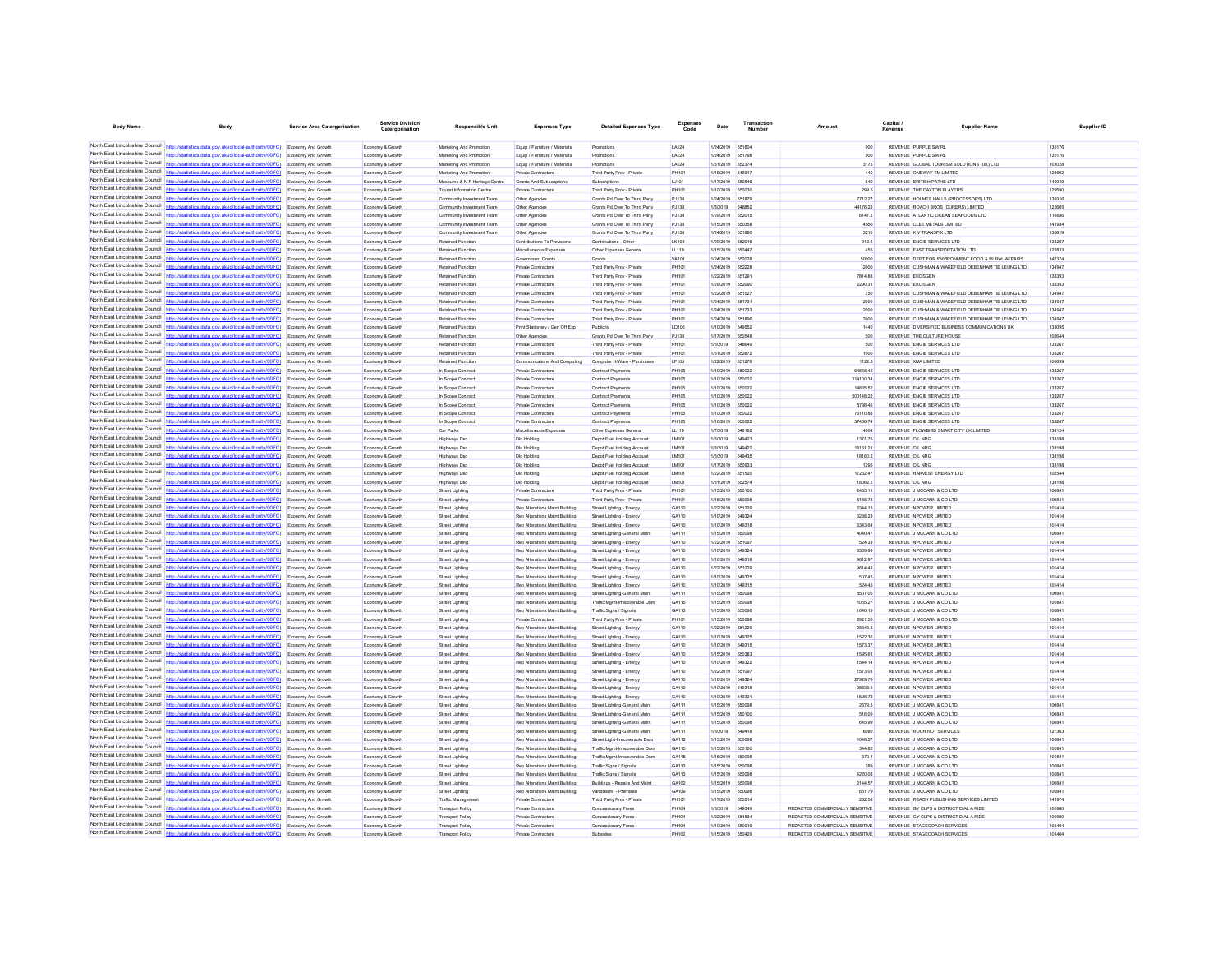| <b>Body Name</b>                                                   | Body                                                                                                                                                                                                | Service Area Catergorisation                    | Service Division<br>Catergorisation  | <b>Responsible Unit</b>                                | <b>Expenses Type</b>                                                    | <b>Detailed Expenses Type</b>                                    | Expenses<br>Code      | Date                          | Transactio<br>Number | Amount                                                             | Capital<br>Revenue                                                               | <b>Supplier Name</b>                               | Supplier ID      |
|--------------------------------------------------------------------|-----------------------------------------------------------------------------------------------------------------------------------------------------------------------------------------------------|-------------------------------------------------|--------------------------------------|--------------------------------------------------------|-------------------------------------------------------------------------|------------------------------------------------------------------|-----------------------|-------------------------------|----------------------|--------------------------------------------------------------------|----------------------------------------------------------------------------------|----------------------------------------------------|------------------|
|                                                                    |                                                                                                                                                                                                     |                                                 |                                      |                                                        |                                                                         |                                                                  |                       |                               |                      |                                                                    |                                                                                  |                                                    |                  |
|                                                                    | North East Lincolnshire Council http://statistics.data.gov.uk/id/local-authority/00FC) Economy And Growth                                                                                           |                                                 | Economy & Growth                     | Marketing And Promotion                                | Equip / Furniture / Materials                                           | Promotions                                                       | LA124                 | 1/24/2019                     | 551804               | 900                                                                | REVENUE PURPLE SWIRL                                                             |                                                    | 135176           |
| North East Lincolnshire Council                                    | North East Lincolnshire Council http://statistics.data.gov.uk/id/local-authority/00FC) Economy And Growth<br>http://statistics.data.gov.uk/id/local-authority/00FC)                                 | Economy And Growth                              | Economy & Growth<br>Economy & Growth | Marketing And Promotion<br>Marketing And Promotion     | Equip / Furniture / Materials<br>Equip / Furniture / Materials          | Promotions<br>Promotions                                         | LA124<br>LA124        | 1/24/2019 551798<br>1/31/2019 | 552374               | 900<br>3175                                                        | REVENUE PURPLE SWIRL<br>REVENUE GLOBAL TOURISM SOLUTIONS (UK) LTD                |                                                    | 135176<br>101028 |
| North East Lincolnshire Council                                    | http://statistics.data.gov.uk/id/local-authority/00FC) Economy And Growth                                                                                                                           |                                                 | Economy & Growth                     | Marketing And Promotion                                | Private Contractors                                                     | Third Party Prov - Private                                       | PH101                 | 1/15/2019                     | 54691                | 440                                                                | REVENUE ONEWAY TM LIMITED                                                        |                                                    | 128602           |
|                                                                    | North East Lincolnshire Council http://statistics.data.gov.uk/id/local-authority/00FC) Economy And Growth                                                                                           |                                                 | Economy & Growth                     | Museums & N F Heritage Centre                          | <b>Grants And Subscriptions</b>                                         | Subscriptions                                                    | LJ101                 | 1/17/2019                     | 550546               | 840                                                                | REVENUE BRITISH PATHE LTD                                                        |                                                    | 140049           |
|                                                                    | North East Lincolnshire Council http://statistics.data.gov.uk/id/local-authority/00FC) Economy And Growth                                                                                           |                                                 | Economy & Growth                     | <b>Tourist Information Centre</b>                      | <b>Private Contractors</b>                                              | Third Party Prov - Private                                       | PH101                 | 1/10/2019                     | 55003                | 299.5                                                              | REVENUE THE CAXTON PLAYERS                                                       |                                                    | 129590           |
|                                                                    | North East Lincolnshire Council http://statistics.data.gov.uk/id/local-authority/00FC) Economy And Growth                                                                                           |                                                 | Economy & Growth                     | Community Investment Team                              | Other Agencies                                                          | Grants Pd Over To Third Party                                    | PJ138                 | 1/24/2019                     | 551879               | 7712.27                                                            | REVENUE HOLMES HALLS (PROCESSORS) LTD                                            |                                                    | 139316           |
| North East Lincolnshire Council                                    | http://statistics.data.gov.uk/id/local-authority/00FC)                                                                                                                                              | <b>Economy And Growth</b>                       | Economy & Growth                     | Community Investment Team                              | Other Agencies                                                          | Grants Pd Over To Third Party                                    | PJ138                 | 1/3/2019                      | 548852               | 44176.22                                                           | REVENUE ROACH BROS (CURERS) LIMITED                                              |                                                    | 122605           |
|                                                                    | North East Lincolnshire Council http://statistics.data.gov.uk/id/local-authority/00FC)<br>North East Lincolnshire Council http://statistics.data.gov.uk/id/local-authority/00FC) Economy And Growth | Economy And Growth                              | Economy & Growth                     | Community Investment Team<br>Community Investment Team | Other Agencies                                                          | Grants Pd Over To Third Party                                    | PJ138                 | 1/29/2019<br>1/15/2019        | 55201<br>550358      | 6147.2<br>4550                                                     | REVENUE ATLANTIC OCEAN SEAFOODS LTD<br>REVENUE CLEE METALS LIMITED               |                                                    | 116656<br>141934 |
|                                                                    | North East Lincolnshire Council http://statistics.data.gov.uk/id/local-authority/00FC) Economy And Growth                                                                                           |                                                 | Economy & Growth<br>Economy & Growth | Community Investment Team                              | Other Agencies<br>Other Agencies                                        | Grants Pd Over To Third Party<br>Grants Pd Over To Third Party   | PJ138<br>PJ138        | 1/24/2019 551880              |                      | 3210                                                               | REVENUE K V TRANSFIX LTD                                                         |                                                    | 135819           |
|                                                                    | North East Lincolnshire Council http://statistics.data.gov.uk/id/local-authority/00FC) Economy And Growth                                                                                           |                                                 | Economy & Growth                     | Retained Function                                      | Contributions To Provisions                                             | Contributions - Other                                            | LK103                 | 1/29/2019 552016              |                      | 912.6                                                              | REVENUE ENGIE SERVICES LTD                                                       |                                                    | 133267           |
| North East Lincolnshire Council                                    | http://statistics.data.gov.uk/id/local-authority/00FC)                                                                                                                                              | <b>Economy And Growth</b>                       | Economy & Growth                     | Retained Function                                      | Miscellaneous Expenses                                                  | Other Expenses General                                           | LL119                 | 1/15/2019                     | 55044                | 455                                                                | REVENUE EAST TRANSPORTATION LTD                                                  |                                                    | 122833           |
| North East Lincolnshire Council                                    | http://statistics.data.gov.uk/id/local-authority/00FC) Economy And Growth                                                                                                                           |                                                 | Economy & Growth                     | Retained Function                                      | Government Grant                                                        | Grants                                                           | VA101                 | 1/24/2019                     |                      | 50000                                                              | REVENUE DEPT FOR ENVIRONMENT FOOD & RURAL AFFAIRS                                |                                                    | 142374           |
|                                                                    | North East Lincolnshire Council http://statistics.data.gov.uk/id/local-authority/00FC) Economy And Growth                                                                                           |                                                 | Economy & Growth                     | Retained Function                                      | Private Contractors                                                     | Third Party Prov - Private                                       | PH101                 | 1/24/2019                     | 552221               | $-2000$                                                            |                                                                                  | REVENUE CUSHMAN & WAKEFIELD DEBENHAM TIE LEUNG LTD | 134947           |
|                                                                    | North East Lincolnshire Council http://statistics.data.gov.uk/id/local-authority/00FC) Economy And Growth                                                                                           |                                                 | Economy & Growth                     | Retained Function<br>Retained Function                 | Private Contractors                                                     | Third Party Prov - Private                                       | PH101<br>PH101        | 1/22/2019<br>1/29/2019        | 55129<br>55209       | 7814.88<br>2290.31                                                 | <b>REVENUE EKOSGEM</b><br><b>REVENUE EKOSGEN</b>                                 |                                                    | 138393<br>138393 |
| North East Lincolnshire Council                                    | North East Lincolnshire Council http://statistics.data.gov.uk/id/local-authority/00FC) Economy And Growth                                                                                           | Economy And Growth                              | Economy & Growth<br>Economy & Growth | Retained Function                                      | Private Contractors<br>Private Contractors                              | Third Party Prov - Private<br>Third Party Prov - Private         | PH101                 | 1/22/2019                     | 65152                | 750                                                                |                                                                                  | REVENUE CUSHMAN & WAKEFIELD DEBENHAM TIE LEUNG LTD | 134947           |
|                                                                    | North East Lincolnshire Council http://statistics.data.gov.uk/id/local-authority/00FC) Economy And Growth                                                                                           |                                                 | Economy & Growth                     | Retained Functio                                       | Private Contractors                                                     | Third Party Prov - Private                                       | PH101                 | 1/24/2019                     | 55173                | 2000                                                               |                                                                                  | REVENUE CUSHMAN & WAKEFIELD DEBENHAM TIE LEUNG LTD | 134947           |
|                                                                    | North East Lincolnshire Council http://statistics.data.gov.uk/id/local-authority/00FC) Economy And Growth                                                                                           |                                                 | Economy & Growth                     | Retained Function                                      | <b>Private Contractors</b>                                              | Third Party Prov - Private                                       | PH101                 | 1/24/2019                     | 651733               | 2000                                                               |                                                                                  | REVENUE CUSHMAN & WAKEFIELD DEBENHAM TIE LEUNG LTD | 134947           |
|                                                                    | North East Lincolnshire Council http://statistics.data.gov.uk/id/local-authority/00FC) Economy And Growth                                                                                           |                                                 | Economy & Growth                     | Retained Function                                      | Private Contractors                                                     | Third Party Prov - Private                                       | PH101                 | 1/24/2019                     | 55189                | 2000                                                               |                                                                                  | REVENUE CUSHMAN & WAKEFIELD DEBENHAM TIE LEUNG LTD | 134947           |
| North East Lincolnshire Council                                    | North East Lincolnshire Council http://statistics.data.gov.uk/id/local-authority/00FC)                                                                                                              | Economy And Growth                              | Economy & Growth                     | Retained Function                                      | Print Stationery / Gen Off Exp                                          | Publicity                                                        | LD105                 | 1/10/2019                     | 549552               | 1440                                                               | REVENUE DIVERSIFIED BUSINESS COMMUNICATIONS UK                                   |                                                    | 133095           |
| North East Lincolnshire Council                                    | http://statistics.data.gov.uk/id/local-authority/00FC)                                                                                                                                              | Economy And Growth                              | Economy & Growth                     | Retained Function                                      | Other Agencies                                                          | Grants Pd Over To Third Party                                    | PJ138                 | 1/17/2019                     | 55054                | 500                                                                | REVENUE THE CULTURE HOUSE                                                        |                                                    | 102644           |
|                                                                    | http://statistics.data.gov.uk/id/local-authority/00FC)<br>North East Lincolnshire Council http://statistics.data.gov.uk/id/local-authority/00FC) Economy And Growth                                 | Economy And Growth                              | Economy & Growt<br>Economy & Growth  | <b>Retained Functio</b><br>Retained Function           | Private Contractors<br>Private Contractors                              | Third Party Prov - Privat<br>Third Party Proy - Private          | PH101<br>PH101        | 1/8/2019<br>1/31/2019         | 54864<br>652872      | 500<br>1000                                                        | REVENUE ENGIE SERVICES LTD<br>REVENUE ENGIE SERVICES LTD                         |                                                    | 133267<br>133267 |
|                                                                    | North East Lincolnshire Council http://statistics.data.gov.uk/id/local-authority/00FC) Economy And Growth                                                                                           |                                                 | Economy & Growth                     | Retained Function                                      | Communications And Computing                                            | Computer H/Ware - Purchases                                      | LF105                 | 1/22/2019                     | 55127                | 1122.5                                                             | REVENUE XMA LIMITED                                                              |                                                    | 100699           |
|                                                                    | North East Lincolnshire Council http://statistics.data.gov.uk/id/local-authority/00FC) Economy And Growth                                                                                           |                                                 | Economy & Growth                     | In Scope Contract                                      | Private Contractors                                                     | Contract Payments                                                | PH105                 | 1/10/2019                     | 55002                | 94656.42                                                           | REVENUE ENGIE SERVICES LTD                                                       |                                                    | 133267           |
| North East Lincolnshire Council                                    | http://statistics.data.gov.uk/id/local-authority/00FC)                                                                                                                                              | <b>Economy And Growth</b>                       | Economy & Growth                     | In Scope Contract                                      | Private Contractors                                                     | Contract Payments                                                | PH105                 | 1/10/2019                     | 550022               | 314100.34                                                          | REVENUE ENGIE SERVICES LTD                                                       |                                                    | 133267           |
| North East Lincolnshire Council                                    | statistics.data.gov.uk/id/local-authority/00FC)                                                                                                                                                     | Economy And Growth                              | Economy & Growth                     | In Scope Contract                                      | Private Contractors                                                     | Contract Payments                                                | PH105                 | 1/10/2019                     | 550022               | 14835.52                                                           | REVENUE ENGIE SERVICES LTD                                                       |                                                    | 133267           |
|                                                                    | North East Lincolnshire Council http://statistics.data.gov.uk/id/local-authority/00FC) Economy And Growth                                                                                           |                                                 | Economy & Growth                     | In Scope Contract                                      | Private Contractors                                                     | <b>Contract Payments</b>                                         | PH105                 | 1/10/2019                     | 550022               | 500148.22                                                          | REVENUE ENGIE SERVICES LTD                                                       |                                                    | 133267           |
| North East Lincolnshire Council                                    | North East Lincolnshire Council http://statistics.data.gov.uk/id/local-authority/00FC) Economy And Growth                                                                                           |                                                 | Economy & Growth                     | In Scope Contract                                      | Private Contractors                                                     | Contract Payments                                                | PH105                 | 1/10/2019                     | 55002                | 5798.46                                                            | REVENUE ENGIE SERVICES LTD                                                       |                                                    | 133267<br>133267 |
| North East Lincolnshire Council                                    | http://statistics.data.gov.uk/id/local-authority/00FC)<br>http://statistics.data.gov.uk/id/local-authority/00FC)                                                                                    | Economy And Growth<br>Economy And Growth        | Economy & Growth<br>Economy & Growth | In Scope Contract<br>In Scope Contrac                  | <b>Private Contractors</b><br>Private Contractors                       | <b>Contract Payments</b><br><b>Contract Payments</b>             | <b>PH105</b><br>PH105 | 1/10/2019<br>1/10/2019        | 550022<br>55002      | 76110.88<br>37466.74                                               | REVENUE ENGIE SERVICES LTD<br>REVENUE ENGIE SERVICES LTD                         |                                                    | 133267           |
|                                                                    | North East Lincolnshire Council http://statistics.data.gov.uk/id/local-authority/00FC)                                                                                                              | Economy And Growth                              | Economy & Growtl                     | Car Parks                                              | Miscellaneous Expenser                                                  | Other Expenses General                                           | LL119                 | 1/7/2019                      | 546162               | 4004                                                               | REVENUE FLOWBIRD SMART CITY UK LIMITED                                           |                                                    | 134124           |
|                                                                    | North East Lincolnshire Council http://statistics.data.gov.uk/id/local-authority/00FC) Economy And Growth                                                                                           |                                                 | Economy & Growth                     | <b>Highways Dsg</b>                                    | Dlo Holding                                                             | Depot Fuel Holding Account                                       | LM101                 | 1/8/2019                      | 549423               | 1371.75                                                            | REVENUE OIL NRG                                                                  |                                                    | 138198           |
|                                                                    | North East Lincolnshire Council http://statistics.data.gov.uk/id/local-authority/00FC) Economy And Growth                                                                                           |                                                 | Economy & Growth                     | Highways Dso                                           | <b>Dlo Holding</b>                                                      | Depot Fuel Holding Account                                       | LM101                 | 1/8/2019                      | 54942                | 18161.21                                                           | REVENUE OIL NRG                                                                  |                                                    | 138198           |
| North East Lincolnshire Council                                    | http://statistics.data.gov.uk/id/local-authority/00FC)                                                                                                                                              | Economy And Growth                              | Economy & Growth                     | <b>Highways Dso</b>                                    | <b>Dio Holding</b>                                                      | Depot Fuel Holding Account                                       | <b>LM101</b>          | 1/8/2019                      | 649435               | 18160.2                                                            | REVENUE OIL NRG                                                                  |                                                    | 138198           |
| North East Lincolnshire Council<br>North East Lincolnshire Council | http://statistics.data.gov.uk/id/local-authority/00FC)                                                                                                                                              | Economy And Growth                              | Economy & Growth                     | <b>Highways Dso</b>                                    | <b>Dio Holding</b>                                                      | Depot Fuel Holding Account                                       | LM101                 | 1/17/2019                     | 550933               | 1295                                                               | REVENUE OIL NRG                                                                  |                                                    | 138198           |
|                                                                    | httn://statistics.data.gov.uk/id/local-authority/00FC)<br>North East Lincolnshire Council http://statistics.data.gov.uk/id/local-authority/00FC) Economy And Growth                                 | Economy And Growt                               | Economy & Growt<br>Economy & Growth  | Highways Ds<br>Highways Dso                            | <b>Dlo Holding</b><br>Dlo Holding                                       | Depot Fuel Holding Accoun<br>Depot Fuel Holding Account          | LM101<br>LM101        | 1/22/2019<br>1/31/2019        | 651520<br>65257      | 17232.47<br>18062.2                                                | REVENUE HARVEST ENERGY LTD<br>REVENUE OIL NRG                                    |                                                    | 102544<br>138198 |
|                                                                    | North East Lincolnshire Council http://statistics.data.gov.uk/id/local-authority/00FC) Economy And Growth                                                                                           |                                                 | Economy & Growth                     | Street Lighting                                        | Private Contractors                                                     | Third Party Prov - Private                                       | PH101                 | 1/15/2019                     | 550100               | 2453.11                                                            | REVENUE J MCCANN & CO LTD                                                        |                                                    | 100841           |
| North East Lincolnshire Council                                    | http://statistics.data.gov.uk/id/local-authority/00FC)                                                                                                                                              | Economy And Growth                              | Economy & Growth                     | <b>Street Lighting</b>                                 | <b>Private Contractors</b>                                              | Third Party Prov - Private                                       | PH101                 | 1/15/2019                     | 55009                | 5166.78                                                            | REVENUE J MCCANN & CO LTD                                                        |                                                    | 100841           |
| North East Lincolnshire Council                                    | //00FC)                                                                                                                                                                                             | Economy And Growth                              | Economy & Growth                     | <b>Street Lighting</b>                                 | Rep Alterations Maint Building                                          | Street Lighting - Energy                                         | GA110                 | 1/22/2019                     | 651229               | 3344.15                                                            | REVENUE NPOWER LIMITED                                                           |                                                    | 101414           |
|                                                                    | North East Lincolnshire Council http://statistics.data.gov.uk/id/local-authority/00FC)                                                                                                              | <b>Economy And Growth</b>                       | Economy & Growt                      | Street Lightin                                         | Rep Alterations Maint Building                                          | Street Lighting - Energy                                         | GA110                 | 1/10/2019                     | 54932                | 3238.23                                                            | REVENUE NPOWER LIMITED                                                           |                                                    | 101414           |
|                                                                    | North East Lincolnshire Council http://statistics.data.gov.uk/id/local-authority/00FC) Economy And Growth                                                                                           |                                                 | Economy & Growth                     | Street Lighting                                        | Rep Alterations Maint Building                                          | Street Lighting - Energy                                         | GA110                 | 1/10/2019                     | 54931                | 3343.64                                                            | REVENUE NPOWER LIMITED                                                           |                                                    | 101414           |
| North East Lincolnshire Council                                    | North East Lincolnshire Council http://statistics.data.gov.uk/id/local-authority/00FC) Economy And Growth                                                                                           |                                                 | Economy & Growth                     | <b>Street Lighting</b>                                 | Rep Alterations Maint Building                                          | Street Lighting-General Maint                                    | GA111                 | 1/15/2019                     | 65009                | 4040.47                                                            | REVENUE J MCCANN & CO LTD                                                        |                                                    | 100841           |
| North East Lincolnshire Council                                    | http://statistics.data.gov.uk/id/local-authority/00FC)                                                                                                                                              | Economy And Growth<br>Economy And Growth        | Economy & Growth<br>Economy & Growth | <b>Street Lighting</b><br><b>Street Lighting</b>       | Rep Alterations Maint Building<br>Rep Alterations Maint Building        | Street Lighting - Energy<br>Street Lighting - Energy             | GA110<br>GA110        | 1/22/2019<br>1/10/2019        | 55109                | 524.33<br>9309.93                                                  | REVENUE NPOWER LIMITED<br>REVENUE NPOWER LIMITED                                 |                                                    | 101414<br>101414 |
|                                                                    | North East Lincolnshire Council http://statistics.data.gov.uk/id/local-authority/00FC) Economy And Growth                                                                                           |                                                 | Economy & Growth                     | Street Lighting                                        | <b>Ren Alterations Maint Building</b>                                   | Street Lighting - Energy                                         | GA110                 | 1/10/2019                     | 549318               | 9612.97                                                            | <b>REVENUE NPOWER LIMITED</b>                                                    |                                                    | 101414           |
| North East Lincolnshire Council http://stat                        | tics.data.gov.uk/id/local-authority/00FC) Economy And Growth                                                                                                                                        |                                                 | Economy & Growth                     | Street Lighting                                        | Rep Alterations Maint Building                                          | Street Lighting - Energy                                         | GA110                 | 1/22/2019 651229              |                      | 9614.43                                                            | REVENUE NPOWER LIMITED                                                           |                                                    | 101414           |
|                                                                    | North East Lincolnshire Council http://statistics.data.gov.uk/id/local-authority/00FC) Economy And Growth                                                                                           |                                                 | Economy & Growth                     | Street Lighting                                        | Rep Alterations Maint Building                                          | Street Lighting - Energy                                         | GA110                 | 1/10/2019                     | 549325               | 507.45                                                             | REVENUE NPOWER LIMITED                                                           |                                                    | 101414           |
| North East Lincolnshire Council                                    | http://statistics.data.gov.uk/id/local-authority/00FC)                                                                                                                                              | Economy And Growth                              | Economy & Growth                     | Street Lighting                                        | Rep Alterations Maint Building                                          | Street Lighting - Energy                                         | GA110                 | 1/10/2019                     | 549315               | 524.45                                                             | REVENUE NPOWER LIMITED                                                           |                                                    | 101414           |
| North East Lincolnshire Council<br>North East Lincolnshire Council | http://statistics.data.gov.uk/id/local-authority/00FC)                                                                                                                                              | Economy And Growth                              | Economy & Growth                     | <b>Street Lighting</b>                                 | Rep Alterations Maint Building                                          | Street Lighting-General Maint                                    | GA111                 | 1/15/2019                     | 55009                | 5507.05                                                            | REVENUE J MCCANN & CO LTD                                                        |                                                    | 100841           |
|                                                                    | http://statistics.data.gov.uk/id/local-authority/00FC) Economy And Growth<br>North East Lincolnshire Council http://statistics.data.gov.uk/id/local-authority/00FC) Economy And Growth              |                                                 | Economy & Growtl<br>Economy & Growth | Street Lightin<br><b>Street Lighting</b>               | Rep Alterations Maint Building<br>Rep Alterations Maint Building        | Traffic Mgmt-Irrecoverable Dan<br>Traffic Signs / Signals        | GA115<br>GA113        | 1/15/2019<br>1/15/2019        | 55009<br>55009       | 1065.27<br>1640.19                                                 | REVENUE J MCCANN & CO LTD<br>REVENUE J MCCANN & CO LTD                           |                                                    | 100841<br>100841 |
|                                                                    | North East Lincolnshire Council http://statistics.data.gov.uk/id/local-authority/00FC) Economy And Growth                                                                                           |                                                 | Economy & Growth                     | <b>Street Lighting</b>                                 | Private Contractors                                                     | Third Party Prov - Privat                                        | PH101                 | 1/15/2019                     | 55009                | 2921.55                                                            | REVENUE J MCCANN & CO LTD                                                        |                                                    | 100841           |
| North East Lincolnshire Council                                    | ics.data.gov.uk/id/local-authority/00FC)                                                                                                                                                            | Economy And Growth                              | Economy & Growth                     | Street Lighting                                        | Rep Alterations Maint Building                                          | Street Lighting - Energy                                         | GA110                 | 1/22/2019                     | 551229               | 28843.3                                                            | REVENUE NPOWER LIMITED                                                           |                                                    | 101414           |
| North East Lincolnshire Council                                    | http://statistics.data.gov.uk/id/local-authority/00FC)                                                                                                                                              | Economy And Growth                              | Economy & Growth                     | Street Lighting                                        | <b>Rep Alterations Maint Building</b>                                   | Street Lighting - Energy                                         | GA110                 | 1/10/2019                     | 549325               | 1522.36                                                            | REVENUE NPOWER LIMITED                                                           |                                                    | 101414           |
|                                                                    | North East Lincolnshire Council http://statistics.data.gov.uk/id/local-authority/00FC) Economy And Growth                                                                                           |                                                 | Economy & Growth                     | <b>Street Lighting</b>                                 | Rep Alterations Maint Building                                          | Street Lighting - Energy                                         | GA110                 | 1/10/2019                     | 549315               | 1573.37                                                            | REVENUE NPOWER LIMITED                                                           |                                                    | 101414           |
|                                                                    | North East Lincolnshire Council http://statistics.data.gov.uk/id/local-authority/00FC) Economy And Growth                                                                                           |                                                 | Economy & Growth                     | <b>Street Lighting</b>                                 | Rep Alterations Maint Building                                          | Street Lighting - Energy                                         | GA110                 | 1/15/2019                     | 650383               | 1595.61                                                            | REVENUE NPOWER LIMITED                                                           |                                                    | 101414           |
| North East Lincolnshire Council                                    | North East Lincolnshire Council http://statistics.data.gov.uk/id/local-authority/00FC)                                                                                                              | Economy And Growth                              | Economy & Growth                     | <b>Street Lighting</b>                                 | <b>Rep Alterations Maint Building</b>                                   | Street Lighting - Energy                                         | GA110                 | 1/10/2019                     | 549322               | 1544.14                                                            | REVENUE NPOWER LIMITED                                                           |                                                    | 101414           |
| North East Lincolnshire Council                                    | http://statistics.data.gov.uk/id/local-authority/00FC)<br>http://statistics.data.gov.uk/id/local-authority/00FC)                                                                                    | <b>Economy And Growth</b><br>Economy And Growth | Economy & Growth<br>Economy & Growth | Street Lighting<br><b>Street Lighting</b>              | Rep Alterations Maint Building<br><b>Rep Alterations Maint Building</b> | Street Lighting - Energy<br>Street Lighting - Energy             | GA110<br>GA110        | 1/22/2019<br>1/10/2019        | 55109                | 1573.01<br>27929.76                                                | REVENUE NPOWER LIMITED<br>REVENUE NPOWER LIMITED                                 |                                                    | 101414<br>101414 |
| North East Lincolnshire Council                                    | http://statistics.data.gov.uk/id/local-authority/00FC) Economy And Growth                                                                                                                           |                                                 | Economy & Growt                      | <b>Street Lighting</b>                                 | Rep Alterations Maint Building                                          | Street Lighting - Energy                                         | GA110                 | 1/10/2019                     | 549318               | 28838.9                                                            | REVENUE NPOWER LIMITED                                                           |                                                    | 101414           |
|                                                                    | North East Lincolnshire Council http://statistics.data.gov.uk/id/local-authority/00FC) Economy And Growth                                                                                           |                                                 | Economy & Growth                     | Street Lighting                                        | Rep Alterations Maint Building                                          | Street Lighting - Energy                                         | GA110                 | 1/10/2019                     | 54932                | 1596.72                                                            | REVENUE NPOWER LIMITED                                                           |                                                    | 101414           |
|                                                                    | North East Lincolnshire Council http://statistics.data.gov.uk/id/local-authority/00FC) Economy And Growth                                                                                           |                                                 | Economy & Growth                     | <b>Street Lighting</b>                                 | <b>Rep Alterations Maint Building</b>                                   | Street Lighting-General Maint                                    | GA111                 | 1/15/2019                     | 55009                | 2679.5                                                             | REVENUE J MCCANN & CO LTD                                                        |                                                    | 100841           |
| North East Lincolnshire Council                                    | http://statistics.data.gov.uk/id/local-authority/00FC)                                                                                                                                              | Economy And Growth                              | Economy & Growth                     | <b>Street Lighting</b>                                 | Rep Alterations Maint Building                                          | Street Lighting-General Maint                                    | GA111                 | 1/15/2019                     | 550100               | 516.09                                                             | REVENUE J MCCANN & CO LTD                                                        |                                                    | 100841           |
| North East Lincolnshire Council                                    |                                                                                                                                                                                                     | <b>Economy And Growth</b>                       | Economy & Growth                     | <b>Street Lighting</b>                                 | Rep Alterations Maint Building                                          | Street Lighting-General Maint                                    | GA111                 | 1/15/2019                     |                      | 645.99                                                             | REVENUE J MCCANN & CO LTD                                                        |                                                    | 100841           |
|                                                                    | North East Lincolnshire Council http://statistics.data.gov.uk/id/local-authority/00FC) Economy And Growth                                                                                           |                                                 | Economy & Growth                     | Street Lighting                                        | Rep Alterations Maint Building                                          | Street Lighting-General Maint                                    | GA111                 | 1/8/2019                      | 549418               | 6080                                                               | REVENUE ROCH NDT SERVICES                                                        |                                                    | 127363           |
|                                                                    | North East Lincolnshire Council http://statistics.data.gov.uk/id/local-authority/00FC) Economy And Growth<br>North East Lincolnshire Council http://statistics.data.gov.uk/id/local-authority/00FC) | <b>Economy And Growth</b>                       | Economy & Growth                     | <b>Street Lighting</b>                                 | Rep Alterations Maint Building<br>Rep Alterations Maint Building        | Street Light-Irrecoverable Dam                                   | GA112<br>GA115        | 1/15/2019<br>1/15/2019        | 55009<br>550100      | 1048.57<br>344.82                                                  | REVENUE J MCCANN & CO LTD<br>REVENUE J MCCANN & CO LTD                           |                                                    | 100841<br>100841 |
| North East Lincolnshire Council                                    | http://statistics.data.gov.uk/id/local-authority/00FC)                                                                                                                                              | Economy And Growth                              | Economy & Growth<br>Economy & Growth | <b>Street Lighting</b><br>Street Lighting              | Rep Alterations Maint Building                                          | Traffic Mgmt-Irrecoverable Dam<br>Traffic Mgmt-Irrecoverable Dam | GA115                 | 1/15/2019                     | 55009                | 370.4                                                              | REVENUE J MCCANN & CO LTD                                                        |                                                    | 100841           |
|                                                                    | North East Lincolnshire Council http://statistics.data.gov.uk/id/local-authority/00FC)                                                                                                              | Economy And Growth                              | Economy & Growth                     | Street Lightin                                         | <b>Rep Alterations Maint Building</b>                                   | Traffic Signs / Signals                                          | GA113                 | 1/15/2019                     | 55009                | 289                                                                | REVENUE J MCCANN & CO LTD                                                        |                                                    | 100841           |
|                                                                    | North East Lincolnshire Council http://statistics.data.gov.uk/id/local-authority/00FC) Economy And Growth                                                                                           |                                                 | Economy & Growth                     | <b>Street Lighting</b>                                 | Rep Alterations Maint Building                                          | Traffic Signs / Signals                                          | GA113                 | 1/15/2019                     | 55009                | 4220.08                                                            | REVENUE J MCCANN & CO LTD                                                        |                                                    | 100841           |
|                                                                    | North East Lincolnshire Council http://statistics.data.gov.uk/id/local-authority/00FC) Economy And Growth                                                                                           |                                                 | Economy & Growth                     | Street Lighting                                        | Rep Alterations Maint Building                                          | Buildings - Repairs And Maint                                    | GA102                 | 1/15/2019                     | 55009                | 2144.57                                                            | REVENUE J MCCANN & CO LTD                                                        |                                                    | 100841           |
|                                                                    | North East Lincolnshire Council http://statistics.data.gov.uk/id/local-authority/00FC) Economy And Growth                                                                                           |                                                 | Economy & Growth                     | <b>Street Lighting</b>                                 | <b>Rep Alterations Maint Building</b>                                   | Vandalism - Premises                                             | GA109                 | 1/15/2019                     | 650098               | 661.79                                                             | REVENUE J MCCANN & CO LTD                                                        |                                                    | 100841           |
| North East Lincolnshire Council<br>North East Lincolnshire Council | tics.data.gov.uk/id/local-authority/00FC)                                                                                                                                                           | <b>Economy And Growth</b>                       | Economy & Growth                     | Traffic Managemen                                      | <b>Private Contractors</b>                                              | Third Party Prov - Private                                       | PH101                 | 1/17/2019                     | 550514               | 282.54                                                             | REVENUE REACH PUBLISHING SERVICES LIMITED                                        |                                                    | 141974           |
|                                                                    | http://statistics.data.gov.uk/id/local-authority/00FC)<br>North East Lincolnshire Council http://statistics.data.gov.uk/id/local-authority/00FC) Economy And Growth                                 |                                                 | Economy & Grow<br>Economy & Growth   | <b>Transport Polic</b><br><b>Transport Policy</b>      | Private Contractors<br><b>Private Contractors</b>                       | Concessionary Fares<br>Concessionary Fares                       | PH104<br>PH104        | 1/8/2019<br>1/22/2019         | 651534               | REDACTED COMMERCIALLY SENSITIVE<br>REDACTED COMMERCIALLY SENSITIVE | REVENUE GY CLPS & DISTRICT DIAL A RIDE<br>REVENUE GY CLPS & DISTRICT DIAL A RIDE |                                                    | 100980<br>100980 |
|                                                                    | North East Lincolnshire Council http://statistics.data.gov.uk/id/local-authority/00FC) Economy And Growth                                                                                           |                                                 | Economy & Growth                     | <b>Transport Policy</b>                                | Private Contractors                                                     | Concessionary Fares                                              | PH104                 | 1/10/2019                     | 550019               | REDACTED COMMERCIALLY SENSITIVE                                    | REVENUE STAGECOACH SERVICES                                                      |                                                    | 101404           |
| North East Lincolnshire Council                                    | http://statistics.data.gov.uk/id/local-authority/00FC)                                                                                                                                              | <b>Fronomy And Growth</b>                       | Economy & Growth                     | <b>Transport Policy</b>                                | Private Contractors                                                     | Subsidies                                                        | PH102                 | 1/15/2019                     | 550429               | REDACTED COMMERCIALLY SENSITIVE                                    | REVENUE STAGECOACH SERVICES                                                      |                                                    | 101404           |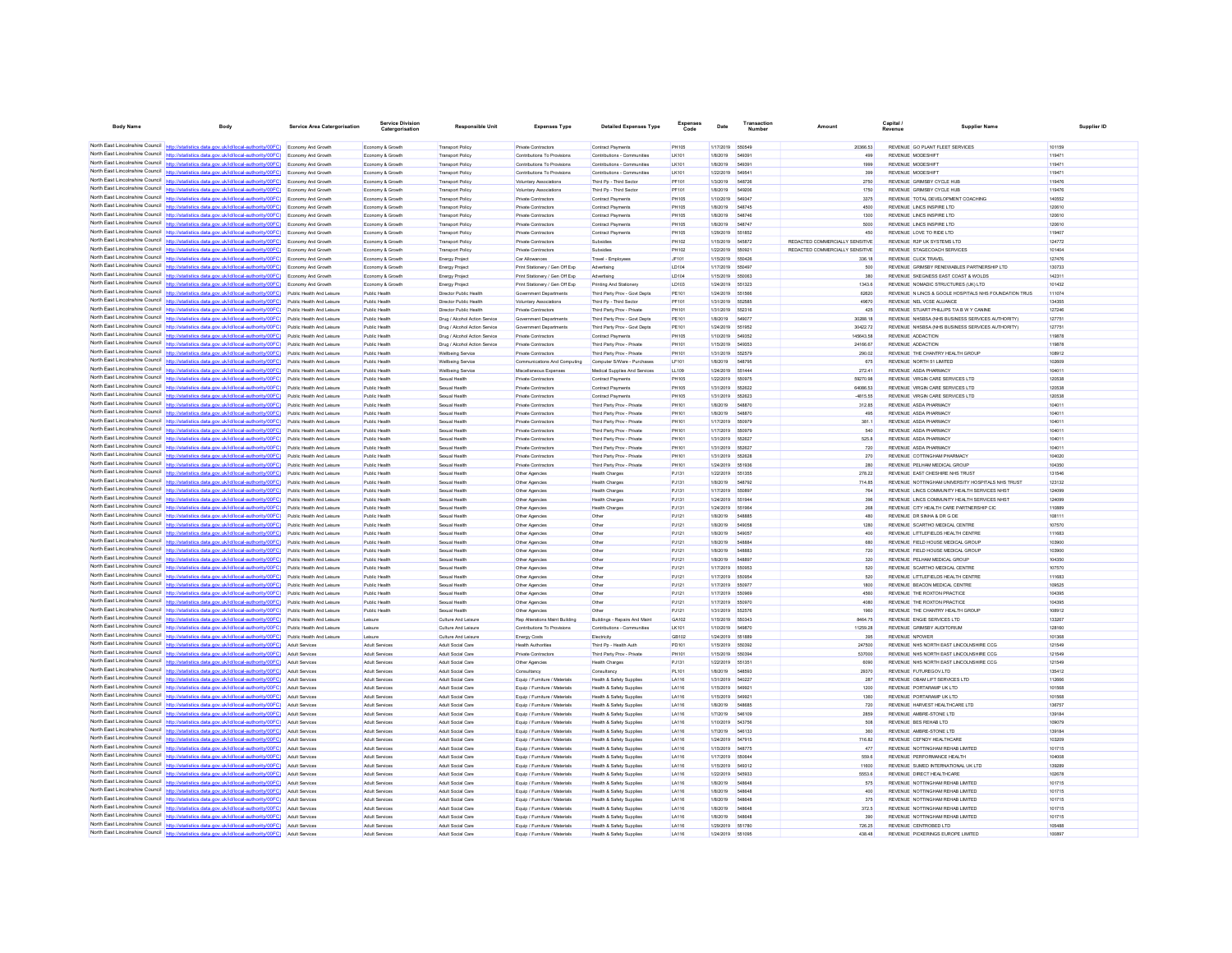| <b>Body Name</b>                                                   | Body                                                                                                                                                                                                | <b>Service Area Catergorisation</b>                    | <b>Service Divisio</b><br>Catergo              | <b>Responsible Unit</b>                         | <b>Expenses Type</b>                                           | <b>Detailed Expenses Type</b>                              | Expenses<br>Code      | Date                   | Transaction             | Amount                          | Capital /                                                                                         | <b>Supplier Nam</b> | Supplier ID |
|--------------------------------------------------------------------|-----------------------------------------------------------------------------------------------------------------------------------------------------------------------------------------------------|--------------------------------------------------------|------------------------------------------------|-------------------------------------------------|----------------------------------------------------------------|------------------------------------------------------------|-----------------------|------------------------|-------------------------|---------------------------------|---------------------------------------------------------------------------------------------------|---------------------|-------------|
|                                                                    |                                                                                                                                                                                                     |                                                        |                                                |                                                 |                                                                |                                                            |                       |                        |                         |                                 |                                                                                                   |                     |             |
|                                                                    | North East Lincolnshire Council http://statistics.data.gov.uk/id/local-authority/00FC) Economy And Growth                                                                                           |                                                        | Economy & Growth                               | <b>Transport Policy</b>                         | <b>Private Contractors</b>                                     | Contract Payments                                          | <b>PH105</b>          | 1/17/2019              | 550549                  | 20366.53                        | REVENUE GO PLANT FLEET SERVICES                                                                   | 101159              |             |
|                                                                    | North East Lincolnshire Council http://statistics.data.gov.uk/id/local-authority/00FC) Economy And Growth                                                                                           |                                                        | Economy & Growth                               | Transport Policy                                | Contributions To Provisions                                    | Contributions - Communities                                | LK101                 | 1/8/2019               | 54939                   | 499                             | REVENUE MODESHIFT                                                                                 | 119471              |             |
| North East Lincolnshire Council                                    | North East Lincolnshire Council http://statistics.data.gov.uk/id/local-authority/00FC) Economy And Growth<br>(OOFC)                                                                                 | <b>Economy And Growth</b>                              | Economy & Growth<br>Economy & Growth           | Transport Policy<br>Transport Policy            | Contributions To Provision<br>Contributions To Provisions      | Contributions - Communities<br>Contributions - Communities | LK101<br>LK101        | 1/8/2019<br>1/22/2019  | 649391<br>549541        | 1999<br>399                     | REVENUE MODESHIFT<br>REVENUE MODESHIFT                                                            | 119471<br>119471    |             |
|                                                                    | North East Lincolnshire Council http://statistics.data.gov.uk/id/local-authority/00FC)                                                                                                              | Economy And Growth                                     | Economy & Growth                               | <b>Transport Policy</b>                         | Voluntary Associations                                         | Third Pp - Third Sector                                    | PF101                 | 1/3/2019               | 548726                  | 2750                            | REVENUE GRIMSBY CYCLE HUB                                                                         | 119476              |             |
|                                                                    | North East Lincolnshire Council http://statistics.data.gov.uk/id/local-authority/00FC)                                                                                                              | <b>Economy And Growth</b>                              | Economy & Growth                               | <b>Transport Policy</b>                         | Voluntary Associations                                         | Third Pp - Third Sector                                    | PF101                 | 1/8/2019               | 549206                  | 1750                            | REVENUE GRIMSBY CYCLE HUB                                                                         | 119476              |             |
|                                                                    | North East Lincolnshire Council http://statistics.data.gov.uk/id/local-authority/00FC) Economy And Growth                                                                                           |                                                        | Economy & Growth                               | Transport Policy                                | Private Contractors                                            | Contract Payments                                          | PH105                 | 1/10/2019              | 54934                   | 3375                            | REVENUE TOTAL DEVELOPMENT COACHING                                                                | 140552              |             |
| North East Lincolnshire Council                                    | http://statistics.data.gov.uk/id/local-authority/00FC)                                                                                                                                              | Economy And Growth                                     | Economy & Growth                               | <b>Transport Policy</b>                         | <b>Private Contractors</b>                                     | <b>Contract Payments</b>                                   | <b>PH105</b>          | 1/8/2019               | 548745                  | 4500                            | REVENUE LINCS INSPIRE LTD                                                                         | 120610              |             |
| North East Lincolnshire Council                                    |                                                                                                                                                                                                     | Economy And Growth                                     | Economy & Growth                               | <b>Transport Policy</b>                         | Private Contractors                                            | Contract Payments                                          | PH105                 | 1/8/2019               | 548746                  | 1300                            | REVENUE LINCS INSPIRE LTD                                                                         | 120610              |             |
|                                                                    | North East Lincolnshire Council http://statistics.data.gov.uk/id/local-authority/00FC)<br>North East Lincolnshire Council http://statistics.data.gov.uk/id/local-authority/00FC) Economy And Growth | Economy And Growth                                     | Economy & Growt<br>Economy & Growth            | <b>Transport Policy</b><br>Transport Policy     | Private Contractors<br><b>Private Contractors</b>              | Contract Paymen<br><b>Contract Payments</b>                | PH105<br><b>PH105</b> | 1/8/2019<br>1/29/2019  | <b>548747</b><br>551852 | 5000<br>450                     | REVENUE LINCS INSPIRE LTD<br>REVENUE LOVE TO RIDE LTD                                             | 120610<br>119407    |             |
|                                                                    | North East Lincolnshire Council http://statistics.data.gov.uk/id/local-authority/00FC) Economy And Growth                                                                                           |                                                        | Economy & Growth                               | Transport Policy                                | Private Contractors                                            | Subsidies                                                  | PH102                 | 1/15/2019              | 545872                  | REDACTED COMMERCIALLY SENSITIVE | REVENUE R2P UK SYSTEMS LTD                                                                        | 124772              |             |
| North East Lincolnshire Council                                    | http://statistics.data.gov.uk/id/local-authority/00FC)                                                                                                                                              | Economy And Growth                                     | Economy & Growth                               | <b>Transport Policy</b>                         | <b>Private Contractors</b>                                     | Subsidies                                                  | PH102                 | 1/22/2019              | 550921                  | REDACTED COMMERCIALLY SENSITIVE | REVENUE STAGECOACH SERVICES                                                                       | 101404              |             |
| North East Lincolnshire Council                                    |                                                                                                                                                                                                     | Economy And Growth                                     | Economy & Growth                               | <b>Energy Project</b>                           | Car Allowances                                                 | Travel - Employee                                          | JF101                 | 1/15/2019              | 550426                  | 336.18                          | REVENUE CLICK TRAVEL                                                                              | 127476              |             |
|                                                                    | North East Lincolnshire Council http://statistics.data.gov.uk/id/local-authority/00FC)                                                                                                              | Economy And Growth                                     | Economy & Growt                                | <b>Energy Project</b>                           | Print Stationery / Gen Off Exp                                 | Advertising                                                | LD104                 | 1/17/2019              | 650497                  | 500                             | REVENUE GRIMSBY RENEWABLES PARTNERSHIP LTD                                                        | 130733              |             |
| North East Lincolnshire Council                                    | North East Lincolnshire Council http://statistics.data.gov.uk/id/local-authority/00FC)                                                                                                              | Economy And Growth                                     | Economy & Growt                                | <b>Energy Project</b>                           | Print Stationery / Gen Off Exp                                 | Advertising                                                | LD104                 | 1/15/2019              | 650063                  | 380                             | REVENUE SKEGNESS EAST COAST & WOLDS                                                               | 142311              |             |
| North East Lincolnshire Council                                    | http://statistics.data.gov.uk/id/local-authority/00FC) Economy And Growth<br>http://statistics.data.gov.uk/id/local-authority/00FC)                                                                 | Public Health And Leisure                              | Economy & Growt<br>Public Health               | <b>Energy Project</b><br>Director Public Health | Print Stationery / Gen Off Exp<br>Government Departments       | Printing And Stationery<br>Third Party Prov - Govt Depts   | LD103<br>PE101        | 1/24/2019<br>1/24/2019 | 651323<br>551566        | 1343.6<br>62620                 | REVENUE NOMADIC STRUCTURES (UK) LTD<br>REVENUE IN LINCS & GOOLE HOSPITALS NHS FOUNDATION TRUS     | 101432<br>111074    |             |
| North East Lincolnshire Council http:/                             | statistics.data.gov.uk/id/local-authority/00FC)                                                                                                                                                     | Public Health And Leisure                              | Public Healt                                   | Director Public Health                          | Voluntary Associations                                         | Third Pp - Third Sector                                    | PF101                 | 1/31/2019              |                         | 49670                           | REVENUE NEL VCSE ALLIANCI                                                                         | 134355              |             |
|                                                                    | North East Lincolnshire Council http://statistics.data.gov.uk/id/local-authority/00FC)                                                                                                              | Public Health And Leisure                              | Public Health                                  | Director Public Health                          | Private Contractors                                            | Third Party Prov - Private                                 | PH101                 | 1/31/2019              | 552316                  | 425                             | REVENUE STUART PHILLIPS T/A B W Y CANINE                                                          | 127246              |             |
|                                                                    | North East Lincolnshire Council http://statistics.data.gov.uk/id/local-authority/00FC) Public Health And Leisure                                                                                    |                                                        | Public Health                                  | Drug / Alcohol Action Service                   | Government Departments                                         | Third Party Prov - Govt Depts                              | PE101                 | 1/8/2019               | 549077                  | 30288.18                        | REVENUE NHSBSA (NHS BUSINESS SERVICES AUTHORITY)                                                  | 127751              |             |
|                                                                    | North East Lincolnshire Council http://statistics.data.gov.uk/id/local-authority/00FC)                                                                                                              | Public Health And Leisure                              | Public Health                                  | Drug / Alcohol Action Service                   | Government Departments                                         | Third Party Prov - Govt Depts                              | PE101                 | 1/24/2019 551952       |                         | 30422.72                        | REVENUE NHSBSA (NHS BUSINESS SERVICES AUTHORITY)                                                  | 127751              |             |
| North East Lincolnshire Council<br>North East Lincolnshire Council | http://statistics.data.gov.uk/id/local-authority/00FC)                                                                                                                                              | Public Health And Leisure                              | Public Health                                  | Drug / Alcohol Action Service                   | Private Contractors                                            | <b>Contract Payments</b>                                   | PH105                 | 1/10/2019              | 549352                  | 145643.58                       | REVENUE ADDACTION                                                                                 | 119878              |             |
| North East Lincolnshire Council                                    | http://statistics.data.gov.uk/id/local-authority/00FC)<br>http://statistics.data.gov.uk/id/local-authority/00EC)                                                                                    | Public Health And Leisure                              | Public Health<br>Public Health                 | Drug / Alcohol Action Service                   | Private Contractors                                            | Third Party Prov - Private                                 | PH101                 | 1/15/2019              |                         | 24166.67                        | REVENUE ADDACTION                                                                                 | 119878<br>108912    |             |
|                                                                    | North East Lincolnshire Council http://statistics.data.gov.uk/id/local-authority/00FC) Public Health And Leisure                                                                                    | Public Health And Leisure                              | Public Health                                  | Wellbeing Servic<br>Wellbeing Service           | <b>Private Contractors</b><br>Communications And Computing     | Third Party Prov - Private<br>Computer S/Ware - Purchases  | PH101<br>LF101        | 1/31/2019<br>1/8/2019  | 662679<br>548795        | 290.02<br>675                   | REVENUE THE CHANTRY HEALTH GROUP<br>REVENUE NORTH 51 LIMITED                                      | 102609              |             |
|                                                                    | North East Lincolnshire Council http://statistics.data.gov.uk/id/local-authority/00FC)                                                                                                              | Public Health And Leisure                              | Public Health                                  | <b>Wellbeing Servic</b>                         | Miscellaneous Expense                                          | Medical Supplies And Services                              | LL109                 | 1/24/2019              | 651444                  | 272.41                          | REVENUE ASDA PHARMACY                                                                             | 104011              |             |
| North East Lincolnshire Council                                    | http://statistics.data.gov.uk/id/local-authority/00FC)                                                                                                                                              | Public Health And Leisure                              | Public Health                                  | Sexual Health                                   | <b>Private Contractors</b>                                     | <b>Contract Payments</b>                                   | <b>PH105</b>          | 1/22/2019              | 550975                  | 59270.98                        | REVENUE VIRGIN CARE SERVICES LTD                                                                  | 120538              |             |
| North East Lincolnshire Council                                    |                                                                                                                                                                                                     | Public Health And Leisure                              | Public Health                                  | Sexual Health                                   | Private Contractors                                            | <b>Contract Payments</b>                                   | PH105                 | 1/31/2019              | 552622                  | 64086.53                        | REVENUE VIRGIN CARE SERVICES LTD                                                                  | 120538              |             |
|                                                                    | North East Lincolnshire Council http://statistics.data.gov.uk/id/local-authority/00FC)                                                                                                              | Public Health And Leisure                              | Public Health                                  | Sexual Health                                   | <b>Private Contractors</b>                                     | <b>Contract Payments</b>                                   | <b>PH105</b>          | 1/31/2019              | 552623                  | -4815.55                        | REVENUE VIRGIN CARE SERVICES LTD                                                                  | 120538              |             |
| North East Lincolnshire Council                                    | North East Lincolnshire Council http://statistics.data.gov.uk/id/local-authority/00FC)                                                                                                              | Public Health And Leisure                              | Public Health                                  | Sexual Health                                   | <b>Private Contractors</b>                                     | Third Party Prov - Private                                 | PH101                 | 1/8/2019               | 548870                  | 312.85                          | REVENUE ASDA PHARMACY                                                                             | 104011              |             |
| North East Lincolnshire Council                                    | http://statistics.data.gov.uk/id/local-authority/00FC)<br>istics.data.gov.uk/id/local-authority/00FC)                                                                                               | Public Health And Leisure                              | Public Health                                  | Sexual Health                                   | <b>Private Contractors</b>                                     | Third Party Prov - Private                                 | PH101<br>PH101        | 1/8/2019<br>1/17/2019  | 548870<br>550979        | 495<br>381.1                    | REVENUE ASDA PHARMACY<br>REVENUE ASDA PHARMACY                                                    | 104011<br>104011    |             |
|                                                                    | North East Lincolnshire Council http://statistics.data.gov.uk/id/local-authority/00FC)                                                                                                              | Public Health And Leisure<br>Public Health And Leisure | Public Health<br>Public Health                 | Sexual Health<br>Sexual Healt                   | Private Contractors<br>Private Contractors                     | Third Party Prov - Private<br>Third Party Prov - Private   | PH101                 | 1/17/2019              | 550979                  | 540                             | REVENUE ASDA PHARMACY                                                                             | 104011              |             |
| North East Lincolnshire Council                                    | http://statistics.data.gov.uk/id/local-authority/00FC)                                                                                                                                              | Public Health And Leisure                              | Public Health                                  | Sexual Health                                   | Private Contractors                                            | Third Party Prov - Private                                 | PH101                 | 1/31/2019              | 652627                  | 525.8                           | REVENUE ASDA PHARMACY                                                                             | 104011              |             |
| North East Lincolnshire Council                                    | http://statistics.data.gov.uk/id/local-authority/00FC)                                                                                                                                              | Public Health And Leisure                              | Public Health                                  | Sexual Health                                   | Private Contractors                                            | Third Party Prov - Private                                 | PH101                 | 1/31/2019              | 55262                   | 720                             | REVENUE ASDA PHARMACY                                                                             | 104011              |             |
| North East Lincolnshire Council                                    | http://statistics.data.gov.uk/id/local-authority/00FC)                                                                                                                                              | Public Health And Leisure                              | Public Health                                  | Sexual Health                                   | Private Contractors                                            | Third Party Prov - Private                                 | PH101                 | 1/31/2019              | 552626                  | 270                             | REVENUE COTTINGHAM PHARMACY                                                                       | 104020              |             |
| North East Lincolnshire Council                                    | stics.data.gov.uk/id/local-authority/00FC)                                                                                                                                                          | Public Health And Leisure                              | Public Health                                  | Sexual Health                                   | <b>Private Contractors</b>                                     | Third Party Prov - Private                                 | PH101                 | 1/24/2019              | 551936                  | 280                             | REVENUE PELHAM MEDICAL GROUP                                                                      | 104350              |             |
| North East Lincolnshire Council                                    | istics.data.gov.uk/id/local-authority/00FC)                                                                                                                                                         |                                                        | Public Healt                                   | Sexual Healt                                    | Other Agencies                                                 | Health Charge                                              | PJ131                 | 1/22/2019              | 651355                  | 278.22                          | REVENUE EAST CHESHIRE NHS TRUST                                                                   | 131546              |             |
|                                                                    | North East Lincolnshire Council http://statistics.data.gov.uk/id/local-authority/00FC)<br>North East Lincolnshire Council http://statistics.data.gov.uk/id/local-authority/00FC)                    | Public Health And Leisure<br>Public Health And Leisure | Public Health<br>Public Health                 | Sexual Health<br>Sexual Health                  | Other Agencies<br>Other Agencies                               | Health Charges<br><b>Health Charges</b>                    | PJ131<br>PJ131        | 1/8/2019<br>1/17/2019  | 548792<br>55089         | 714.85<br>764                   | REVENUE NOTTINGHAM UNIVERSITY HOSPITALS NHS TRUST<br>REVENUE LINCS COMMUNITY HEALTH SERVICES NHS' | 123132<br>124099    |             |
| North East Lincolnshire Council                                    | http://statistics.data.gov.uk/id/local-authority/00FC)                                                                                                                                              | Public Health And Leisure                              | Public Health                                  | Sexual Health                                   | Other Agencies                                                 | <b>Health Charges</b>                                      | PJ131                 | 1/24/2019 551944       |                         | 396                             | REVENUE LINCS COMMUNITY HEALTH SERVICES NHST                                                      | 124099              |             |
| North East Lincolnshire Council                                    | /00FC)                                                                                                                                                                                              | Public Health And Leisure                              | Public Health                                  | Sexual Health                                   | Other Agencies                                                 | Health Charges                                             | PJ131                 | 1/24/2019              | 551964                  | 268                             | REVENUE CITY HEALTH CARE PARTNERSHIP CIC                                                          | 110889              |             |
| North East Lincolnshire Council                                    | http://statistics.data.gov.uk/id/local-authority/00FC)                                                                                                                                              | Public Health And Leisure                              | Public Health                                  | Sexual Health                                   | Other Agencies                                                 | Other                                                      | PJ121                 | 1/8/2019               | <b>S48885</b>           | 480                             | REVENUE DR SINHA & DR G DE                                                                        | 108111              |             |
| North East Lincolnshire Council                                    | http://statistics.data.gov.uk/id/local-authority/00FC)                                                                                                                                              | Public Health And Leisure                              | Public Health                                  | Sexual Health                                   | Other Agencies                                                 | Other                                                      | PJ121                 | 1/8/2019               | 549058                  | 1280                            | REVENUE SCARTHO MEDICAL CENTRE                                                                    | 107570              |             |
| North East Lincolnshire Council                                    | North East Lincolnshire Council http://statistics.data.gov.uk/id/local-authority/00FC)                                                                                                              | Public Health And Leisure                              | Public Health                                  | Sexual Health                                   | Other Agencies                                                 | Other                                                      | PJ121                 | 1/8/2019               | 54905                   | 400                             | REVENUE LITTLEFIELDS HEALTH CENTRE                                                                | 111683              |             |
| North East Lincolnshire Council                                    | http://statistics.data.gov.uk/id/local-authority/00FC)                                                                                                                                              | Public Health And Leisure<br>Public Health And Leisure | Public Health<br>Public Health                 | Sexual Health<br>Sexual Health                  | Other Agencies<br>Other Agencies                               | Other<br>Other                                             | PJ121<br>PJ121        | 1/8/2019<br>1/8/2019   | <b>F48884</b><br>548883 | 680<br>720                      | REVENUE FIELD HOUSE MEDICAL GROUP<br>REVENUE FIELD HOUSE MEDICAL GROUP                            | 103900<br>103900    |             |
|                                                                    | North East Lincolnshire Council http://statistics.data.gov.uk/id/local-authority/00FC)                                                                                                              | Public Health And Leisure                              | Public Healt                                   | Sexual Health                                   | Other Agencies                                                 | Other                                                      | PJ121                 | 1/8/2019               | <b>548897</b>           | 320                             | REVENUE PELHAM MEDICAL GROUP                                                                      | 104350              |             |
|                                                                    | North East Lincolnshire Council http://statistics.data.gov.uk/id/local-authority/00FC).                                                                                                             | Public Health And Leisure                              | Public Health                                  | Sexual Health                                   | Other Agencies                                                 | Other                                                      | PJ121                 | 1/17/2019              | 550953                  | 520                             | REVENUE SCARTHO MEDICAL CENTRE                                                                    | 107570              |             |
|                                                                    | North East Lincolnshire Council http://statistics.data.gov.uk/id/local-authority/00FC)                                                                                                              | Public Health And Leisure                              | Public Health                                  | Sexual Health                                   | Other Agencies                                                 | Other                                                      | PJ121                 | 1/17/2019              | 650954                  | 520                             | REVENUE LITTLEFIELDS HEALTH CENTRE                                                                | 111683              |             |
| North East Lincolnshire Council                                    | http://statistics.data.gov.uk/id/local-authority/00FC)                                                                                                                                              | Public Health And Leisure                              | Public Health                                  | Sexual Health                                   | Other Agencies                                                 | Other                                                      | PJ121                 | 1/17/2019              | 650977                  | 1800                            | REVENUE BEACON MEDICAL CENTRE                                                                     | 109525              |             |
| North East Lincolnshire Council<br>North East Lincolnshire Council | ttp://statistics.data.gov.uk/id/local-authority/00FC)                                                                                                                                               | Public Health And Leisure                              | Public Health                                  | Sexual Health                                   | Other Agencies                                                 | Other                                                      | PJ121                 | 1/17/2019              | 55096                   | 4560                            | REVENUE THE ROXTON PRACTICE                                                                       | 104395              |             |
|                                                                    | http://statistics.data.gov.uk/id/local-authority/00FC)<br>North East Lincolnshire Council http://statistics.data.gov.uk/id/local-authority/00FC)                                                    | Public Health And Leisure                              | Public Healt<br>Public Health                  | Sexual Health                                   | Other Agencies                                                 | Other                                                      | PJ121                 | 1/17/2019              | 550970<br>552576        | 4080<br>1960                    | REVENUE THE ROXTON PRACTICE<br>REVENUE THE CHANTRY HEALTH GROUP                                   | 104395<br>108912    |             |
|                                                                    | North East Lincolnshire Council http://statistics.data.gov.uk/id/local-authority/00FC) Public Health And Leisure                                                                                    | Public Health And Leisure                              | Leisure                                        | Sexual Health<br>Culture And Leisure            | Other Agencies<br><b>Rep Alterations Maint Building</b>        | Buildings - Repairs And Maint                              | PJ121<br>GA102        | 1/31/2019<br>1/15/2019 | 650343                  | 8464.75                         | REVENUE ENGIE SERVICES LTD                                                                        | 133267              |             |
| North East Lincolnshire Council                                    | http://statistics.data.gov.uk/id/local-authority/00FC)                                                                                                                                              | Public Health And Leisure                              | Leisure                                        | Culture And Leisure                             | Contributions To Provisions                                    | Contributions - Communities                                | LK101                 | 1/10/2019              | 549870                  | 11259.28                        | REVENUE GRIMSBY AUDITORIUM                                                                        | 128160              |             |
| North East Lincolnshire Council                                    |                                                                                                                                                                                                     |                                                        | Leisure                                        | Culture And Leisun                              | Energy Costs                                                   | Electricity                                                | GB102                 | 1/24/2019              |                         | 395                             |                                                                                                   | 101368              |             |
|                                                                    | North East Lincolnshire Council http://statistics.data.gov.uk/id/local-authority/00FC)                                                                                                              | Adult Services                                         | Adult Services                                 | Adult Social Care                               | <b>Health Authorities</b>                                      | Third Pp - Health Auth                                     | PD101                 | 1/15/2019              | 550392                  | 247500                          | REVENUE NHS NORTH EAST LINCOLNSHIRE CCG                                                           | 121549              |             |
| North East Lincolnshire Council                                    | http://statistics.data.gov.uk/id/local-authority/00FC)                                                                                                                                              | Adult Services                                         | <b>Adult Services</b>                          | Adult Social Care                               | Private Contractors                                            | Third Party Prov - Private                                 | PH101                 | 1/15/2019              | 550394                  | 537000                          | REVENUE NHS NORTH EAST LINCOLNSHIRE CCG                                                           | 121549              |             |
| North East Lincolnshire Council                                    | North East Lincolnshire Council http://statistics.data.gov.uk/id/local-authority/00FC)                                                                                                              | Adult Services                                         | <b>Adult Services</b>                          | Adult Social Care                               | Other Agencies                                                 | <b>Health Charges</b>                                      | PJ131                 | 1/22/2019              | 65135                   | 6090                            | REVENUE NHS NORTH EAST LINCOLNSHIRE CCG                                                           | 121549              |             |
| North East Lincolnshire Council                                    | http://statistics.data.gov.uk/id/local-authority/00FC)<br>http://statistics.data.gov.uk/id/local-authority/00FC)                                                                                    | <b>Adult Services</b><br>Adult Services                | <b>Adult Services</b><br><b>Adult Services</b> | Adult Social Care<br>Adult Social Care          | Consultancy<br>Equip / Furniture / Materials                   | Consultancy<br>Health & Safety Supplies                    | PL101<br>LA116        | 1/8/2019<br>1/31/2019  | 548593                  | 29370<br>287                    | REVENUE FUTUREGOV.LTD<br>REVENUE OBAM LIFT SERVICES LTD                                           | 135412<br>112666    |             |
| North East Lincolnshire Council                                    | http://statistics.data.gov.uk/id/local-authority/00EC)                                                                                                                                              | <b>Adult Services</b>                                  | Adult Services                                 | Adult Social Care                               | Equip / Furniture / Materials                                  | Health & Safety Supplier                                   | LA116                 | 1/15/2019              | 549921                  | 1200                            | REVENUE PORTARAMP UK LTD                                                                          | 101568              |             |
|                                                                    | North East Lincolnshire Council http://statistics.data.gov.uk/id/local-authority/00FC) Adult Services                                                                                               |                                                        | Adult Services                                 | Adult Social Care                               | Equip / Furniture / Materials                                  | Health & Safety Supplies                                   | LA116                 | 1/15/2019              | 54992                   | 1360                            | REVENUE PORTARAMP UK LTD                                                                          | 101568              |             |
|                                                                    | North East Lincolnshire Council http://statistics.data.gov.uk/id/local-authority/00FC)                                                                                                              | Adult Services                                         | Adult Services                                 | Adult Social Care                               | Equip / Furniture / Materials                                  | Health & Safety Supplies                                   | LA116                 | 1/8/2019               | <b>S4RRRF</b>           | 720                             | REVENUE HARVEST HEALTHCARE LTD                                                                    | 136757              |             |
| North East Lincolnshire Council                                    | http://statistics.data.gov.uk/id/local-authority/00FC)                                                                                                                                              | <b>Adult Services</b>                                  | <b>Adult Services</b>                          | Adult Social Care                               | Equip / Furniture / Materials                                  | Health & Safety Supplier                                   | LA116                 | 1/7/2019               | 546109                  | 2859                            | REVENUE AMBRE-STONE LTD                                                                           | 139184              |             |
| North East Lincolnshire Council                                    |                                                                                                                                                                                                     | <b>Adult Services</b>                                  | Adult Services                                 | Adult Social Care                               | Equip / Furniture / Materials                                  | Health & Safety Supplies                                   | LA116                 | 1/10/2019              | 543756                  | 508                             | REVENUE BES REHAB LTD                                                                             | 109079              |             |
|                                                                    | North East Lincolnshire Council http://statistics.data.gov.uk/id/local-authority/00FC)                                                                                                              | Adult Services                                         | Adult Services                                 | Adult Social Care                               | Equip / Furniture / Materials                                  | Health & Safety Supplies                                   | LA116                 | 1/7/2019               | 546133                  | 360                             | REVENUE AMBRE-STONE LTD                                                                           | 139184              |             |
|                                                                    | North East Lincolnshire Council http://statistics.data.gov.uk/id/local-authority/00FC) Adult Services<br>North East Lincolnshire Council http://statistics.data.gov.uk/id/local-authority/00FC)     | <b>Adult Services</b>                                  | Adult Services<br>Adult Services               | Adult Social Care<br>Adult Social Care          | Equip / Furniture / Materials                                  | Health & Safety Supplies                                   | LA116<br>LA116        | 1/24/2019<br>1/15/2019 | 547915<br>648775        | 716.82<br>477                   | REVENUE CEFNDY HEALTHCARE<br>REVENUE NOTTINGHAM REHAB LIMITED                                     | 103209<br>101715    |             |
| North East Lincolnshire Council                                    | http://statistics.data.gov.uk/id/local-authority/00FC)                                                                                                                                              | <b>Adult Services</b>                                  | Adult Services                                 | Adult Social Care                               | Equip / Furniture / Materials<br>Equip / Furniture / Materials | Health & Safety Supplies<br>Health & Safety Supplies       | LA116                 | 1/17/2019              | 55064                   | 559.6                           | REVENUE PERFORMANCE HEALTH                                                                        | 104008              |             |
| North East Lincolnshire Council                                    | http://statistics.data.gov.uk/id/local-authority/00FC)                                                                                                                                              | Adult Services                                         | Adult Services                                 | Adult Social Care                               | Equip / Furniture / Materials                                  | Health & Safety Supplie                                    | LA116                 | 1/15/2019              | 549312                  | 11600                           | REVENUE SUMED INTERNATIONAL UK LTD                                                                | 139289              |             |
|                                                                    | North East Lincolnshire Council http://statistics.data.gov.uk/id/local-authority/00FC)                                                                                                              | Adult Services                                         | <b>Adult Services</b>                          | Adult Social Care                               | Equip / Furniture / Materials                                  | Health & Safety Supplier                                   | LA116                 | 1/22/2019              | 545933                  | 5553.6                          | REVENUE DIRECT HEALTHCARE                                                                         | 102678              |             |
|                                                                    | North East Lincolnshire Council http://statistics.data.gov.uk/id/local-authority/00FC) Adult Services                                                                                               |                                                        | Adult Services                                 | Adult Social Care                               | Equip / Furniture / Materials                                  | Health & Safety Supplies                                   | LA116                 | 1/8/2019               | 548648                  | 575                             | REVENUE NOTTINGHAM REHAB LIMITED                                                                  | 101715              |             |
|                                                                    | North East Lincolnshire Council http://statistics.data.gov.uk/id/local-authority/00FC)                                                                                                              | <b>Adult Services</b>                                  | Adult Services                                 | Adult Social Care                               | Equip / Furniture / Materials                                  | Health & Safety Supplier                                   | LA116                 | 1/8/2019               | 548648                  | 400                             | REVENUE NOTTINGHAM REHAB LIMITED                                                                  | 101715              |             |
| North East Lincolnshire Council<br>North East Lincolnshire Council | stics.data.gov.uk/id/local-authority/00FC)<br>http://statistics.data.gov.uk/id/local-authority/00FC)                                                                                                | Adult Services                                         | Adult Services                                 | Adult Social Care                               | Equip / Furniture / Materials                                  | Health & Safety Supplies                                   | LA116                 | 1/8/2019               | 548648<br>548848        | 375                             | REVENUE NOTTINGHAM REHAB LIMITED                                                                  | 101715              |             |
|                                                                    | North East Lincolnshire Council http://statistics.data.gov.uk/id/local-authority/00FC) Adult Services                                                                                               |                                                        | Adult Services<br><b>Adult Services</b>        | Adult Social Care<br>Adult Social Care          | Equip / Furniture / Materials<br>Equip / Furniture / Materials | lealth & Safety Supplie<br>Health & Safety Supplier        | LA116<br>LA116        | 1/8/2019<br>1/8/2019   | 548648                  | 372.5<br>390                    | REVENUE NOTTINGHAM REHAB LIMITED<br>REVENUE NOTTINGHAM REHAB LIMITED                              | 101715<br>101715    |             |
|                                                                    | North East Lincolnshire Council http://statistics.data.gov.uk/id/local-authority/00FC) Adult Services                                                                                               |                                                        | Adult Services                                 | Adult Social Care                               | Equip / Furniture / Materials                                  | Health & Safety Supplies                                   | LA116                 | 1/29/2019              | 551780                  | 726.25                          | REVENUE CENTROBED LTD                                                                             | 105488              |             |
| North East Lincolnshire Council                                    | http://statistics.data.gov.uk/id/local-authority/00FC)                                                                                                                                              | <b>Adult Services</b>                                  | <b>Adult Services</b>                          | Adult Social Care                               | Equip / Furniture / Materials                                  | Health & Safety Supplier                                   | LA116                 | 9100347                | 551095                  | 438.48                          | REVENUE PICKERINGS EUROPE UMTED                                                                   | 100897              |             |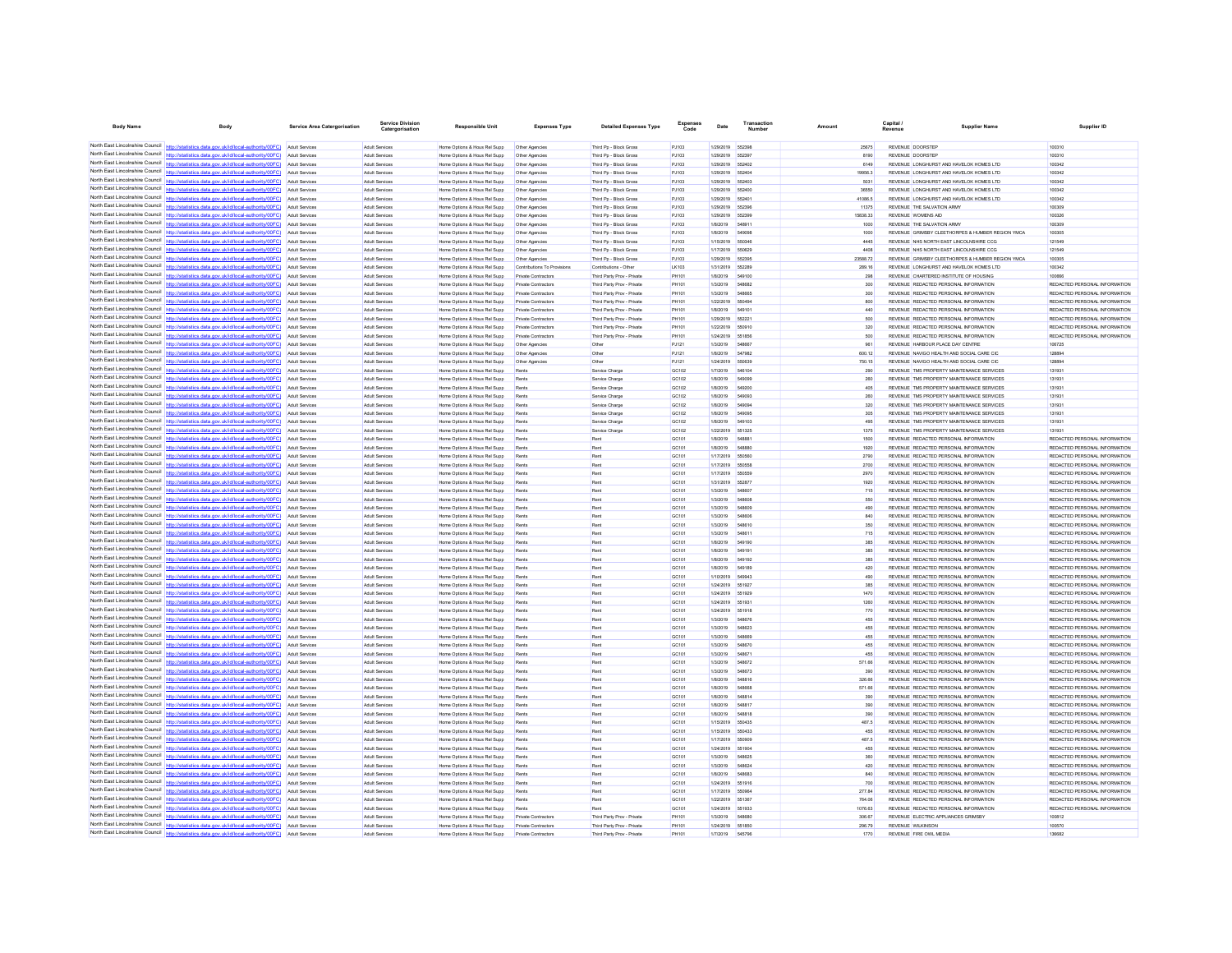| <b>Body Name</b>                            | Body                                                                                                                                                                                                           | Service Area Catergorisation            | Service Division<br>Catergorisation            | <b>Responsible Unit</b>                                      | <b>Expenses Type</b>                              | <b>Detailed Expenses Type</b>                            | Code           | Date                   | Number                  | Amount           | Capital                          | Supplier Name                                                                               | Supplier ID                                                    |
|---------------------------------------------|----------------------------------------------------------------------------------------------------------------------------------------------------------------------------------------------------------------|-----------------------------------------|------------------------------------------------|--------------------------------------------------------------|---------------------------------------------------|----------------------------------------------------------|----------------|------------------------|-------------------------|------------------|----------------------------------|---------------------------------------------------------------------------------------------|----------------------------------------------------------------|
|                                             |                                                                                                                                                                                                                |                                         |                                                |                                                              |                                                   |                                                          |                |                        |                         |                  |                                  |                                                                                             |                                                                |
|                                             | North East Lincolnshire Council http://statistics.data.gov.uk/id/local-authority/00FC) Adult Services                                                                                                          |                                         | Adult Services                                 | Home Options & Hous Rel Supp                                 | Other Agencies                                    | Third Pp - Block Gross                                   | PJ103          | 1/29/2019              | 552398                  | 25675            | REVENUE DOORSTEP                 |                                                                                             | 100310                                                         |
| North East Lincolnshire Council             | North East Lincolnshire Council http://statistics.data.gov.uk/id/local-authority/00FC) Adult Services                                                                                                          |                                         | <b>Adult Services</b>                          | Home Options & Hous Rel Supp                                 | Other Agencies                                    | Third Pp - Block Gross                                   | PJ103          | 1/29/2019 552397       |                         | 8190             | <b>REVENUE DOORSTEP</b>          |                                                                                             | 100310                                                         |
| North East Lincolnshire Council             | http://statistics.data.gov.uk/id/local-authority/00FC)                                                                                                                                                         | Adult Services                          | <b>Adult Services</b><br><b>Adult Services</b> | Home Options & Hous Rel Supp                                 | Other Agencies                                    | Third Pp - Block Gross                                   | PJ103<br>PJ103 | 1/29/2019<br>1/29/2019 | 552402<br>65240         | 6149<br>19956.3  |                                  | REVENUE LONGHURST AND HAVELOK HOMES LTD<br>REVENUE LONGHURST AND HAVELOK HOMES LTD          | 100342<br>100342                                               |
|                                             | North East Lincolnshire Council http://statistics.data.gov.uk/id/local-authority/00FC) Adult Services                                                                                                          | <b>Adult Services</b>                   | <b>Adult Services</b>                          | Home Options & Hous Rel Supp<br>Home Options & Hous Rel Supp | Other Agencies<br>Other Agencies                  | Third Pp - Block Gross<br>Third Pp - Block Gross         | PJ103          | 1/29/2019              | 552403                  | 5031             |                                  | REVENUE LONGHURST AND HAVELOK HOMES LTD                                                     | 100342                                                         |
|                                             | North East Lincolnshire Council http://statistics.data.gov.uk/id/local-authority/00FC) Adult Services                                                                                                          |                                         | <b>Adult Services</b>                          | Home Options & Hous Rel Supp                                 | Other Agencies                                    | Third Pp - Block Gross                                   | PJ103          | 1/29/2019              | 552400                  | 36550            |                                  | REVENUE LONGHURST AND HAVELOK HOMES LTD                                                     | 100342                                                         |
|                                             | North East Lincolnshire Council http://statistics.data.gov.uk/id/local-authority/00FC)                                                                                                                         | Adult Services                          | <b>Adult Services</b>                          | Home Options & Hous Rel Supp                                 | Other Agencies                                    | Third Pp - Block Gross                                   | PJ103          | 1/29/2019              | 55240                   | 41086.5          |                                  | REVENUE LONGHURST AND HAVELOK HOMES LTD                                                     | 100342                                                         |
| North East Lincolnshire Council             | tics.data.gov.uk/id/local-authority/00FC)                                                                                                                                                                      | <b>Adult Services</b>                   | <b>Adult Services</b>                          | Home Options & Hous Rel Supp                                 | Other Agencies                                    | Third Pp - Block Gross                                   | PJ103          | 1/29/2019              | 652396                  | 11375            | REVENUE THE SALVATION ARMY       |                                                                                             | 100309                                                         |
|                                             | North East Lincolnshire Council http://statistics.data.gov.uk/id/local-authority/00FC                                                                                                                          | Adult Services                          | Adult Services                                 | Home Options & Hous Rel Supp                                 | Other Agencies                                    | Third Pp - Block Gross                                   | PJ103          | 1/29/2019              | 652399                  | 15838.33         |                                  |                                                                                             | 100326                                                         |
|                                             | North East Lincolnshire Council http://statistics.data.gov.uk/id/local-authority/00FC)<br>North East Lincolnshire Council http://statistics.data.gov.uk/id/local-authority/00FC) Adult Services                | Adult Services                          | <b>Adult Services</b>                          | Home Options & Hous Rel Supp                                 | Other Agencies                                    | Third Pp - Block Gross                                   | PJ103          | 1/8/2019<br>1/8/2019   | 548911<br>549098        | 1000             | REVENUE THE SALVATION ARMY       |                                                                                             | 100309<br>100305                                               |
|                                             | North East Lincolnshire Council http://statistics.data.gov.uk/id/local-authority/00FC)                                                                                                                         | Adult Services                          | <b>Adult Services</b><br>Adult Services        | Home Options & Hous Rel Supp<br>Home Options & Hous Rel Supp | Other Agencies<br>Other Agencies                  | Third Pp - Block Gross<br>Third Pp - Block Gross         | PJ103<br>PJ103 | 1/15/2019              | 550346                  | 1000<br>4445     |                                  | REVENUE GRIMSBY CLEETHORPES & HUMBER REGION YMCA<br>REVENUE NHS NORTH EAST LINCOLNSHIRE CCG | 121549                                                         |
| North East Lincolnshire Council             | http://statistics.data.gov.uk/id/local-authority/00FC)                                                                                                                                                         | Adult Services                          | <b>Adult Services</b>                          | Home Options & Hous Rel Supp                                 | Other Agencies                                    | Third Pp - Block Gross                                   | PJ103          | 1/17/2019              | 550629                  | 4408             |                                  | REVENUE NHS NORTH EAST LINCOLNSHIRE CCG                                                     | 121549                                                         |
| North East Lincolnshire Council             | http://statistics.data.gov.uk/id/local-authority/00FC)                                                                                                                                                         |                                         | Adult Services                                 | Home Options & Hous Rel Supp                                 | Other Agencies                                    | Third Pp - Block Gross                                   | PJ103          | 1/29/2019              | 552395                  | 23588.72         |                                  | REVENUE GRIMSBY CLEETHORPES & HUMBER REGION YMCA                                            | 100305                                                         |
|                                             | North East Lincolnshire Council http://statistics.data.gov.uk/id/local-authority/00FC) Adult Services                                                                                                          |                                         | <b>Adult Services</b>                          | Home Options & Hous Rel Supp                                 | Contributions To Provisions                       | Contributions - Other                                    | LK103          | 1/31/2019              | 552289                  | 289.16           |                                  | REVENUE LONGHURST AND HAVELOK HOMES LTD                                                     | 100342                                                         |
|                                             | North East Lincolnshire Council http://statistics.data.gov.uk/id/local-authority/00FC) Adult Services                                                                                                          |                                         | <b>Adult Services</b>                          | Home Options & Hous Rel Supp                                 | Private Contractors                               | Third Party Prov - Private                               | PH101          | 1/8/2019               | 549100                  | 298              |                                  | REVENUE CHARTERED INSTITUTE OF HOUSING                                                      | 100666                                                         |
| North East Lincolnshire Council             | North East Lincolnshire Council http://statistics.data.gov.uk/id/local-authority/00FC) Adult Services                                                                                                          |                                         | Adult Services                                 | Home Options & Hous Rel Supp                                 | Private Contractors                               | Third Party Prov - Private                               | PH101          | 1/3/2019               | <b>548882</b>           | 300              |                                  | REVENUE REDACTED PERSONAL INFORMATION                                                       | REDACTED PERSONAL INFORMATION                                  |
|                                             | North East Lincolnshire Council http://statistics.data.gov.uk/id/local-authority/00FC)                                                                                                                         | <b>Adult Services</b><br>Adult Services | <b>Adult Services</b><br><b>Adult Services</b> | Home Options & Hous Rel Supp<br>Home Options & Hous Rel Supp | Private Contractors<br><b>Private Contractors</b> | Third Party Prov - Private<br>Third Party Prov - Private | PH101<br>PH101 | 1/3/2019<br>1/22/2019  | 548665<br>550494        | 300<br>800       |                                  | REVENUE REDACTED PERSONAL INFORMATION<br>REVENUE REDACTED PERSONAL INFORMATION              | REDACTED PERSONAL INFORMATION<br>REDACTED PERSONAL INFORMATION |
|                                             | North East Lincolnshire Council http://statistics.data.gov.uk/id/local-authority/00FC)                                                                                                                         | Adult Services                          | <b>Adult Services</b>                          | Home Options & Hous Rel Supp                                 | <b>Private Contractors</b>                        | Third Party Prov - Private                               | PH101          | 1/8/2019               | 549101                  | 440              |                                  | REVENUE REDACTED PERSONAL INFORMATION                                                       | REDACTED PERSONAL INFORMATION                                  |
|                                             | North East Lincolnshire Council http://statistics.data.gov.uk/id/local-authority/00FC) Adult Services                                                                                                          |                                         | Adult Services                                 | Home Options & Hous Rel Supp                                 | Private Contractors                               | Third Party Prov - Private                               | PH101          | 1/29/2019              | 55222                   | 500              |                                  | REVENUE REDACTED PERSONAL INFORMATION                                                       | REDACTED PERSONAL INFORMATION                                  |
|                                             | North East Lincolnshire Council http://statistics.data.gov.uk/id/local-authority/00FC)                                                                                                                         | Adult Services                          | <b>Adult Services</b>                          | Home Options & Hous Rel Supp                                 | <b>Private Contractors</b>                        | Third Party Prov - Private                               | PH101          | 1/22/2019              | 550910                  | 320              |                                  | REVENUE REDACTED PERSONAL INFORMATION                                                       | REDACTED PERSONAL INFORMATION                                  |
| North East Lincolnshire Council             | stics.data.gov.uk/id/local-authority/00FC)                                                                                                                                                                     | Adult Services                          | <b>Adult Services</b>                          | Home Options & Hous Rel Supp                                 | <b>Private Contractors</b>                        | Third Party Prov - Private                               | PH101          | 1/24/2019              | 551856                  | 500              |                                  | REVENUE REDACTED PERSONAL INFORMATION                                                       | REDACTED PERSONAL INFORMATION                                  |
| North East Lincolnshire Council             | http://statistics.data.gov.uk/id/local-authority/00FC)                                                                                                                                                         | Adult Services                          | Adult Services                                 | Home Options & Hous Rel Supp                                 | Other Agencies                                    | Other                                                    | PJ121          | 1/3/2019               | <b>548867</b>           | 961              | REVENUE HARBOUR PLACE DAY CENTRE |                                                                                             | 106725                                                         |
|                                             | North East Lincolnshire Council http://statistics.data.gov.uk/id/local-authority/00FC) Adult Services                                                                                                          |                                         | <b>Adult Services</b><br><b>Adult Services</b> | Home Options & Hous Rel Supp<br>Home Options & Hous Rel Supp | Other Agencies<br>Other Agencies                  | Other<br>Other                                           | PJ121<br>PJ121 | 1/8/2019<br>1/24/2019  | 547982<br>55063         | 600.12<br>750.15 |                                  | REVENUE NAVIGO HEALTH AND SOCIAL CARE CIC<br>REVENUE NAVIGO HEALTH AND SOCIAL CARE CIC      | 128894<br>128894                                               |
|                                             | North East Lincolnshire Council http://statistics.data.gov.uk/id/local-authority/00FC) Adult Services<br>North East Lincolnshire Council http://statistics.data.gov.uk/id/local-authority/00FC)                | <b>Adult Services</b>                   | <b>Adult Services</b>                          | Home Options & Hous Rel Supp                                 | Rent                                              | Service Charge                                           | GC102          | 1/7/2019               | 546104                  | 290              |                                  | REVENUE TMS PROPERTY MAINTENANCE SERVICES                                                   | 131931                                                         |
| North East Lincolnshire Council             | http://statistics.data.gov.uk/id/local-authority/00FC)                                                                                                                                                         | <b>Adult Services</b>                   | <b>Adult Services</b>                          | Home Options & Hous Rel Supp                                 | <b>Rents</b>                                      | Service Charge                                           | GC102          | 1/8/2019               | 549099                  | 260              |                                  | REVENUE TMS PROPERTY MAINTENANCE SERVICES                                                   | 131931                                                         |
| North East Lincolnshire Council             | /statistics data gov uk/id/local-authority/00FC                                                                                                                                                                |                                         | Adult Services                                 | Home Options & Hous Rel Supp                                 |                                                   | Service Charge                                           | GC102          | 1/8/2019               | 549200                  | 406              |                                  | REVENUE TMS PROPERTY MAINTENANCE SERVICES                                                   | 131931                                                         |
|                                             | North East Lincolnshire Council http://statistics.data.gov.uk/id/local-authority/00FC) Adult Services                                                                                                          |                                         | <b>Adult Services</b>                          | Home Options & Hous Rel Supp                                 | Rents                                             | Service Charge                                           | GC102          | 1/8/2019               | 549093                  | 260              |                                  | REVENUE TMS PROPERTY MAINTENANCE SERVICES                                                   | 131931                                                         |
|                                             | North East Lincolnshire Council http://statistics.data.gov.uk/id/local-authority/00FC)                                                                                                                         | Adult Services                          | <b>Adult Services</b>                          | Home Options & Hous Rel Supp                                 | Rents                                             | Service Charge                                           | GC102          | 1/8/2019               | 54909                   | 320              |                                  | REVENUE TMS PROPERTY MAINTENANCE SERVICES                                                   | 131931                                                         |
| North East Lincolnshire Council             | http://statistics.data.gov.uk/id/local-authority/00EC)                                                                                                                                                         | <b>Adult Services</b>                   | Adult Services                                 | Home Options & Hous Rel Supp                                 | Rents                                             | Service Charge                                           | GC102          | 1/8/2019               | 549095                  | 305              |                                  | REVENUE TMS PROPERTY MAINTENANCE SERVICES                                                   | 131931                                                         |
|                                             | North East Lincolnshire Council http://statistics.data.gov.uk/id/local-authority/00FC)<br>North East Lincolnshire Council http://statistics.data.gov.uk/id/local-authority/00FC)                               | <b>Adult Services</b><br>Adult Services | Adult Services<br><b>Adult Services</b>        | Home Options & Hous Rel Supp                                 | Rent:<br><b>Rents</b>                             | Service Charge                                           | GC102<br>GC102 | 1/8/2019<br>1/22/2019  | 651325                  | 496<br>1375      |                                  | REVENUE TMS PROPERTY MAINTENANCE SERVICES                                                   | 131931<br>131931                                               |
|                                             | North East Lincolnshire Council http://statistics.data.gov.uk/id/local-authority/00FC) Adult Services                                                                                                          |                                         | <b>Adult Services</b>                          | Home Options & Hous Rel Supp<br>Home Options & Hous Rel Supp | Rents                                             | Service Charg<br>Rent                                    | GC101          | 1/8/2019               | <b>548881</b>           | 1500             |                                  | REVENUE TMS PROPERTY MAINTENANCE SERVICES<br>REVENUE REDACTED PERSONAL INFORMATION          | REDACTED PERSONAL INFORMATION                                  |
|                                             | North East Lincolnshire Council http://statistics.data.gov.uk/id/local-authority/00FC) Adult Services                                                                                                          |                                         | <b>Adult Services</b>                          | Home Options & Hous Rel Supp                                 | <b>Rents</b>                                      |                                                          | GC101          | 1/8/2019               | 548880                  | 1920             |                                  | REVENUE REDACTED PERSONAL INFORMATION                                                       | REDACTED PERSONAL INFORMATION                                  |
| North East Lincolnshire Council             | http://statistics.data.gov.uk/id/local-authority/00FC)                                                                                                                                                         | Adult Services                          | <b>Adult Services</b>                          | Home Options & Hous Rel Supp                                 | <b>Rents</b>                                      | Rent                                                     | GC101          | 1/17/2019              | 650560                  | 2790             |                                  | REVENUE REDACTED PERSONAL INFORMATION                                                       | REDACTED PERSONAL INFORMATION                                  |
| North East Lincolnshire Council             | tics.data.gov.uk/id/local-authority/00FC)                                                                                                                                                                      | <b>Adult Services</b>                   | <b>Adult Services</b>                          | Home Options & Hous Rel Supp                                 | Rents                                             | Rent                                                     | GC101          | 1/17/2019              |                         | 2700             |                                  | REVENUE REDACTED PERSONAL INFORMATION                                                       | REDACTED PERSONAL INFORMATION                                  |
| North East Lincolnshire Council             | http://statistics.data.oov.uk/id/incal-authority/00EC)                                                                                                                                                         | Adult Services                          | Adult Servicer                                 | Home Options & Hous Rel Supp                                 | Rents                                             | Rent                                                     | GC101          | 1/17/2019              | 550559                  | 2970             |                                  | REVENUE REDACTED PERSONAL INFORMATION                                                       | REDACTED PERSONAL INFORMATION                                  |
|                                             | North East Lincolnshire Council http://statistics.data.gov.uk/id/local-authority/00FC) Adult Services                                                                                                          |                                         | <b>Adult Services</b>                          | Home Options & Hous Rel Supp                                 | <b>Rents</b>                                      | Rent                                                     | GC101          | 1/31/2019              | 55287                   | 1920             |                                  | REVENUE REDACTED PERSONAL INFORMATION                                                       | REDACTED PERSONAL INFORMATION                                  |
| North East Lincolnshire Council             | North East Lincolnshire Council http://statistics.data.gov.uk/id/local-authority/00FC)                                                                                                                         | Adult Services                          | Adult Services                                 | Home Options & Hous Rel Supp                                 |                                                   | Rent                                                     | GC101          | 1/3/2019               | 548607                  | 715              |                                  | REVENUE REDACTED PERSONAL INFORMATION                                                       | REDACTED PERSONAL INFORMATION                                  |
| North East Lincolnshire Council             | http://statistics.data.gov.uk/id/local-authority/00FC)                                                                                                                                                         | Adult Services<br>Adult Services        | <b>Adult Services</b><br><b>Adult Services</b> | Home Options & Hous Rel Supp<br>Home Options & Hous Rel Supp | <b>Rents</b><br>Rents                             | Rent<br>Rent                                             | GC101<br>GC101 | 1/3/2019<br>1/3/2019   | 548608<br>548609        | 550<br>490       |                                  | REVENUE REDACTED PERSONAL INFORMATION<br>REVENUE REDACTED PERSONAL INFORMATION              | REDACTED PERSONAL INFORMATION<br>REDACTED PERSONAL INFORMATION |
|                                             | North East Lincolnshire Council http://statistics.data.gov.uk/id/local-authority/00FC)                                                                                                                         | Adult Services                          | Adult Services                                 | Home Options & Hous Rel Supp                                 | Rents                                             | Rent                                                     | GC101          | 1/3/2019               | 548606                  | 840              |                                  | REVENUE REDACTED PERSONAL INFORMATION                                                       | REDACTED PERSONAL INFORMATION                                  |
|                                             | North East Lincolnshire Council http://statistics.data.gov.uk/id/local-authority/00FC) Adult Services                                                                                                          |                                         | <b>Adult Services</b>                          | Home Options & Hous Rel Supp                                 | <b>Rents</b>                                      | Rent                                                     | GC101          | 1/3/2019               | 548610                  | 350              |                                  | REVENUE REDACTED PERSONAL INFORMATION                                                       | REDACTED PERSONAL INFORMATION                                  |
|                                             | North East Lincolnshire Council http://statistics.data.gov.uk/id/local-authority/00FC) Adult Services                                                                                                          |                                         | <b>Adult Services</b>                          | Home Options & Hous Rel Supp                                 |                                                   |                                                          | GC101          | 1/3/2019               | 54861                   | 715              |                                  | REVENUE REDACTED PERSONAL INFORMATION                                                       | REDACTED PERSONAL INFORMATION                                  |
|                                             | North East Lincolnshire Council http://statistics.data.gov.uk/id/local-authority/00FC)                                                                                                                         | <b>Adult Services</b>                   | <b>Adult Services</b>                          | Home Options & Hous Rel Supp                                 | <b>Rents</b>                                      | Rent                                                     | GC101          | 1/8/2019               | 549190                  | 385              |                                  | REVENUE REDACTED PERSONAL INFORMATION                                                       | REDACTED PERSONAL INFORMATION                                  |
| North East Lincolnshire Council http:       | North East Lincolnshire Council http://statistics.data.gov.uk/id/local-authority/00FC)                                                                                                                         | <b>Adult Services</b>                   | Adult Services                                 | Home Options & Hous Rel Supp                                 | Rent:                                             | Rent                                                     | GC101          | 1/8/2019               | 54919                   | 385              |                                  | REVENUE REDACTED PERSONAL INFORMATION                                                       | REDACTED PERSONAL INFORMATION                                  |
| North East Lincolnshire Council http://stat | tics.data.gov.uk/id/local-authority/00FC) Adult Services                                                                                                                                                       | <b>Adult Services</b>                   | <b>Adult Services</b>                          | Home Options & Hous Rel Supp                                 | Rents                                             | Rent                                                     | GC101          | 1/8/2019               | 549192<br>549189        | 385              |                                  | REVENUE REDACTED PERSONAL INFORMATION                                                       | REDACTED PERSONAL INFORMATION                                  |
|                                             | North East Lincolnshire Council http://statistics.data.gov.uk/id/local-authority/00FC)                                                                                                                         | Adult Services                          | <b>Adult Services</b><br>Adult Services        | Home Options & Hous Rel Supp<br>Home Options & Hous Rel Supp | Rents<br>Rent                                     | Rent<br>Rent                                             | GC101<br>GC101 | 1/8/2019<br>1/10/2019  | 549943                  | 420<br>490       |                                  | REVENUE REDACTED PERSONAL INFORMATION<br>REVENUE REDACTED PERSONAL INFORMATION              | REDACTED PERSONAL INFORMATION<br>REDACTED PERSONAL INFORMATION |
| North East Lincolnshire Council             | http://statistics.data.gov.uk/id/local-authority/00FC)                                                                                                                                                         | Adult Services                          | <b>Adult Services</b>                          | Home Options & Hous Rel Supp                                 | Rents                                             | Rent                                                     | GC101          | 1/24/2019              | 651927                  | 385              |                                  | REVENUE REDACTED PERSONAL INFORMATION                                                       | REDACTED PERSONAL INFORMATION                                  |
| North East Lincolnshire Council             | http://statistics.data.gov.uk/id/local-authority/00FC)                                                                                                                                                         | <b>Adult Services</b>                   | <b>Adult Services</b>                          | Home Options & Hous Rel Supp                                 | Rent:                                             | Rent                                                     | GC101          | 1/24/2019              | 551929                  | 1470             |                                  | REVENUE REDACTED PERSONAL INFORMATION                                                       | REDACTED PERSONAL INFORMATION                                  |
| North East Lincolnshire Council             | http://statistics.data.oov.uk/id/local-authority/00EC)                                                                                                                                                         | <b>Adult Services</b>                   | <b>Adult Services</b>                          | Home Options & Hous Rel Supp                                 | <b>Rents</b>                                      | Rent                                                     | GC101          | 1/24/2019              | 651931                  | 1260             |                                  | REVENUE REDACTED PERSONAL INFORMATION                                                       | REDACTED PERSONAL INFORMATION                                  |
|                                             | North East Lincolnshire Council http://statistics.data.gov.uk/id/local-authority/00FC) Adult Services                                                                                                          |                                         | <b>Adult Services</b>                          | Home Options & Hous Rel Supp                                 | <b>Rents</b>                                      | Rent                                                     | GC101          | 1/24/2019              | 551918                  | 770              |                                  | REVENUE REDACTED PERSONAL INFORMATION                                                       | REDACTED PERSONAL INFORMATION                                  |
| North East Lincolnshire Council             | North East Lincolnshire Council http://statistics.data.gov.uk/id/local-authority/00FC) Adult Services                                                                                                          |                                         | <b>Adult Services</b>                          | Home Options & Hous Rel Supp                                 |                                                   | Rent                                                     | GC101          | 1/3/2019               | 548676                  | 455              |                                  | REVENUE REDACTED PERSONAL INFORMATION                                                       | REDACTED PERSONAL INFORMATION                                  |
|                                             | cs.data.gov.uk/id/local-authority/00FC)<br>North East Lincolnshire Council http://statistics.data.gov.uk/id/local-authority/00FC)                                                                              | Adult Services<br>Adult Services        | <b>Adult Services</b><br>Adult Services        | Home Options & Hous Rel Supp<br>Home Options & Hous Rel Supp | <b>Rents</b>                                      | Rent<br>Rent                                             | GC101<br>GC101 | 1/3/2019<br>1/3/2019   | 548623<br><b>SEBRAD</b> | 455<br>455       |                                  | REVENUE REDACTED PERSONAL INFORMATION<br>REVENUE REDACTED PERSONAL INFORMATION              | REDACTED PERSONAL INFORMATION<br>REDACTED PERSONAL INFORMATION |
|                                             | North East Lincolnshire Council http://statistics.data.gov.uk/id/local-authority/00FC)                                                                                                                         | Adult Services                          | <b>Adult Services</b>                          | Home Options & Hous Rel Supp                                 | Rents                                             | Rent                                                     | GC101          | 1/3/2019               | 548670                  | 455              |                                  | REVENUE REDACTED PERSONAL INFORMATION                                                       | REDACTED PERSONAL INFORMATION                                  |
|                                             | North East Lincolnshire Council http://statistics.data.gov.uk/id/local-authority/00FC) Adult Services                                                                                                          |                                         | <b>Adult Services</b>                          | Home Options & Hous Rel Supp                                 | <b>Rents</b>                                      | Rent                                                     | GC101          | 1/3/2019               | 548671                  | 455              |                                  | REVENUE REDACTED PERSONAL INFORMATION                                                       | REDACTED PERSONAL INFORMATION                                  |
|                                             | North East Lincolnshire Council http://statistics.data.gov.uk/id/local-authority/00FC)                                                                                                                         | Adult Services                          | <b>Adult Services</b>                          | Home Options & Hous Rel Supp                                 |                                                   | Rent                                                     | GC101          | 1/3/2019               | 548672                  | 571.66           |                                  | REVENUE REDACTED PERSONAL INFORMATION                                                       | REDACTED PERSONAL INFORMATION                                  |
| North East Lincolnshire Council             | tics.data.gov.uk/id/local-authority/00FC)                                                                                                                                                                      | <b>Adult Services</b>                   | <b>Adult Services</b>                          | Home Options & Hous Rel Supp                                 | <b>Rents</b>                                      | Rent                                                     | GC101          | 1/3/2019               | 548673                  | 390              |                                  | REVENUE REDACTED PERSONAL INFORMATION                                                       | REDACTED PERSONAL INFORMATION                                  |
| North East Lincolnshire Council             | http://statistics.data.gov.uk/id/local-authority/00FC)                                                                                                                                                         | Adult Services                          | Adult Services                                 | Home Options & Hous Rel Supp                                 |                                                   | Rent                                                     | GC101          | 1/8/2019               | 548816                  | 326.66           |                                  | REVENUE REDACTED PERSONAL INFORMATION                                                       | REDACTED PERSONAL INFORMATION                                  |
| North East Lincolnshire Council             | http://statistics.data.gov.uk/id/local-authority/00FC) Adult Services                                                                                                                                          |                                         | Adult Services                                 | Home Options & Hous Rel Supp                                 | <b>Rents</b>                                      | Rent                                                     | GC101          | 1/8/2019               | 548668                  | 571.66           |                                  | REVENUE REDACTED PERSONAL INFORMATION                                                       | REDACTED PERSONAL INFORMATION                                  |
|                                             | North East Lincolnshire Council http://statistics.data.gov.uk/id/local-authority/00FC) Adult Services<br>North East Lincolnshire Council http://statistics.data.gov.uk/id/local-authority/00FC) Adult Services |                                         | <b>Adult Services</b><br>Adult Services        | Home Options & Hous Rel Supp                                 | Rent                                              | Rent                                                     | GC101<br>GC101 | 1/8/2019<br>1/8/2019   | 54881<br><b>548817</b>  | 390<br>390       |                                  | REVENUE REDACTED PERSONAL INFORMATION<br>REVENUE REDACTED PERSONAL INFORMATION              | REDACTED PERSONAL INFORMATION<br>REDACTED PERSONAL INFORMATION |
| North East Lincolnshire Council             | http://statistics.data.gov.uk/id/local-authority/00FC)                                                                                                                                                         | <b>Adult Services</b>                   | <b>Adult Services</b>                          | Home Options & Hous Rel Supp<br>Home Options & Hous Rel Supp | Rents                                             | Rent                                                     | GC101          | 1/8/2019               | 548818                  | 390              |                                  | REVENUE REDACTED PERSONAL INFORMATION                                                       | REDACTED PERSONAL INFORMATION                                  |
| North East Lincolnshire Council             |                                                                                                                                                                                                                | <b>Adult Services</b>                   | <b>Adult Services</b>                          | Home Options & Hous Rel Supp                                 | Rents                                             | Rent                                                     | GC101          | 1/15/2019              |                         | 487.5            |                                  | REVENUE REDACTED PERSONAL INFORMATION                                                       | REDACTED PERSONAL INFORMATION                                  |
|                                             | North East Lincolnshire Council http://statistics.data.gov.uk/id/local-authority/00FC) Adult Services                                                                                                          |                                         | <b>Adult Services</b>                          | Home Options & Hous Rel Supp                                 | Rents                                             | Rent                                                     | GC101          | 1/15/2019              | 550433                  | 455              |                                  | REVENUE REDACTED PERSONAL INFORMATION                                                       | REDACTED PERSONAL INFORMATION                                  |
|                                             | North East Lincolnshire Council http://statistics.data.gov.uk/id/local-authority/00FC) Adult Services                                                                                                          |                                         | Adult Services                                 | Home Options & Hous Rel Supp                                 | Rent:                                             | Rent                                                     | GC101          | 1/17/2019              | 550909                  | 487.5            |                                  | REVENUE REDACTED PERSONAL INFORMATION                                                       | REDACTED PERSONAL INFORMATION                                  |
|                                             | North East Lincolnshire Council http://statistics.data.gov.uk/id/local-authority/00FC)                                                                                                                         | <b>Adult Services</b>                   | Adult Services                                 | Home Options & Hous Rel Supp                                 | Rent                                              | Rent                                                     | GC101          | 1/24/2019              | 551904                  | 455              |                                  | REVENUE REDACTED PERSONAL INFORMATION                                                       | REDACTED PERSONAL INFORMATION                                  |
| North East Lincolnshire Council             | http://statistics.data.gov.uk/id/local-authority/00FC)                                                                                                                                                         | Adult Services                          | Adult Services                                 | Home Options & Hous Rel Supp                                 | Rents                                             | Rent                                                     | GC101          | 1/3/2019               | 548625                  | 360              |                                  | REVENUE REDACTED PERSONAL INFORMATION                                                       | REDACTED PERSONAL INFORMATION                                  |
|                                             | North East Lincolnshire Council http://statistics.data.gov.uk/id/local-authority/00FC)<br>North East Lincolnshire Council http://statistics.data.gov.uk/id/local-authority/00FC) Adult Services                | Adult Services                          | Adult Services<br><b>Adult Services</b>        | Home Options & Hous Rel Supp<br>Home Options & Hous Rel Supp | Rent:                                             | Rent<br>Rent                                             | GC101<br>GC101 | 1/3/2019<br>1/8/2019   | 548624<br>548683        | 420<br>840       |                                  | REVENUE REDACTED PERSONAL INFORMATION<br>REVENUE REDACTED PERSONAL INFORMATION              | REDACTED PERSONAL INFORMATION<br>REDACTED PERSONAL INFORMATION |
|                                             | North East Lincolnshire Council http://statistics.data.gov.uk/id/local-authority/00FC) Adult Services                                                                                                          |                                         | <b>Adult Services</b>                          | Home Options & Hous Rel Supp                                 | Rents<br><b>Rents</b>                             | Rent                                                     | GC101          | 1/24/2019              | 551916                  | 700              |                                  | REVENUE REDACTED PERSONAL INFORMATION                                                       | REDACTED PERSONAL INFORMATION                                  |
|                                             | North East Lincolnshire Council http://statistics.data.gov.uk/id/local-authority/00FC)                                                                                                                         | <b>Adult Services</b>                   | <b>Adult Services</b>                          | Home Options & Hous Rel Supp                                 | <b>Rents</b>                                      | Rent                                                     | GC101          | 1/17/2019              | 650964                  | 277.84           |                                  | REVENUE REDACTED PERSONAL INFORMATION                                                       | REDACTED PERSONAL INFORMATION                                  |
| North East Lincolnshire Council             | tics.data.gov.uk/id/local-authority/00FC)                                                                                                                                                                      | <b>Adult Services</b>                   | <b>Adult Services</b>                          | Home Options & Hous Rel Supp                                 | Rents                                             | Rent                                                     | GC101          | 1/22/2019              | 651367                  | 764.06           |                                  | REVENUE REDACTED PERSONAL INFORMATION                                                       | REDACTED PERSONAL INFORMATION                                  |
|                                             | North East Lincolnshire Council http://statistics.data.gov.uk/id/local-authority/00FC)                                                                                                                         |                                         | Adult Services                                 | Home Options & Hous Rel Supp                                 |                                                   |                                                          | GC101          | 1/24/2019              | 651933                  | 1076.63          |                                  | REVENUE REDACTED PERSONAL INFORMATION                                                       | REDACTED PERSONAL INFORMATION                                  |
|                                             | North East Lincolnshire Council http://statistics.data.gov.uk/id/local-authority/00FC) Adult Services                                                                                                          |                                         | <b>Adult Services</b>                          | Home Options & Hous Rel Supp                                 | <b>Private Contractors</b>                        | Third Party Prov - Private                               | PH101          | 1/3/2019               | 548680                  | 306.67           |                                  | REVENUE ELECTRIC APPLIANCES GRIMSBY                                                         | 100812                                                         |
| North East Lincolnshire Council             | North East Lincolnshire Council http://statistics.data.gov.uk/id/local-authority/00FC) Adult Services                                                                                                          |                                         | <b>Adult Services</b>                          | Home Options & Hous Rel Supp                                 | Private Contractors                               | Third Party Prov - Private                               | PH101          | 1/24/2019              | 551850                  | 296.79           | REVENUE WILKINSON                |                                                                                             | 100570                                                         |
|                                             | http://statistics.data.gov.uk/id/local-authority/00FC)                                                                                                                                                         | <b>Adult Services</b>                   | <b>Adult Services</b>                          | Home Options & Hous Rel Supp                                 | <b>Private Contractors</b>                        | Third Party Proy - Private                               | PH101          | 1/7/2019               | 545796                  | 1770             | REVENUE FIRE OWL MEDIA           |                                                                                             | 136682                                                         |